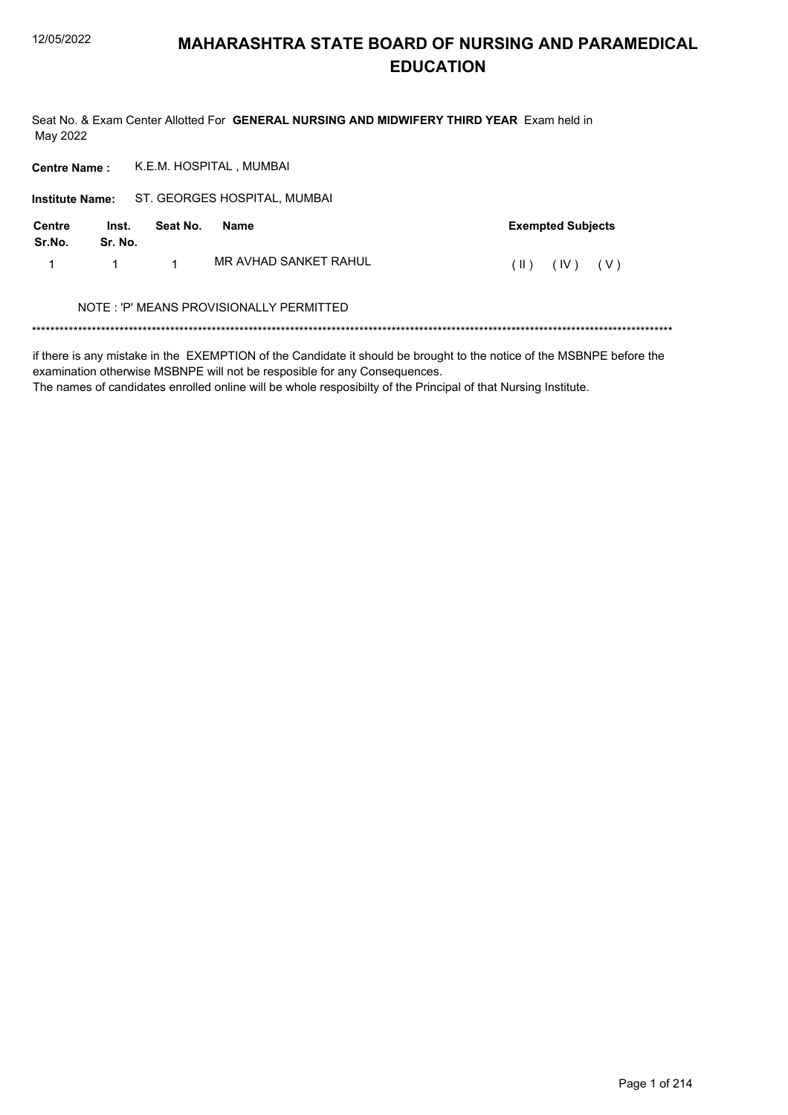Seat No. & Exam Center Allotted For GENERAL NURSING AND MIDWIFERY THIRD YEAR Exam held in May 2022

| <b>Centre Name:</b>     |                  |          | K.E.M. HOSPITAL, MUMBAI                 |      |                          |       |  |
|-------------------------|------------------|----------|-----------------------------------------|------|--------------------------|-------|--|
| <b>Institute Name:</b>  |                  |          | ST. GEORGES HOSPITAL, MUMBAI            |      |                          |       |  |
| <b>Centre</b><br>Sr.No. | Inst.<br>Sr. No. | Seat No. | Name                                    |      | <b>Exempted Subjects</b> |       |  |
|                         | 1                | 1        | MR AVHAD SANKET RAHUL                   | (  ) | (IV)                     | ( V ) |  |
|                         |                  |          | NOTE: 'P' MEANS PROVISIONALLY PERMITTED |      |                          |       |  |
|                         |                  |          |                                         |      |                          |       |  |

if there is any mistake in the EXEMPTION of the Candidate it should be brought to the notice of the MSBNPE before the examination otherwise MSBNPE will not be resposible for any Consequences.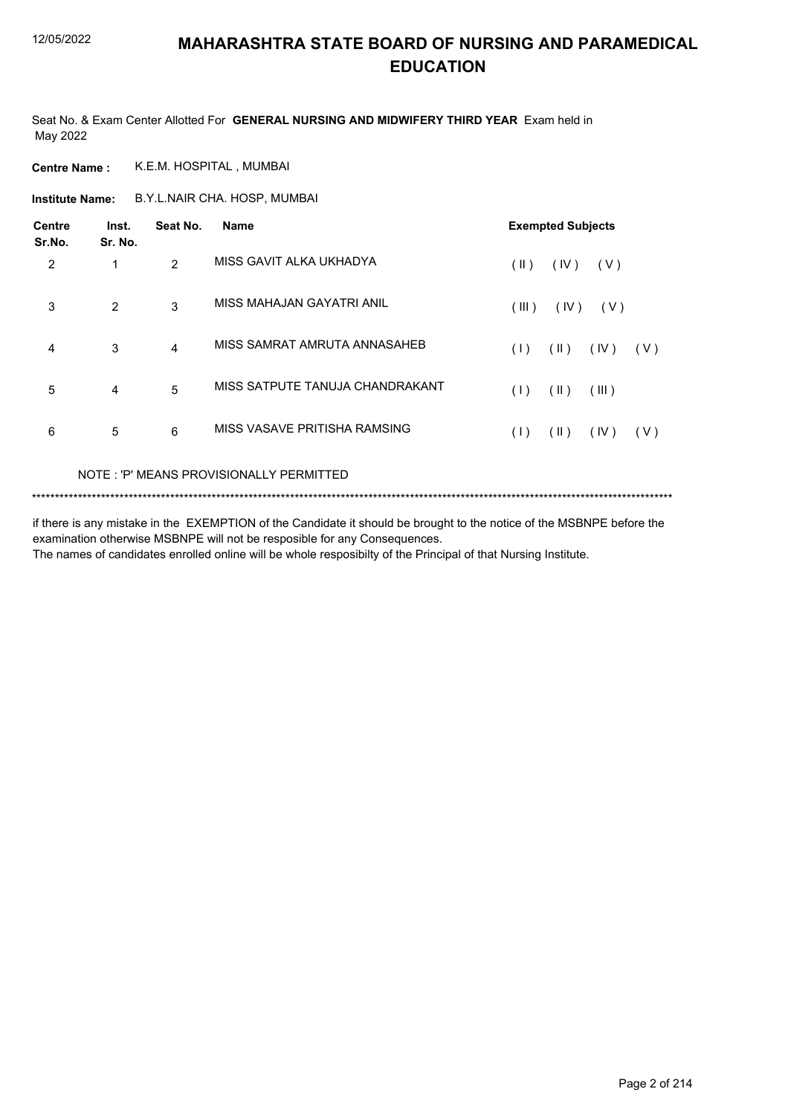Seat No. & Exam Center Allotted For **GENERAL NURSING AND MIDWIFERY THIRD YEAR** Exam held in May 2022

**Centre Name :** K.E.M. HOSPITAL , MUMBAI

B.Y.L.NAIR CHA. HOSP, MUMBAI **Institute Name:**

| <b>Centre</b><br>Sr.No. | Inst.<br>Sr. No. | Seat No.      | <b>Name</b>                     |               | <b>Exempted Subjects</b> |            |       |
|-------------------------|------------------|---------------|---------------------------------|---------------|--------------------------|------------|-------|
| 2                       |                  | $\mathcal{P}$ | MISS GAVIT ALKA UKHADYA         | $(\parallel)$ | (IV)                     | ( V )      |       |
| 3                       | $\overline{2}$   | 3             | MISS MAHAJAN GAYATRI ANIL       | (III)         | (IV)                     | ( V )      |       |
| 4                       | 3                | 4             | MISS SAMRAT AMRUTA ANNASAHEB    | (1)           | $(\parallel)$            | $($ IV $)$ | (V)   |
| 5                       | 4                | 5             | MISS SATPUTE TANUJA CHANDRAKANT | (1)           | $(\parallel)$            | (III)      |       |
| 6                       | 5                | 6             | MISS VASAVE PRITISHA RAMSING    | (1)           | (  )                     | (IV)       | ( V ) |

NOTE : 'P' MEANS PROVISIONALLY PERMITTED

```
*******************************************************************************************************************************************
```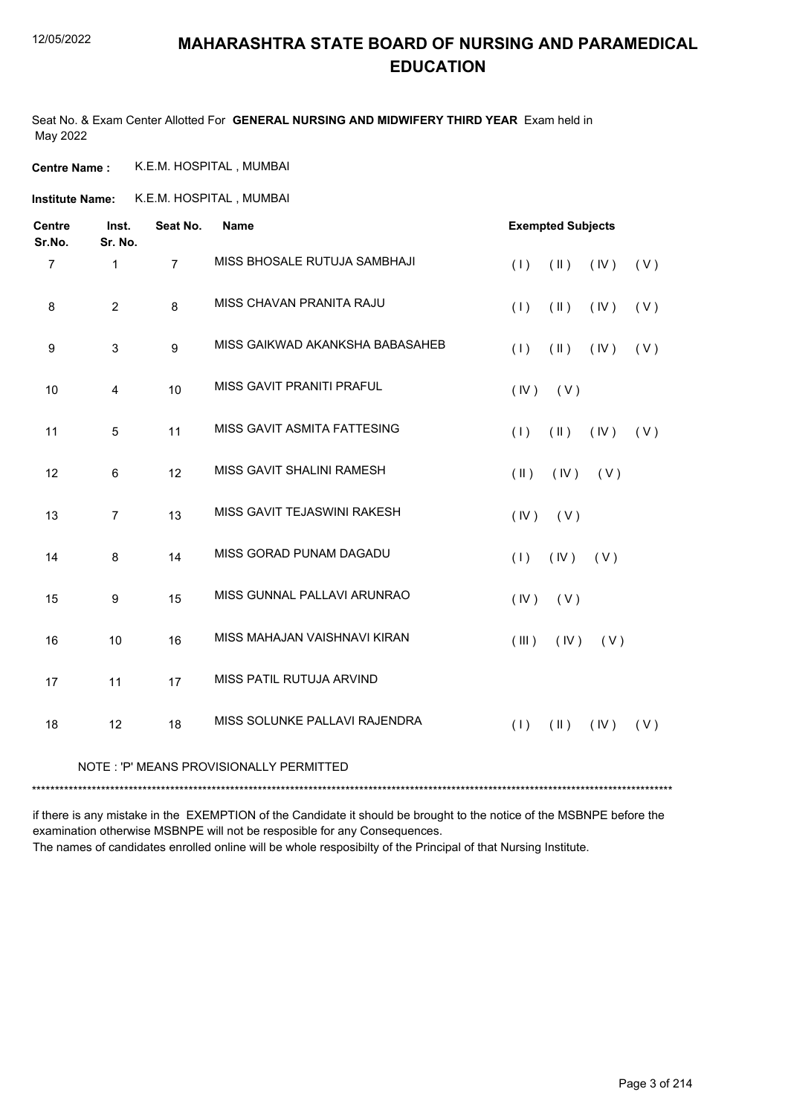Seat No. & Exam Center Allotted For **GENERAL NURSING AND MIDWIFERY THIRD YEAR** Exam held in May 2022

**Centre Name :** K.E.M. HOSPITAL , MUMBAI

**Institute Name:** K.E.M. HOSPITAL , MUMBAI

| <b>Centre</b><br>Sr.No. | Inst.<br>Sr. No. | Seat No.       | <b>Name</b>                             | <b>Exempted Subjects</b>                      |
|-------------------------|------------------|----------------|-----------------------------------------|-----------------------------------------------|
| $\overline{7}$          | $\mathbf{1}$     | $\overline{7}$ | MISS BHOSALE RUTUJA SAMBHAJI            | (1)<br>$(\parallel \parallel)$<br>(IV)<br>(V) |
| 8                       | $\overline{2}$   | 8              | MISS CHAVAN PRANITA RAJU                | $(\parallel)$<br>(1)<br>(IV)<br>(V)           |
| 9                       | 3                | 9              | MISS GAIKWAD AKANKSHA BABASAHEB         | $(\parallel \parallel)$<br>(1)<br>(IV)<br>(V) |
| 10                      | 4                | 10             | MISS GAVIT PRANITI PRAFUL               | (IV)<br>(V)                                   |
| 11                      | 5                | 11             | MISS GAVIT ASMITA FATTESING             | $(\parallel)$<br>(1)<br>(IV)<br>(V)           |
| 12                      | 6                | 12             | MISS GAVIT SHALINI RAMESH               | $(\parallel)$<br>(IV)<br>(V)                  |
| 13                      | $\overline{7}$   | 13             | MISS GAVIT TEJASWINI RAKESH             | (IV)<br>(V)                                   |
| 14                      | 8                | 14             | MISS GORAD PUNAM DAGADU                 | (1)<br>(IV)<br>(V)                            |
| 15                      | 9                | 15             | MISS GUNNAL PALLAVI ARUNRAO             | (IV)<br>(V)                                   |
| 16                      | 10               | 16             | MISS MAHAJAN VAISHNAVI KIRAN            | (III)<br>(IV)<br>(V)                          |
| 17                      | 11               | 17             | MISS PATIL RUTUJA ARVIND                |                                               |
| 18                      | 12               | 18             | MISS SOLUNKE PALLAVI RAJENDRA           | (1)<br>$(\parallel)$<br>(IV)<br>(V)           |
|                         |                  |                | NOTE: 'P' MEANS PROVISIONALLY PERMITTED |                                               |

\*\*\*\*\*\*\*\*\*\*\*\*\*\*\*\*\*\*\*\*\*\*\*\*\*\*\*\*\*\*\*\*\*\*\*\*\*\*\*\*\*\*\*\*\*\*\*\*\*\*\*\*\*\*\*\*\*\*\*\*\*\*\*\*\*\*\*\*\*\*\*\*\*\*\*\*\*\*\*\*\*\*\*\*\*\*\*\*\*\*\*\*\*\*\*\*\*\*\*\*\*\*\*\*\*\*\*\*\*\*\*\*\*\*\*\*\*\*\*\*\*\*\*\*\*\*\*\*\*\*\*\*\*\*\*\*\*\*\*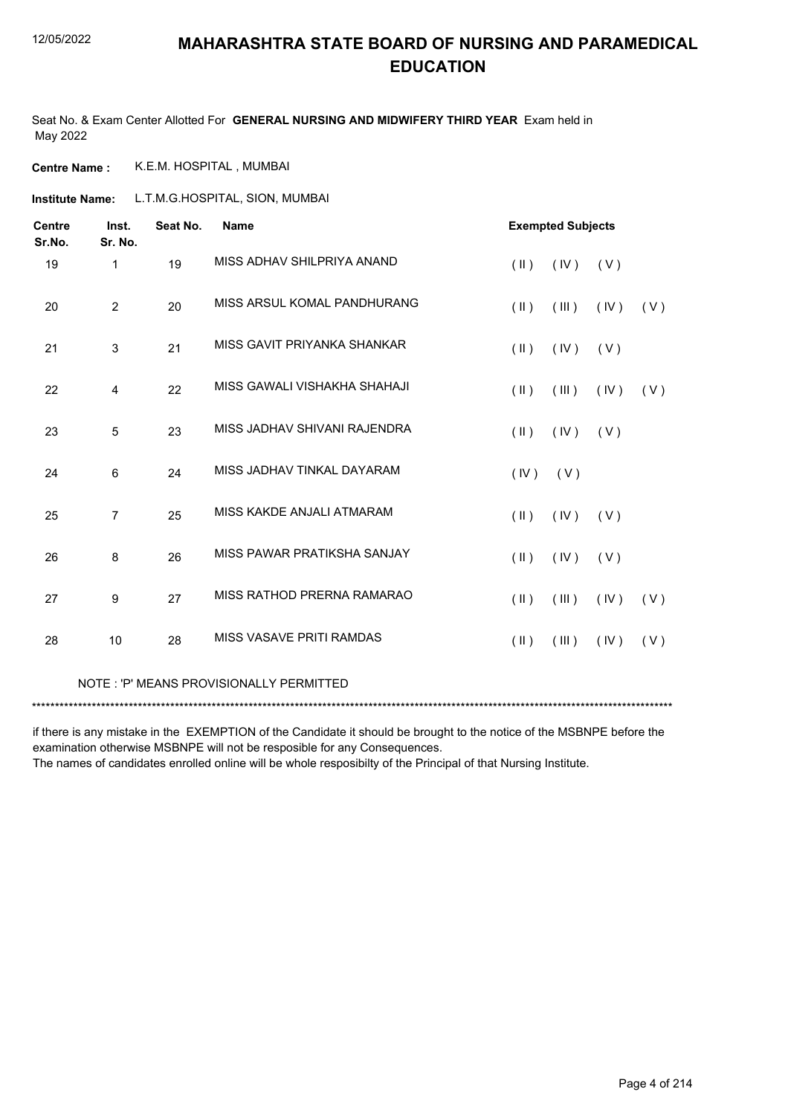Seat No. & Exam Center Allotted For **GENERAL NURSING AND MIDWIFERY THIRD YEAR** Exam held in May 2022

**Centre Name :** K.E.M. HOSPITAL , MUMBAI

L.T.M.G.HOSPITAL, SION, MUMBAI **Institute Name:**

| <b>Centre</b><br>Sr.No. | Inst.<br>Sr. No. | Seat No. | <b>Name</b>                  | <b>Exempted Subjects</b> |       |       |     |
|-------------------------|------------------|----------|------------------------------|--------------------------|-------|-------|-----|
| 19                      | $\mathbf 1$      | 19       | MISS ADHAV SHILPRIYA ANAND   | $(\parallel)$            | (IV)  | ( V ) |     |
| 20                      | $\overline{2}$   | 20       | MISS ARSUL KOMAL PANDHURANG  | $(\parallel)$            | (III) | (IV)  | (V) |
| 21                      | 3                | 21       | MISS GAVIT PRIYANKA SHANKAR  | $($ II $)$               | (IV)  | ( V ) |     |
| 22                      | 4                | 22       | MISS GAWALI VISHAKHA SHAHAJI | $(\parallel)$            | (III) | (IV)  | (V) |
| 23                      | 5                | 23       | MISS JADHAV SHIVANI RAJENDRA | $(\parallel)$            | (IV)  | (V)   |     |
| 24                      | 6                | 24       | MISS JADHAV TINKAL DAYARAM   | (IV)                     | (V)   |       |     |
| 25                      | $\overline{7}$   | 25       | MISS KAKDE ANJALI ATMARAM    | $(\parallel)$            | (IV)  | (V)   |     |
| 26                      | 8                | 26       | MISS PAWAR PRATIKSHA SANJAY  | $(\parallel)$            | (IV)  | (V)   |     |
| 27                      | 9                | 27       | MISS RATHOD PRERNA RAMARAO   | $(\parallel)$            | (III) | (IV)  | (V) |
| 28                      | 10               | 28       | MISS VASAVE PRITI RAMDAS     | $(\parallel)$            | (III) | (IV)  | (V) |
|                         |                  |          |                              |                          |       |       |     |

NOTE : 'P' MEANS PROVISIONALLY PERMITTED

\*\*\*\*\*\*\*\*\*\*\*\*\*\*\*\*\*\*\*\*\*\*\*\*\*\*\*\*\*\*\*\*\*\*\*\*\*\*\*\*\*\*\*\*\*\*\*\*\*\*\*\*\*\*\*\*\*\*\*\*\*\*\*\*\*\*\*\*\*\*\*\*\*\*\*\*\*\*\*\*\*\*\*\*\*\*\*\*\*\*\*\*\*\*\*\*\*\*\*\*\*\*\*\*\*\*\*\*\*\*\*\*\*\*\*\*\*\*\*\*\*\*\*\*\*\*\*\*\*\*\*\*\*\*\*\*\*\*\*

if there is any mistake in the EXEMPTION of the Candidate it should be brought to the notice of the MSBNPE before the examination otherwise MSBNPE will not be resposible for any Consequences.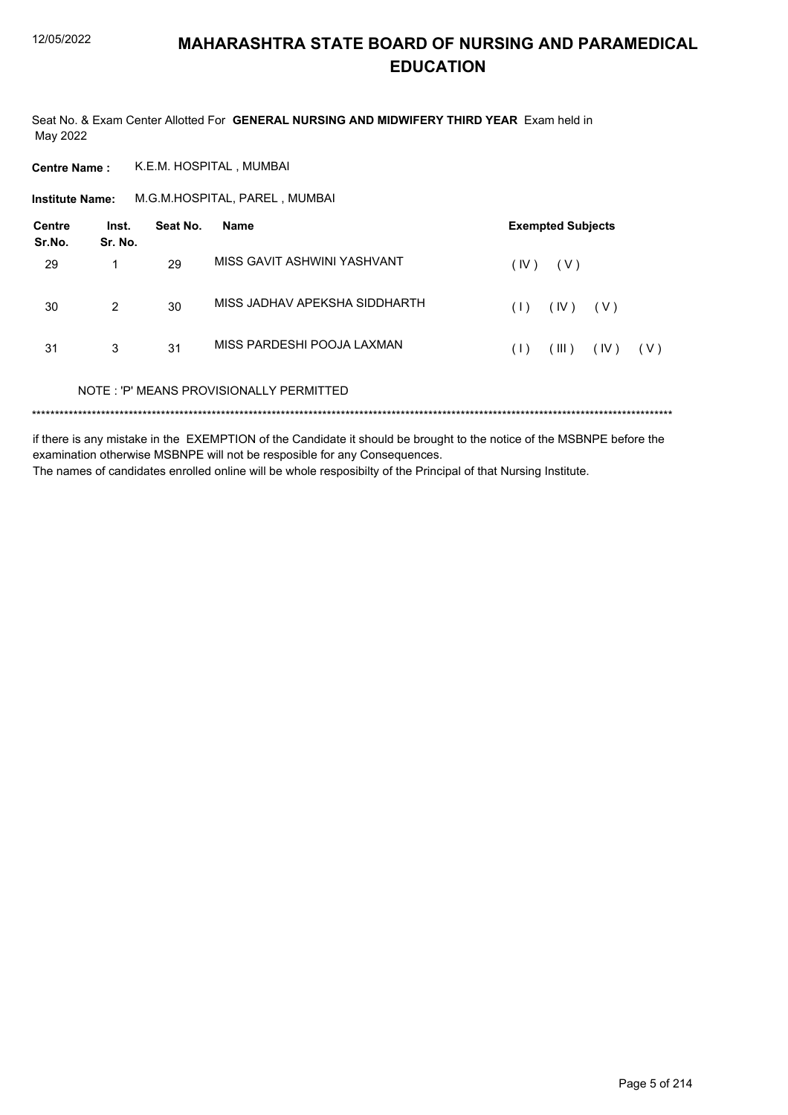Seat No. & Exam Center Allotted For GENERAL NURSING AND MIDWIFERY THIRD YEAR Exam held in May 2022

K.E.M. HOSPITAL, MUMBAI **Centre Name:** 

M.G.M.HOSPITAL, PAREL, MUMBAI **Institute Name:** 

| <b>Centre</b><br>Sr.No. | Inst.<br>Sr. No. | Seat No. | <b>Name</b>                             |      | <b>Exempted Subjects</b> |       |       |
|-------------------------|------------------|----------|-----------------------------------------|------|--------------------------|-------|-------|
| 29                      | 1                | 29       | MISS GAVIT ASHWINI YASHVANT             | (IV) | ( V )                    |       |       |
| 30                      | $\mathcal{P}$    | 30       | MISS JADHAV APEKSHA SIDDHARTH           | (1)  | (IV)                     | ( V ) |       |
| 31                      | 3                | 31       | MISS PARDESHI POOJA LAXMAN              | (1)  | (III)                    | (IV)  | ( V ) |
|                         |                  |          | NOTE: 'P' MEANS PROVISIONALLY PERMITTED |      |                          |       |       |
|                         |                  |          |                                         |      |                          |       |       |

if there is any mistake in the EXEMPTION of the Candidate it should be brought to the notice of the MSBNPE before the examination otherwise MSBNPE will not be resposible for any Consequences. The names of candidates enrolled online will be whole resposibilty of the Principal of that Nursing Institute.

Page 5 of 214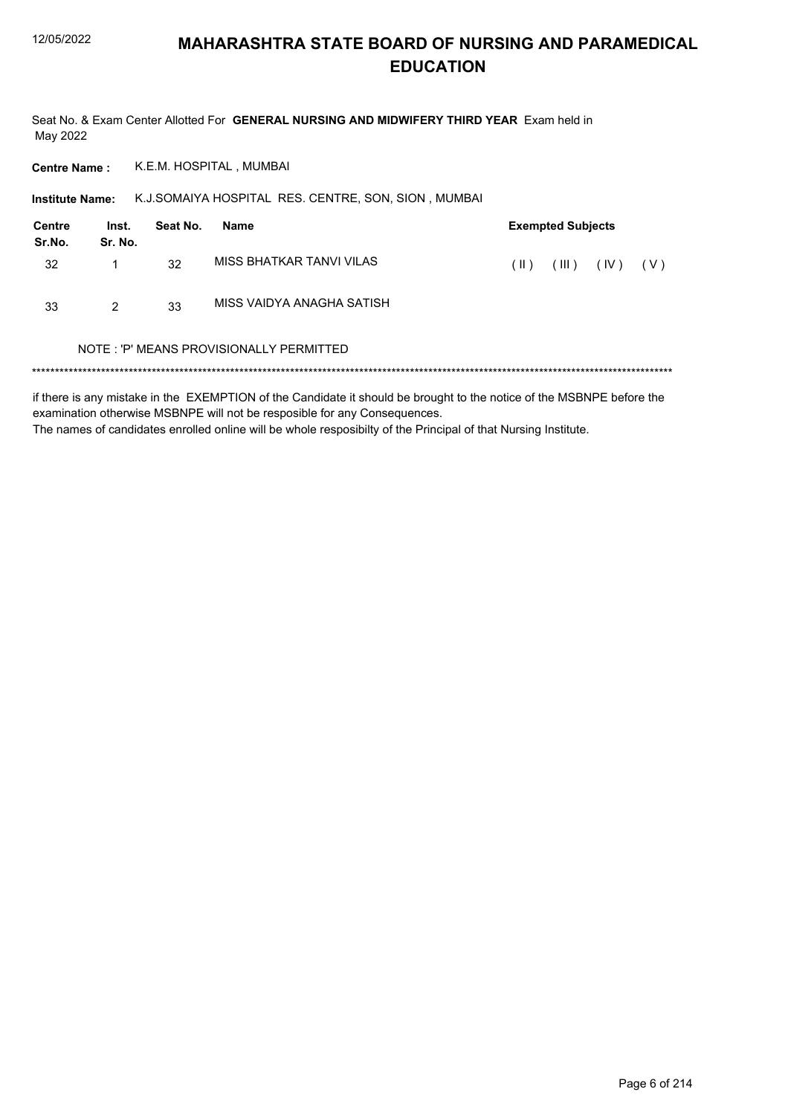Seat No. & Exam Center Allotted For GENERAL NURSING AND MIDWIFERY THIRD YEAR Exam held in May 2022

K.E.M. HOSPITAL, MUMBAI **Centre Name:** 

K.J.SOMAIYA HOSPITAL RES. CENTRE, SON, SION, MUMBAI **Institute Name:** 

| <b>Centre</b><br>Sr.No. | Inst.<br>Sr. No. | Seat No. | Name                      |               | <b>Exempted Subjects</b> |      |       |  |  |
|-------------------------|------------------|----------|---------------------------|---------------|--------------------------|------|-------|--|--|
| 32                      |                  | 32       | MISS BHATKAR TANVI VILAS  | $(\parallel)$ | $($ III $)$              | (IV) | ( V ) |  |  |
| 33                      | 2                | 33       | MISS VAIDYA ANAGHA SATISH |               |                          |      |       |  |  |

#### NOTE: 'P' MEANS PROVISIONALLY PERMITTED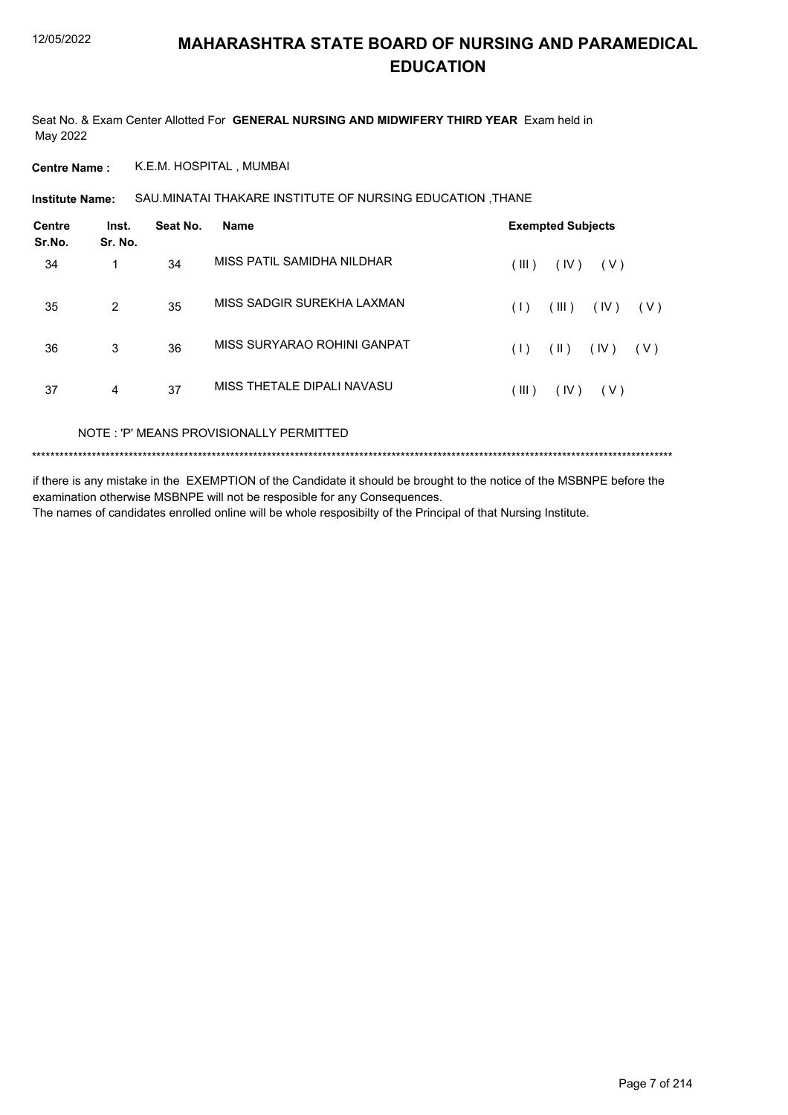Seat No. & Exam Center Allotted For **GENERAL NURSING AND MIDWIFERY THIRD YEAR** Exam held in May 2022

**Centre Name :** K.E.M. HOSPITAL , MUMBAI

SAU.MINATAI THAKARE INSTITUTE OF NURSING EDUCATION ,THANE **Institute Name:**

| <b>Centre</b><br>Sr.No. | Inst.<br>Sr. No. | Seat No. | <b>Name</b>                 | <b>Exempted Subjects</b>              |
|-------------------------|------------------|----------|-----------------------------|---------------------------------------|
| 34                      | 1                | 34       | MISS PATIL SAMIDHA NILDHAR  | (III)<br>(IV)<br>(V)                  |
| 35                      | 2                | 35       | MISS SADGIR SUREKHA LAXMAN  | (III)<br>(IV)<br>(V)<br>(1)           |
| 36                      | 3                | 36       | MISS SURYARAO ROHINI GANPAT | $(\parallel)$<br>(IV)<br>( V )<br>(1) |
| 37                      | 4                | 37       | MISS THETALE DIPALI NAVASU  | (III)<br>(IV)<br>(V)                  |
|                         |                  |          |                             |                                       |

NOTE : 'P' MEANS PROVISIONALLY PERMITTED

\*\*\*\*\*\*\*\*\*\*\*\*\*\*\*\*\*\*\*\*\*\*\*\*\*\*\*\*\*\*\*\*\*\*\*\*\*\*\*\*\*\*\*\*\*\*\*\*\*\*\*\*\*\*\*\*\*\*\*\*\*\*\*\*\*\*\*\*\*\*\*\*\*\*\*\*\*\*\*\*\*\*\*\*\*\*\*\*\*\*\*\*\*\*\*\*\*\*\*\*\*\*\*\*\*\*\*\*\*\*\*\*\*\*\*\*\*\*\*\*\*\*\*\*\*\*\*\*\*\*\*\*\*\*\*\*\*\*\*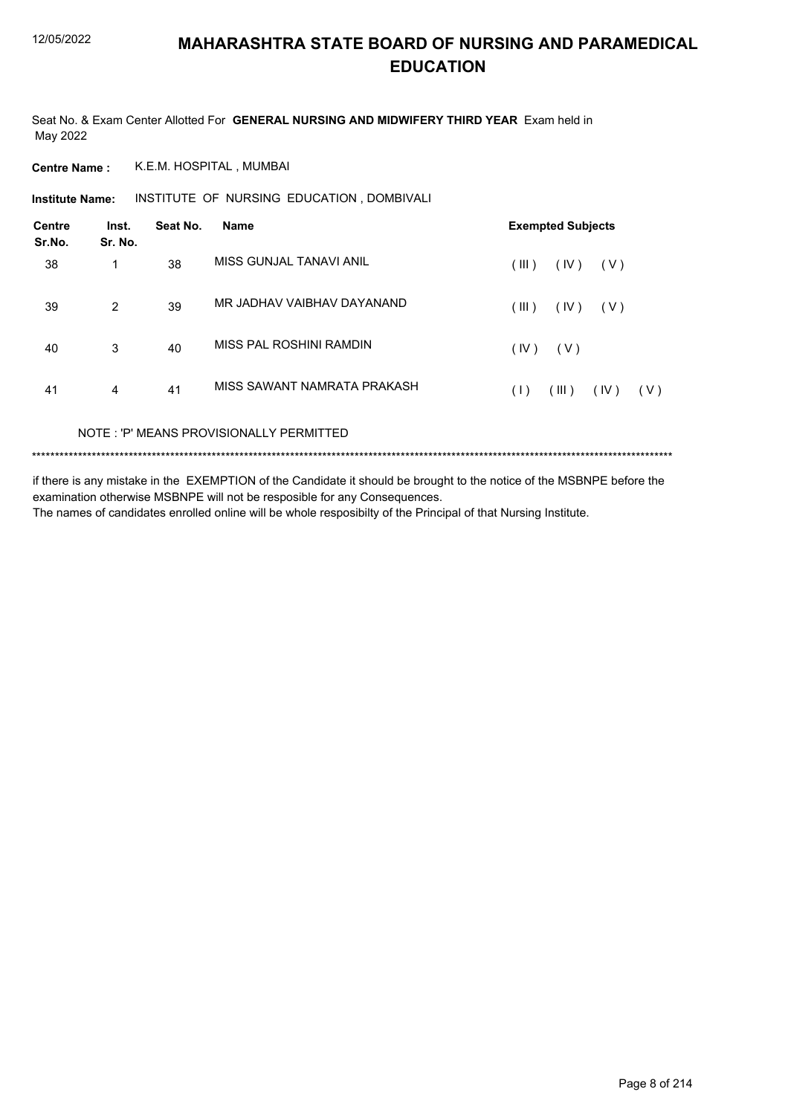Seat No. & Exam Center Allotted For **GENERAL NURSING AND MIDWIFERY THIRD YEAR** Exam held in May 2022

**Centre Name :** K.E.M. HOSPITAL , MUMBAI

**Institute Name: INSTITUTE OF NURSING EDUCATION, DOMBIVALI** 

| <b>Centre</b><br>Sr.No. | Inst.<br>Sr. No. | Seat No. | <b>Name</b>                 | <b>Exempted Subjects</b>    |  |  |  |
|-------------------------|------------------|----------|-----------------------------|-----------------------------|--|--|--|
| 38                      | 1                | 38       | MISS GUNJAL TANAVI ANIL     | (III)<br>(IV)<br>(V)        |  |  |  |
| 39                      | $\overline{2}$   | 39       | MR JADHAV VAIBHAV DAYANAND  | (IV)<br>(III)<br>(V)        |  |  |  |
| 40                      | 3                | 40       | MISS PAL ROSHINI RAMDIN     | (IV)<br>(V)                 |  |  |  |
| 41                      | 4                | 41       | MISS SAWANT NAMRATA PRAKASH | (III)<br>(IV)<br>(1)<br>(V) |  |  |  |
|                         |                  |          |                             |                             |  |  |  |

NOTE : 'P' MEANS PROVISIONALLY PERMITTED

\*\*\*\*\*\*\*\*\*\*\*\*\*\*\*\*\*\*\*\*\*\*\*\*\*\*\*\*\*\*\*\*\*\*\*\*\*\*\*\*\*\*\*\*\*\*\*\*\*\*\*\*\*\*\*\*\*\*\*\*\*\*\*\*\*\*\*\*\*\*\*\*\*\*\*\*\*\*\*\*\*\*\*\*\*\*\*\*\*\*\*\*\*\*\*\*\*\*\*\*\*\*\*\*\*\*\*\*\*\*\*\*\*\*\*\*\*\*\*\*\*\*\*\*\*\*\*\*\*\*\*\*\*\*\*\*\*\*\*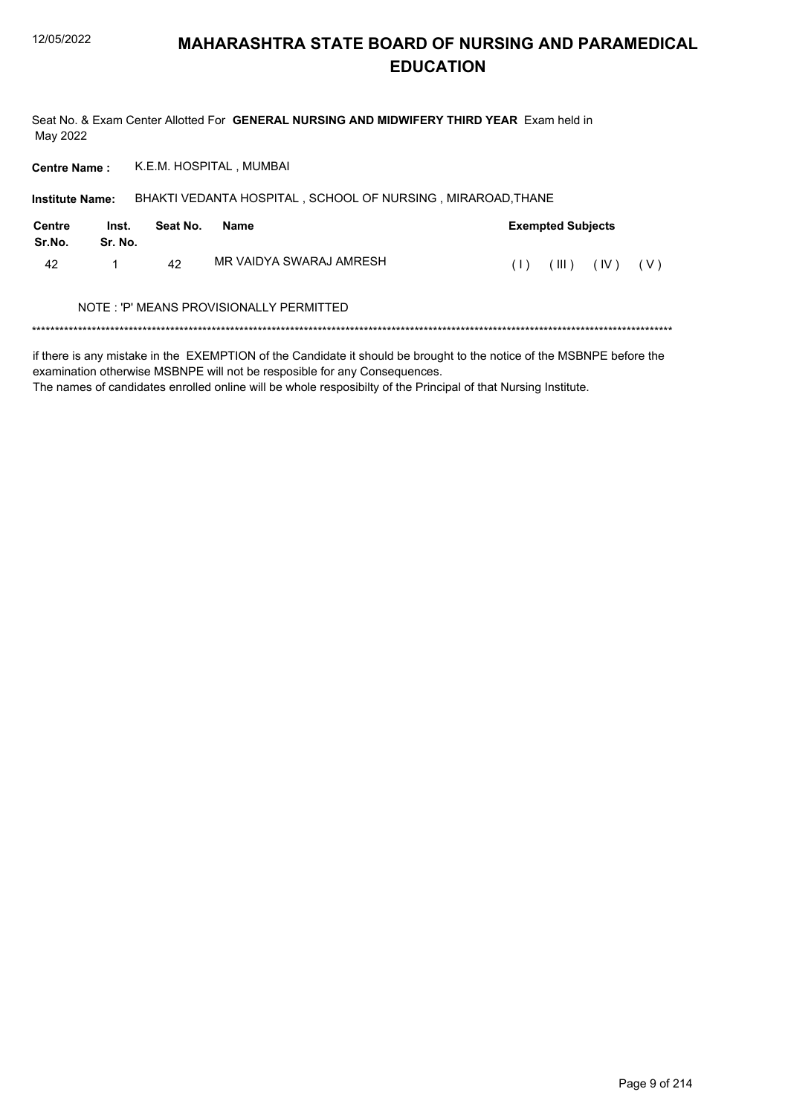Seat No. & Exam Center Allotted For GENERAL NURSING AND MIDWIFERY THIRD YEAR Exam held in May 2022

K.E.M. HOSPITAL, MUMBAI **Centre Name:** 

| <b>Institute Name:</b> |                  |          | BHAKTI VEDANTA HOSPITAL, SCHOOL OF NURSING, MIRAROAD, THANE |                                                          |  |
|------------------------|------------------|----------|-------------------------------------------------------------|----------------------------------------------------------|--|
| Centre<br>Sr.No.       | Inst.<br>Sr. No. | Seat No. | Name                                                        | <b>Exempted Subjects</b>                                 |  |
| 42                     |                  | 42       | MR VAIDYA SWARAJ AMRESH                                     | $(\parallel \parallel)$ $(\parallel \lor)$<br>(V)<br>(1) |  |
|                        |                  |          | NOTE: 'P' MEANS PROVISIONALLY PERMITTED                     |                                                          |  |
|                        |                  |          |                                                             |                                                          |  |

if there is any mistake in the EXEMPTION of the Candidate it should be brought to the notice of the MSBNPE before the examination otherwise MSBNPE will not be resposible for any Consequences.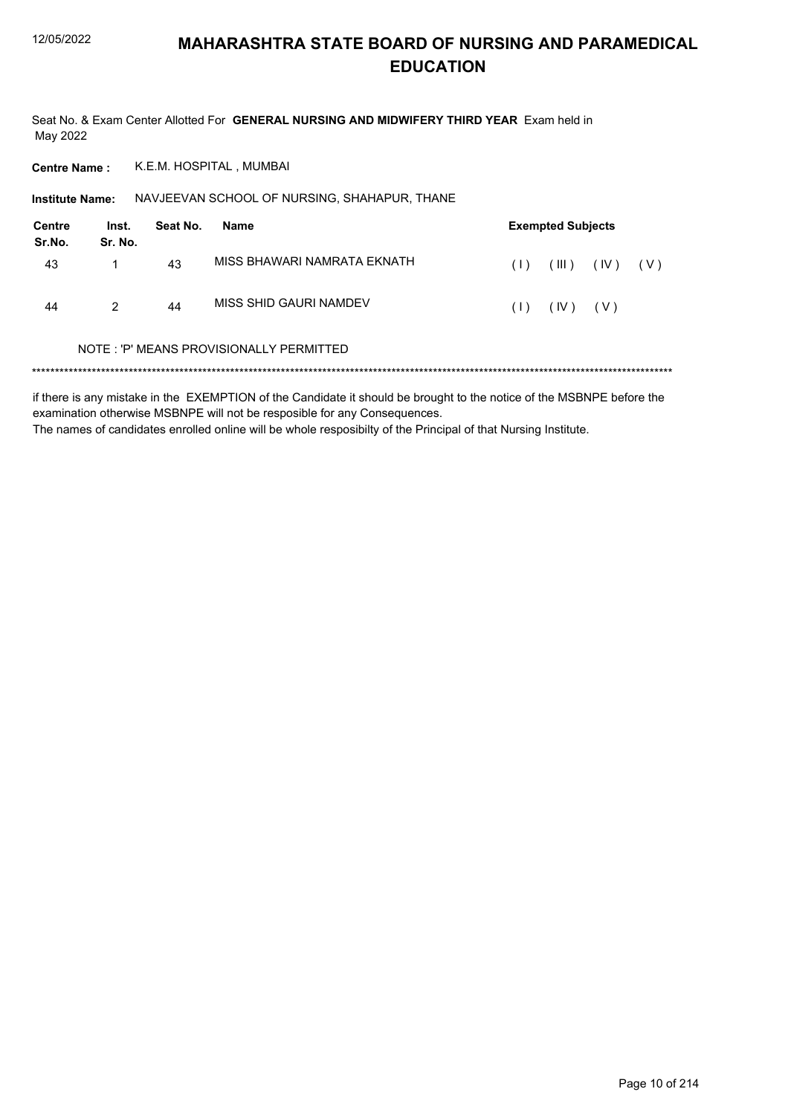Seat No. & Exam Center Allotted For GENERAL NURSING AND MIDWIFERY THIRD YEAR Exam held in May 2022

K.E.M. HOSPITAL, MUMBAI **Centre Name:** 

Institute Name: NAVJEEVAN SCHOOL OF NURSING, SHAHAPUR, THANE

| Centre<br>Sr.No. | Inst.<br>Sr. No. | Seat No. | Name                        | <b>Exempted Subjects</b> |              |             |  |  |
|------------------|------------------|----------|-----------------------------|--------------------------|--------------|-------------|--|--|
| 43               |                  | 43       | MISS BHAWARI NAMRATA EKNATH | (1)                      | (III)        | $(V)$ $(V)$ |  |  |
| 44               | 2                | 44       | MISS SHID GAURI NAMDEV      | (1)                      | $(IV)$ $(V)$ |             |  |  |

#### NOTE: 'P' MEANS PROVISIONALLY PERMITTED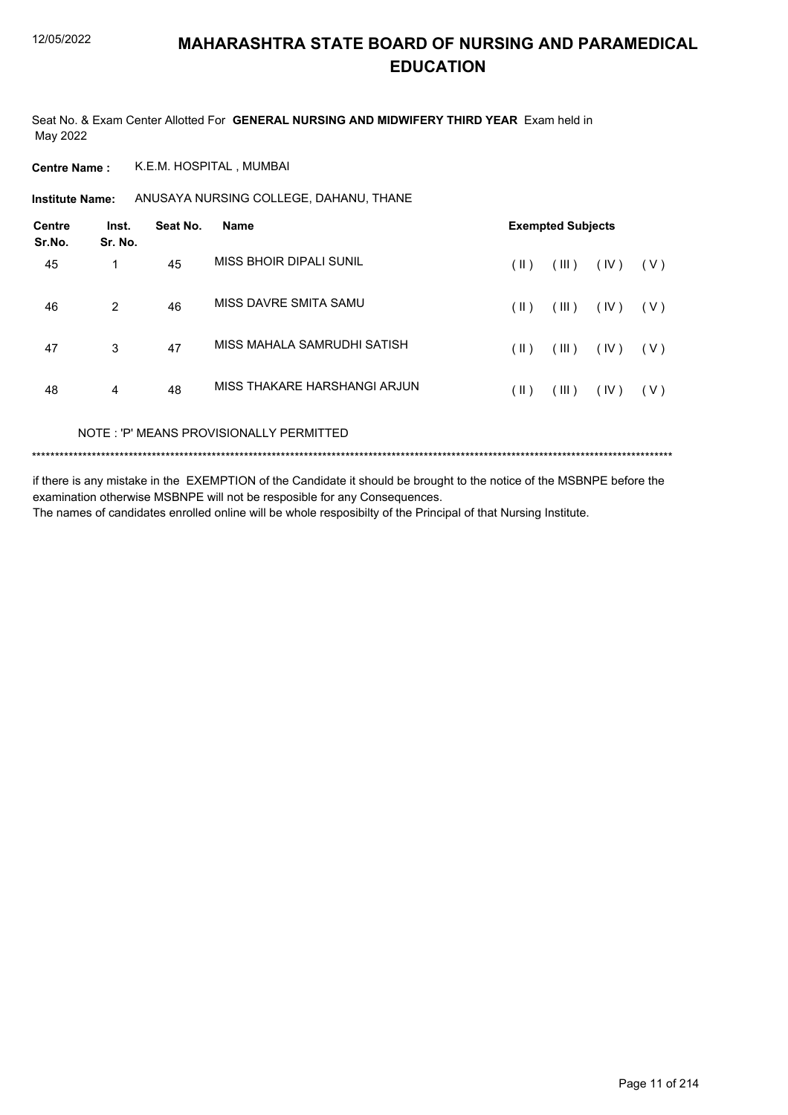Seat No. & Exam Center Allotted For **GENERAL NURSING AND MIDWIFERY THIRD YEAR** Exam held in May 2022

**Centre Name :** K.E.M. HOSPITAL , MUMBAI

Institute Name: ANUSAYA NURSING COLLEGE, DAHANU, THANE

| <b>Centre</b><br>Sr.No. | Inst.<br>Sr. No.         | Seat No. | <b>Name</b>                  | <b>Exempted Subjects</b> |       |      |     |  |
|-------------------------|--------------------------|----------|------------------------------|--------------------------|-------|------|-----|--|
| 45                      | 1                        | 45       | MISS BHOIR DIPALI SUNIL      | (  )                     | (III) | (IV) | (V) |  |
| 46                      | 2                        | 46       | MISS DAVRE SMITA SAMU        | (11)                     | (III) | (IV) | (V) |  |
| 47                      | 3                        | 47       | MISS MAHALA SAMRUDHI SATISH  | (  )                     | (III) | (IV) | (V) |  |
| 48                      | 4                        | 48       | MISS THAKARE HARSHANGI ARJUN | $(\parallel)$            | (III) | (IV) | (V) |  |
|                         | $\cdots$ $\sim$ $\cdots$ |          |                              |                          |       |      |     |  |

NOTE : 'P' MEANS PROVISIONALLY PERMITTED

\*\*\*\*\*\*\*\*\*\*\*\*\*\*\*\*\*\*\*\*\*\*\*\*\*\*\*\*\*\*\*\*\*\*\*\*\*\*\*\*\*\*\*\*\*\*\*\*\*\*\*\*\*\*\*\*\*\*\*\*\*\*\*\*\*\*\*\*\*\*\*\*\*\*\*\*\*\*\*\*\*\*\*\*\*\*\*\*\*\*\*\*\*\*\*\*\*\*\*\*\*\*\*\*\*\*\*\*\*\*\*\*\*\*\*\*\*\*\*\*\*\*\*\*\*\*\*\*\*\*\*\*\*\*\*\*\*\*\*

if there is any mistake in the EXEMPTION of the Candidate it should be brought to the notice of the MSBNPE before the examination otherwise MSBNPE will not be resposible for any Consequences.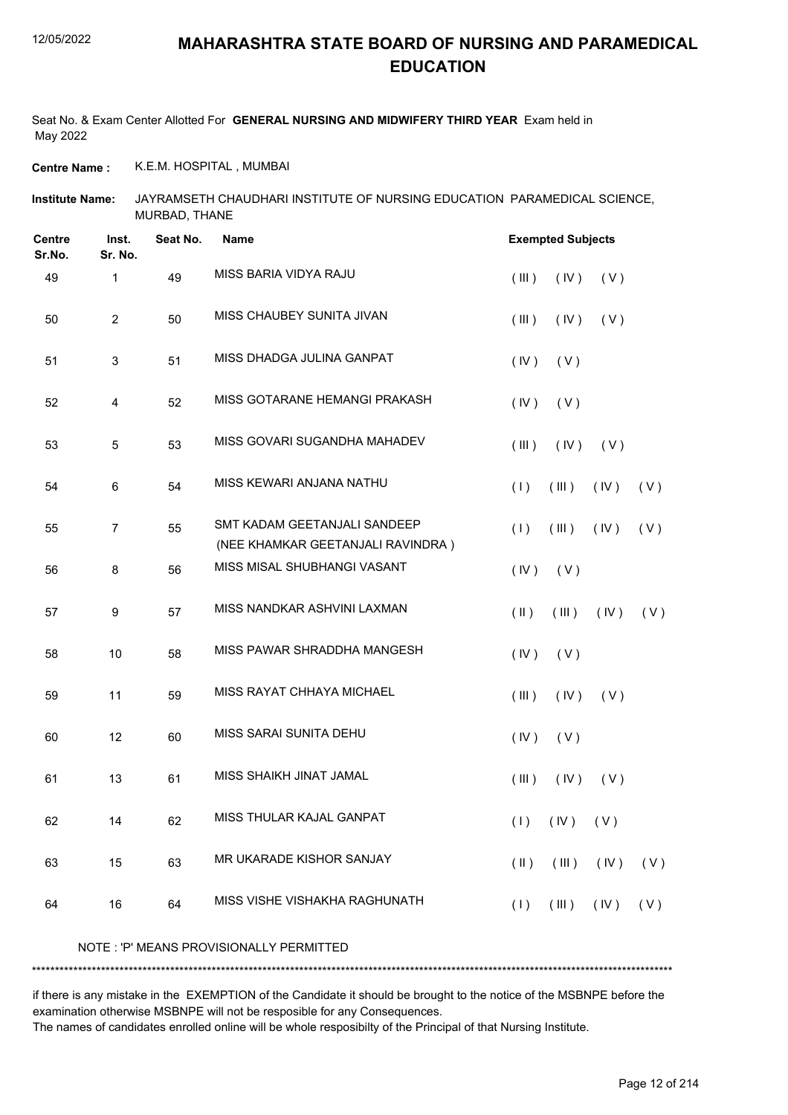Seat No. & Exam Center Allotted For **GENERAL NURSING AND MIDWIFERY THIRD YEAR** Exam held in May 2022

**Centre Name :** K.E.M. HOSPITAL , MUMBAI

JAYRAMSETH CHAUDHARI INSTITUTE OF NURSING EDUCATION PARAMEDICAL SCIENCE, MURBAD, THANE **Institute Name:**

| <b>Centre</b><br>Sr.No. | Inst.<br>Sr. No. | Seat No. | <b>Name</b>                                                       |               | <b>Exempted Subjects</b> |            |     |
|-------------------------|------------------|----------|-------------------------------------------------------------------|---------------|--------------------------|------------|-----|
| 49                      | $\mathbf{1}$     | 49       | MISS BARIA VIDYA RAJU                                             | (III)         | (IV)                     | (V)        |     |
| 50                      | $\overline{2}$   | 50       | MISS CHAUBEY SUNITA JIVAN                                         | (III)         | (IV)                     | (V)        |     |
| 51                      | $\mathfrak{S}$   | 51       | MISS DHADGA JULINA GANPAT                                         | (IV)          | (V)                      |            |     |
| 52                      | $\overline{4}$   | 52       | MISS GOTARANE HEMANGI PRAKASH                                     | (IV)          | (V)                      |            |     |
| 53                      | $\overline{5}$   | 53       | MISS GOVARI SUGANDHA MAHADEV                                      | (III)         | (IV)                     | (V)        |     |
| 54                      | 6                | 54       | MISS KEWARI ANJANA NATHU                                          | (1)           | (III)                    | (IV)       | (V) |
| 55                      | $\overline{7}$   | 55       | SMT KADAM GEETANJALI SANDEEP<br>(NEE KHAMKAR GEETANJALI RAVINDRA) | (1)           | (III)                    | (IV)       | (V) |
| 56                      | 8                | 56       | MISS MISAL SHUBHANGI VASANT                                       | (IV)          | (V)                      |            |     |
| 57                      | 9                | 57       | MISS NANDKAR ASHVINI LAXMAN                                       | $(\parallel)$ | (III)                    | (IV)       | (V) |
| 58                      | 10               | 58       | MISS PAWAR SHRADDHA MANGESH                                       | (IV)          | (V)                      |            |     |
| 59                      | 11               | 59       | MISS RAYAT CHHAYA MICHAEL                                         | (III)         | (IV)                     | (V)        |     |
| 60                      | 12               | 60       | MISS SARAI SUNITA DEHU                                            | (IV)          | (V)                      |            |     |
| 61                      | 13               | 61       | MISS SHAIKH JINAT JAMAL                                           | (III)         | (IV)                     | (V)        |     |
| 62                      | 14               | 62       | MISS THULAR KAJAL GANPAT                                          |               | $(1)$ $(1)$ $(1)$        |            |     |
| 63                      | 15               | 63       | MR UKARADE KISHOR SANJAY                                          | $(\parallel)$ | (III)                    | $($ IV $)$ | (V) |
| 64                      | 16               | 64       | MISS VISHE VISHAKHA RAGHUNATH                                     | (1)           | (III)                    | (IV)       | (V) |
|                         |                  |          | NOTE : 'P' MEANS PROVISIONALLY PERMITTED                          |               |                          |            |     |

if there is any mistake in the EXEMPTION of the Candidate it should be brought to the notice of the MSBNPE before the examination otherwise MSBNPE will not be resposible for any Consequences.

\*\*\*\*\*\*\*\*\*\*\*\*\*\*\*\*\*\*\*\*\*\*\*\*\*\*\*\*\*\*\*\*\*\*\*\*\*\*\*\*\*\*\*\*\*\*\*\*\*\*\*\*\*\*\*\*\*\*\*\*\*\*\*\*\*\*\*\*\*\*\*\*\*\*\*\*\*\*\*\*\*\*\*\*\*\*\*\*\*\*\*\*\*\*\*\*\*\*\*\*\*\*\*\*\*\*\*\*\*\*\*\*\*\*\*\*\*\*\*\*\*\*\*\*\*\*\*\*\*\*\*\*\*\*\*\*\*\*\*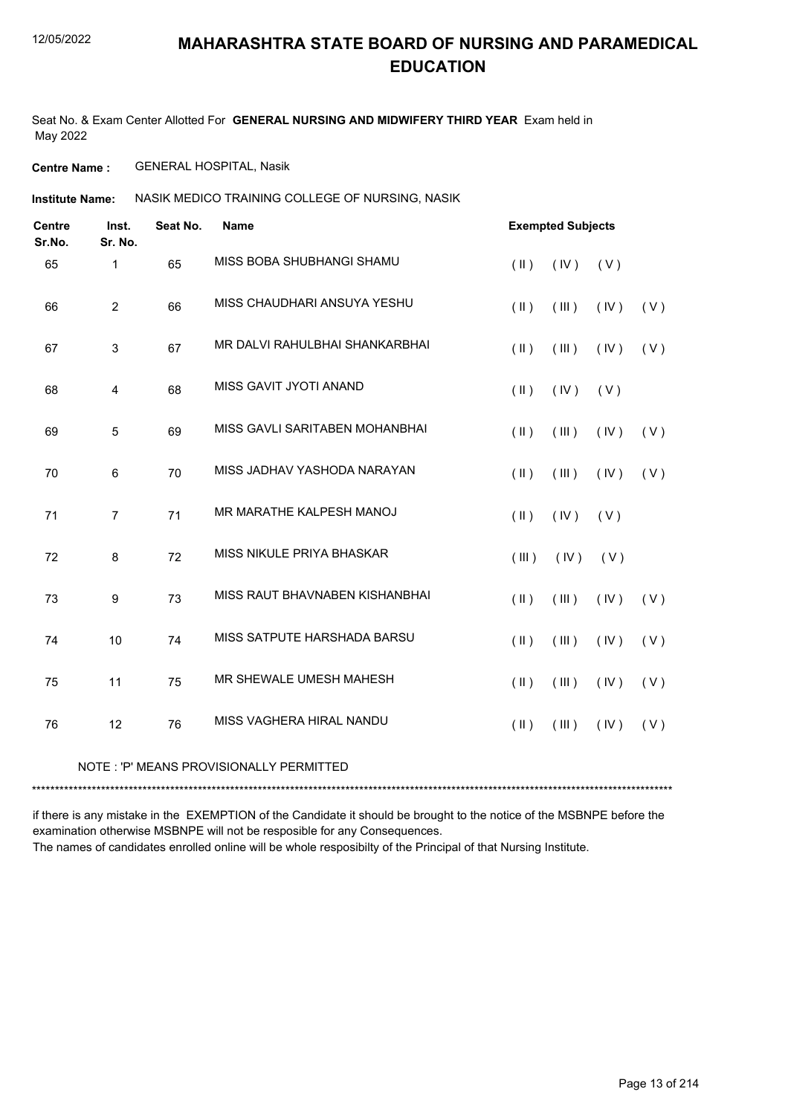Seat No. & Exam Center Allotted For **GENERAL NURSING AND MIDWIFERY THIRD YEAR** Exam held in May 2022

**Centre Name :** GENERAL HOSPITAL, Nasik

NASIK MEDICO TRAINING COLLEGE OF NURSING, NASIK **Institute Name:**

| <b>Centre</b><br>Sr.No. | Inst.<br>Sr. No. | Seat No. | Name                           |               | <b>Exempted Subjects</b> |      |     |
|-------------------------|------------------|----------|--------------------------------|---------------|--------------------------|------|-----|
| 65                      | 1                | 65       | MISS BOBA SHUBHANGI SHAMU      | $($ II $)$    | (IV)                     | (V)  |     |
| 66                      | $\overline{2}$   | 66       | MISS CHAUDHARI ANSUYA YESHU    | $($ II $)$    | (III)                    | (IV) | (V) |
| 67                      | 3                | 67       | MR DALVI RAHULBHAI SHANKARBHAI | $($ II $)$    | (III)                    | (IV) | (V) |
| 68                      | 4                | 68       | MISS GAVIT JYOTI ANAND         | $(\parallel)$ | (IV)                     | (V)  |     |
| 69                      | 5                | 69       | MISS GAVLI SARITABEN MOHANBHAI | $(\parallel)$ | (III)                    | (IV) | (V) |
| 70                      | 6                | 70       | MISS JADHAV YASHODA NARAYAN    | $($ II $)$    | (III)                    | (IV) | (V) |
| 71                      | $\overline{7}$   | 71       | MR MARATHE KALPESH MANOJ       | $($ II $)$    | (IV)                     | (V)  |     |
| 72                      | 8                | 72       | MISS NIKULE PRIYA BHASKAR      | (III)         | (IV)                     | (V)  |     |
| 73                      | 9                | 73       | MISS RAUT BHAVNABEN KISHANBHAI | $($ II $)$    | (III)                    | (IV) | (V) |
| 74                      | 10               | 74       | MISS SATPUTE HARSHADA BARSU    | $($ II $)$    | (III)                    | (IV) | (V) |
| 75                      | 11               | 75       | MR SHEWALE UMESH MAHESH        | $($ II $)$    | (III)                    | (IV) | (V) |
| 76                      | 12               | 76       | MISS VAGHERA HIRAL NANDU       | $($ II $)$    | (III)                    | (IV) | (V) |
|                         |                  |          |                                |               |                          |      |     |

#### NOTE : 'P' MEANS PROVISIONALLY PERMITTED

\*\*\*\*\*\*\*\*\*\*\*\*\*\*\*\*\*\*\*\*\*\*\*\*\*\*\*\*\*\*\*\*\*\*\*\*\*\*\*\*\*\*\*\*\*\*\*\*\*\*\*\*\*\*\*\*\*\*\*\*\*\*\*\*\*\*\*\*\*\*\*\*\*\*\*\*\*\*\*\*\*\*\*\*\*\*\*\*\*\*\*\*\*\*\*\*\*\*\*\*\*\*\*\*\*\*\*\*\*\*\*\*\*\*\*\*\*\*\*\*\*\*\*\*\*\*\*\*\*\*\*\*\*\*\*\*\*\*\*

if there is any mistake in the EXEMPTION of the Candidate it should be brought to the notice of the MSBNPE before the examination otherwise MSBNPE will not be resposible for any Consequences.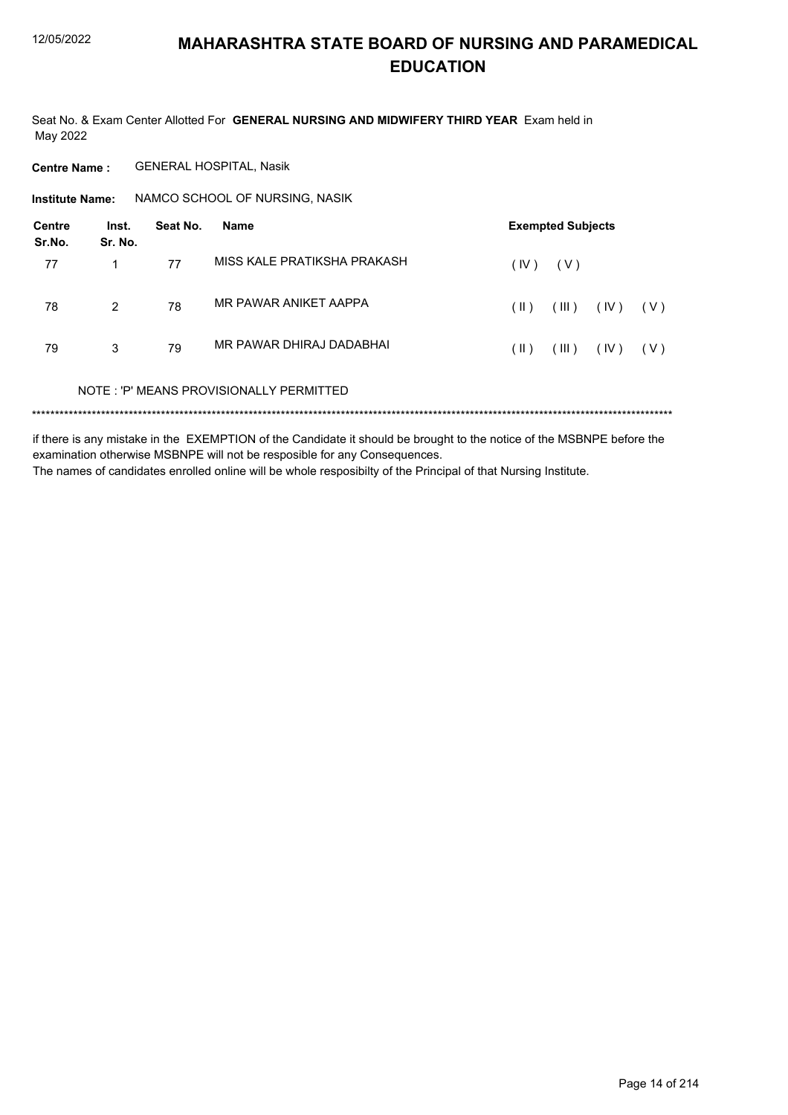Seat No. & Exam Center Allotted For GENERAL NURSING AND MIDWIFERY THIRD YEAR Exam held in May 2022

**Centre Name: GENERAL HOSPITAL, Nasik** 

NAMCO SCHOOL OF NURSING, NASIK **Institute Name:** 

| Centre<br>Sr.No. | Inst.<br>Sr. No. | Seat No. | <b>Name</b>                             |      | <b>Exempted Subjects</b> |      |       |
|------------------|------------------|----------|-----------------------------------------|------|--------------------------|------|-------|
| 77               |                  | 77       | MISS KALE PRATIKSHA PRAKASH             | (IV) | ( V )                    |      |       |
| 78               | $\overline{2}$   | 78       | MR PAWAR ANIKET AAPPA                   | (  ) | (III)                    | (IV) | ( V ) |
| 79               | 3                | 79       | MR PAWAR DHIRAJ DADABHAI                | (  ) | (III)                    | (IV) | ( V ) |
|                  |                  |          | NOTE: 'P' MEANS PROVISIONALLY PERMITTED |      |                          |      |       |
|                  |                  |          |                                         |      |                          |      |       |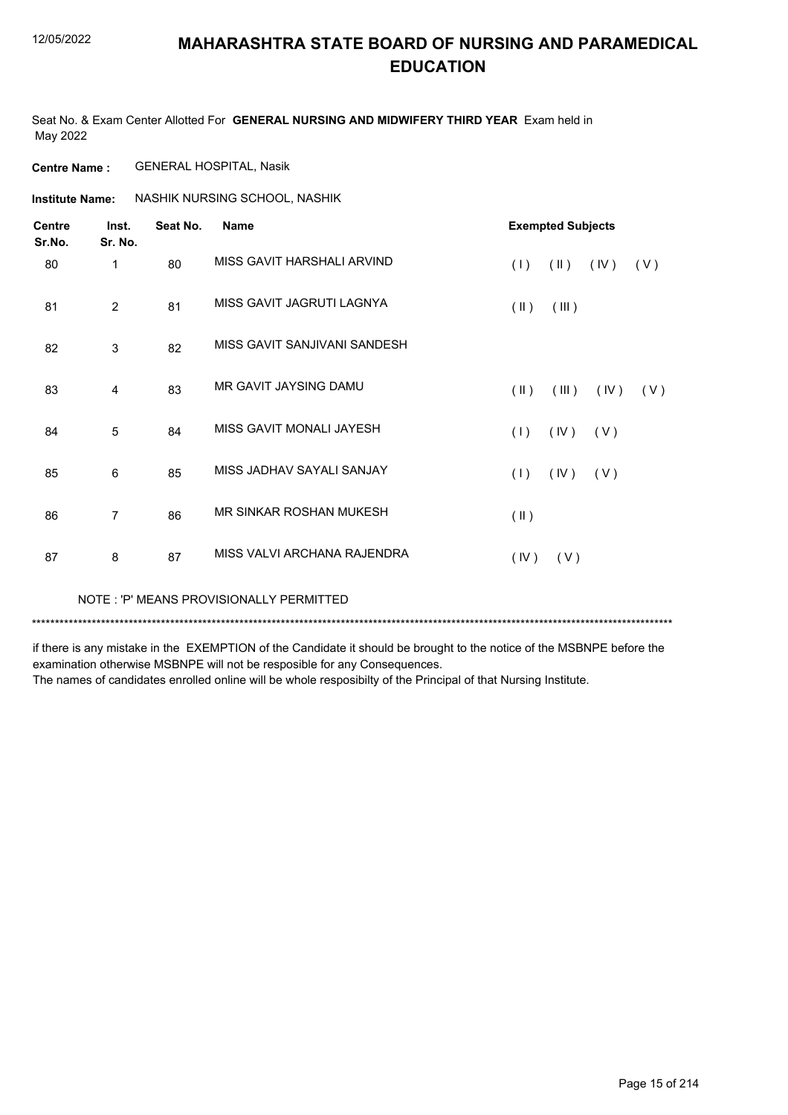Seat No. & Exam Center Allotted For **GENERAL NURSING AND MIDWIFERY THIRD YEAR** Exam held in May 2022

**Centre Name :** GENERAL HOSPITAL, Nasik

**Institute Name: ASSHIK NURSING SCHOOL, NASHIK** 

| <b>Centre</b><br>Sr.No. | Inst.<br>Sr. No. | Seat No. | <b>Name</b>                  |                         | <b>Exempted Subjects</b> |      |     |
|-------------------------|------------------|----------|------------------------------|-------------------------|--------------------------|------|-----|
| 80                      | 1                | 80       | MISS GAVIT HARSHALI ARVIND   | (1)                     | $(\parallel)$            | (IV) | (V) |
| 81                      | 2                | 81       | MISS GAVIT JAGRUTI LAGNYA    | $(\parallel \parallel)$ | (III)                    |      |     |
| 82                      | 3                | 82       | MISS GAVIT SANJIVANI SANDESH |                         |                          |      |     |
| 83                      | 4                | 83       | MR GAVIT JAYSING DAMU        | $(\parallel)$           | (III)                    | (IV) | (V) |
| 84                      | 5                | 84       | MISS GAVIT MONALI JAYESH     | (1)                     | (IV)                     | (V)  |     |
| 85                      | 6                | 85       | MISS JADHAV SAYALI SANJAY    | (1)                     | (IV)                     | (V)  |     |
| 86                      | $\overline{7}$   | 86       | MR SINKAR ROSHAN MUKESH      | $($ II $)$              |                          |      |     |
| 87                      | 8                | 87       | MISS VALVI ARCHANA RAJENDRA  | (IV)                    | (V)                      |      |     |

NOTE : 'P' MEANS PROVISIONALLY PERMITTED

\*\*\*\*\*\*\*\*\*\*\*\*\*\*\*\*\*\*\*\*\*\*\*\*\*\*\*\*\*\*\*\*\*\*\*\*\*\*\*\*\*\*\*\*\*\*\*\*\*\*\*\*\*\*\*\*\*\*\*\*\*\*\*\*\*\*\*\*\*\*\*\*\*\*\*\*\*\*\*\*\*\*\*\*\*\*\*\*\*\*\*\*\*\*\*\*\*\*\*\*\*\*\*\*\*\*\*\*\*\*\*\*\*\*\*\*\*\*\*\*\*\*\*\*\*\*\*\*\*\*\*\*\*\*\*\*\*\*\*

if there is any mistake in the EXEMPTION of the Candidate it should be brought to the notice of the MSBNPE before the examination otherwise MSBNPE will not be resposible for any Consequences.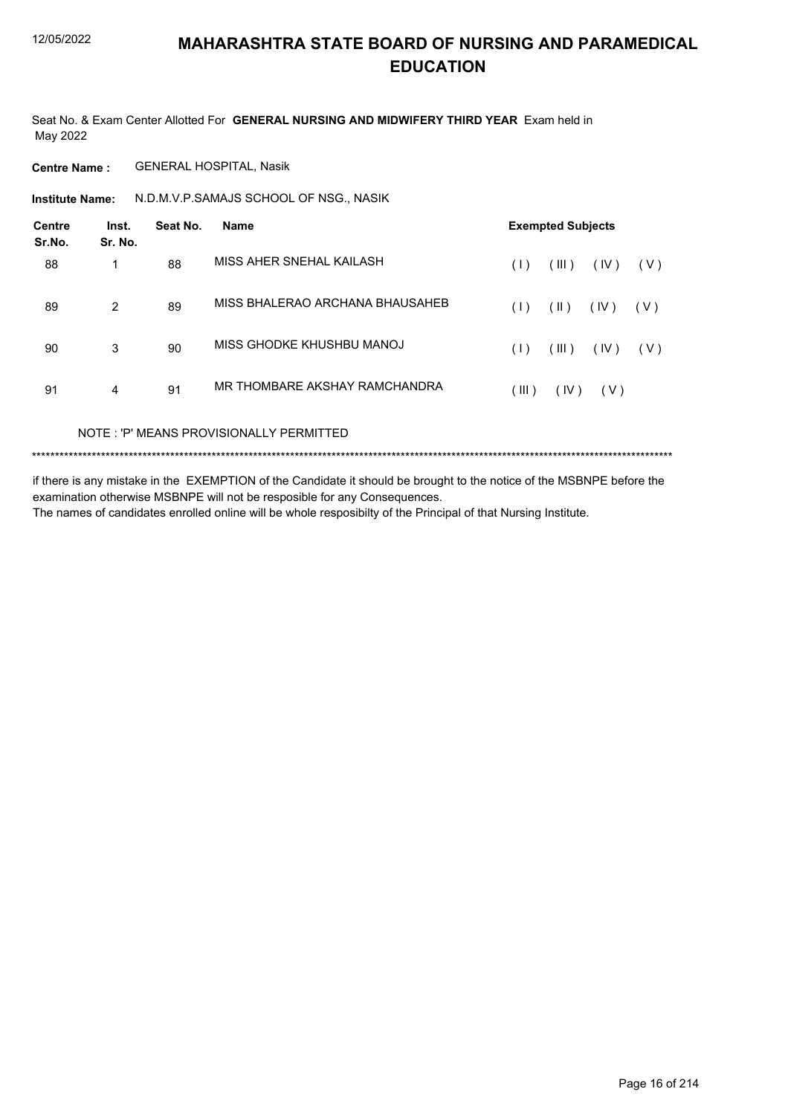Seat No. & Exam Center Allotted For **GENERAL NURSING AND MIDWIFERY THIRD YEAR** Exam held in May 2022

**Centre Name :** GENERAL HOSPITAL, Nasik

**Institute Name: M.D.M.V.P.SAMAJS SCHOOL OF NSG., NASIK** 

| <b>Centre</b><br>Sr.No. | Inst.<br>Sr. No. | Seat No. | <b>Name</b>                     |       | <b>Exempted Subjects</b> |      |       |
|-------------------------|------------------|----------|---------------------------------|-------|--------------------------|------|-------|
| 88                      | 1                | 88       | MISS AHER SNEHAL KAILASH        | (1)   | (III)                    | (IV) | ( V ) |
| 89                      | 2                | 89       | MISS BHALERAO ARCHANA BHAUSAHEB | (1)   | (  )                     | (IV) | ( V ) |
| 90                      | 3                | 90       | MISS GHODKE KHUSHBU MANOJ       | (1)   | (III)                    | (IV) | (V)   |
| 91                      | 4                | 91       | MR THOMBARE AKSHAY RAMCHANDRA   | (III) | (IV)                     | (V)  |       |

NOTE : 'P' MEANS PROVISIONALLY PERMITTED

\*\*\*\*\*\*\*\*\*\*\*\*\*\*\*\*\*\*\*\*\*\*\*\*\*\*\*\*\*\*\*\*\*\*\*\*\*\*\*\*\*\*\*\*\*\*\*\*\*\*\*\*\*\*\*\*\*\*\*\*\*\*\*\*\*\*\*\*\*\*\*\*\*\*\*\*\*\*\*\*\*\*\*\*\*\*\*\*\*\*\*\*\*\*\*\*\*\*\*\*\*\*\*\*\*\*\*\*\*\*\*\*\*\*\*\*\*\*\*\*\*\*\*\*\*\*\*\*\*\*\*\*\*\*\*\*\*\*\*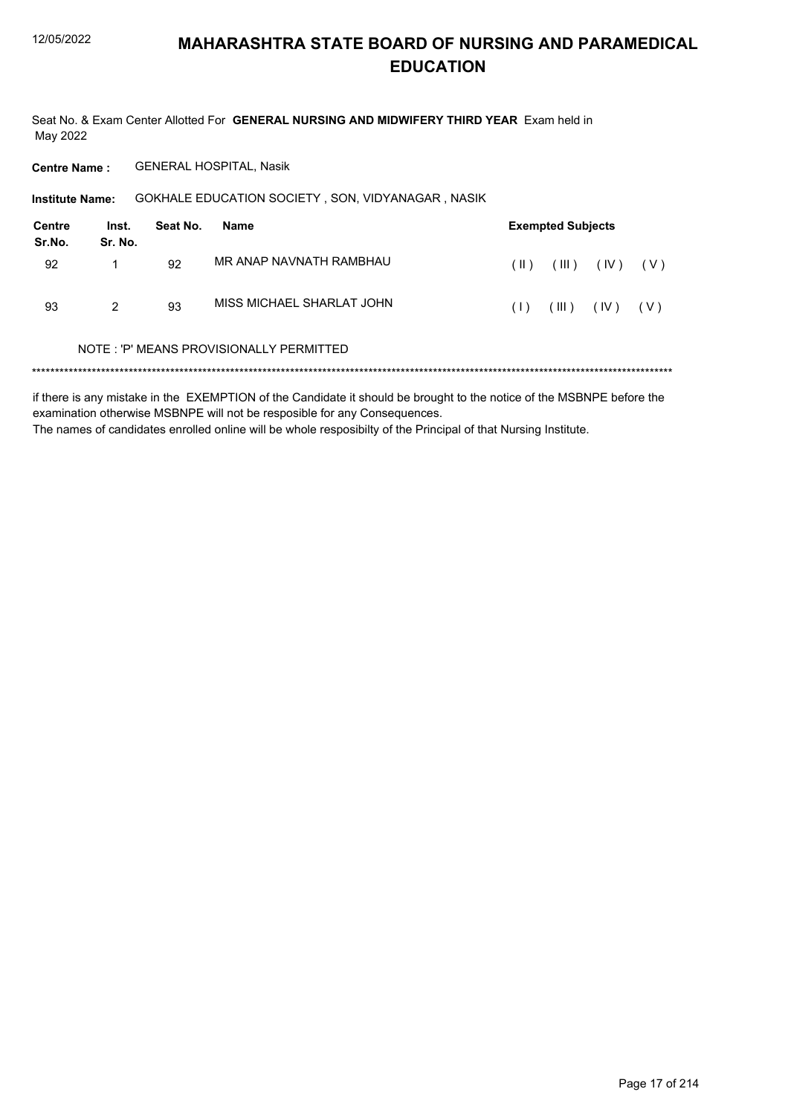Seat No. & Exam Center Allotted For GENERAL NURSING AND MIDWIFERY THIRD YEAR Exam held in May 2022

**Centre Name: GENERAL HOSPITAL, Nasik** 

GOKHALE EDUCATION SOCIETY, SON, VIDYANAGAR, NASIK **Institute Name:** 

| <b>Centre</b><br>Sr.No. | Inst.<br>Sr. No. | Seat No. | Name                                    |      | <b>Exempted Subjects</b> |                                |       |
|-------------------------|------------------|----------|-----------------------------------------|------|--------------------------|--------------------------------|-------|
| 92                      |                  | 92       | MR ANAP NAVNATH RAMBHAU                 | (  ) |                          | $(\mathbb{II})$ $(\mathbb{V})$ | (V)   |
| 93                      | 2                | 93       | MISS MICHAEL SHARLAT JOHN               | (1)  | (III)                    | (IV)                           | ( V ) |
|                         |                  |          | NOTE: 'P' MEANS PROVISIONALLY PERMITTED |      |                          |                                |       |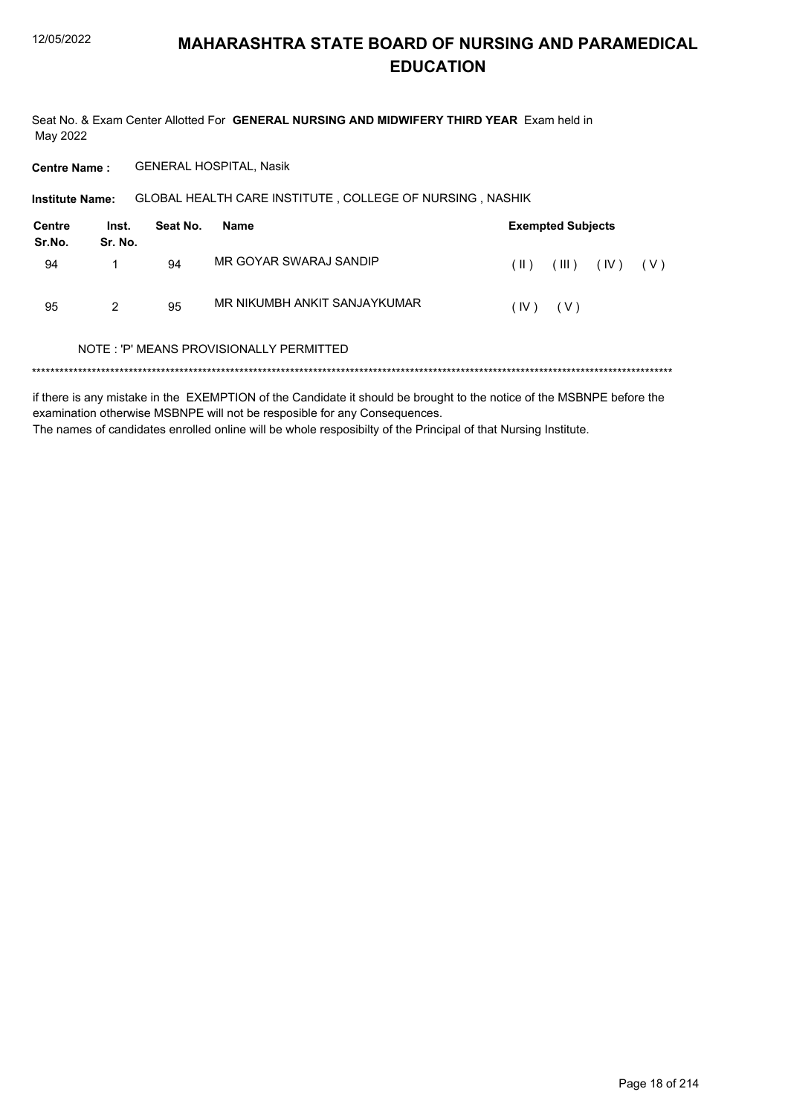Seat No. & Exam Center Allotted For GENERAL NURSING AND MIDWIFERY THIRD YEAR Exam held in May 2022

**Centre Name: GENERAL HOSPITAL, Nasik** 

GLOBAL HEALTH CARE INSTITUTE, COLLEGE OF NURSING, NASHIK **Institute Name:** 

| Centre<br>Sr.No. | Inst.<br>Sr. No. | Seat No. | Name                         |          | <b>Exempted Subjects</b> |      |     |
|------------------|------------------|----------|------------------------------|----------|--------------------------|------|-----|
| 94               |                  | 94       | MR GOYAR SWARAJ SANDIP       | $(\ )$   | (III)                    | (IV) | (V) |
| 95               | 2                | 95       | MR NIKUMBH ANKIT SANJAYKUMAR | (IV) (V) |                          |      |     |

#### NOTE: 'P' MEANS PROVISIONALLY PERMITTED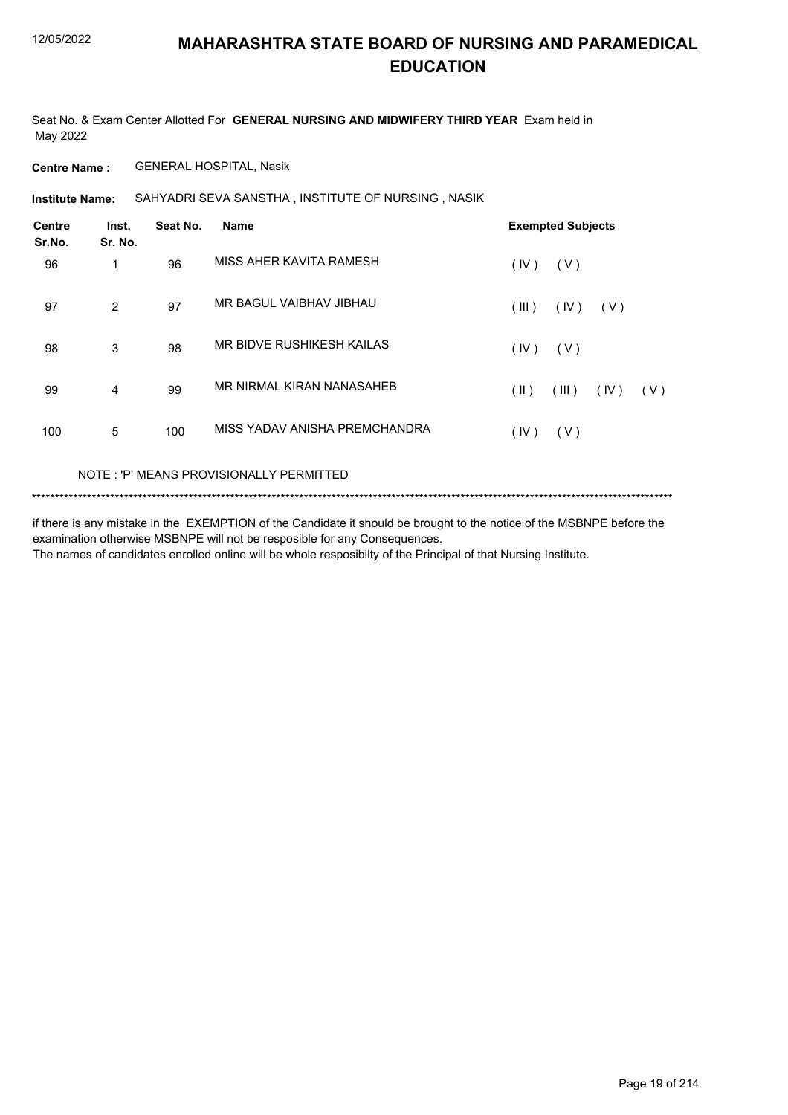Seat No. & Exam Center Allotted For **GENERAL NURSING AND MIDWIFERY THIRD YEAR** Exam held in May 2022

**Centre Name :** GENERAL HOSPITAL, Nasik

SAHYADRI SEVA SANSTHA , INSTITUTE OF NURSING , NASIK **Institute Name:**

| <b>Centre</b><br>Sr.No. | Inst.<br>Sr. No. | Seat No. | <b>Name</b>                   | <b>Exempted Subjects</b>              |
|-------------------------|------------------|----------|-------------------------------|---------------------------------------|
| 96                      | 1                | 96       | MISS AHER KAVITA RAMESH       | (IV)<br>(V)                           |
| 97                      | 2                | 97       | MR BAGUL VAIBHAV JIBHAU       | (III)<br>(IV)<br>(V)                  |
| 98                      | 3                | 98       | MR BIDVE RUSHIKESH KAILAS     | (IV)<br>(V)                           |
| 99                      | 4                | 99       | MR NIRMAL KIRAN NANASAHEB     | $(\parallel)$<br>(III)<br>(IV)<br>(V) |
| 100                     | 5                | 100      | MISS YADAV ANISHA PREMCHANDRA | (IV)<br>(V)                           |

#### NOTE : 'P' MEANS PROVISIONALLY PERMITTED

```
*******************************************************************************************************************************************
```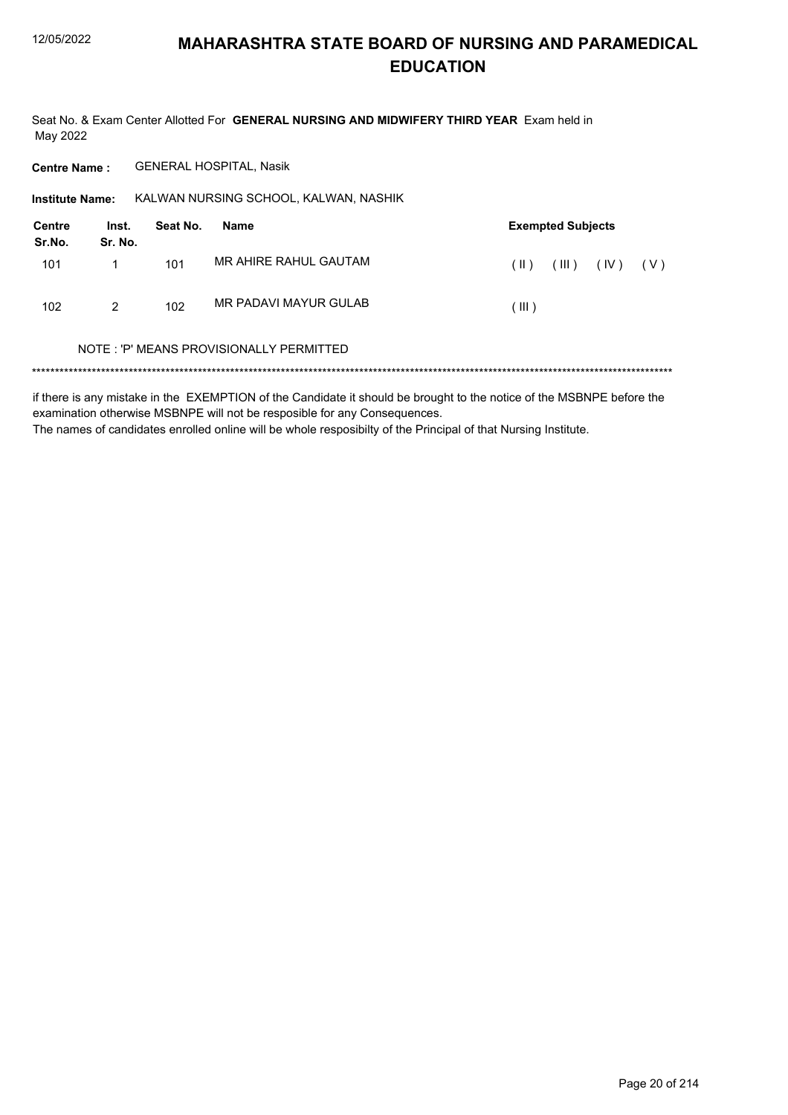Seat No. & Exam Center Allotted For GENERAL NURSING AND MIDWIFERY THIRD YEAR Exam held in May 2022

**GENERAL HOSPITAL, Nasik Centre Name:** 

Institute Name: KALWAN NURSING SCHOOL, KALWAN, NASHIK

| <b>Centre</b><br>Sr.No. | Inst.<br>Sr. No. | Seat No. | Name                  |         | <b>Exempted Subjects</b> |      |       |
|-------------------------|------------------|----------|-----------------------|---------|--------------------------|------|-------|
| 101                     |                  | 101      | MR AHIRE RAHUL GAUTAM | $(\ )$  | (III)                    | (IV) | ( V ) |
| 102                     | 2                | 102      | MR PADAVI MAYUR GULAB | ( III ) |                          |      |       |

#### NOTE: 'P' MEANS PROVISIONALLY PERMITTED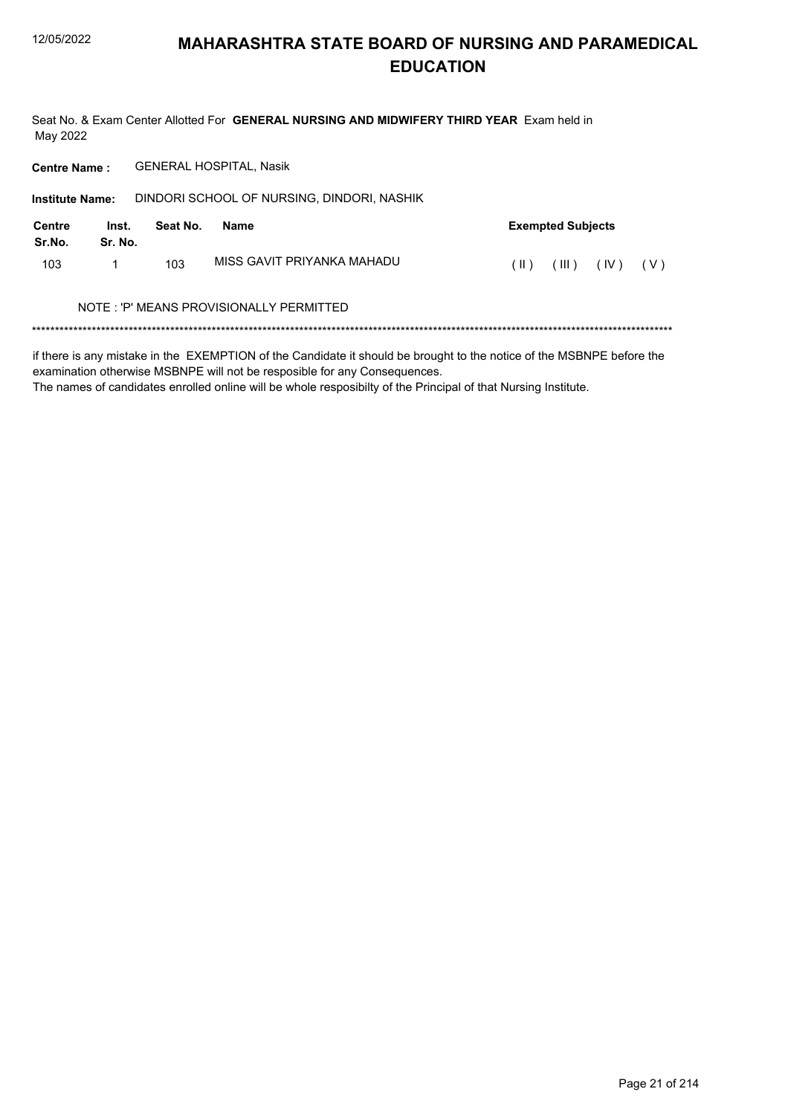Seat No. & Exam Center Allotted For GENERAL NURSING AND MIDWIFERY THIRD YEAR Exam held in May 2022

**Centre Name: GENERAL HOSPITAL, Nasik** 

| <b>Institute Name:</b> |                  |          | DINDORI SCHOOL OF NURSING, DINDORI, NASHIK |                                |
|------------------------|------------------|----------|--------------------------------------------|--------------------------------|
| Centre<br>Sr.No.       | Inst.<br>Sr. No. | Seat No. | Name                                       | <b>Exempted Subjects</b>       |
| 103                    |                  | 103      | MISS GAVIT PRIYANKA MAHADU                 | (III)<br>(IV)<br>$(\ )$<br>(V) |
|                        |                  |          | NOTE: 'P' MEANS PROVISIONALLY PERMITTED    |                                |
|                        |                  |          |                                            |                                |

if there is any mistake in the EXEMPTION of the Candidate it should be brought to the notice of the MSBNPE before the examination otherwise MSBNPE will not be resposible for any Consequences.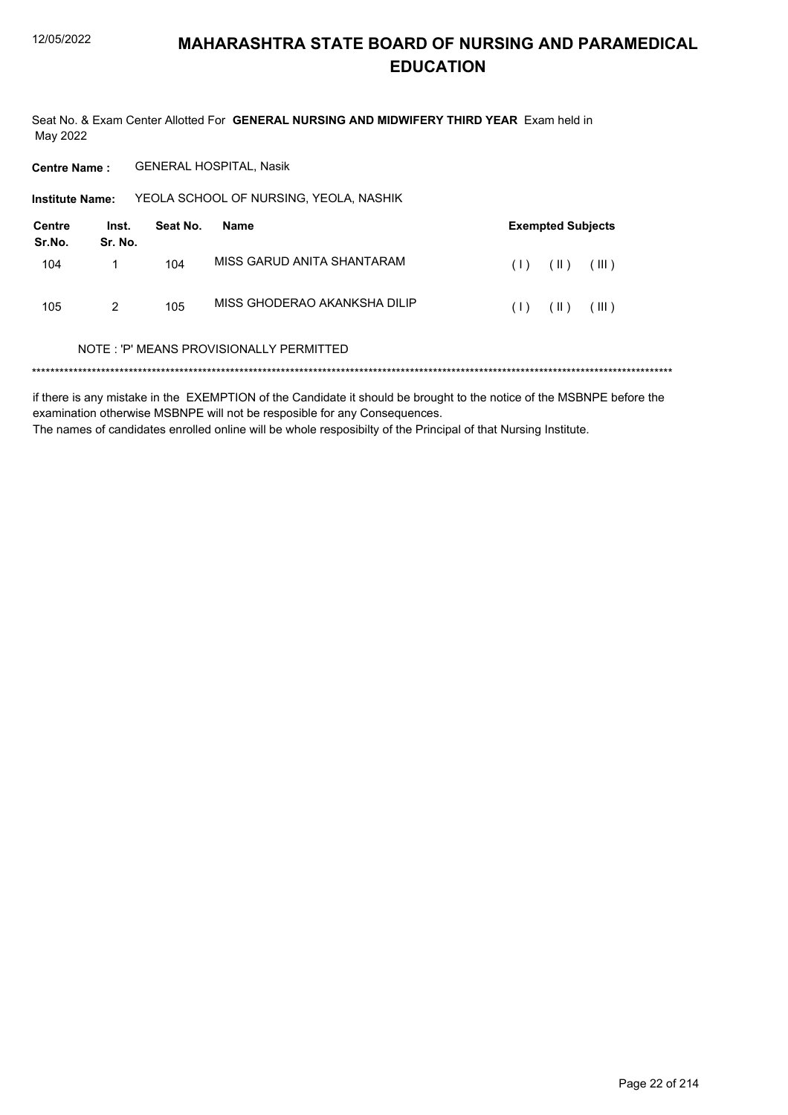Seat No. & Exam Center Allotted For GENERAL NURSING AND MIDWIFERY THIRD YEAR Exam held in May 2022

**Centre Name: GENERAL HOSPITAL, Nasik** 

YEOLA SCHOOL OF NURSING, YEOLA, NASHIK Institute Name:

| Centre<br>Sr.No. | Inst.<br>Sr. No. | Seat No. | Name                         |     | <b>Exempted Subjects</b> |       |
|------------------|------------------|----------|------------------------------|-----|--------------------------|-------|
| 104              |                  | 104      | MISS GARUD ANITA SHANTARAM   | (1) | (  )                     | (III) |
| 105              | 2                | 105      | MISS GHODERAO AKANKSHA DILIP | (1) | (  )                     | (III) |

#### NOTE: 'P' MEANS PROVISIONALLY PERMITTED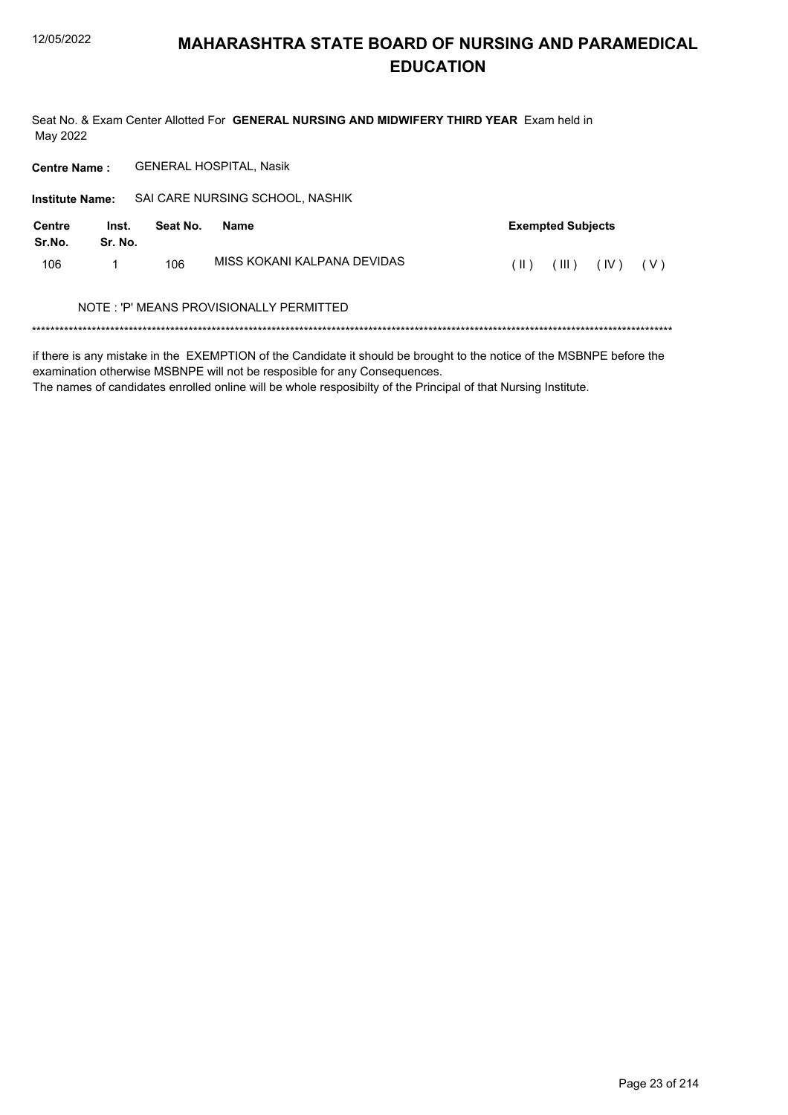Seat No. & Exam Center Allotted For GENERAL NURSING AND MIDWIFERY THIRD YEAR Exam held in May 2022

**Centre Name: GENERAL HOSPITAL, Nasik** 

| <b>Institute Name:</b> |                  |          | SAI CARE NURSING SCHOOL, NASHIK         |                              |  |
|------------------------|------------------|----------|-----------------------------------------|------------------------------|--|
| Centre<br>Sr.No.       | Inst.<br>Sr. No. | Seat No. | Name                                    | <b>Exempted Subjects</b>     |  |
| 106                    |                  | 106      | MISS KOKANI KALPANA DEVIDAS             | (III)<br>(IV)<br>(  )<br>(V) |  |
|                        |                  |          | NOTE: 'P' MEANS PROVISIONALLY PERMITTED |                              |  |
|                        |                  |          |                                         |                              |  |

if there is any mistake in the EXEMPTION of the Candidate it should be brought to the notice of the MSBNPE before the examination otherwise MSBNPE will not be resposible for any Consequences.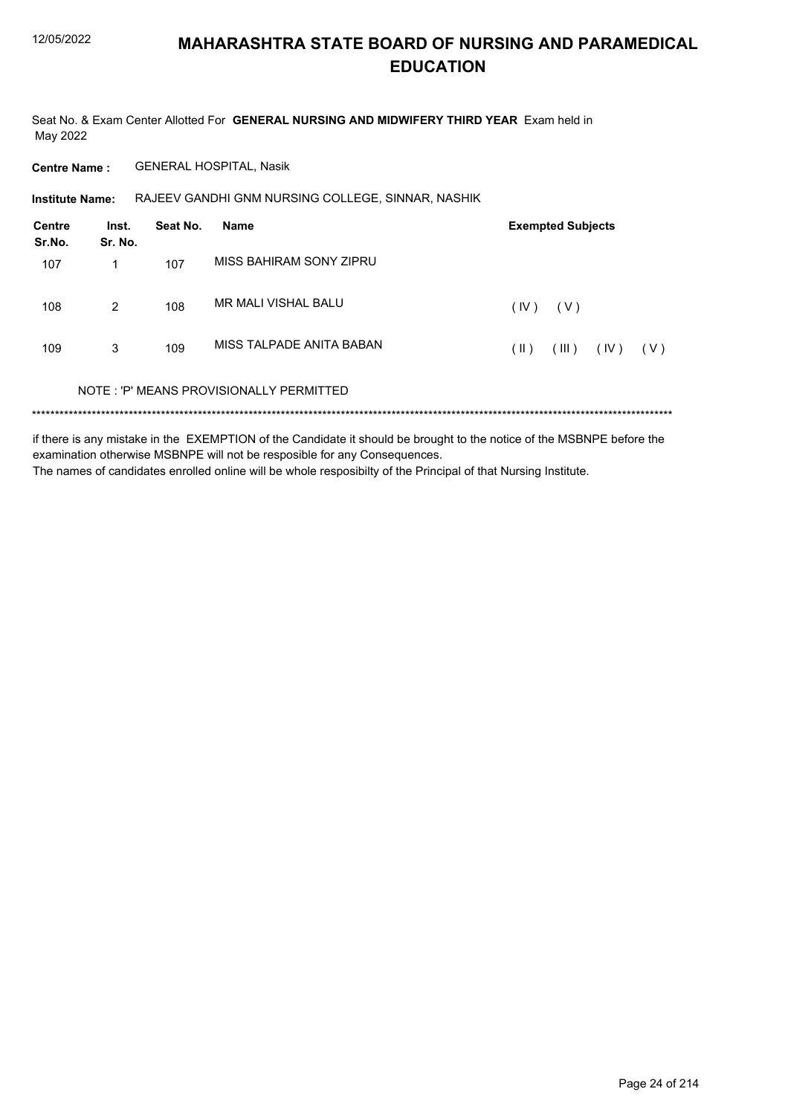Seat No. & Exam Center Allotted For GENERAL NURSING AND MIDWIFERY THIRD YEAR Exam held in May 2022

**Centre Name: GENERAL HOSPITAL, Nasik** 

RAJEEV GANDHI GNM NURSING COLLEGE, SINNAR, NASHIK **Institute Name:** 

| Centre<br>Sr.No. | Inst.<br>Sr. No. | Seat No. | <b>Name</b>                             |      | <b>Exempted Subjects</b> |      |       |
|------------------|------------------|----------|-----------------------------------------|------|--------------------------|------|-------|
| 107              | 1                | 107      | MISS BAHIRAM SONY ZIPRU                 |      |                          |      |       |
| 108              | 2                | 108      | MR MALI VISHAL BALU                     | (IV) | (V)                      |      |       |
| 109              | 3                | 109      | MISS TAI PADE ANITA BABAN               | (  ) | (III)                    | (IV) | ( V ) |
|                  |                  |          | NOTE: 'P' MEANS PROVISIONALLY PERMITTED |      |                          |      |       |
|                  |                  |          |                                         |      |                          |      |       |

if there is any mistake in the EXEMPTION of the Candidate it should be brought to the notice of the MSBNPE before the examination otherwise MSBNPE will not be resposible for any Consequences. The names of candidates enrolled online will be whole resposibilty of the Principal of that Nursing Institute.

Page 24 of 214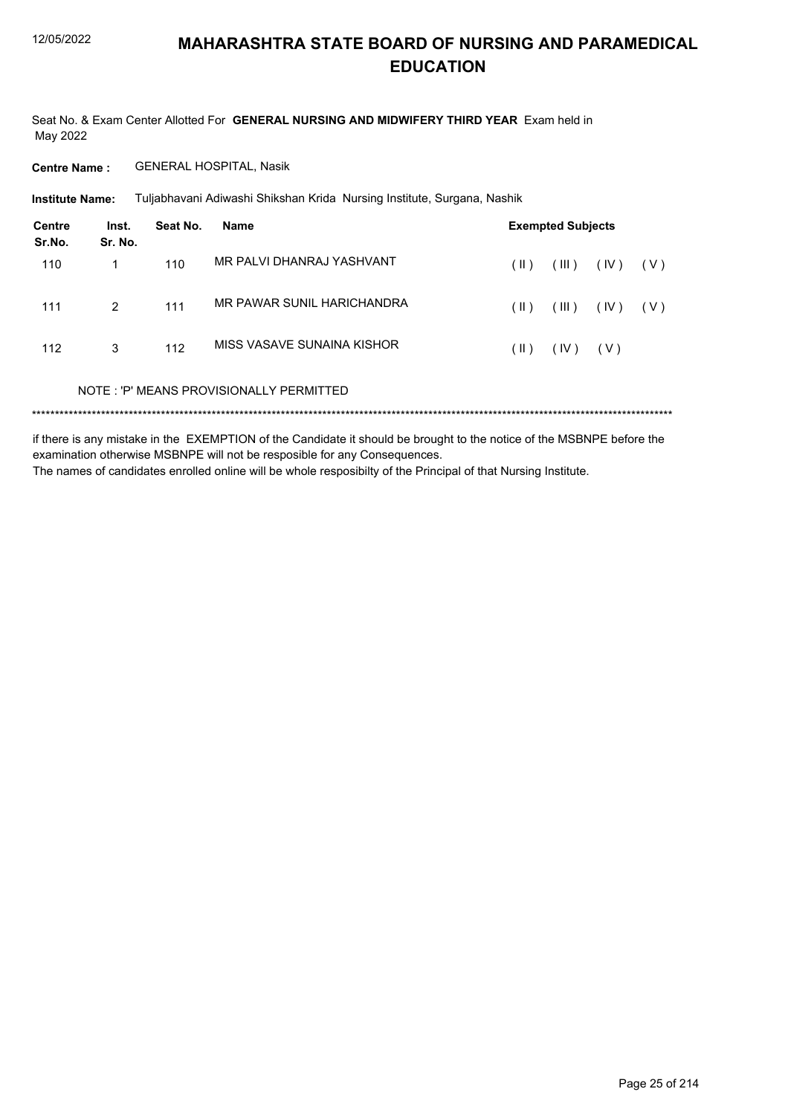Seat No. & Exam Center Allotted For GENERAL NURSING AND MIDWIFERY THIRD YEAR Exam held in May 2022

**Centre Name: GENERAL HOSPITAL, Nasik** 

**Institute Name:** Tuljabhavani Adiwashi Shikshan Krida Nursing Institute, Surgana, Nashik

| Centre<br>Sr.No. | Inst.<br>Sr. No. | Seat No. | <b>Name</b>                             |      | <b>Exempted Subjects</b> |       |       |
|------------------|------------------|----------|-----------------------------------------|------|--------------------------|-------|-------|
| 110              | 1                | 110      | MR PALVI DHANRAJ YASHVANT               | (  ) | (III)                    | (IV)  | ( V ) |
| 111              | 2                | 111      | MR PAWAR SUNIL HARICHANDRA              | (  ) | (III)                    | (IV)  | ( V ) |
| 112              | 3                | 112      | MISS VASAVE SUNAINA KISHOR              | (  ) | (IV)                     | ( V ) |       |
|                  |                  |          | NOTE: 'P' MEANS PROVISIONALLY PERMITTED |      |                          |       |       |
|                  |                  |          |                                         |      |                          |       |       |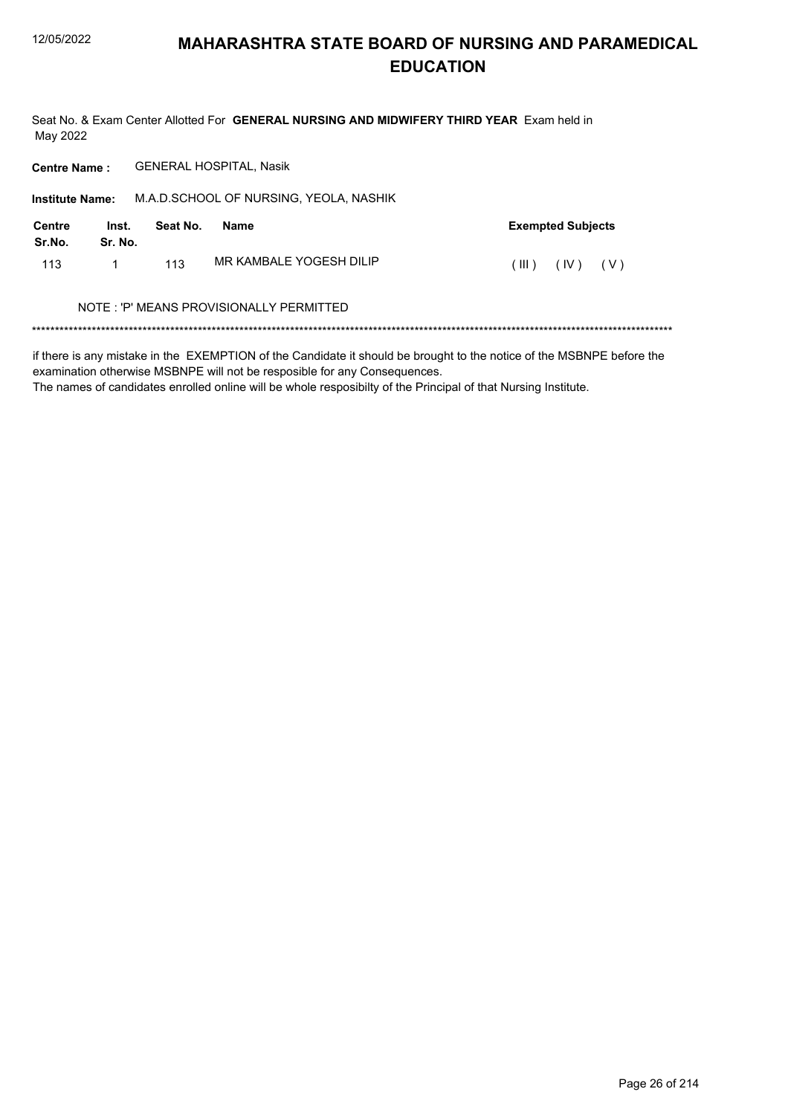Seat No. & Exam Center Allotted For GENERAL NURSING AND MIDWIFERY THIRD YEAR Exam held in May 2022

Centre Name: GENERAL HOSPITAL, Nasik

| <b>Institute Name:</b> |                  |          | M.A.D.SCHOOL OF NURSING, YEOLA, NASHIK  |                          |
|------------------------|------------------|----------|-----------------------------------------|--------------------------|
| Centre<br>Sr.No.       | Inst.<br>Sr. No. | Seat No. | Name                                    | <b>Exempted Subjects</b> |
| 113                    | 1                | 113      | MR KAMBALE YOGESH DILIP                 | (III)<br>(IV)<br>(V)     |
|                        |                  |          | NOTE: 'P' MEANS PROVISIONALLY PERMITTED |                          |

if there is any mistake in the EXEMPTION of the Candidate it should be brought to the notice of the MSBNPE before the examination otherwise MSBNPE will not be resposible for any Consequences.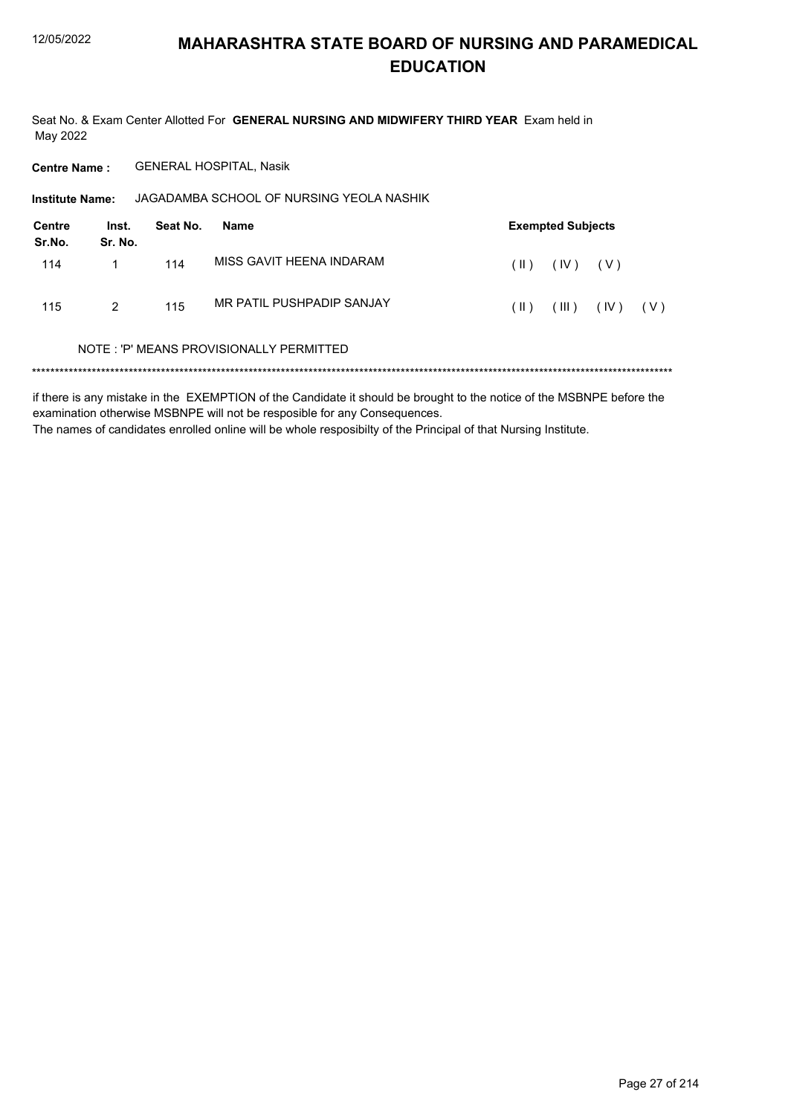Seat No. & Exam Center Allotted For GENERAL NURSING AND MIDWIFERY THIRD YEAR Exam held in May 2022

**Centre Name: GENERAL HOSPITAL, Nasik** 

| <b>Institute Name:</b> |                  |          | JAGADAMBA SCHOOL OF NURSING YEOLA NASHIK |               |                          |       |     |
|------------------------|------------------|----------|------------------------------------------|---------------|--------------------------|-------|-----|
| Centre<br>Sr.No.       | Inst.<br>Sr. No. | Seat No. | Name                                     |               | <b>Exempted Subjects</b> |       |     |
| 114                    |                  | 114      | MISS GAVIT HEENA INDARAM                 | $(\parallel)$ | (IV)                     | ( V ) |     |
| 115                    | 2                | 115      | MR PATIL PUSHPADIP SANJAY                | $(\parallel)$ | (III)                    | (IV)  | (V) |
|                        |                  |          | NOTE: 'P' MEANS PROVISIONALLY PERMITTED  |               |                          |       |     |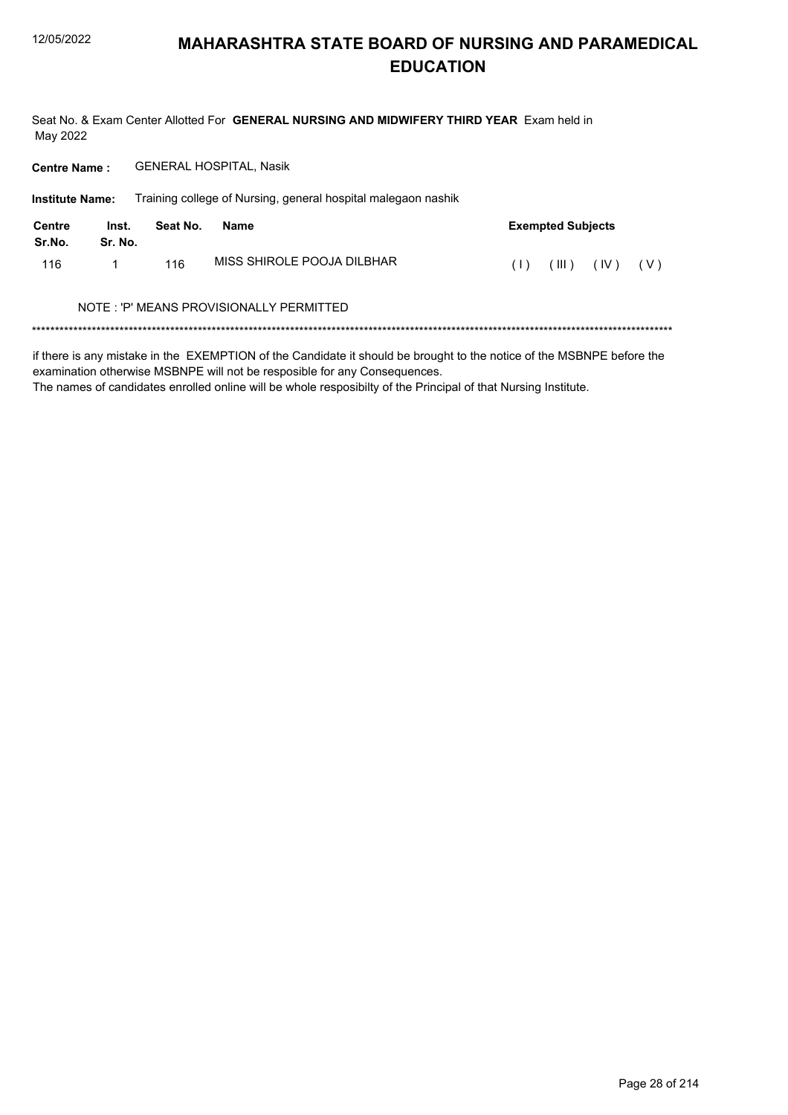Seat No. & Exam Center Allotted For GENERAL NURSING AND MIDWIFERY THIRD YEAR Exam held in May 2022

**Centre Name: GENERAL HOSPITAL, Nasik** 

|                  | Training college of Nursing, general hospital malegaon nashik<br><b>Institute Name:</b> |          |                                          |                               |  |  |  |  |  |
|------------------|-----------------------------------------------------------------------------------------|----------|------------------------------------------|-------------------------------|--|--|--|--|--|
| Centre<br>Sr.No. | Inst.<br>Sr. No.                                                                        | Seat No. | Name                                     | <b>Exempted Subjects</b>      |  |  |  |  |  |
| 116              |                                                                                         | 116      | MISS SHIROLE POOJA DILBHAR               | (III)<br>(IV)<br>( V )<br>(1) |  |  |  |  |  |
|                  |                                                                                         |          | NOTE : 'P' MEANS PROVISIONALLY PERMITTED |                               |  |  |  |  |  |
|                  |                                                                                         |          |                                          |                               |  |  |  |  |  |

if there is any mistake in the EXEMPTION of the Candidate it should be brought to the notice of the MSBNPE before the examination otherwise MSBNPE will not be resposible for any Consequences.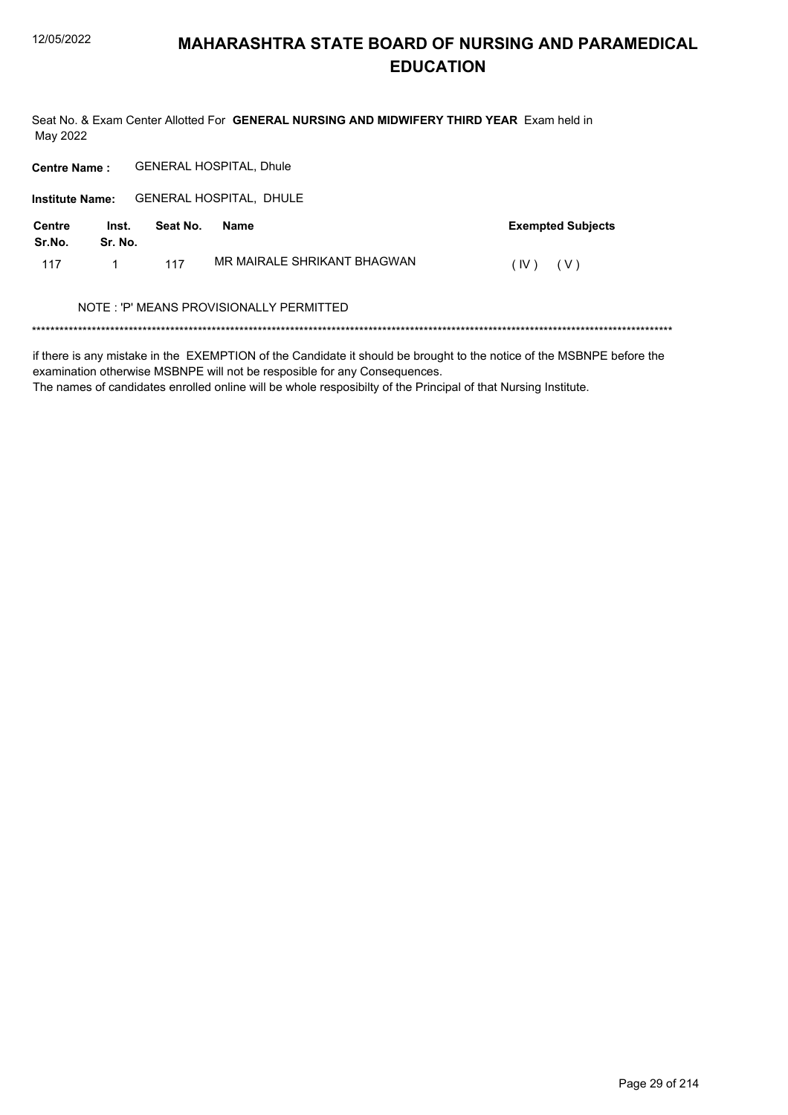Seat No. & Exam Center Allotted For GENERAL NURSING AND MIDWIFERY THIRD YEAR Exam held in May 2022

**Centre Name: GENERAL HOSPITAL, Dhule** 

Institute Name: GENERAL HOSPITAL, DHULE

| Centre<br>Sr.No. | Inst.<br>Sr. No. | Seat No. | Name                        | <b>Exempted Subjects</b> |
|------------------|------------------|----------|-----------------------------|--------------------------|
| 117              |                  | 117      | MR MAIRALE SHRIKANT BHAGWAN | $(IV)$ $(V)$             |

#### NOTE : 'P' MEANS PROVISIONALLY PERMITTED

if there is any mistake in the EXEMPTION of the Candidate it should be brought to the notice of the MSBNPE before the examination otherwise MSBNPE will not be resposible for any Consequences.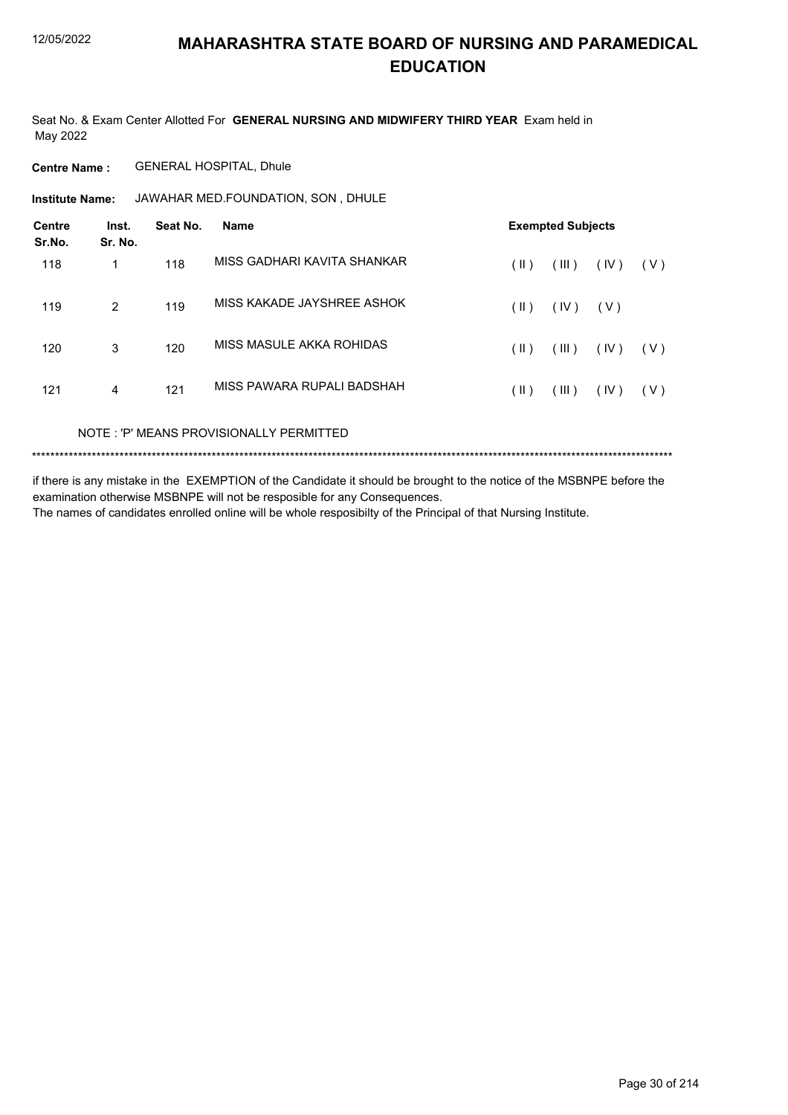Seat No. & Exam Center Allotted For **GENERAL NURSING AND MIDWIFERY THIRD YEAR** Exam held in May 2022

**Centre Name :** GENERAL HOSPITAL, Dhule

**Institute Name: JAWAHAR MED.FOUNDATION, SON, DHULE** 

| <b>Centre</b><br>Sr.No. | Inst.<br>Sr. No.         | Seat No. | <b>Name</b>                 |               | <b>Exempted Subjects</b> |      |       |
|-------------------------|--------------------------|----------|-----------------------------|---------------|--------------------------|------|-------|
| 118                     | 1                        | 118      | MISS GADHARI KAVITA SHANKAR | (  )          | (III)                    | (IV) | ( V ) |
| 119                     | 2                        | 119      | MISS KAKADE JAYSHREE ASHOK  | (  )          | (IV)                     | (V)  |       |
| 120                     | 3                        | 120      | MISS MASULE AKKA ROHIDAS    | $(\parallel)$ | (III)                    | (IV) | ( V ) |
| 121                     | 4                        | 121      | MISS PAWARA RUPALI BADSHAH  | (  )          | (III)                    | (IV) | ( V ) |
|                         | $\cdots$ $\sim$ $\cdots$ |          |                             |               |                          |      |       |

NOTE : 'P' MEANS PROVISIONALLY PERMITTED

\*\*\*\*\*\*\*\*\*\*\*\*\*\*\*\*\*\*\*\*\*\*\*\*\*\*\*\*\*\*\*\*\*\*\*\*\*\*\*\*\*\*\*\*\*\*\*\*\*\*\*\*\*\*\*\*\*\*\*\*\*\*\*\*\*\*\*\*\*\*\*\*\*\*\*\*\*\*\*\*\*\*\*\*\*\*\*\*\*\*\*\*\*\*\*\*\*\*\*\*\*\*\*\*\*\*\*\*\*\*\*\*\*\*\*\*\*\*\*\*\*\*\*\*\*\*\*\*\*\*\*\*\*\*\*\*\*\*\*

if there is any mistake in the EXEMPTION of the Candidate it should be brought to the notice of the MSBNPE before the examination otherwise MSBNPE will not be resposible for any Consequences.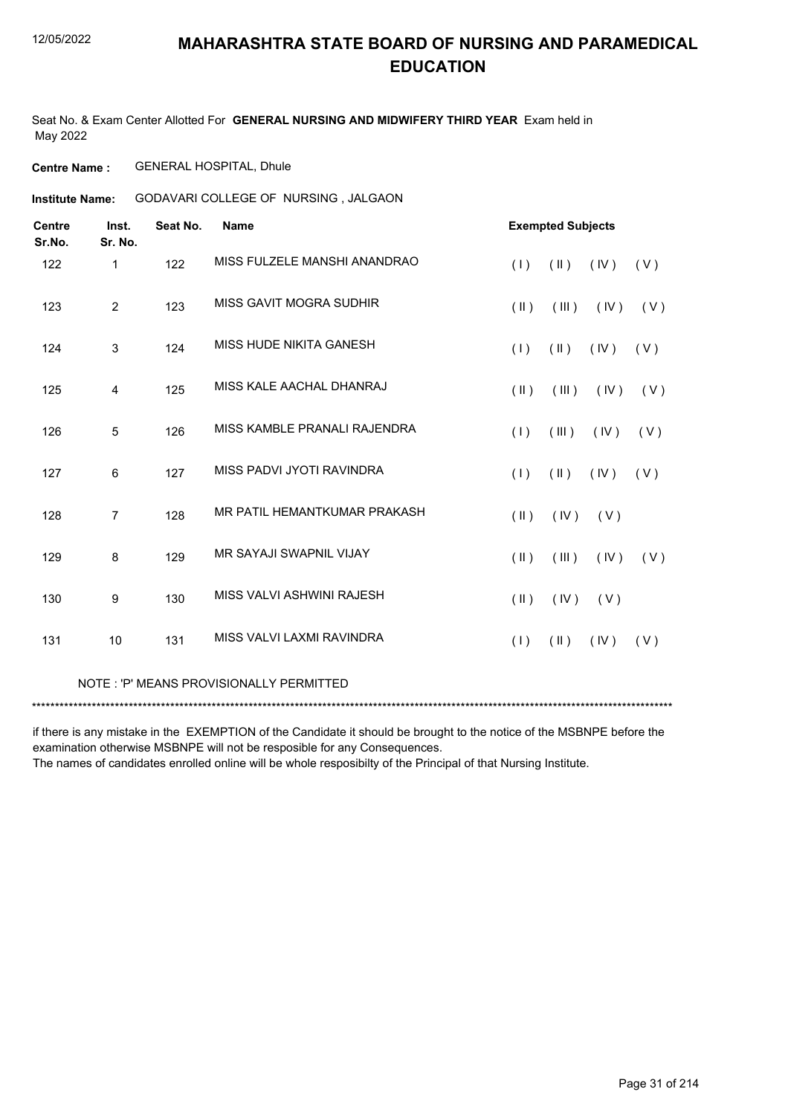Seat No. & Exam Center Allotted For **GENERAL NURSING AND MIDWIFERY THIRD YEAR** Exam held in May 2022

**Centre Name :** GENERAL HOSPITAL, Dhule

GODAVARI COLLEGE OF NURSING , JALGAON **Institute Name:**

| <b>Centre</b><br>Sr.No. | Inst.<br>Sr. No. | Seat No. | <b>Name</b>                    |                         | <b>Exempted Subjects</b> |      |       |  |  |
|-------------------------|------------------|----------|--------------------------------|-------------------------|--------------------------|------|-------|--|--|
| 122                     | $\mathbf 1$      | 122      | MISS FULZELE MANSHI ANANDRAO   | (1)                     | $(\parallel)$            | (IV) | (V)   |  |  |
| 123                     | $\overline{2}$   | 123      | <b>MISS GAVIT MOGRA SUDHIR</b> | $($ II $)$              | (III)                    | (IV) | ( V ) |  |  |
| 124                     | 3                | 124      | MISS HUDE NIKITA GANESH        | (1)                     | $(\parallel)$            | (IV) | (V)   |  |  |
| 125                     | 4                | 125      | MISS KALE AACHAL DHANRAJ       | $(\parallel \parallel)$ | (III)                    | (IV) | (V)   |  |  |
| 126                     | 5                | 126      | MISS KAMBLE PRANALI RAJENDRA   | (1)                     | (III)                    | (IV) | (V)   |  |  |
| 127                     | 6                | 127      | MISS PADVI JYOTI RAVINDRA      | (1)                     | $(\parallel)$            | (IV) | (V)   |  |  |
| 128                     | $\overline{7}$   | 128      | MR PATIL HEMANTKUMAR PRAKASH   | $(\parallel)$           | (IV)                     | (V)  |       |  |  |
| 129                     | 8                | 129      | <b>MR SAYAJI SWAPNIL VIJAY</b> | $(\parallel)$           | (III)                    | (IV) | (V)   |  |  |
| 130                     | 9                | 130      | MISS VALVI ASHWINI RAJESH      | $(\parallel)$           | (IV)                     | (V)  |       |  |  |
| 131                     | 10               | 131      | MISS VALVI LAXMI RAVINDRA      | (1)                     | $(\parallel)$            | (IV) | (V)   |  |  |
|                         |                  |          |                                |                         |                          |      |       |  |  |

NOTE : 'P' MEANS PROVISIONALLY PERMITTED

\*\*\*\*\*\*\*\*\*\*\*\*\*\*\*\*\*\*\*\*\*\*\*\*\*\*\*\*\*\*\*\*\*\*\*\*\*\*\*\*\*\*\*\*\*\*\*\*\*\*\*\*\*\*\*\*\*\*\*\*\*\*\*\*\*\*\*\*\*\*\*\*\*\*\*\*\*\*\*\*\*\*\*\*\*\*\*\*\*\*\*\*\*\*\*\*\*\*\*\*\*\*\*\*\*\*\*\*\*\*\*\*\*\*\*\*\*\*\*\*\*\*\*\*\*\*\*\*\*\*\*\*\*\*\*\*\*\*\*

if there is any mistake in the EXEMPTION of the Candidate it should be brought to the notice of the MSBNPE before the examination otherwise MSBNPE will not be resposible for any Consequences.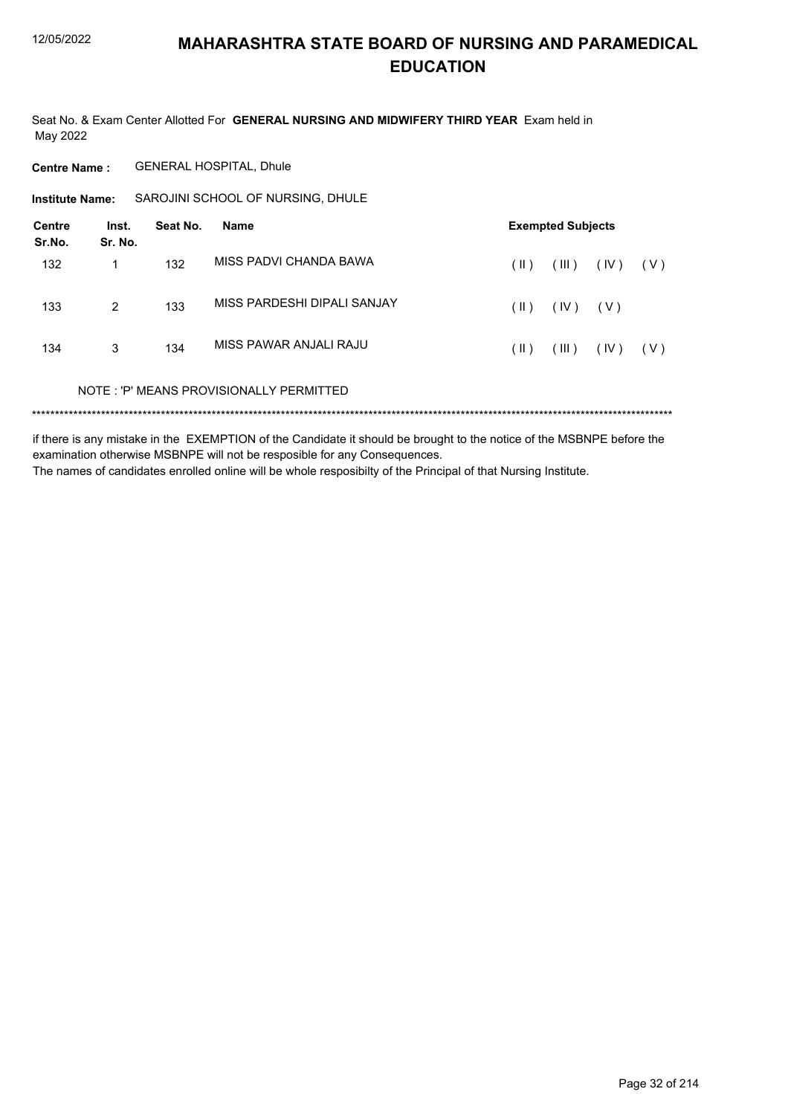Seat No. & Exam Center Allotted For GENERAL NURSING AND MIDWIFERY THIRD YEAR Exam held in May 2022

**Centre Name: GENERAL HOSPITAL, Dhule** 

SAROJINI SCHOOL OF NURSING, DHULE **Institute Name:** 

| Centre<br>Sr.No. | Inst.<br>Sr. No. | Seat No. | Name                                    |      | <b>Exempted Subjects</b> |       |       |
|------------------|------------------|----------|-----------------------------------------|------|--------------------------|-------|-------|
| 132              | 1                | 132      | MISS PADVI CHANDA BAWA                  | (  ) | (III)                    | (IV)  | ( V ) |
| 133              | 2                | 133      | MISS PARDESHI DIPALI SANJAY             | (  ) | (IV)                     | ( V ) |       |
| 134              | 3                | 134      | MISS PAWAR ANJALI RAJU                  | (  ) | (III)                    | (IV)  | ( V ) |
|                  |                  |          | NOTE: 'P' MEANS PROVISIONALLY PERMITTED |      |                          |       |       |
|                  |                  |          |                                         |      |                          |       |       |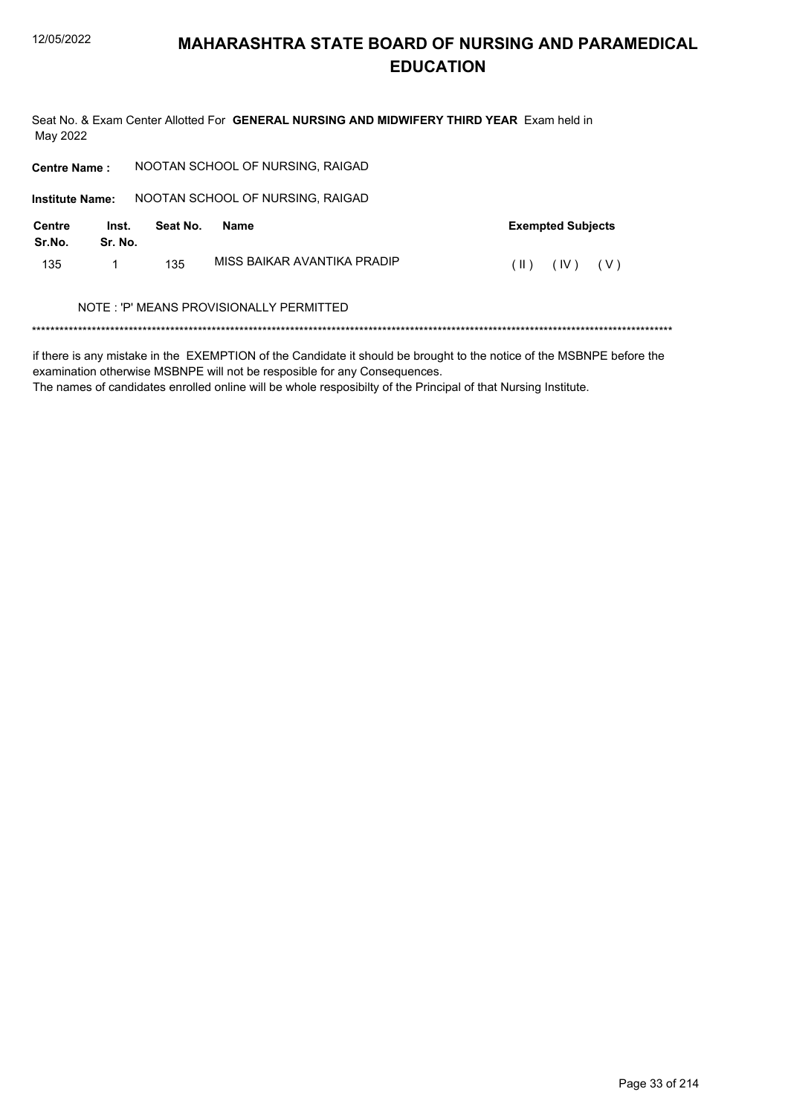Seat No. & Exam Center Allotted For GENERAL NURSING AND MIDWIFERY THIRD YEAR Exam held in May 2022

| <b>Centre Name:</b>     |                  |          | NOOTAN SCHOOL OF NURSING, RAIGAD        |                                |
|-------------------------|------------------|----------|-----------------------------------------|--------------------------------|
| <b>Institute Name:</b>  |                  |          | NOOTAN SCHOOL OF NURSING, RAIGAD        |                                |
| <b>Centre</b><br>Sr.No. | Inst.<br>Sr. No. | Seat No. | Name                                    | <b>Exempted Subjects</b>       |
| 135                     | 1                | 135      | MISS BAIKAR AVANTIKA PRADIP             | (IV)<br>$(\parallel)$<br>( V ) |
|                         |                  |          | NOTE: 'P' MEANS PROVISIONALLY PERMITTED |                                |
|                         |                  |          |                                         |                                |

if there is any mistake in the EXEMPTION of the Candidate it should be brought to the notice of the MSBNPE before the examination otherwise MSBNPE will not be resposible for any Consequences.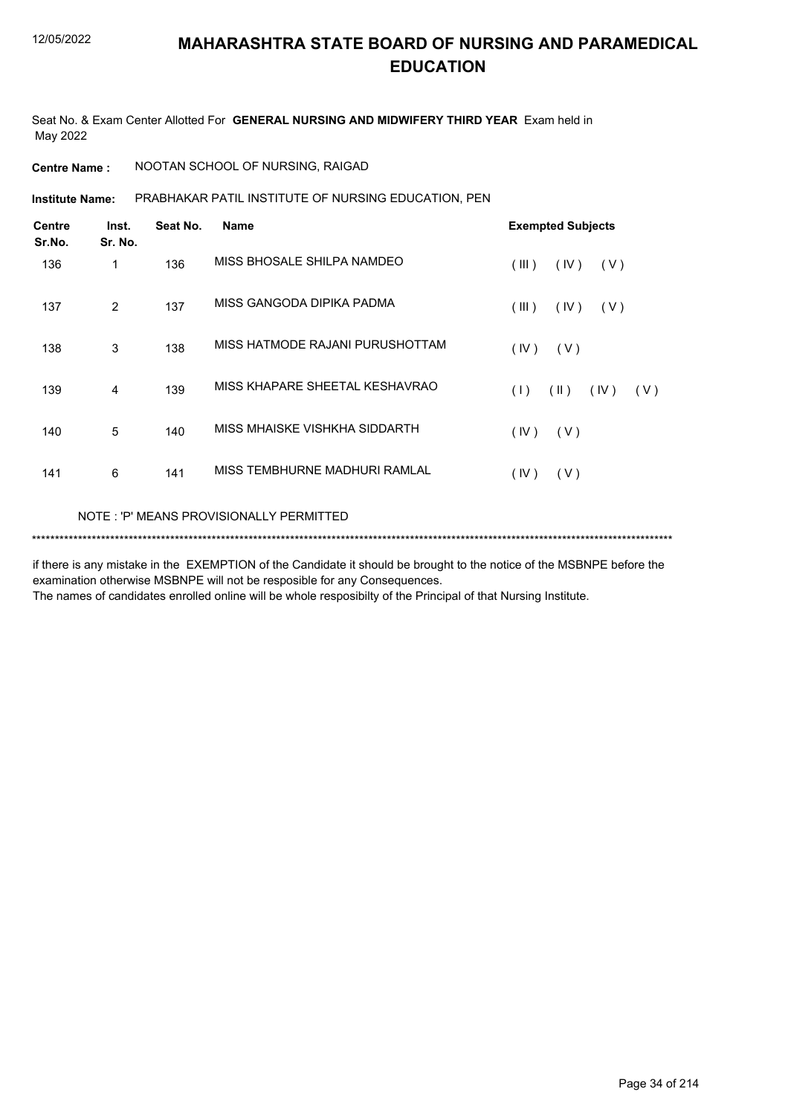Seat No. & Exam Center Allotted For **GENERAL NURSING AND MIDWIFERY THIRD YEAR** Exam held in May 2022

**Centre Name :** NOOTAN SCHOOL OF NURSING, RAIGAD

PRABHAKAR PATIL INSTITUTE OF NURSING EDUCATION, PEN **Institute Name:**

| <b>Centre</b><br>Sr.No. | Inst.<br>Sr. No. | Seat No. | <b>Name</b>                     | <b>Exempted Subjects</b>   |  |  |  |
|-------------------------|------------------|----------|---------------------------------|----------------------------|--|--|--|
| 136                     | 1                | 136      | MISS BHOSALE SHILPA NAMDEO      | (III)<br>(IV)<br>(V)       |  |  |  |
| 137                     | $\overline{2}$   | 137      | MISS GANGODA DIPIKA PADMA       | (III)<br>(IV)<br>(V)       |  |  |  |
| 138                     | 3                | 138      | MISS HATMODE RAJANI PURUSHOTTAM | (IV)<br>(V)                |  |  |  |
| 139                     | 4                | 139      | MISS KHAPARE SHEETAL KESHAVRAO  | (11)<br>(IV)<br>(1)<br>(V) |  |  |  |
| 140                     | 5                | 140      | MISS MHAISKE VISHKHA SIDDARTH   | (IV)<br>(V)                |  |  |  |
| 141                     | 6                | 141      | MISS TEMBHURNE MADHURI RAMLAL   | (IV)<br>(V)                |  |  |  |
|                         |                  |          |                                 |                            |  |  |  |

NOTE : 'P' MEANS PROVISIONALLY PERMITTED

\*\*\*\*\*\*\*\*\*\*\*\*\*\*\*\*\*\*\*\*\*\*\*\*\*\*\*\*\*\*\*\*\*\*\*\*\*\*\*\*\*\*\*\*\*\*\*\*\*\*\*\*\*\*\*\*\*\*\*\*\*\*\*\*\*\*\*\*\*\*\*\*\*\*\*\*\*\*\*\*\*\*\*\*\*\*\*\*\*\*\*\*\*\*\*\*\*\*\*\*\*\*\*\*\*\*\*\*\*\*\*\*\*\*\*\*\*\*\*\*\*\*\*\*\*\*\*\*\*\*\*\*\*\*\*\*\*\*\*

if there is any mistake in the EXEMPTION of the Candidate it should be brought to the notice of the MSBNPE before the examination otherwise MSBNPE will not be resposible for any Consequences.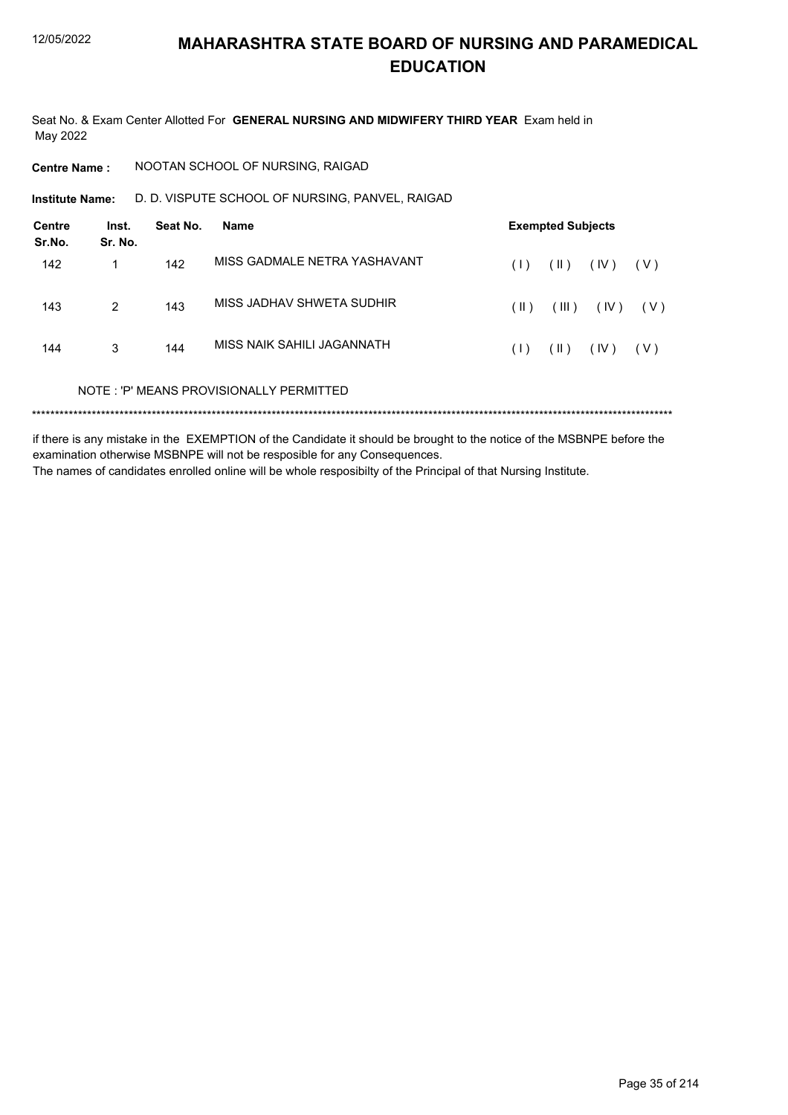Seat No. & Exam Center Allotted For GENERAL NURSING AND MIDWIFERY THIRD YEAR Exam held in May 2022

**Centre Name:** NOOTAN SCHOOL OF NURSING, RAIGAD

D. D. VISPUTE SCHOOL OF NURSING, PANVEL, RAIGAD **Institute Name:** 

| <b>Centre</b><br>Sr.No. | Inst.<br>Sr. No. | Seat No. | Name                                    |      | <b>Exempted Subjects</b> |      |       |
|-------------------------|------------------|----------|-----------------------------------------|------|--------------------------|------|-------|
| 142                     | 1                | 142      | MISS GADMALE NETRA YASHAVANT            | (1)  | $(\parallel)$            | (IV) | ( V ) |
| 143                     | $\overline{2}$   | 143      | MISS JADHAV SHWETA SUDHIR               | (  ) | (III)                    | (IV) | ( V ) |
| 144                     | 3                | 144      | MISS NAIK SAHII I JAGANNATH             | (1)  | $(\parallel)$            | (IV) | ( V ) |
|                         |                  |          | NOTE: 'P' MEANS PROVISIONALLY PERMITTED |      |                          |      |       |
|                         |                  |          |                                         |      |                          |      |       |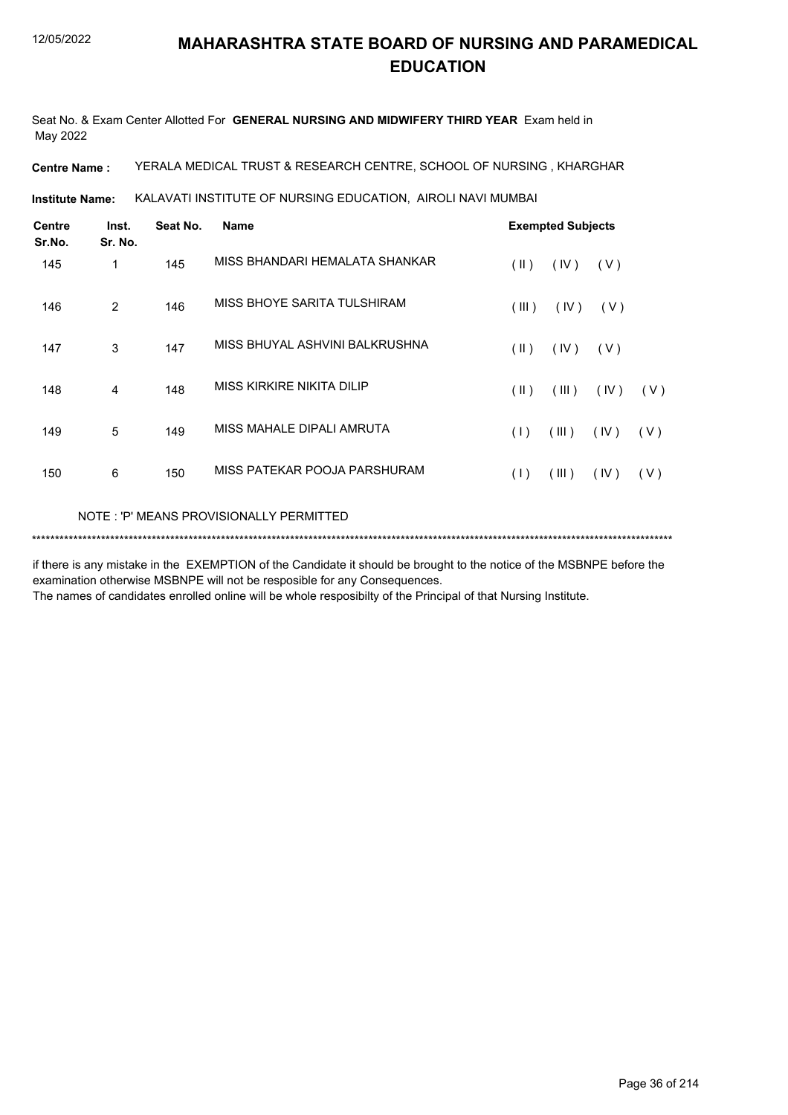Seat No. & Exam Center Allotted For **GENERAL NURSING AND MIDWIFERY THIRD YEAR** Exam held in May 2022

**Centre Name :** YERALA MEDICAL TRUST & RESEARCH CENTRE, SCHOOL OF NURSING , KHARGHAR

KALAVATI INSTITUTE OF NURSING EDUCATION, AIROLI NAVI MUMBAI **Institute Name:**

| <b>Centre</b><br>Sr.No. | Inst.<br>Sr. No. | Seat No. | <b>Name</b>                              | <b>Exempted Subjects</b> |       |      |     |
|-------------------------|------------------|----------|------------------------------------------|--------------------------|-------|------|-----|
| 145                     | 1                | 145      | MISS BHANDARI HEMALATA SHANKAR           | (  )                     | (IV)  | (V)  |     |
| 146                     | 2                | 146      | MISS BHOYE SARITA TULSHIRAM              | (III)                    | (IV)  | (V)  |     |
| 147                     | 3                | 147      | MISS BHUYAL ASHVINI BALKRUSHNA           | $(\parallel)$            | (IV)  | (V)  |     |
| 148                     | 4                | 148      | MISS KIRKIRE NIKITA DILIP                | $(\parallel)$            | (III) | (IV) | (V) |
| 149                     | 5                | 149      | MISS MAHALE DIPALI AMRUTA                | (1)                      | (III) | (IV) | (V) |
| 150                     | 6                | 150      | MISS PATEKAR POOJA PARSHURAM             | (1)                      | (III) | (IV) | (V) |
|                         |                  |          | NOTE : 'P' MEANS PROVISIONALLY PERMITTED |                          |       |      |     |

\*\*\*\*\*\*\*\*\*\*\*\*\*\*\*\*\*\*\*\*\*\*\*\*\*\*\*\*\*\*\*\*\*\*\*\*\*\*\*\*\*\*\*\*\*\*\*\*\*\*\*\*\*\*\*\*\*\*\*\*\*\*\*\*\*\*\*\*\*\*\*\*\*\*\*\*\*\*\*\*\*\*\*\*\*\*\*\*\*\*\*\*\*\*\*\*\*\*\*\*\*\*\*\*\*\*\*\*\*\*\*\*\*\*\*\*\*\*\*\*\*\*\*\*\*\*\*\*\*\*\*\*\*\*\*\*\*\*\*

if there is any mistake in the EXEMPTION of the Candidate it should be brought to the notice of the MSBNPE before the examination otherwise MSBNPE will not be resposible for any Consequences.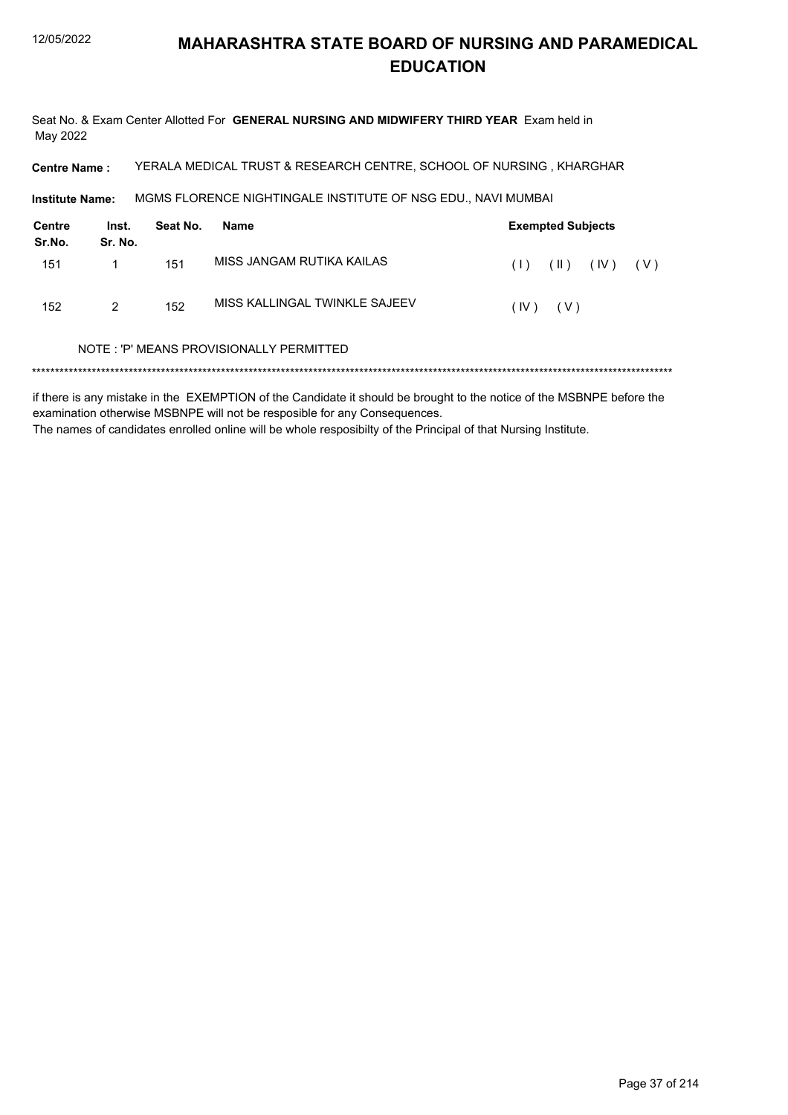Seat No. & Exam Center Allotted For GENERAL NURSING AND MIDWIFERY THIRD YEAR Exam held in May 2022

YERALA MEDICAL TRUST & RESEARCH CENTRE, SCHOOL OF NURSING, KHARGHAR **Centre Name:** 

MGMS FLORENCE NIGHTINGALE INSTITUTE OF NSG EDU., NAVI MUMBAI Institute Name:

| Centre<br>Sr.No. | Inst.<br>Sr. No. | Seat No. | Name                          |      | <b>Exempted Subjects</b> |                   |     |
|------------------|------------------|----------|-------------------------------|------|--------------------------|-------------------|-----|
| 151              |                  | 151      | MISS JANGAM RUTIKA KAILAS     |      |                          | $(1)$ $(1)$ $(1)$ | (V) |
| 152              | 2                | 152      | MISS KALLINGAL TWINKLE SAJEEV | (IV) | ( V )                    |                   |     |

#### NOTE: 'P' MEANS PROVISIONALLY PERMITTED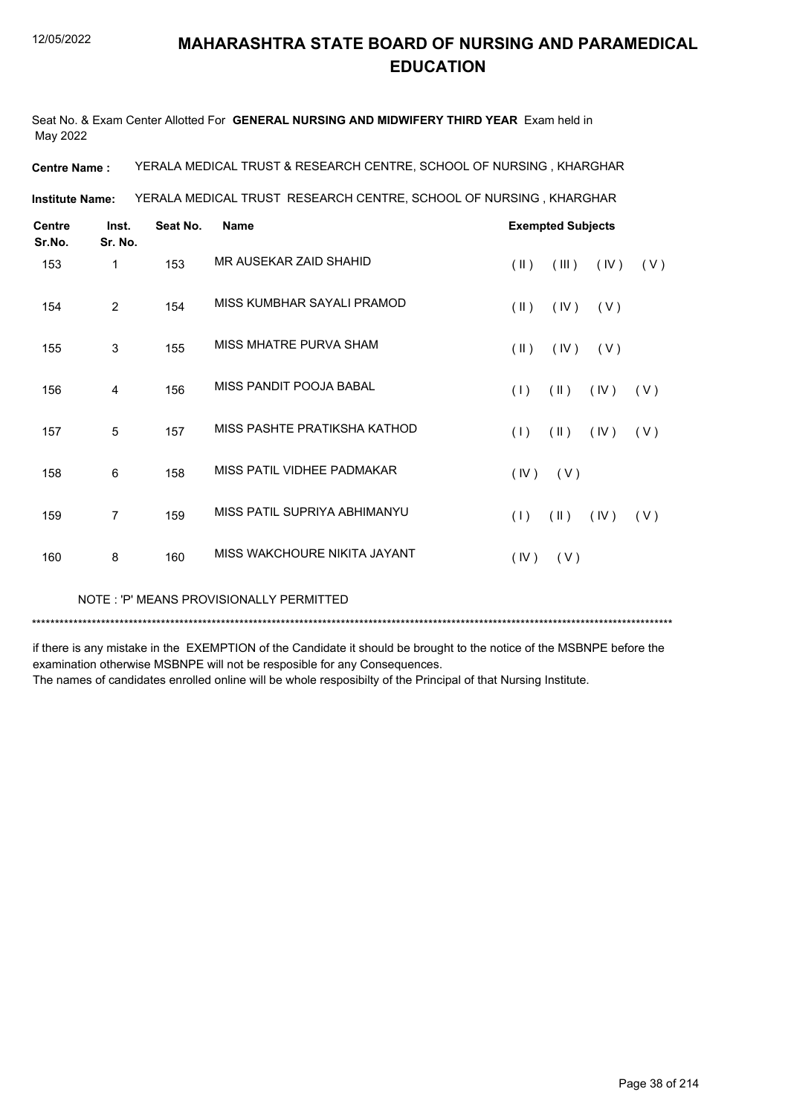Seat No. & Exam Center Allotted For **GENERAL NURSING AND MIDWIFERY THIRD YEAR** Exam held in May 2022

**Centre Name :** YERALA MEDICAL TRUST & RESEARCH CENTRE, SCHOOL OF NURSING , KHARGHAR

YERALA MEDICAL TRUST RESEARCH CENTRE, SCHOOL OF NURSING , KHARGHAR **Institute Name:**

| <b>Centre</b><br>Sr.No. | Inst.<br>Sr. No. | Seat No. | <b>Name</b>                  | <b>Exempted Subjects</b>              |
|-------------------------|------------------|----------|------------------------------|---------------------------------------|
| 153                     | 1                | 153      | MR AUSEKAR ZAID SHAHID       | (III)<br>$(\parallel)$<br>(IV)<br>(V) |
| 154                     | 2                | 154      | MISS KUMBHAR SAYALI PRAMOD   | $(\parallel)$<br>(IV)<br>(V)          |
| 155                     | 3                | 155      | MISS MHATRE PURVA SHAM       | $(\parallel)$<br>(IV)<br>(V)          |
| 156                     | 4                | 156      | MISS PANDIT POOJA BABAL      | (1)<br>$(\parallel)$<br>(IV)<br>(V)   |
| 157                     | 5                | 157      | MISS PASHTE PRATIKSHA KATHOD | (1)<br>$(\parallel)$<br>(IV)<br>(V)   |
| 158                     | 6                | 158      | MISS PATIL VIDHEE PADMAKAR   | (IV)<br>(V)                           |
| 159                     | 7                | 159      | MISS PATIL SUPRIYA ABHIMANYU | $(\parallel)$<br>(1)<br>(IV)<br>(V)   |
| 160                     | 8                | 160      | MISS WAKCHOURE NIKITA JAYANT | (IV)<br>(V)                           |

NOTE : 'P' MEANS PROVISIONALLY PERMITTED

\*\*\*\*\*\*\*\*\*\*\*\*\*\*\*\*\*\*\*\*\*\*\*\*\*\*\*\*\*\*\*\*\*\*\*\*\*\*\*\*\*\*\*\*\*\*\*\*\*\*\*\*\*\*\*\*\*\*\*\*\*\*\*\*\*\*\*\*\*\*\*\*\*\*\*\*\*\*\*\*\*\*\*\*\*\*\*\*\*\*\*\*\*\*\*\*\*\*\*\*\*\*\*\*\*\*\*\*\*\*\*\*\*\*\*\*\*\*\*\*\*\*\*\*\*\*\*\*\*\*\*\*\*\*\*\*\*\*\*

if there is any mistake in the EXEMPTION of the Candidate it should be brought to the notice of the MSBNPE before the examination otherwise MSBNPE will not be resposible for any Consequences.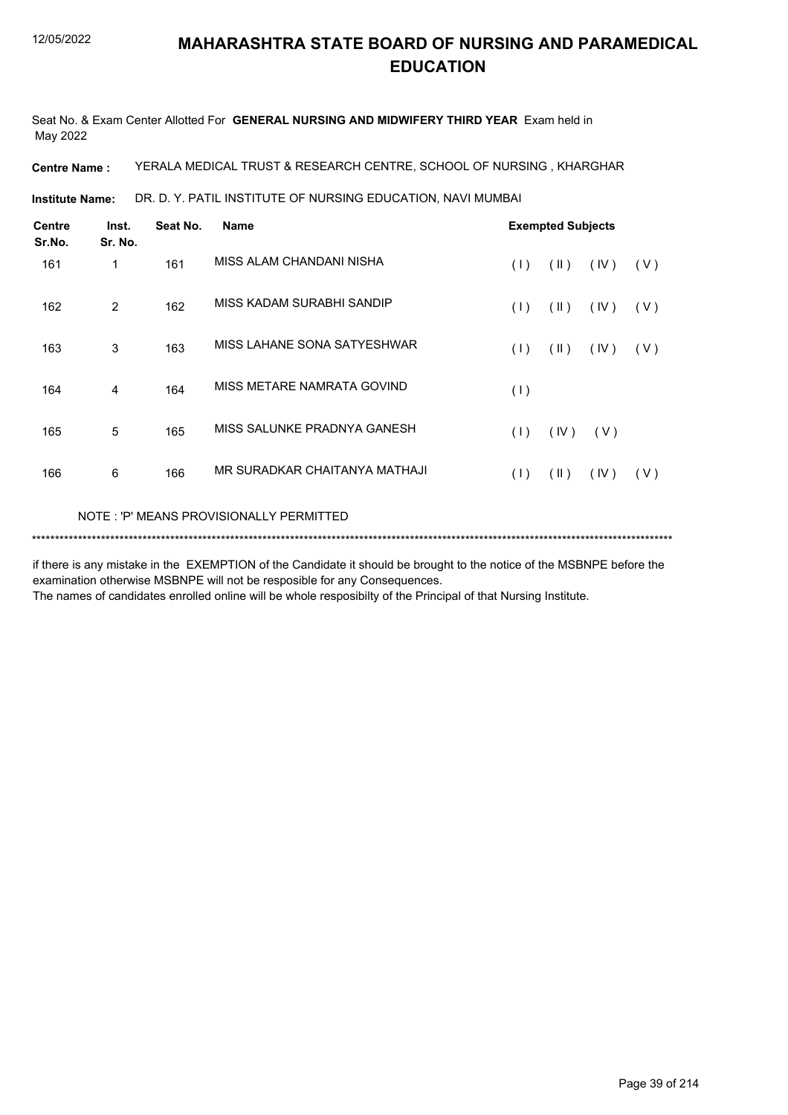Seat No. & Exam Center Allotted For **GENERAL NURSING AND MIDWIFERY THIRD YEAR** Exam held in May 2022

**Centre Name :** YERALA MEDICAL TRUST & RESEARCH CENTRE, SCHOOL OF NURSING , KHARGHAR

DR. D. Y. PATIL INSTITUTE OF NURSING EDUCATION, NAVI MUMBAI **Institute Name:**

| <b>Centre</b><br>Sr.No. | Inst.<br>Sr. No.                         | Seat No. | <b>Name</b>                   |     | <b>Exempted Subjects</b> |      |     |  |  |  |
|-------------------------|------------------------------------------|----------|-------------------------------|-----|--------------------------|------|-----|--|--|--|
| 161                     | 1                                        | 161      | MISS ALAM CHANDANI NISHA      | (1) | $(\parallel)$            | (IV) | (V) |  |  |  |
| 162                     | 2                                        | 162      | MISS KADAM SURABHI SANDIP     | (1) | (11)                     | (IV) | (V) |  |  |  |
| 163                     | 3                                        | 163      | MISS LAHANE SONA SATYESHWAR   | (1) | $(\parallel \parallel)$  | (IV) | (V) |  |  |  |
| 164                     | 4                                        | 164      | MISS METARE NAMRATA GOVIND    | (1) |                          |      |     |  |  |  |
| 165                     | 5                                        | 165      | MISS SALUNKE PRADNYA GANESH   | (1) | (IV)                     | (V)  |     |  |  |  |
| 166                     | 6                                        | 166      | MR SURADKAR CHAITANYA MATHAJI | (1) | (11)                     | (IV) | (V) |  |  |  |
|                         | NOTE : 'P' MEANS PROVISIONALLY PERMITTED |          |                               |     |                          |      |     |  |  |  |

\*\*\*\*\*\*\*\*\*\*\*\*\*\*\*\*\*\*\*\*\*\*\*\*\*\*\*\*\*\*\*\*\*\*\*\*\*\*\*\*\*\*\*\*\*\*\*\*\*\*\*\*\*\*\*\*\*\*\*\*\*\*\*\*\*\*\*\*\*\*\*\*\*\*\*\*\*\*\*\*\*\*\*\*\*\*\*\*\*\*\*\*\*\*\*\*\*\*\*\*\*\*\*\*\*\*\*\*\*\*\*\*\*\*\*\*\*\*\*\*\*\*\*\*\*\*\*\*\*\*\*\*\*\*\*\*\*\*\*

if there is any mistake in the EXEMPTION of the Candidate it should be brought to the notice of the MSBNPE before the examination otherwise MSBNPE will not be resposible for any Consequences.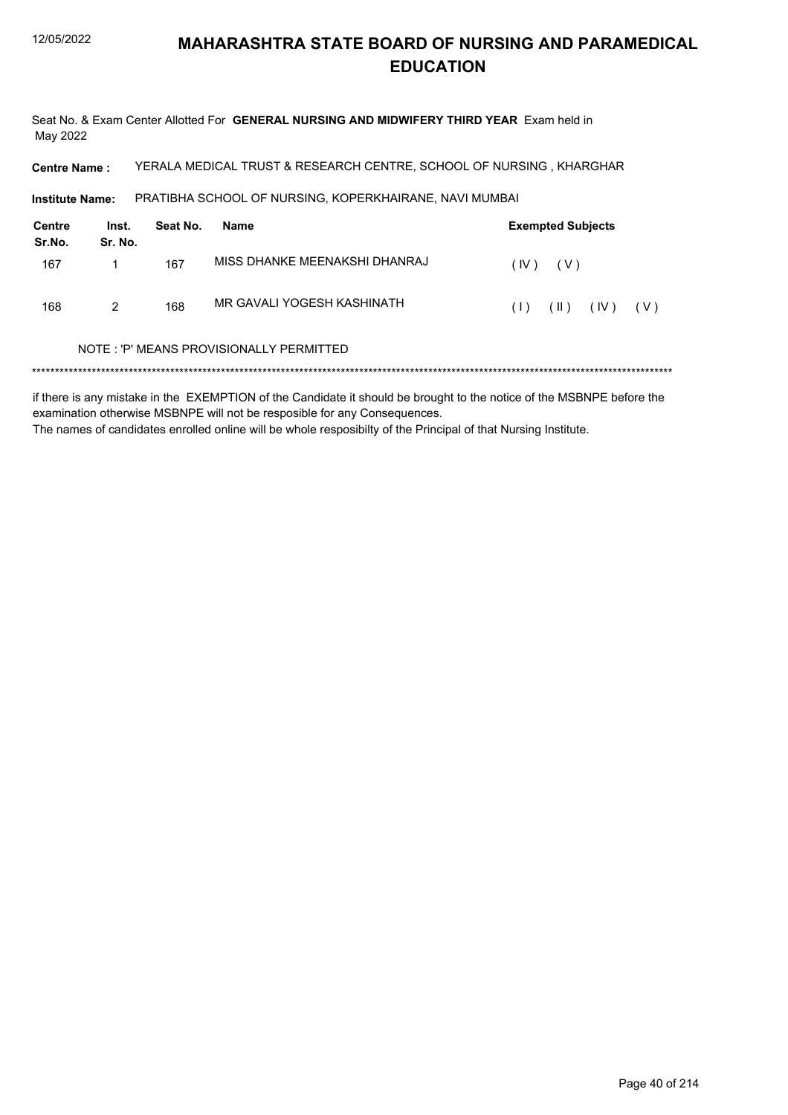Seat No. & Exam Center Allotted For GENERAL NURSING AND MIDWIFERY THIRD YEAR Exam held in May 2022

**Centre Name:** YERALA MEDICAL TRUST & RESEARCH CENTRE, SCHOOL OF NURSING, KHARGHAR

PRATIBHA SCHOOL OF NURSING, KOPERKHAIRANE, NAVI MUMBAI Institute Name:

| Centre<br>Sr.No. | Inst.<br>Sr. No. | Seat No. | Name                          |      | <b>Exempted Subjects</b> |      |     |
|------------------|------------------|----------|-------------------------------|------|--------------------------|------|-----|
| 167              |                  | 167      | MISS DHANKE MEENAKSHI DHANRAJ | (IV) | ( V )                    |      |     |
| 168              | 2                | 168      | MR GAVALI YOGESH KASHINATH    | (1)  | $(\parallel)$            | (IV) | (V) |

#### NOTE: 'P' MEANS PROVISIONALLY PERMITTED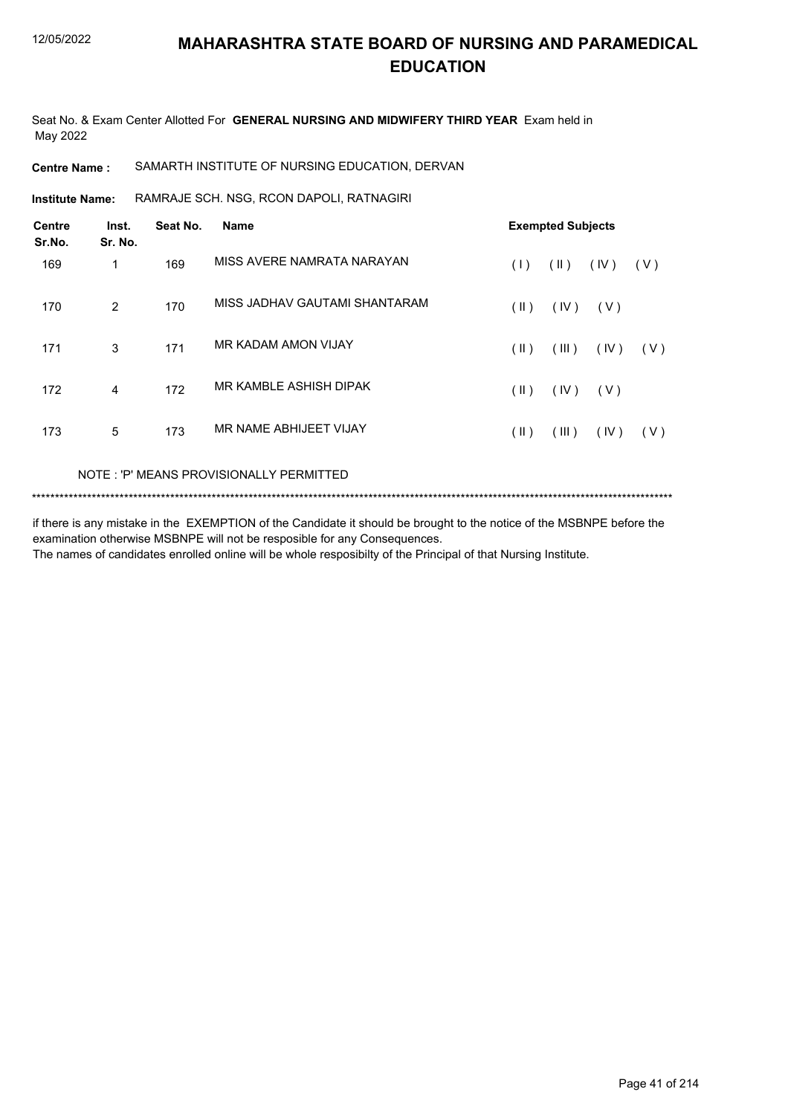Seat No. & Exam Center Allotted For **GENERAL NURSING AND MIDWIFERY THIRD YEAR** Exam held in May 2022

#### **Centre Name :** SAMARTH INSTITUTE OF NURSING EDUCATION, DERVAN

RAMRAJE SCH. NSG, RCON DAPOLI, RATNAGIRI **Institute Name:**

| <b>Centre</b><br>Sr.No. | Inst.<br>Sr. No. | Seat No. | <b>Name</b>                   |               | <b>Exempted Subjects</b> |       |       |
|-------------------------|------------------|----------|-------------------------------|---------------|--------------------------|-------|-------|
| 169                     | 1                | 169      | MISS AVERE NAMRATA NARAYAN    | (1)           | $(\parallel)$            | (IV)  | (V)   |
| 170                     | 2                | 170      | MISS JADHAV GAUTAMI SHANTARAM | $(\parallel)$ | (IV)                     | ( V ) |       |
| 171                     | 3                | 171      | MR KADAM AMON VIJAY           | (  )          | (III)                    | (IV)  | ( V ) |
| 172                     | 4                | 172      | MR KAMBLE ASHISH DIPAK        | (11)          | (IV)                     | (V)   |       |
| 173                     | 5                | 173      | MR NAME ABHIJEET VIJAY        | (II)          | (III)                    | (IV)  | (V)   |

#### NOTE : 'P' MEANS PROVISIONALLY PERMITTED

```
*******************************************************************************************************************************************
```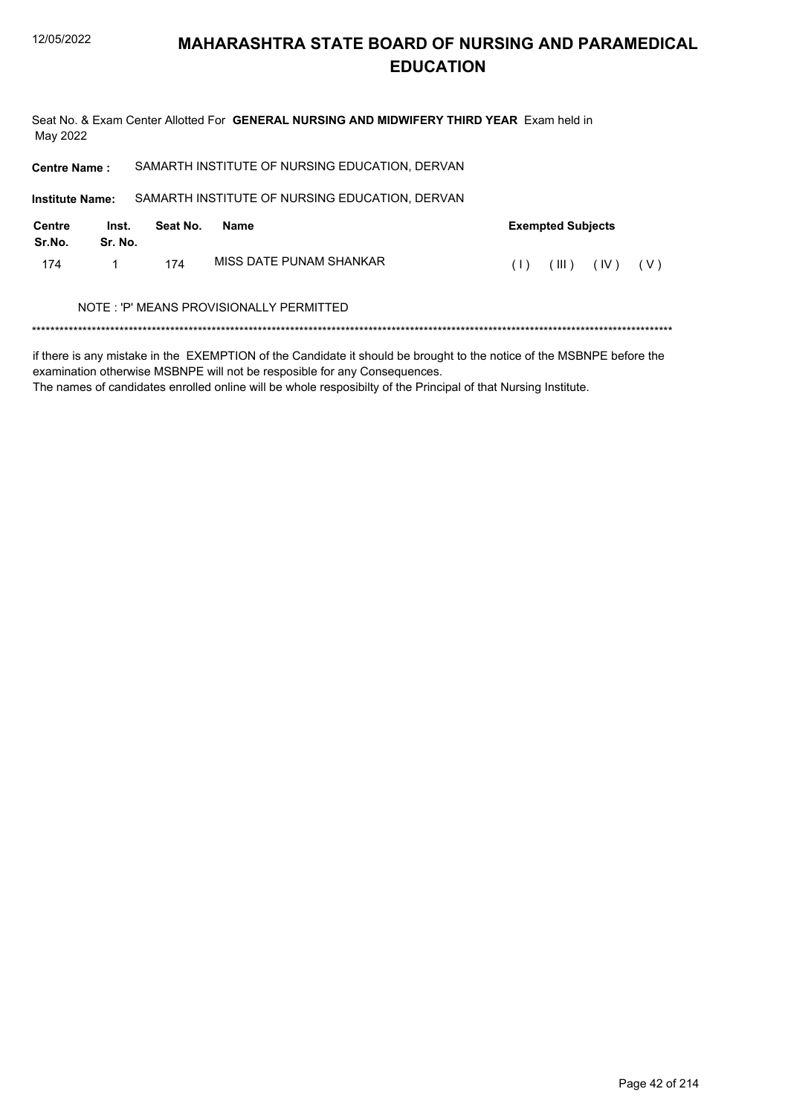Seat No. & Exam Center Allotted For GENERAL NURSING AND MIDWIFERY THIRD YEAR Exam held in May 2022

| <b>Centre Name:</b>     |                                          |          | SAMARTH INSTITUTE OF NURSING EDUCATION, DERVAN |     |                          |      |     |  |
|-------------------------|------------------------------------------|----------|------------------------------------------------|-----|--------------------------|------|-----|--|
| <b>Institute Name:</b>  |                                          |          | SAMARTH INSTITUTE OF NURSING EDUCATION, DERVAN |     |                          |      |     |  |
| <b>Centre</b><br>Sr.No. | Inst.<br>Sr. No.                         | Seat No. | <b>Name</b>                                    |     | <b>Exempted Subjects</b> |      |     |  |
| 174                     |                                          | 174      | MISS DATE PUNAM SHANKAR                        | (1) | (III)                    | (IV) | (V) |  |
|                         | NOTE : 'P' MEANS PROVISIONALLY PERMITTED |          |                                                |     |                          |      |     |  |
|                         |                                          |          |                                                |     |                          |      |     |  |

if there is any mistake in the EXEMPTION of the Candidate it should be brought to the notice of the MSBNPE before the examination otherwise MSBNPE will not be resposible for any Consequences.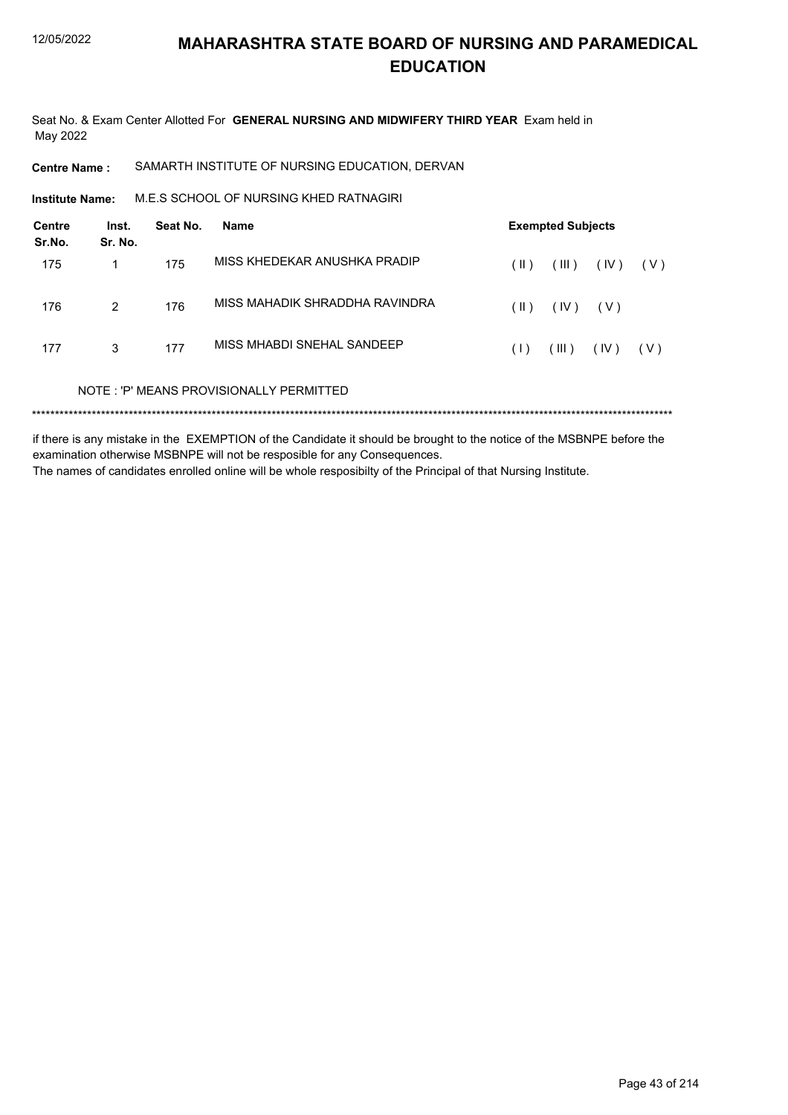Seat No. & Exam Center Allotted For **GENERAL NURSING AND MIDWIFERY THIRD YEAR** Exam held in May 2022

**Centre Name :** SAMARTH INSTITUTE OF NURSING EDUCATION, DERVAN

M.E.S SCHOOL OF NURSING KHED RATNAGIRI **Institute Name:**

| Centre<br>Sr.No. | Inst.<br>Sr. No. | Seat No. | Name                                    |      | <b>Exempted Subjects</b> |       |       |
|------------------|------------------|----------|-----------------------------------------|------|--------------------------|-------|-------|
| 175              | 1                | 175      | MISS KHFDFKAR ANUSHKA PRADIP            | (  ) | (III)                    | (IV)  | ( V ) |
| 176              | 2                | 176      | MISS MAHADIK SHRADDHA RAVINDRA          | (  ) | (IV)                     | ( V ) |       |
| 177              | 3                | 177      | MISS MHABDI SNEHAI SANDEEP              | (1)  | $($ III $)$              | (IV)  | ( V ) |
|                  |                  |          | NOTE: 'P' MEANS PROVISIONALLY PERMITTED |      |                          |       |       |
|                  |                  |          |                                         |      |                          |       |       |

if there is any mistake in the EXEMPTION of the Candidate it should be brought to the notice of the MSBNPE before the examination otherwise MSBNPE will not be resposible for any Consequences. The names of candidates enrolled online will be whole resposibilty of the Principal of that Nursing Institute.

Page 43 of 214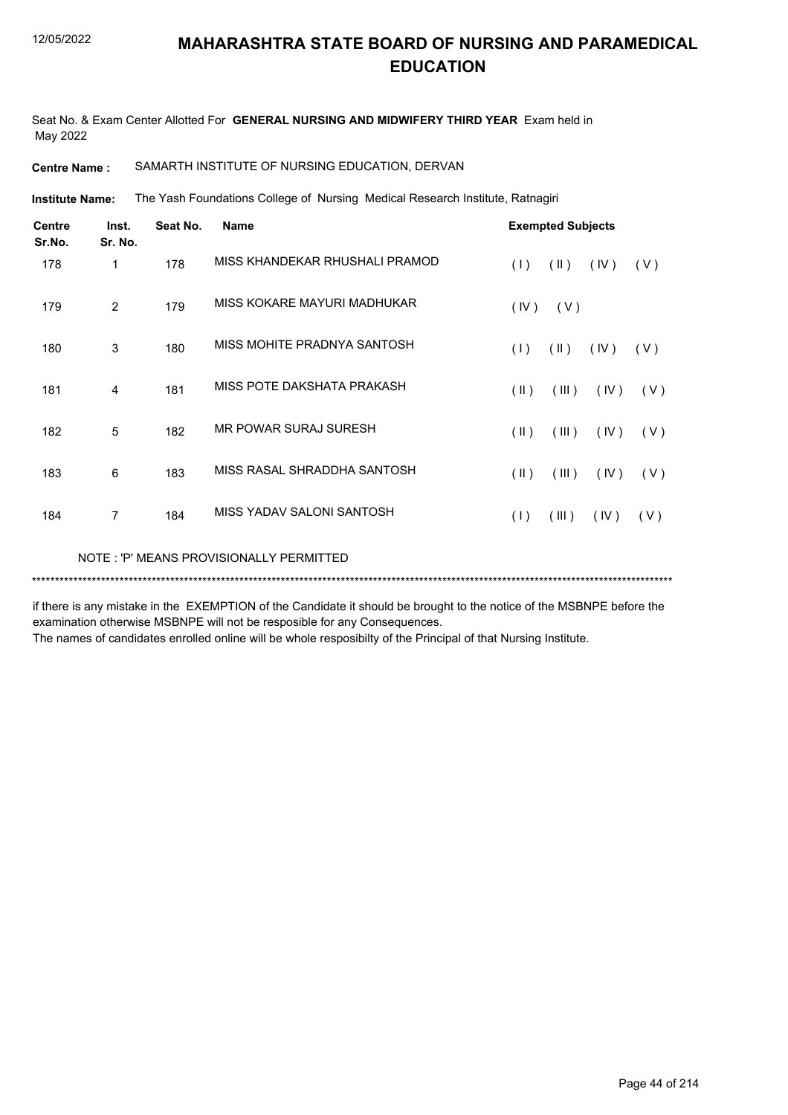Seat No. & Exam Center Allotted For **GENERAL NURSING AND MIDWIFERY THIRD YEAR** Exam held in May 2022

**Centre Name :** SAMARTH INSTITUTE OF NURSING EDUCATION, DERVAN

The Yash Foundations College of Nursing Medical Research Institute, Ratnagiri **Institute Name:**

| <b>Centre</b><br>Sr.No. | Inst.<br>Sr. No. | Seat No. | <b>Name</b>                             |               | <b>Exempted Subjects</b> |      |     |
|-------------------------|------------------|----------|-----------------------------------------|---------------|--------------------------|------|-----|
| 178                     | 1                | 178      | MISS KHANDEKAR RHUSHALI PRAMOD          | (1)           | $(\parallel)$            | (IV) | (V) |
| 179                     | 2                | 179      | MISS KOKARE MAYURI MADHUKAR             | (IV)          | (V)                      |      |     |
| 180                     | 3                | 180      | MISS MOHITE PRADNYA SANTOSH             | (1)           | $(\parallel)$            | (IV) | (V) |
| 181                     | 4                | 181      | MISS POTE DAKSHATA PRAKASH              | $(\parallel)$ | (III)                    | (IV) | (V) |
| 182                     | 5                | 182      | MR POWAR SURAJ SURESH                   | $(\parallel)$ | (III)                    | (IV) | (V) |
| 183                     | 6                | 183      | MISS RASAL SHRADDHA SANTOSH             | $(\parallel)$ | (III)                    | (IV) | (V) |
| 184                     | $\overline{7}$   | 184      | MISS YADAV SALONI SANTOSH               | (1)           | (III)                    | (IV) | (V) |
|                         |                  |          | NOTE: 'P' MEANS PROVISIONALLY PERMITTED |               |                          |      |     |

if there is any mistake in the EXEMPTION of the Candidate it should be brought to the notice of the MSBNPE before the examination otherwise MSBNPE will not be resposible for any Consequences.

\*\*\*\*\*\*\*\*\*\*\*\*\*\*\*\*\*\*\*\*\*\*\*\*\*\*\*\*\*\*\*\*\*\*\*\*\*\*\*\*\*\*\*\*\*\*\*\*\*\*\*\*\*\*\*\*\*\*\*\*\*\*\*\*\*\*\*\*\*\*\*\*\*\*\*\*\*\*\*\*\*\*\*\*\*\*\*\*\*\*\*\*\*\*\*\*\*\*\*\*\*\*\*\*\*\*\*\*\*\*\*\*\*\*\*\*\*\*\*\*\*\*\*\*\*\*\*\*\*\*\*\*\*\*\*\*\*\*\*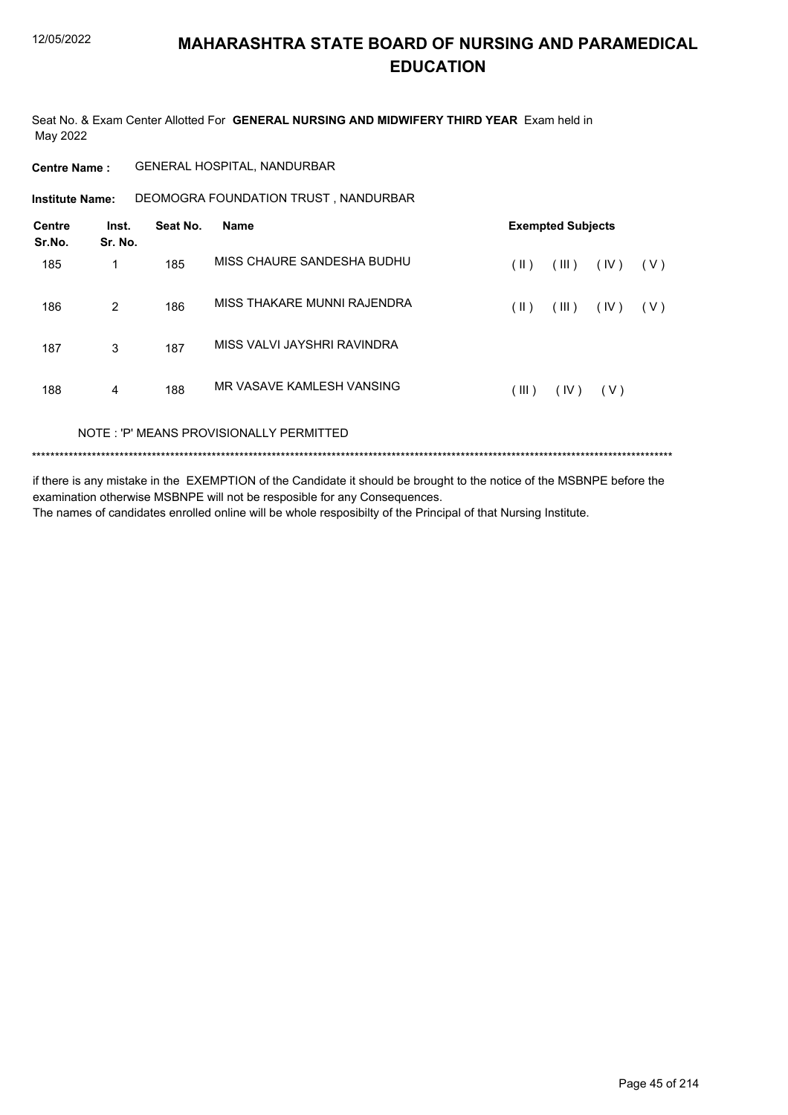Seat No. & Exam Center Allotted For **GENERAL NURSING AND MIDWIFERY THIRD YEAR** Exam held in May 2022

#### **Centre Name :** GENERAL HOSPITAL, NANDURBAR

**Institute Name: DEOMOGRA FOUNDATION TRUST, NANDURBAR** 

| Centre<br>Sr.No. | Inst.<br>Sr. No. | Seat No. | Name                                    |       | <b>Exempted Subjects</b> |      |     |
|------------------|------------------|----------|-----------------------------------------|-------|--------------------------|------|-----|
| 185              | 1                | 185      | MISS CHAURE SANDESHA BUDHU              | (  )  | (III)                    | (IV) | (V) |
| 186              | $\overline{2}$   | 186      | MISS THAKARE MUNNI RAJENDRA             | (  )  | (III)                    | (IV) | (V) |
| 187              | 3                | 187      | MISS VALVI JAYSHRI RAVINDRA             |       |                          |      |     |
| 188              | 4                | 188      | MR VASAVE KAMLESH VANSING               | (III) | (IV)                     | (V)  |     |
|                  |                  |          | NOTE: 'P' MEANS PROVISIONALLY PERMITTED |       |                          |      |     |

\*\*\*\*\*\*\*\*\*\*\*\*\*\*\*\*\*\*\*\*\*\*\*\*\*\*\*\*\*\*\*\*\*\*\*\*\*\*\*\*\*\*\*\*\*\*\*\*\*\*\*\*\*\*\*\*\*\*\*\*\*\*\*\*\*\*\*\*\*\*\*\*\*\*\*\*\*\*\*\*\*\*\*\*\*\*\*\*\*\*\*\*\*\*\*\*\*\*\*\*\*\*\*\*\*\*\*\*\*\*\*\*\*\*\*\*\*\*\*\*\*\*\*\*\*\*\*\*\*\*\*\*\*\*\*\*\*\*\*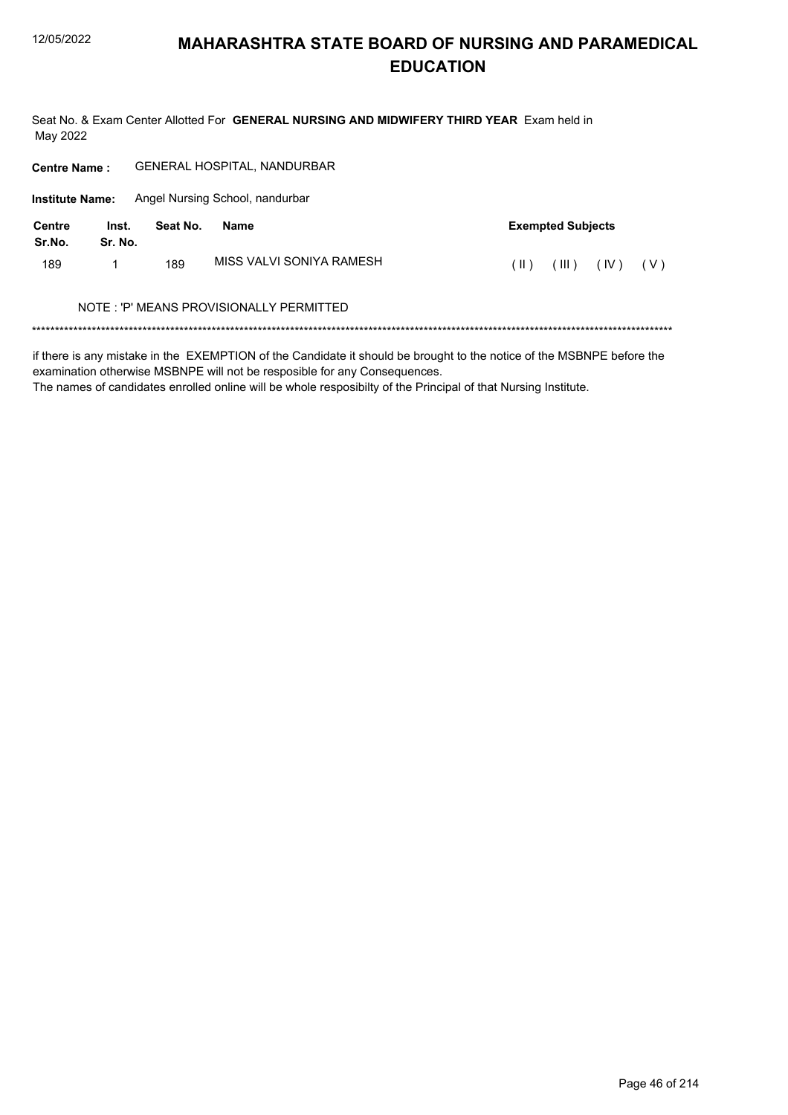Seat No. & Exam Center Allotted For GENERAL NURSING AND MIDWIFERY THIRD YEAR Exam held in May 2022

| <b>Centre Name:</b>     |                  |          | GENERAL HOSPITAL, NANDURBAR             |                                |
|-------------------------|------------------|----------|-----------------------------------------|--------------------------------|
| <b>Institute Name:</b>  |                  |          | Angel Nursing School, nandurbar         |                                |
| <b>Centre</b><br>Sr.No. | Inst.<br>Sr. No. | Seat No. | <b>Name</b>                             | <b>Exempted Subjects</b>       |
| 189                     |                  | 189      | MISS VALVI SONIYA RAMESH                | (  )<br>(III)<br>(IV)<br>( V ) |
|                         |                  |          | NOTE: 'P' MEANS PROVISIONALLY PERMITTED |                                |
|                         |                  |          |                                         |                                |

if there is any mistake in the EXEMPTION of the Candidate it should be brought to the notice of the MSBNPE before the examination otherwise MSBNPE will not be resposible for any Consequences.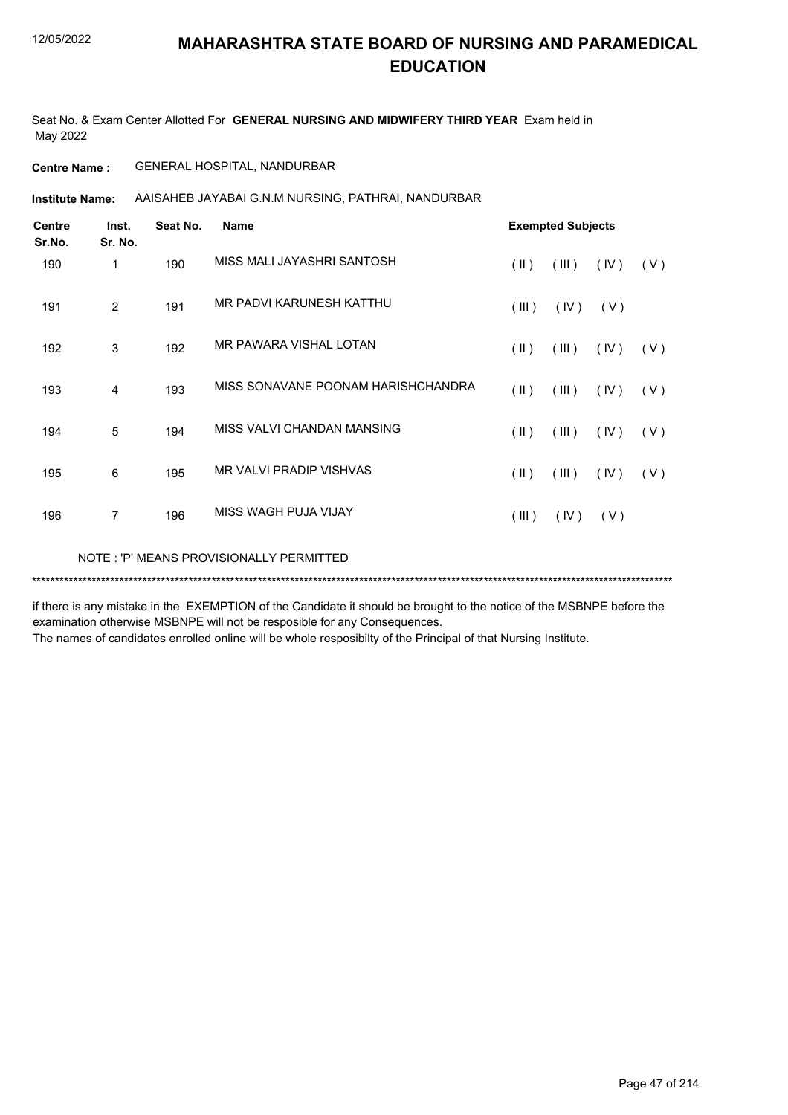Seat No. & Exam Center Allotted For **GENERAL NURSING AND MIDWIFERY THIRD YEAR** Exam held in May 2022

#### **Centre Name :** GENERAL HOSPITAL, NANDURBAR

**Institute Name:** AAISAHEB JAYABAI G.N.M NURSING, PATHRAI, NANDURBAR

| <b>Centre</b><br>Sr.No. | Inst.<br>Sr. No.                        | Seat No. | <b>Name</b>                        |               | <b>Exempted Subjects</b> |       |       |  |  |
|-------------------------|-----------------------------------------|----------|------------------------------------|---------------|--------------------------|-------|-------|--|--|
| 190                     | 1                                       | 190      | MISS MALI JAYASHRI SANTOSH         | $(\parallel)$ | (III)                    | (IV)  | (V)   |  |  |
| 191                     | 2                                       | 191      | MR PADVI KARUNESH KATTHU           | (III)         | (IV)                     | ( V ) |       |  |  |
| 192                     | 3                                       | 192      | MR PAWARA VISHAL LOTAN             | $(\parallel)$ | (III)                    | (IV)  | (V)   |  |  |
| 193                     | 4                                       | 193      | MISS SONAVANE POONAM HARISHCHANDRA | $(\parallel)$ | (III)                    | (IV)  | (V)   |  |  |
| 194                     | 5                                       | 194      | MISS VALVI CHANDAN MANSING         | $(\parallel)$ | (III)                    | (IV)  | ( V ) |  |  |
| 195                     | 6                                       | 195      | <b>MR VALVI PRADIP VISHVAS</b>     | $(\parallel)$ | (III)                    | (IV)  | (V)   |  |  |
| 196                     | $\overline{7}$                          | 196      | MISS WAGH PUJA VIJAY               | (III)         | (IV)                     | (V)   |       |  |  |
|                         | NOTE: 'P' MEANS PROVISIONALLY PERMITTED |          |                                    |               |                          |       |       |  |  |

if there is any mistake in the EXEMPTION of the Candidate it should be brought to the notice of the MSBNPE before the examination otherwise MSBNPE will not be resposible for any Consequences.

\*\*\*\*\*\*\*\*\*\*\*\*\*\*\*\*\*\*\*\*\*\*\*\*\*\*\*\*\*\*\*\*\*\*\*\*\*\*\*\*\*\*\*\*\*\*\*\*\*\*\*\*\*\*\*\*\*\*\*\*\*\*\*\*\*\*\*\*\*\*\*\*\*\*\*\*\*\*\*\*\*\*\*\*\*\*\*\*\*\*\*\*\*\*\*\*\*\*\*\*\*\*\*\*\*\*\*\*\*\*\*\*\*\*\*\*\*\*\*\*\*\*\*\*\*\*\*\*\*\*\*\*\*\*\*\*\*\*\*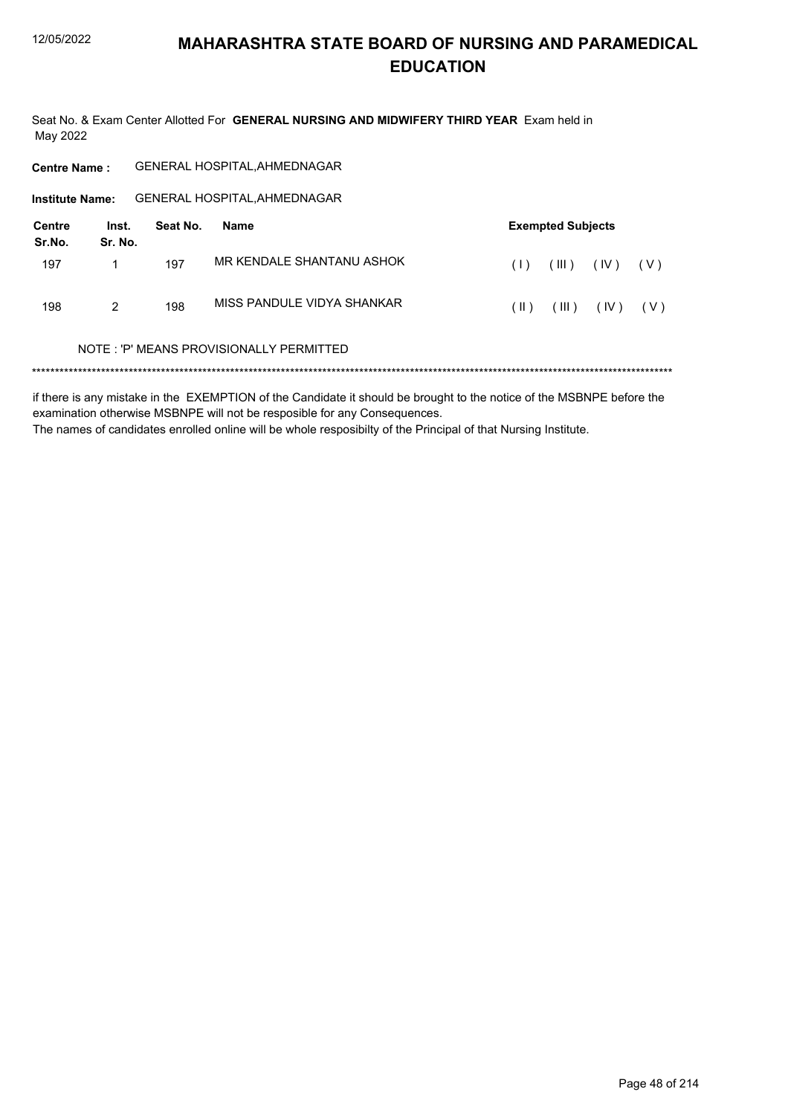Seat No. & Exam Center Allotted For GENERAL NURSING AND MIDWIFERY THIRD YEAR Exam held in May 2022

| <b>Centre Name:</b>    |                  |          | <b>GENERAL HOSPITAL, AHMEDNAGAR</b>     |                               |
|------------------------|------------------|----------|-----------------------------------------|-------------------------------|
| <b>Institute Name:</b> |                  |          | <b>GENERAL HOSPITAL, AHMEDNAGAR</b>     |                               |
| Centre<br>Sr.No.       | Inst.<br>Sr. No. | Seat No. | Name                                    | <b>Exempted Subjects</b>      |
| 197                    |                  | 197      | MR KENDALE SHANTANU ASHOK               | (III)<br>(IV)<br>(1)<br>( V ) |
| 198                    | 2                | 198      | MISS PANDULF VIDYA SHANKAR              | (  )<br>(III)<br>(IV)<br>(V)  |
|                        |                  |          | NOTE: 'P' MEANS PROVISIONALLY PERMITTED |                               |
|                        |                  |          |                                         |                               |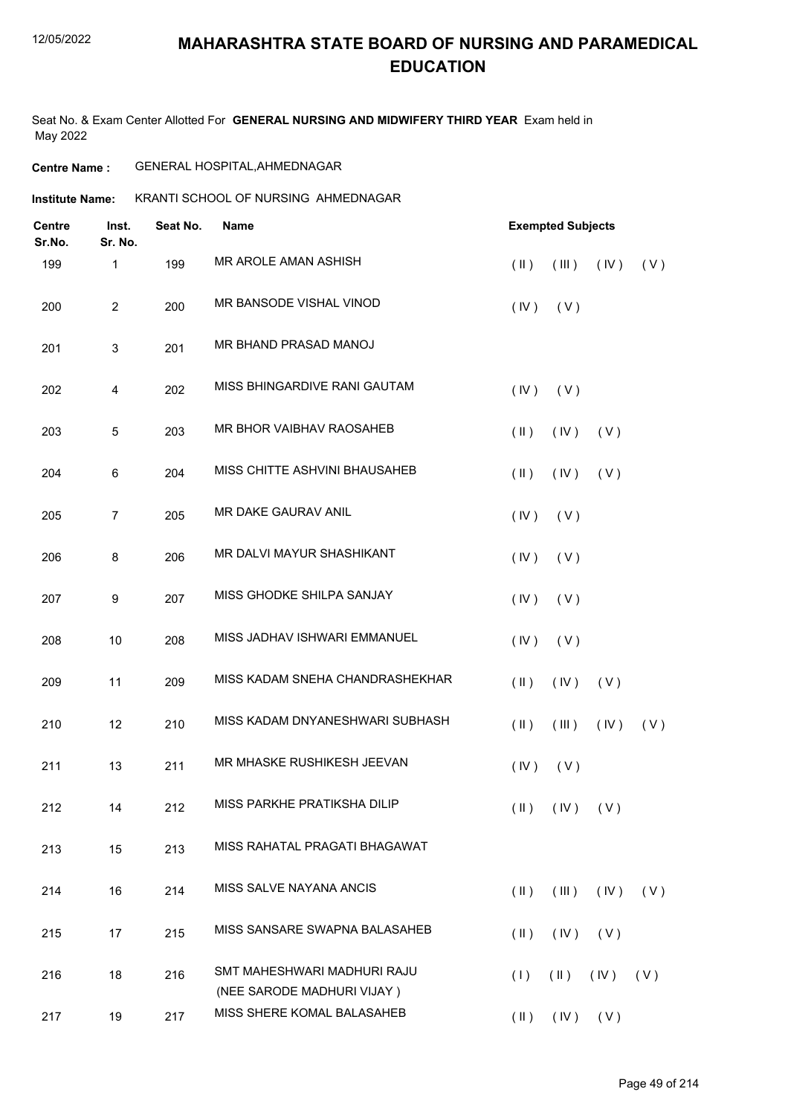#### 12/05/2022

## **MAHARASHTRA STATE BOARD OF NURSING AND PARAMEDICAL EDUCATION**

Seat No. & Exam Center Allotted For **GENERAL NURSING AND MIDWIFERY THIRD YEAR** Exam held in May 2022

#### **Centre Name :** GENERAL HOSPITAL,AHMEDNAGAR

#### **Institute Name: KRANTI SCHOOL OF NURSING AHMEDNAGAR**

| <b>Centre</b><br>Sr.No. | Inst.<br>Sr. No. | Seat No. | <b>Name</b>                                               | <b>Exempted Subjects</b> |             |  |  |
|-------------------------|------------------|----------|-----------------------------------------------------------|--------------------------|-------------|--|--|
| 199                     | 1                | 199      | MR AROLE AMAN ASHISH                                      | $(\parallel)$<br>(III)   | (V)<br>(IV) |  |  |
| 200                     | $\overline{c}$   | 200      | MR BANSODE VISHAL VINOD                                   | (IV)<br>(V)              |             |  |  |
| 201                     | $\mathbf{3}$     | 201      | MR BHAND PRASAD MANOJ                                     |                          |             |  |  |
| 202                     | 4                | 202      | MISS BHINGARDIVE RANI GAUTAM                              | (IV)<br>(V)              |             |  |  |
| 203                     | 5                | 203      | MR BHOR VAIBHAV RAOSAHEB                                  | $(\parallel)$<br>(IV)    | (V)         |  |  |
| 204                     | 6                | 204      | MISS CHITTE ASHVINI BHAUSAHEB                             | $($ II $)$<br>(IV)       | (V)         |  |  |
| 205                     | $\overline{7}$   | 205      | MR DAKE GAURAV ANIL                                       | (IV)<br>(V)              |             |  |  |
| 206                     | 8                | 206      | MR DALVI MAYUR SHASHIKANT                                 | (IV)<br>(V)              |             |  |  |
| 207                     | 9                | 207      | MISS GHODKE SHILPA SANJAY                                 | (IV)<br>(V)              |             |  |  |
| 208                     | 10               | 208      | MISS JADHAV ISHWARI EMMANUEL                              | (IV)<br>(V)              |             |  |  |
| 209                     | 11               | 209      | MISS KADAM SNEHA CHANDRASHEKHAR                           | (IV)<br>$(\parallel)$    | (V)         |  |  |
| 210                     | 12               | 210      | MISS KADAM DNYANESHWARI SUBHASH                           | $(\parallel)$<br>(III)   | (IV)<br>(V) |  |  |
| 211                     | 13               | 211      | MR MHASKE RUSHIKESH JEEVAN                                | (IV)<br>(V)              |             |  |  |
| 212                     | 14               | 212      | MISS PARKHE PRATIKSHA DILIP                               | $(II)$ $(IV)$ $(V)$      |             |  |  |
| 213                     | 15               | 213      | MISS RAHATAL PRAGATI BHAGAWAT                             |                          |             |  |  |
| 214                     | 16               | 214      | MISS SALVE NAYANA ANCIS                                   | $($ II $)$<br>(III)      | (IV)<br>(V) |  |  |
| 215                     | 17               | 215      | MISS SANSARE SWAPNA BALASAHEB                             | $(\parallel)$<br>(IV)    | (V)         |  |  |
| 216                     | 18               | 216      | SMT MAHESHWARI MADHURI RAJU<br>(NEE SARODE MADHURI VIJAY) | $(\parallel)$<br>(1)     | (IV)<br>(V) |  |  |
| 217                     | 19               | 217      | MISS SHERE KOMAL BALASAHEB                                | $(II)$ $(IV)$ $(V)$      |             |  |  |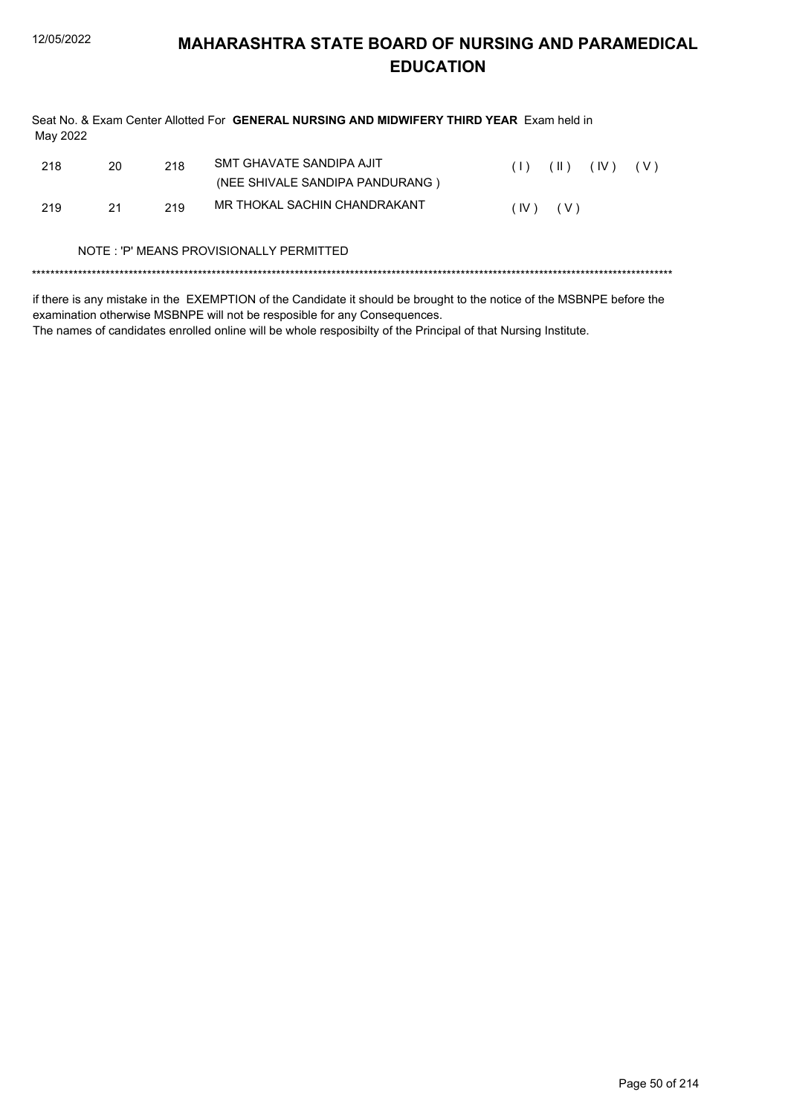| May 2022 |    |     | Seat No. & Exam Center Allotted For GENERAL NURSING AND MIDWIFERY THIRD YEAR Exam held in |      |               |      |       |
|----------|----|-----|-------------------------------------------------------------------------------------------|------|---------------|------|-------|
| 218      | 20 | 218 | SMT GHAVATE SANDIPA AJIT<br>(NEE SHIVALE SANDIPA PANDURANG)                               | (1)  | $(\parallel)$ | (IV) | ( V ) |
| 219      | 21 | 219 | MR THOKAL SACHIN CHANDRAKANT                                                              | (IV) | (V)           |      |       |
|          |    |     | NOTE : 'P' MEANS PROVISIONALLY PERMITTED                                                  |      |               |      |       |

if there is any mistake in the EXEMPTION of the Candidate it should be brought to the notice of the MSBNPE before the examination otherwise MSBNPE will not be resposible for any Consequences.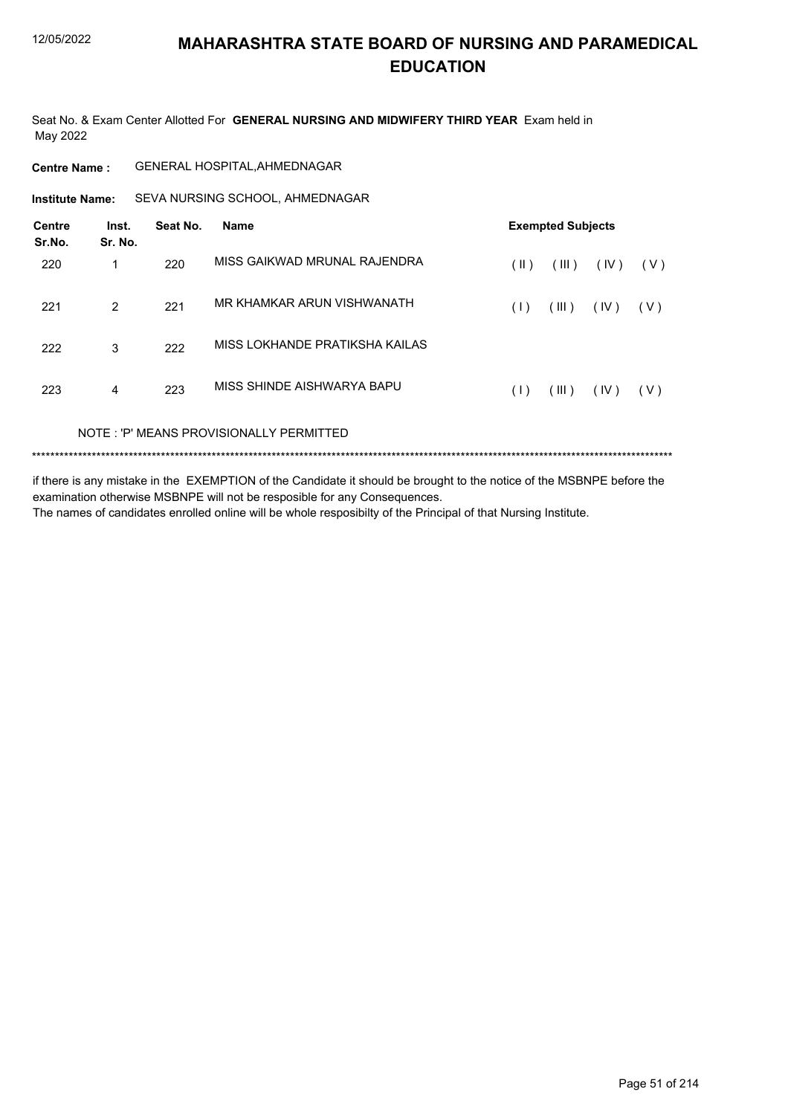Seat No. & Exam Center Allotted For **GENERAL NURSING AND MIDWIFERY THIRD YEAR** Exam held in May 2022

**Centre Name :** GENERAL HOSPITAL,AHMEDNAGAR

**Institute Name:** SEVA NURSING SCHOOL, AHMEDNAGAR

| <b>Centre</b><br>Sr.No. | Inst.<br>Sr. No. | Seat No. | <b>Name</b>                             | <b>Exempted Subjects</b> |       |      |       |
|-------------------------|------------------|----------|-----------------------------------------|--------------------------|-------|------|-------|
| 220                     | 1                | 220      | MISS GAIKWAD MRUNAL RAJENDRA            | (  )                     | (III) | (IV) | ( V ) |
| 221                     | 2                | 221      | MR KHAMKAR ARUN VISHWANATH              | (1)                      | (III) | (IV) | (V)   |
| 222                     | 3                | 222      | MISS LOKHANDE PRATIKSHA KAILAS          |                          |       |      |       |
| 223                     | 4                | 223      | MISS SHINDE AISHWARYA BAPU              | (1)                      | (III) | (IV) | ( V ) |
|                         |                  |          | NOTE: 'P' MEANS PROVISIONALLY PERMITTED |                          |       |      |       |

\*\*\*\*\*\*\*\*\*\*\*\*\*\*\*\*\*\*\*\*\*\*\*\*\*\*\*\*\*\*\*\*\*\*\*\*\*\*\*\*\*\*\*\*\*\*\*\*\*\*\*\*\*\*\*\*\*\*\*\*\*\*\*\*\*\*\*\*\*\*\*\*\*\*\*\*\*\*\*\*\*\*\*\*\*\*\*\*\*\*\*\*\*\*\*\*\*\*\*\*\*\*\*\*\*\*\*\*\*\*\*\*\*\*\*\*\*\*\*\*\*\*\*\*\*\*\*\*\*\*\*\*\*\*\*\*\*\*\*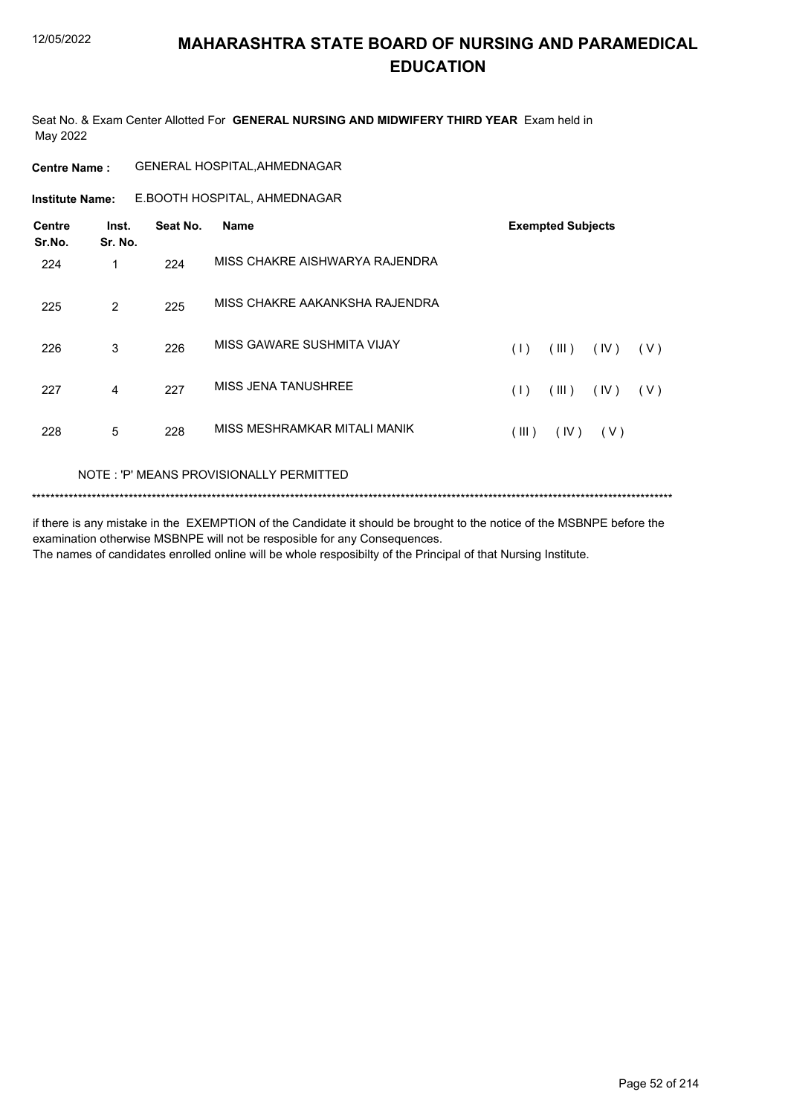Seat No. & Exam Center Allotted For **GENERAL NURSING AND MIDWIFERY THIRD YEAR** Exam held in May 2022

| <b>Centre Name:</b>     |                  |          | <b>GENERAL HOSPITAL, AHMEDNAGAR</b> |                               |
|-------------------------|------------------|----------|-------------------------------------|-------------------------------|
| <b>Institute Name:</b>  |                  |          | E.BOOTH HOSPITAL, AHMEDNAGAR        |                               |
| <b>Centre</b><br>Sr.No. | Inst.<br>Sr. No. | Seat No. | <b>Name</b>                         | <b>Exempted Subjects</b>      |
| 224                     | 1                | 224      | MISS CHAKRE AISHWARYA RAJENDRA      |                               |
| 225                     | 2                | 225      | MISS CHAKRE AAKANKSHA RAJENDRA      |                               |
| 226                     | 3                | 226      | MISS GAWARE SUSHMITA VIJAY          | (1)<br>(III)<br>(IV)<br>( V ) |
| 227                     | 4                | 227      | <b>MISS JENA TANUSHREE</b>          | (1)<br>(III)<br>(IV)<br>(V)   |
| 228                     | 5                | 228      | MISS MESHRAMKAR MITALI MANIK        | (III)<br>(IV)<br>(V)          |
|                         |                  |          |                                     |                               |

#### NOTE : 'P' MEANS PROVISIONALLY PERMITTED

\*\*\*\*\*\*\*\*\*\*\*\*\*\*\*\*\*\*\*\*\*\*\*\*\*\*\*\*\*\*\*\*\*\*\*\*\*\*\*\*\*\*\*\*\*\*\*\*\*\*\*\*\*\*\*\*\*\*\*\*\*\*\*\*\*\*\*\*\*\*\*\*\*\*\*\*\*\*\*\*\*\*\*\*\*\*\*\*\*\*\*\*\*\*\*\*\*\*\*\*\*\*\*\*\*\*\*\*\*\*\*\*\*\*\*\*\*\*\*\*\*\*\*\*\*\*\*\*\*\*\*\*\*\*\*\*\*\*\*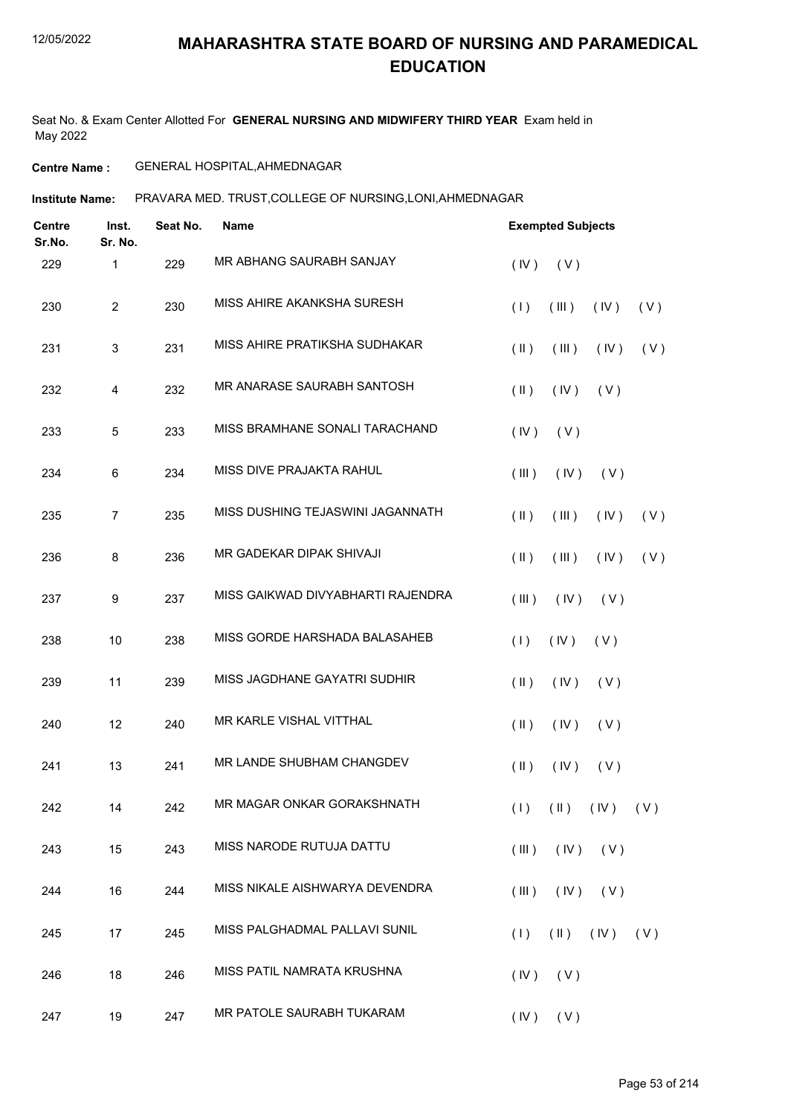Seat No. & Exam Center Allotted For **GENERAL NURSING AND MIDWIFERY THIRD YEAR** Exam held in May 2022

#### **Centre Name :** GENERAL HOSPITAL,AHMEDNAGAR

**Institute Name: PRAVARA MED. TRUST,COLLEGE OF NURSING,LONI,AHMEDNAGAR** 

| <b>Centre</b><br>Sr.No. | Inst.<br>Sr. No. | Seat No. | <b>Name</b>                       | <b>Exempted Subjects</b>      |                             |     |
|-------------------------|------------------|----------|-----------------------------------|-------------------------------|-----------------------------|-----|
| 229                     | 1                | 229      | MR ABHANG SAURABH SANJAY          | (IV)<br>(V)                   |                             |     |
| 230                     | $\overline{2}$   | 230      | MISS AHIRE AKANKSHA SURESH        | (III)<br>(1)                  | (IV)                        | (V) |
| 231                     | 3                | 231      | MISS AHIRE PRATIKSHA SUDHAKAR     | $(\parallel)$<br>(III)        | (IV)                        | (V) |
| 232                     | 4                | 232      | MR ANARASE SAURABH SANTOSH        | $(\parallel)$<br>(IV)         | (V)                         |     |
| 233                     | 5                | 233      | MISS BRAMHANE SONALI TARACHAND    | (IV)<br>(V)                   |                             |     |
| 234                     | 6                | 234      | MISS DIVE PRAJAKTA RAHUL          | (III)<br>(IV)                 | (V)                         |     |
| 235                     | $\overline{7}$   | 235      | MISS DUSHING TEJASWINI JAGANNATH  | $(\parallel)$<br>$($ III $)$  | (IV)                        | (V) |
| 236                     | 8                | 236      | MR GADEKAR DIPAK SHIVAJI          | $(\parallel)$<br>(III)        | (IV)                        | (V) |
| 237                     | 9                | 237      | MISS GAIKWAD DIVYABHARTI RAJENDRA | (III)<br>(IV)                 | (V)                         |     |
| 238                     | 10               | 238      | MISS GORDE HARSHADA BALASAHEB     | (IV)<br>(1)                   | (V)                         |     |
| 239                     | 11               | 239      | MISS JAGDHANE GAYATRI SUDHIR      | $(\parallel)$<br>(IV)         | (V)                         |     |
| 240                     | 12               | 240      | MR KARLE VISHAL VITTHAL           | $(\parallel)$<br>(IV)         | (V)                         |     |
| 241                     | 13               | 241      | MR LANDE SHUBHAM CHANGDEV         | $(\parallel)$<br>(IV)         | (V)                         |     |
| 242                     | 14               | 242      | MR MAGAR ONKAR GORAKSHNATH        | $(1)$ $(1)$ $(1)$ $(1)$ $(1)$ |                             |     |
| 243                     | 15               | 243      | MISS NARODE RUTUJA DATTU          | (III)<br>$($ IV $)$           | (V)                         |     |
| 244                     | 16               | 244      | MISS NIKALE AISHWARYA DEVENDRA    | (III)<br>(IV)                 | (V)                         |     |
| 245                     | 17               | 245      | MISS PALGHADMAL PALLAVI SUNIL     | (1)                           | $(\parallel)$ $(\parallel)$ | (V) |
| 246                     | 18               | 246      | MISS PATIL NAMRATA KRUSHNA        | (IV)<br>(V)                   |                             |     |
| 247                     | 19               | 247      | MR PATOLE SAURABH TUKARAM         | $(IV)$ $(V)$                  |                             |     |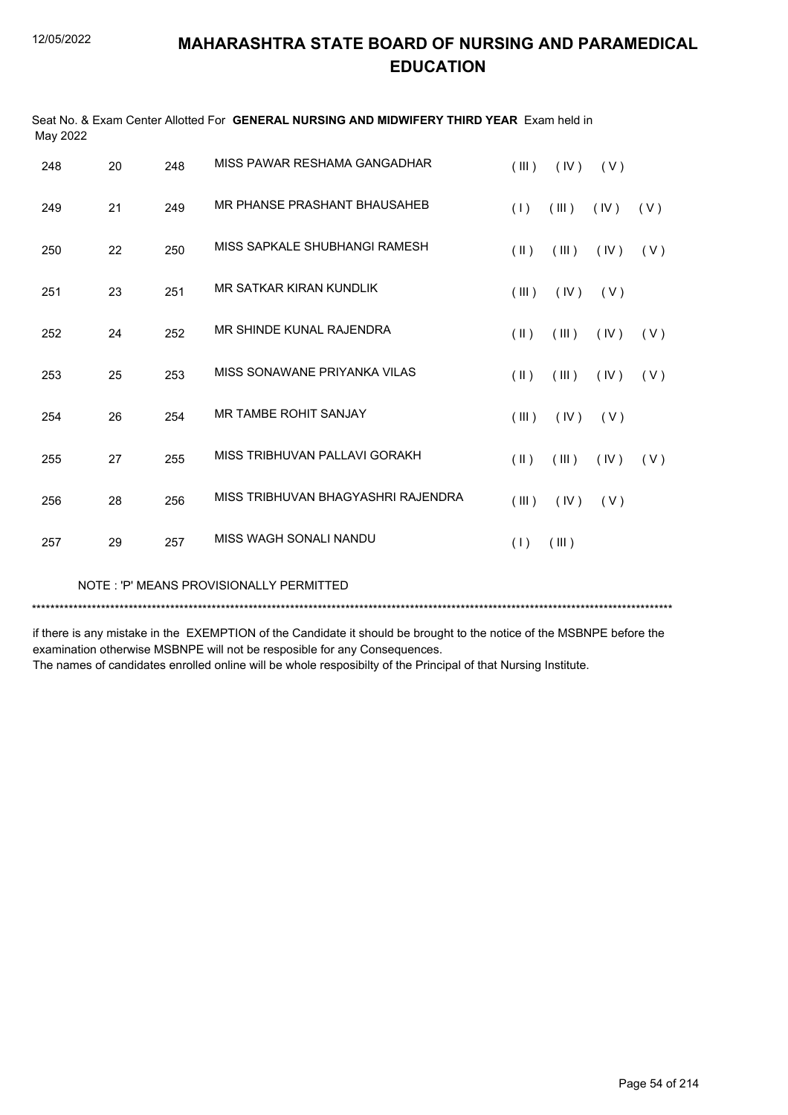| May 2022 |    |     |                                    |               |       |      |     |
|----------|----|-----|------------------------------------|---------------|-------|------|-----|
| 248      | 20 | 248 | MISS PAWAR RESHAMA GANGADHAR       | (III)         | (IV)  | (V)  |     |
| 249      | 21 | 249 | MR PHANSE PRASHANT BHAUSAHEB       | (1)           | (III) | (IV) | (V) |
| 250      | 22 | 250 | MISS SAPKALE SHUBHANGI RAMESH      | $(\parallel)$ | (III) | (IV) | (V) |
| 251      | 23 | 251 | MR SATKAR KIRAN KUNDLIK            | (III)         | (IV)  | (V)  |     |
| 252      | 24 | 252 | MR SHINDE KUNAL RAJENDRA           | $($ II $)$    | (III) | (IV) | (V) |
| 253      | 25 | 253 | MISS SONAWANE PRIYANKA VILAS       | $(\parallel)$ | (III) | (IV) | (V) |
| 254      | 26 | 254 | <b>MR TAMBE ROHIT SANJAY</b>       | (III)         | (IV)  | (V)  |     |
| 255      | 27 | 255 | MISS TRIBHUVAN PALLAVI GORAKH      | $($ II $)$    | (III) | (IV) | (V) |
| 256      | 28 | 256 | MISS TRIBHUVAN BHAGYASHRI RAJENDRA | (III)         | (IV)  | (V)  |     |
| 257      | 29 | 257 | MISS WAGH SONALI NANDU             | (1)           | (III) |      |     |
|          |    |     |                                    |               |       |      |     |

Seat No. & Exam Center Allotted For **GENERAL NURSING AND MIDWIFERY THIRD YEAR** Exam held in

NOTE : 'P' MEANS PROVISIONALLY PERMITTED

\*\*\*\*\*\*\*\*\*\*\*\*\*\*\*\*\*\*\*\*\*\*\*\*\*\*\*\*\*\*\*\*\*\*\*\*\*\*\*\*\*\*\*\*\*\*\*\*\*\*\*\*\*\*\*\*\*\*\*\*\*\*\*\*\*\*\*\*\*\*\*\*\*\*\*\*\*\*\*\*\*\*\*\*\*\*\*\*\*\*\*\*\*\*\*\*\*\*\*\*\*\*\*\*\*\*\*\*\*\*\*\*\*\*\*\*\*\*\*\*\*\*\*\*\*\*\*\*\*\*\*\*\*\*\*\*\*\*\*

if there is any mistake in the EXEMPTION of the Candidate it should be brought to the notice of the MSBNPE before the examination otherwise MSBNPE will not be resposible for any Consequences.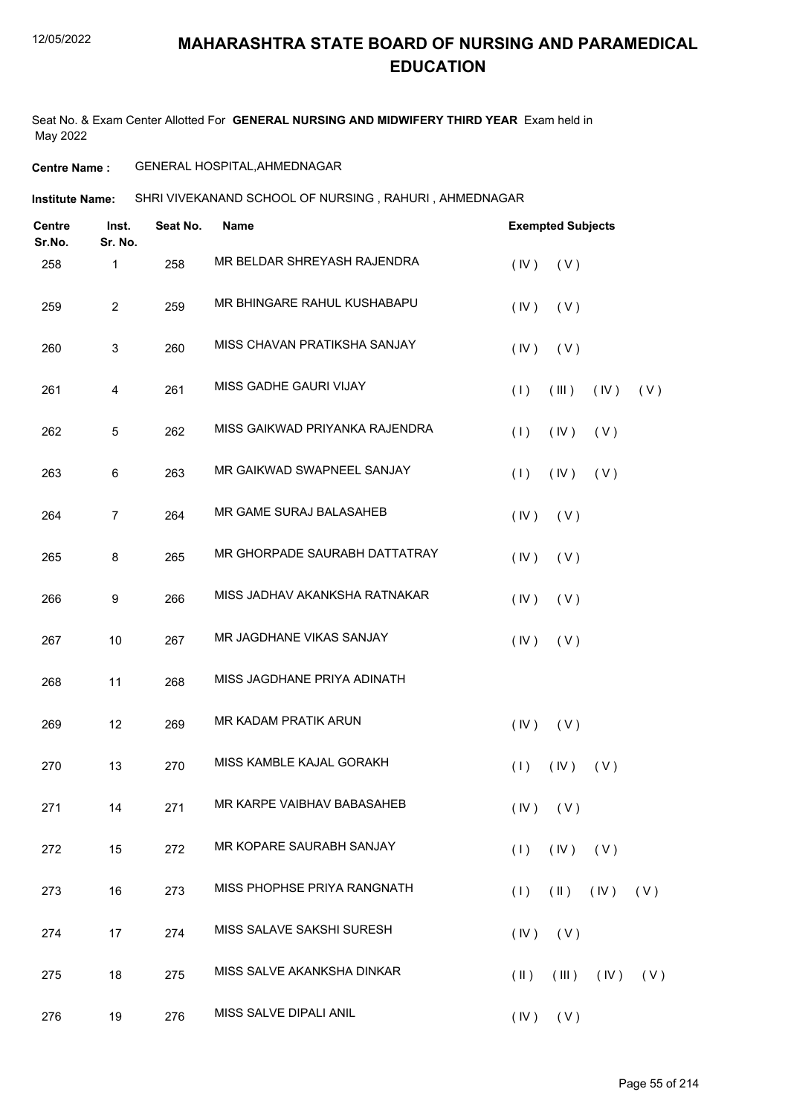Seat No. & Exam Center Allotted For **GENERAL NURSING AND MIDWIFERY THIRD YEAR** Exam held in May 2022

#### **Centre Name :** GENERAL HOSPITAL,AHMEDNAGAR

**Institute Name:** SHRI VIVEKANAND SCHOOL OF NURSING , RAHURI , AHMEDNAGAR

| <b>Centre</b><br>Sr.No. | Inst.<br>Sr. No. | Seat No. | <b>Name</b>                    | <b>Exempted Subjects</b>                    |
|-------------------------|------------------|----------|--------------------------------|---------------------------------------------|
| 258                     | 1                | 258      | MR BELDAR SHREYASH RAJENDRA    | (IV)<br>(V)                                 |
| 259                     | $\overline{c}$   | 259      | MR BHINGARE RAHUL KUSHABAPU    | (IV)<br>(V)                                 |
| 260                     | 3                | 260      | MISS CHAVAN PRATIKSHA SANJAY   | $($ IV $)$<br>(V)                           |
| 261                     | 4                | 261      | MISS GADHE GAURI VIJAY         | (1)<br>(III)<br>(IV)<br>(V)                 |
| 262                     | 5                | 262      | MISS GAIKWAD PRIYANKA RAJENDRA | (1)<br>(IV)<br>(V)                          |
| 263                     | 6                | 263      | MR GAIKWAD SWAPNEEL SANJAY     | (1)<br>(IV)<br>(V)                          |
| 264                     | $\overline{7}$   | 264      | MR GAME SURAJ BALASAHEB        | (IV)<br>(V)                                 |
| 265                     | 8                | 265      | MR GHORPADE SAURABH DATTATRAY  | (IV)<br>(V)                                 |
| 266                     | 9                | 266      | MISS JADHAV AKANKSHA RATNAKAR  | (IV)<br>(V)                                 |
| 267                     | 10               | 267      | MR JAGDHANE VIKAS SANJAY       | (IV)<br>(V)                                 |
| 268                     | 11               | 268      | MISS JAGDHANE PRIYA ADINATH    |                                             |
| 269                     | 12               | 269      | MR KADAM PRATIK ARUN           | (IV)<br>(V)                                 |
| 270                     | 13               | 270      | MISS KAMBLE KAJAL GORAKH       | (1)<br>(IV)<br>(V)                          |
| 271                     | 14               | 271      | MR KARPE VAIBHAV BABASAHEB     | $(IV)$ $(V)$                                |
| 272                     | 15               | 272      | MR KOPARE SAURABH SANJAY       | (IV)<br>(1)<br>(V)                          |
| 273                     | 16               | 273      | MISS PHOPHSE PRIYA RANGNATH    | (1)<br>$(\parallel)$<br>(IV)<br>(V)         |
| 274                     | 17               | 274      | MISS SALAVE SAKSHI SURESH      | $(IV)$ $(V)$                                |
| 275                     | 18               | 275      | MISS SALVE AKANKSHA DINKAR     | $($ IV $)$<br>$(\parallel)$<br>(III)<br>(V) |
| 276                     | 19               | 276      | MISS SALVE DIPALI ANIL         | $(IV)$ $(V)$                                |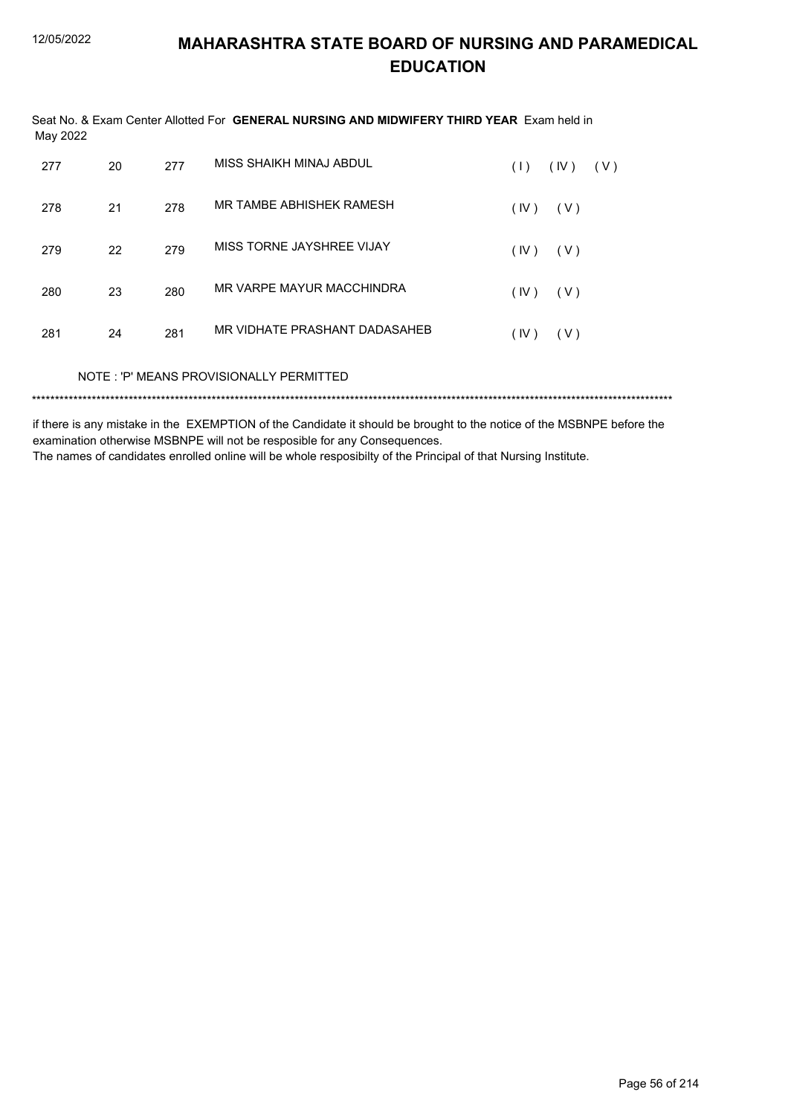# **MAHARASHTRA STATE BOARD OF NURSING AND PARAMEDICAL EDUCATION**

| May 2022 |    |     | Seat No. & Exam Center Allotted For GENERAL NURSING AND MIDWIFERY THIRD YEAR Exam held in |                    |
|----------|----|-----|-------------------------------------------------------------------------------------------|--------------------|
| 277      | 20 | 277 | MISS SHAIKH MINAJ ABDUL                                                                   | (IV)<br>(V)<br>(1) |
| 278      | 21 | 278 | MR TAMBE ABHISHEK RAMESH                                                                  | (IV)<br>(V)        |
| 279      | 22 | 279 | MISS TORNE JAYSHREE VIJAY                                                                 | (IV)<br>( V )      |
| 280      | 23 | 280 | MR VARPE MAYUR MACCHINDRA                                                                 | (IV)<br>( V )      |
| 281      | 24 | 281 | MR VIDHATE PRASHANT DADASAHEB                                                             | (IV)<br>( V )      |
|          |    |     | NOTE: 'P' MEANS PROVISIONALLY PERMITTED                                                   |                    |
|          |    |     |                                                                                           |                    |

if there is any mistake in the EXEMPTION of the Candidate it should be brought to the notice of the MSBNPE before the examination otherwise MSBNPE will not be resposible for any Consequences.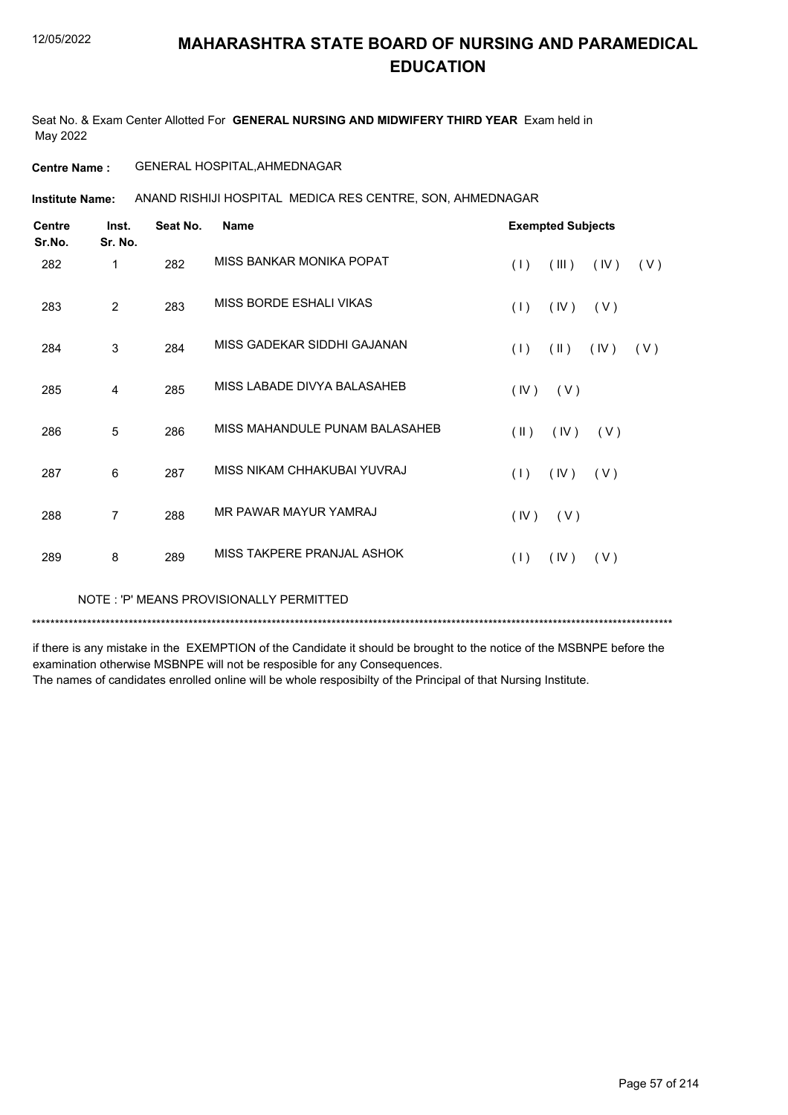Seat No. & Exam Center Allotted For **GENERAL NURSING AND MIDWIFERY THIRD YEAR** Exam held in May 2022

#### **Centre Name :** GENERAL HOSPITAL,AHMEDNAGAR

**Institute Name:** ANAND RISHIJI HOSPITAL MEDICA RES CENTRE, SON, AHMEDNAGAR

| <b>Centre</b><br>Sr.No. | Inst.<br>Sr. No. | Seat No. | <b>Name</b>                    |                         | <b>Exempted Subjects</b> |      |     |
|-------------------------|------------------|----------|--------------------------------|-------------------------|--------------------------|------|-----|
| 282                     | 1                | 282      | MISS BANKAR MONIKA POPAT       | (1)                     | (III)                    | (IV) | (V) |
| 283                     | 2                | 283      | MISS BORDE ESHALI VIKAS        | (1)                     | (IV)                     | (V)  |     |
| 284                     | 3                | 284      | MISS GADEKAR SIDDHI GAJANAN    | (1)                     | $(\parallel)$            | (IV) | (V) |
| 285                     | 4                | 285      | MISS LABADE DIVYA BALASAHEB    | (IV)                    | (V)                      |      |     |
| 286                     | 5                | 286      | MISS MAHANDULE PUNAM BALASAHEB | $(\parallel \parallel)$ | (IV)                     | (V)  |     |
| 287                     | 6                | 287      | MISS NIKAM CHHAKUBAI YUVRAJ    | (1)                     | (IV)                     | (V)  |     |
| 288                     | 7                | 288      | MR PAWAR MAYUR YAMRAJ          | (IV)                    | (V)                      |      |     |
| 289                     | 8                | 289      | MISS TAKPERE PRANJAL ASHOK     | (1)                     | (IV)                     | (V)  |     |

NOTE : 'P' MEANS PROVISIONALLY PERMITTED

\*\*\*\*\*\*\*\*\*\*\*\*\*\*\*\*\*\*\*\*\*\*\*\*\*\*\*\*\*\*\*\*\*\*\*\*\*\*\*\*\*\*\*\*\*\*\*\*\*\*\*\*\*\*\*\*\*\*\*\*\*\*\*\*\*\*\*\*\*\*\*\*\*\*\*\*\*\*\*\*\*\*\*\*\*\*\*\*\*\*\*\*\*\*\*\*\*\*\*\*\*\*\*\*\*\*\*\*\*\*\*\*\*\*\*\*\*\*\*\*\*\*\*\*\*\*\*\*\*\*\*\*\*\*\*\*\*\*\*

if there is any mistake in the EXEMPTION of the Candidate it should be brought to the notice of the MSBNPE before the examination otherwise MSBNPE will not be resposible for any Consequences.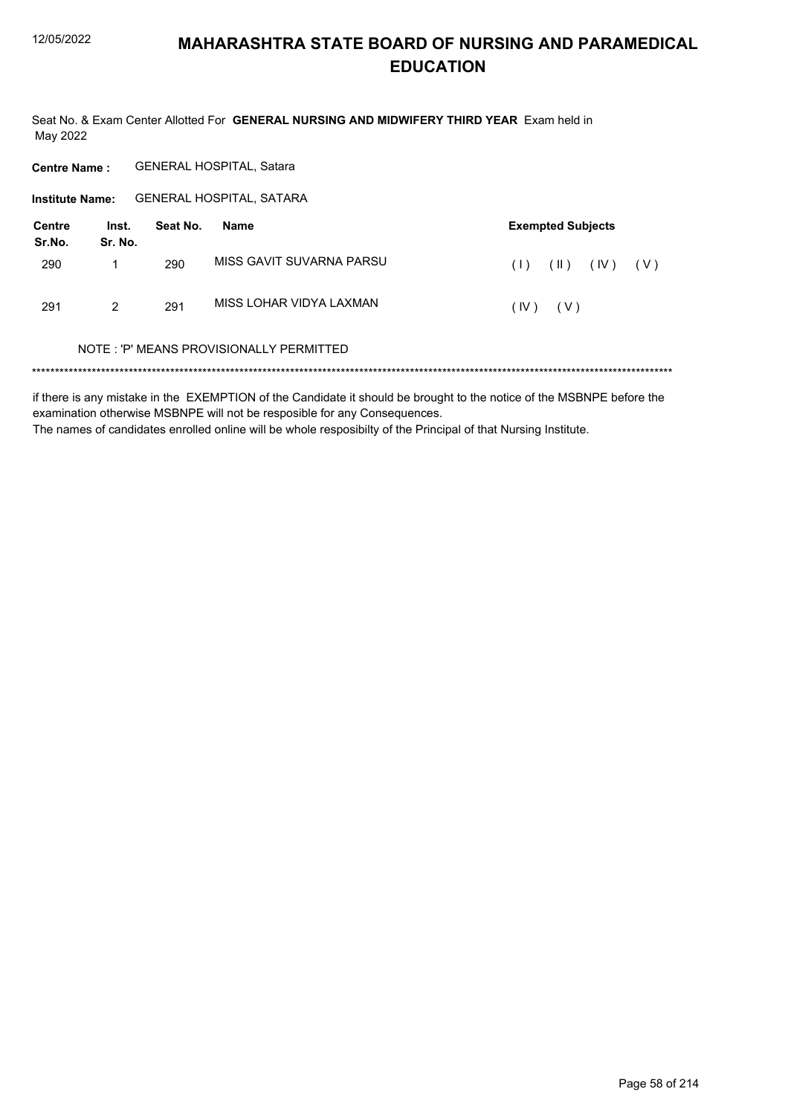Seat No. & Exam Center Allotted For GENERAL NURSING AND MIDWIFERY THIRD YEAR Exam held in May 2022

**Centre Name:** GENERAL HOSPITAL, Satara

Institute Name: GENERAL HOSPITAL, SATARA

| <b>Centre</b><br>Sr.No. | Inst.<br>Sr. No. | Seat No. | Name                     | <b>Exempted Subjects</b>            |  |
|-------------------------|------------------|----------|--------------------------|-------------------------------------|--|
| 290                     |                  | 290      | MISS GAVIT SUVARNA PARSU | $(\parallel)$<br>(IV)<br>(1)<br>(V) |  |
| 291                     | 2                | 291      | MISS LOHAR VIDYA LAXMAN  | (IV)<br>( V )                       |  |

#### NOTE: 'P' MEANS PROVISIONALLY PERMITTED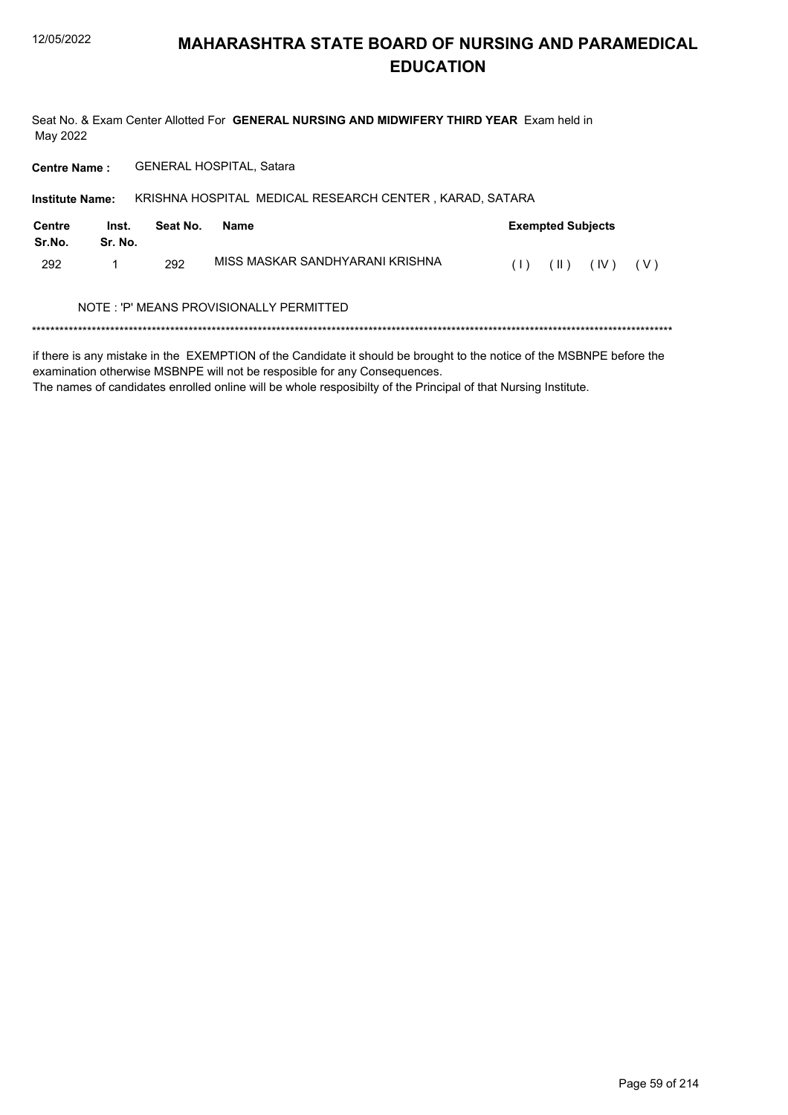Seat No. & Exam Center Allotted For GENERAL NURSING AND MIDWIFERY THIRD YEAR Exam held in May 2022

GENERAL HOSPITAL, Satara **Centre Name:** 

KRISHNA HOSPITAL MEDICAL RESEARCH CENTER, KARAD, SATARA **Institute Name: Centre** Inst. **Exempted Subjects** Seat No. **Name** Sr.No. Sr. No. MISS MASKAR SANDHYARANI KRISHNA 292  $\mathbf{1}$ 292  $(1)$   $(1)$   $(1)$   $(1)$   $(1)$ NOTE: 'P' MEANS PROVISIONALLY PERMITTED 

if there is any mistake in the EXEMPTION of the Candidate it should be brought to the notice of the MSBNPE before the examination otherwise MSBNPE will not be resposible for any Consequences.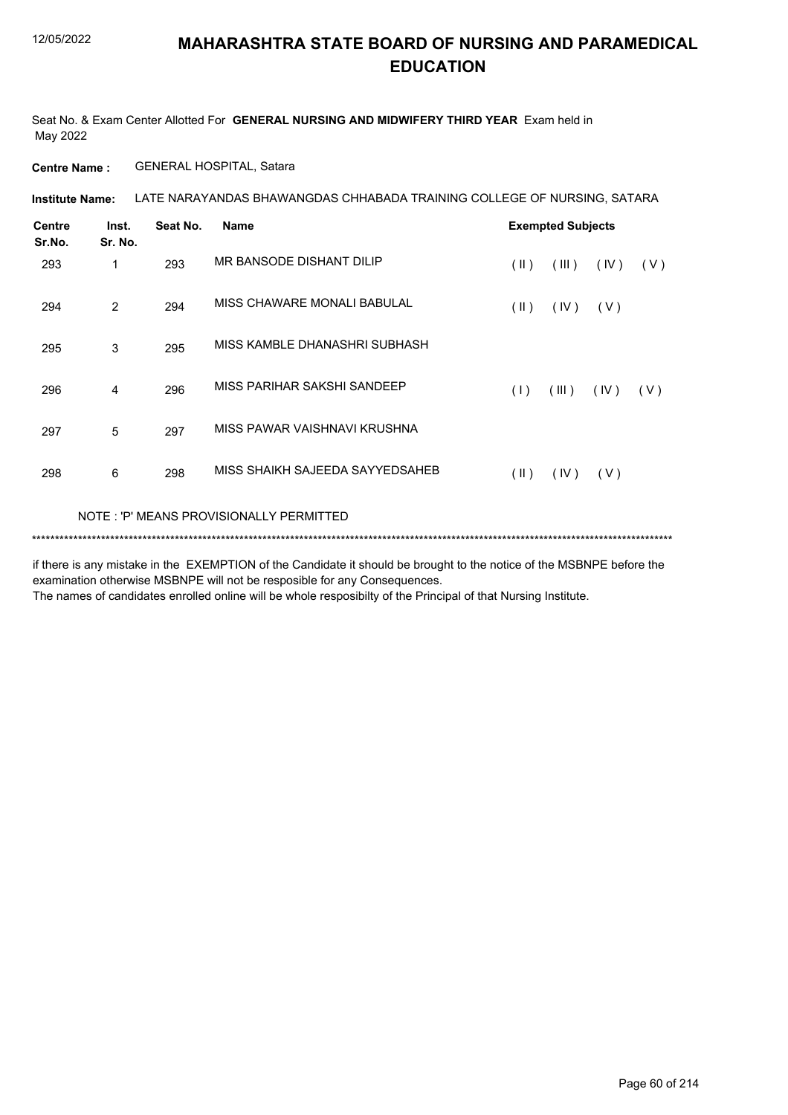Seat No. & Exam Center Allotted For **GENERAL NURSING AND MIDWIFERY THIRD YEAR** Exam held in May 2022

**Centre Name :** GENERAL HOSPITAL, Satara

LATE NARAYANDAS BHAWANGDAS CHHABADA TRAINING COLLEGE OF NURSING, SATARA **Institute Name:**

| <b>Centre</b><br>Sr.No. | Inst.<br>Sr. No. | Seat No. | <b>Name</b>                             | <b>Exempted Subjects</b> |       |      |     |
|-------------------------|------------------|----------|-----------------------------------------|--------------------------|-------|------|-----|
| 293                     | 1                | 293      | MR BANSODE DISHANT DILIP                | $(\parallel \parallel)$  | (III) | (IV) | (V) |
| 294                     | 2                | 294      | MISS CHAWARE MONALI BABULAL             | $(\parallel \parallel)$  | (IV)  | (V)  |     |
| 295                     | 3                | 295      | MISS KAMBLE DHANASHRI SUBHASH           |                          |       |      |     |
| 296                     | 4                | 296      | MISS PARIHAR SAKSHI SANDEEP             | (1)                      | (III) | (IV) | (V) |
| 297                     | 5                | 297      | MISS PAWAR VAISHNAVI KRUSHNA            |                          |       |      |     |
| 298                     | 6                | 298      | MISS SHAIKH SAJEEDA SAYYEDSAHEB         | $(\parallel)$            | (IV)  | (V)  |     |
|                         |                  |          | NOTE: 'P' MEANS PROVISIONALLY PERMITTED |                          |       |      |     |

\*\*\*\*\*\*\*\*\*\*\*\*\*\*\*\*\*\*\*\*\*\*\*\*\*\*\*\*\*\*\*\*\*\*\*\*\*\*\*\*\*\*\*\*\*\*\*\*\*\*\*\*\*\*\*\*\*\*\*\*\*\*\*\*\*\*\*\*\*\*\*\*\*\*\*\*\*\*\*\*\*\*\*\*\*\*\*\*\*\*\*\*\*\*\*\*\*\*\*\*\*\*\*\*\*\*\*\*\*\*\*\*\*\*\*\*\*\*\*\*\*\*\*\*\*\*\*\*\*\*\*\*\*\*\*\*\*\*\*

if there is any mistake in the EXEMPTION of the Candidate it should be brought to the notice of the MSBNPE before the examination otherwise MSBNPE will not be resposible for any Consequences.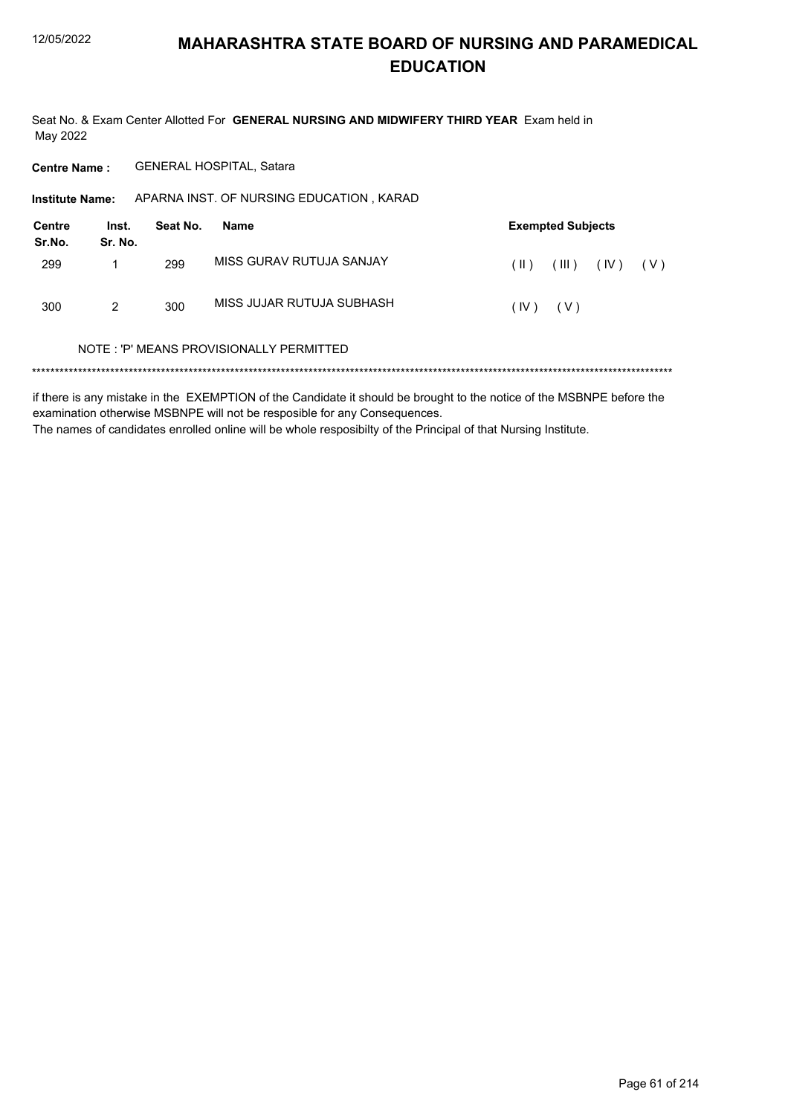Seat No. & Exam Center Allotted For GENERAL NURSING AND MIDWIFERY THIRD YEAR Exam held in May 2022

**Centre Name:** GENERAL HOSPITAL, Satara

Institute Name: APARNA INST. OF NURSING EDUCATION, KARAD

| Centre<br>Sr.No. | Inst.<br>Sr. No. | Seat No. | Name                      |              | <b>Exempted Subjects</b> |      |       |  |  |
|------------------|------------------|----------|---------------------------|--------------|--------------------------|------|-------|--|--|
| 299              |                  | 299      | MISS GURAV RUTUJA SANJAY  | $(\ )$       | $($ III $)$              | (IV) | ( V ) |  |  |
| 300              | 2                | 300      | MISS JUJAR RUTUJA SUBHASH | $(IV)$ $(V)$ |                          |      |       |  |  |

#### NOTE: 'P' MEANS PROVISIONALLY PERMITTED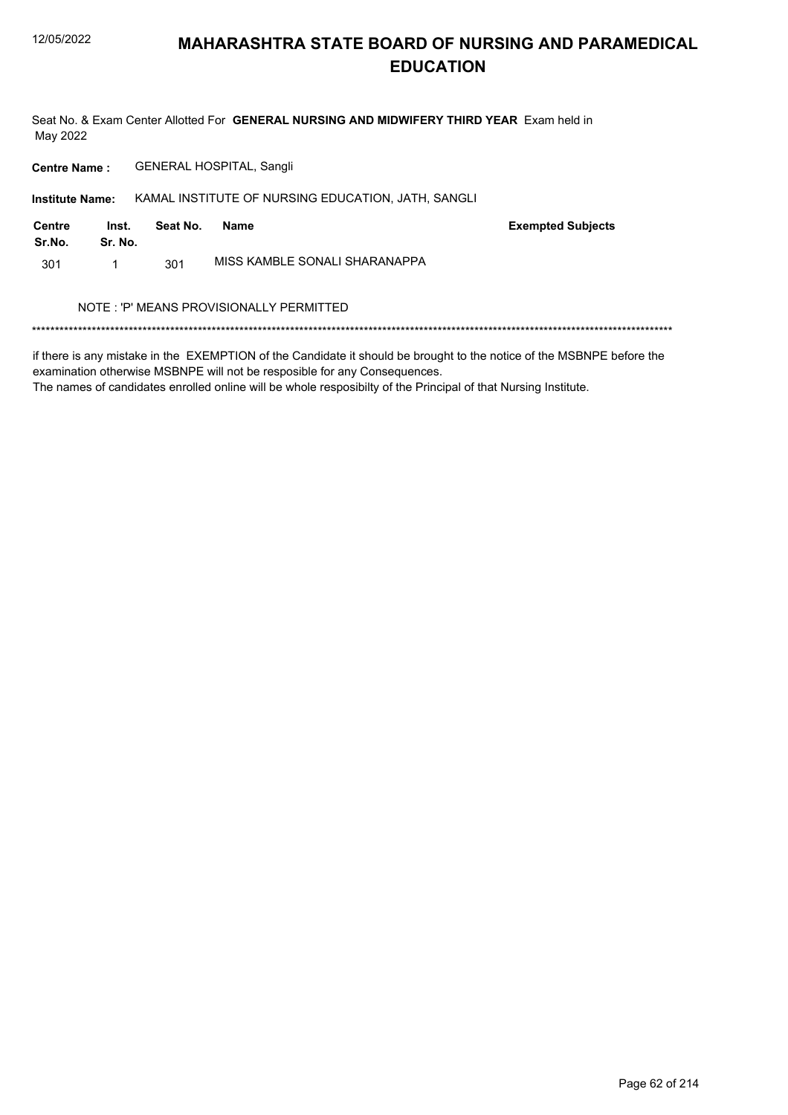Seat No. & Exam Center Allotted For GENERAL NURSING AND MIDWIFERY THIRD YEAR Exam held in May 2022

**Centre Name: GENERAL HOSPITAL, Sangli** 

Institute Name: KAMAL INSTITUTE OF NURSING EDUCATION, JATH, SANGLI

| Centre<br>Sr.No. | Inst.<br>Sr. No. | Seat No. | Name                          | <b>Exempted Subjects</b> |
|------------------|------------------|----------|-------------------------------|--------------------------|
| 301              |                  | 301      | MISS KAMBLE SONALI SHARANAPPA |                          |

#### NOTE : 'P' MEANS PROVISIONALLY PERMITTED

if there is any mistake in the EXEMPTION of the Candidate it should be brought to the notice of the MSBNPE before the examination otherwise MSBNPE will not be resposible for any Consequences.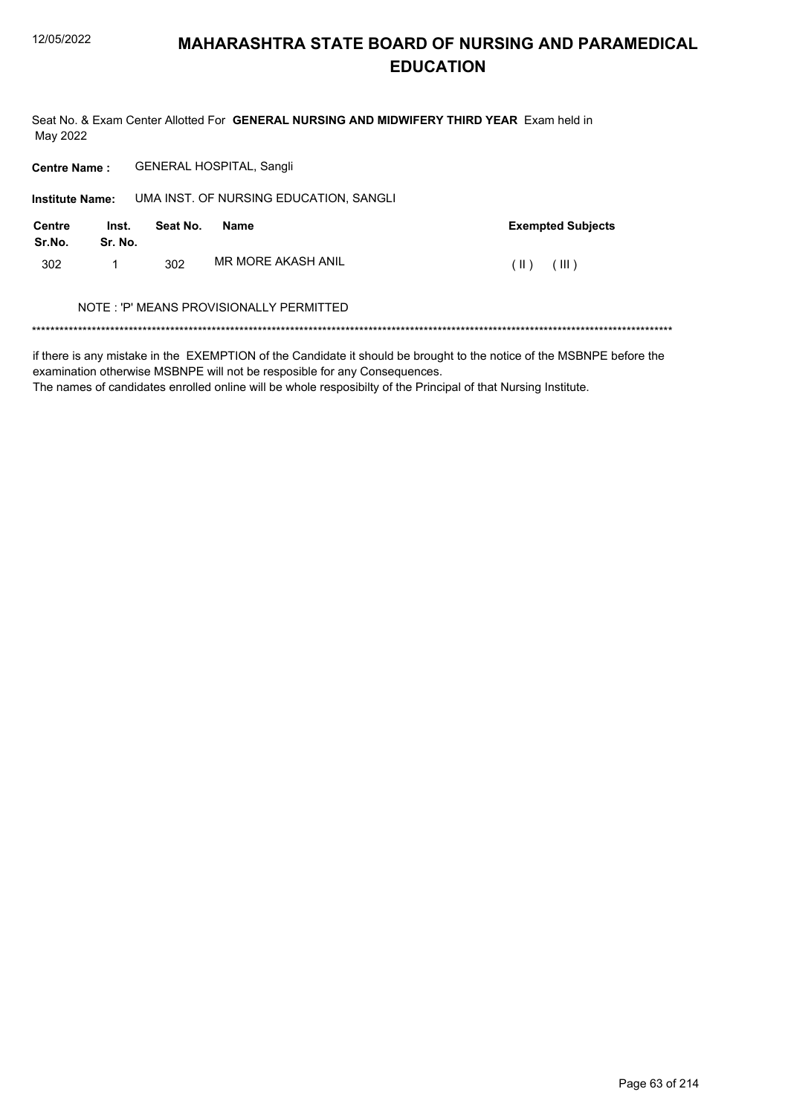Seat No. & Exam Center Allotted For GENERAL NURSING AND MIDWIFERY THIRD YEAR Exam held in May 2022

Centre Name: GENERAL HOSPITAL, Sangli

| <b>Institute Name:</b>  |                  |          | UMA INST. OF NURSING EDUCATION, SANGLI  |                          |
|-------------------------|------------------|----------|-----------------------------------------|--------------------------|
| <b>Centre</b><br>Sr.No. | Inst.<br>Sr. No. | Seat No. | Name                                    | <b>Exempted Subjects</b> |
| 302                     | 1                | 302      | MR MORE AKASH ANIL                      | (III)<br>$(\ )$          |
|                         |                  |          | NOTE: 'P' MEANS PROVISIONALLY PERMITTED |                          |

if there is any mistake in the EXEMPTION of the Candidate it should be brought to the notice of the MSBNPE before the examination otherwise MSBNPE will not be resposible for any Consequences.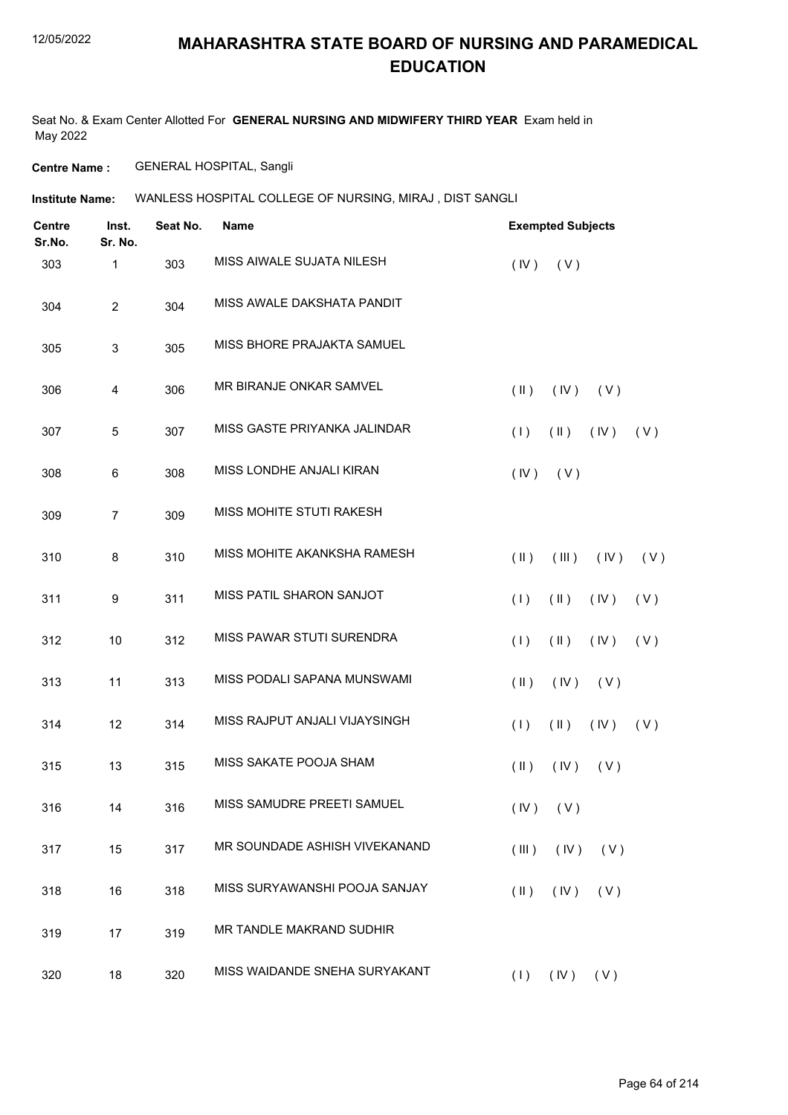Seat No. & Exam Center Allotted For **GENERAL NURSING AND MIDWIFERY THIRD YEAR** Exam held in May 2022

**Centre Name :** GENERAL HOSPITAL, Sangli

**Institute Name:** WANLESS HOSPITAL COLLEGE OF NURSING, MIRAJ , DIST SANGLI

| <b>Centre</b><br>Sr.No. | Inst.<br>Sr. No. | Seat No. | <b>Name</b>                   | <b>Exempted Subjects</b>               |
|-------------------------|------------------|----------|-------------------------------|----------------------------------------|
| 303                     | 1                | 303      | MISS AIWALE SUJATA NILESH     | (IV)<br>(V)                            |
| 304                     | $\overline{c}$   | 304      | MISS AWALE DAKSHATA PANDIT    |                                        |
| 305                     | 3                | 305      | MISS BHORE PRAJAKTA SAMUEL    |                                        |
| 306                     | 4                | 306      | MR BIRANJE ONKAR SAMVEL       | (IV)<br>$(\parallel)$<br>(V)           |
| 307                     | 5                | 307      | MISS GASTE PRIYANKA JALINDAR  | (1)<br>$(\parallel)$<br>(IV)<br>(V)    |
| 308                     | 6                | 308      | MISS LONDHE ANJALI KIRAN      | (V)<br>(IV)                            |
| 309                     | $\overline{7}$   | 309      | MISS MOHITE STUTI RAKESH      |                                        |
| 310                     | 8                | 310      | MISS MOHITE AKANKSHA RAMESH   | $(\parallel)$<br>(III)<br>(IV)<br>(V)  |
| 311                     | 9                | 311      | MISS PATIL SHARON SANJOT      | (1)<br>$(\parallel)$<br>(IV)<br>(V)    |
| 312                     | 10               | 312      | MISS PAWAR STUTI SURENDRA     | (1)<br>$(\parallel)$<br>(V)<br>(IV)    |
| 313                     | 11               | 313      | MISS PODALI SAPANA MUNSWAMI   | $(\parallel \parallel)$<br>(IV)<br>(V) |
| 314                     | 12               | 314      | MISS RAJPUT ANJALI VIJAYSINGH | (1)<br>$(\parallel)$<br>(V)<br>(IV)    |
| 315                     | 13               | 315      | MISS SAKATE POOJA SHAM        | $(\parallel)$<br>(IV)<br>(V)           |
| 316                     | 14               | 316      | MISS SAMUDRE PREETI SAMUEL    | $(V)$ $(V)$                            |
| 317                     | 15               | 317      | MR SOUNDADE ASHISH VIVEKANAND | (IV)<br>(III)<br>(V)                   |
| 318                     | 16               | 318      | MISS SURYAWANSHI POOJA SANJAY | (IV)<br>$(\parallel \parallel)$<br>(V) |
| 319                     | 17               | 319      | MR TANDLE MAKRAND SUDHIR      |                                        |
| 320                     | 18               | 320      | MISS WAIDANDE SNEHA SURYAKANT | (1)<br>$($ IV $)$<br>(V)               |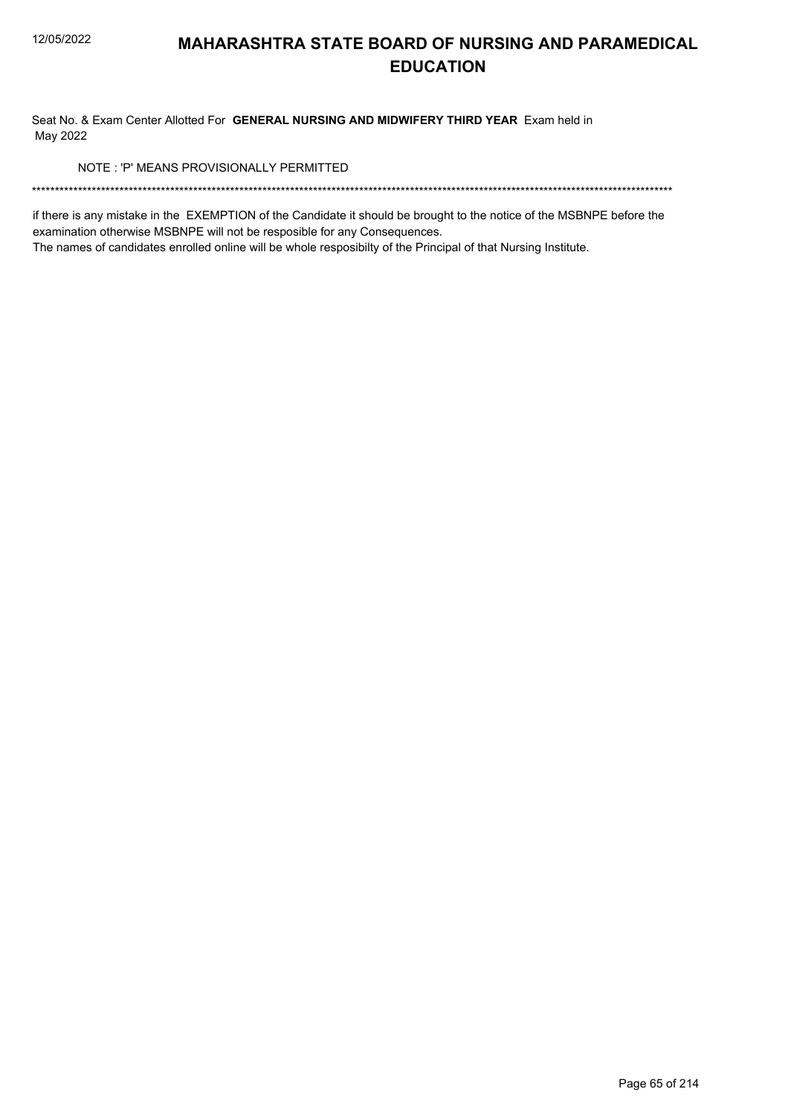Seat No. & Exam Center Allotted For GENERAL NURSING AND MIDWIFERY THIRD YEAR Exam held in May 2022

NOTE: 'P' MEANS PROVISIONALLY PERMITTED

if there is any mistake in the EXEMPTION of the Candidate it should be brought to the notice of the MSBNPE before the examination otherwise MSBNPE will not be resposible for any Consequences.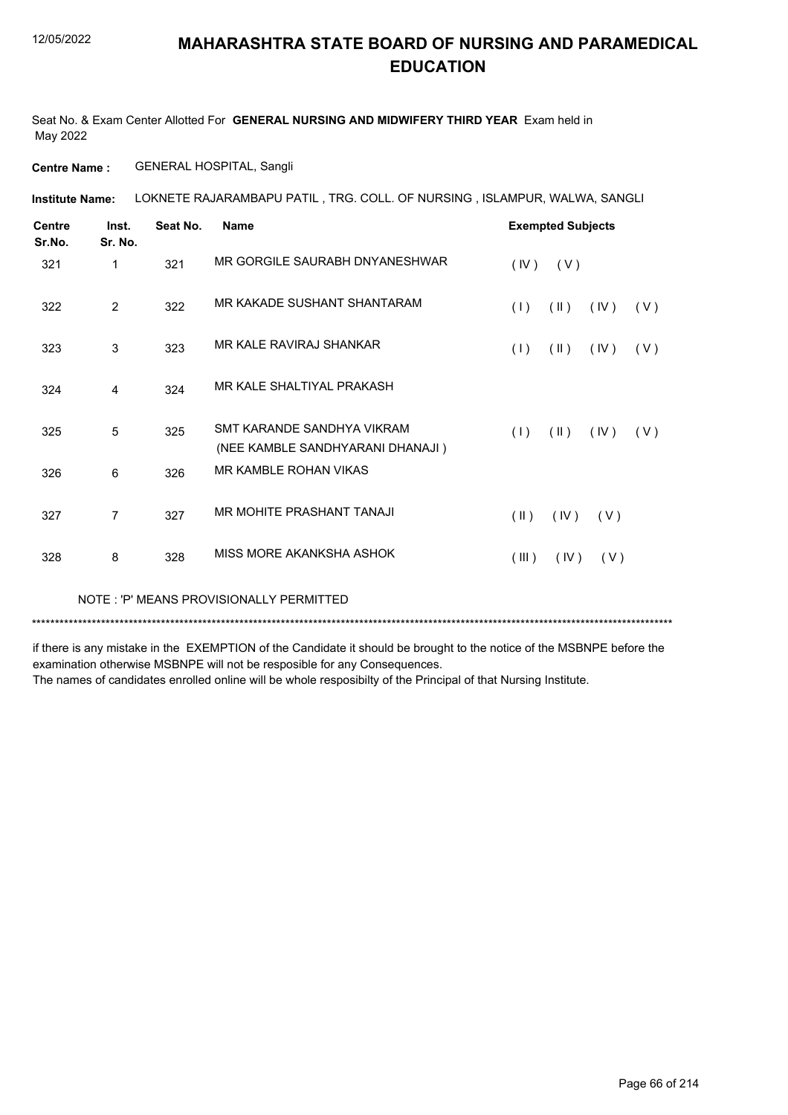Seat No. & Exam Center Allotted For **GENERAL NURSING AND MIDWIFERY THIRD YEAR** Exam held in May 2022

**Centre Name :** GENERAL HOSPITAL, Sangli

**Institute Name: LOKNETE RAJARAMBAPU PATIL , TRG. COLL. OF NURSING , ISLAMPUR, WALWA, SANGLI** 

| <b>Centre</b><br>Sr.No. | Inst.<br>Sr. No. | Seat No. | <b>Name</b>                                                    |               | <b>Exempted Subjects</b> |      |     |
|-------------------------|------------------|----------|----------------------------------------------------------------|---------------|--------------------------|------|-----|
| 321                     | 1                | 321      | MR GORGILE SAURABH DNYANESHWAR                                 | (IV)          | (V)                      |      |     |
| 322                     | $\overline{2}$   | 322      | MR KAKADE SUSHANT SHANTARAM                                    | (1)           | $(\parallel)$            | (IV) | (V) |
| 323                     | 3                | 323      | MR KALE RAVIRAJ SHANKAR                                        | (1)           | $(\parallel)$            | (IV) | (V) |
| 324                     | 4                | 324      | MR KALE SHALTIYAL PRAKASH                                      |               |                          |      |     |
| 325                     | 5                | 325      | SMT KARANDE SANDHYA VIKRAM<br>(NEE KAMBLE SANDHYARANI DHANAJI) | (1)           | $(\parallel)$            | (IV) | (V) |
| 326                     | 6                | 326      | <b>MR KAMBLE ROHAN VIKAS</b>                                   |               |                          |      |     |
| 327                     | 7                | 327      | MR MOHITE PRASHANT TANAJI                                      | $(\parallel)$ | (IV)                     | (V)  |     |
| 328                     | 8                | 328      | MISS MORE AKANKSHA ASHOK                                       | (III)         | (IV)                     | (V)  |     |
|                         |                  |          |                                                                |               |                          |      |     |

NOTE : 'P' MEANS PROVISIONALLY PERMITTED

\*\*\*\*\*\*\*\*\*\*\*\*\*\*\*\*\*\*\*\*\*\*\*\*\*\*\*\*\*\*\*\*\*\*\*\*\*\*\*\*\*\*\*\*\*\*\*\*\*\*\*\*\*\*\*\*\*\*\*\*\*\*\*\*\*\*\*\*\*\*\*\*\*\*\*\*\*\*\*\*\*\*\*\*\*\*\*\*\*\*\*\*\*\*\*\*\*\*\*\*\*\*\*\*\*\*\*\*\*\*\*\*\*\*\*\*\*\*\*\*\*\*\*\*\*\*\*\*\*\*\*\*\*\*\*\*\*\*\*

if there is any mistake in the EXEMPTION of the Candidate it should be brought to the notice of the MSBNPE before the examination otherwise MSBNPE will not be resposible for any Consequences.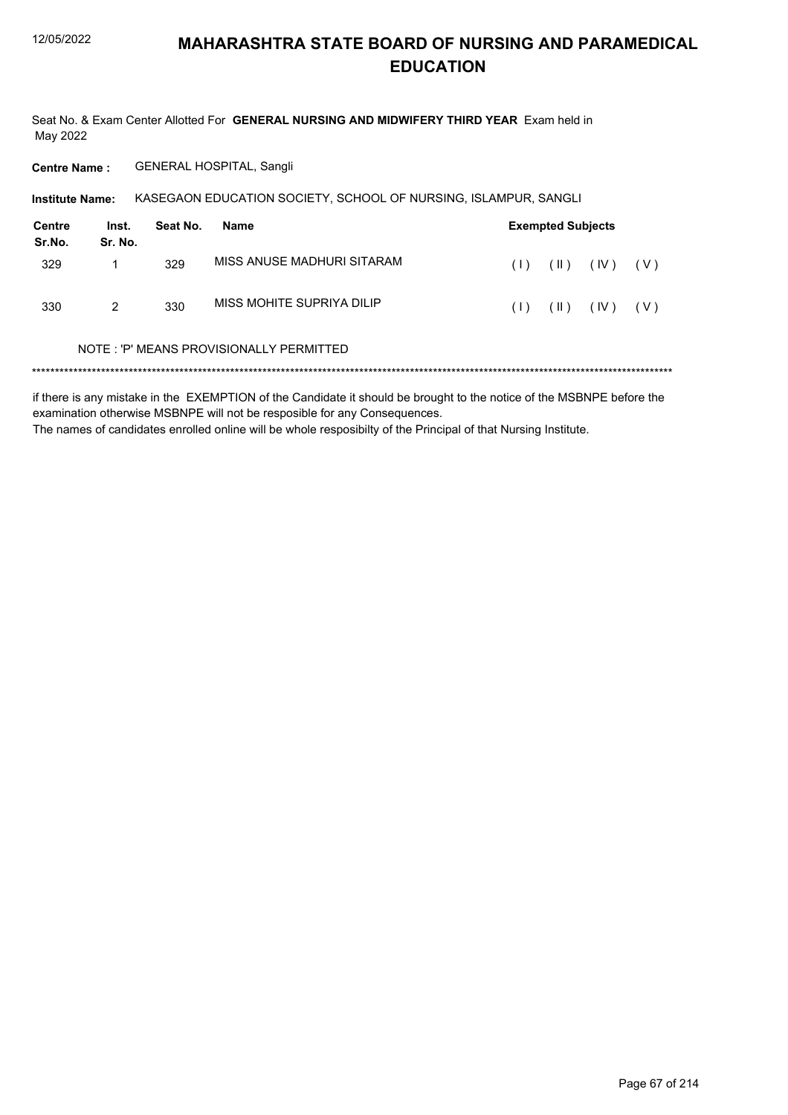Seat No. & Exam Center Allotted For GENERAL NURSING AND MIDWIFERY THIRD YEAR Exam held in May 2022

Centre Name: GENERAL HOSPITAL, Sangli

| <b>Institute Name:</b> |                                          |          | KASEGAON EDUCATION SOCIETY, SCHOOL OF NURSING, ISLAMPUR, SANGLI |     |                          |      |       |  |  |
|------------------------|------------------------------------------|----------|-----------------------------------------------------------------|-----|--------------------------|------|-------|--|--|
| Centre<br>Sr.No.       | Inst.<br>Sr. No.                         | Seat No. | Name                                                            |     | <b>Exempted Subjects</b> |      |       |  |  |
| 329                    |                                          | 329      | MISS ANUSE MADHURI SITARAM                                      | (1) | $(\parallel)$            | (IV) | ( V ) |  |  |
| 330                    | 2                                        | 330      | MISS MOHITE SUPRIYA DILIP                                       | (1) | $(\parallel)$            | (IV) | ( V ) |  |  |
|                        | NOTE : 'P' MEANS PROVISIONALLY PERMITTED |          |                                                                 |     |                          |      |       |  |  |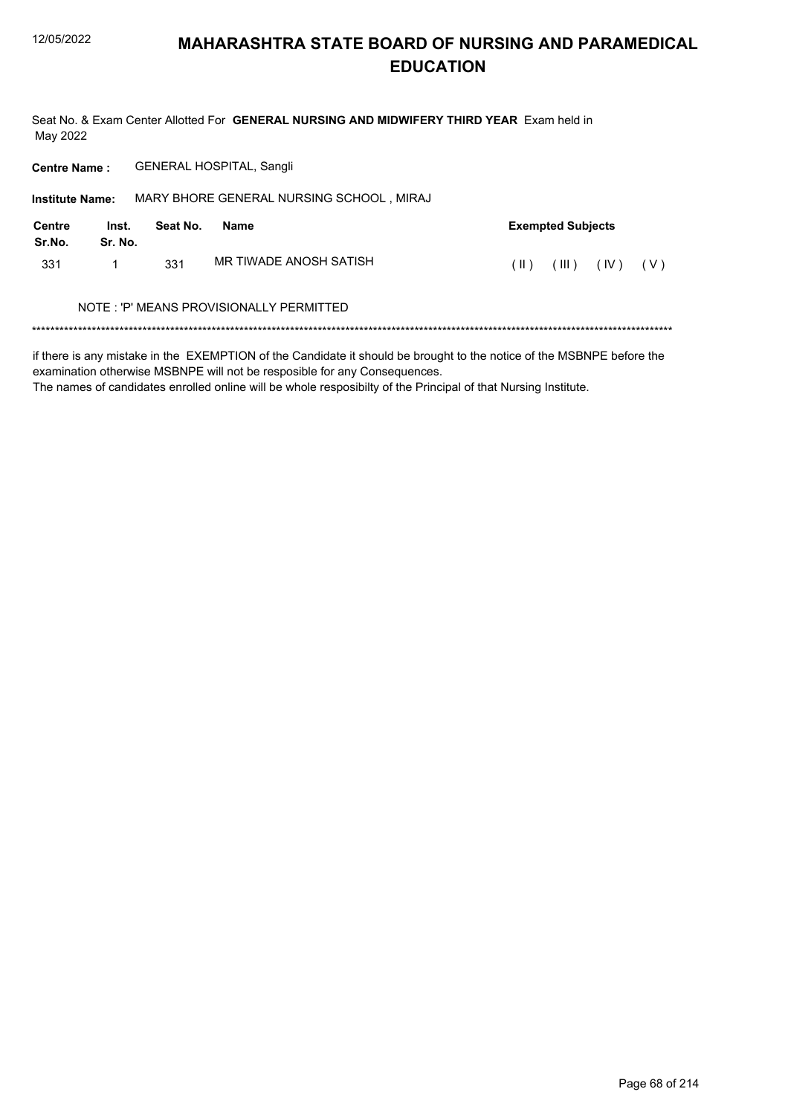Seat No. & Exam Center Allotted For GENERAL NURSING AND MIDWIFERY THIRD YEAR Exam held in May 2022

**Centre Name: GENERAL HOSPITAL, Sangli** 

| <b>Institute Name:</b> |                  |          | MARY BHORE GENERAL NURSING SCHOOL, MIRAJ |               |                          |      |       |
|------------------------|------------------|----------|------------------------------------------|---------------|--------------------------|------|-------|
| Centre<br>Sr.No.       | Inst.<br>Sr. No. | Seat No. | <b>Name</b>                              |               | <b>Exempted Subjects</b> |      |       |
| 331                    |                  | 331      | MR TIWADE ANOSH SATISH                   | $(\parallel)$ | (III)                    | (IV) | ( V ) |
|                        |                  |          | NOTE: 'P' MEANS PROVISIONALLY PERMITTED  |               |                          |      |       |
|                        |                  |          |                                          |               |                          |      |       |

if there is any mistake in the EXEMPTION of the Candidate it should be brought to the notice of the MSBNPE before the examination otherwise MSBNPE will not be resposible for any Consequences.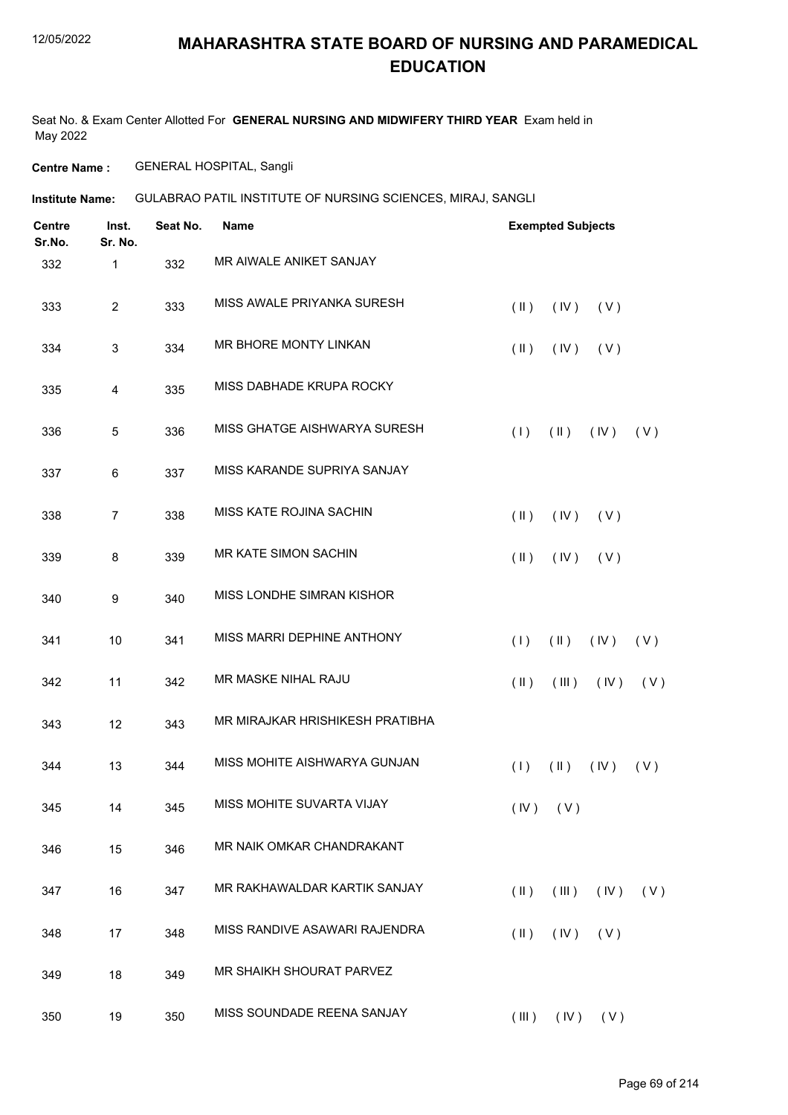Seat No. & Exam Center Allotted For **GENERAL NURSING AND MIDWIFERY THIRD YEAR** Exam held in May 2022

**Centre Name :** GENERAL HOSPITAL, Sangli

**Institute Name:** GULABRAO PATIL INSTITUTE OF NURSING SCIENCES, MIRAJ, SANGLI

| <b>Centre</b><br>Sr.No. | Inst.<br>Sr. No. | Seat No. | <b>Name</b>                     |                         | <b>Exempted Subjects</b> |      |     |
|-------------------------|------------------|----------|---------------------------------|-------------------------|--------------------------|------|-----|
| 332                     | 1                | 332      | MR AIWALE ANIKET SANJAY         |                         |                          |      |     |
| 333                     | $\overline{2}$   | 333      | MISS AWALE PRIYANKA SURESH      | $(\parallel \parallel)$ | (IV)                     | (V)  |     |
| 334                     | 3                | 334      | MR BHORE MONTY LINKAN           | $(\parallel)$           | (IV)                     | (V)  |     |
| 335                     | 4                | 335      | MISS DABHADE KRUPA ROCKY        |                         |                          |      |     |
| 336                     | 5                | 336      | MISS GHATGE AISHWARYA SURESH    | (1)                     | $(\parallel \parallel)$  | (IV) | (V) |
| 337                     | 6                | 337      | MISS KARANDE SUPRIYA SANJAY     |                         |                          |      |     |
| 338                     | $\overline{7}$   | 338      | MISS KATE ROJINA SACHIN         | $(\parallel)$           | (IV)                     | (V)  |     |
| 339                     | 8                | 339      | MR KATE SIMON SACHIN            | $(\parallel \parallel)$ | (IV)                     | (V)  |     |
| 340                     | 9                | 340      | MISS LONDHE SIMRAN KISHOR       |                         |                          |      |     |
| 341                     | 10               | 341      | MISS MARRI DEPHINE ANTHONY      | (1)                     | $(\parallel)$            | (IV) | (V) |
| 342                     | 11               | 342      | MR MASKE NIHAL RAJU             | $(\parallel \parallel)$ | (III)                    | (IV) | (V) |
| 343                     | 12               | 343      | MR MIRAJKAR HRISHIKESH PRATIBHA |                         |                          |      |     |
| 344                     | 13               | 344      | MISS MOHITE AISHWARYA GUNJAN    | (1)                     | $(\parallel)$            | (IV) | (V) |
| 345                     | 14               | 345      | MISS MOHITE SUVARTA VIJAY       |                         | $(IV)$ $(V)$             |      |     |
| 346                     | 15               | 346      | MR NAIK OMKAR CHANDRAKANT       |                         |                          |      |     |
| 347                     | 16               | 347      | MR RAKHAWALDAR KARTIK SANJAY    | $(\parallel \parallel)$ | (III)                    | (IV) | (V) |
| 348                     | 17               | 348      | MISS RANDIVE ASAWARI RAJENDRA   | $(\parallel \parallel)$ | (IV)                     | (V)  |     |
| 349                     | 18               | 349      | MR SHAIKH SHOURAT PARVEZ        |                         |                          |      |     |
| 350                     | 19               | 350      | MISS SOUNDADE REENA SANJAY      | (III)                   | (IV)                     | (V)  |     |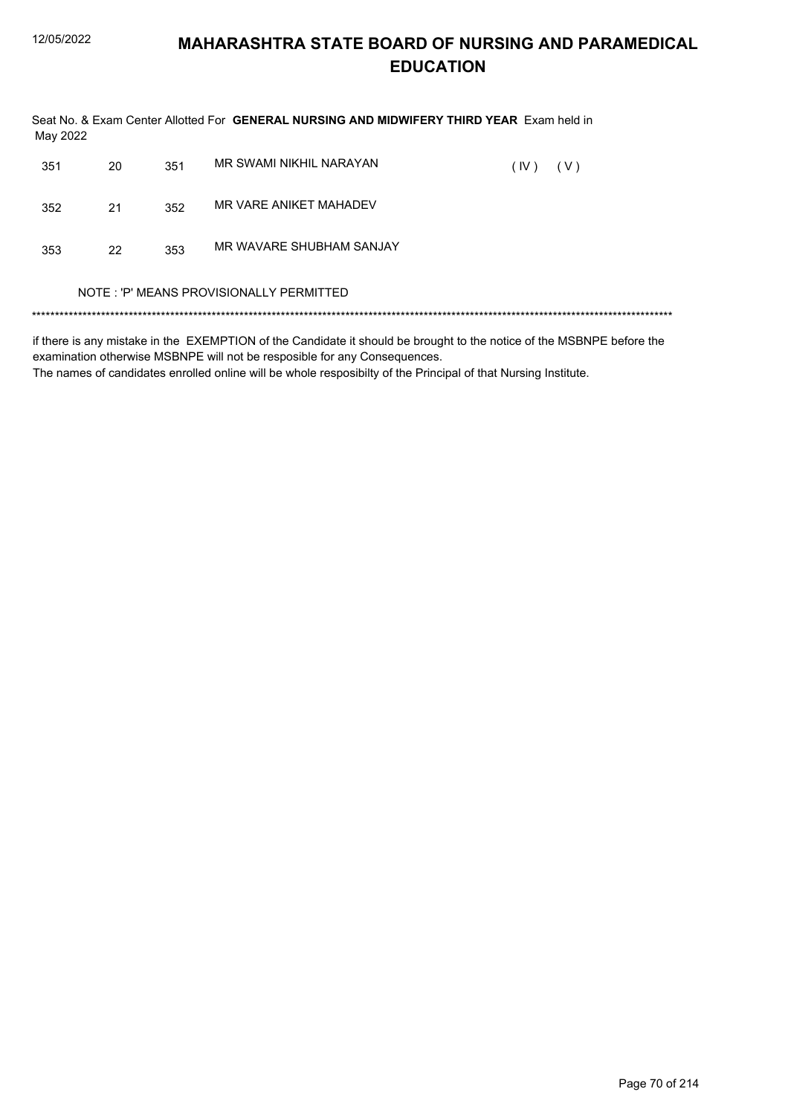Seat No. & Exam Center Allotted For GENERAL NURSING AND MIDWIFERY THIRD YEAR Exam held in May 2022 351 20 351 MR SWAMI NIKHIL NARAYAN  $(0.1) - (1.1)$ 

| 351 | ZU | 351 | <u>IVILLO VYAIVILINIIN IIE INALVA LAIN</u> | (IV) | (V) |  |
|-----|----|-----|--------------------------------------------|------|-----|--|
| 352 | 21 | 352 | MR VARE ANIKET MAHADEV                     |      |     |  |
| 353 | 22 | 353 | MR WAVARE SHUBHAM SANJAY                   |      |     |  |
|     |    |     | NOTE: 'P' MEANS PROVISIONALLY PERMITTED    |      |     |  |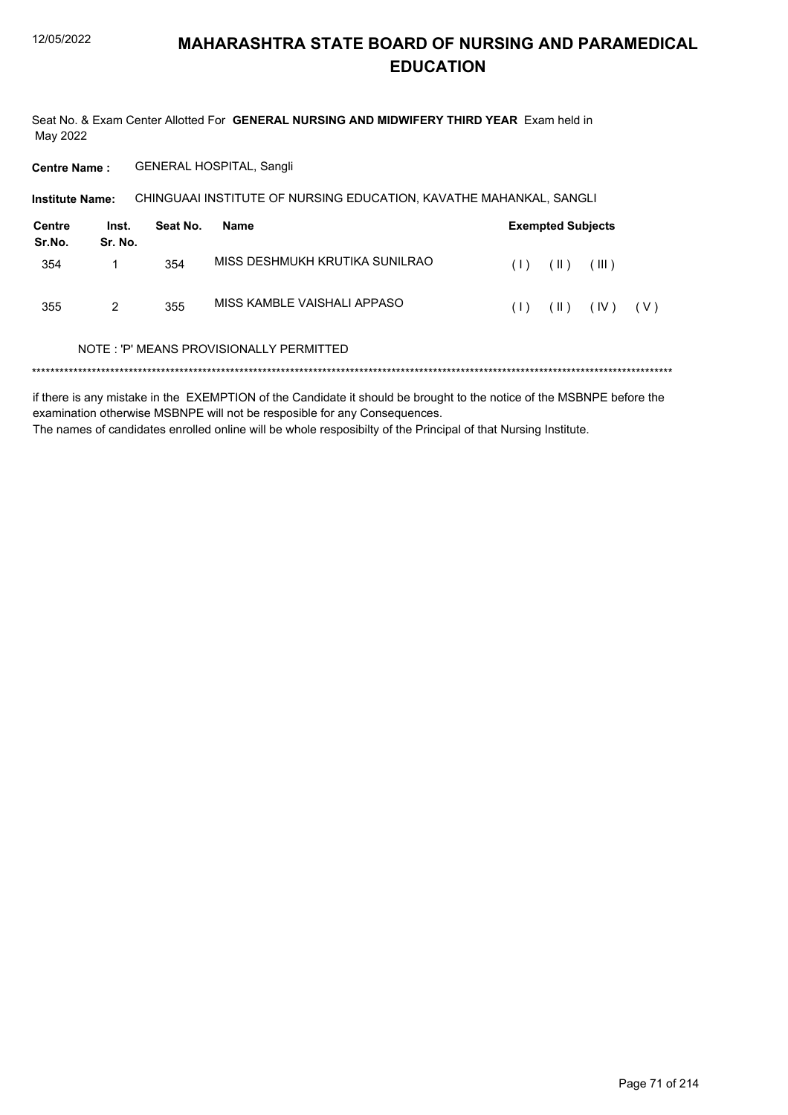Seat No. & Exam Center Allotted For GENERAL NURSING AND MIDWIFERY THIRD YEAR Exam held in May 2022

Centre Name: GENERAL HOSPITAL, Sangli

| <b>Institute Name:</b> |                  | CHINGUAAI INSTITUTE OF NURSING EDUCATION, KAVATHE MAHANKAL, SANGLI |                                         |     |                          |       |     |
|------------------------|------------------|--------------------------------------------------------------------|-----------------------------------------|-----|--------------------------|-------|-----|
| Centre<br>Sr.No.       | Inst.<br>Sr. No. | Seat No.                                                           | Name                                    |     | <b>Exempted Subjects</b> |       |     |
| 354                    |                  | 354                                                                | MISS DESHMUKH KRUTIKA SUNILRAO          | (1) | $(\parallel)$            | (III) |     |
| 355                    | 2                | 355                                                                | MISS KAMBLE VAISHALI APPASO             | (1) | $(\parallel)$            | (IV)  | (V) |
|                        |                  |                                                                    | NOTE: 'P' MEANS PROVISIONALLY PERMITTED |     |                          |       |     |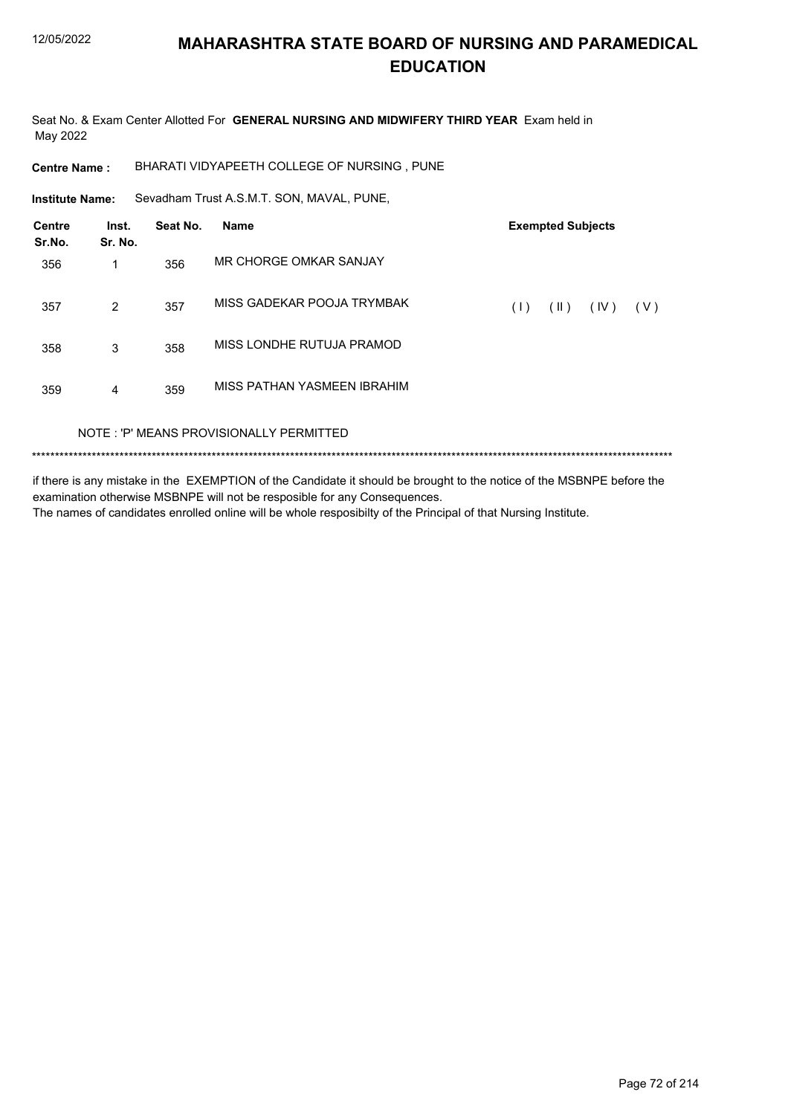Seat No. & Exam Center Allotted For GENERAL NURSING AND MIDWIFERY THIRD YEAR Exam held in May 2022

**Centre Name:** BHARATI VIDYAPEETH COLLEGE OF NURSING, PUNE

Institute Name: Sevadham Trust A.S.M.T. SON, MAVAL, PUNE,

| Centre<br>Sr.No. | Inst.<br>Sr. No. | Seat No. | <b>Name</b>                             |     | <b>Exempted Subjects</b> |      |     |
|------------------|------------------|----------|-----------------------------------------|-----|--------------------------|------|-----|
| 356              |                  | 356      | MR CHORGE OMKAR SANJAY                  |     |                          |      |     |
| 357              | 2                | 357      | MISS GADEKAR POOJA TRYMBAK              | (1) | (  )                     | (IV) | (V) |
| 358              | 3                | 358      | MISS LONDHE RUTUJA PRAMOD               |     |                          |      |     |
| 359              | 4                | 359      | MISS PATHAN YASMEEN IBRAHIM             |     |                          |      |     |
|                  |                  |          | NOTE: 'P' MEANS PROVISIONALLY PERMITTED |     |                          |      |     |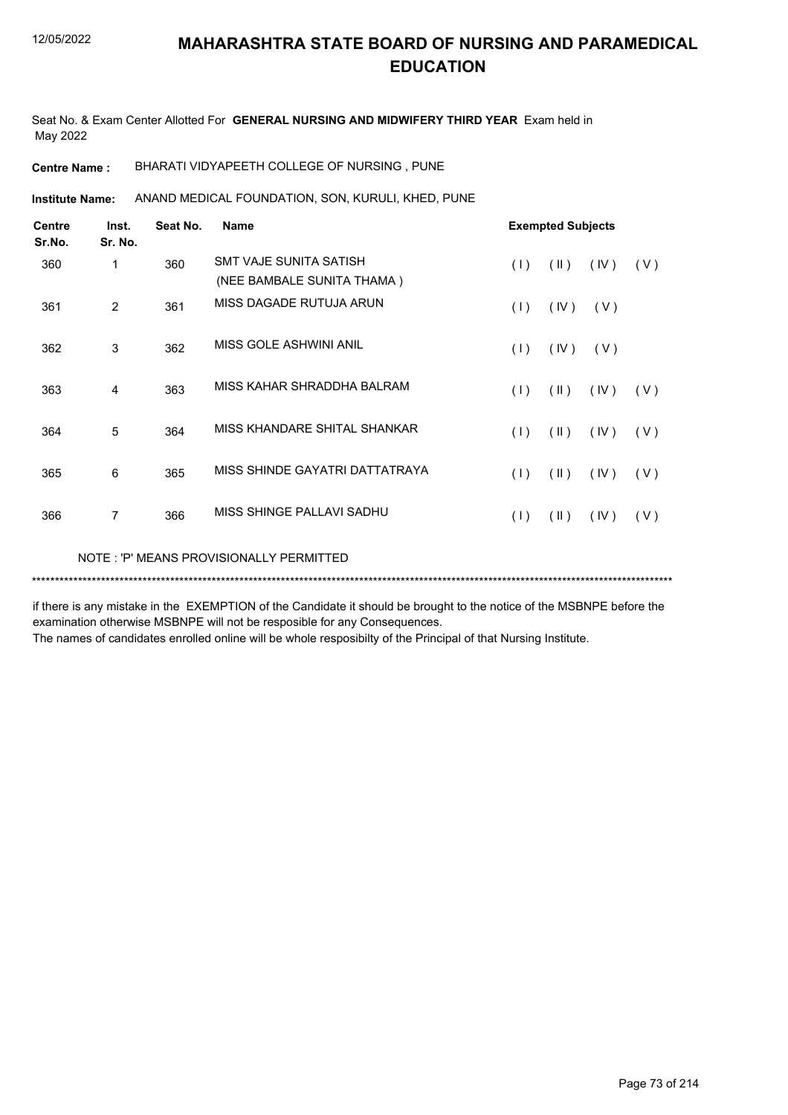Seat No. & Exam Center Allotted For **GENERAL NURSING AND MIDWIFERY THIRD YEAR** Exam held in May 2022

**Centre Name :** BHARATI VIDYAPEETH COLLEGE OF NURSING , PUNE

ANAND MEDICAL FOUNDATION, SON, KURULI, KHED, PUNE **Institute Name:**

| <b>Centre</b><br>Sr.No. | Inst.<br>Sr. No. | Seat No. | <b>Name</b>                    | <b>Exempted Subjects</b> |                         |      |     |
|-------------------------|------------------|----------|--------------------------------|--------------------------|-------------------------|------|-----|
| 360                     | 1                | 360      | SMT VAJE SUNITA SATISH         | (1)                      | $(\parallel)$           | (IV) | (V) |
|                         |                  |          | (NEE BAMBALE SUNITA THAMA)     |                          |                         |      |     |
| 361                     | 2                | 361      | MISS DAGADE RUTUJA ARUN        | (1)                      | (IV)                    | (V)  |     |
| 362                     | 3                | 362      | MISS GOLE ASHWINI ANIL         | (1)                      | (IV)                    | (V)  |     |
| 363                     | 4                | 363      | MISS KAHAR SHRADDHA BALRAM     | (1)                      | $(\parallel)$           | (IV) | (V) |
| 364                     | 5                | 364      | MISS KHANDARE SHITAL SHANKAR   | (1)                      | $(\parallel)$           | (IV) | (V) |
| 365                     | 6                | 365      | MISS SHINDE GAYATRI DATTATRAYA | (1)                      | $(\parallel \parallel)$ | (IV) | (V) |
| 366                     | 7                | 366      | MISS SHINGE PALLAVI SADHU      | (1)                      | $(\parallel)$           | (IV) | (V) |
|                         |                  |          |                                |                          |                         |      |     |

NOTE : 'P' MEANS PROVISIONALLY PERMITTED

\*\*\*\*\*\*\*\*\*\*\*\*\*\*\*\*\*\*\*\*\*\*\*\*\*\*\*\*\*\*\*\*\*\*\*\*\*\*\*\*\*\*\*\*\*\*\*\*\*\*\*\*\*\*\*\*\*\*\*\*\*\*\*\*\*\*\*\*\*\*\*\*\*\*\*\*\*\*\*\*\*\*\*\*\*\*\*\*\*\*\*\*\*\*\*\*\*\*\*\*\*\*\*\*\*\*\*\*\*\*\*\*\*\*\*\*\*\*\*\*\*\*\*\*\*\*\*\*\*\*\*\*\*\*\*\*\*\*\*

if there is any mistake in the EXEMPTION of the Candidate it should be brought to the notice of the MSBNPE before the examination otherwise MSBNPE will not be resposible for any Consequences.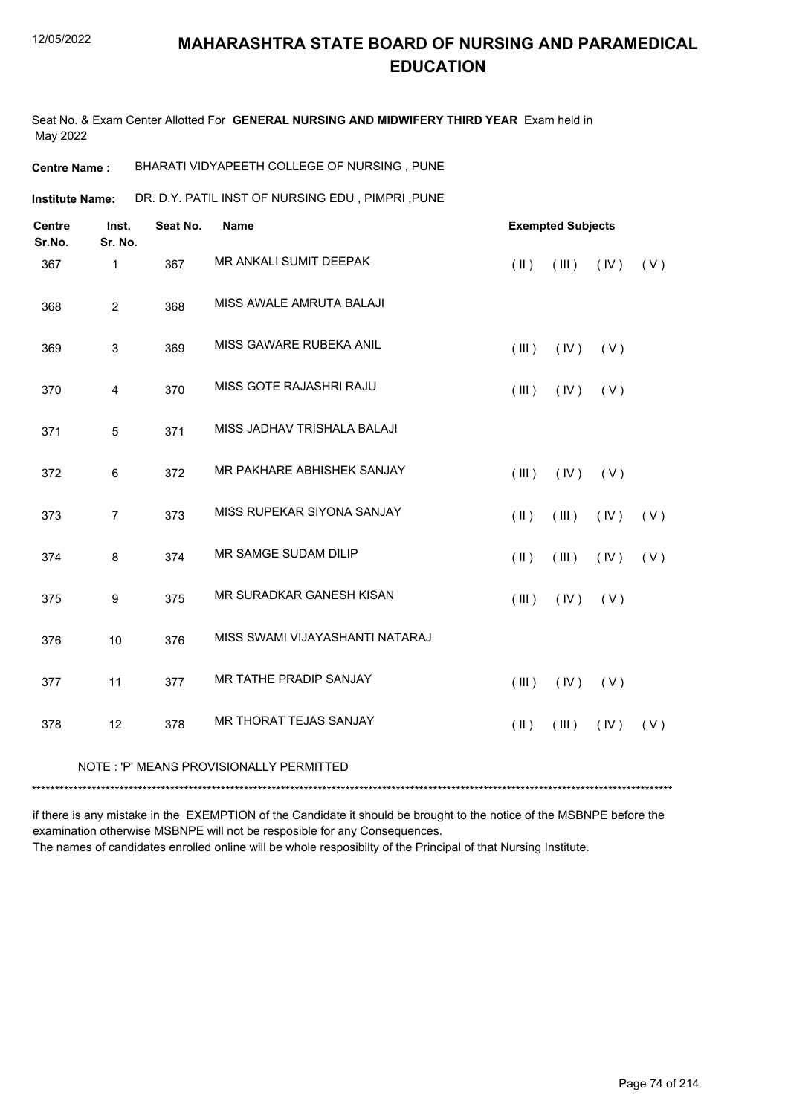Seat No. & Exam Center Allotted For **GENERAL NURSING AND MIDWIFERY THIRD YEAR** Exam held in May 2022

**Centre Name :** BHARATI VIDYAPEETH COLLEGE OF NURSING , PUNE

DR. D.Y. PATIL INST OF NURSING EDU , PIMPRI ,PUNE **Institute Name:**

| <b>Centre</b><br>Sr.No. | Inst.<br>Sr. No. | Seat No. | Name                            | <b>Exempted Subjects</b> |                     |     |
|-------------------------|------------------|----------|---------------------------------|--------------------------|---------------------|-----|
| 367                     | 1                | 367      | MR ANKALI SUMIT DEEPAK          | $(\parallel \parallel)$  | (III)<br>(IV)       | (V) |
| 368                     | $\overline{2}$   | 368      | MISS AWALE AMRUTA BALAJI        |                          |                     |     |
| 369                     | $\mathfrak{S}$   | 369      | MISS GAWARE RUBEKA ANIL         | (III)                    | (IV)<br>(V)         |     |
| 370                     | 4                | 370      | MISS GOTE RAJASHRI RAJU         | (III)                    | (V)<br>(IV)         |     |
| 371                     | 5                | 371      | MISS JADHAV TRISHALA BALAJI     |                          |                     |     |
| 372                     | 6                | 372      | MR PAKHARE ABHISHEK SANJAY      | (III)                    | (IV)<br>(V)         |     |
| 373                     | $\overline{7}$   | 373      | MISS RUPEKAR SIYONA SANJAY      | $($ II $)$               | (III)<br>(IV)       | (V) |
| 374                     | 8                | 374      | MR SAMGE SUDAM DILIP            | $($ II $)$               | (III)<br>(IV)       | (V) |
| 375                     | 9                | 375      | MR SURADKAR GANESH KISAN        | (III)                    | (IV)<br>(V)         |     |
| 376                     | 10               | 376      | MISS SWAMI VIJAYASHANTI NATARAJ |                          |                     |     |
| 377                     | 11               | 377      | MR TATHE PRADIP SANJAY          | (III)                    | (IV)<br>(V)         |     |
| 378                     | 12               | 378      | MR THORAT TEJAS SANJAY          | $(\parallel)$            | $($ III $)$<br>(IV) | (V) |
|                         |                  |          |                                 |                          |                     |     |

NOTE : 'P' MEANS PROVISIONALLY PERMITTED

\*\*\*\*\*\*\*\*\*\*\*\*\*\*\*\*\*\*\*\*\*\*\*\*\*\*\*\*\*\*\*\*\*\*\*\*\*\*\*\*\*\*\*\*\*\*\*\*\*\*\*\*\*\*\*\*\*\*\*\*\*\*\*\*\*\*\*\*\*\*\*\*\*\*\*\*\*\*\*\*\*\*\*\*\*\*\*\*\*\*\*\*\*\*\*\*\*\*\*\*\*\*\*\*\*\*\*\*\*\*\*\*\*\*\*\*\*\*\*\*\*\*\*\*\*\*\*\*\*\*\*\*\*\*\*\*\*\*\*

if there is any mistake in the EXEMPTION of the Candidate it should be brought to the notice of the MSBNPE before the examination otherwise MSBNPE will not be resposible for any Consequences.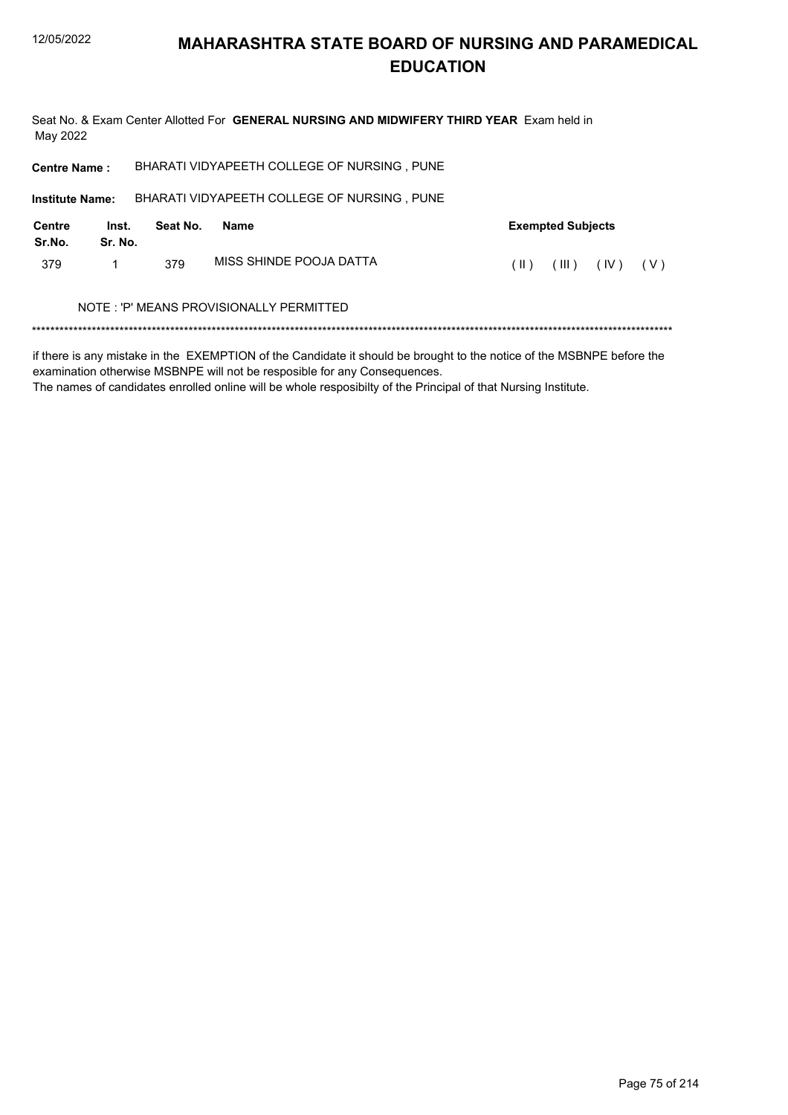### **MAHARASHTRA STATE BOARD OF NURSING AND PARAMEDICAL EDUCATION**

Seat No. & Exam Center Allotted For GENERAL NURSING AND MIDWIFERY THIRD YEAR Exam held in May 2022 BHARATI VIDYAPEETH COLLEGE OF NURSING, PUNE **Centre Name:** 

| <b>Institute Name:</b> |                  |          | BHARATI VIDYAPEETH COLLEGE OF NURSING, PUNE |      |                          |                                               |  |
|------------------------|------------------|----------|---------------------------------------------|------|--------------------------|-----------------------------------------------|--|
| Centre<br>Sr.No.       | Inst.<br>Sr. No. | Seat No. | Name                                        |      | <b>Exempted Subjects</b> |                                               |  |
| 379                    |                  | 379      | MISS SHINDE POOJA DATTA                     | (II) |                          | $(\mathbb{II})$ $(\mathbb{V})$ $(\mathbb{V})$ |  |

#### NOTE : 'P' MEANS PROVISIONALLY PERMITTED

if there is any mistake in the EXEMPTION of the Candidate it should be brought to the notice of the MSBNPE before the examination otherwise MSBNPE will not be resposible for any Consequences.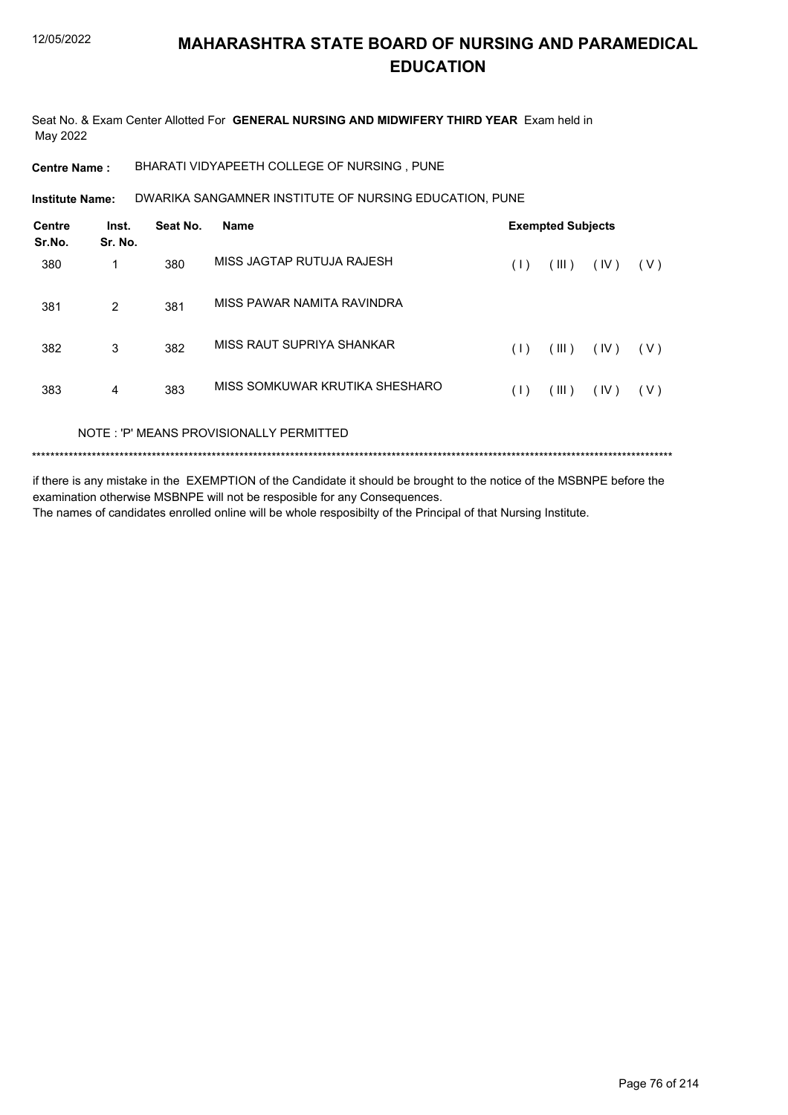Seat No. & Exam Center Allotted For **GENERAL NURSING AND MIDWIFERY THIRD YEAR** Exam held in May 2022

**Centre Name :** BHARATI VIDYAPEETH COLLEGE OF NURSING , PUNE

DWARIKA SANGAMNER INSTITUTE OF NURSING EDUCATION, PUNE **Institute Name:**

| <b>Centre</b><br>Sr.No. | Inst.<br>Sr. No. | Seat No. | <b>Name</b>                             |     | <b>Exempted Subjects</b> |      |       |
|-------------------------|------------------|----------|-----------------------------------------|-----|--------------------------|------|-------|
| 380                     | 1                | 380      | MISS JAGTAP RUTUJA RAJESH               | (1) | (III)                    | (IV) | (V)   |
| 381                     | 2                | 381      | MISS PAWAR NAMITA RAVINDRA              |     |                          |      |       |
| 382                     | 3                | 382      | MISS RAUT SUPRIYA SHANKAR               | (1) | (III)                    | (IV) | ( V ) |
| 383                     | 4                | 383      | MISS SOMKUWAR KRUTIKA SHESHARO          | (1) | (III)                    | (IV) | ( V ) |
|                         |                  |          | NOTE: 'P' MEANS PROVISIONALLY PERMITTED |     |                          |      |       |
|                         |                  |          |                                         |     |                          |      |       |

if there is any mistake in the EXEMPTION of the Candidate it should be brought to the notice of the MSBNPE before the examination otherwise MSBNPE will not be resposible for any Consequences.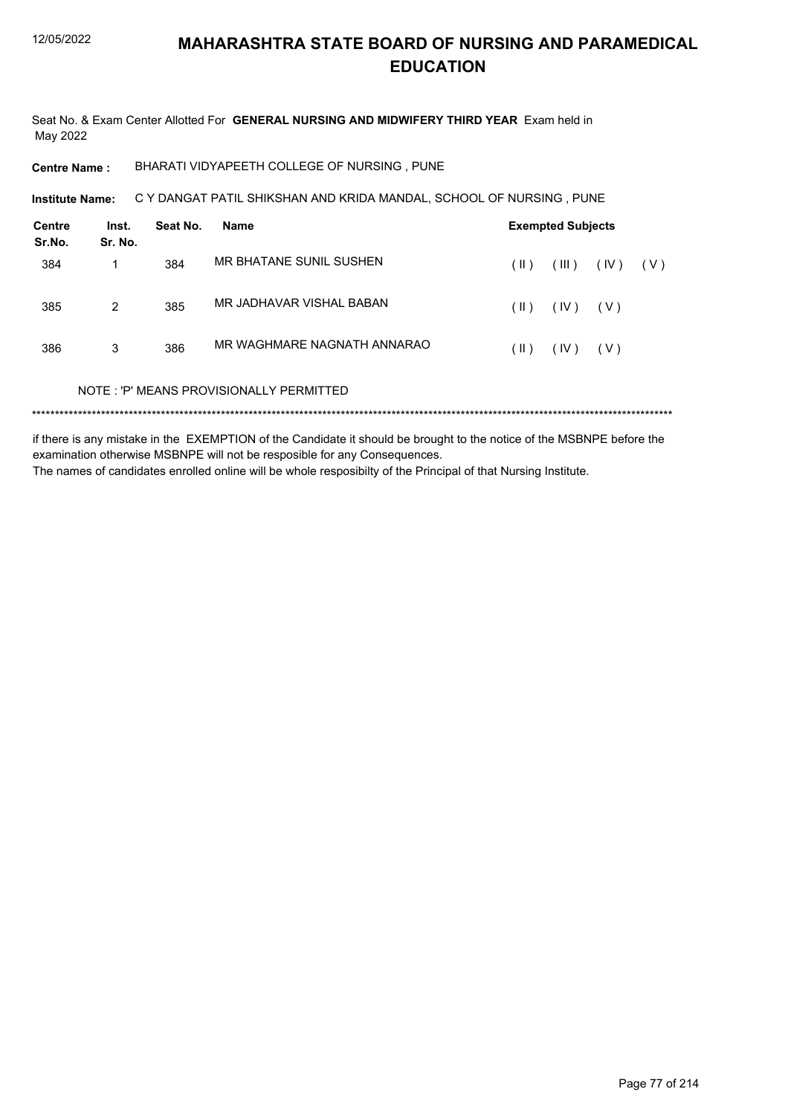Seat No. & Exam Center Allotted For GENERAL NURSING AND MIDWIFERY THIRD YEAR Exam held in May 2022

BHARATI VIDYAPEETH COLLEGE OF NURSING, PUNE **Centre Name:** 

C Y DANGAT PATIL SHIKSHAN AND KRIDA MANDAL, SCHOOL OF NURSING, PUNE Institute Name:

| Centre<br>Sr.No. | Inst.<br>Sr. No. | Seat No. | Name                                    |               | <b>Exempted Subjects</b> |       |       |
|------------------|------------------|----------|-----------------------------------------|---------------|--------------------------|-------|-------|
| 384              | 1                | 384      | MR BHATANE SUNIL SUSHEN                 | (  )          | (III)                    | (IV)  | ( V ) |
| 385              | 2                | 385      | MR JADHAVAR VISHAL BABAN                | $(\parallel)$ | (IV)                     | ( V ) |       |
| 386              | 3                | 386      | MR WAGHMARE NAGNATH ANNARAO             | $(\parallel)$ | (IV)                     | ( V ) |       |
|                  |                  |          | NOTE: 'P' MEANS PROVISIONALLY PERMITTED |               |                          |       |       |
|                  |                  |          |                                         |               |                          |       |       |

if there is any mistake in the EXEMPTION of the Candidate it should be brought to the notice of the MSBNPE before the examination otherwise MSBNPE will not be resposible for any Consequences. The names of candidates enrolled online will be whole resposibilty of the Principal of that Nursing Institute.

Page 77 of 214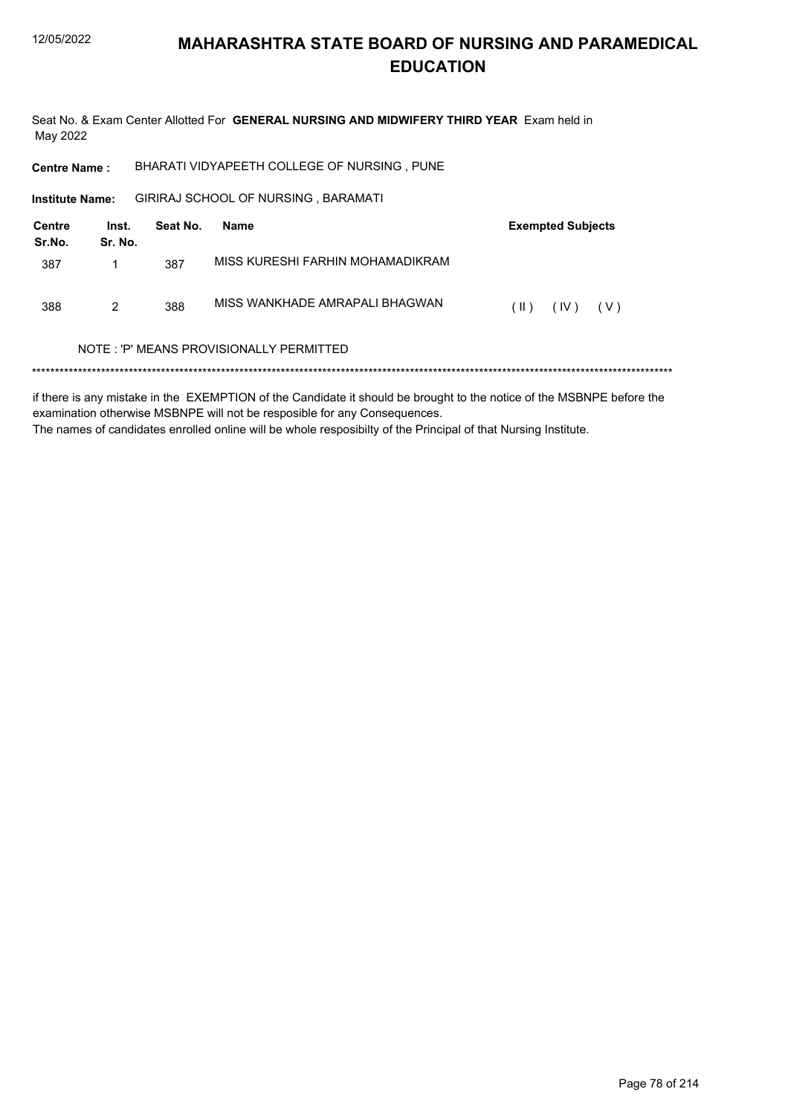Seat No. & Exam Center Allotted For GENERAL NURSING AND MIDWIFERY THIRD YEAR Exam held in May 2022

BHARATI VIDYAPEETH COLLEGE OF NURSING, PUNE **Centre Name:** 

GIRIRAJ SCHOOL OF NURSING, BARAMATI Institute Name:

| Centre<br>Sr.No. | Inst.<br>Sr. No. | Seat No. | Name                             | <b>Exempted Subjects</b> |
|------------------|------------------|----------|----------------------------------|--------------------------|
| 387              |                  | 387      | MISS KURESHI FARHIN MOHAMADIKRAM |                          |
| 388              | 2                | 388      | MISS WANKHADE AMRAPALI BHAGWAN   | (IV)<br>( V )<br>$(\ )$  |

#### NOTE: 'P' MEANS PROVISIONALLY PERMITTED

if there is any mistake in the EXEMPTION of the Candidate it should be brought to the notice of the MSBNPE before the examination otherwise MSBNPE will not be resposible for any Consequences. The names of candidates enrolled online will be whole resposibilty of the Principal of that Nursing Institute.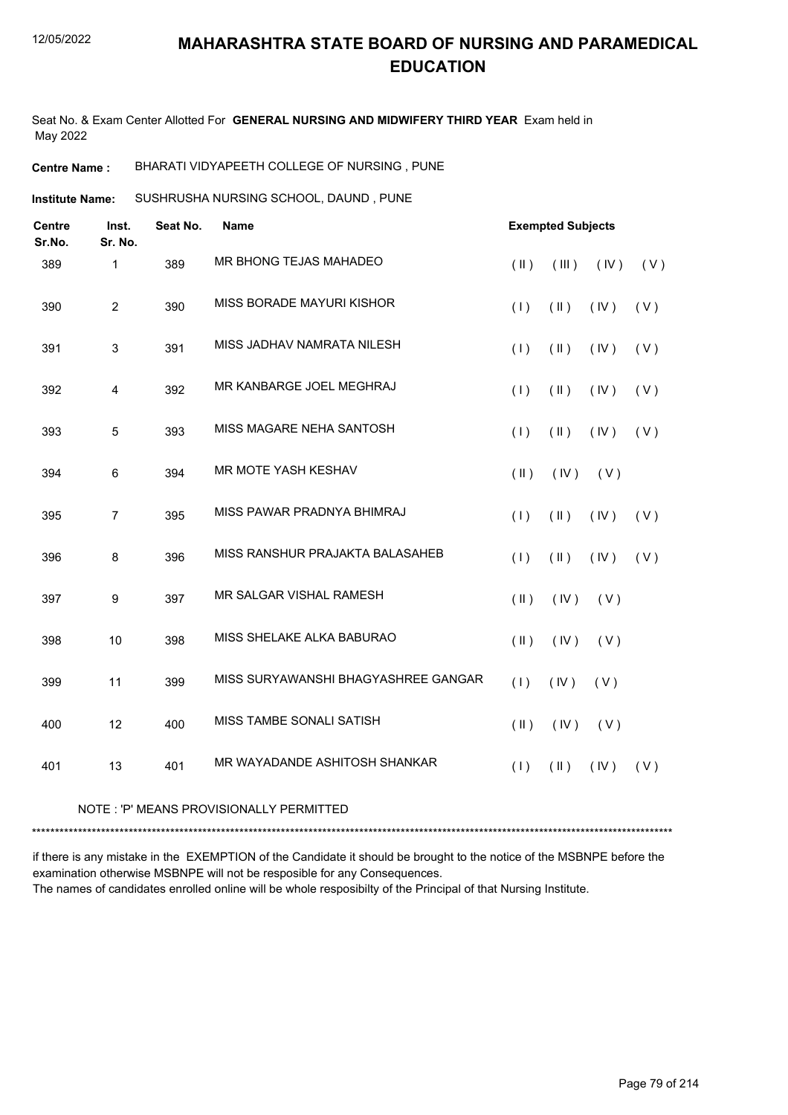Seat No. & Exam Center Allotted For **GENERAL NURSING AND MIDWIFERY THIRD YEAR** Exam held in May 2022

**Centre Name :** BHARATI VIDYAPEETH COLLEGE OF NURSING , PUNE

SUSHRUSHA NURSING SCHOOL, DAUND , PUNE **Institute Name:**

| Inst.          | Seat No. | <b>Name</b>                         |               |               |      |                          |
|----------------|----------|-------------------------------------|---------------|---------------|------|--------------------------|
| 1              | 389      | MR BHONG TEJAS MAHADEO              | $($ II $)$    | (III)         | (IV) | (V)                      |
| $\overline{c}$ | 390      | MISS BORADE MAYURI KISHOR           | (1)           | $(\parallel)$ | (IV) | (V)                      |
| 3              | 391      | MISS JADHAV NAMRATA NILESH          | (1)           | $(\parallel)$ | (IV) | (V)                      |
| 4              | 392      | MR KANBARGE JOEL MEGHRAJ            | (1)           | $(\parallel)$ | (IV) | (V)                      |
| 5              | 393      | MISS MAGARE NEHA SANTOSH            | (1)           | $(\parallel)$ | (IV) | (V)                      |
| 6              | 394      | MR MOTE YASH KESHAV                 | $($ II $)$    | (IV)          | (V)  |                          |
| $\overline{7}$ | 395      | MISS PAWAR PRADNYA BHIMRAJ          | (1)           | $(\parallel)$ | (IV) | (V)                      |
| 8              | 396      | MISS RANSHUR PRAJAKTA BALASAHEB     | (1)           | $(\parallel)$ | (IV) | (V)                      |
| 9              | 397      | MR SALGAR VISHAL RAMESH             | $($ II $)$    | (IV)          | (V)  |                          |
| 10             | 398      | MISS SHELAKE ALKA BABURAO           | $($ II $)$    | (IV)          | (V)  |                          |
| 11             | 399      | MISS SURYAWANSHI BHAGYASHREE GANGAR | (1)           | (IV)          | (V)  |                          |
| 12             | 400      | MISS TAMBE SONALI SATISH            | $(\parallel)$ | (IV)          | (V)  |                          |
| 13             | 401      | MR WAYADANDE ASHITOSH SHANKAR       | (1)           | $(\parallel)$ | (IV) | (V)                      |
|                | Sr. No.  |                                     |               |               |      | <b>Exempted Subjects</b> |

#### NOTE : 'P' MEANS PROVISIONALLY PERMITTED

\*\*\*\*\*\*\*\*\*\*\*\*\*\*\*\*\*\*\*\*\*\*\*\*\*\*\*\*\*\*\*\*\*\*\*\*\*\*\*\*\*\*\*\*\*\*\*\*\*\*\*\*\*\*\*\*\*\*\*\*\*\*\*\*\*\*\*\*\*\*\*\*\*\*\*\*\*\*\*\*\*\*\*\*\*\*\*\*\*\*\*\*\*\*\*\*\*\*\*\*\*\*\*\*\*\*\*\*\*\*\*\*\*\*\*\*\*\*\*\*\*\*\*\*\*\*\*\*\*\*\*\*\*\*\*\*\*\*\*

if there is any mistake in the EXEMPTION of the Candidate it should be brought to the notice of the MSBNPE before the examination otherwise MSBNPE will not be resposible for any Consequences. The names of candidates enrolled online will be whole resposibilty of the Principal of that Nursing Institute.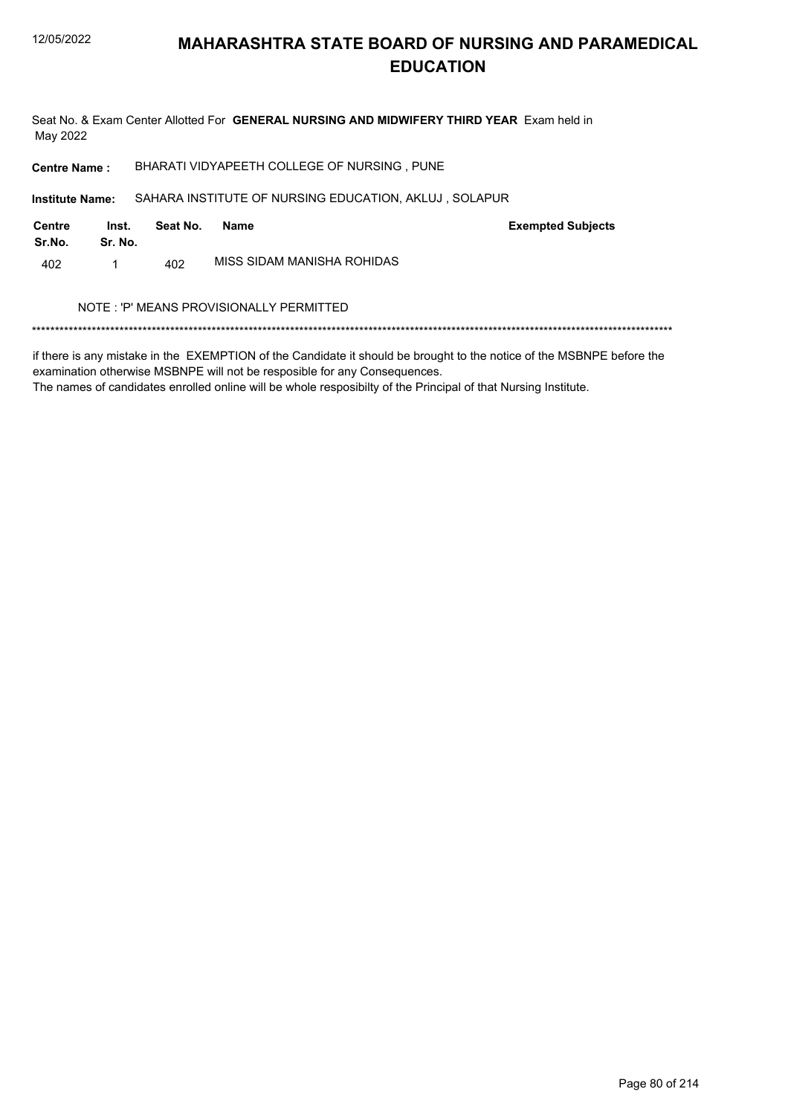Seat No. & Exam Center Allotted For GENERAL NURSING AND MIDWIFERY THIRD YEAR Exam held in May 2022

**Centre Name:** BHARATI VIDYAPEETH COLLEGE OF NURSING, PUNE

SAHARA INSTITUTE OF NURSING EDUCATION, AKLUJ, SOLAPUR Institute Name:

| Centre<br>Sr.No. | Inst.<br>Sr. No. | Seat No. | Name                       | <b>Exempted Subjects</b> |
|------------------|------------------|----------|----------------------------|--------------------------|
| 402              |                  | 402      | MISS SIDAM MANISHA ROHIDAS |                          |

#### NOTE : 'P' MEANS PROVISIONALLY PERMITTED

if there is any mistake in the EXEMPTION of the Candidate it should be brought to the notice of the MSBNPE before the examination otherwise MSBNPE will not be resposible for any Consequences.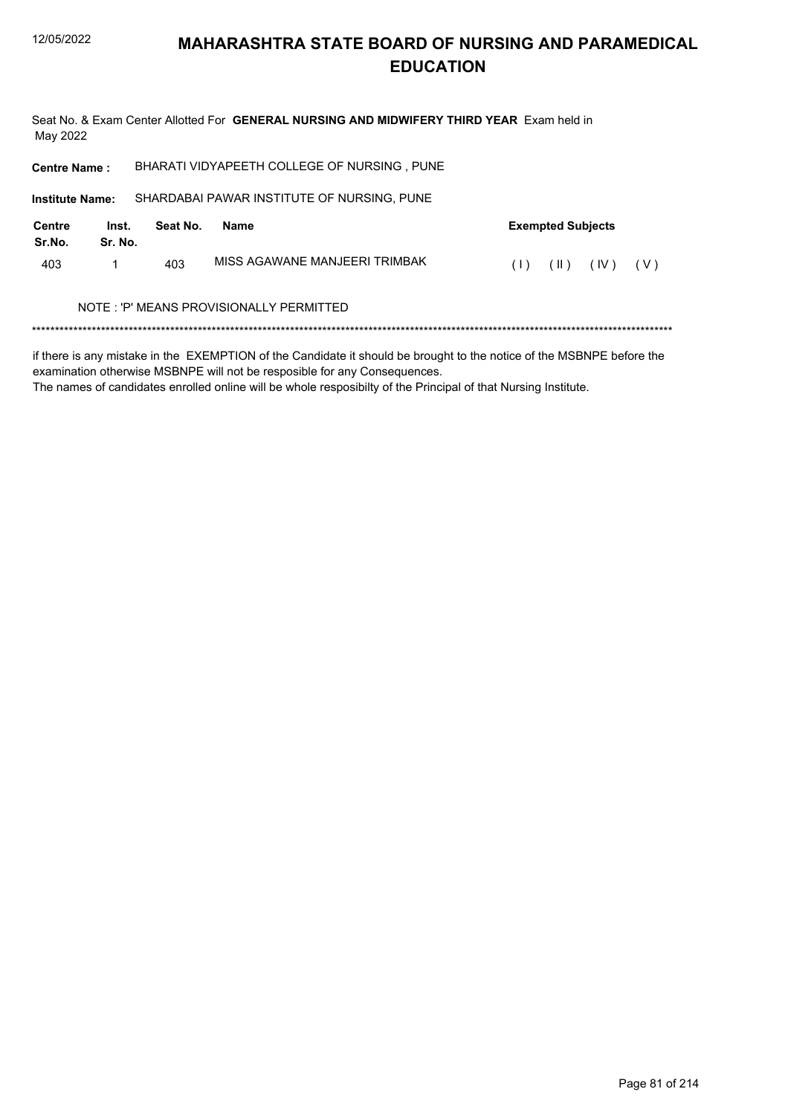Seat No. & Exam Center Allotted For GENERAL NURSING AND MIDWIFERY THIRD YEAR Exam held in May 2022

| <b>Centre Name:</b>    |                  |          | BHARATI VIDYAPEETH COLLEGE OF NURSING, PUNE |                          |
|------------------------|------------------|----------|---------------------------------------------|--------------------------|
| <b>Institute Name:</b> |                  |          | SHARDABAI PAWAR INSTITUTE OF NURSING, PUNE  |                          |
| Centre<br>Sr.No.       | Inst.<br>Sr. No. | Seat No. | <b>Name</b>                                 | <b>Exempted Subjects</b> |
| 403                    |                  | 403      | MISS AGAWANE MANJEFRI TRIMBAK               | (IV)<br>( V )<br>(  )    |
|                        |                  |          | NOTE: 'P' MEANS PROVISIONALLY PERMITTED     |                          |
|                        |                  |          |                                             |                          |

if there is any mistake in the EXEMPTION of the Candidate it should be brought to the notice of the MSBNPE before the examination otherwise MSBNPE will not be resposible for any Consequences.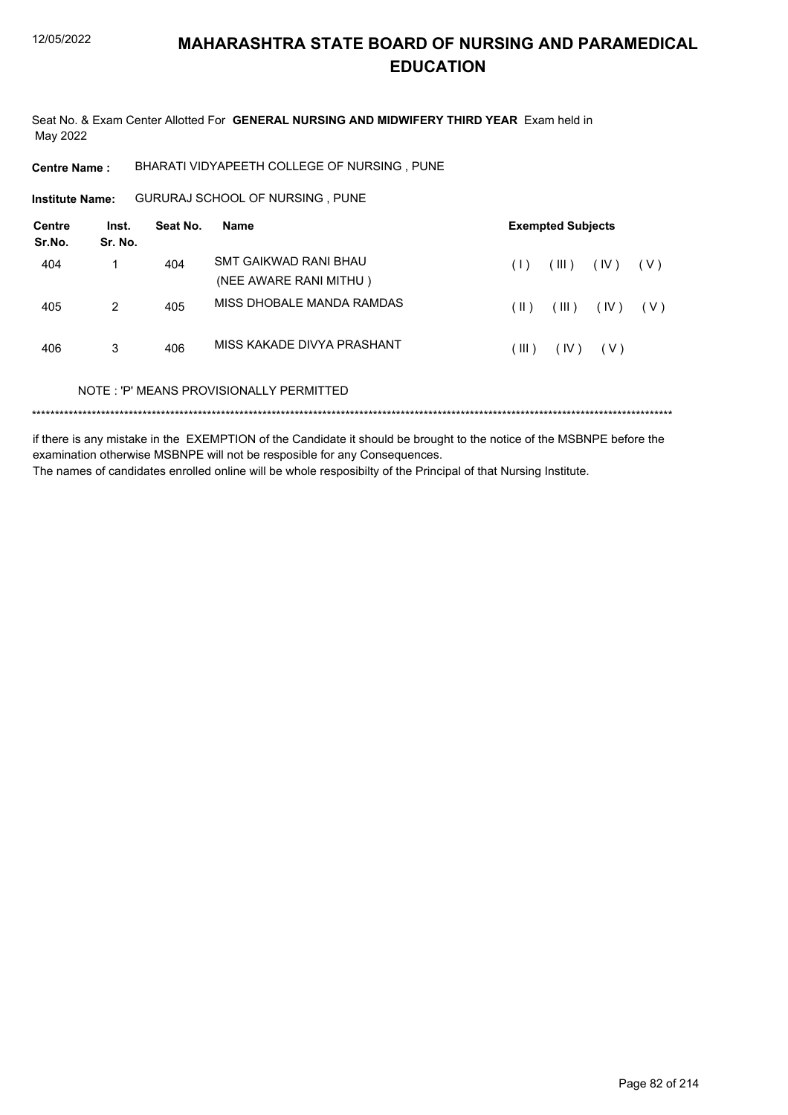Seat No. & Exam Center Allotted For GENERAL NURSING AND MIDWIFERY THIRD YEAR Exam held in May 2022

BHARATI VIDYAPEETH COLLEGE OF NURSING, PUNE **Centre Name:** 

GURURAJ SCHOOL OF NURSING, PUNE **Institute Name:** 

| Centre<br>Sr.No. | Inst.<br>Sr. No. | Seat No. | Name                                            |               | <b>Exempted Subjects</b> |       |       |
|------------------|------------------|----------|-------------------------------------------------|---------------|--------------------------|-------|-------|
| 404              |                  | 404      | SMT GAIKWAD RANI BHAU<br>(NEE AWARE RANI MITHU) | (1)           | (III)                    | (IV)  | ( V ) |
| 405              | 2                | 405      | MISS DHOBALE MANDA RAMDAS                       | $(\parallel)$ | (III)                    | (IV)  | ( V ) |
| 406              | 3                | 406      | MISS KAKADE DIVYA PRASHANT                      | (III)         | (IV)                     | ( V ) |       |
|                  |                  |          | NOTE: 'P' MEANS PROVISIONALLY PERMITTED         |               |                          |       |       |
|                  |                  |          |                                                 |               |                          |       |       |

if there is any mistake in the EXEMPTION of the Candidate it should be brought to the notice of the MSBNPE before the examination otherwise MSBNPE will not be resposible for any Consequences. The names of candidates enrolled online will be whole resposibilty of the Principal of that Nursing Institute.

Page 82 of 214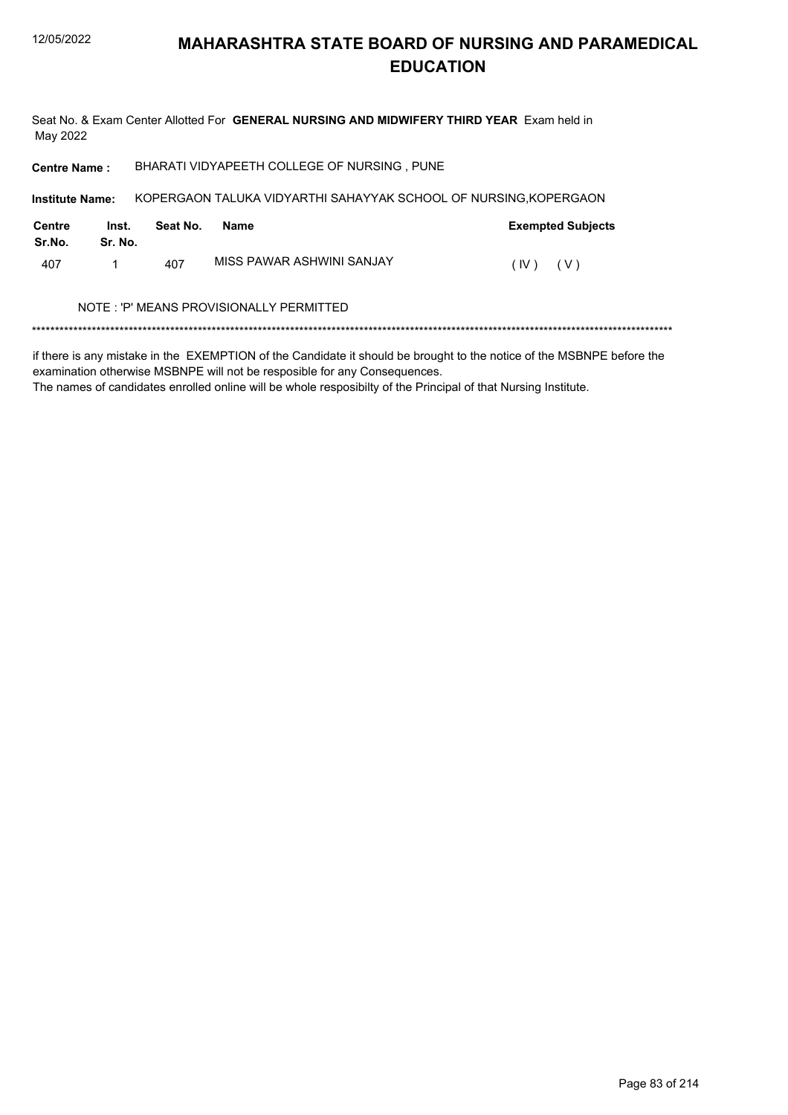Seat No. & Exam Center Allotted For GENERAL NURSING AND MIDWIFERY THIRD YEAR Exam held in May 2022

BHARATI VIDYAPEETH COLLEGE OF NURSING, PUNE **Centre Name:** 

KOPERGAON TALUKA VIDYARTHI SAHAYYAK SCHOOL OF NURSING, KOPERGAON Institute Name:

| Centre<br>Sr.No. | Inst.<br>Sr. No. | Seat No. | Name                      | <b>Exempted Subjects</b> |
|------------------|------------------|----------|---------------------------|--------------------------|
| 407              |                  | 407      | MISS PAWAR ASHWINI SANJAY | (IV)<br>(V)              |

#### NOTE : 'P' MEANS PROVISIONALLY PERMITTED

if there is any mistake in the EXEMPTION of the Candidate it should be brought to the notice of the MSBNPE before the examination otherwise MSBNPE will not be resposible for any Consequences.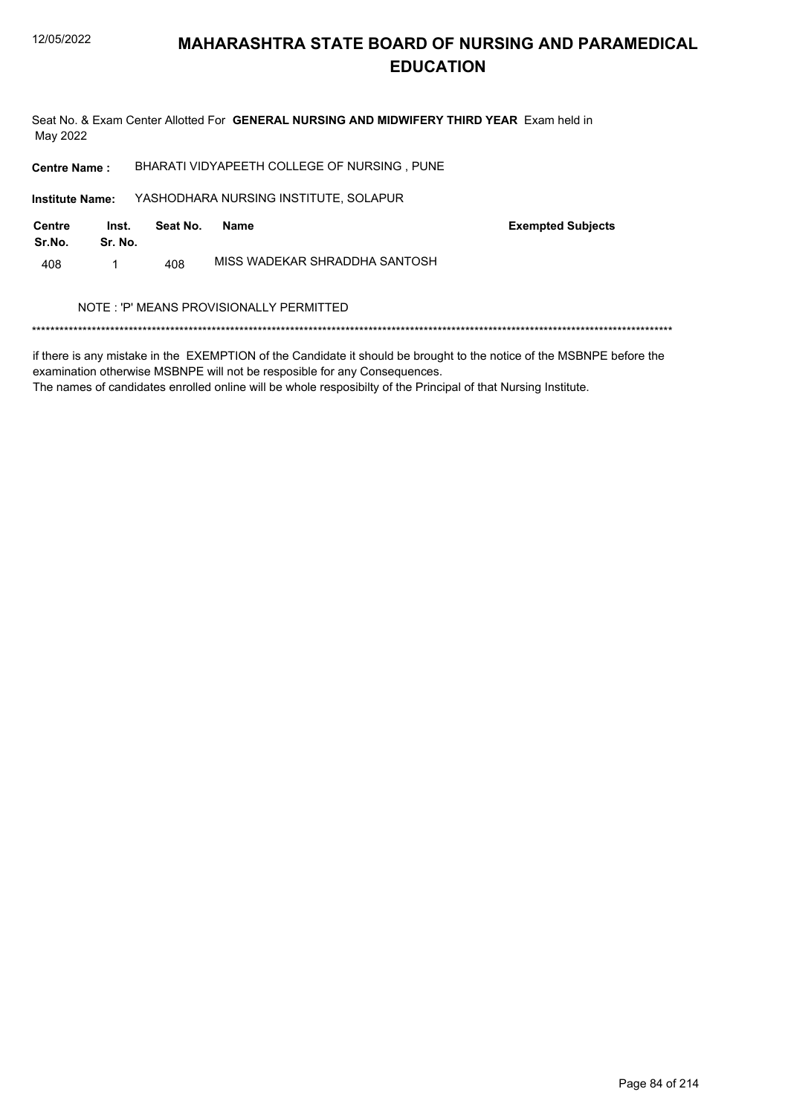Seat No. & Exam Center Allotted For GENERAL NURSING AND MIDWIFERY THIRD YEAR Exam held in May 2022

BHARATI VIDYAPEETH COLLEGE OF NURSING, PUNE **Centre Name:** 

YASHODHARA NURSING INSTITUTE, SOLAPUR Institute Name:

| Centre<br>Sr.No. | Inst.<br>Sr. No. | Seat No. | Name                          | <b>Exempted Subjects</b> |
|------------------|------------------|----------|-------------------------------|--------------------------|
| 408              |                  | 408      | MISS WADEKAR SHRADDHA SANTOSH |                          |

#### NOTE : 'P' MEANS PROVISIONALLY PERMITTED

if there is any mistake in the EXEMPTION of the Candidate it should be brought to the notice of the MSBNPE before the examination otherwise MSBNPE will not be resposible for any Consequences.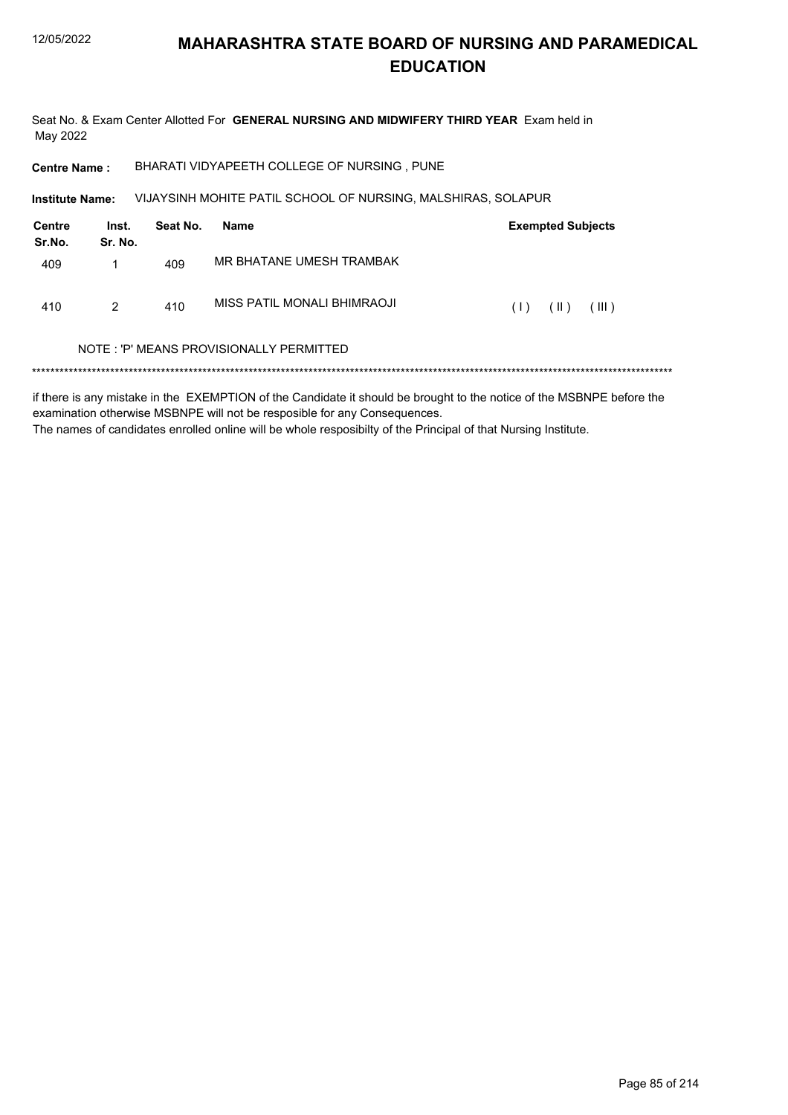410

 $\overline{2}$ 

### **MAHARASHTRA STATE BOARD OF NURSING AND PARAMEDICAL EDUCATION**

 $(1)$   $(1)$ 

 $(\mathbb{H})$ 

Seat No. & Exam Center Allotted For GENERAL NURSING AND MIDWIFERY THIRD YEAR Exam held in May 2022

BHARATI VIDYAPEETH COLLEGE OF NURSING, PUNE **Centre Name:** 

VIJAYSINH MOHITE PATIL SCHOOL OF NURSING, MALSHIRAS, SOLAPUR **Institute Name: Centre** Inst. Seat No. **Exempted Subjects** Name Sr.No. Sr. No. MR BHATANE UMESH TRAMBAK 409  $\mathbf{1}$ 409 MISS PATIL MONALI BHIMRAOJI

#### NOTE: 'P' MEANS PROVISIONALLY PERMITTED

410

if there is any mistake in the EXEMPTION of the Candidate it should be brought to the notice of the MSBNPE before the examination otherwise MSBNPE will not be resposible for any Consequences. The names of candidates enrolled online will be whole resposibilty of the Principal of that Nursing Institute.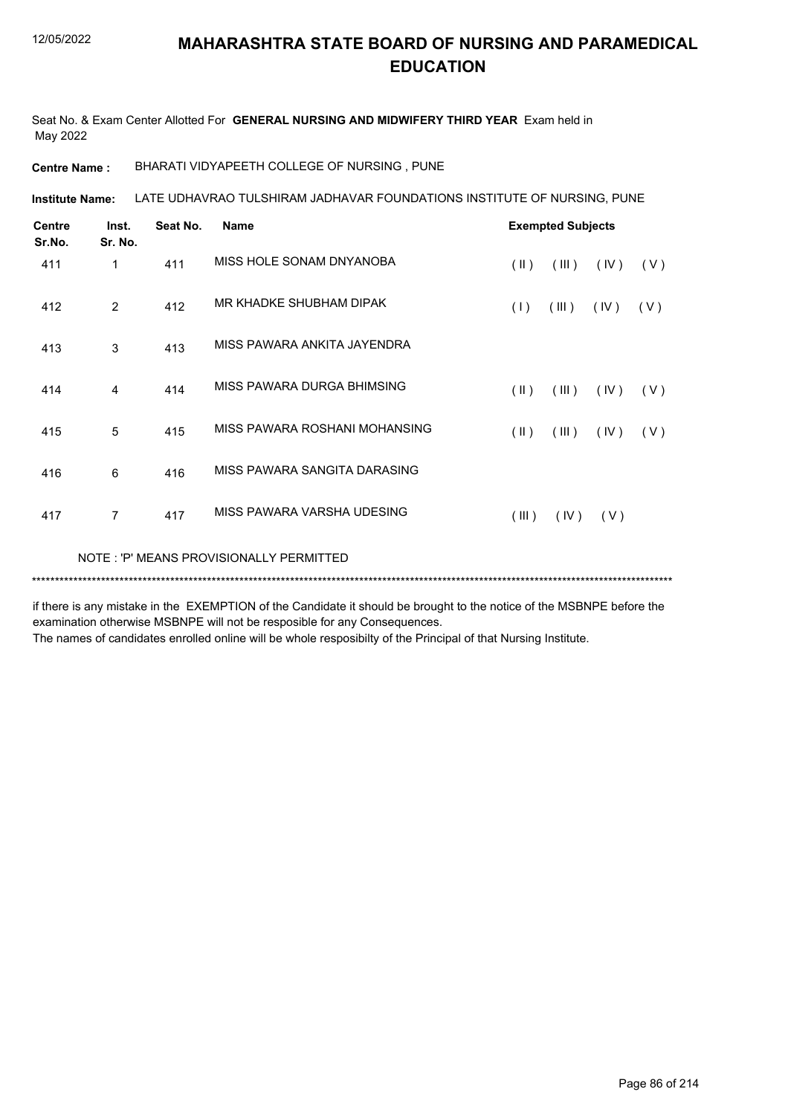Seat No. & Exam Center Allotted For **GENERAL NURSING AND MIDWIFERY THIRD YEAR** Exam held in May 2022

**Centre Name :** BHARATI VIDYAPEETH COLLEGE OF NURSING , PUNE

LATE UDHAVRAO TULSHIRAM JADHAVAR FOUNDATIONS INSTITUTE OF NURSING, PUNE **Institute Name:**

| <b>Centre</b><br>Sr.No. | Inst.<br>Sr. No. | Seat No. | <b>Name</b>                             |               | <b>Exempted Subjects</b> |       |     |
|-------------------------|------------------|----------|-----------------------------------------|---------------|--------------------------|-------|-----|
| 411                     | 1                | 411      | MISS HOLF SONAM DNYANOBA                | $(\parallel)$ | (III)                    | (IV)  | (V) |
| 412                     | 2                | 412      | MR KHADKE SHUBHAM DIPAK                 | (1)           | (III)                    | (IV)  | (V) |
| 413                     | 3                | 413      | MISS PAWARA ANKITA JAYENDRA             |               |                          |       |     |
| 414                     | 4                | 414      | MISS PAWARA DURGA BHIMSING              | $(\parallel)$ | (III)                    | (IV)  | (V) |
| 415                     | 5                | 415      | MISS PAWARA ROSHANI MOHANSING           | $(\parallel)$ | (III)                    | (IV)  | (V) |
| 416                     | 6                | 416      | MISS PAWARA SANGITA DARASING            |               |                          |       |     |
| 417                     | $\overline{7}$   | 417      | MISS PAWARA VARSHA UDESING              | (III)         | (IV)                     | ( V ) |     |
|                         |                  |          | NOTE: 'P' MEANS PROVISIONALLY PERMITTED |               |                          |       |     |
|                         |                  |          |                                         |               |                          |       |     |

if there is any mistake in the EXEMPTION of the Candidate it should be brought to the notice of the MSBNPE before the examination otherwise MSBNPE will not be resposible for any Consequences.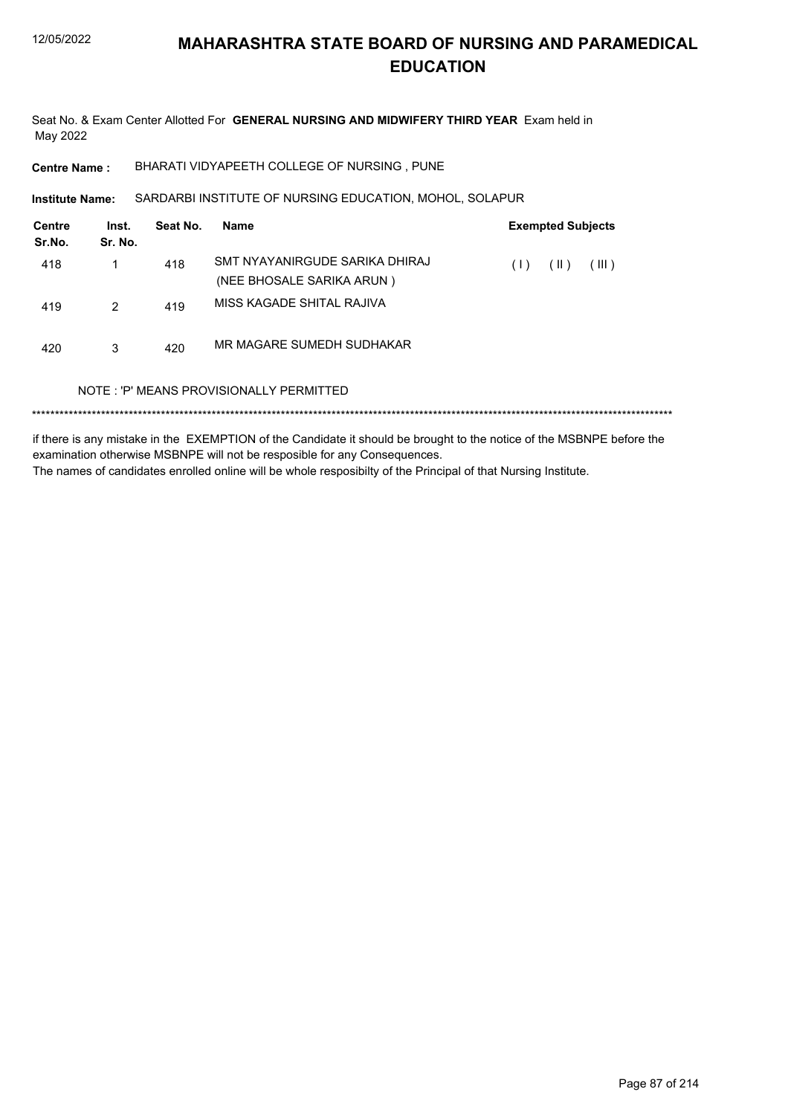Seat No. & Exam Center Allotted For GENERAL NURSING AND MIDWIFERY THIRD YEAR Exam held in May 2022

BHARATI VIDYAPEETH COLLEGE OF NURSING, PUNE **Centre Name:** 

SARDARBI INSTITUTE OF NURSING EDUCATION, MOHOL, SOLAPUR Institute Name:

| <b>Centre</b><br>Sr.No. | Inst.<br>Sr. No. | Seat No. | <b>Name</b>                                                 |     | <b>Exempted Subjects</b> |       |
|-------------------------|------------------|----------|-------------------------------------------------------------|-----|--------------------------|-------|
| 418                     | 1                | 418      | SMT NYAYANIRGUDE SARIKA DHIRAJ<br>(NEE BHOSALE SARIKA ARUN) | (1) | (  )                     | (III) |
| 419                     | 2                | 419      | MISS KAGADE SHITAL RAJIVA                                   |     |                          |       |
| 420                     | 3                | 420      | MR MAGARE SUMEDH SUDHAKAR                                   |     |                          |       |
|                         |                  |          | NOTE: 'P' MEANS PROVISIONALLY PERMITTED                     |     |                          |       |
|                         |                  |          |                                                             |     |                          |       |

if there is any mistake in the EXEMPTION of the Candidate it should be brought to the notice of the MSBNPE before the examination otherwise MSBNPE will not be resposible for any Consequences. The names of candidates enrolled online will be whole resposibilty of the Principal of that Nursing Institute.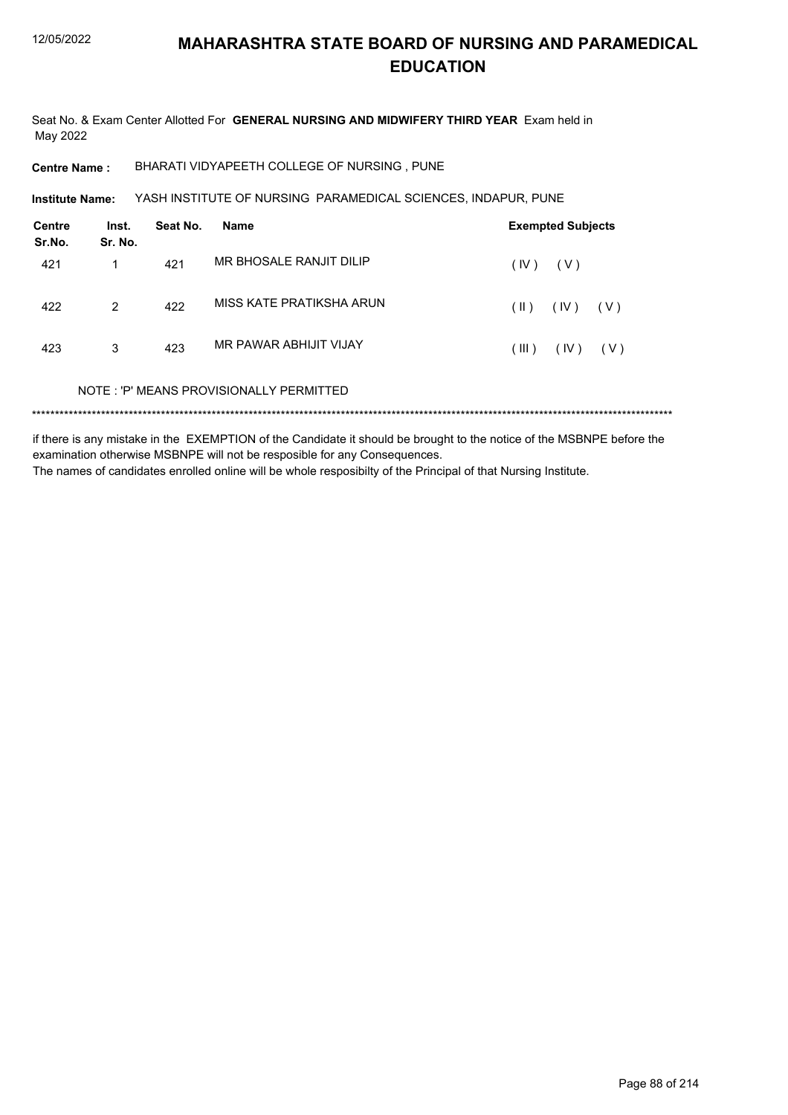Seat No. & Exam Center Allotted For GENERAL NURSING AND MIDWIFERY THIRD YEAR Exam held in May 2022

BHARATI VIDYAPEETH COLLEGE OF NURSING, PUNE **Centre Name:** 

YASH INSTITUTE OF NURSING PARAMEDICAL SCIENCES, INDAPUR, PUNE Institute Name:

| <b>Centre</b><br>Sr.No. | Inst.<br>Sr. No. | Seat No. | <b>Name</b>                             | <b>Exempted Subjects</b>       |
|-------------------------|------------------|----------|-----------------------------------------|--------------------------------|
| 421                     | 1                | 421      | MR BHOSALE RANJIT DILIP                 | (IV)<br>( V )                  |
| 422                     | 2                | 422      | MISS KATF PRATIKSHA ARUN                | $(\parallel)$<br>(IV)<br>( V ) |
| 423                     | 3                | 423      | MR PAWAR ABHIJIT VIJAY                  | (III)<br>(IV)<br>( V )         |
|                         |                  |          | NOTE: 'P' MEANS PROVISIONALLY PERMITTED |                                |

if there is any mistake in the EXEMPTION of the Candidate it should be brought to the notice of the MSBNPE before the examination otherwise MSBNPE will not be resposible for any Consequences. The names of candidates enrolled online will be whole resposibilty of the Principal of that Nursing Institute.

Page 88 of 214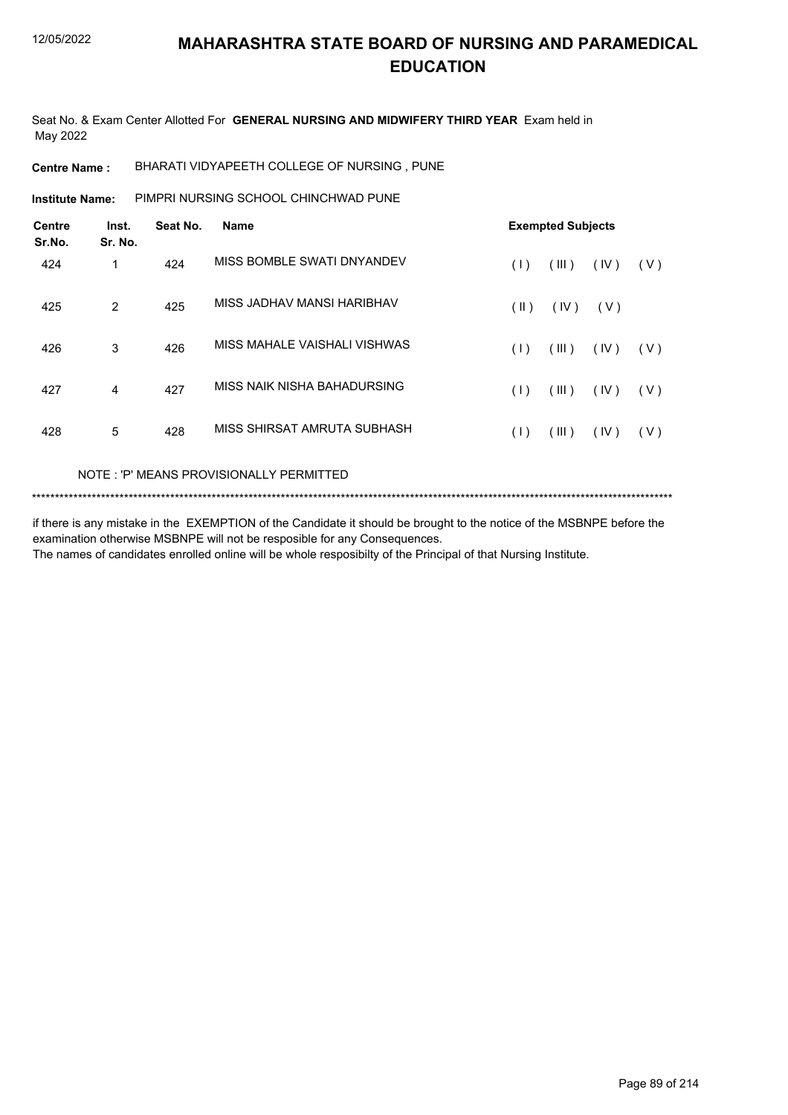Seat No. & Exam Center Allotted For **GENERAL NURSING AND MIDWIFERY THIRD YEAR** Exam held in May 2022

**Centre Name :** BHARATI VIDYAPEETH COLLEGE OF NURSING , PUNE

PIMPRI NURSING SCHOOL CHINCHWAD PUNE **Institute Name:**

| <b>Centre</b><br>Sr.No. | Inst.<br>Sr. No. | Seat No. | <b>Name</b>                  | <b>Exempted Subjects</b> |       |      |       |
|-------------------------|------------------|----------|------------------------------|--------------------------|-------|------|-------|
| 424                     | 1                | 424      | MISS BOMBLE SWATI DNYANDEV   | (1)                      | (III) | (IV) | ( V ) |
| 425                     | $\overline{2}$   | 425      | MISS JADHAV MANSI HARIBHAV   | $(\parallel)$            | (IV)  | (V)  |       |
| 426                     | 3                | 426      | MISS MAHALE VAISHALI VISHWAS | (1)                      | (III) | (IV) | ( V ) |
| 427                     | 4                | 427      | MISS NAIK NISHA BAHADURSING  | (1)                      | (III) | (IV) | ( V ) |
| 428                     | 5                | 428      | MISS SHIRSAT AMRUTA SUBHASH  | (1)                      | (III) | (IV) | ( V ) |
|                         |                  |          |                              |                          |       |      |       |

#### NOTE : 'P' MEANS PROVISIONALLY PERMITTED

```
*******************************************************************************************************************************************
```
if there is any mistake in the EXEMPTION of the Candidate it should be brought to the notice of the MSBNPE before the examination otherwise MSBNPE will not be resposible for any Consequences. The names of candidates enrolled online will be whole resposibilty of the Principal of that Nursing Institute.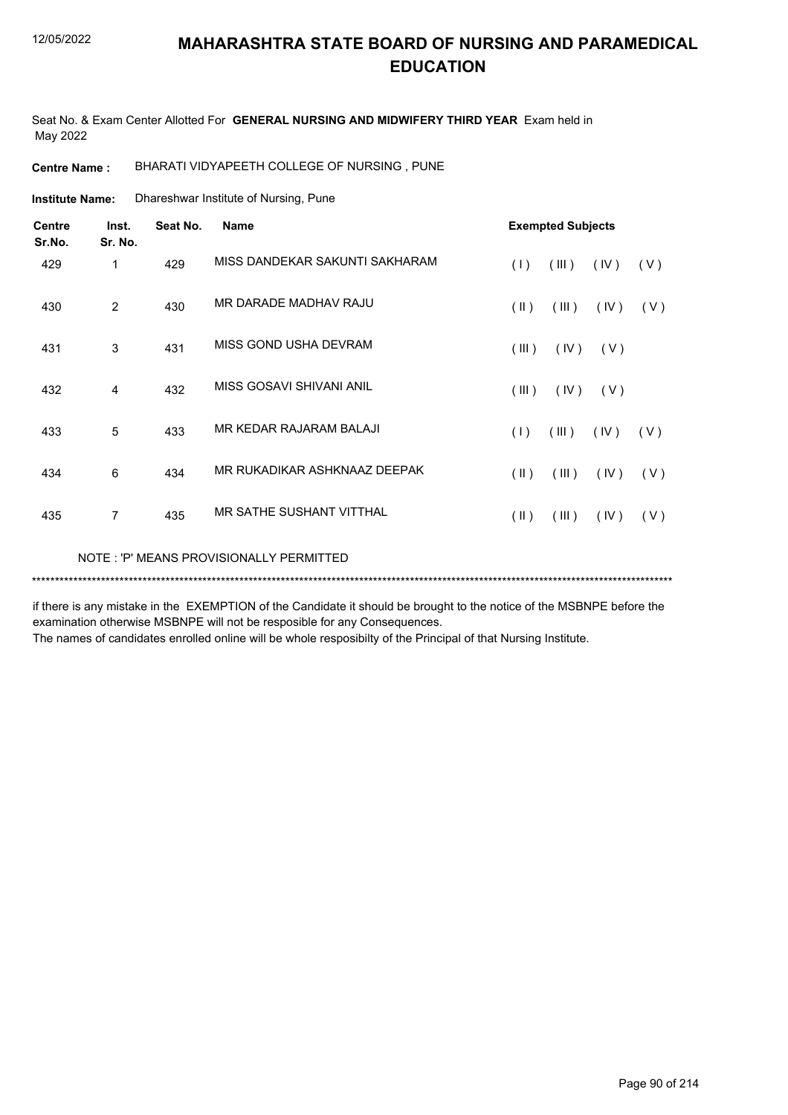Seat No. & Exam Center Allotted For **GENERAL NURSING AND MIDWIFERY THIRD YEAR** Exam held in May 2022

**Centre Name :** BHARATI VIDYAPEETH COLLEGE OF NURSING , PUNE

Dhareshwar Institute of Nursing, Pune **Institute Name:**

| <b>Centre</b><br>Sr.No. | Inst.<br>Sr. No. | Seat No. | <b>Name</b>                             |                         | <b>Exempted Subjects</b> |      |     |
|-------------------------|------------------|----------|-----------------------------------------|-------------------------|--------------------------|------|-----|
| 429                     | 1                | 429      | MISS DANDEKAR SAKUNTI SAKHARAM          | (1)                     | (III)                    | (IV) | (V) |
| 430                     | 2                | 430      | MR DARADE MADHAV RAJU                   | (  )                    | (III)                    | (IV) | (V) |
| 431                     | 3                | 431      | MISS GOND USHA DEVRAM                   | (III)                   | (IV)                     | (V)  |     |
| 432                     | 4                | 432      | MISS GOSAVI SHIVANI ANIL                | $($ III $)$             | (IV)                     | (V)  |     |
| 433                     | 5                | 433      | MR KEDAR RAJARAM BALAJI                 | (1)                     | (III)                    | (IV) | (V) |
| 434                     | 6                | 434      | MR RUKADIKAR ASHKNAAZ DEEPAK            | $(\parallel)$           | (III)                    | (IV) | (V) |
| 435                     | $\overline{7}$   | 435      | MR SATHE SUSHANT VITTHAL                | $(\parallel \parallel)$ | (III)                    | (IV) | (V) |
|                         |                  |          | NOTE: 'P' MEANS PROVISIONALLY PERMITTED |                         |                          |      |     |

if there is any mistake in the EXEMPTION of the Candidate it should be brought to the notice of the MSBNPE before the examination otherwise MSBNPE will not be resposible for any Consequences.

\*\*\*\*\*\*\*\*\*\*\*\*\*\*\*\*\*\*\*\*\*\*\*\*\*\*\*\*\*\*\*\*\*\*\*\*\*\*\*\*\*\*\*\*\*\*\*\*\*\*\*\*\*\*\*\*\*\*\*\*\*\*\*\*\*\*\*\*\*\*\*\*\*\*\*\*\*\*\*\*\*\*\*\*\*\*\*\*\*\*\*\*\*\*\*\*\*\*\*\*\*\*\*\*\*\*\*\*\*\*\*\*\*\*\*\*\*\*\*\*\*\*\*\*\*\*\*\*\*\*\*\*\*\*\*\*\*\*\*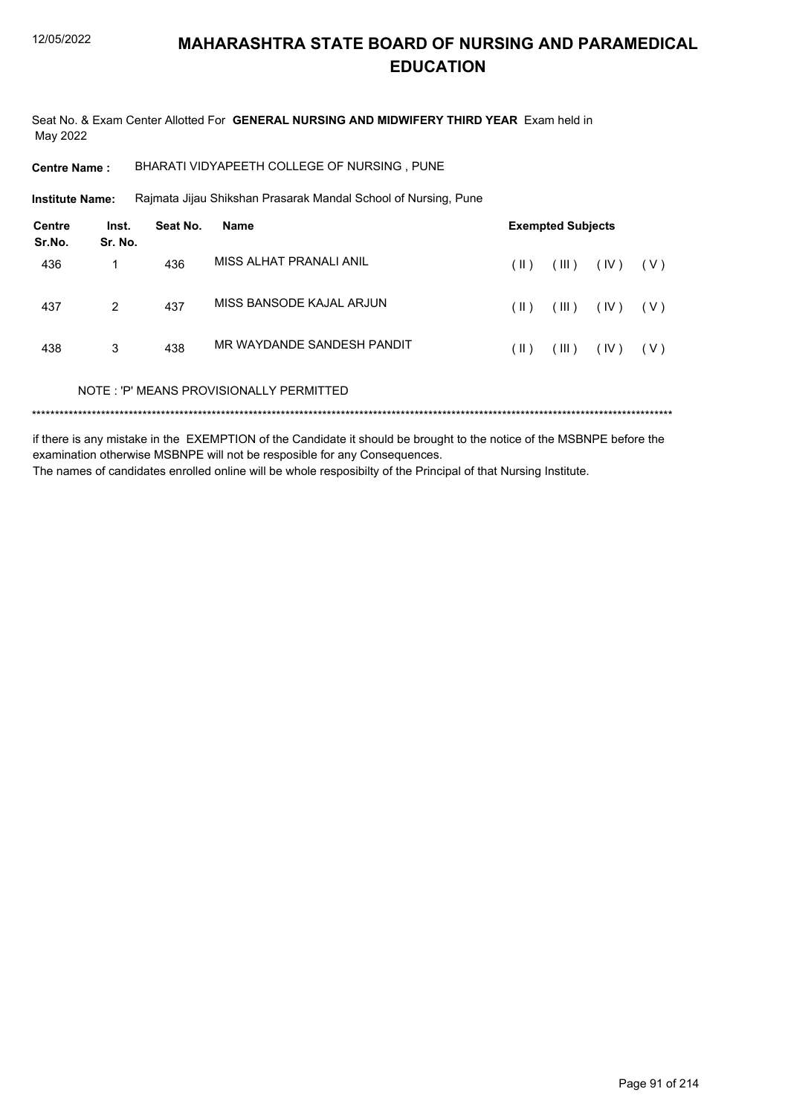Seat No. & Exam Center Allotted For GENERAL NURSING AND MIDWIFERY THIRD YEAR Exam held in May 2022

BHARATI VIDYAPEETH COLLEGE OF NURSING, PUNE **Centre Name:** 

**Institute Name:** Rajmata Jijau Shikshan Prasarak Mandal School of Nursing, Pune

| <b>Centre</b><br>Sr.No. | Inst.<br>Sr. No. | Seat No. | <b>Name</b>                             | <b>Exempted Subjects</b> |       |      |       |  |
|-------------------------|------------------|----------|-----------------------------------------|--------------------------|-------|------|-------|--|
| 436                     |                  | 436      | MISS AI HAT PRANALLANIL                 | (  )                     | (III) | (IV) | ( V ) |  |
| 437                     | 2                | 437      | MISS BANSODE KAJAL ARJUN                | (  )                     | (III) | (IV) | (V)   |  |
| 438                     | 3                | 438      | MR WAYDANDE SANDESH PANDIT              | (  )                     | (III) | (IV) | (V)   |  |
|                         |                  |          | NOTE: 'P' MEANS PROVISIONALLY PERMITTED |                          |       |      |       |  |
|                         |                  |          |                                         |                          |       |      |       |  |

if there is any mistake in the EXEMPTION of the Candidate it should be brought to the notice of the MSBNPE before the examination otherwise MSBNPE will not be resposible for any Consequences. The names of candidates enrolled online will be whole resposibilty of the Principal of that Nursing Institute.

Page 91 of 214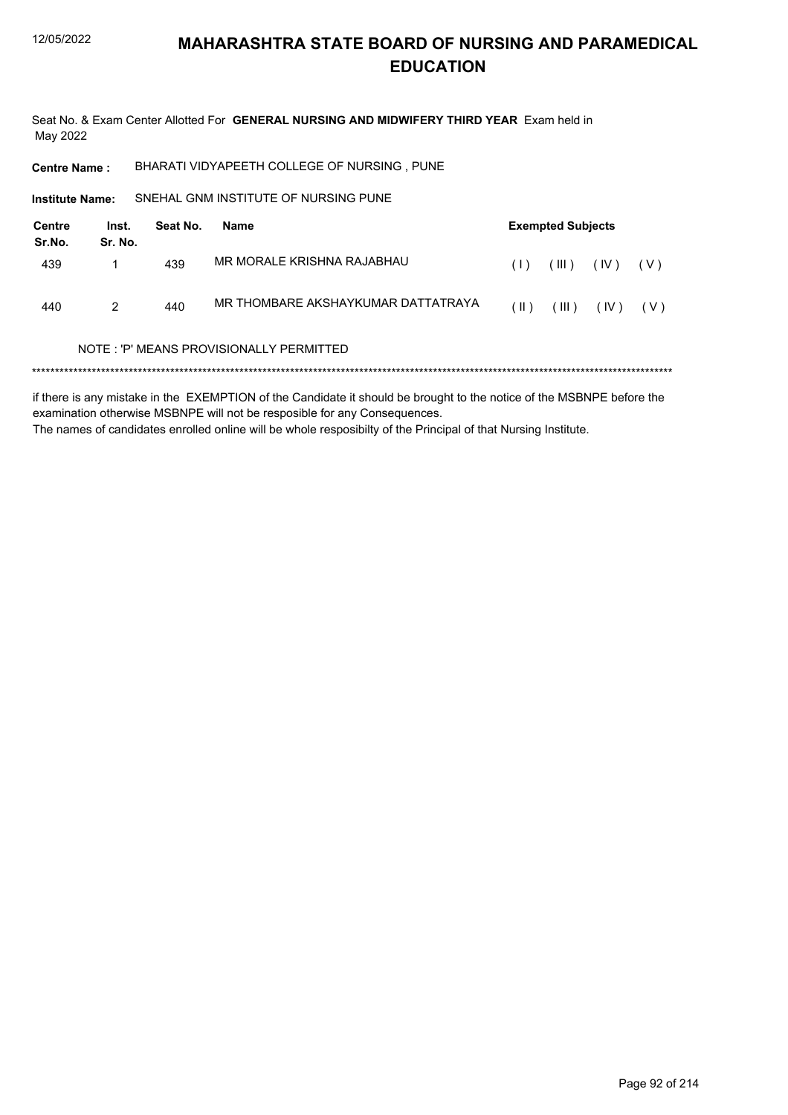Seat No. & Exam Center Allotted For GENERAL NURSING AND MIDWIFERY THIRD YEAR Exam held in May 2022

BHARATI VIDYAPEETH COLLEGE OF NURSING, PUNE **Centre Name:** 

SNEHAL GNM INSTITUTE OF NURSING PUNE **Institute Name:** 

| Centre<br>Sr.No. | Inst.<br>Sr. No. | Seat No. | Name                                                                                                                                                                                                                                                                                                                                                | <b>Exempted Subjects</b> |       |                                               |              |
|------------------|------------------|----------|-----------------------------------------------------------------------------------------------------------------------------------------------------------------------------------------------------------------------------------------------------------------------------------------------------------------------------------------------------|--------------------------|-------|-----------------------------------------------|--------------|
| 439              |                  | 439      | MR MORALE KRISHNA RAJABHAU                                                                                                                                                                                                                                                                                                                          | (1)                      |       | $(\mathbb{II})$ $(\mathbb{V})$ $(\mathbb{V})$ |              |
| 440              | $\mathcal{P}$    | 440      | MR THOMBARE AKSHAYKUMAR DATTATRAYA                                                                                                                                                                                                                                                                                                                  | $(\parallel)$            | (III) |                                               | $(IV)$ $(V)$ |
|                  | $\cdots$         |          | $\overline{1}$ , $\overline{1}$ , $\overline{1}$ , $\overline{1}$ , $\overline{1}$ , $\overline{1}$ , $\overline{1}$ , $\overline{1}$ , $\overline{1}$ , $\overline{1}$ , $\overline{1}$ , $\overline{1}$ , $\overline{1}$ , $\overline{1}$ , $\overline{1}$ , $\overline{1}$ , $\overline{1}$ , $\overline{1}$ , $\overline{1}$ , $\overline{1}$ , |                          |       |                                               |              |

#### NOTE: 'P' MEANS PROVISIONALLY PERMITTED

if there is any mistake in the EXEMPTION of the Candidate it should be brought to the notice of the MSBNPE before the examination otherwise MSBNPE will not be resposible for any Consequences. The names of candidates enrolled online will be whole resposibilty of the Principal of that Nursing Institute.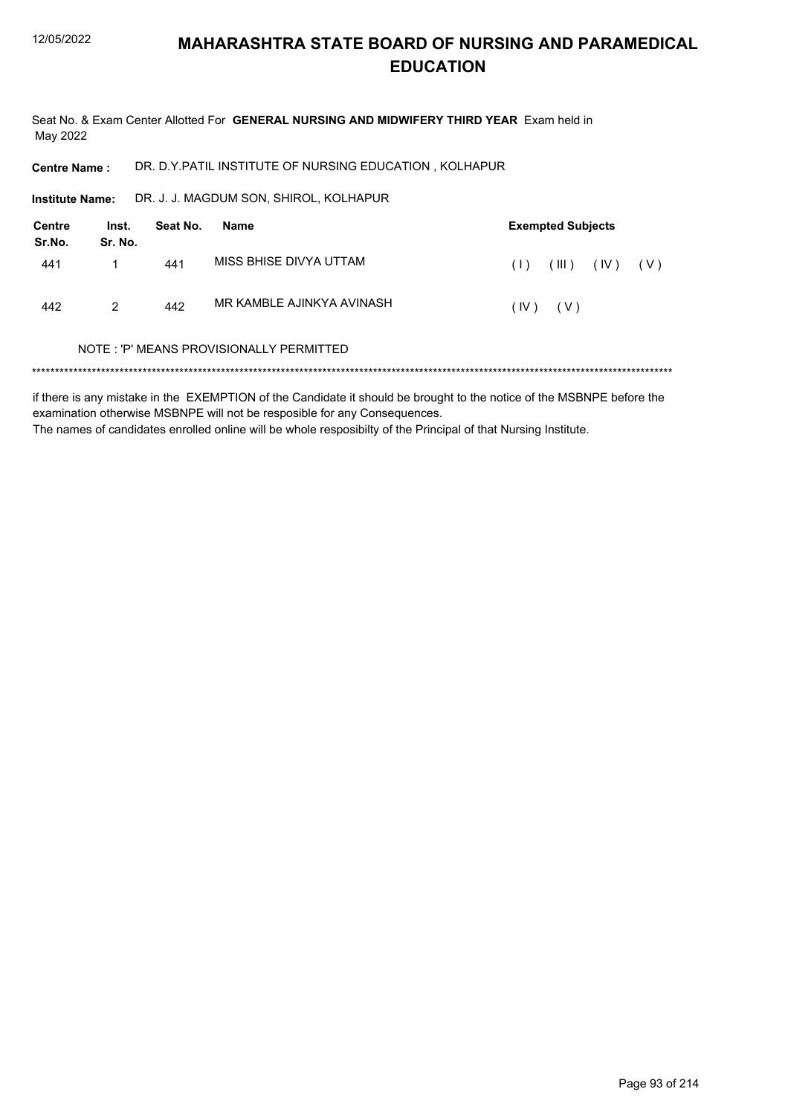Seat No. & Exam Center Allotted For GENERAL NURSING AND MIDWIFERY THIRD YEAR Exam held in May 2022

DR. D.Y.PATIL INSTITUTE OF NURSING EDUCATION, KOLHAPUR **Centre Name:** 

DR. J. J. MAGDUM SON, SHIROL, KOLHAPUR Institute Name:

| <b>Centre</b><br>Sr.No. | Inst.<br>Sr. No. | Seat No. | Name                      | <b>Exempted Subjects</b> |       |              |  |
|-------------------------|------------------|----------|---------------------------|--------------------------|-------|--------------|--|
| 441                     |                  | 441      | MISS BHISE DIVYA UTTAM    | (1)                      | (III) | $(IV)$ $(V)$ |  |
| 442                     | $\mathcal{P}$    | 442      | MR KAMBLE AJINKYA AVINASH | (IV)                     | ( V ) |              |  |

#### NOTE: 'P' MEANS PROVISIONALLY PERMITTED

if there is any mistake in the EXEMPTION of the Candidate it should be brought to the notice of the MSBNPE before the examination otherwise MSBNPE will not be resposible for any Consequences. The names of candidates enrolled online will be whole resposibilty of the Principal of that Nursing Institute.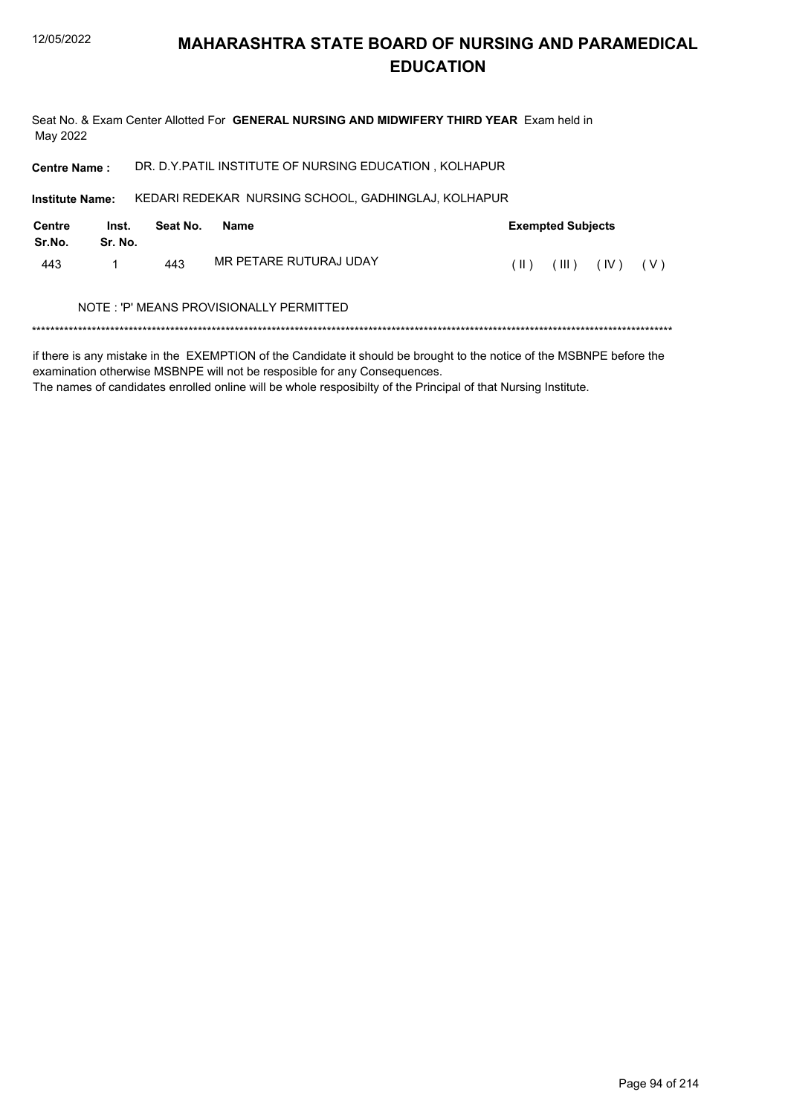Seat No. & Exam Center Allotted For **GENERAL NURSING AND MIDWIFERY THIRD YEAR** Exam held in May 2022

**Centre Name :** DR. D.Y.PATIL INSTITUTE OF NURSING EDUCATION , KOLHAPUR

KEDARI REDEKAR NURSING SCHOOL, GADHINGLAJ, KOLHAPUR **Institute Name:**

| Centre<br>Sr.No. | Inst.<br>Sr. No. | Seat No. | Name                                    | <b>Exempted Subjects</b> |       |      |     |  |
|------------------|------------------|----------|-----------------------------------------|--------------------------|-------|------|-----|--|
| 443              |                  | 443      | MR PETARE RUTURAJ UDAY                  | $(\  \)$                 | (III) | (IV) | (V) |  |
|                  |                  |          | NOTE: 'P' MEANS PROVISIONALLY PERMITTED |                          |       |      |     |  |

\*\*\*\*\*\*\*\*\*\*\*\*\*\*\*\*\*\*\*\*\*\*\*\*\*\*\*\*\*\*\*\*\*\*\*\*\*\*\*\*\*\*\*\*\*\*\*\*\*\*\*\*\*\*\*\*\*\*\*\*\*\*\*\*\*\*\*\*\*\*\*\*\*\*\*\*\*\*\*\*\*\*\*\*\*\*\*\*\*\*\*\*\*\*\*\*\*\*\*\*\*\*\*\*\*\*\*\*\*\*\*\*\*\*\*\*\*\*\*\*\*\*\*\*\*\*\*\*\*\*\*\*\*\*\*\*\*\*\*

if there is any mistake in the EXEMPTION of the Candidate it should be brought to the notice of the MSBNPE before the examination otherwise MSBNPE will not be resposible for any Consequences.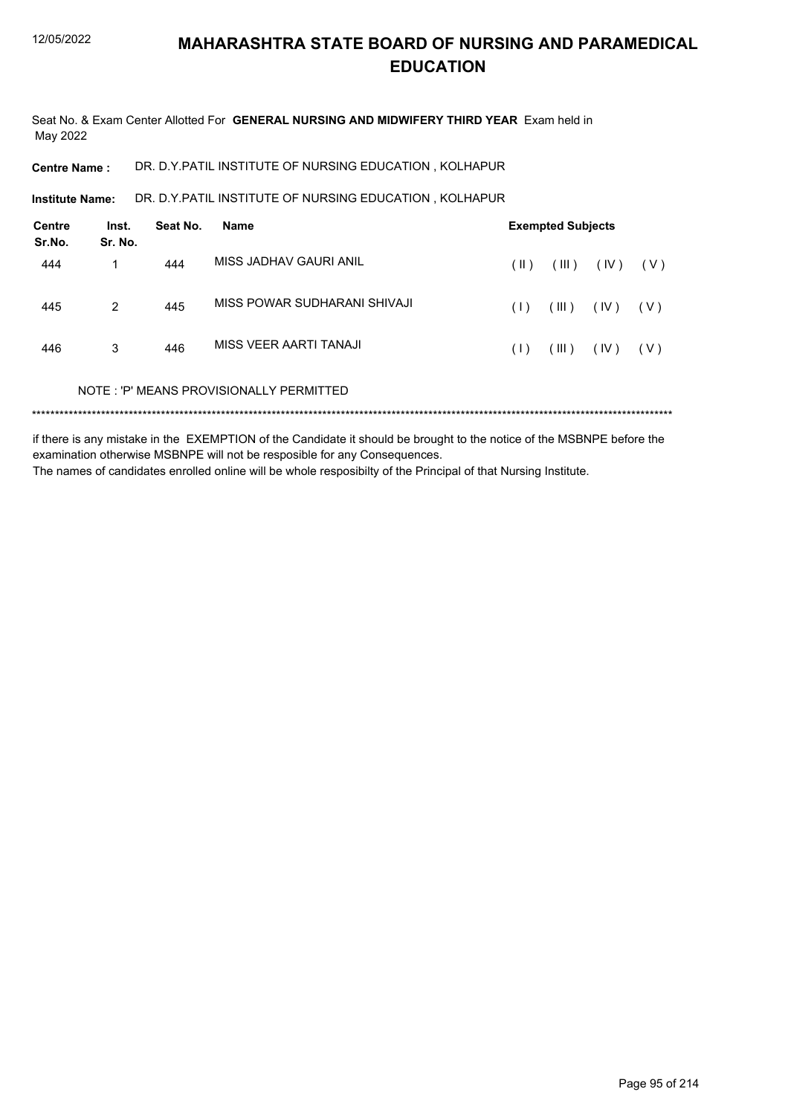Seat No. & Exam Center Allotted For **GENERAL NURSING AND MIDWIFERY THIRD YEAR** Exam held in May 2022

**Centre Name :** DR. D.Y.PATIL INSTITUTE OF NURSING EDUCATION , KOLHAPUR

DR. D.Y.PATIL INSTITUTE OF NURSING EDUCATION , KOLHAPUR **Institute Name:**

| Centre<br>Sr.No. | Inst.<br>Sr. No. | Seat No. | Name                                    | <b>Exempted Subjects</b> |       |      |       |  |
|------------------|------------------|----------|-----------------------------------------|--------------------------|-------|------|-------|--|
| 444              | 1                | 444      | MISS JADHAV GAURI ANIL                  | $(\parallel)$            | (III) | (IV) | ( V ) |  |
| 445              | 2                | 445      | MISS POWAR SUDHARANI SHIVAJI            | (1)                      | (III) | (IV) | ( V ) |  |
| 446              | 3                | 446      | MISS VEER AARTI TANAJI                  | (1)                      | (III) | (IV) | ( V ) |  |
|                  |                  |          | NOTE: 'P' MEANS PROVISIONALLY PERMITTED |                          |       |      |       |  |
|                  |                  |          |                                         |                          |       |      |       |  |

if there is any mistake in the EXEMPTION of the Candidate it should be brought to the notice of the MSBNPE before the examination otherwise MSBNPE will not be resposible for any Consequences. The names of candidates enrolled online will be whole resposibilty of the Principal of that Nursing Institute.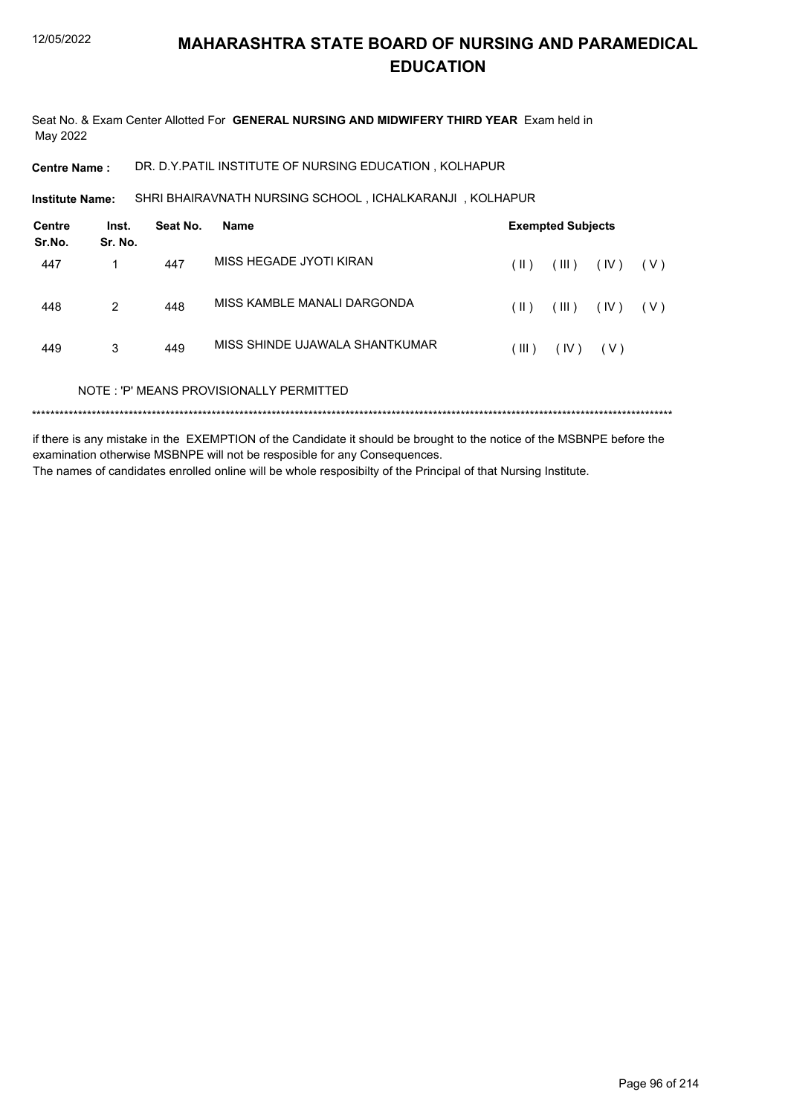Seat No. & Exam Center Allotted For **GENERAL NURSING AND MIDWIFERY THIRD YEAR** Exam held in May 2022

**Centre Name :** DR. D.Y.PATIL INSTITUTE OF NURSING EDUCATION , KOLHAPUR

SHRI BHAIRAVNATH NURSING SCHOOL , ICHALKARANJI , KOLHAPUR **Institute Name:**

| Centre<br>Sr.No. | Inst.<br>Sr. No. | Seat No. | Name                                    | <b>Exempted Subjects</b> |       |       |       |  |
|------------------|------------------|----------|-----------------------------------------|--------------------------|-------|-------|-------|--|
| 447              |                  | 447      | MISS HEGADE JYOTI KIRAN                 | (  )                     | (III) | (IV)  | ( V ) |  |
| 448              | 2                | 448      | MISS KAMBLE MANALI DARGONDA             | (  )                     | (III) | (IV)  | ( V ) |  |
| 449              | 3                | 449      | MISS SHINDE UJAWALA SHANTKUMAR          | (III)                    | (IV)  | ( V ) |       |  |
|                  |                  |          | NOTE: 'P' MEANS PROVISIONALLY PERMITTED |                          |       |       |       |  |

if there is any mistake in the EXEMPTION of the Candidate it should be brought to the notice of the MSBNPE before the examination otherwise MSBNPE will not be resposible for any Consequences. The names of candidates enrolled online will be whole resposibilty of the Principal of that Nursing Institute.

Page 96 of 214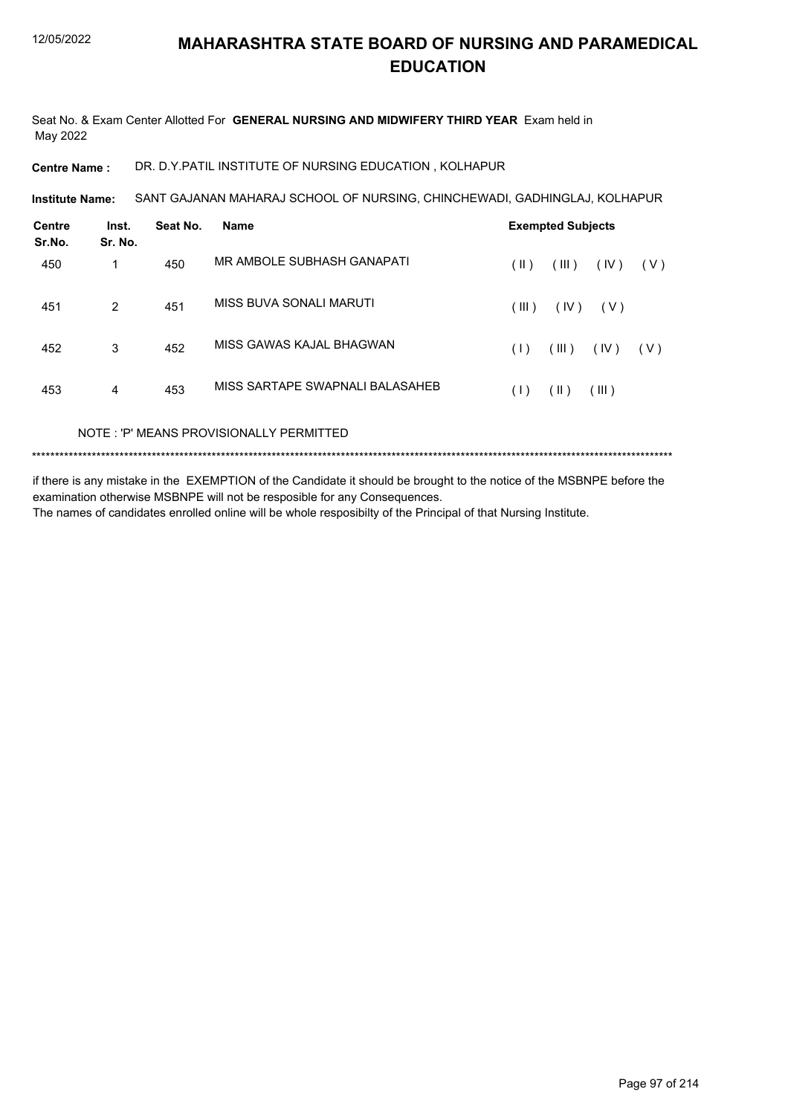Seat No. & Exam Center Allotted For **GENERAL NURSING AND MIDWIFERY THIRD YEAR** Exam held in May 2022

**Centre Name :** DR. D.Y.PATIL INSTITUTE OF NURSING EDUCATION , KOLHAPUR

SANT GAJANAN MAHARAJ SCHOOL OF NURSING, CHINCHEWADI, GADHINGLAJ, KOLHAPUR **Institute Name:**

| <b>Centre</b><br>Sr.No. | Inst.<br>Sr. No. | Seat No. | <b>Name</b>                     | <b>Exempted Subjects</b> |       |       |       |
|-------------------------|------------------|----------|---------------------------------|--------------------------|-------|-------|-------|
| 450                     | 1                | 450      | MR AMBOLE SUBHASH GANAPATI      | (  )                     | (III) | (IV)  | ( V ) |
| 451                     | 2                | 451      | MISS BUVA SONALI MARUTI         | (III)                    | (IV)  | ( V ) |       |
| 452                     | 3                | 452      | MISS GAWAS KAJAL BHAGWAN        | (1)                      | (III) | (IV)  | ( V ) |
| 453                     | 4                | 453      | MISS SARTAPE SWAPNALI BALASAHEB | (1)                      | (  )  | (III) |       |
|                         |                  |          |                                 |                          |       |       |       |

NOTE : 'P' MEANS PROVISIONALLY PERMITTED

\*\*\*\*\*\*\*\*\*\*\*\*\*\*\*\*\*\*\*\*\*\*\*\*\*\*\*\*\*\*\*\*\*\*\*\*\*\*\*\*\*\*\*\*\*\*\*\*\*\*\*\*\*\*\*\*\*\*\*\*\*\*\*\*\*\*\*\*\*\*\*\*\*\*\*\*\*\*\*\*\*\*\*\*\*\*\*\*\*\*\*\*\*\*\*\*\*\*\*\*\*\*\*\*\*\*\*\*\*\*\*\*\*\*\*\*\*\*\*\*\*\*\*\*\*\*\*\*\*\*\*\*\*\*\*\*\*\*\*

if there is any mistake in the EXEMPTION of the Candidate it should be brought to the notice of the MSBNPE before the examination otherwise MSBNPE will not be resposible for any Consequences. The names of candidates enrolled online will be whole resposibilty of the Principal of that Nursing Institute.

Page 97 of 214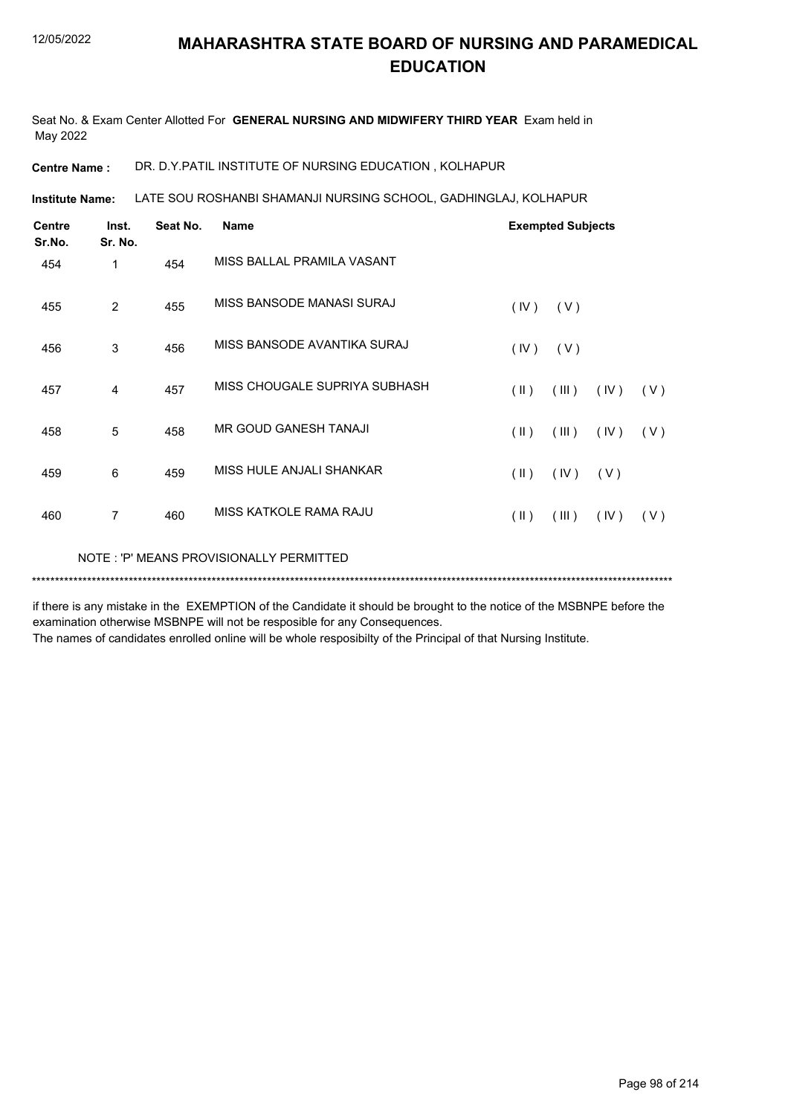Seat No. & Exam Center Allotted For **GENERAL NURSING AND MIDWIFERY THIRD YEAR** Exam held in May 2022

**Centre Name :** DR. D.Y.PATIL INSTITUTE OF NURSING EDUCATION , KOLHAPUR

LATE SOU ROSHANBI SHAMANJI NURSING SCHOOL, GADHINGLAJ, KOLHAPUR **Institute Name:**

| <b>Centre</b><br>Sr.No. | Inst.<br>Sr. No. | Seat No. | <b>Name</b>                             |                         | <b>Exempted Subjects</b> |      |     |
|-------------------------|------------------|----------|-----------------------------------------|-------------------------|--------------------------|------|-----|
| 454                     | 1                | 454      | MISS BALLAL PRAMILA VASANT              |                         |                          |      |     |
| 455                     | 2                | 455      | MISS BANSODE MANASI SURAJ               | (IV)                    | (V)                      |      |     |
| 456                     | 3                | 456      | MISS BANSODE AVANTIKA SURAJ             | (IV)                    | (V)                      |      |     |
| 457                     | 4                | 457      | MISS CHOUGALE SUPRIYA SUBHASH           | $(\parallel)$           | (III)                    | (IV) | (V) |
| 458                     | 5                | 458      | <b>MR GOUD GANESH TANAJI</b>            | $(\parallel)$           | (III)                    | (IV) | (V) |
| 459                     | 6                | 459      | MISS HULE ANJALI SHANKAR                | $(\parallel \parallel)$ | (IV)                     | (V)  |     |
| 460                     | $\overline{7}$   | 460      | MISS KATKOLE RAMA RAJU                  | $(\parallel)$           | (III)                    | (IV) | (V) |
|                         |                  |          | NOTE: 'P' MEANS PROVISIONALLY PERMITTED |                         |                          |      |     |

if there is any mistake in the EXEMPTION of the Candidate it should be brought to the notice of the MSBNPE before the examination otherwise MSBNPE will not be resposible for any Consequences.

\*\*\*\*\*\*\*\*\*\*\*\*\*\*\*\*\*\*\*\*\*\*\*\*\*\*\*\*\*\*\*\*\*\*\*\*\*\*\*\*\*\*\*\*\*\*\*\*\*\*\*\*\*\*\*\*\*\*\*\*\*\*\*\*\*\*\*\*\*\*\*\*\*\*\*\*\*\*\*\*\*\*\*\*\*\*\*\*\*\*\*\*\*\*\*\*\*\*\*\*\*\*\*\*\*\*\*\*\*\*\*\*\*\*\*\*\*\*\*\*\*\*\*\*\*\*\*\*\*\*\*\*\*\*\*\*\*\*\*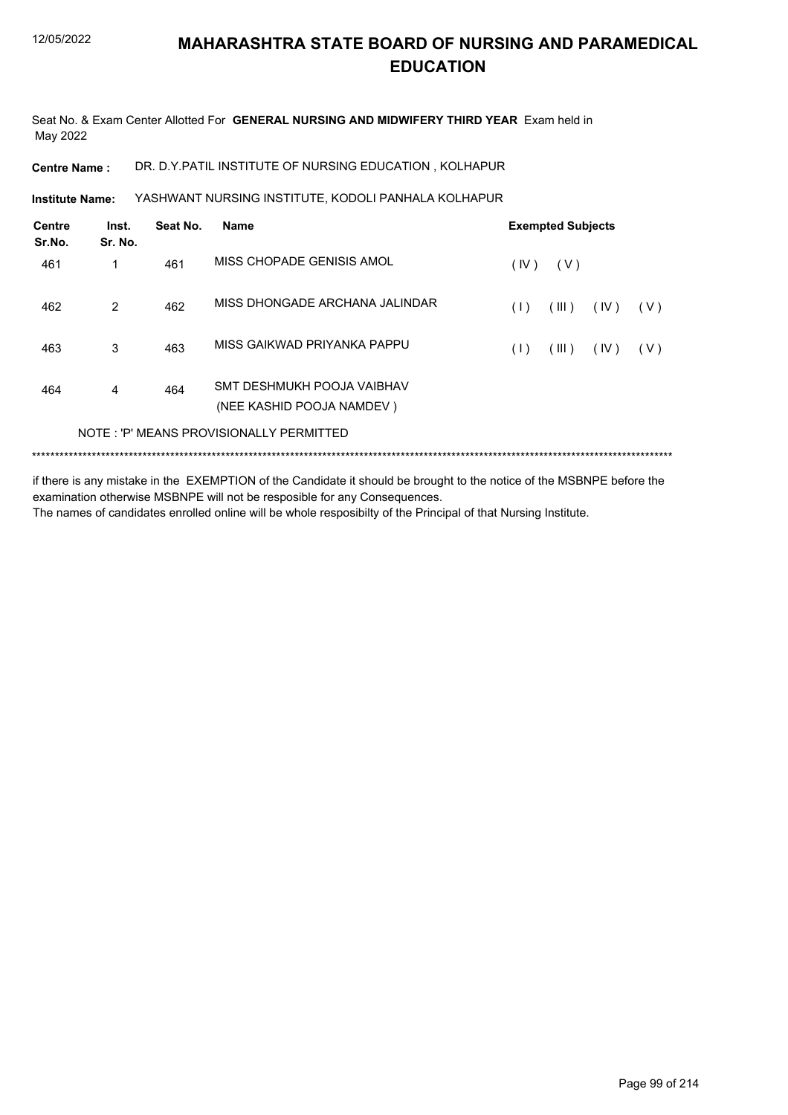Seat No. & Exam Center Allotted For **GENERAL NURSING AND MIDWIFERY THIRD YEAR** Exam held in May 2022

**Centre Name :** DR. D.Y.PATIL INSTITUTE OF NURSING EDUCATION , KOLHAPUR

YASHWANT NURSING INSTITUTE, KODOLI PANHALA KOLHAPUR **Institute Name:**

| Inst.<br>Sr. No. | Seat No. | <b>Name</b>                                             |                                         |       |      |                          |
|------------------|----------|---------------------------------------------------------|-----------------------------------------|-------|------|--------------------------|
| 1                | 461      | MISS CHOPADE GENISIS AMOL                               | (IV)                                    | ( V ) |      |                          |
| 2                | 462      | MISS DHONGADE ARCHANA JALINDAR                          | (1)                                     | (III) | (IV) | ( V )                    |
| 3                | 463      | MISS GAIKWAD PRIYANKA PAPPU                             | (1)                                     | (III) | (IV) | ( V )                    |
| 4                | 464      | SMT DESHMUKH POOJA VAIBHAV<br>(NEE KASHID POOJA NAMDEV) |                                         |       |      |                          |
|                  |          |                                                         |                                         |       |      |                          |
|                  |          |                                                         | NOTE: 'P' MEANS PROVISIONALLY PERMITTED |       |      | <b>Exempted Subjects</b> |

if there is any mistake in the EXEMPTION of the Candidate it should be brought to the notice of the MSBNPE before the examination otherwise MSBNPE will not be resposible for any Consequences. The names of candidates enrolled online will be whole resposibilty of the Principal of that Nursing Institute.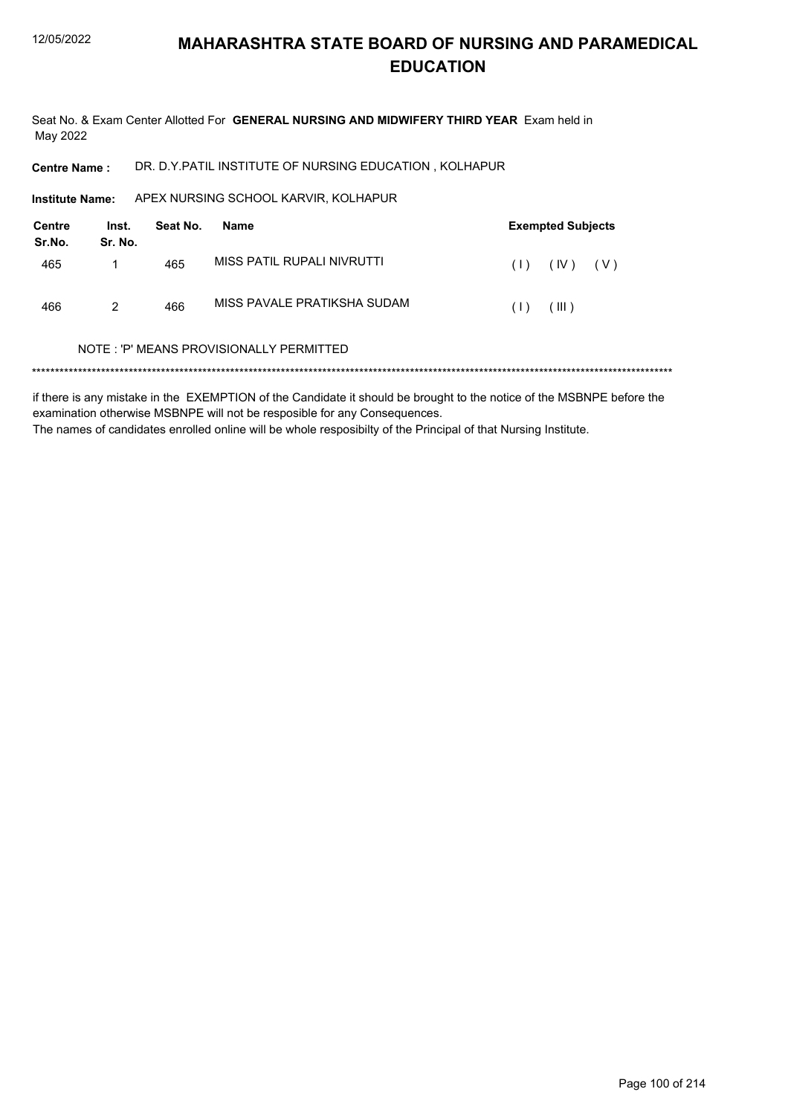Seat No. & Exam Center Allotted For GENERAL NURSING AND MIDWIFERY THIRD YEAR Exam held in May 2022

DR. D.Y.PATIL INSTITUTE OF NURSING EDUCATION, KOLHAPUR **Centre Name:** 

Institute Name: APEX NURSING SCHOOL KARVIR, KOLHAPUR

| Centre<br>Sr.No. | Inst.<br>Sr. No. | Seat No. | <b>Exempted Subjects</b><br>Name |     |         |       |  |
|------------------|------------------|----------|----------------------------------|-----|---------|-------|--|
| 465              |                  | 465      | MISS PATIL RUPALI NIVRUTTI       | (1) | (IV)    | ( V ) |  |
| 466              | 2                | 466      | MISS PAVALE PRATIKSHA SUDAM      | (1) | ( III ) |       |  |

#### NOTE: 'P' MEANS PROVISIONALLY PERMITTED

if there is any mistake in the EXEMPTION of the Candidate it should be brought to the notice of the MSBNPE before the examination otherwise MSBNPE will not be resposible for any Consequences. The names of candidates enrolled online will be whole resposibilty of the Principal of that Nursing Institute.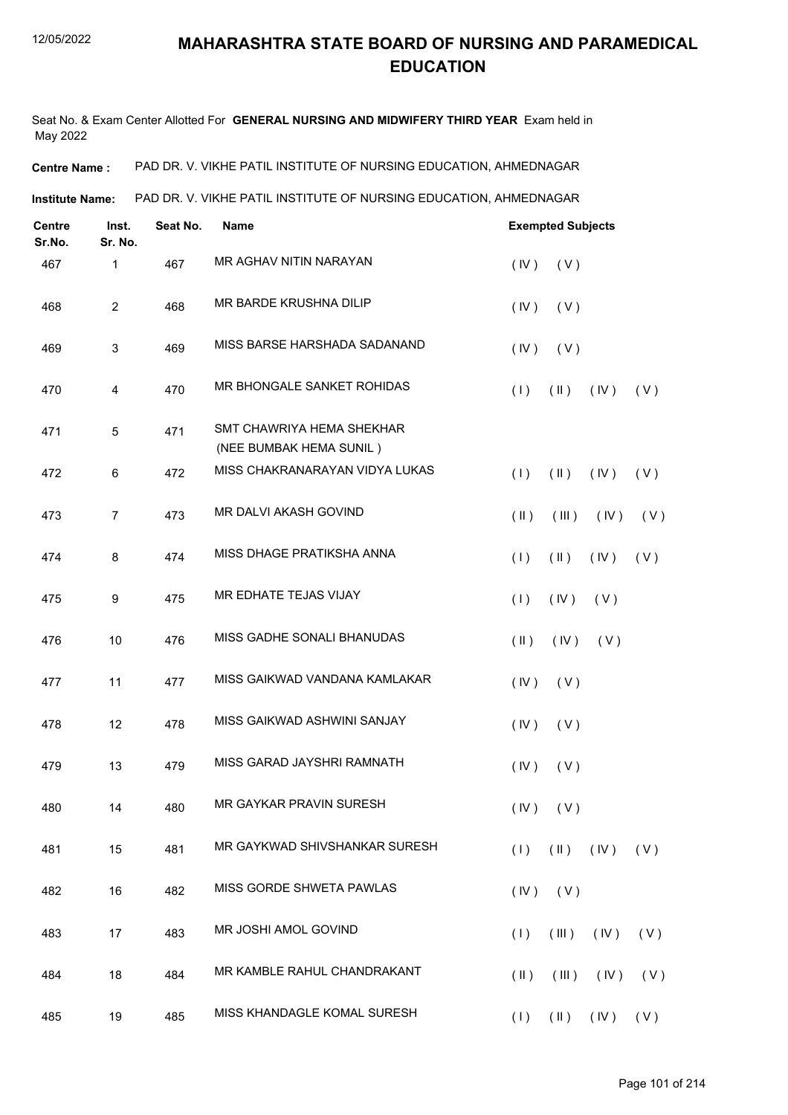Seat No. & Exam Center Allotted For **GENERAL NURSING AND MIDWIFERY THIRD YEAR** Exam held in May 2022

**Centre Name :** PAD DR. V. VIKHE PATIL INSTITUTE OF NURSING EDUCATION, AHMEDNAGAR

**Institute Name:** PAD DR. V. VIKHE PATIL INSTITUTE OF NURSING EDUCATION, AHMEDNAGAR

| <b>Centre</b><br>Sr.No. | Inst.<br>Sr. No. | Seat No. | <b>Name</b>                                          |                                | <b>Exempted Subjects</b>      |     |  |  |  |
|-------------------------|------------------|----------|------------------------------------------------------|--------------------------------|-------------------------------|-----|--|--|--|
| 467                     | 1                | 467      | MR AGHAV NITIN NARAYAN                               | (IV)<br>(V)                    |                               |     |  |  |  |
| 468                     | $\overline{2}$   | 468      | MR BARDE KRUSHNA DILIP                               | (IV)<br>(V)                    |                               |     |  |  |  |
| 469                     | 3                | 469      | MISS BARSE HARSHADA SADANAND                         | (IV)<br>(V)                    |                               |     |  |  |  |
| 470                     | 4                | 470      | MR BHONGALE SANKET ROHIDAS                           | (1)<br>$(\parallel \parallel)$ | (IV)                          | (V) |  |  |  |
| 471                     | 5                | 471      | SMT CHAWRIYA HEMA SHEKHAR<br>(NEE BUMBAK HEMA SUNIL) |                                |                               |     |  |  |  |
| 472                     | 6                | 472      | MISS CHAKRANARAYAN VIDYA LUKAS                       | (1)<br>$(\parallel)$           | (IV)                          | (V) |  |  |  |
| 473                     | $\overline{7}$   | 473      | MR DALVI AKASH GOVIND                                | $(\parallel)$<br>(III)         | (IV)                          | (V) |  |  |  |
| 474                     | 8                | 474      | MISS DHAGE PRATIKSHA ANNA                            | (1)<br>$(\parallel)$           | (IV)                          | (V) |  |  |  |
| 475                     | 9                | 475      | MR EDHATE TEJAS VIJAY                                | (1)<br>(IV)                    | (V)                           |     |  |  |  |
| 476                     | 10               | 476      | MISS GADHE SONALI BHANUDAS                           | $($ II $)$<br>(IV)             | (V)                           |     |  |  |  |
| 477                     | 11               | 477      | MISS GAIKWAD VANDANA KAMLAKAR                        | (IV)<br>(V)                    |                               |     |  |  |  |
| 478                     | 12               | 478      | MISS GAIKWAD ASHWINI SANJAY                          | (IV)<br>(V)                    |                               |     |  |  |  |
| 479                     | 13               | 479      | MISS GARAD JAYSHRI RAMNATH                           | (IV)<br>(V)                    |                               |     |  |  |  |
| 480                     | 14               | 480      | MR GAYKAR PRAVIN SURESH                              | $(IV)$ $(V)$                   |                               |     |  |  |  |
| 481                     | 15               | 481      | MR GAYKWAD SHIVSHANKAR SURESH                        | (1)                            | $(\mathbb{I})$ $(\mathbb{N})$ | (V) |  |  |  |
| 482                     | 16               | 482      | MISS GORDE SHWETA PAWLAS                             | (IV)<br>(V)                    |                               |     |  |  |  |
| 483                     | 17               | 483      | MR JOSHI AMOL GOVIND                                 | (1)<br>(III)                   | (IV)                          | (V) |  |  |  |
| 484                     | 18               | 484      | MR KAMBLE RAHUL CHANDRAKANT                          | $(\parallel)$<br>(III)         | $($ IV $)$                    | (V) |  |  |  |
| 485                     | 19               | 485      | MISS KHANDAGLE KOMAL SURESH                          | $(1)$ $(1)$ $(1)$ $(1)$ $(1)$  |                               |     |  |  |  |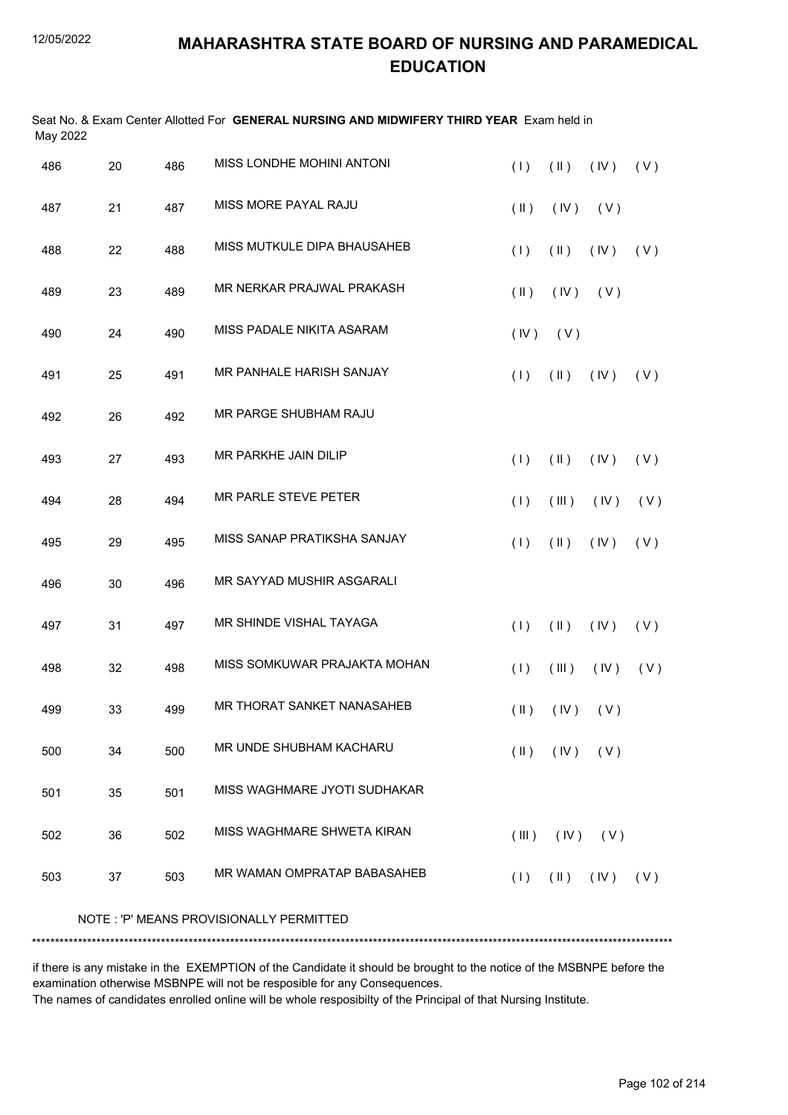| May 2022 |                                         |     | Seat No. & Exam Center Allotted For GENERAL NURSING AND MIDWIFERY THIRD YEAR Exam held in |               |                               |      |     |  |  |
|----------|-----------------------------------------|-----|-------------------------------------------------------------------------------------------|---------------|-------------------------------|------|-----|--|--|
| 486      | 20                                      | 486 | MISS LONDHE MOHINI ANTONI                                                                 | (1)           | $(\parallel)$                 | (IV) | (V) |  |  |
| 487      | 21                                      | 487 | MISS MORE PAYAL RAJU                                                                      | $(\parallel)$ | (IV)                          | (V)  |     |  |  |
| 488      | 22                                      | 488 | MISS MUTKULE DIPA BHAUSAHEB                                                               | (1)           | $(\parallel)$                 | (IV) | (V) |  |  |
| 489      | 23                                      | 489 | MR NERKAR PRAJWAL PRAKASH                                                                 | $(\parallel)$ | (IV)                          | (V)  |     |  |  |
| 490      | 24                                      | 490 | MISS PADALE NIKITA ASARAM                                                                 | (IV)          | (V)                           |      |     |  |  |
| 491      | 25                                      | 491 | MR PANHALE HARISH SANJAY                                                                  | (1)           | $(\parallel)$                 | (IV) | (V) |  |  |
| 492      | 26                                      | 492 | MR PARGE SHUBHAM RAJU                                                                     |               |                               |      |     |  |  |
| 493      | 27                                      | 493 | MR PARKHE JAIN DILIP                                                                      | (1)           | $(\parallel)$                 | (IV) | (V) |  |  |
| 494      | 28                                      | 494 | MR PARLE STEVE PETER                                                                      | (1)           | (III)                         | (IV) | (V) |  |  |
| 495      | 29                                      | 495 | MISS SANAP PRATIKSHA SANJAY                                                               | (1)           | $(\parallel)$                 | (IV) | (V) |  |  |
| 496      | 30                                      | 496 | MR SAYYAD MUSHIR ASGARALI                                                                 |               |                               |      |     |  |  |
| 497      | 31                                      | 497 | MR SHINDE VISHAL TAYAGA                                                                   | (1)           | $(\parallel)$                 | (IV) | (V) |  |  |
| 498      | 32                                      | 498 | MISS SOMKUWAR PRAJAKTA MOHAN                                                              | (1)           | (III)                         | (IV) | (V) |  |  |
| 499      | 33                                      | 499 | MR THORAT SANKET NANASAHEB                                                                |               | $(II)$ $(IV)$ $(V)$           |      |     |  |  |
| 500      | 34                                      | 500 | MR UNDE SHUBHAM KACHARU                                                                   | $(\parallel)$ | (IV)                          | (V)  |     |  |  |
| 501      | 35                                      | 501 | MISS WAGHMARE JYOTI SUDHAKAR                                                              |               |                               |      |     |  |  |
| 502      | 36                                      | 502 | MISS WAGHMARE SHWETA KIRAN                                                                | (III)         | (IV)                          | (V)  |     |  |  |
| 503      | 37                                      | 503 | MR WAMAN OMPRATAP BABASAHEB                                                               | (1)           | $(\mathbb{I})$ $(\mathbb{N})$ |      | (V) |  |  |
|          | NOTE: 'P' MEANS PROVISIONALLY PERMITTED |     |                                                                                           |               |                               |      |     |  |  |
|          |                                         |     |                                                                                           |               |                               |      |     |  |  |

if there is any mistake in the EXEMPTION of the Candidate it should be brought to the notice of the MSBNPE before the examination otherwise MSBNPE will not be resposible for any Consequences.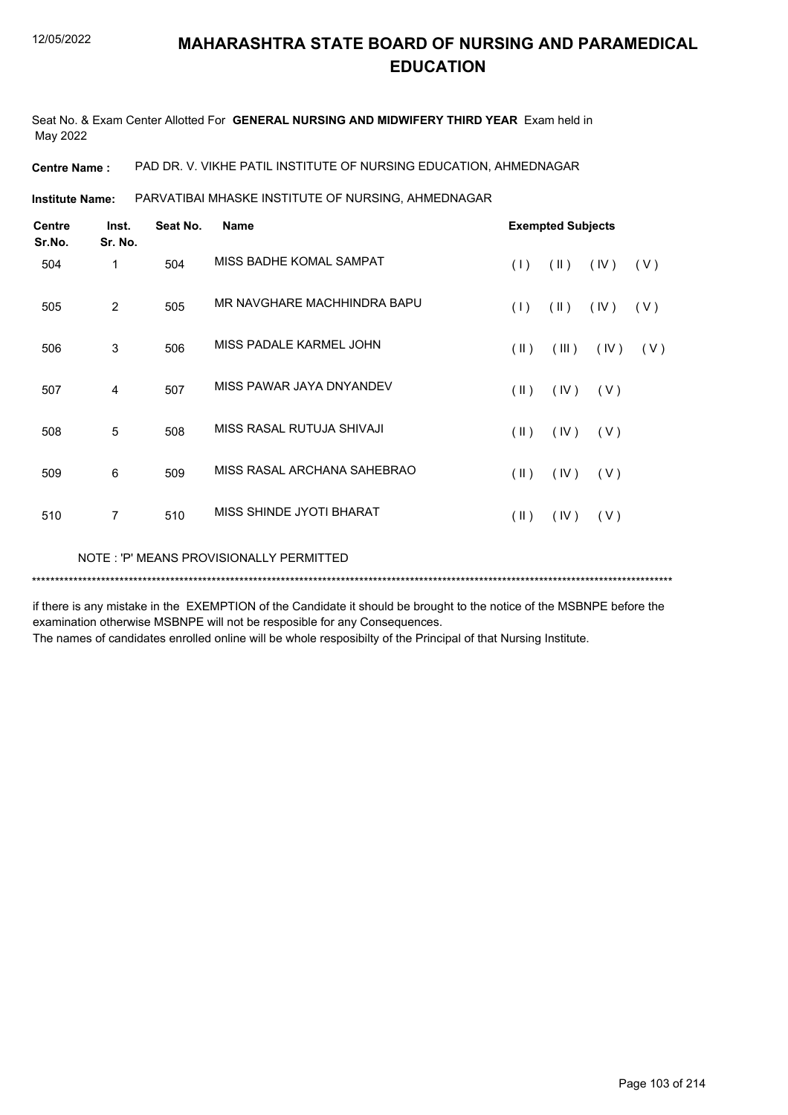Seat No. & Exam Center Allotted For **GENERAL NURSING AND MIDWIFERY THIRD YEAR** Exam held in May 2022

**Centre Name :** PAD DR. V. VIKHE PATIL INSTITUTE OF NURSING EDUCATION, AHMEDNAGAR

PARVATIBAI MHASKE INSTITUTE OF NURSING, AHMEDNAGAR **Institute Name:**

| <b>Centre</b><br>Sr.No. | Inst.<br>Sr. No. | Seat No. | <b>Name</b>                 | <b>Exempted Subjects</b> |               |      |     |
|-------------------------|------------------|----------|-----------------------------|--------------------------|---------------|------|-----|
| 504                     | 1                | 504      | MISS BADHE KOMAL SAMPAT     | (1)                      | $(\parallel)$ | (IV) | (V) |
| 505                     | 2                | 505      | MR NAVGHARE MACHHINDRA BAPU | (1)                      | $(\parallel)$ | (IV) | (V) |
| 506                     | 3                | 506      | MISS PADALE KARMEL JOHN     | $(\parallel)$            | (III)         | (IV) | (V) |
| 507                     | 4                | 507      | MISS PAWAR JAYA DNYANDEV    | $(\parallel \parallel)$  | (IV)          | (V)  |     |
| 508                     | 5                | 508      | MISS RASAL RUTUJA SHIVAJI   | $($ II $)$               | (IV)          | (V)  |     |
| 509                     | 6                | 509      | MISS RASAL ARCHANA SAHEBRAO | $(\parallel \parallel)$  | (IV)          | (V)  |     |
| 510                     | $\overline{7}$   | 510      | MISS SHINDE JYOTI BHARAT    | $(\parallel \parallel)$  | (IV)          | (V)  |     |
|                         |                  |          |                             |                          |               |      |     |

\*\*\*\*\*\*\*\*\*\*\*\*\*\*\*\*\*\*\*\*\*\*\*\*\*\*\*\*\*\*\*\*\*\*\*\*\*\*\*\*\*\*\*\*\*\*\*\*\*\*\*\*\*\*\*\*\*\*\*\*\*\*\*\*\*\*\*\*\*\*\*\*\*\*\*\*\*\*\*\*\*\*\*\*\*\*\*\*\*\*\*\*\*\*\*\*\*\*\*\*\*\*\*\*\*\*\*\*\*\*\*\*\*\*\*\*\*\*\*\*\*\*\*\*\*\*\*\*\*\*\*\*\*\*\*\*\*\*\* NOTE : 'P' MEANS PROVISIONALLY PERMITTED

if there is any mistake in the EXEMPTION of the Candidate it should be brought to the notice of the MSBNPE before the examination otherwise MSBNPE will not be resposible for any Consequences.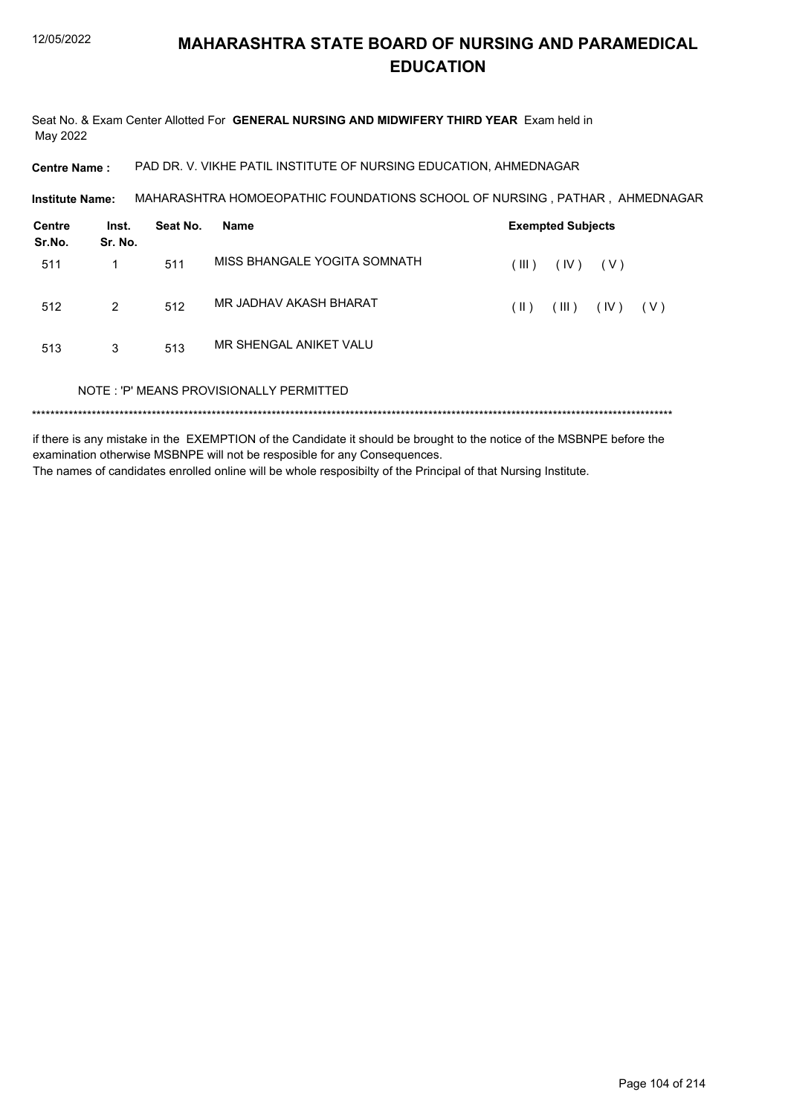Seat No. & Exam Center Allotted For **GENERAL NURSING AND MIDWIFERY THIRD YEAR** Exam held in May 2022

**Centre Name :** PAD DR. V. VIKHE PATIL INSTITUTE OF NURSING EDUCATION, AHMEDNAGAR

MAHARASHTRA HOMOEOPATHIC FOUNDATIONS SCHOOL OF NURSING , PATHAR , AHMEDNAGAR **Institute Name:**

| Centre<br>Sr.No. | Inst.<br>Sr. No. | Seat No. | <b>Name</b>                             | <b>Exempted Subjects</b> |       |       |       |
|------------------|------------------|----------|-----------------------------------------|--------------------------|-------|-------|-------|
| 511              | 1                | 511      | MISS BHANGALE YOGITA SOMNATH            | (III)                    | (IV)  | ( V ) |       |
| 512              | 2                | 512      | MR JADHAV AKASH BHARAT                  | $(\parallel)$            | (III) | (IV)  | ( V ) |
| 513              | 3                | 513      | MR SHENGAL ANIKET VALU                  |                          |       |       |       |
|                  |                  |          | NOTE: 'P' MEANS PROVISIONALLY PERMITTED |                          |       |       |       |

if there is any mistake in the EXEMPTION of the Candidate it should be brought to the notice of the MSBNPE before the examination otherwise MSBNPE will not be resposible for any Consequences. The names of candidates enrolled online will be whole resposibilty of the Principal of that Nursing Institute.

Page 104 of 214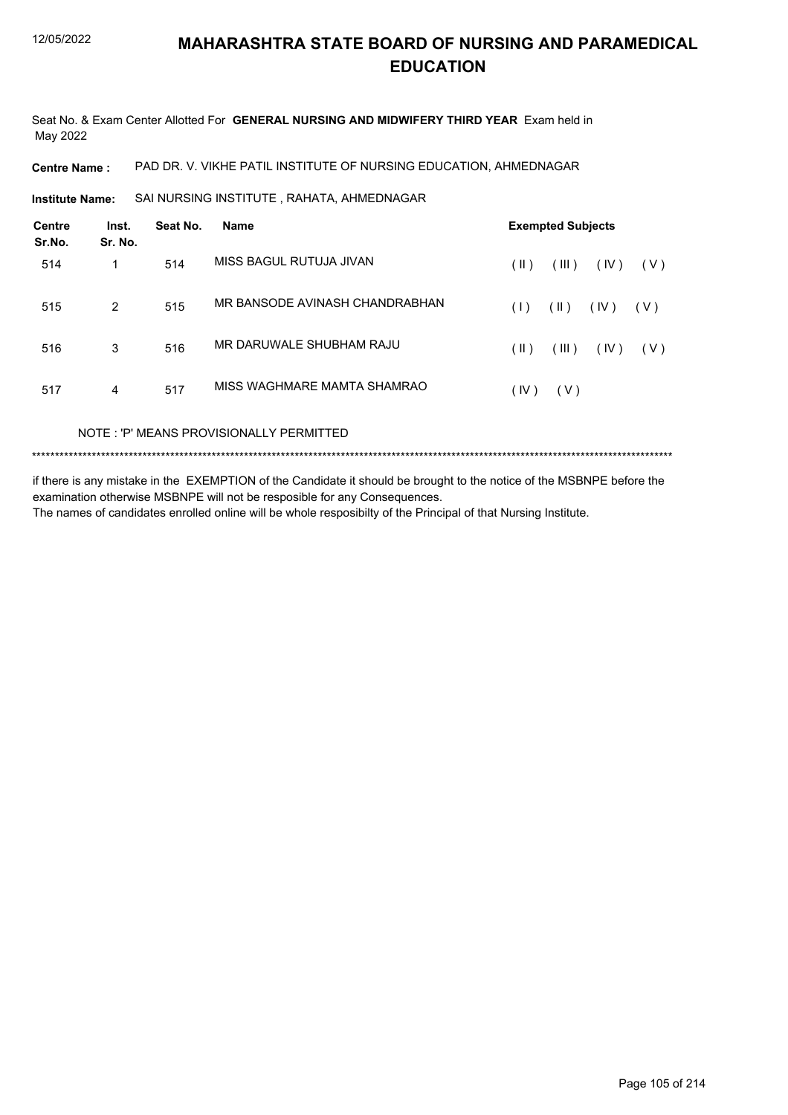Seat No. & Exam Center Allotted For **GENERAL NURSING AND MIDWIFERY THIRD YEAR** Exam held in May 2022

**Centre Name :** PAD DR. V. VIKHE PATIL INSTITUTE OF NURSING EDUCATION, AHMEDNAGAR

**Institute Name:** SAI NURSING INSTITUTE , RAHATA, AHMEDNAGAR

| <b>Centre</b><br>Sr.No. | Inst.<br>Sr. No. | Seat No. | <b>Name</b>                    | <b>Exempted Subjects</b> |       |      |       |  |
|-------------------------|------------------|----------|--------------------------------|--------------------------|-------|------|-------|--|
| 514                     | 1                | 514      | MISS BAGUL RUTUJA JIVAN        | $(\parallel)$            | (III) | (IV) | ( V ) |  |
| 515                     | 2                | 515      | MR BANSODE AVINASH CHANDRABHAN | (1)                      | (  )  | (IV) | ( V ) |  |
| 516                     | 3                | 516      | MR DARUWALE SHUBHAM RAJU       | $(\parallel)$            | (III) | (IV) | ( V ) |  |
| 517                     | 4                | 517      | MISS WAGHMARE MAMTA SHAMRAO    | (IV)                     | (V)   |      |       |  |

NOTE : 'P' MEANS PROVISIONALLY PERMITTED

\*\*\*\*\*\*\*\*\*\*\*\*\*\*\*\*\*\*\*\*\*\*\*\*\*\*\*\*\*\*\*\*\*\*\*\*\*\*\*\*\*\*\*\*\*\*\*\*\*\*\*\*\*\*\*\*\*\*\*\*\*\*\*\*\*\*\*\*\*\*\*\*\*\*\*\*\*\*\*\*\*\*\*\*\*\*\*\*\*\*\*\*\*\*\*\*\*\*\*\*\*\*\*\*\*\*\*\*\*\*\*\*\*\*\*\*\*\*\*\*\*\*\*\*\*\*\*\*\*\*\*\*\*\*\*\*\*\*\*

if there is any mistake in the EXEMPTION of the Candidate it should be brought to the notice of the MSBNPE before the examination otherwise MSBNPE will not be resposible for any Consequences. The names of candidates enrolled online will be whole resposibilty of the Principal of that Nursing Institute.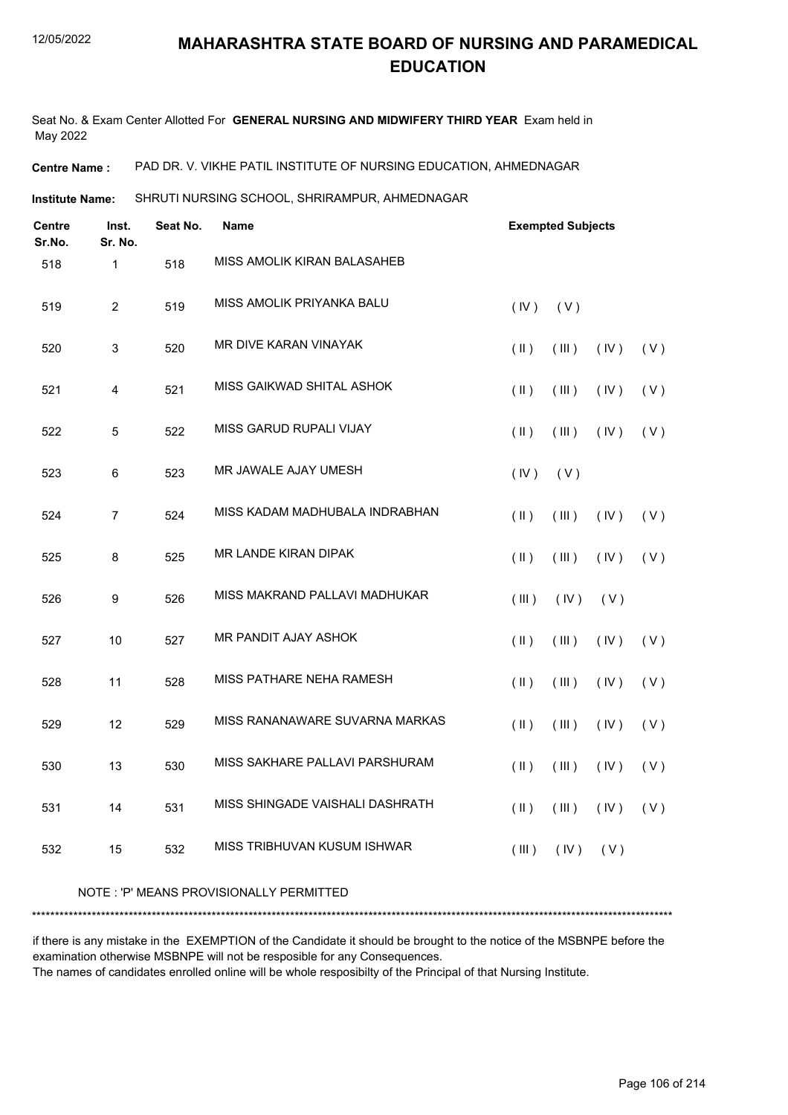Seat No. & Exam Center Allotted For **GENERAL NURSING AND MIDWIFERY THIRD YEAR** Exam held in May 2022

**Centre Name :** PAD DR. V. VIKHE PATIL INSTITUTE OF NURSING EDUCATION, AHMEDNAGAR

SHRUTI NURSING SCHOOL, SHRIRAMPUR, AHMEDNAGAR **Institute Name:**

| Centre<br>Sr.No. | Inst.<br>Sr. No. | Seat No. | Name                                    | <b>Exempted Subjects</b> |       |      |     |  |
|------------------|------------------|----------|-----------------------------------------|--------------------------|-------|------|-----|--|
| 518              | $\mathbf{1}$     | 518      | MISS AMOLIK KIRAN BALASAHEB             |                          |       |      |     |  |
| 519              | $\overline{2}$   | 519      | MISS AMOLIK PRIYANKA BALU               | (IV)                     | (V)   |      |     |  |
| 520              | 3                | 520      | MR DIVE KARAN VINAYAK                   | $($ II $)$               | (III) | (IV) | (V) |  |
| 521              | 4                | 521      | MISS GAIKWAD SHITAL ASHOK               | $($ II $)$               | (III) | (IV) | (V) |  |
| 522              | $\overline{5}$   | 522      | MISS GARUD RUPALI VIJAY                 | $($ II $)$               | (III) | (IV) | (V) |  |
| 523              | 6                | 523      | MR JAWALE AJAY UMESH                    | (IV)                     | (V)   |      |     |  |
| 524              | $\overline{7}$   | 524      | MISS KADAM MADHUBALA INDRABHAN          | $($ II $)$               | (III) | (IV) | (V) |  |
| 525              | 8                | 525      | <b>MR LANDE KIRAN DIPAK</b>             | $($ II $)$               | (III) | (IV) | (V) |  |
| 526              | 9                | 526      | MISS MAKRAND PALLAVI MADHUKAR           | (III)                    | (IV)  | (V)  |     |  |
| 527              | 10               | 527      | MR PANDIT AJAY ASHOK                    | $($ II $)$               | (III) | (IV) | (V) |  |
| 528              | 11               | 528      | MISS PATHARE NEHA RAMESH                | $($ II $)$               | (III) | (IV) | (V) |  |
| 529              | 12               | 529      | MISS RANANAWARE SUVARNA MARKAS          | $($ II $)$               | (III) | (IV) | (V) |  |
| 530              | 13               | 530      | MISS SAKHARE PALLAVI PARSHURAM          | $($ II $)$               | (III) | (IV) | (V) |  |
| 531              | 14               | 531      | MISS SHINGADE VAISHALI DASHRATH         | $($ II $)$               | (III) | (IV) | (V) |  |
| 532              | 15               | 532      | MISS TRIBHUVAN KUSUM ISHWAR             | (III)                    | (IV)  | (V)  |     |  |
|                  |                  |          | NOTE: 'P' MEANS PROVISIONALLY PERMITTED |                          |       |      |     |  |

\*\*\*\*\*\*\*\*\*\*\*\*\*\*\*\*\*\*\*\*\*\*\*\*\*\*\*\*\*\*\*\*\*\*\*\*\*\*\*\*\*\*\*\*\*\*\*\*\*\*\*\*\*\*\*\*\*\*\*\*\*\*\*\*\*\*\*\*\*\*\*\*\*\*\*\*\*\*\*\*\*\*\*\*\*\*\*\*\*\*\*\*\*\*\*\*\*\*\*\*\*\*\*\*\*\*\*\*\*\*\*\*\*\*\*\*\*\*\*\*\*\*\*\*\*\*\*\*\*\*\*\*\*\*\*\*\*\*\*

if there is any mistake in the EXEMPTION of the Candidate it should be brought to the notice of the MSBNPE before the examination otherwise MSBNPE will not be resposible for any Consequences.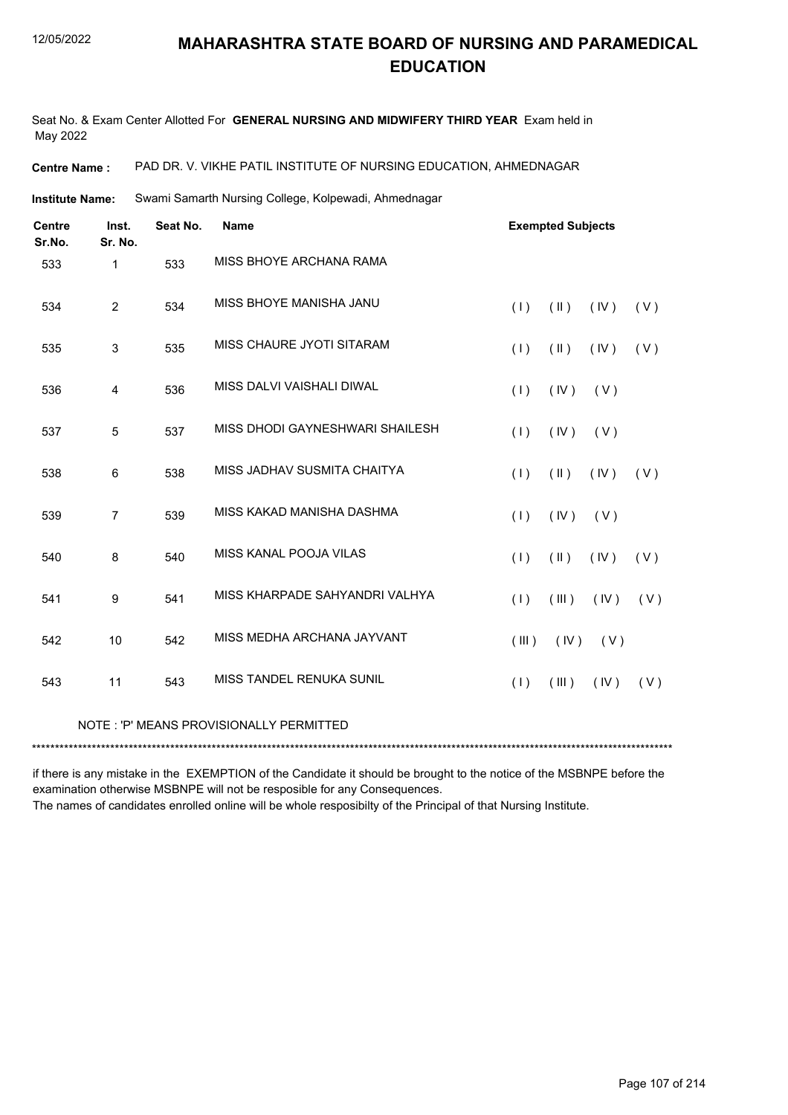Seat No. & Exam Center Allotted For **GENERAL NURSING AND MIDWIFERY THIRD YEAR** Exam held in May 2022

**Centre Name :** PAD DR. V. VIKHE PATIL INSTITUTE OF NURSING EDUCATION, AHMEDNAGAR

Swami Samarth Nursing College, Kolpewadi, Ahmednagar **Institute Name:**

| <b>Centre</b><br>Sr.No. | Inst.<br>Sr. No. | Seat No. | <b>Name</b>                             | <b>Exempted Subjects</b> |               |       |     |  |
|-------------------------|------------------|----------|-----------------------------------------|--------------------------|---------------|-------|-----|--|
| 533                     | 1                | 533      | MISS BHOYE ARCHANA RAMA                 |                          |               |       |     |  |
| 534                     | 2                | 534      | MISS BHOYE MANISHA JANU                 | (1)                      | $($ II $)$    | (IV)  | (V) |  |
| 535                     | 3                | 535      | MISS CHAURE JYOTI SITARAM               | (1)                      | $(\parallel)$ | (IV)  | (V) |  |
| 536                     | 4                | 536      | MISS DALVI VAISHALI DIWAL               | (1)                      | (IV)          | (V)   |     |  |
| 537                     | 5                | 537      | MISS DHODI GAYNESHWARI SHAILESH         | (1)                      | (IV)          | (V)   |     |  |
| 538                     | 6                | 538      | MISS JADHAV SUSMITA CHAITYA             | (1)                      | $(\parallel)$ | (IV)  | (V) |  |
| 539                     | $\overline{7}$   | 539      | MISS KAKAD MANISHA DASHMA               | (1)                      | (IV)          | (V)   |     |  |
| 540                     | 8                | 540      | MISS KANAL POOJA VILAS                  | (1)                      | (11)          | (IV)  | (V) |  |
| 541                     | 9                | 541      | MISS KHARPADE SAHYANDRI VALHYA          | (1)                      | (III)         | (IV)  | (V) |  |
| 542                     | 10               | 542      | MISS MEDHA ARCHANA JAYVANT              | (III)                    | (IV)          | ( V ) |     |  |
| 543                     | 11               | 543      | <b>MISS TANDEL RENUKA SUNIL</b>         | (1)                      | (III)         | (IV)  | (V) |  |
|                         |                  |          | NOTE: 'P' MEANS PROVISIONALLY PERMITTED |                          |               |       |     |  |
|                         |                  |          |                                         |                          |               |       |     |  |

if there is any mistake in the EXEMPTION of the Candidate it should be brought to the notice of the MSBNPE before the examination otherwise MSBNPE will not be resposible for any Consequences.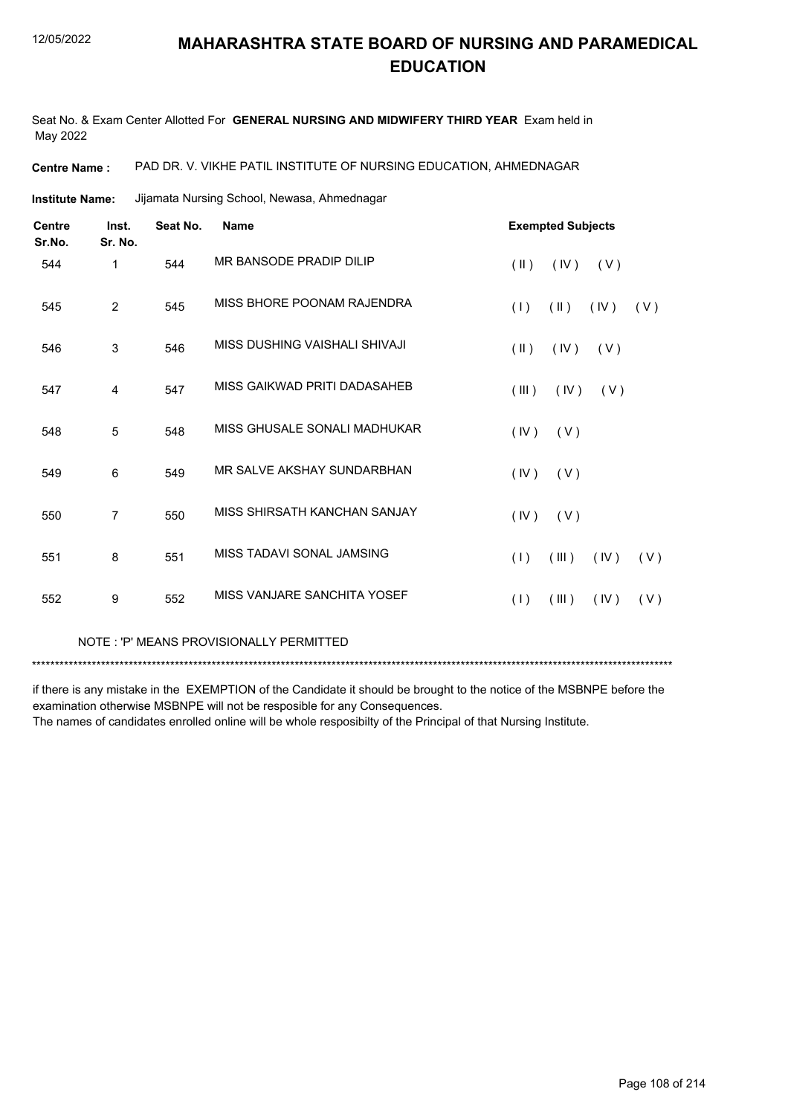Seat No. & Exam Center Allotted For **GENERAL NURSING AND MIDWIFERY THIRD YEAR** Exam held in May 2022

**Centre Name :** PAD DR. V. VIKHE PATIL INSTITUTE OF NURSING EDUCATION, AHMEDNAGAR

Jijamata Nursing School, Newasa, Ahmednagar **Institute Name:**

| <b>Centre</b><br>Sr.No. | Inst.<br>Sr. No. | Seat No. | <b>Name</b>                   |                         | <b>Exempted Subjects</b> |      |     |
|-------------------------|------------------|----------|-------------------------------|-------------------------|--------------------------|------|-----|
| 544                     | 1                | 544      | MR BANSODE PRADIP DILIP       | $(\parallel)$           | (IV)                     | (V)  |     |
| 545                     | $\overline{2}$   | 545      | MISS BHORE POONAM RAJENDRA    | (1)                     | $(\parallel)$            | (IV) | (V) |
| 546                     | 3                | 546      | MISS DUSHING VAISHALI SHIVAJI | $(\parallel \parallel)$ | (IV)                     | (V)  |     |
| 547                     | 4                | 547      | MISS GAIKWAD PRITI DADASAHEB  | $($ III $)$             | (IV)                     | (V)  |     |
| 548                     | 5                | 548      | MISS GHUSALE SONALI MADHUKAR  | (IV)                    | (V)                      |      |     |
| 549                     | 6                | 549      | MR SALVE AKSHAY SUNDARBHAN    | (IV)                    | (V)                      |      |     |
| 550                     | $\overline{7}$   | 550      | MISS SHIRSATH KANCHAN SANJAY  | (IV)                    | (V)                      |      |     |
| 551                     | 8                | 551      | MISS TADAVI SONAL JAMSING     | (1)                     | (III)                    | (IV) | (V) |
| 552                     | 9                | 552      | MISS VANJARE SANCHITA YOSEF   | (1)                     | (III)                    | (IV) | (V) |
|                         |                  |          |                               |                         |                          |      |     |

NOTE : 'P' MEANS PROVISIONALLY PERMITTED

\*\*\*\*\*\*\*\*\*\*\*\*\*\*\*\*\*\*\*\*\*\*\*\*\*\*\*\*\*\*\*\*\*\*\*\*\*\*\*\*\*\*\*\*\*\*\*\*\*\*\*\*\*\*\*\*\*\*\*\*\*\*\*\*\*\*\*\*\*\*\*\*\*\*\*\*\*\*\*\*\*\*\*\*\*\*\*\*\*\*\*\*\*\*\*\*\*\*\*\*\*\*\*\*\*\*\*\*\*\*\*\*\*\*\*\*\*\*\*\*\*\*\*\*\*\*\*\*\*\*\*\*\*\*\*\*\*\*\*

if there is any mistake in the EXEMPTION of the Candidate it should be brought to the notice of the MSBNPE before the examination otherwise MSBNPE will not be resposible for any Consequences.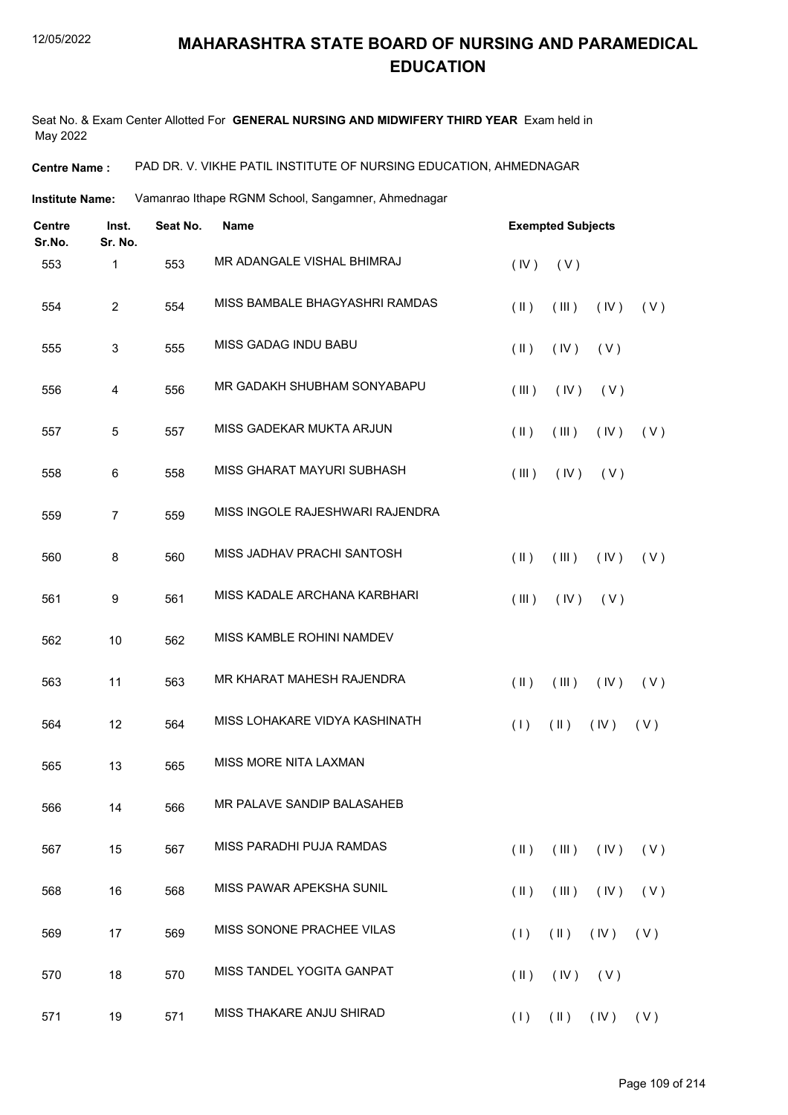Seat No. & Exam Center Allotted For **GENERAL NURSING AND MIDWIFERY THIRD YEAR** Exam held in May 2022

**Centre Name :** PAD DR. V. VIKHE PATIL INSTITUTE OF NURSING EDUCATION, AHMEDNAGAR

**Institute Name:** Vamanrao Ithape RGNM School, Sangamner, Ahmednagar

| <b>Centre</b><br>Sr.No. | Inst.<br>Sr. No. | Seat No. | <b>Exempted Subjects</b>          |                                             |  |  |  |
|-------------------------|------------------|----------|-----------------------------------|---------------------------------------------|--|--|--|
| 553                     | 1                | 553      | MR ADANGALE VISHAL BHIMRAJ        | (V)<br>(IV)                                 |  |  |  |
| 554                     | $\overline{c}$   | 554      | MISS BAMBALE BHAGYASHRI RAMDAS    | $(\parallel)$<br>(III)<br>(IV)<br>(V)       |  |  |  |
| 555                     | 3                | 555      | <b>MISS GADAG INDU BABU</b>       | (V)<br>$(\parallel)$<br>(IV)                |  |  |  |
| 556                     | 4                | 556      | MR GADAKH SHUBHAM SONYABAPU       | (III)<br>(IV)<br>(V)                        |  |  |  |
| 557                     | 5                | 557      | MISS GADEKAR MUKTA ARJUN          | $(\parallel)$<br>(III)<br>(IV)<br>(V)       |  |  |  |
| 558                     | 6                | 558      | <b>MISS GHARAT MAYURI SUBHASH</b> | (III)<br>(IV)<br>(V)                        |  |  |  |
| 559                     | $\overline{7}$   | 559      | MISS INGOLE RAJESHWARI RAJENDRA   |                                             |  |  |  |
| 560                     | 8                | 560      | MISS JADHAV PRACHI SANTOSH        | $(\parallel)$<br>(III)<br>(IV)<br>(V)       |  |  |  |
| 561                     | 9                | 561      | MISS KADALE ARCHANA KARBHARI      | (III)<br>(IV)<br>(V)                        |  |  |  |
| 562                     | 10               | 562      | MISS KAMBLE ROHINI NAMDEV         |                                             |  |  |  |
| 563                     | 11               | 563      | MR KHARAT MAHESH RAJENDRA         | $(\parallel)$<br>(III)<br>(IV)<br>(V)       |  |  |  |
| 564                     | 12               | 564      | MISS LOHAKARE VIDYA KASHINATH     | $($ II $)$<br>(1)<br>(IV)<br>(V)            |  |  |  |
| 565                     | 13               | 565      | MISS MORE NITA LAXMAN             |                                             |  |  |  |
| 566                     | 14               | 566      | MR PALAVE SANDIP BALASAHEB        |                                             |  |  |  |
| 567                     | 15               | 567      | MISS PARADHI PUJA RAMDAS          | $(\parallel)$<br>(III)<br>(IV)<br>(V)       |  |  |  |
| 568                     | 16               | 568      | MISS PAWAR APEKSHA SUNIL          | (III)<br>$(\parallel)$<br>(IV)<br>(V)       |  |  |  |
| 569                     | 17               | 569      | MISS SONONE PRACHEE VILAS         | $(\parallel)$<br>(1)<br>(IV)<br>(V)         |  |  |  |
| 570                     | 18               | 570      | MISS TANDEL YOGITA GANPAT         | $(\parallel \parallel)$<br>$(IV)$ $(V)$     |  |  |  |
| 571                     | 19               | 571      | MISS THAKARE ANJU SHIRAD          | $(\mathbb{I})$ $(\mathbb{N})$<br>(1)<br>(V) |  |  |  |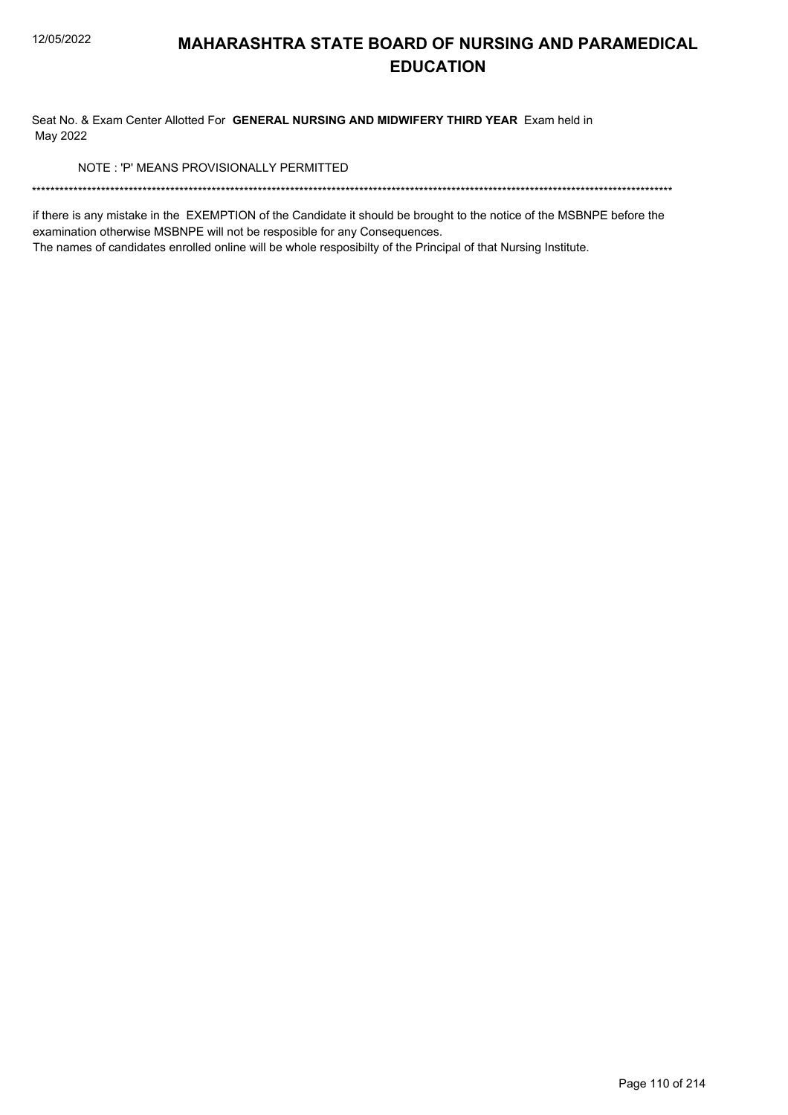Seat No. & Exam Center Allotted For GENERAL NURSING AND MIDWIFERY THIRD YEAR Exam held in May 2022

NOTE: 'P' MEANS PROVISIONALLY PERMITTED

if there is any mistake in the EXEMPTION of the Candidate it should be brought to the notice of the MSBNPE before the examination otherwise MSBNPE will not be resposible for any Consequences.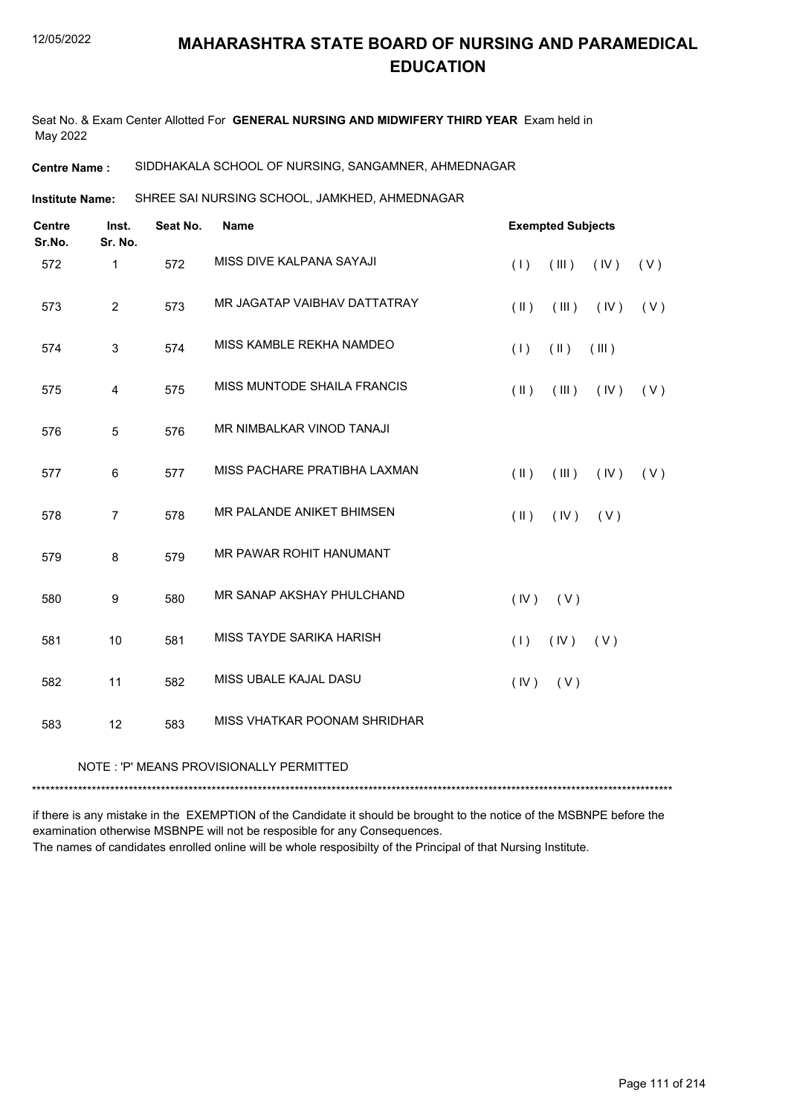Seat No. & Exam Center Allotted For **GENERAL NURSING AND MIDWIFERY THIRD YEAR** Exam held in May 2022

#### **Centre Name :** SIDDHAKALA SCHOOL OF NURSING, SANGAMNER, AHMEDNAGAR

SHREE SAI NURSING SCHOOL, JAMKHED, AHMEDNAGAR **Institute Name:**

| <b>Centre</b><br>Sr.No. | Inst.<br>Sr. No. | Seat No. | <b>Name</b>                  | <b>Exempted Subjects</b>     |             |  |
|-------------------------|------------------|----------|------------------------------|------------------------------|-------------|--|
| 572                     | $\mathbf{1}$     | 572      | MISS DIVE KALPANA SAYAJI     | (1)<br>(III)                 | (IV)<br>(V) |  |
| 573                     | $\overline{2}$   | 573      | MR JAGATAP VAIBHAV DATTATRAY | $(\parallel)$<br>$($ III $)$ | (IV)<br>(V) |  |
| 574                     | 3                | 574      | MISS KAMBLE REKHA NAMDEO     | (1)<br>$(\parallel)$         | (III)       |  |
| 575                     | 4                | 575      | MISS MUNTODE SHAILA FRANCIS  | $($ II $)$<br>(III)          | (IV)<br>(V) |  |
| 576                     | 5                | 576      | MR NIMBALKAR VINOD TANAJI    |                              |             |  |
| 577                     | 6                | 577      | MISS PACHARE PRATIBHA LAXMAN | $(\parallel)$<br>(III)       | (IV)<br>(V) |  |
| 578                     | $\overline{7}$   | 578      | MR PALANDE ANIKET BHIMSEN    | $(\parallel)$<br>(IV)        | (V)         |  |
| 579                     | 8                | 579      | MR PAWAR ROHIT HANUMANT      |                              |             |  |
| 580                     | 9                | 580      | MR SANAP AKSHAY PHULCHAND    | (IV)<br>(V)                  |             |  |
| 581                     | 10               | 581      | MISS TAYDE SARIKA HARISH     | (IV)<br>(1)                  | (V)         |  |
| 582                     | 11               | 582      | MISS UBALE KAJAL DASU        | (IV)<br>(V)                  |             |  |
| 583                     | 12               | 583      | MISS VHATKAR POONAM SHRIDHAR |                              |             |  |

#### NOTE : 'P' MEANS PROVISIONALLY PERMITTED

\*\*\*\*\*\*\*\*\*\*\*\*\*\*\*\*\*\*\*\*\*\*\*\*\*\*\*\*\*\*\*\*\*\*\*\*\*\*\*\*\*\*\*\*\*\*\*\*\*\*\*\*\*\*\*\*\*\*\*\*\*\*\*\*\*\*\*\*\*\*\*\*\*\*\*\*\*\*\*\*\*\*\*\*\*\*\*\*\*\*\*\*\*\*\*\*\*\*\*\*\*\*\*\*\*\*\*\*\*\*\*\*\*\*\*\*\*\*\*\*\*\*\*\*\*\*\*\*\*\*\*\*\*\*\*\*\*\*\*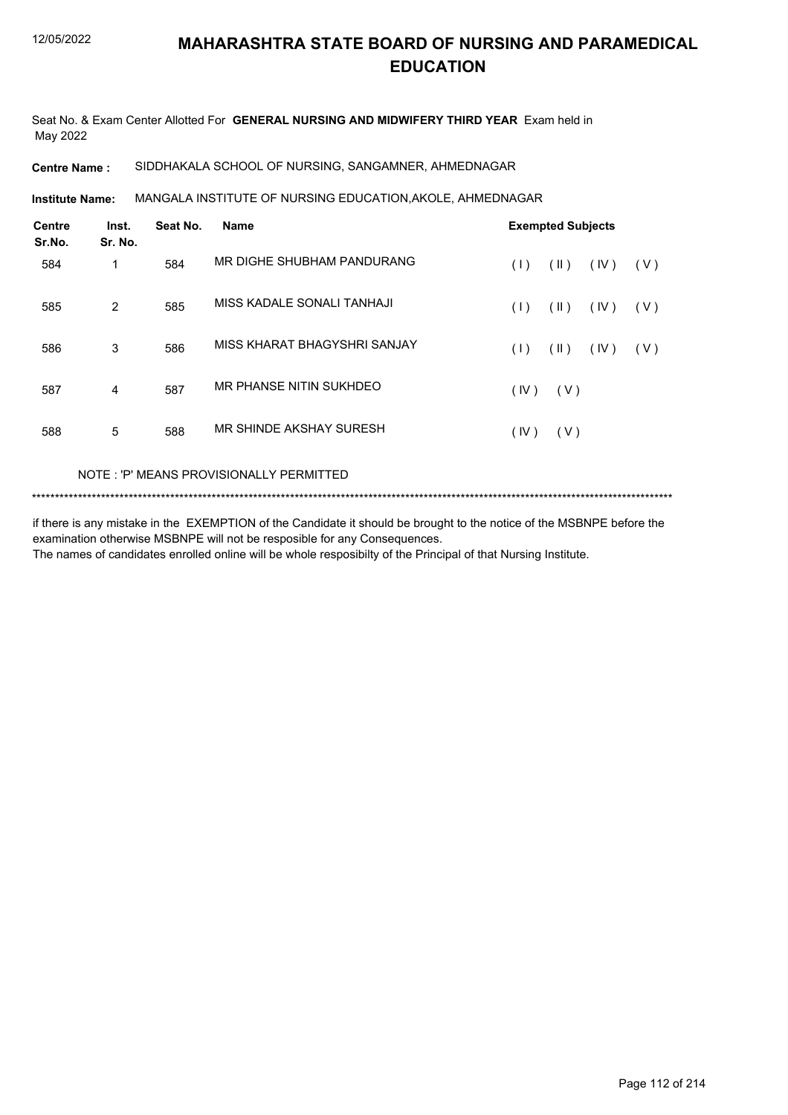Seat No. & Exam Center Allotted For **GENERAL NURSING AND MIDWIFERY THIRD YEAR** Exam held in May 2022

**Centre Name :** SIDDHAKALA SCHOOL OF NURSING, SANGAMNER, AHMEDNAGAR

MANGALA INSTITUTE OF NURSING EDUCATION,AKOLE, AHMEDNAGAR **Institute Name:**

| <b>Centre</b><br>Sr.No. | Inst.<br>Sr. No. | Seat No. | <b>Name</b>                  |      | <b>Exempted Subjects</b> |      |     |
|-------------------------|------------------|----------|------------------------------|------|--------------------------|------|-----|
| 584                     | 1                | 584      | MR DIGHE SHUBHAM PANDURANG   | (1)  | $(\parallel)$            | (IV) | (V) |
| 585                     | $\overline{2}$   | 585      | MISS KADALE SONALI TANHAJI   | (1)  | $(\parallel)$            | (IV) | (V) |
| 586                     | 3                | 586      | MISS KHARAT BHAGYSHRI SANJAY | (1)  | $(\parallel)$            | (IV) | (V) |
| 587                     | $\overline{4}$   | 587      | MR PHANSE NITIN SUKHDEO      | (IV) | (V)                      |      |     |
| 588                     | 5                | 588      | MR SHINDE AKSHAY SURESH      | (IV) | (V)                      |      |     |

#### NOTE : 'P' MEANS PROVISIONALLY PERMITTED

\*\*\*\*\*\*\*\*\*\*\*\*\*\*\*\*\*\*\*\*\*\*\*\*\*\*\*\*\*\*\*\*\*\*\*\*\*\*\*\*\*\*\*\*\*\*\*\*\*\*\*\*\*\*\*\*\*\*\*\*\*\*\*\*\*\*\*\*\*\*\*\*\*\*\*\*\*\*\*\*\*\*\*\*\*\*\*\*\*\*\*\*\*\*\*\*\*\*\*\*\*\*\*\*\*\*\*\*\*\*\*\*\*\*\*\*\*\*\*\*\*\*\*\*\*\*\*\*\*\*\*\*\*\*\*\*\*\*\*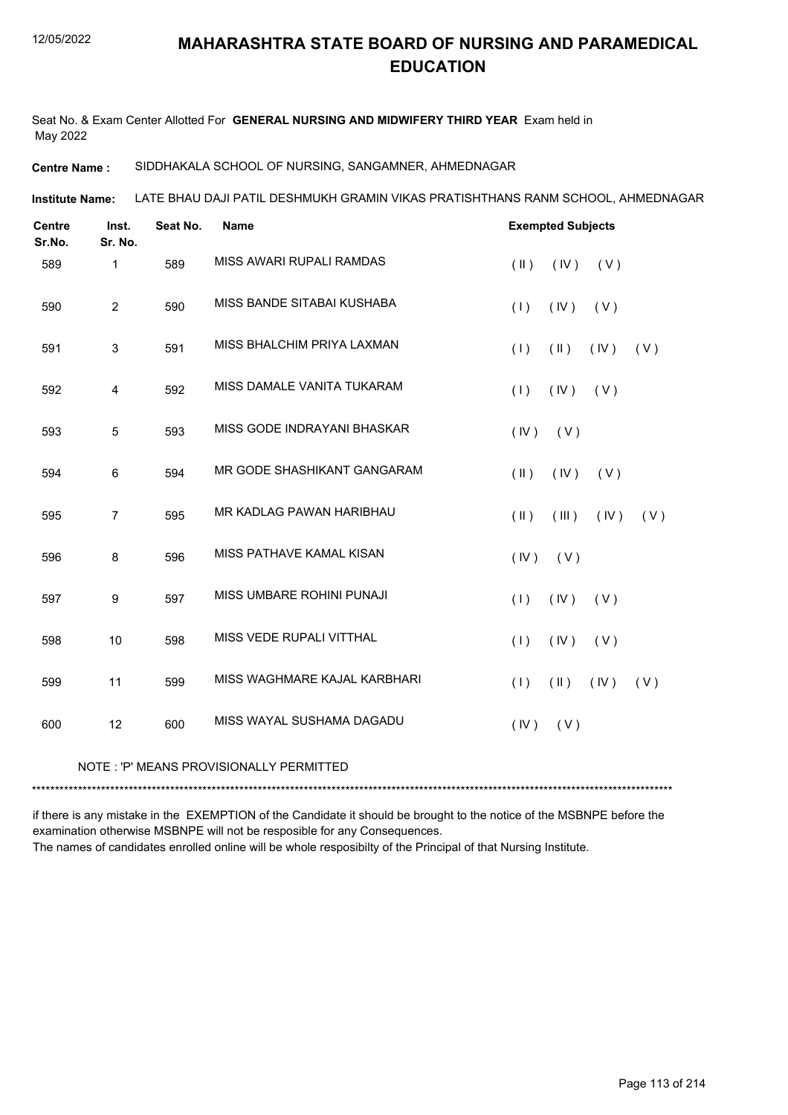Seat No. & Exam Center Allotted For **GENERAL NURSING AND MIDWIFERY THIRD YEAR** Exam held in May 2022

**Centre Name :** SIDDHAKALA SCHOOL OF NURSING, SANGAMNER, AHMEDNAGAR

LATE BHAU DAJI PATIL DESHMUKH GRAMIN VIKAS PRATISHTHANS RANM SCHOOL, AHMEDNAGAR **Institute Name:**

| <b>Centre</b><br>Sr.No. | Inst.<br>Sr. No. | Seat No. | <b>Name</b>                  | <b>Exempted Subjects</b>                        |  |  |  |
|-------------------------|------------------|----------|------------------------------|-------------------------------------------------|--|--|--|
| 589                     | $\mathbf{1}$     | 589      | MISS AWARI RUPALI RAMDAS     | (IV)<br>$(\parallel \parallel)$<br>( V )        |  |  |  |
| 590                     | $\overline{2}$   | 590      | MISS BANDE SITABAI KUSHABA   | (IV)<br>(V)<br>(1)                              |  |  |  |
| 591                     | 3                | 591      | MISS BHALCHIM PRIYA LAXMAN   | (1)<br>$(\parallel \parallel)$<br>(IV)<br>(V)   |  |  |  |
| 592                     | $\overline{4}$   | 592      | MISS DAMALE VANITA TUKARAM   | (IV)<br>(1)<br>(V)                              |  |  |  |
| 593                     | 5                | 593      | MISS GODE INDRAYANI BHASKAR  | (IV)<br>(V)                                     |  |  |  |
| 594                     | 6                | 594      | MR GODE SHASHIKANT GANGARAM  | $(\parallel)$<br>(IV)<br>(V)                    |  |  |  |
| 595                     | $\overline{7}$   | 595      | MR KADLAG PAWAN HARIBHAU     | $(\parallel \parallel)$<br>(III)<br>(IV)<br>(V) |  |  |  |
| 596                     | $\,8\,$          | 596      | MISS PATHAVE KAMAL KISAN     | (IV)<br>(V)                                     |  |  |  |
| 597                     | 9                | 597      | MISS UMBARE ROHINI PUNAJI    | (1)<br>(IV)<br>(V)                              |  |  |  |
| 598                     | 10               | 598      | MISS VEDE RUPALI VITTHAL     | (1)<br>(IV)<br>(V)                              |  |  |  |
| 599                     | 11               | 599      | MISS WAGHMARE KAJAL KARBHARI | $(\parallel)$<br>(IV)<br>(1)<br>(V)             |  |  |  |
| 600                     | 12               | 600      | MISS WAYAL SUSHAMA DAGADU    | (IV)<br>(V)                                     |  |  |  |

#### NOTE : 'P' MEANS PROVISIONALLY PERMITTED

\*\*\*\*\*\*\*\*\*\*\*\*\*\*\*\*\*\*\*\*\*\*\*\*\*\*\*\*\*\*\*\*\*\*\*\*\*\*\*\*\*\*\*\*\*\*\*\*\*\*\*\*\*\*\*\*\*\*\*\*\*\*\*\*\*\*\*\*\*\*\*\*\*\*\*\*\*\*\*\*\*\*\*\*\*\*\*\*\*\*\*\*\*\*\*\*\*\*\*\*\*\*\*\*\*\*\*\*\*\*\*\*\*\*\*\*\*\*\*\*\*\*\*\*\*\*\*\*\*\*\*\*\*\*\*\*\*\*\*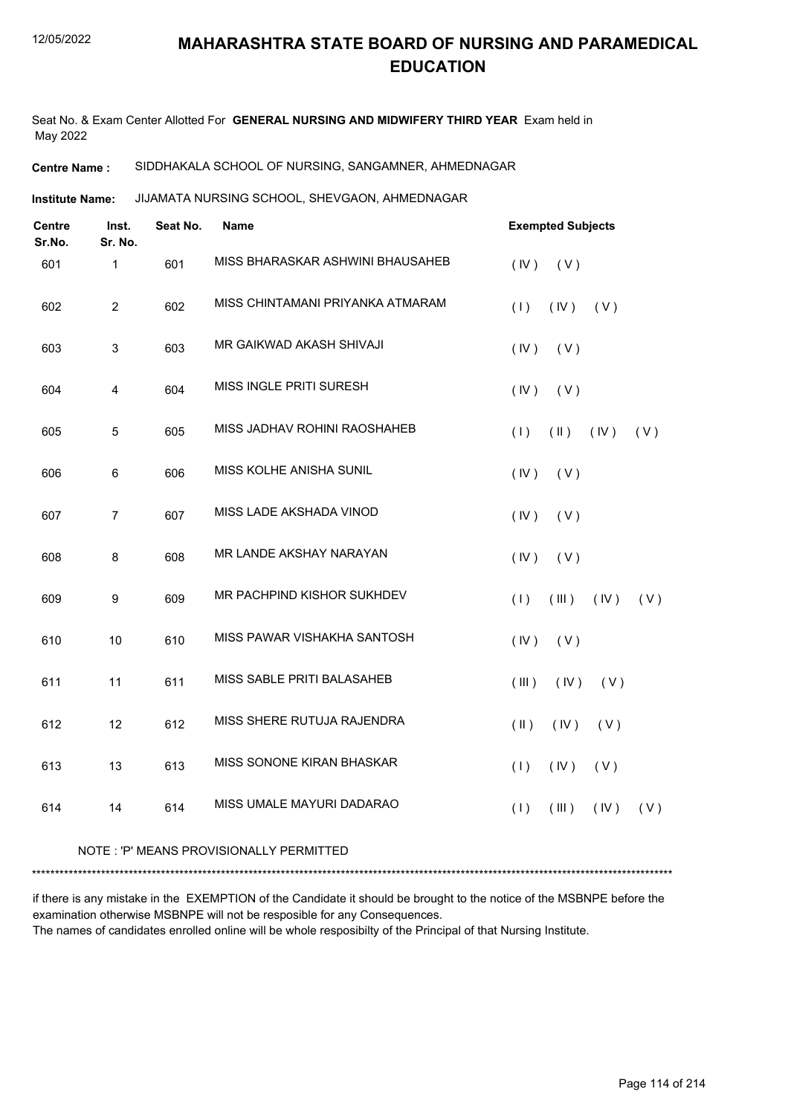Seat No. & Exam Center Allotted For **GENERAL NURSING AND MIDWIFERY THIRD YEAR** Exam held in May 2022

#### **Centre Name :** SIDDHAKALA SCHOOL OF NURSING, SANGAMNER, AHMEDNAGAR

JIJAMATA NURSING SCHOOL, SHEVGAON, AHMEDNAGAR **Institute Name:**

| <b>Centre</b><br>Sr.No. | Inst.<br>Sr. No. | Seat No. | Name                             | <b>Exempted Subjects</b>                      |
|-------------------------|------------------|----------|----------------------------------|-----------------------------------------------|
| 601                     | $\mathbf{1}$     | 601      | MISS BHARASKAR ASHWINI BHAUSAHEB | (IV)<br>(V)                                   |
| 602                     | $\overline{2}$   | 602      | MISS CHINTAMANI PRIYANKA ATMARAM | (1)<br>(IV)<br>(V)                            |
| 603                     | $\mathbf{3}$     | 603      | MR GAIKWAD AKASH SHIVAJI         | (IV)<br>(V)                                   |
| 604                     | 4                | 604      | MISS INGLE PRITI SURESH          | (IV)<br>(V)                                   |
| 605                     | 5                | 605      | MISS JADHAV ROHINI RAOSHAHEB     | (1)<br>$(\parallel \parallel)$<br>(IV)<br>(V) |
| 606                     | 6                | 606      | MISS KOLHE ANISHA SUNIL          | (IV)<br>(V)                                   |
| 607                     | $\overline{7}$   | 607      | MISS LADE AKSHADA VINOD          | (IV)<br>(V)                                   |
| 608                     | 8                | 608      | MR LANDE AKSHAY NARAYAN          | (IV)<br>(V)                                   |
| 609                     | 9                | 609      | MR PACHPIND KISHOR SUKHDEV       | (1)<br>(III)<br>(IV)<br>(V)                   |
| 610                     | 10               | 610      | MISS PAWAR VISHAKHA SANTOSH      | (IV)<br>(V)                                   |
| 611                     | 11               | 611      | MISS SABLE PRITI BALASAHEB       | (III)<br>(IV)<br>(V)                          |
| 612                     | 12               | 612      | MISS SHERE RUTUJA RAJENDRA       | $(\parallel)$<br>(V)<br>(IV)                  |
| 613                     | 13               | 613      | MISS SONONE KIRAN BHASKAR        | (1)<br>(IV)<br>(V)                            |
| 614                     | 14               | 614      | MISS UMALE MAYURI DADARAO        | (1)<br>(III)<br>(IV)<br>(V)                   |
|                         |                  |          |                                  |                                               |

#### NOTE : 'P' MEANS PROVISIONALLY PERMITTED

\*\*\*\*\*\*\*\*\*\*\*\*\*\*\*\*\*\*\*\*\*\*\*\*\*\*\*\*\*\*\*\*\*\*\*\*\*\*\*\*\*\*\*\*\*\*\*\*\*\*\*\*\*\*\*\*\*\*\*\*\*\*\*\*\*\*\*\*\*\*\*\*\*\*\*\*\*\*\*\*\*\*\*\*\*\*\*\*\*\*\*\*\*\*\*\*\*\*\*\*\*\*\*\*\*\*\*\*\*\*\*\*\*\*\*\*\*\*\*\*\*\*\*\*\*\*\*\*\*\*\*\*\*\*\*\*\*\*\*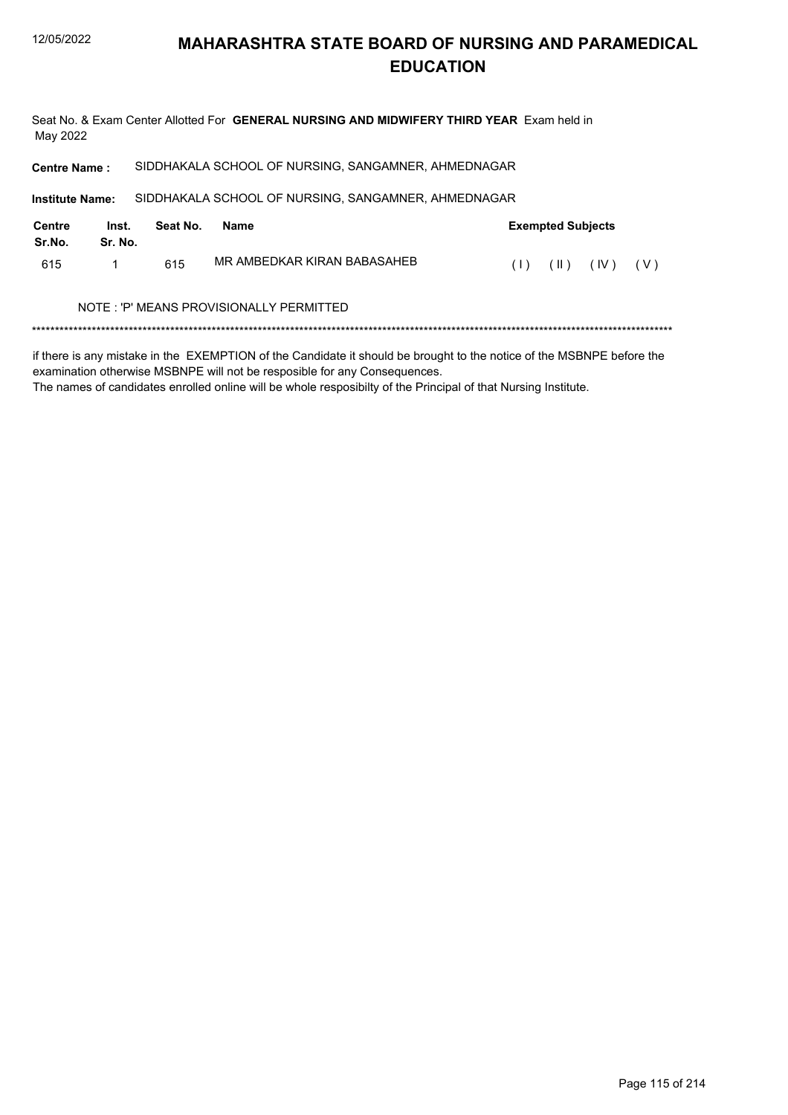Seat No. & Exam Center Allotted For GENERAL NURSING AND MIDWIFERY THIRD YEAR Exam held in May 2022

SIDDHAKALA SCHOOL OF NURSING, SANGAMNER, AHMEDNAGAR **Centre Name:** 

**Institute Name:** SIDDHAKALA SCHOOL OF NURSING, SANGAMNER, AHMEDNAGAR **Centre** Inst. Seat No. **Name Exempted Subjects** Sr.No. Sr. No. MR AMBEDKAR KIRAN BABASAHEB 615  $\mathbf{1}$ 615  $(1)$   $(1)$   $(1)$   $(1)$   $(1)$ 

#### NOTE: 'P' MEANS PROVISIONALLY PERMITTED

if there is any mistake in the EXEMPTION of the Candidate it should be brought to the notice of the MSBNPE before the examination otherwise MSBNPE will not be resposible for any Consequences.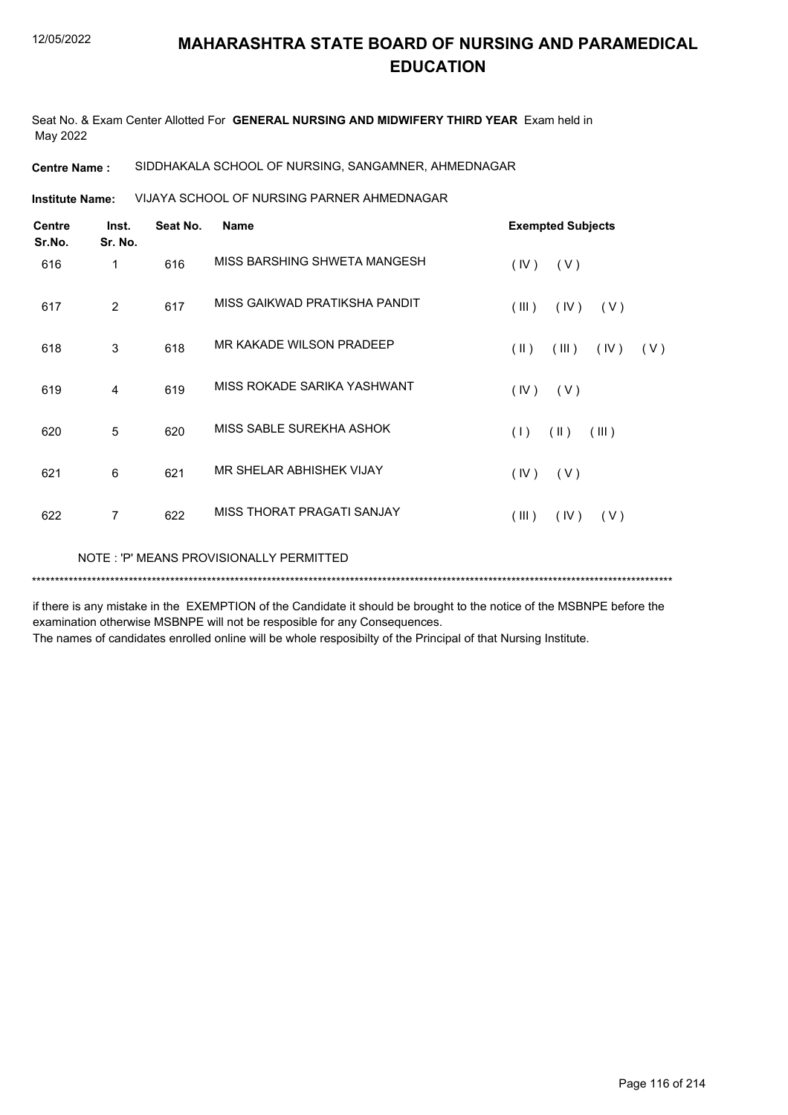Seat No. & Exam Center Allotted For **GENERAL NURSING AND MIDWIFERY THIRD YEAR** Exam held in May 2022

**Centre Name :** SIDDHAKALA SCHOOL OF NURSING, SANGAMNER, AHMEDNAGAR

VIJAYA SCHOOL OF NURSING PARNER AHMEDNAGAR **Institute Name:**

| <b>Centre</b><br>Sr.No. | Inst.<br>Sr. No. | Seat No. | <b>Name</b>                             | <b>Exempted Subjects</b>              |
|-------------------------|------------------|----------|-----------------------------------------|---------------------------------------|
| 616                     | 1                | 616      | MISS BARSHING SHWETA MANGESH            | (IV)<br>(V)                           |
| 617                     | 2                | 617      | MISS GAIKWAD PRATIKSHA PANDIT           | (III)<br>(IV)<br>(V)                  |
| 618                     | 3                | 618      | MR KAKADE WILSON PRADEEP                | $(\parallel)$<br>(III)<br>(IV)<br>(V) |
| 619                     | 4                | 619      | MISS ROKADE SARIKA YASHWANT             | (V)<br>(IV)                           |
| 620                     | 5                | 620      | MISS SABLE SUREKHA ASHOK                | $(\parallel)$<br>(1)<br>(III)         |
| 621                     | 6                | 621      | MR SHELAR ABHISHEK VIJAY                | (V)<br>(IV)                           |
| 622                     | $\overline{7}$   | 622      | MISS THORAT PRAGATI SANJAY              | $($ III $)$<br>(IV)<br>(V)            |
|                         |                  |          | NOTE: 'P' MEANS PROVISIONALLY PERMITTED |                                       |

if there is any mistake in the EXEMPTION of the Candidate it should be brought to the notice of the MSBNPE before the examination otherwise MSBNPE will not be resposible for any Consequences.

\*\*\*\*\*\*\*\*\*\*\*\*\*\*\*\*\*\*\*\*\*\*\*\*\*\*\*\*\*\*\*\*\*\*\*\*\*\*\*\*\*\*\*\*\*\*\*\*\*\*\*\*\*\*\*\*\*\*\*\*\*\*\*\*\*\*\*\*\*\*\*\*\*\*\*\*\*\*\*\*\*\*\*\*\*\*\*\*\*\*\*\*\*\*\*\*\*\*\*\*\*\*\*\*\*\*\*\*\*\*\*\*\*\*\*\*\*\*\*\*\*\*\*\*\*\*\*\*\*\*\*\*\*\*\*\*\*\*\*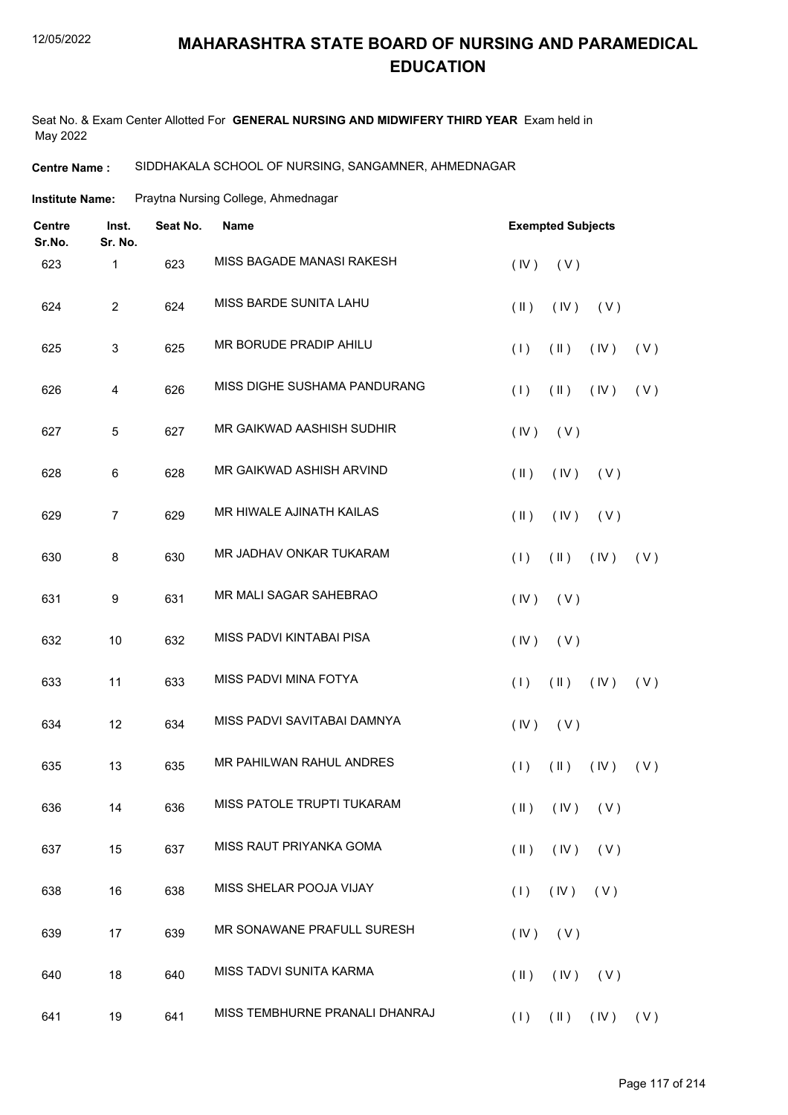Seat No. & Exam Center Allotted For **GENERAL NURSING AND MIDWIFERY THIRD YEAR** Exam held in May 2022

#### **Centre Name :** SIDDHAKALA SCHOOL OF NURSING, SANGAMNER, AHMEDNAGAR

**Institute Name:** Praytna Nursing College, Ahmednagar

| <b>Centre</b><br>Sr.No. | Inst.<br>Sr. No. | Seat No. | <b>Name</b>                    | <b>Exempted Subjects</b>                       |
|-------------------------|------------------|----------|--------------------------------|------------------------------------------------|
| 623                     | 1                | 623      | MISS BAGADE MANASI RAKESH      | (IV)<br>(V)                                    |
| 624                     | $\overline{c}$   | 624      | MISS BARDE SUNITA LAHU         | $(\parallel)$<br>(IV)<br>(V)                   |
| 625                     | 3                | 625      | MR BORUDE PRADIP AHILU         | (1)<br>$(\parallel)$<br>(IV)<br>(V)            |
| 626                     | 4                | 626      | MISS DIGHE SUSHAMA PANDURANG   | (1)<br>$(\parallel)$<br>(V)<br>(IV)            |
| 627                     | 5                | 627      | MR GAIKWAD AASHISH SUDHIR      | (IV)<br>(V)                                    |
| 628                     | 6                | 628      | MR GAIKWAD ASHISH ARVIND       | $(\parallel)$<br>(IV)<br>(V)                   |
| 629                     | $\overline{7}$   | 629      | MR HIWALE AJINATH KAILAS       | $($ II $)$<br>(IV)<br>(V)                      |
| 630                     | 8                | 630      | MR JADHAV ONKAR TUKARAM        | (1)<br>$(\parallel)$<br>(V)<br>(IV)            |
| 631                     | 9                | 631      | MR MALI SAGAR SAHEBRAO         | (IV)<br>(V)                                    |
| 632                     | 10               | 632      | MISS PADVI KINTABAI PISA       | (IV)<br>(V)                                    |
| 633                     | 11               | 633      | MISS PADVI MINA FOTYA          | (1)<br>$(\parallel)$<br>(IV)<br>(V)            |
| 634                     | 12               | 634      | MISS PADVI SAVITABAI DAMNYA    | (IV)<br>(V)                                    |
| 635                     | 13               | 635      | MR PAHILWAN RAHUL ANDRES       | (1)<br>$(\parallel)$<br>(IV)<br>(V)            |
| 636                     | 14               | 636      | MISS PATOLE TRUPTI TUKARAM     | $(\mathsf{II})$ $(\mathsf{IV})$ $(\mathsf{V})$ |
| 637                     | 15               | 637      | MISS RAUT PRIYANKA GOMA        | $(\parallel)$<br>$(IV)$ $(V)$                  |
| 638                     | 16               | 638      | MISS SHELAR POOJA VIJAY        | $(IV)$ $(V)$<br>(1)                            |
| 639                     | 17               | 639      | MR SONAWANE PRAFULL SURESH     | $($ IV $)$<br>(V)                              |
| 640                     | 18               | 640      | MISS TADVI SUNITA KARMA        | $(II)$ $(IV)$ $(V)$                            |
| 641                     | 19               | 641      | MISS TEMBHURNE PRANALI DHANRAJ | $(1)$ $(1)$ $(1)$ $(1)$ $(1)$                  |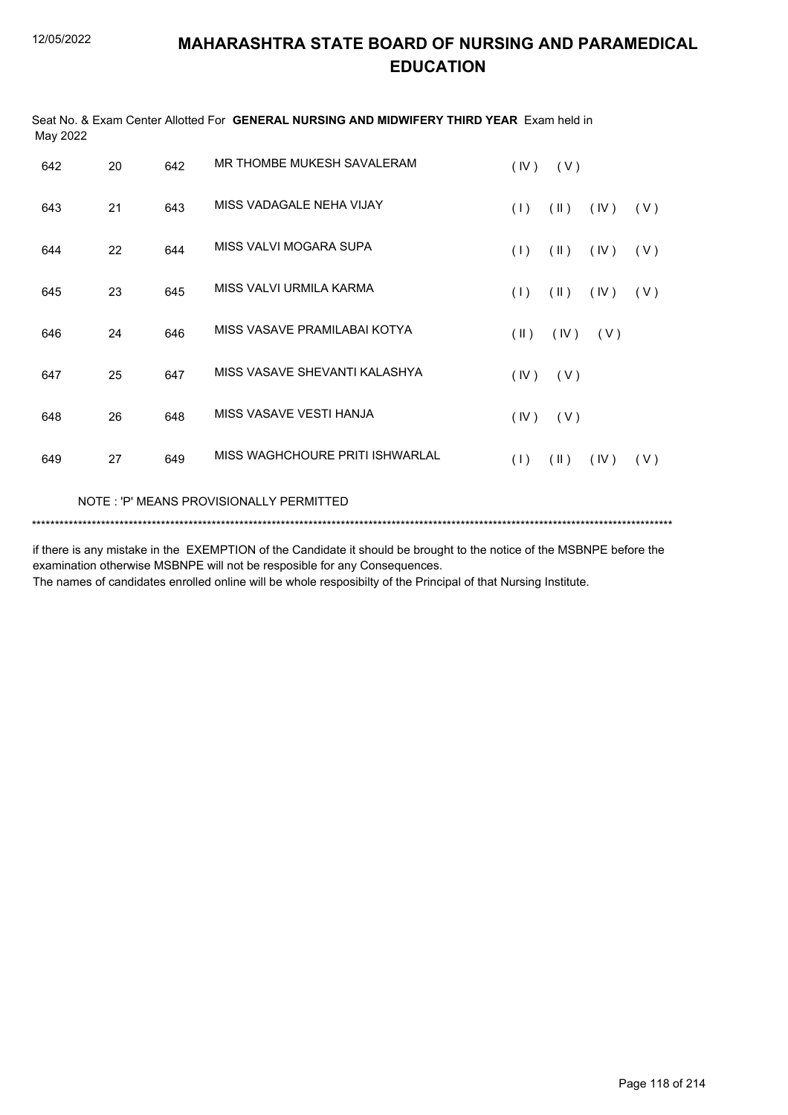| May 2022 |    |     | Seat No. & Exam Center Allotted For GENERAL NURSING AND MIDWIFERY THIRD YEAR Exam held in |                         |               |      |     |
|----------|----|-----|-------------------------------------------------------------------------------------------|-------------------------|---------------|------|-----|
| 642      | 20 | 642 | MR THOMBE MUKESH SAVALERAM                                                                | (IV)                    | (V)           |      |     |
| 643      | 21 | 643 | MISS VADAGALE NEHA VIJAY                                                                  | (1)                     | $(\parallel)$ | (IV) | (V) |
| 644      | 22 | 644 | MISS VALVI MOGARA SUPA                                                                    | (1)                     | $(\parallel)$ | (IV) | (V) |
| 645      | 23 | 645 | MISS VALVI URMILA KARMA                                                                   | (1)                     | $(\parallel)$ | (IV) | (V) |
| 646      | 24 | 646 | MISS VASAVE PRAMILABAI KOTYA                                                              | $(\parallel \parallel)$ | (IV)          | (V)  |     |
| 647      | 25 | 647 | MISS VASAVE SHEVANTI KALASHYA                                                             | (IV)                    | (V)           |      |     |
| 648      | 26 | 648 | MISS VASAVE VESTI HANJA                                                                   | (IV)                    | (V)           |      |     |
| 649      | 27 | 649 | MISS WAGHCHOURE PRITI ISHWARLAL                                                           | (1)                     | $(\parallel)$ | (IV) | (V) |
|          |    |     | NOTE: 'P' MEANS PROVISIONALLY PERMITTED                                                   |                         |               |      |     |

\*\*\*\*\*\*\*\*\*\*\*\*\*\*\*\*\*\*\*\*\*\*\*\*\*\*\*\*\*\*\*\*\*\*\*\*\*\*\*\*\*\*\*\*\*\*\*\*\*\*\*\*\*\*\*\*\*\*\*\*\*\*\*\*\*\*\*\*\*\*\*\*\*\*\*\*\*\*\*\*\*\*\*\*\*\*\*\*\*\*\*\*\*\*\*\*\*\*\*\*\*\*\*\*\*\*\*\*\*\*\*\*\*\*\*\*\*\*\*\*\*\*\*\*\*\*\*\*\*\*\*\*\*\*\*\*\*\*\*

if there is any mistake in the EXEMPTION of the Candidate it should be brought to the notice of the MSBNPE before the examination otherwise MSBNPE will not be resposible for any Consequences.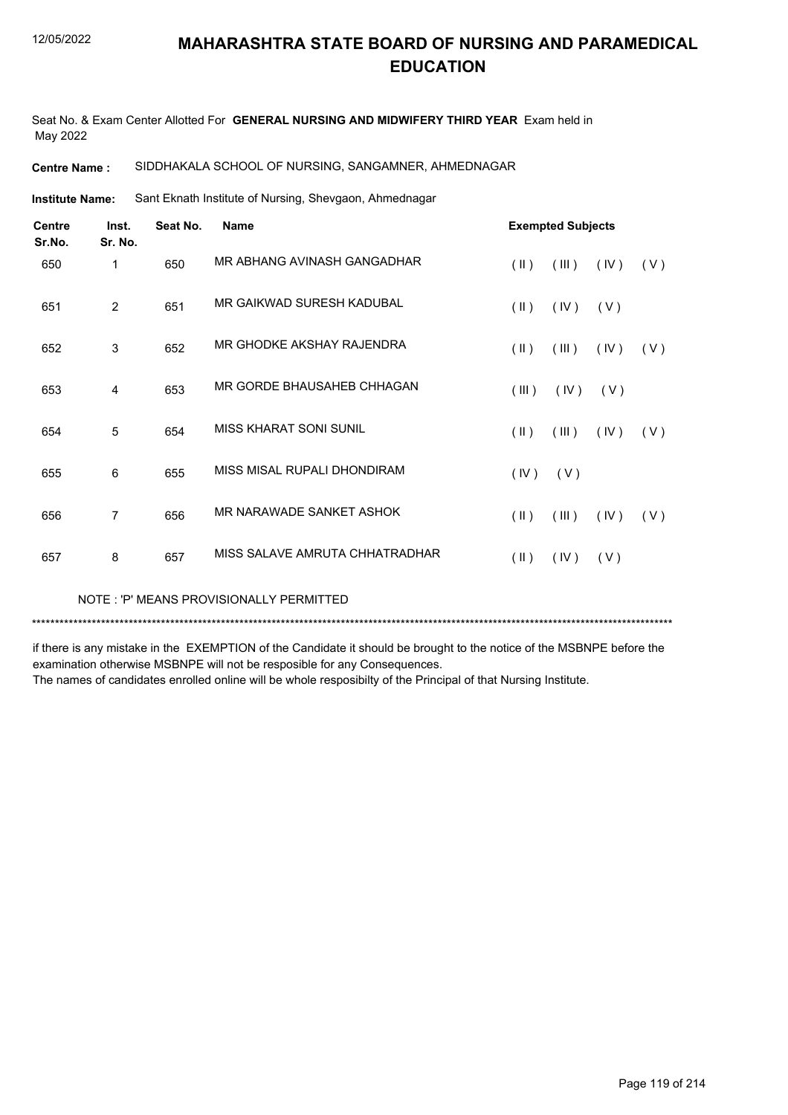Seat No. & Exam Center Allotted For **GENERAL NURSING AND MIDWIFERY THIRD YEAR** Exam held in May 2022

#### **Centre Name :** SIDDHAKALA SCHOOL OF NURSING, SANGAMNER, AHMEDNAGAR

Sant Eknath Institute of Nursing, Shevgaon, Ahmednagar **Institute Name:**

| <b>Centre</b><br>Sr.No. | Inst.<br>Sr. No. | Seat No. | <b>Name</b>                    |                         | <b>Exempted Subjects</b> |      |     |
|-------------------------|------------------|----------|--------------------------------|-------------------------|--------------------------|------|-----|
| 650                     | 1                | 650      | MR ABHANG AVINASH GANGADHAR    | $(\parallel \parallel)$ | (III)                    | (IV) | (V) |
| 651                     | 2                | 651      | MR GAIKWAD SURESH KADUBAL      | $(\parallel)$           | (IV)                     | (V)  |     |
| 652                     | 3                | 652      | MR GHODKE AKSHAY RAJENDRA      | $(\parallel \parallel)$ | (III)                    | (IV) | (V) |
| 653                     | 4                | 653      | MR GORDE BHAUSAHEB CHHAGAN     | (III)                   | (IV)                     | (V)  |     |
| 654                     | 5                | 654      | MISS KHARAT SONI SUNIL         | $(\parallel)$           | (III)                    | (IV) | (V) |
| 655                     | 6                | 655      | MISS MISAL RUPALI DHONDIRAM    | (IV)                    | (V)                      |      |     |
| 656                     | $\overline{7}$   | 656      | MR NARAWADE SANKET ASHOK       | $(\parallel)$           | (III)                    | (IV) | (V) |
| 657                     | 8                | 657      | MISS SALAVE AMRUTA CHHATRADHAR | $(\parallel)$           | (IV)                     | (V)  |     |

NOTE : 'P' MEANS PROVISIONALLY PERMITTED

\*\*\*\*\*\*\*\*\*\*\*\*\*\*\*\*\*\*\*\*\*\*\*\*\*\*\*\*\*\*\*\*\*\*\*\*\*\*\*\*\*\*\*\*\*\*\*\*\*\*\*\*\*\*\*\*\*\*\*\*\*\*\*\*\*\*\*\*\*\*\*\*\*\*\*\*\*\*\*\*\*\*\*\*\*\*\*\*\*\*\*\*\*\*\*\*\*\*\*\*\*\*\*\*\*\*\*\*\*\*\*\*\*\*\*\*\*\*\*\*\*\*\*\*\*\*\*\*\*\*\*\*\*\*\*\*\*\*\*

if there is any mistake in the EXEMPTION of the Candidate it should be brought to the notice of the MSBNPE before the examination otherwise MSBNPE will not be resposible for any Consequences.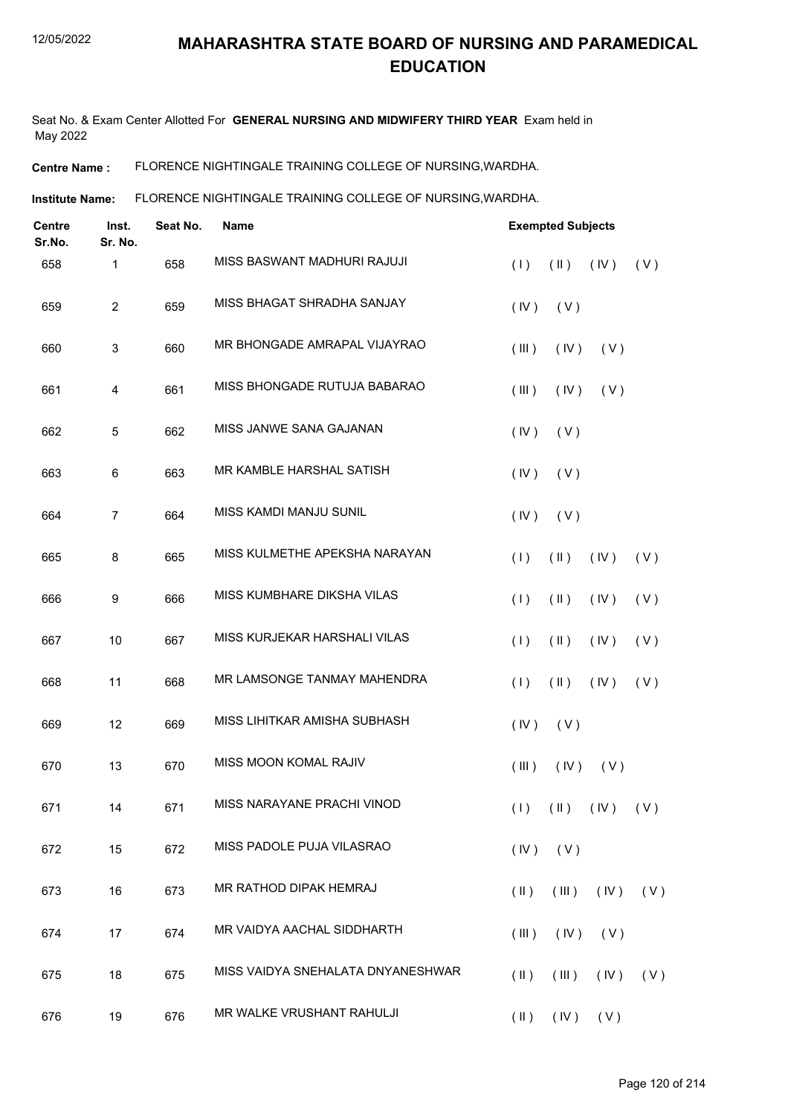Seat No. & Exam Center Allotted For **GENERAL NURSING AND MIDWIFERY THIRD YEAR** Exam held in May 2022

**Centre Name :** FLORENCE NIGHTINGALE TRAINING COLLEGE OF NURSING,WARDHA.

**Institute Name: FLORENCE NIGHTINGALE TRAINING COLLEGE OF NURSING, WARDHA.** 

| Inst.<br>Centre<br>Sr.No.<br>Sr. No. |                | Seat No. | <b>Name</b>                       | <b>Exempted Subjects</b> |                     |                               |     |
|--------------------------------------|----------------|----------|-----------------------------------|--------------------------|---------------------|-------------------------------|-----|
| 658                                  | 1              | 658      | MISS BASWANT MADHURI RAJUJI       | (1)                      | $(\parallel)$       | (IV)                          | (V) |
| 659                                  | $\overline{2}$ | 659      | MISS BHAGAT SHRADHA SANJAY        | (IV)                     | (V)                 |                               |     |
| 660                                  | 3              | 660      | MR BHONGADE AMRAPAL VIJAYRAO      | (III)                    | (IV)                | (V)                           |     |
| 661                                  | 4              | 661      | MISS BHONGADE RUTUJA BABARAO      | (III)                    | (IV)                | (V)                           |     |
| 662                                  | 5              | 662      | MISS JANWE SANA GAJANAN           | (IV)                     | (V)                 |                               |     |
| 663                                  | 6              | 663      | MR KAMBLE HARSHAL SATISH          | (IV)                     | (V)                 |                               |     |
| 664                                  | $\overline{7}$ | 664      | MISS KAMDI MANJU SUNIL            | (IV)                     | (V)                 |                               |     |
| 665                                  | 8              | 665      | MISS KULMETHE APEKSHA NARAYAN     | (1)                      | $(\parallel)$       | (IV)                          | (V) |
| 666                                  | 9              | 666      | MISS KUMBHARE DIKSHA VILAS        | (1)                      | $(\parallel)$       | (IV)                          | (V) |
| 667                                  | 10             | 667      | MISS KURJEKAR HARSHALI VILAS      | (1)                      | $(\parallel)$       | (IV)                          | (V) |
| 668                                  | 11             | 668      | MR LAMSONGE TANMAY MAHENDRA       | (1)                      | $(\parallel)$       | (IV)                          | (V) |
| 669                                  | 12             | 669      | MISS LIHITKAR AMISHA SUBHASH      | (IV)                     | (V)                 |                               |     |
| 670                                  | 13             | 670      | MISS MOON KOMAL RAJIV             | (III)                    | (IV)                | (V)                           |     |
| 671                                  | 14             | 671      | MISS NARAYANE PRACHI VINOD        |                          |                     | $(1)$ $(1)$ $(1)$ $(1)$ $(1)$ |     |
| 672                                  | 15             | 672      | MISS PADOLE PUJA VILASRAO         | (IV)                     | (V)                 |                               |     |
| 673                                  | 16             | 673      | MR RATHOD DIPAK HEMRAJ            | $(\parallel)$            | (III)               | (IV)                          | (V) |
| 674                                  | 17             | 674      | MR VAIDYA AACHAL SIDDHARTH        | (III)                    | (IV)                | (V)                           |     |
| 675                                  | 18             | 675      | MISS VAIDYA SNEHALATA DNYANESHWAR | $(\parallel)$            | (III)               | $($ IV $)$                    | (V) |
| 676                                  | 19             | 676      | MR WALKE VRUSHANT RAHULJI         |                          | $(II)$ $(IV)$ $(V)$ |                               |     |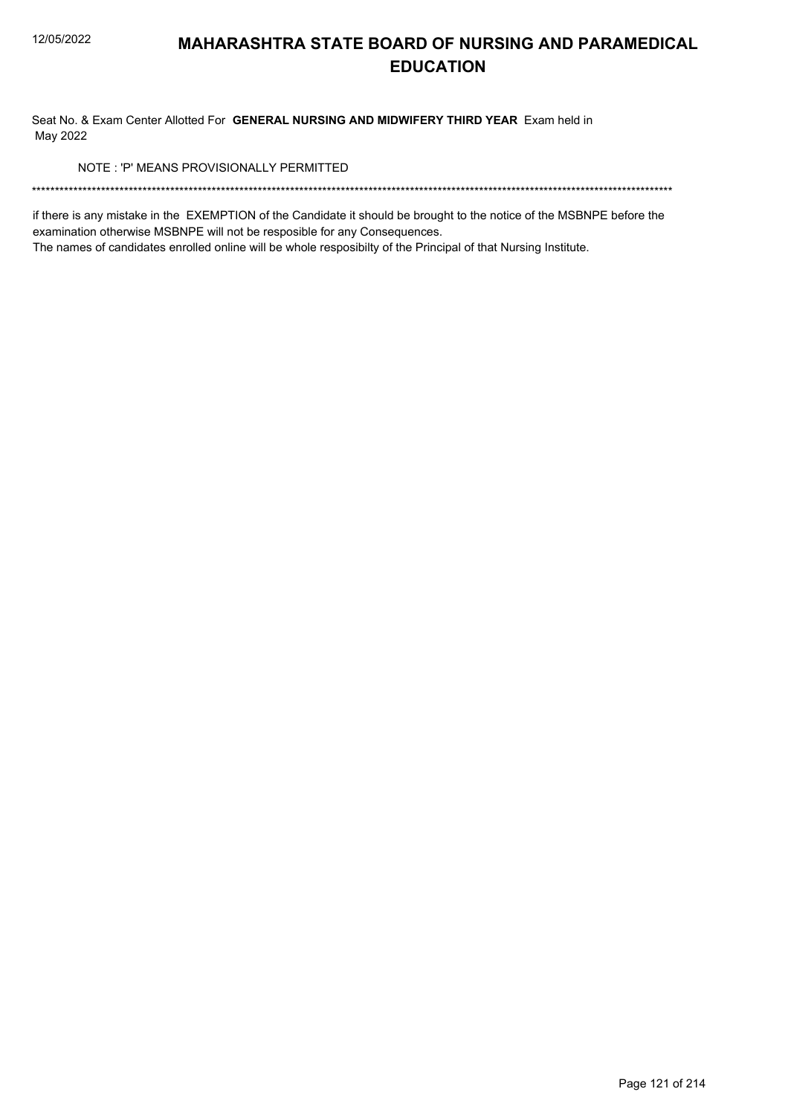Seat No. & Exam Center Allotted For GENERAL NURSING AND MIDWIFERY THIRD YEAR Exam held in May 2022

NOTE: 'P' MEANS PROVISIONALLY PERMITTED

if there is any mistake in the EXEMPTION of the Candidate it should be brought to the notice of the MSBNPE before the examination otherwise MSBNPE will not be resposible for any Consequences.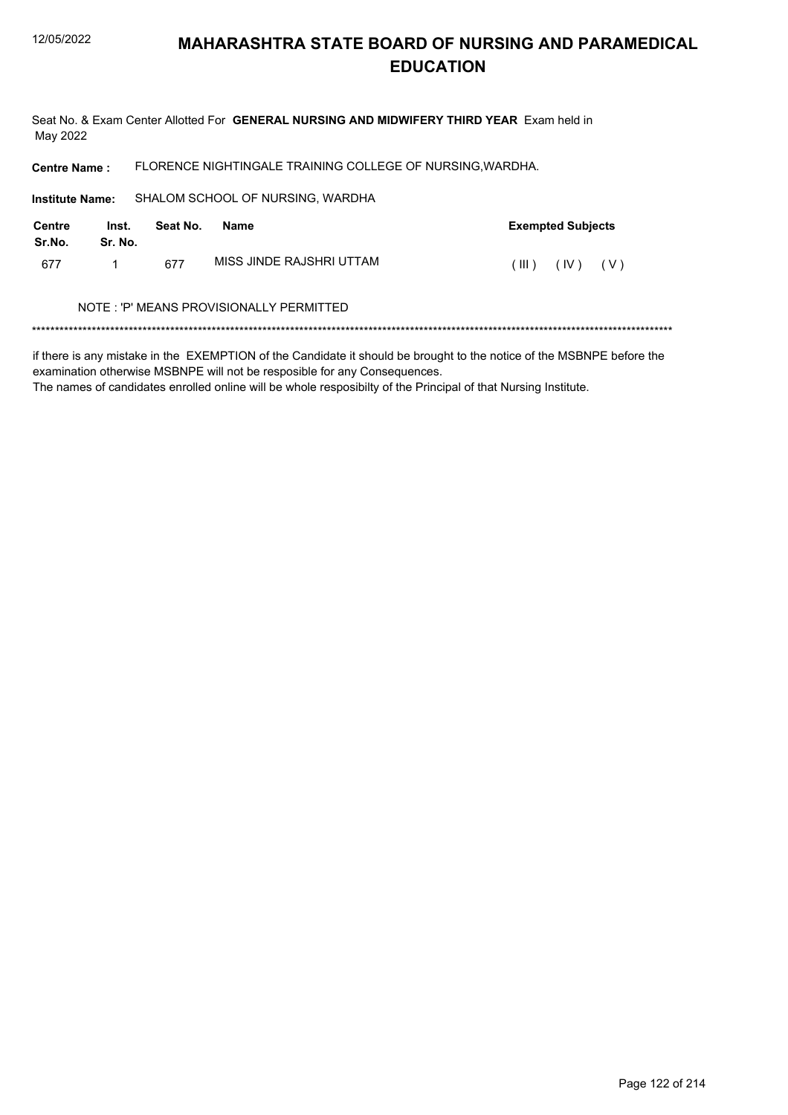Seat No. & Exam Center Allotted For GENERAL NURSING AND MIDWIFERY THIRD YEAR Exam held in May 2022

FLORENCE NIGHTINGALE TRAINING COLLEGE OF NURSING, WARDHA. **Centre Name:** 

SHALOM SCHOOL OF NURSING, WARDHA **Institute Name: Centre** Inst. Seat No. **Exempted Subjects Name** Sr.No. Sr. No. MISS JINDE RAJSHRI UTTAM 677  $\mathbf{1}$ 677  $(III)$   $(IV)$   $(V)$ NOTE: 'P' MEANS PROVISIONALLY PERMITTED

if there is any mistake in the EXEMPTION of the Candidate it should be brought to the notice of the MSBNPE before the examination otherwise MSBNPE will not be resposible for any Consequences.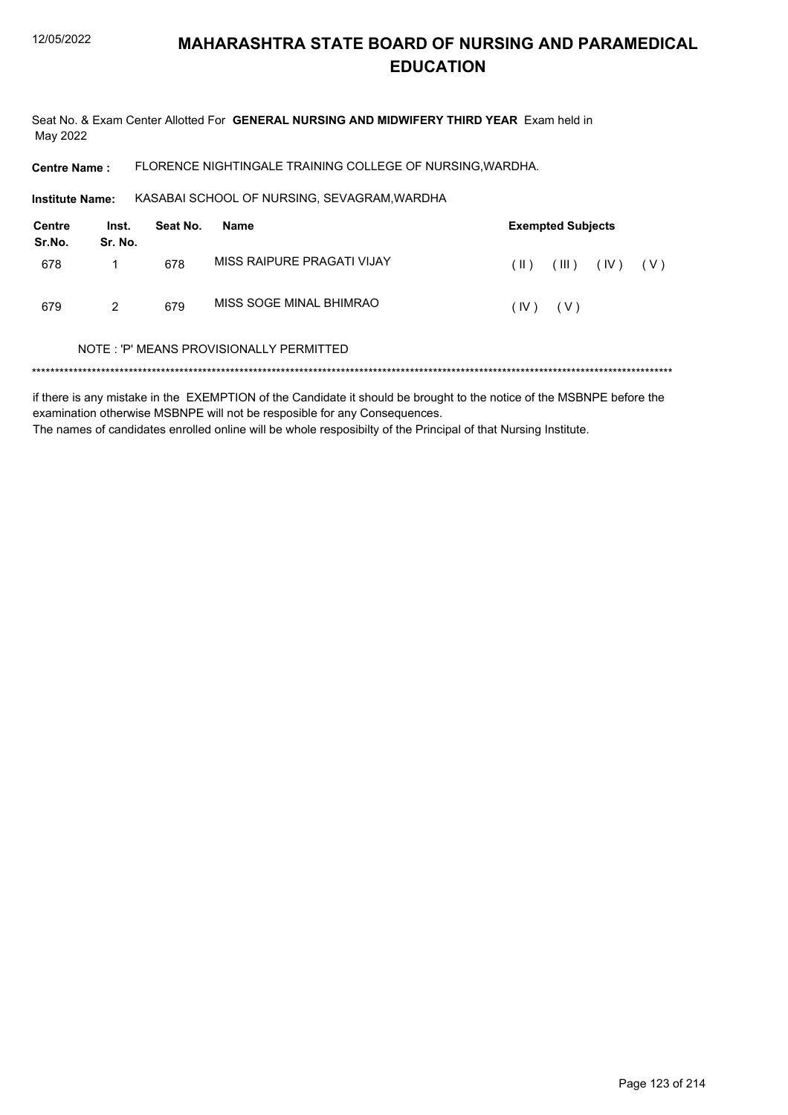Seat No. & Exam Center Allotted For GENERAL NURSING AND MIDWIFERY THIRD YEAR Exam held in May 2022

FLORENCE NIGHTINGALE TRAINING COLLEGE OF NURSING, WARDHA. **Centre Name:** 

KASABAI SCHOOL OF NURSING, SEVAGRAM, WARDHA Institute Name:

| <b>Centre</b><br>Sr.No. | Inst.<br>Sr. No. | Seat No. | Name                       |              | <b>Exempted Subjects</b> |      |     |
|-------------------------|------------------|----------|----------------------------|--------------|--------------------------|------|-----|
| 678                     |                  | 678      | MISS RAIPURE PRAGATI VIJAY | $(\ )$       | $(\mathbb{H})$           | (IV) | (V) |
| 679                     | 2                | 679      | MISS SOGE MINAL BHIMRAO    | $(IV)$ $(V)$ |                          |      |     |

#### NOTE: 'P' MEANS PROVISIONALLY PERMITTED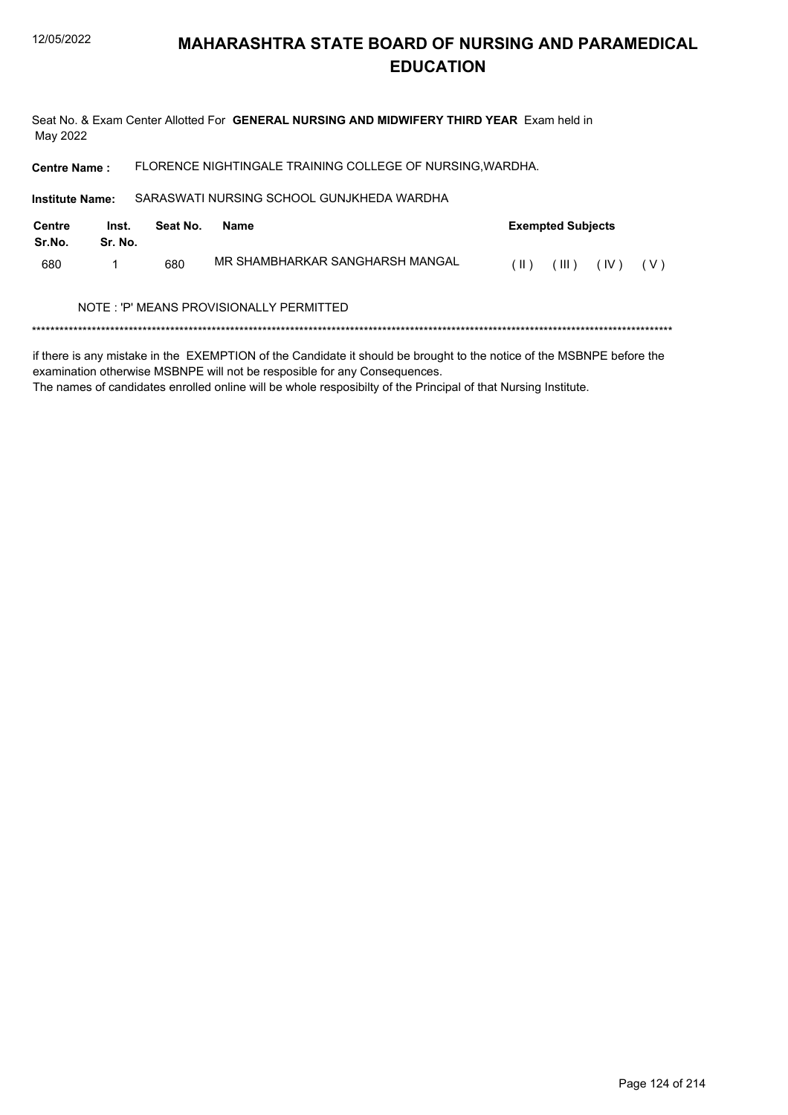Seat No. & Exam Center Allotted For GENERAL NURSING AND MIDWIFERY THIRD YEAR Exam held in May 2022

FLORENCE NIGHTINGALE TRAINING COLLEGE OF NURSING, WARDHA. **Centre Name:** 

SARASWATI NURSING SCHOOL GUNJKHEDA WARDHA Institute Name:

| Centre<br>Sr.No. | Seat No.<br>Name<br>Inst.<br>Sr. No. |     |                                         |        | <b>Exempted Subjects</b> |      |       |
|------------------|--------------------------------------|-----|-----------------------------------------|--------|--------------------------|------|-------|
| 680              |                                      | 680 | MR SHAMBHARKAR SANGHARSH MANGAL         | ( II ) | $($ III $)$              | (IV) | ( V ) |
|                  |                                      |     | NOTE: 'P' MEANS PROVISIONALLY PERMITTED |        |                          |      |       |
|                  |                                      |     |                                         |        |                          |      |       |

if there is any mistake in the EXEMPTION of the Candidate it should be brought to the notice of the MSBNPE before the examination otherwise MSBNPE will not be resposible for any Consequences.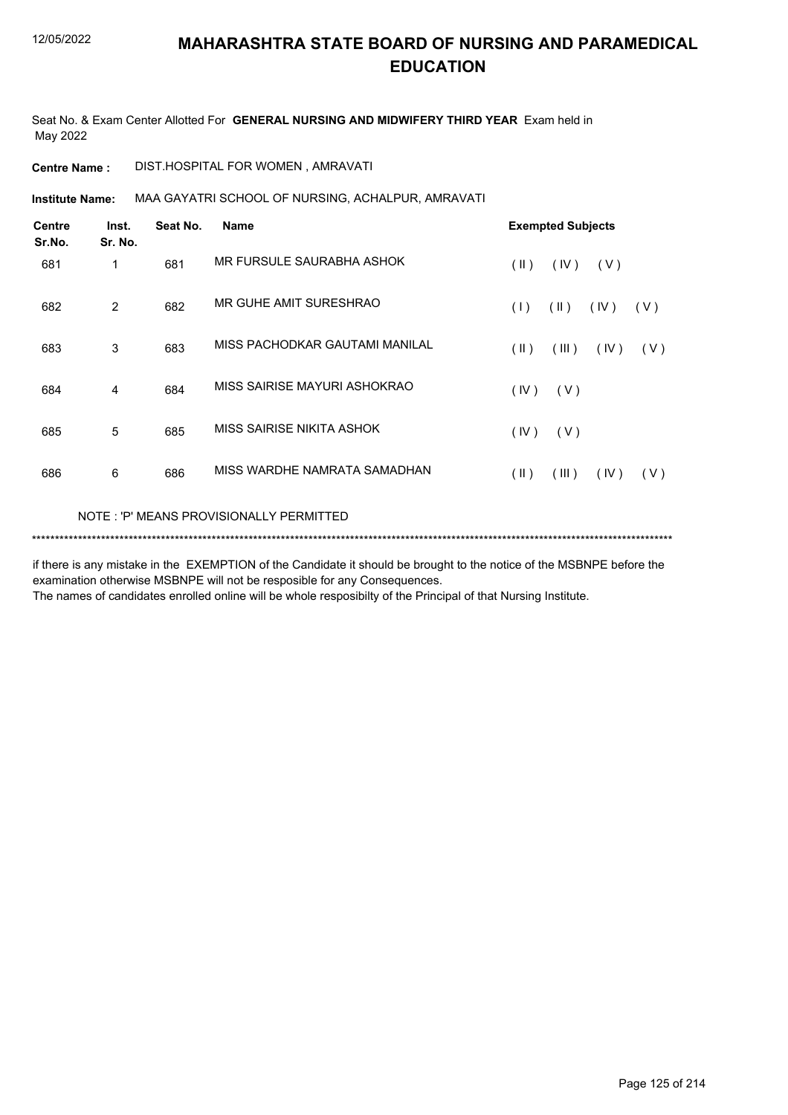Seat No. & Exam Center Allotted For **GENERAL NURSING AND MIDWIFERY THIRD YEAR** Exam held in May 2022

**Centre Name :** DIST.HOSPITAL FOR WOMEN , AMRAVATI

MAA GAYATRI SCHOOL OF NURSING, ACHALPUR, AMRAVATI **Institute Name:**

| <b>Centre</b><br>Sr.No. | Inst.<br>Sr. No. | Seat No. | <b>Name</b>                    | <b>Exempted Subjects</b>              |
|-------------------------|------------------|----------|--------------------------------|---------------------------------------|
| 681                     | 1                | 681      | MR FURSULE SAURABHA ASHOK      | $($ II $)$<br>(IV)<br>(V)             |
| 682                     | 2                | 682      | MR GUHE AMIT SURESHRAO         | $(\parallel)$<br>(1)<br>(IV)<br>(V)   |
| 683                     | 3                | 683      | MISS PACHODKAR GAUTAMI MANILAL | (III)<br>$(\parallel)$<br>(IV)<br>(V) |
| 684                     | 4                | 684      | MISS SAIRISE MAYURI ASHOKRAO   | (IV)<br>(V)                           |
| 685                     | 5                | 685      | MISS SAIRISE NIKITA ASHOK      | (IV)<br>(V)                           |
| 686                     | 6                | 686      | MISS WARDHE NAMRATA SAMADHAN   | $($ II $)$<br>(III)<br>(IV)<br>(V)    |
|                         |                  |          |                                |                                       |

NOTE : 'P' MEANS PROVISIONALLY PERMITTED

\*\*\*\*\*\*\*\*\*\*\*\*\*\*\*\*\*\*\*\*\*\*\*\*\*\*\*\*\*\*\*\*\*\*\*\*\*\*\*\*\*\*\*\*\*\*\*\*\*\*\*\*\*\*\*\*\*\*\*\*\*\*\*\*\*\*\*\*\*\*\*\*\*\*\*\*\*\*\*\*\*\*\*\*\*\*\*\*\*\*\*\*\*\*\*\*\*\*\*\*\*\*\*\*\*\*\*\*\*\*\*\*\*\*\*\*\*\*\*\*\*\*\*\*\*\*\*\*\*\*\*\*\*\*\*\*\*\*\*

if there is any mistake in the EXEMPTION of the Candidate it should be brought to the notice of the MSBNPE before the examination otherwise MSBNPE will not be resposible for any Consequences.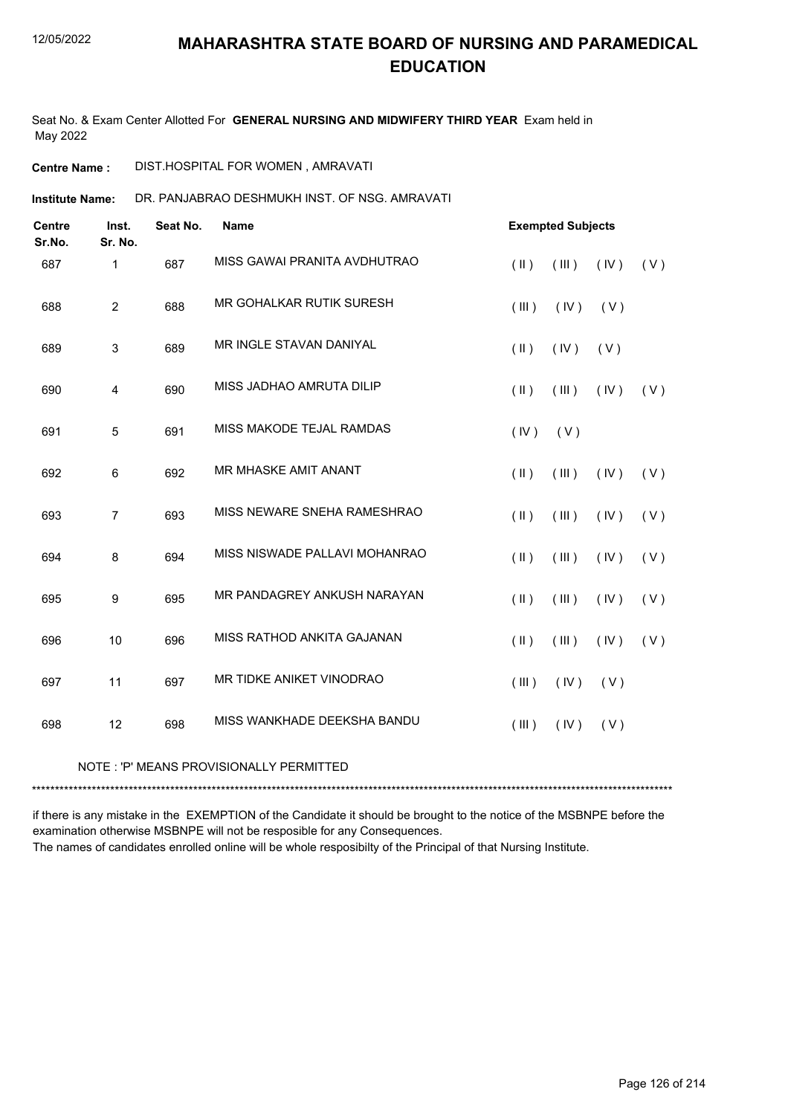Seat No. & Exam Center Allotted For **GENERAL NURSING AND MIDWIFERY THIRD YEAR** Exam held in May 2022

**Centre Name :** DIST.HOSPITAL FOR WOMEN , AMRAVATI

DR. PANJABRAO DESHMUKH INST. OF NSG. AMRAVATI **Institute Name:**

| <b>Centre</b><br>Sr.No. | Inst.<br>Sr. No. | Seat No. | <b>Name</b>                   |               | <b>Exempted Subjects</b> |      |     |
|-------------------------|------------------|----------|-------------------------------|---------------|--------------------------|------|-----|
| 687                     | $\mathbf{1}$     | 687      | MISS GAWAI PRANITA AVDHUTRAO  | $($ II $)$    | (III)                    | (IV) | (V) |
| 688                     | $\overline{2}$   | 688      | MR GOHALKAR RUTIK SURESH      | (III)         | (IV)                     | (V)  |     |
| 689                     | 3                | 689      | MR INGLE STAVAN DANIYAL       | $(\parallel)$ | (IV)                     | (V)  |     |
| 690                     | $\overline{4}$   | 690      | MISS JADHAO AMRUTA DILIP      | $(\parallel)$ | (III)                    | (IV) | (V) |
| 691                     | 5                | 691      | MISS MAKODE TEJAL RAMDAS      | (IV)          | (V)                      |      |     |
| 692                     | 6                | 692      | MR MHASKE AMIT ANANT          | $($ II $)$    | (III)                    | (IV) | (V) |
| 693                     | $\overline{7}$   | 693      | MISS NEWARE SNEHA RAMESHRAO   | $(\parallel)$ | (III)                    | (IV) | (V) |
| 694                     | 8                | 694      | MISS NISWADE PALLAVI MOHANRAO | $($ II $)$    | (III)                    | (IV) | (V) |
| 695                     | 9                | 695      | MR PANDAGREY ANKUSH NARAYAN   | (  )          | (III)                    | (IV) | (V) |
| 696                     | 10               | 696      | MISS RATHOD ANKITA GAJANAN    | $($ II $)$    | (III)                    | (IV) | (V) |
| 697                     | 11               | 697      | MR TIDKE ANIKET VINODRAO      | (III)         | (IV)                     | (V)  |     |
| 698                     | 12               | 698      | MISS WANKHADE DEEKSHA BANDU   | (III)         | (IV)                     | (V)  |     |

#### NOTE : 'P' MEANS PROVISIONALLY PERMITTED

\*\*\*\*\*\*\*\*\*\*\*\*\*\*\*\*\*\*\*\*\*\*\*\*\*\*\*\*\*\*\*\*\*\*\*\*\*\*\*\*\*\*\*\*\*\*\*\*\*\*\*\*\*\*\*\*\*\*\*\*\*\*\*\*\*\*\*\*\*\*\*\*\*\*\*\*\*\*\*\*\*\*\*\*\*\*\*\*\*\*\*\*\*\*\*\*\*\*\*\*\*\*\*\*\*\*\*\*\*\*\*\*\*\*\*\*\*\*\*\*\*\*\*\*\*\*\*\*\*\*\*\*\*\*\*\*\*\*\*

if there is any mistake in the EXEMPTION of the Candidate it should be brought to the notice of the MSBNPE before the examination otherwise MSBNPE will not be resposible for any Consequences.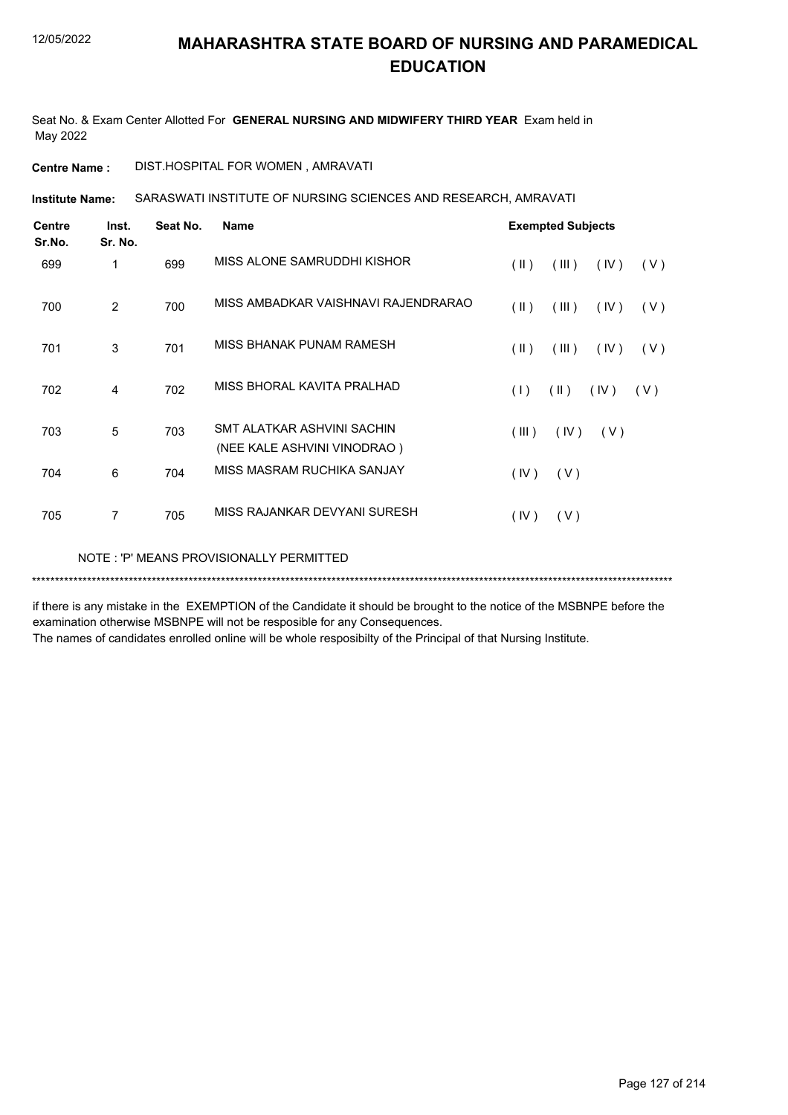Seat No. & Exam Center Allotted For **GENERAL NURSING AND MIDWIFERY THIRD YEAR** Exam held in May 2022

**Centre Name :** DIST.HOSPITAL FOR WOMEN , AMRAVATI

SARASWATI INSTITUTE OF NURSING SCIENCES AND RESEARCH, AMRAVATI **Institute Name:**

| <b>Centre</b><br>Sr.No. | Inst.<br>Sr. No. | Seat No. | <b>Name</b>                                               |                         | <b>Exempted Subjects</b> |      |       |
|-------------------------|------------------|----------|-----------------------------------------------------------|-------------------------|--------------------------|------|-------|
| 699                     | 1                | 699      | MISS ALONE SAMRUDDHI KISHOR                               | $($ II $)$              | (III)                    | (IV) | (V)   |
| 700                     | 2                | 700      | MISS AMBADKAR VAISHNAVI RAJENDRARAO                       | $(\parallel)$           | (III)                    | (IV) | ( V ) |
| 701                     | 3                | 701      | MISS BHANAK PUNAM RAMESH                                  | $(\parallel \parallel)$ | (III)                    | (IV) | (V)   |
| 702                     | 4                | 702      | MISS BHORAL KAVITA PRALHAD                                | (1)                     | $(\parallel)$            | (IV) | (V)   |
| 703                     | 5                | 703      | SMT ALATKAR ASHVINI SACHIN<br>(NEE KALE ASHVINI VINODRAO) | (III)                   | (IV)                     | (V)  |       |
| 704                     | 6                | 704      | MISS MASRAM RUCHIKA SANJAY                                | (IV)                    | (V)                      |      |       |
| 705                     | 7                | 705      | MISS RAJANKAR DEVYANI SURESH                              | (IV)                    | (V)                      |      |       |
|                         |                  |          |                                                           |                         |                          |      |       |

NOTE : 'P' MEANS PROVISIONALLY PERMITTED

\*\*\*\*\*\*\*\*\*\*\*\*\*\*\*\*\*\*\*\*\*\*\*\*\*\*\*\*\*\*\*\*\*\*\*\*\*\*\*\*\*\*\*\*\*\*\*\*\*\*\*\*\*\*\*\*\*\*\*\*\*\*\*\*\*\*\*\*\*\*\*\*\*\*\*\*\*\*\*\*\*\*\*\*\*\*\*\*\*\*\*\*\*\*\*\*\*\*\*\*\*\*\*\*\*\*\*\*\*\*\*\*\*\*\*\*\*\*\*\*\*\*\*\*\*\*\*\*\*\*\*\*\*\*\*\*\*\*\*

if there is any mistake in the EXEMPTION of the Candidate it should be brought to the notice of the MSBNPE before the examination otherwise MSBNPE will not be resposible for any Consequences.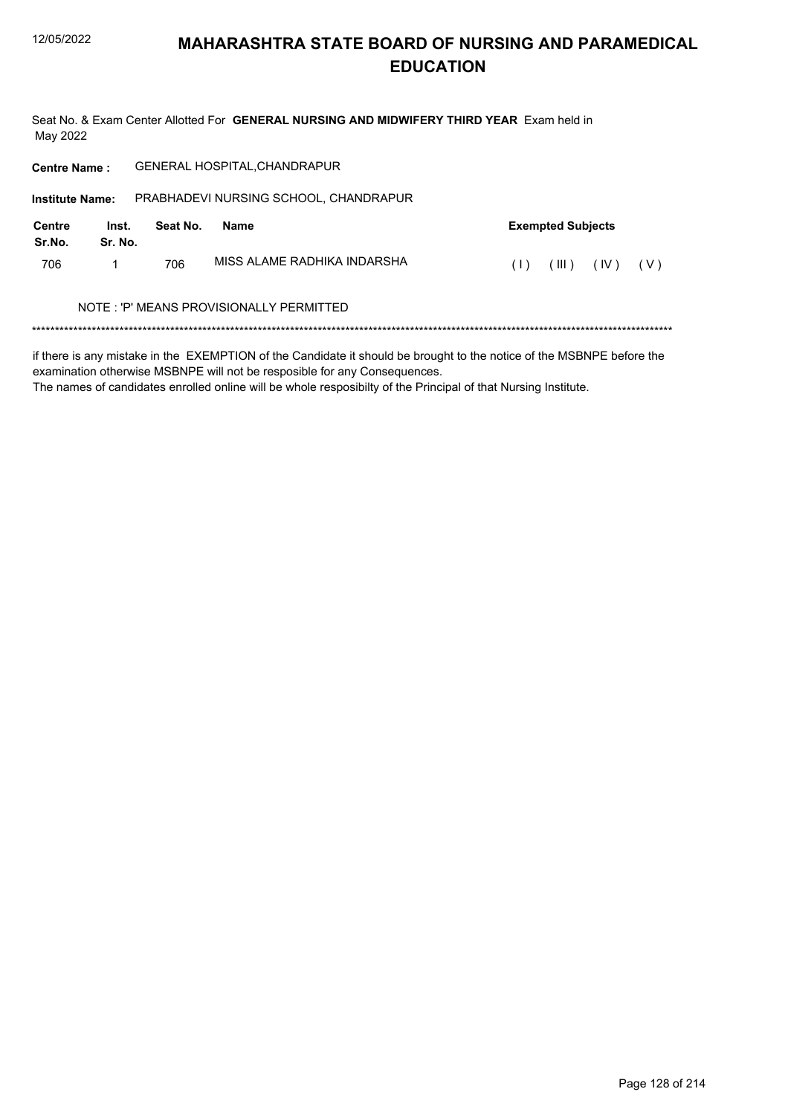Seat No. & Exam Center Allotted For GENERAL NURSING AND MIDWIFERY THIRD YEAR Exam held in May 2022

| <b>Centre Name:</b>    |                  |          | <b>GENERAL HOSPITAL, CHANDRAPUR</b>     |                               |
|------------------------|------------------|----------|-----------------------------------------|-------------------------------|
| <b>Institute Name:</b> |                  |          | PRABHADEVI NURSING SCHOOL, CHANDRAPUR   |                               |
| Centre<br>Sr.No.       | Inst.<br>Sr. No. | Seat No. | <b>Name</b>                             | <b>Exempted Subjects</b>      |
| 706                    |                  | 706      | MISS AI AMF RADHIKA INDARSHA            | (IV)<br>(III)<br>( V )<br>(1) |
|                        |                  |          | NOTE: 'P' MEANS PROVISIONALLY PERMITTED |                               |
|                        |                  |          |                                         |                               |

if there is any mistake in the EXEMPTION of the Candidate it should be brought to the notice of the MSBNPE before the examination otherwise MSBNPE will not be resposible for any Consequences.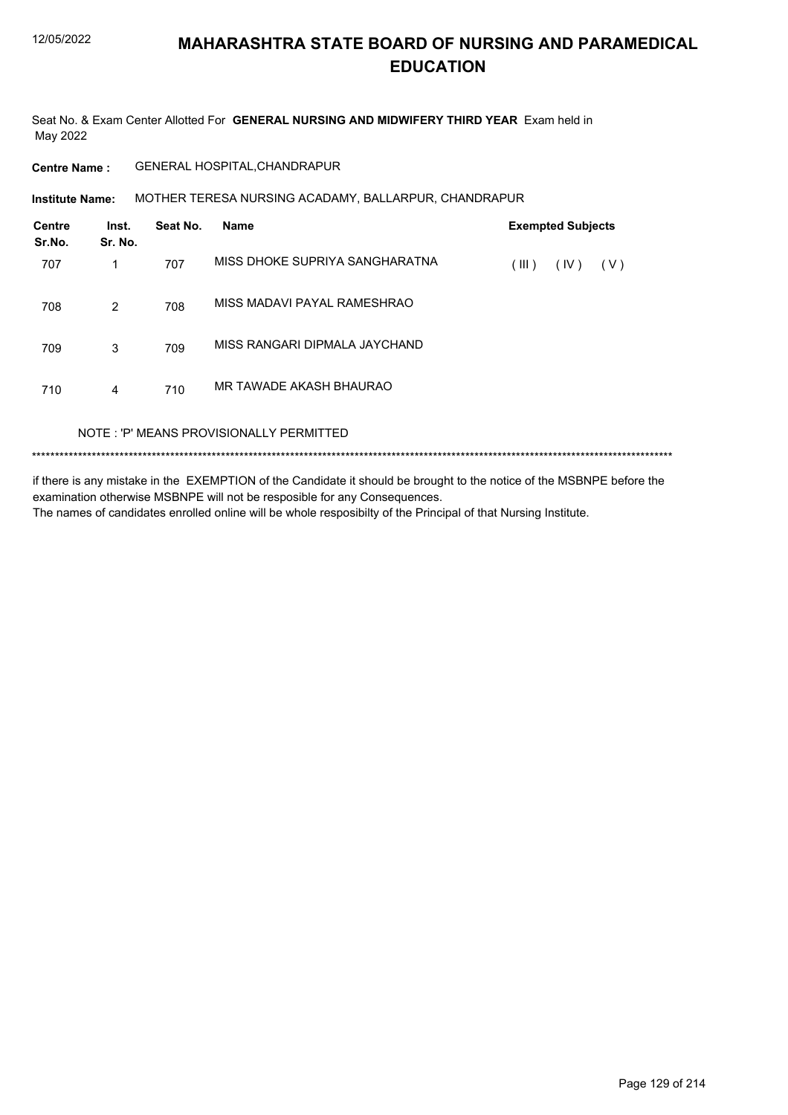Seat No. & Exam Center Allotted For GENERAL NURSING AND MIDWIFERY THIRD YEAR Exam held in May 2022

**Centre Name:** GENERAL HOSPITAL, CHANDRAPUR

Institute Name: MOTHER TERESA NURSING ACADAMY, BALLARPUR, CHANDRAPUR

| <b>Centre</b><br>Sr.No. | Inst.<br>Sr. No. | Seat No. | <b>Name</b>                             |       | <b>Exempted Subjects</b> |     |  |
|-------------------------|------------------|----------|-----------------------------------------|-------|--------------------------|-----|--|
| 707                     | 1                | 707      | MISS DHOKE SUPRIYA SANGHARATNA          | (III) | (IV)                     | (V) |  |
| 708                     | 2                | 708      | MISS MADAVI PAYAL RAMESHRAO             |       |                          |     |  |
| 709                     | 3                | 709      | MISS RANGARI DIPMALA JAYCHAND           |       |                          |     |  |
| 710                     | 4                | 710      | MR TAWADE AKASH BHAURAO                 |       |                          |     |  |
|                         |                  |          | NOTE: 'P' MEANS PROVISIONALLY PERMITTED |       |                          |     |  |
|                         |                  |          |                                         |       |                          |     |  |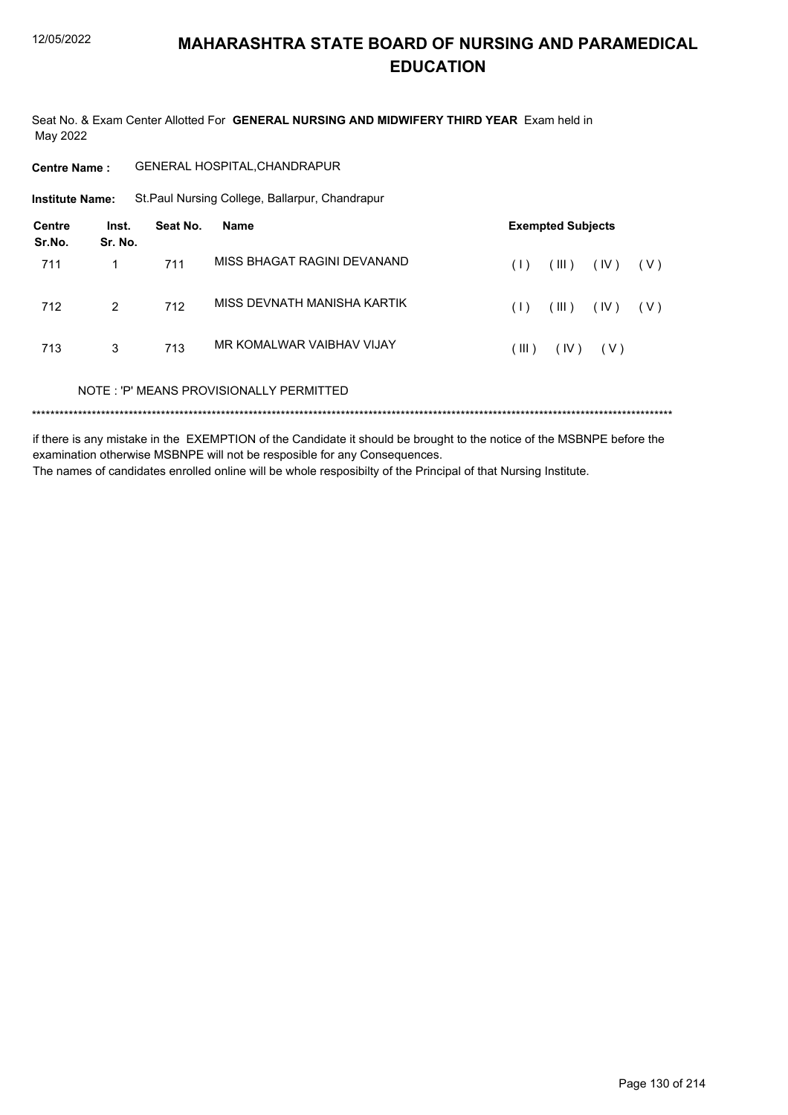Seat No. & Exam Center Allotted For GENERAL NURSING AND MIDWIFERY THIRD YEAR Exam held in May 2022

| Centre Name : | <b>GENERAL HOSPITAL, CHANDRAPUR</b> |
|---------------|-------------------------------------|
|               |                                     |

**Institute Name:** St.Paul Nursing College, Ballarpur, Chandrapur

| Centre<br>Sr.No. | Inst.<br>Sr. No. | Seat No. | Name                                    |       | <b>Exempted Subjects</b> |       |       |
|------------------|------------------|----------|-----------------------------------------|-------|--------------------------|-------|-------|
| 711              |                  | 711      | MISS BHAGAT RAGINI DEVANAND             | (1)   | (III)                    | (IV)  | ( V ) |
| 712              | 2                | 712      | MISS DEVNATH MANISHA KARTIK             | (1)   | (III)                    | (IV)  | ( V ) |
| 713              | 3                | 713      | MR KOMAI WAR VAIBHAV VIJAY              | (III) | (IV)                     | ( V ) |       |
|                  |                  |          | NOTE: 'P' MEANS PROVISIONALLY PERMITTED |       |                          |       |       |
|                  |                  |          |                                         |       |                          |       |       |

if there is any mistake in the EXEMPTION of the Candidate it should be brought to the notice of the MSBNPE before the examination otherwise MSBNPE will not be resposible for any Consequences. The names of candidates enrolled online will be whole resposibilty of the Principal of that Nursing Institute.

Page 130 of 214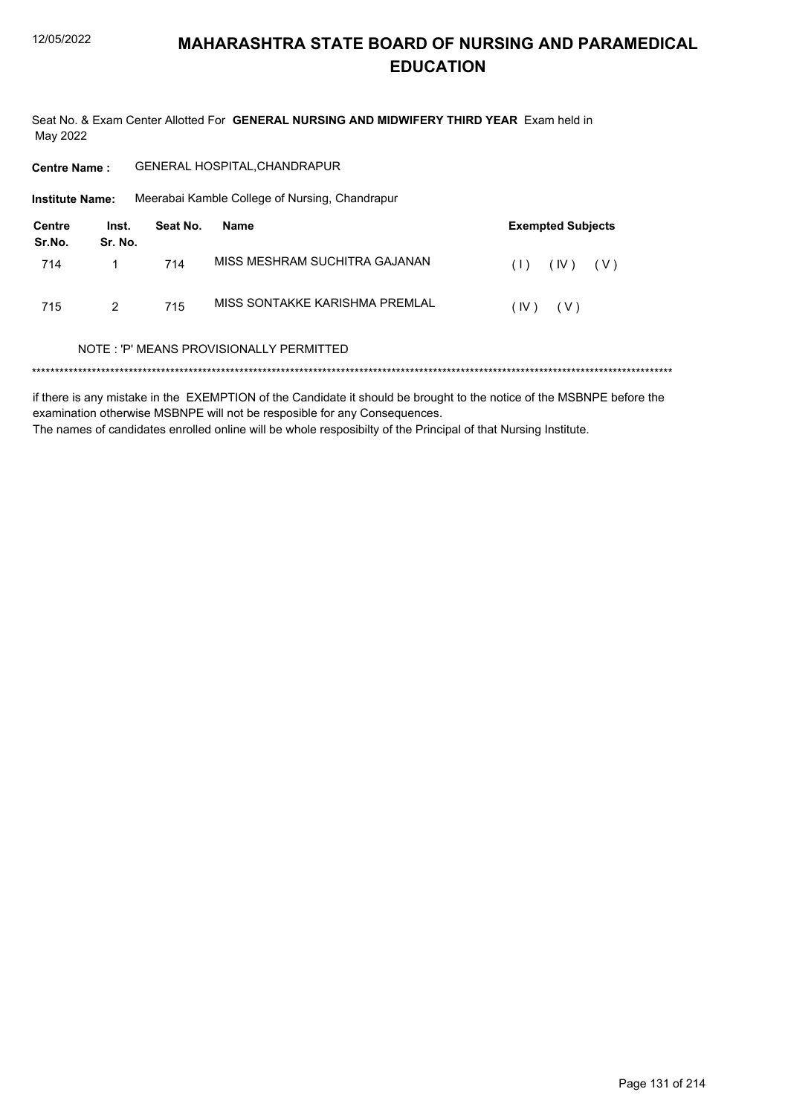Seat No. & Exam Center Allotted For GENERAL NURSING AND MIDWIFERY THIRD YEAR Exam held in May 2022

GENERAL HOSPITAL, CHANDRAPUR **Centre Name:** 

**Institute Name:** Meerabai Kamble College of Nursing, Chandrapur

| Centre<br>Sr.No. | Inst.<br>Sr. No. | Seat No. | Name                           | <b>Exempted Subjects</b> |
|------------------|------------------|----------|--------------------------------|--------------------------|
| 714              |                  | 714      | MISS MESHRAM SUCHITRA GAJANAN  | (IV)<br>(1)<br>( V )     |
| 715              | 2                | 715      | MISS SONTAKKE KARISHMA PREMLAL | (IV)<br>( V )            |

#### NOTE: 'P' MEANS PROVISIONALLY PERMITTED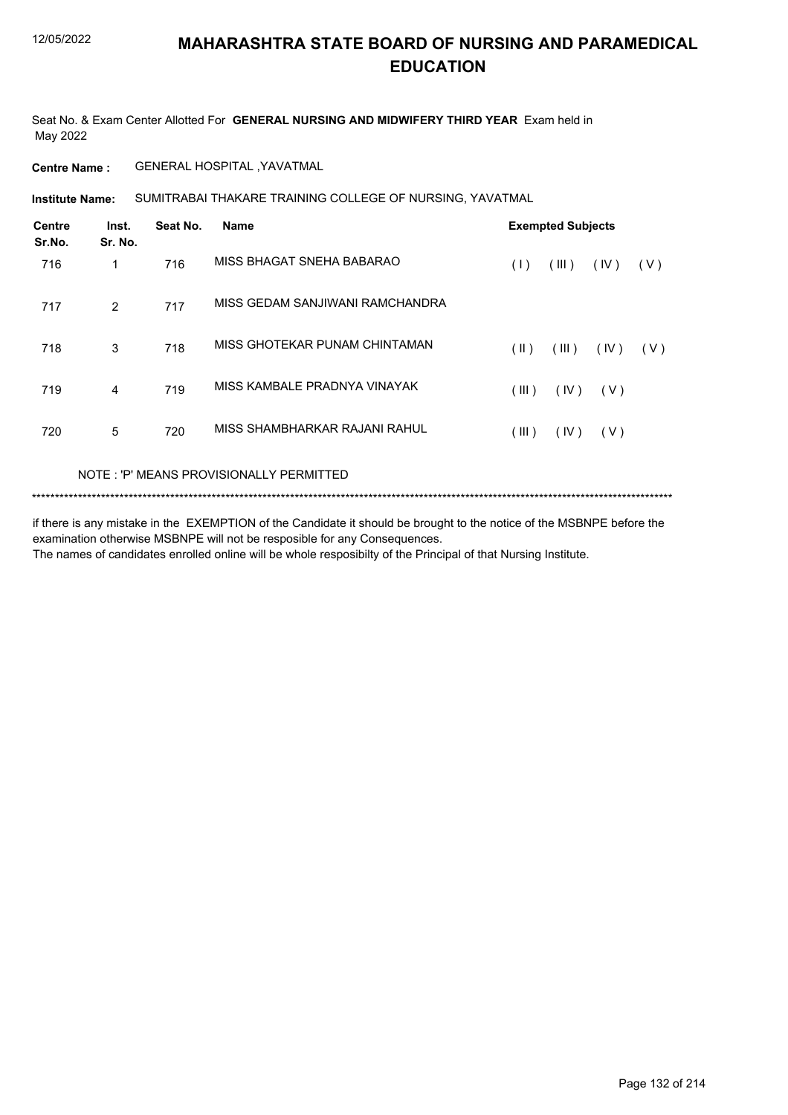Seat No. & Exam Center Allotted For **GENERAL NURSING AND MIDWIFERY THIRD YEAR** Exam held in May 2022

**Centre Name :** GENERAL HOSPITAL ,YAVATMAL

SUMITRABAI THAKARE TRAINING COLLEGE OF NURSING, YAVATMAL **Institute Name:**

| <b>Centre</b><br>Sr.No. | Inst.<br>Sr. No. | Seat No. | <b>Name</b>                     |               | <b>Exempted Subjects</b> |       |     |
|-------------------------|------------------|----------|---------------------------------|---------------|--------------------------|-------|-----|
| 716                     | 1                | 716      | MISS BHAGAT SNEHA BABARAO       | (1)           | (III)                    | (IV)  | (V) |
| 717                     | $\overline{2}$   | 717      | MISS GEDAM SANJIWANI RAMCHANDRA |               |                          |       |     |
| 718                     | 3                | 718      | MISS GHOTEKAR PUNAM CHINTAMAN   | $(\parallel)$ | (III)                    | (IV)  | (V) |
| 719                     | 4                | 719      | MISS KAMBALE PRADNYA VINAYAK    | (III)         | (IV)                     | ( V ) |     |
| 720                     | 5                | 720      | MISS SHAMBHARKAR RAJANI RAHUL   | (III)         | (IV)                     | (V)   |     |
|                         |                  |          |                                 |               |                          |       |     |

NOTE : 'P' MEANS PROVISIONALLY PERMITTED

```
*******************************************************************************************************************************************
```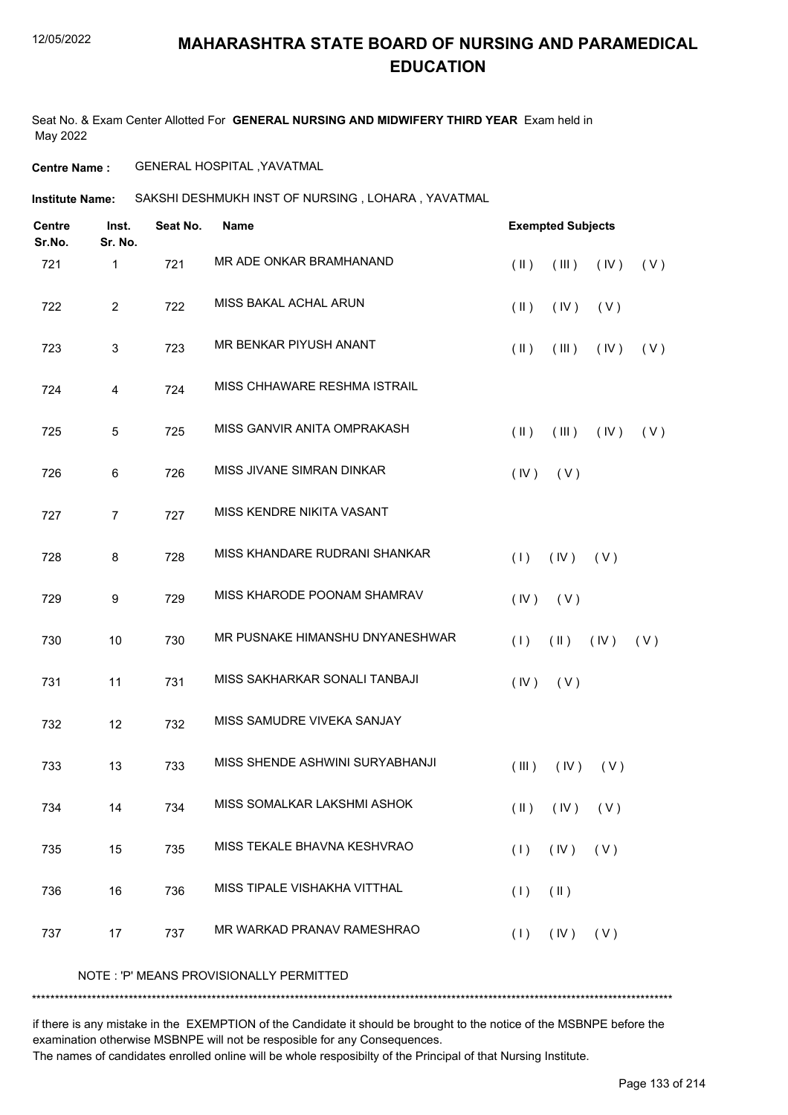Seat No. & Exam Center Allotted For **GENERAL NURSING AND MIDWIFERY THIRD YEAR** Exam held in May 2022

**Centre Name :** GENERAL HOSPITAL ,YAVATMAL

**Institute Name:** SAKSHI DESHMUKH INST OF NURSING , LOHARA , YAVATMAL

| <b>Centre</b><br>Sr.No. | Inst.<br>Sr. No. | Seat No. | <b>Name</b>                     |                         | <b>Exempted Subjects</b> |      |     |
|-------------------------|------------------|----------|---------------------------------|-------------------------|--------------------------|------|-----|
| 721                     | 1                | 721      | MR ADE ONKAR BRAMHANAND         | $(\parallel)$           | (III)                    | (IV) | (V) |
| 722                     | $\overline{2}$   | 722      | MISS BAKAL ACHAL ARUN           | $(\parallel)$           | (IV)                     | (V)  |     |
| 723                     | 3                | 723      | MR BENKAR PIYUSH ANANT          | $(\parallel \parallel)$ | (III)                    | (IV) | (V) |
| 724                     | 4                | 724      | MISS CHHAWARE RESHMA ISTRAIL    |                         |                          |      |     |
| 725                     | 5                | 725      | MISS GANVIR ANITA OMPRAKASH     | $(\parallel)$           | (III)                    | (IV) | (V) |
| 726                     | 6                | 726      | MISS JIVANE SIMRAN DINKAR       | (IV)                    | (V)                      |      |     |
| 727                     | $\overline{7}$   | 727      | MISS KENDRE NIKITA VASANT       |                         |                          |      |     |
| 728                     | 8                | 728      | MISS KHANDARE RUDRANI SHANKAR   | (1)                     | (IV)                     | (V)  |     |
| 729                     | 9                | 729      | MISS KHARODE POONAM SHAMRAV     | (IV)                    | (V)                      |      |     |
| 730                     | 10               | 730      | MR PUSNAKE HIMANSHU DNYANESHWAR | (1)                     | $(\parallel)$            | (IV) | (V) |
| 731                     | 11               | 731      | MISS SAKHARKAR SONALI TANBAJI   | (IV)                    | (V)                      |      |     |
| 732                     | 12               | 732      | MISS SAMUDRE VIVEKA SANJAY      |                         |                          |      |     |
| 733                     | 13               | 733      | MISS SHENDE ASHWINI SURYABHANJI | (III)                   | (IV)                     | (V)  |     |
| 734                     | 14               | 734      | MISS SOMALKAR LAKSHMI ASHOK     |                         | $(II)$ $(IV)$ $(V)$      |      |     |
| 735                     | 15               | 735      | MISS TEKALE BHAVNA KESHVRAO     | (1)                     | (IV)                     | (V)  |     |
| 736                     | 16               | 736      | MISS TIPALE VISHAKHA VITTHAL    | (1)                     | $(\parallel)$            |      |     |
| 737                     | 17               | 737      | MR WARKAD PRANAV RAMESHRAO      | (1)                     | $($ IV $)$               | (V)  |     |
|                         |                  |          |                                 |                         |                          |      |     |

NOTE : 'P' MEANS PROVISIONALLY PERMITTED

\*\*\*\*\*\*\*\*\*\*\*\*\*\*\*\*\*\*\*\*\*\*\*\*\*\*\*\*\*\*\*\*\*\*\*\*\*\*\*\*\*\*\*\*\*\*\*\*\*\*\*\*\*\*\*\*\*\*\*\*\*\*\*\*\*\*\*\*\*\*\*\*\*\*\*\*\*\*\*\*\*\*\*\*\*\*\*\*\*\*\*\*\*\*\*\*\*\*\*\*\*\*\*\*\*\*\*\*\*\*\*\*\*\*\*\*\*\*\*\*\*\*\*\*\*\*\*\*\*\*\*\*\*\*\*\*\*\*\* if there is any mistake in the EXEMPTION of the Candidate it should be brought to the notice of the MSBNPE before the

examination otherwise MSBNPE will not be resposible for any Consequences.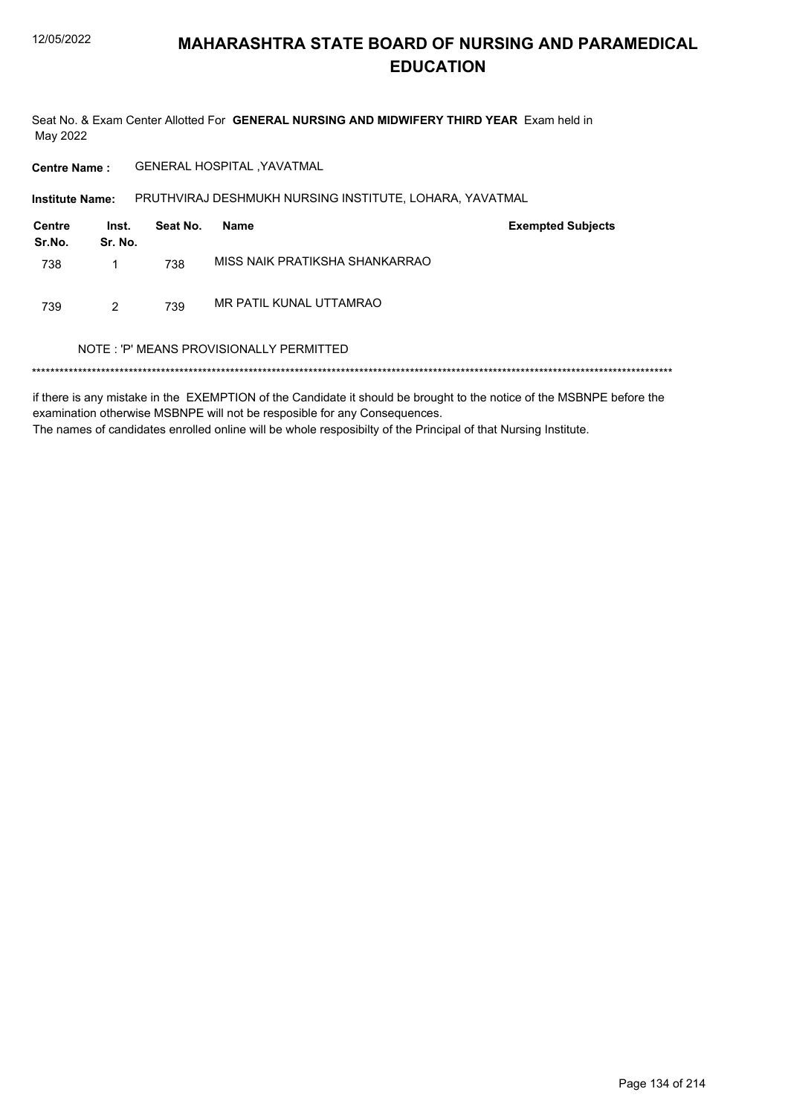Seat No. & Exam Center Allotted For GENERAL NURSING AND MIDWIFERY THIRD YEAR Exam held in May 2022

**GENERAL HOSPITAL , YAVATMAL Centre Name:** 

PRUTHVIRAJ DESHMUKH NURSING INSTITUTE, LOHARA, YAVATMAL Institute Name:

| Centre<br>Sr.No. | Inst.<br>Sr. No. | Seat No. | Name                           | <b>Exempted Subjects</b> |
|------------------|------------------|----------|--------------------------------|--------------------------|
| 738              |                  | 738      | MISS NAIK PRATIKSHA SHANKARRAO |                          |
| 739              | 2                | 739      | MR PATIL KUNAL UTTAMRAO        |                          |

#### NOTE: 'P' MEANS PROVISIONALLY PERMITTED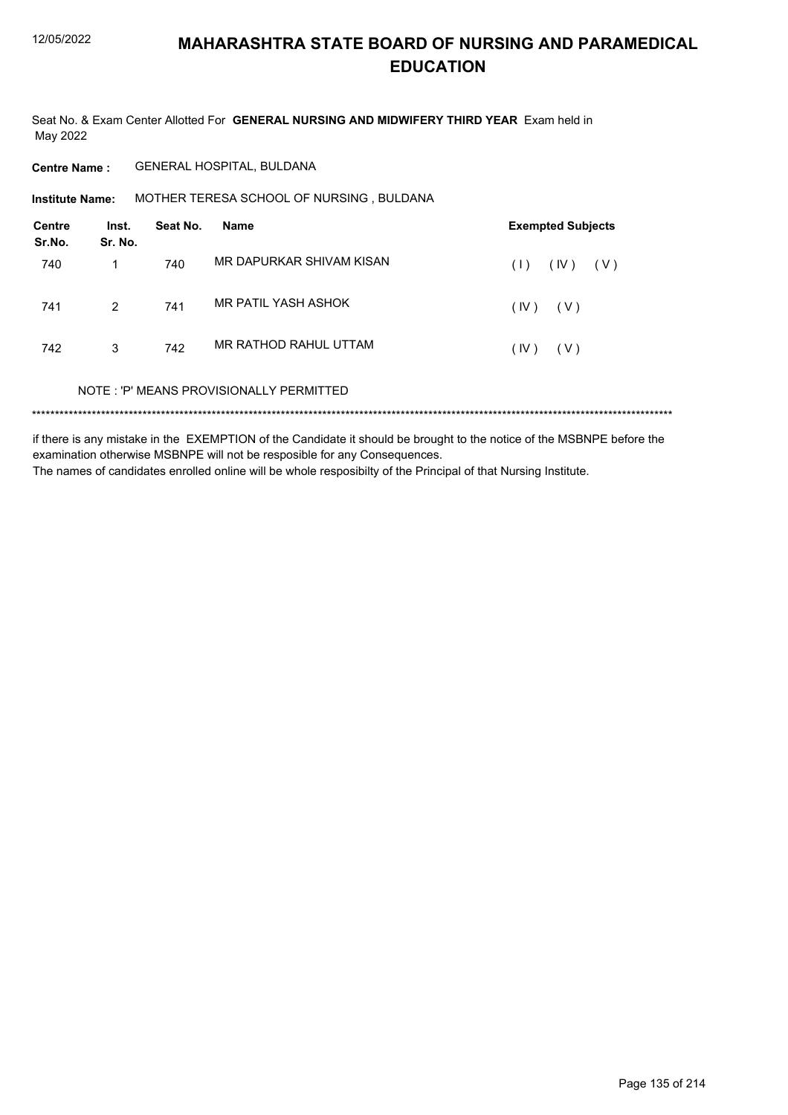Seat No. & Exam Center Allotted For GENERAL NURSING AND MIDWIFERY THIRD YEAR Exam held in May 2022

**Centre Name:** GENERAL HOSPITAL, BULDANA

MOTHER TERESA SCHOOL OF NURSING, BULDANA **Institute Name:** 

| <b>Centre</b><br>Sr.No. | Inst.<br>Sr. No. | Seat No. | Name                                    | <b>Exempted Subjects</b> |
|-------------------------|------------------|----------|-----------------------------------------|--------------------------|
| 740                     |                  | 740      | MR DAPURKAR SHIVAM KISAN                | (IV)<br>(V)<br>(1)       |
| 741                     | $\overline{2}$   | 741      | MR PATIL YASH ASHOK                     | (IV)<br>(V)              |
| 742                     | 3                | 742      | MR RATHOD RAHUL UTTAM                   | (IV)<br>( V )            |
|                         |                  |          | NOTE: 'P' MEANS PROVISIONALLY PERMITTED |                          |
|                         |                  |          |                                         |                          |

if there is any mistake in the EXEMPTION of the Candidate it should be brought to the notice of the MSBNPE before the examination otherwise MSBNPE will not be resposible for any Consequences. The names of candidates enrolled online will be whole resposibilty of the Principal of that Nursing Institute.

Page 135 of 214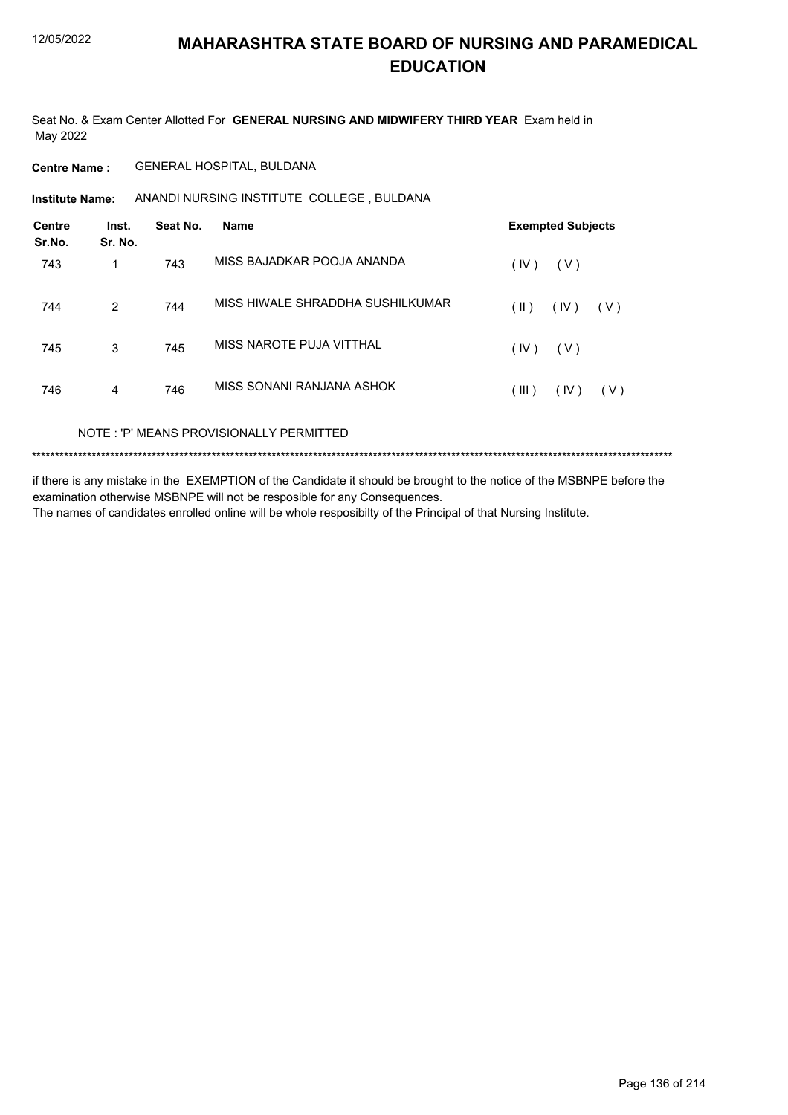Seat No. & Exam Center Allotted For **GENERAL NURSING AND MIDWIFERY THIRD YEAR** Exam held in May 2022

**Centre Name :** GENERAL HOSPITAL, BULDANA

**Institute Name:** ANANDI NURSING INSTITUTE COLLEGE , BULDANA

| Inst.<br>Sr. No. | Seat No. | <b>Name</b>                      | <b>Exempted Subjects</b> |
|------------------|----------|----------------------------------|--------------------------|
| 1                | 743      | MISS BAJADKAR POOJA ANANDA       | (IV)<br>(V)              |
| 2                | 744      | MISS HIWALE SHRADDHA SUSHILKUMAR | (  )<br>(IV)<br>( V )    |
| 3                | 745      | MISS NAROTE PUJA VITTHAL         | (IV)<br>(V)              |
| 4                | 746      | MISS SONANI RANJANA ASHOK        | (III)<br>(IV)<br>(V)     |
|                  |          |                                  |                          |

NOTE : 'P' MEANS PROVISIONALLY PERMITTED

\*\*\*\*\*\*\*\*\*\*\*\*\*\*\*\*\*\*\*\*\*\*\*\*\*\*\*\*\*\*\*\*\*\*\*\*\*\*\*\*\*\*\*\*\*\*\*\*\*\*\*\*\*\*\*\*\*\*\*\*\*\*\*\*\*\*\*\*\*\*\*\*\*\*\*\*\*\*\*\*\*\*\*\*\*\*\*\*\*\*\*\*\*\*\*\*\*\*\*\*\*\*\*\*\*\*\*\*\*\*\*\*\*\*\*\*\*\*\*\*\*\*\*\*\*\*\*\*\*\*\*\*\*\*\*\*\*\*\*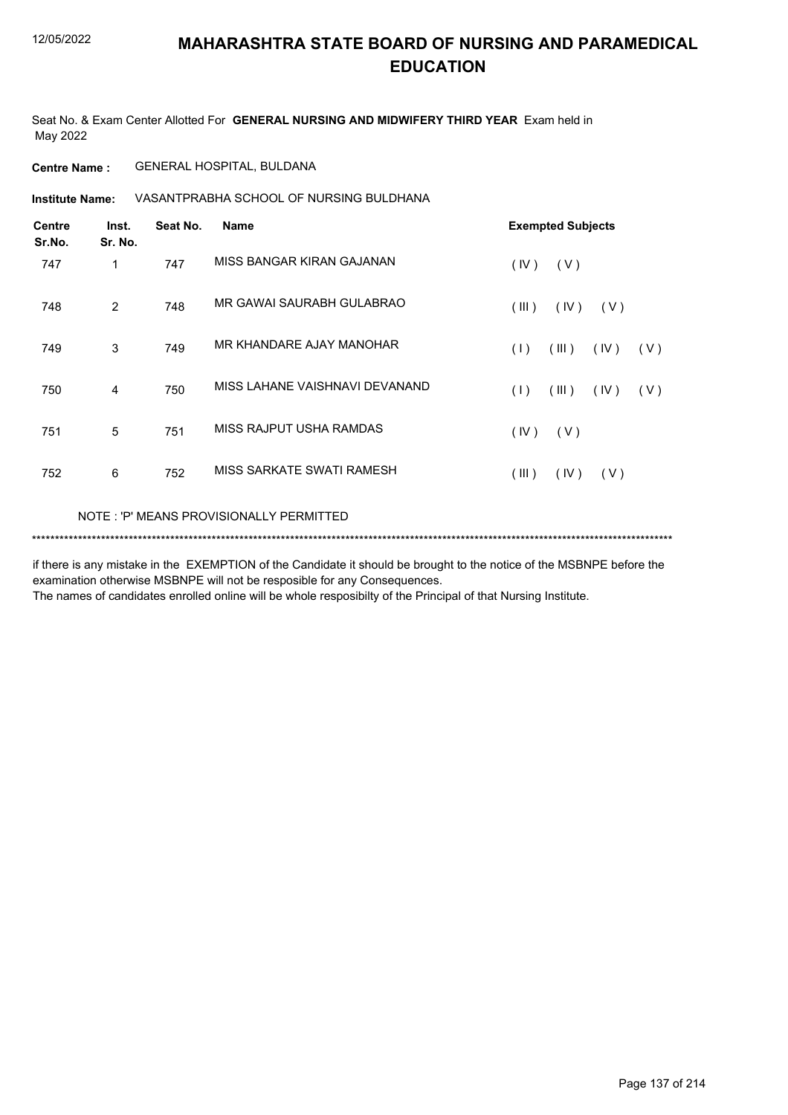Seat No. & Exam Center Allotted For **GENERAL NURSING AND MIDWIFERY THIRD YEAR** Exam held in May 2022

**Centre Name :** GENERAL HOSPITAL, BULDANA

VASANTPRABHA SCHOOL OF NURSING BULDHANA **Institute Name:**

| <b>Centre</b><br>Sr.No. | Inst.<br>Sr. No. | Seat No. | <b>Name</b>                             | <b>Exempted Subjects</b>    |
|-------------------------|------------------|----------|-----------------------------------------|-----------------------------|
| 747                     | 1                | 747      | MISS BANGAR KIRAN GAJANAN               | (IV)<br>(V)                 |
| 748                     | 2                | 748      | MR GAWAI SAURABH GULABRAO               | (III)<br>(IV)<br>(V)        |
| 749                     | 3                | 749      | MR KHANDARE AJAY MANOHAR                | (1)<br>(III)<br>(IV)<br>(V) |
| 750                     | 4                | 750      | MISS LAHANE VAISHNAVI DEVANAND          | (III)<br>(1)<br>(IV)<br>(V) |
| 751                     | 5                | 751      | MISS RAJPUT USHA RAMDAS                 | (IV)<br>(V)                 |
| 752                     | 6                | 752      | MISS SARKATE SWATI RAMESH               | (III)<br>(IV)<br>(V)        |
|                         |                  |          | NOTE: 'P' MEANS PROVISIONALLY PERMITTED |                             |

\*\*\*\*\*\*\*\*\*\*\*\*\*\*\*\*\*\*\*\*\*\*\*\*\*\*\*\*\*\*\*\*\*\*\*\*\*\*\*\*\*\*\*\*\*\*\*\*\*\*\*\*\*\*\*\*\*\*\*\*\*\*\*\*\*\*\*\*\*\*\*\*\*\*\*\*\*\*\*\*\*\*\*\*\*\*\*\*\*\*\*\*\*\*\*\*\*\*\*\*\*\*\*\*\*\*\*\*\*\*\*\*\*\*\*\*\*\*\*\*\*\*\*\*\*\*\*\*\*\*\*\*\*\*\*\*\*\*\*

if there is any mistake in the EXEMPTION of the Candidate it should be brought to the notice of the MSBNPE before the examination otherwise MSBNPE will not be resposible for any Consequences.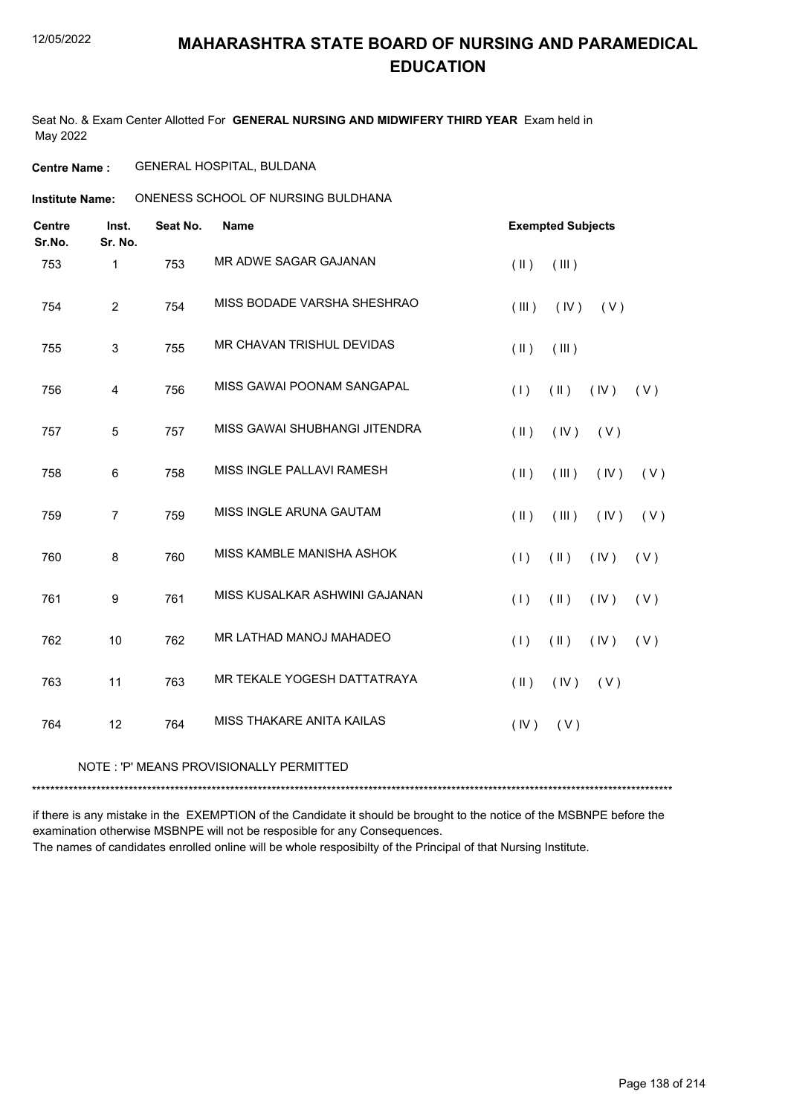Seat No. & Exam Center Allotted For **GENERAL NURSING AND MIDWIFERY THIRD YEAR** Exam held in May 2022

#### **Centre Name :** GENERAL HOSPITAL, BULDANA

ONENESS SCHOOL OF NURSING BULDHANA **Institute Name:**

| <b>Centre</b><br>Sr.No. | Inst.<br>Sr. No. | Seat No. | <b>Name</b>                   |               | <b>Exempted Subjects</b> |      |     |
|-------------------------|------------------|----------|-------------------------------|---------------|--------------------------|------|-----|
| 753                     | $\mathbf{1}$     | 753      | MR ADWE SAGAR GAJANAN         | $(\parallel)$ | (III)                    |      |     |
| 754                     | $\overline{c}$   | 754      | MISS BODADE VARSHA SHESHRAO   | (III)         | (IV)                     | (V)  |     |
| 755                     | 3                | 755      | MR CHAVAN TRISHUL DEVIDAS     | $(\parallel)$ | (III)                    |      |     |
| 756                     | 4                | 756      | MISS GAWAI POONAM SANGAPAL    | (1)           | $(\parallel)$            | (IV) | (V) |
| 757                     | 5                | 757      | MISS GAWAI SHUBHANGI JITENDRA | $(\parallel)$ | (IV)                     | (V)  |     |
| 758                     | 6                | 758      | MISS INGLE PALLAVI RAMESH     | $(\parallel)$ | (III)                    | (IV) | (V) |
| 759                     | $\overline{7}$   | 759      | MISS INGLE ARUNA GAUTAM       | $(\parallel)$ | (III)                    | (IV) | (V) |
| 760                     | 8                | 760      | MISS KAMBLE MANISHA ASHOK     | (1)           | $(\parallel)$            | (IV) | (V) |
| 761                     | 9                | 761      | MISS KUSALKAR ASHWINI GAJANAN | (1)           | $(\parallel)$            | (IV) | (V) |
| 762                     | 10               | 762      | MR LATHAD MANOJ MAHADEO       | (1)           | $(\parallel \parallel)$  | (IV) | (V) |
| 763                     | 11               | 763      | MR TEKALE YOGESH DATTATRAYA   | $(\parallel)$ | (IV)                     | (V)  |     |
| 764                     | 12               | 764      | MISS THAKARE ANITA KAILAS     | (IV)          | (V)                      |      |     |

#### NOTE : 'P' MEANS PROVISIONALLY PERMITTED

\*\*\*\*\*\*\*\*\*\*\*\*\*\*\*\*\*\*\*\*\*\*\*\*\*\*\*\*\*\*\*\*\*\*\*\*\*\*\*\*\*\*\*\*\*\*\*\*\*\*\*\*\*\*\*\*\*\*\*\*\*\*\*\*\*\*\*\*\*\*\*\*\*\*\*\*\*\*\*\*\*\*\*\*\*\*\*\*\*\*\*\*\*\*\*\*\*\*\*\*\*\*\*\*\*\*\*\*\*\*\*\*\*\*\*\*\*\*\*\*\*\*\*\*\*\*\*\*\*\*\*\*\*\*\*\*\*\*\*

if there is any mistake in the EXEMPTION of the Candidate it should be brought to the notice of the MSBNPE before the examination otherwise MSBNPE will not be resposible for any Consequences.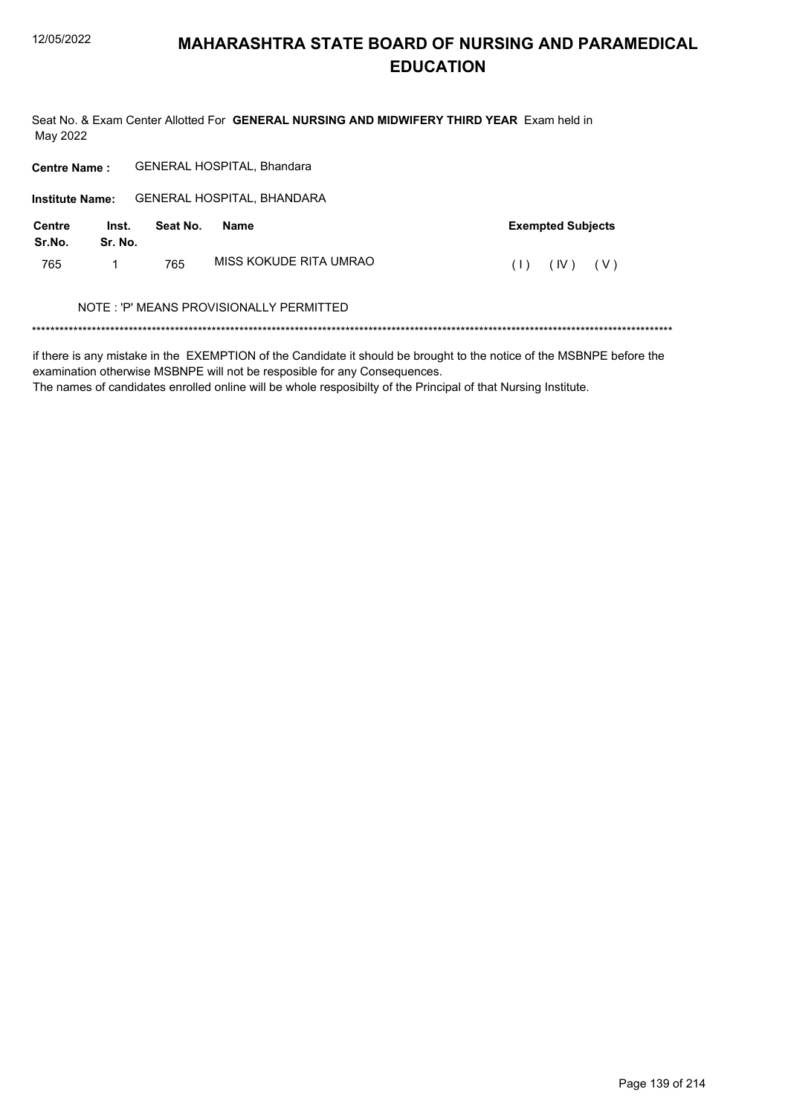Seat No. & Exam Center Allotted For GENERAL NURSING AND MIDWIFERY THIRD YEAR Exam held in May 2022

| <b>GENERAL HOSPITAL, Bhandara</b><br><b>Centre Name:</b> |                          |
|----------------------------------------------------------|--------------------------|
| GENERAL HOSPITAL, BHANDARA<br><b>Institute Name:</b>     |                          |
| Seat No.<br>Centre<br>Name<br>Inst.<br>Sr.No.<br>Sr. No. | <b>Exempted Subjects</b> |
| MISS KOKUDE RITA UMRAO<br>765<br>765                     | (IV)<br>(V)<br>(1)       |
| NOTE: 'P' MEANS PROVISIONALLY PERMITTED                  |                          |

if there is any mistake in the EXEMPTION of the Candidate it should be brought to the notice of the MSBNPE before the examination otherwise MSBNPE will not be resposible for any Consequences.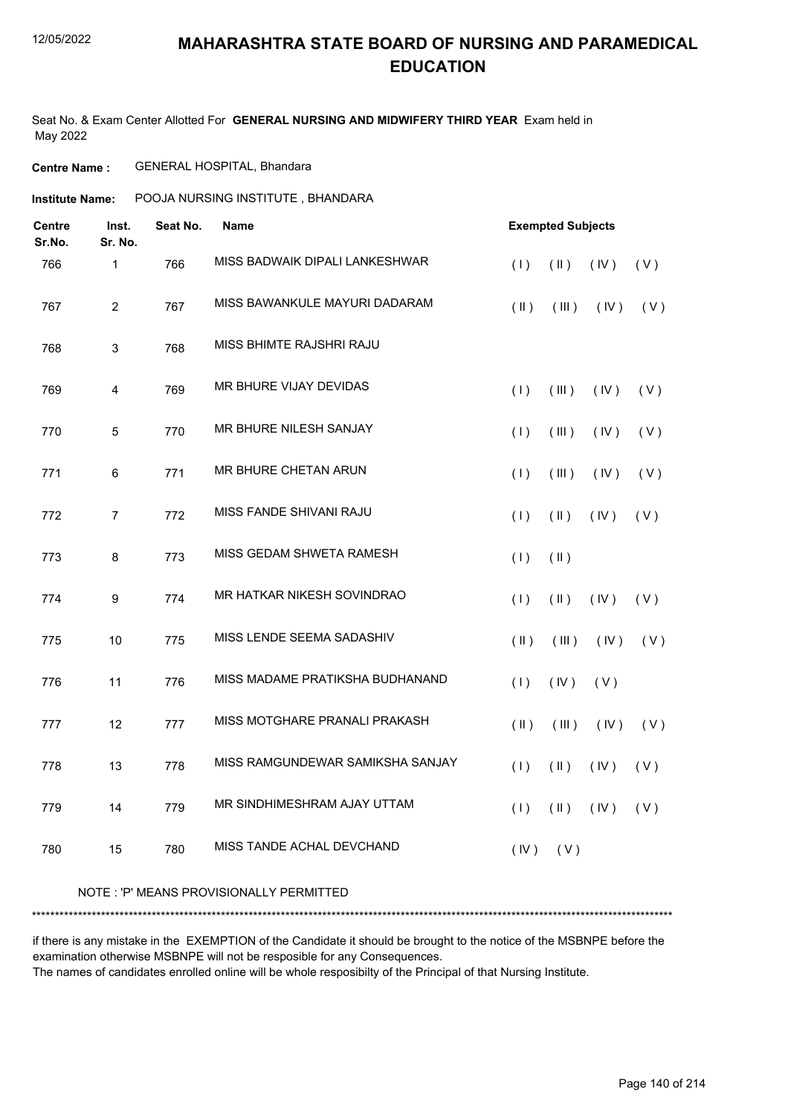#### 12/05/2022

### **MAHARASHTRA STATE BOARD OF NURSING AND PARAMEDICAL EDUCATION**

Seat No. & Exam Center Allotted For **GENERAL NURSING AND MIDWIFERY THIRD YEAR** Exam held in May 2022

#### **Centre Name :** GENERAL HOSPITAL, Bhandara

| <b>Centre</b><br>Sr.No. | Inst.<br>Sr. No. | Seat No. | Name                              |               | <b>Exempted Subjects</b> |      |     |
|-------------------------|------------------|----------|-----------------------------------|---------------|--------------------------|------|-----|
| 766                     | $\mathbf{1}$     | 766      | MISS BADWAIK DIPALI LANKESHWAR    | (1)           | $(\parallel)$            | (IV) | (V) |
| 767                     | $\overline{2}$   | 767      | MISS BAWANKULE MAYURI DADARAM     | $(\parallel)$ | (III)                    | (IV) | (V) |
| 768                     | 3                | 768      | MISS BHIMTE RAJSHRI RAJU          |               |                          |      |     |
| 769                     | 4                | 769      | MR BHURE VIJAY DEVIDAS            | (1)           | (III)                    | (IV) | (V) |
| 770                     | 5                | 770      | MR BHURE NILESH SANJAY            | (1)           | (III)                    | (IV) | (V) |
| 771                     | 6                | 771      | <b>MR BHURE CHETAN ARUN</b>       | (1)           | (III)                    | (IV) | (V) |
| 772                     | $\overline{7}$   | 772      | MISS FANDE SHIVANI RAJU           | (1)           | $(\parallel)$            | (IV) | (V) |
| 773                     | 8                | 773      | MISS GEDAM SHWETA RAMESH          | (1)           | $(\parallel)$            |      |     |
| 774                     | 9                | 774      | <b>MR HATKAR NIKESH SOVINDRAO</b> | (1)           | $(\parallel)$            | (IV) | (V) |
| 775                     | 10               | 775      | MISS LENDE SEEMA SADASHIV         | $(\parallel)$ | (III)                    | (IV) | (V) |
| 776                     | 11               | 776      | MISS MADAME PRATIKSHA BUDHANAND   | (1)           | (IV)                     | (V)  |     |
| 777                     | 12               | 777      | MISS MOTGHARE PRANALI PRAKASH     | $(\parallel)$ | (III)                    | (IV) | (V) |
| 778                     | 13               | 778      | MISS RAMGUNDEWAR SAMIKSHA SANJAY  | (1)           | $(\parallel)$            | (IV) | (V) |
| 779                     | 14               | 779      | MR SINDHIMESHRAM AJAY UTTAM       | (1)           | $(\parallel)$            | (IV) | (V) |
| 780                     | 15               | 780      | MISS TANDE ACHAL DEVCHAND         | (IV)          | (V)                      |      |     |
|                         |                  |          |                                   |               |                          |      |     |

#### NOTE : 'P' MEANS PROVISIONALLY PERMITTED

\*\*\*\*\*\*\*\*\*\*\*\*\*\*\*\*\*\*\*\*\*\*\*\*\*\*\*\*\*\*\*\*\*\*\*\*\*\*\*\*\*\*\*\*\*\*\*\*\*\*\*\*\*\*\*\*\*\*\*\*\*\*\*\*\*\*\*\*\*\*\*\*\*\*\*\*\*\*\*\*\*\*\*\*\*\*\*\*\*\*\*\*\*\*\*\*\*\*\*\*\*\*\*\*\*\*\*\*\*\*\*\*\*\*\*\*\*\*\*\*\*\*\*\*\*\*\*\*\*\*\*\*\*\*\*\*\*\*\*

if there is any mistake in the EXEMPTION of the Candidate it should be brought to the notice of the MSBNPE before the examination otherwise MSBNPE will not be resposible for any Consequences.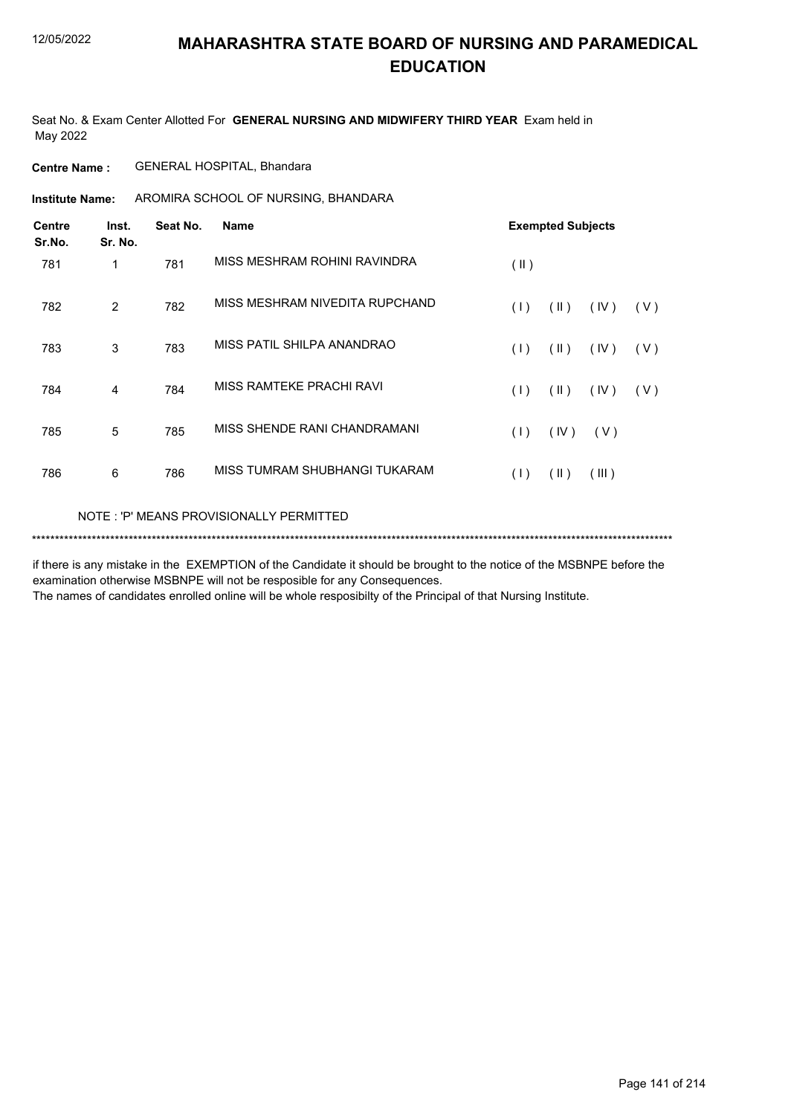Seat No. & Exam Center Allotted For **GENERAL NURSING AND MIDWIFERY THIRD YEAR** Exam held in May 2022

**Centre Name :** GENERAL HOSPITAL, Bhandara

**Institute Name:** AROMIRA SCHOOL OF NURSING, BHANDARA

| <b>Centre</b><br>Sr.No. | Inst.<br>Sr. No. | Seat No. | <b>Name</b>                    |               | <b>Exempted Subjects</b> |       |     |
|-------------------------|------------------|----------|--------------------------------|---------------|--------------------------|-------|-----|
| 781                     | 1                | 781      | MISS MESHRAM ROHINI RAVINDRA   | $(\parallel)$ |                          |       |     |
| 782                     | 2                | 782      | MISS MESHRAM NIVEDITA RUPCHAND | (1)           | $(\parallel)$            | (IV)  | (V) |
| 783                     | 3                | 783      | MISS PATIL SHILPA ANANDRAO     | (1)           | (11)                     | (IV)  | (V) |
| 784                     | 4                | 784      | MISS RAMTEKE PRACHI RAVI       | (1)           | $(\parallel)$            | (IV)  | (V) |
| 785                     | 5                | 785      | MISS SHENDE RANI CHANDRAMANI   | (1)           | (IV)                     | (V)   |     |
| 786                     | 6                | 786      | MISS TUMRAM SHUBHANGI TUKARAM  | (1)           | $(\parallel)$            | (III) |     |
|                         |                  |          |                                |               |                          |       |     |

NOTE : 'P' MEANS PROVISIONALLY PERMITTED

\*\*\*\*\*\*\*\*\*\*\*\*\*\*\*\*\*\*\*\*\*\*\*\*\*\*\*\*\*\*\*\*\*\*\*\*\*\*\*\*\*\*\*\*\*\*\*\*\*\*\*\*\*\*\*\*\*\*\*\*\*\*\*\*\*\*\*\*\*\*\*\*\*\*\*\*\*\*\*\*\*\*\*\*\*\*\*\*\*\*\*\*\*\*\*\*\*\*\*\*\*\*\*\*\*\*\*\*\*\*\*\*\*\*\*\*\*\*\*\*\*\*\*\*\*\*\*\*\*\*\*\*\*\*\*\*\*\*\*

if there is any mistake in the EXEMPTION of the Candidate it should be brought to the notice of the MSBNPE before the examination otherwise MSBNPE will not be resposible for any Consequences.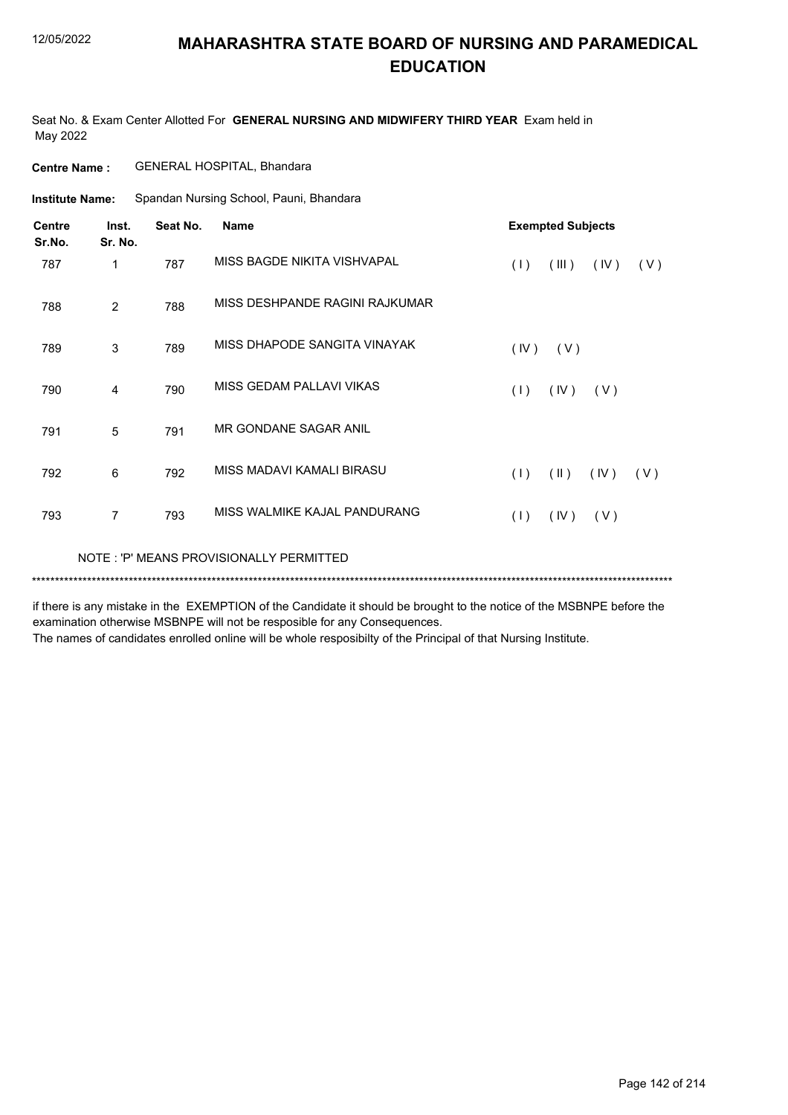Seat No. & Exam Center Allotted For **GENERAL NURSING AND MIDWIFERY THIRD YEAR** Exam held in May 2022

| <b>Centre Name :</b> | <b>GENERAL HOSPITAL, Bhandara</b> |  |
|----------------------|-----------------------------------|--|
|                      |                                   |  |

Spandan Nursing School, Pauni, Bhandara **Institute Name:**

| <b>Centre</b><br>Sr.No. | Inst.<br>Sr. No. | Seat No. | <b>Name</b>                             |      | <b>Exempted Subjects</b> |      |     |
|-------------------------|------------------|----------|-----------------------------------------|------|--------------------------|------|-----|
| 787                     | 1                | 787      | MISS BAGDE NIKITA VISHVAPAL             | (1)  | (III)                    | (IV) | (V) |
| 788                     | 2                | 788      | MISS DESHPANDE RAGINI RAJKUMAR          |      |                          |      |     |
| 789                     | 3                | 789      | MISS DHAPODE SANGITA VINAYAK            | (IV) | (V)                      |      |     |
| 790                     | 4                | 790      | MISS GEDAM PALLAVI VIKAS                | (1)  | (IV)                     | (V)  |     |
| 791                     | 5                | 791      | MR GONDANE SAGAR ANIL                   |      |                          |      |     |
| 792                     | 6                | 792      | MISS MADAVI KAMALI BIRASU               | (1)  | $(\parallel)$            | (IV) | (V) |
| 793                     | $\overline{7}$   | 793      | MISS WALMIKE KAJAL PANDURANG            | (1)  | (IV)                     | (V)  |     |
|                         |                  |          | NOTE: 'P' MEANS PROVISIONALLY PERMITTED |      |                          |      |     |
|                         |                  |          |                                         |      |                          |      |     |

if there is any mistake in the EXEMPTION of the Candidate it should be brought to the notice of the MSBNPE before the examination otherwise MSBNPE will not be resposible for any Consequences.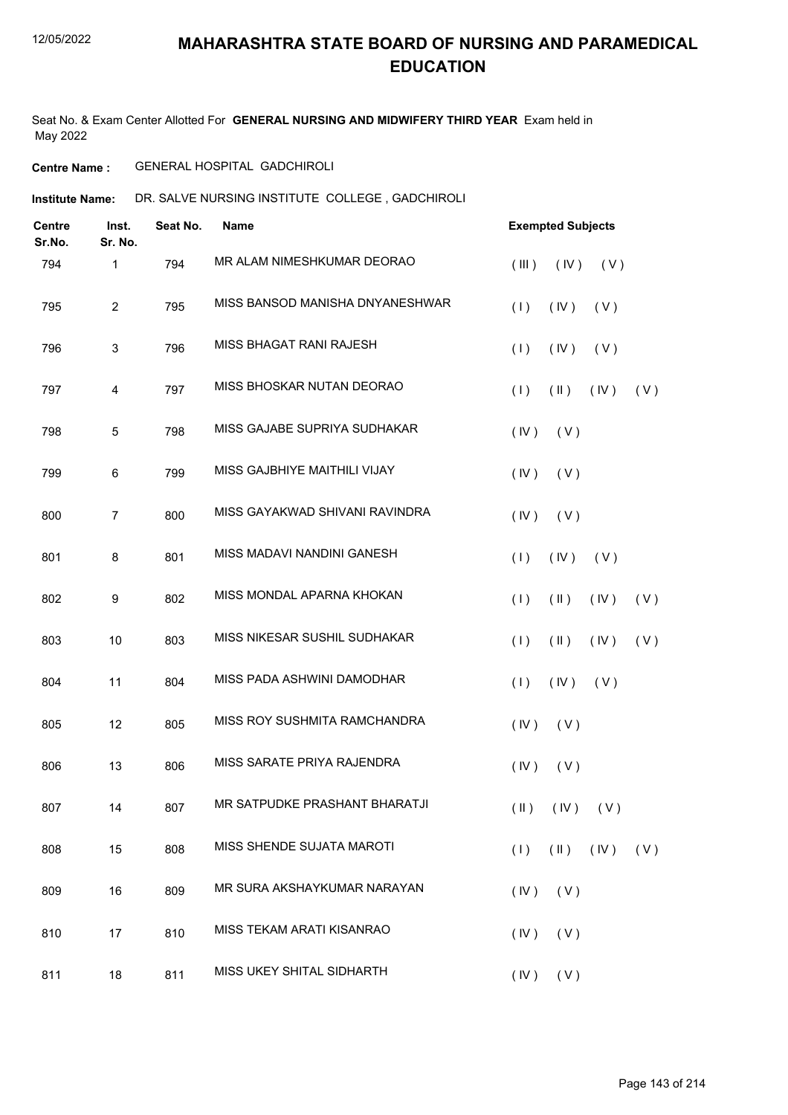Seat No. & Exam Center Allotted For **GENERAL NURSING AND MIDWIFERY THIRD YEAR** Exam held in May 2022

#### **Centre Name :** GENERAL HOSPITAL GADCHIROLI

**Institute Name: DR. SALVE NURSING INSTITUTE COLLEGE, GADCHIROLI** 

| <b>Centre</b><br>Sr.No. | Inst.<br>Sr. No. | Seat No. | <b>Name</b>                     | <b>Exempted Subjects</b>                     |
|-------------------------|------------------|----------|---------------------------------|----------------------------------------------|
| 794                     | 1                | 794      | MR ALAM NIMESHKUMAR DEORAO      | (III)<br>(IV)<br>(V)                         |
| 795                     | $\overline{2}$   | 795      | MISS BANSOD MANISHA DNYANESHWAR | (1)<br>(IV)<br>(V)                           |
| 796                     | 3                | 796      | MISS BHAGAT RANI RAJESH         | (1)<br>(IV)<br>(V)                           |
| 797                     | 4                | 797      | MISS BHOSKAR NUTAN DEORAO       | (1)<br>$(\parallel)$<br>(IV)<br>(V)          |
| 798                     | 5                | 798      | MISS GAJABE SUPRIYA SUDHAKAR    | (IV)<br>(V)                                  |
| 799                     | 6                | 799      | MISS GAJBHIYE MAITHILI VIJAY    | (IV)<br>(V)                                  |
| 800                     | $\overline{7}$   | 800      | MISS GAYAKWAD SHIVANI RAVINDRA  | (V)<br>(IV)                                  |
| 801                     | 8                | 801      | MISS MADAVI NANDINI GANESH      | (1)<br>(IV)<br>(V)                           |
| 802                     | 9                | 802      | MISS MONDAL APARNA KHOKAN       | (1)<br>$(\parallel)$<br>(IV)<br>(V)          |
| 803                     | 10               | 803      | MISS NIKESAR SUSHIL SUDHAKAR    | $(\parallel)$<br>(1)<br>(IV)<br>(V)          |
| 804                     | 11               | 804      | MISS PADA ASHWINI DAMODHAR      | (1)<br>(IV)<br>(V)                           |
| 805                     | 12               | 805      | MISS ROY SUSHMITA RAMCHANDRA    | (IV)<br>(V)                                  |
| 806                     | 13               | 806      | MISS SARATE PRIYA RAJENDRA      | (IV)<br>(V)                                  |
| 807                     | 14               | 807      | MR SATPUDKE PRASHANT BHARATJI   | $(\mathbb{I})$ $(\mathbb{V})$ $(\mathbb{V})$ |
| 808                     | 15               | 808      | MISS SHENDE SUJATA MAROTI       | $(\mathbb{I})$ $(\mathbb{N})$<br>(1)<br>(V)  |
| 809                     | 16               | 809      | MR SURA AKSHAYKUMAR NARAYAN     | (IV)<br>(V)                                  |
| 810                     | 17               | 810      | MISS TEKAM ARATI KISANRAO       | (IV)<br>(V)                                  |
| 811                     | 18               | 811      | MISS UKEY SHITAL SIDHARTH       | $(IV)$ $(V)$                                 |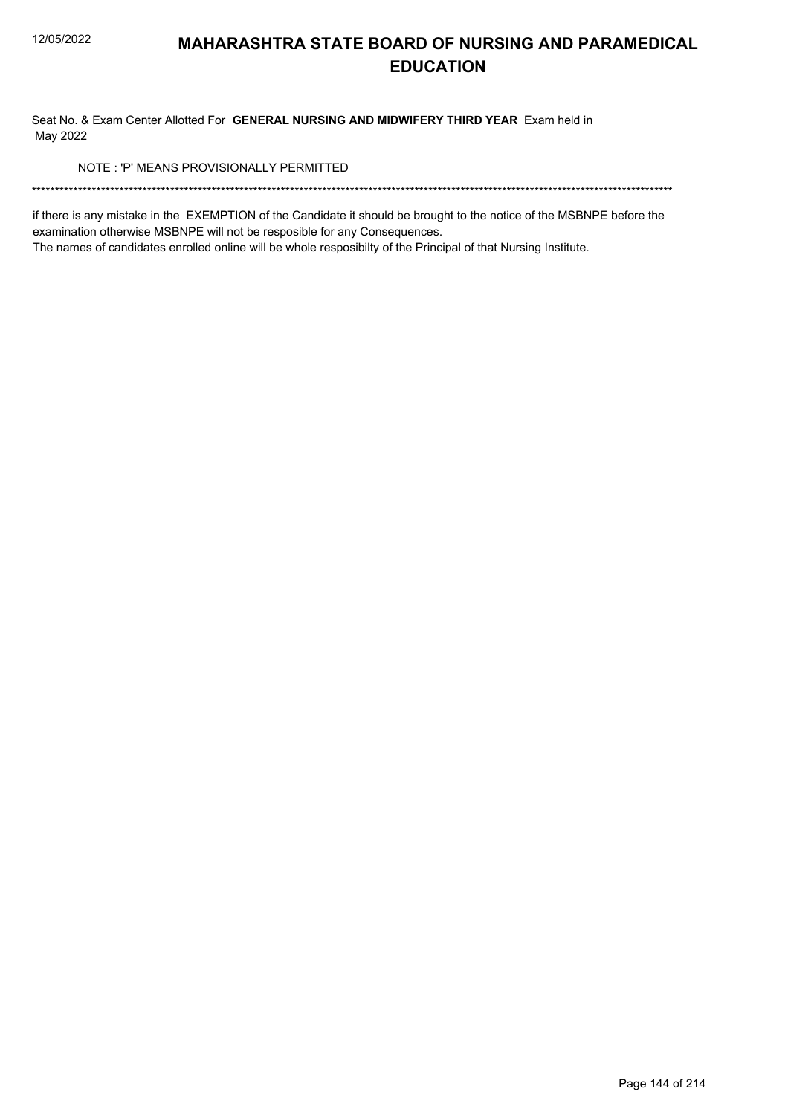Seat No. & Exam Center Allotted For GENERAL NURSING AND MIDWIFERY THIRD YEAR Exam held in May 2022

NOTE: 'P' MEANS PROVISIONALLY PERMITTED

if there is any mistake in the EXEMPTION of the Candidate it should be brought to the notice of the MSBNPE before the examination otherwise MSBNPE will not be resposible for any Consequences.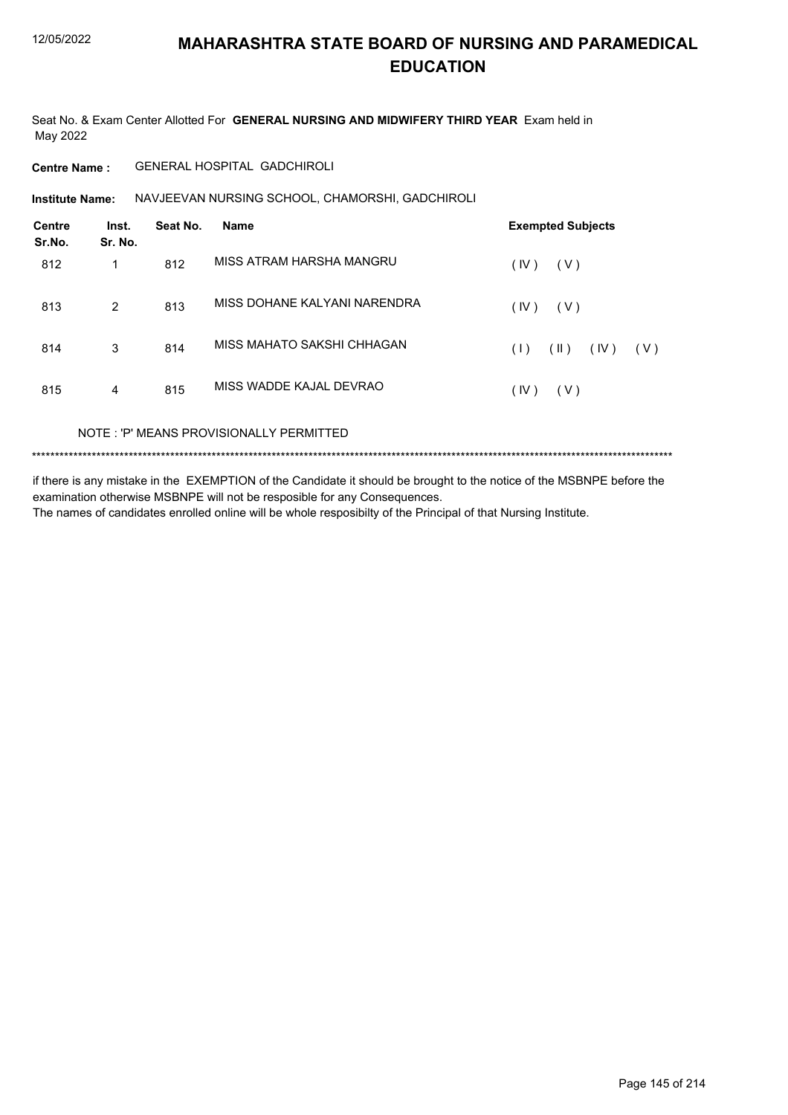Seat No. & Exam Center Allotted For **GENERAL NURSING AND MIDWIFERY THIRD YEAR** Exam held in May 2022

### **Centre Name :** GENERAL HOSPITAL GADCHIROLI

Institute Name: NAVJEEVAN NURSING SCHOOL, CHAMORSHI, GADCHIROLI

| <b>Centre</b><br>Sr.No. | Inst.<br>Sr. No. | Seat No. | <b>Name</b>                  | <b>Exempted Subjects</b>   |
|-------------------------|------------------|----------|------------------------------|----------------------------|
| 812                     | 1                | 812      | MISS ATRAM HARSHA MANGRU     | (IV)<br>(V)                |
| 813                     | 2                | 813      | MISS DOHANE KALYANI NARENDRA | (IV)<br>(V)                |
| 814                     | 3                | 814      | MISS MAHATO SAKSHI CHHAGAN   | (  )<br>(IV)<br>(1)<br>(V) |
| 815                     | 4                | 815      | MISS WADDE KAJAL DEVRAO      | (IV)<br>(V)                |
|                         |                  |          |                              |                            |

NOTE : 'P' MEANS PROVISIONALLY PERMITTED

\*\*\*\*\*\*\*\*\*\*\*\*\*\*\*\*\*\*\*\*\*\*\*\*\*\*\*\*\*\*\*\*\*\*\*\*\*\*\*\*\*\*\*\*\*\*\*\*\*\*\*\*\*\*\*\*\*\*\*\*\*\*\*\*\*\*\*\*\*\*\*\*\*\*\*\*\*\*\*\*\*\*\*\*\*\*\*\*\*\*\*\*\*\*\*\*\*\*\*\*\*\*\*\*\*\*\*\*\*\*\*\*\*\*\*\*\*\*\*\*\*\*\*\*\*\*\*\*\*\*\*\*\*\*\*\*\*\*\*

if there is any mistake in the EXEMPTION of the Candidate it should be brought to the notice of the MSBNPE before the examination otherwise MSBNPE will not be resposible for any Consequences. The names of candidates enrolled online will be whole resposibilty of the Principal of that Nursing Institute.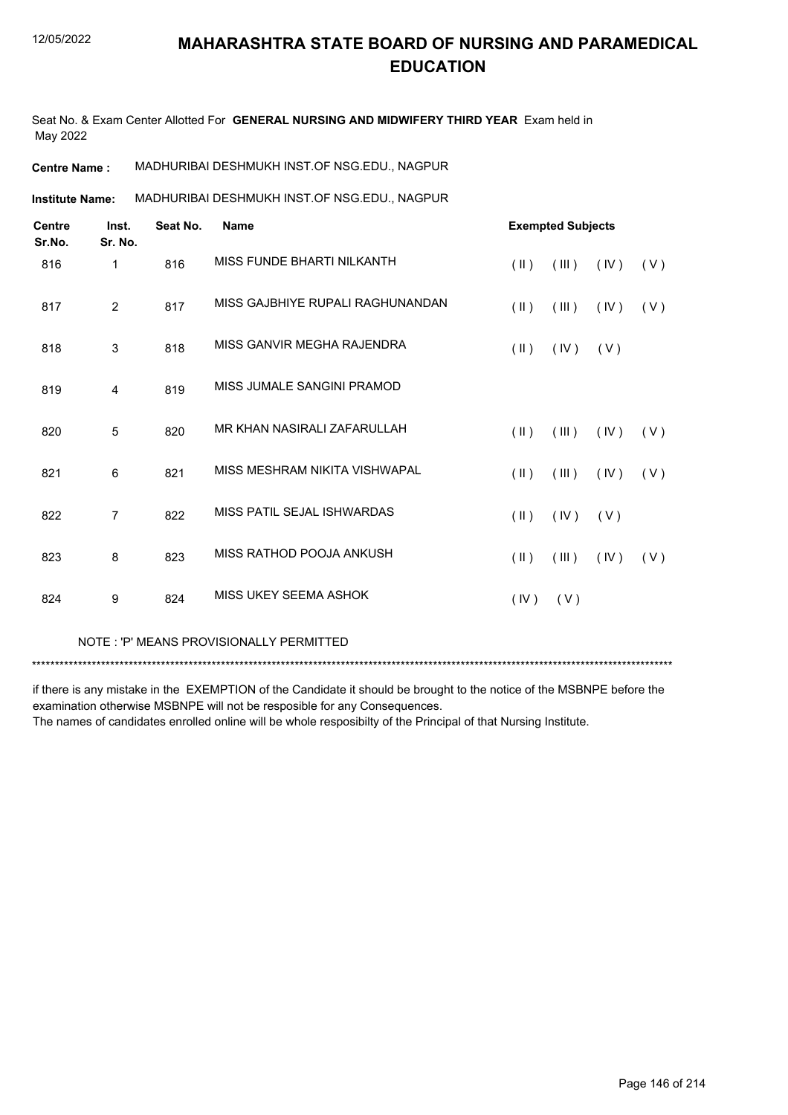Seat No. & Exam Center Allotted For **GENERAL NURSING AND MIDWIFERY THIRD YEAR** Exam held in May 2022

**Centre Name :** MADHURIBAI DESHMUKH INST.OF NSG.EDU., NAGPUR

MADHURIBAI DESHMUKH INST.OF NSG.EDU., NAGPUR **Institute Name:**

| <b>Centre</b><br>Sr.No. | Inst.<br>Sr. No. | Seat No. | <b>Name</b>                      | <b>Exempted Subjects</b> |       |      |     |
|-------------------------|------------------|----------|----------------------------------|--------------------------|-------|------|-----|
| 816                     | $\mathbf{1}$     | 816      | MISS FUNDE BHARTI NILKANTH       | $(\parallel \parallel)$  | (III) | (IV) | (V) |
| 817                     | $\overline{2}$   | 817      | MISS GAJBHIYE RUPALI RAGHUNANDAN | $(\parallel)$            | (III) | (IV) | (V) |
| 818                     | 3                | 818      | MISS GANVIR MEGHA RAJENDRA       | $(\parallel \parallel)$  | (IV)  | (V)  |     |
| 819                     | 4                | 819      | MISS JUMALE SANGINI PRAMOD       |                          |       |      |     |
| 820                     | $\overline{5}$   | 820      | MR KHAN NASIRALI ZAFARULLAH      | $(\parallel)$            | (III) | (IV) | (V) |
| 821                     | 6                | 821      | MISS MESHRAM NIKITA VISHWAPAL    | $($ II $)$               | (III) | (IV) | (V) |
| 822                     | $\overline{7}$   | 822      | MISS PATIL SEJAL ISHWARDAS       | $(\parallel \parallel)$  | (IV)  | (V)  |     |
| 823                     | 8                | 823      | MISS RATHOD POOJA ANKUSH         | $(\parallel)$            | (III) | (IV) | (V) |
| 824                     | 9                | 824      | MISS UKEY SEEMA ASHOK            | (IV)                     | (V)   |      |     |
|                         |                  |          |                                  |                          |       |      |     |

NOTE : 'P' MEANS PROVISIONALLY PERMITTED

\*\*\*\*\*\*\*\*\*\*\*\*\*\*\*\*\*\*\*\*\*\*\*\*\*\*\*\*\*\*\*\*\*\*\*\*\*\*\*\*\*\*\*\*\*\*\*\*\*\*\*\*\*\*\*\*\*\*\*\*\*\*\*\*\*\*\*\*\*\*\*\*\*\*\*\*\*\*\*\*\*\*\*\*\*\*\*\*\*\*\*\*\*\*\*\*\*\*\*\*\*\*\*\*\*\*\*\*\*\*\*\*\*\*\*\*\*\*\*\*\*\*\*\*\*\*\*\*\*\*\*\*\*\*\*\*\*\*\*

if there is any mistake in the EXEMPTION of the Candidate it should be brought to the notice of the MSBNPE before the examination otherwise MSBNPE will not be resposible for any Consequences.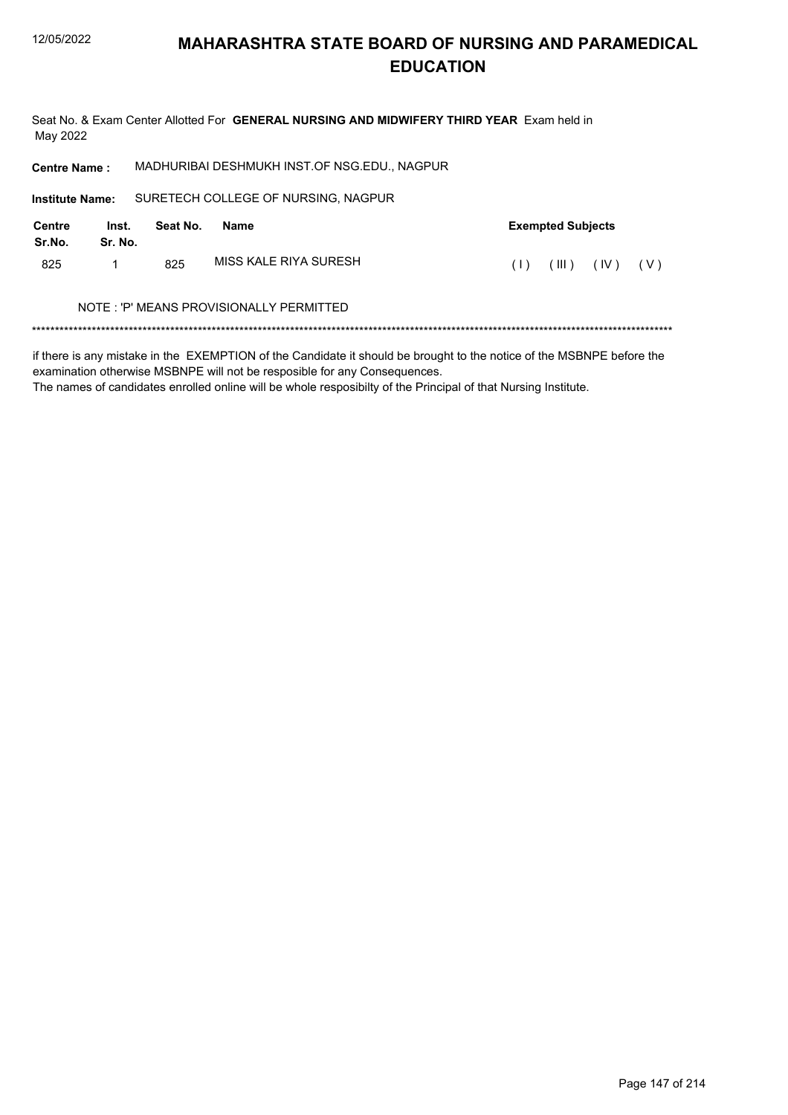Seat No. & Exam Center Allotted For GENERAL NURSING AND MIDWIFERY THIRD YEAR Exam held in May 2022

MADHURIBAI DESHMUKH INST.OF NSG.EDU., NAGPUR **Centre Name:** 

SURETECH COLLEGE OF NURSING, NAGPUR **Institute Name: Centre** Inst. Seat No. **Exempted Subjects Name** Sr.No. Sr. No. MISS KALE RIYA SURESH 825  $\mathbf{1}$ 825  $(1)$   $(11)$   $(1V)$   $(V)$ 

### NOTE: 'P' MEANS PROVISIONALLY PERMITTED

if there is any mistake in the EXEMPTION of the Candidate it should be brought to the notice of the MSBNPE before the examination otherwise MSBNPE will not be resposible for any Consequences.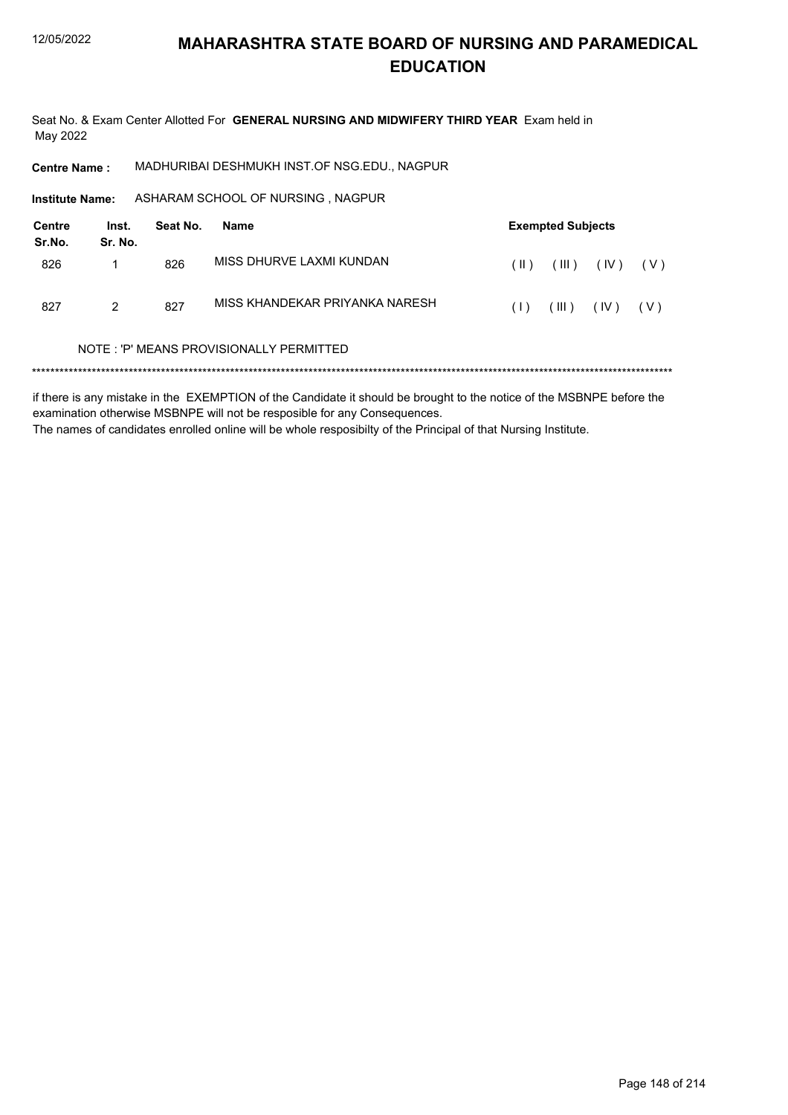Seat No. & Exam Center Allotted For GENERAL NURSING AND MIDWIFERY THIRD YEAR Exam held in May 2022

MADHURIBAI DESHMUKH INST.OF NSG.EDU., NAGPUR **Centre Name:** 

Institute Name: ASHARAM SCHOOL OF NURSING, NAGPUR

| Centre<br>Sr.No. | Inst.<br>Sr. No. | Seat No. | Name                                    |      | <b>Exempted Subjects</b> |      |       |  |
|------------------|------------------|----------|-----------------------------------------|------|--------------------------|------|-------|--|
| 826              |                  | 826      | MISS DHURVE LAXMI KUNDAN                | (  ) | $(\parallel \parallel)$  | (IV) | ( V ) |  |
| 827              | 2                | 827      | MISS KHANDEKAR PRIYANKA NARESH          | (1)  | $(\parallel \parallel)$  | (IV) | ( V ) |  |
|                  |                  |          | NOTE: 'P' MEANS PROVISIONALLY PERMITTED |      |                          |      |       |  |

if there is any mistake in the EXEMPTION of the Candidate it should be brought to the notice of the MSBNPE before the examination otherwise MSBNPE will not be resposible for any Consequences. The names of candidates enrolled online will be whole resposibilty of the Principal of that Nursing Institute.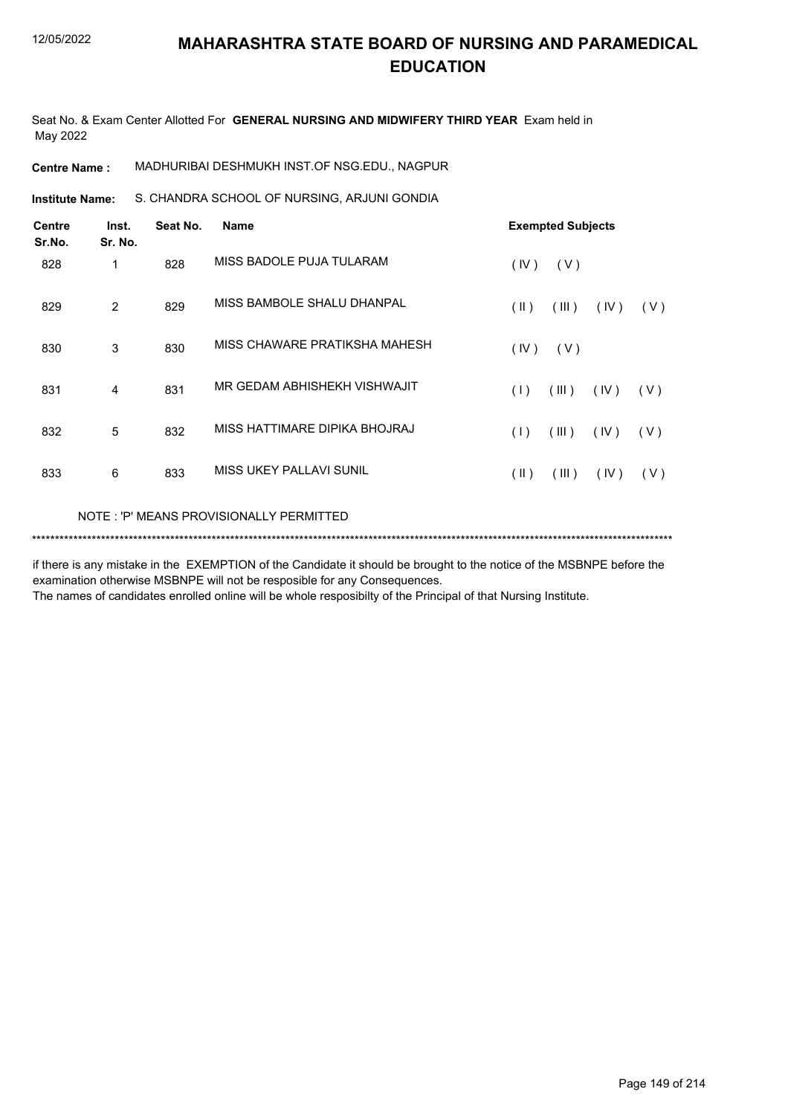Seat No. & Exam Center Allotted For **GENERAL NURSING AND MIDWIFERY THIRD YEAR** Exam held in May 2022

**Centre Name :** MADHURIBAI DESHMUKH INST.OF NSG.EDU., NAGPUR

S. CHANDRA SCHOOL OF NURSING, ARJUNI GONDIA **Institute Name:**

| <b>Centre</b><br>Sr.No. | Inst.<br>Sr. No. | Seat No. | <b>Name</b>                             | <b>Exempted Subjects</b>              |
|-------------------------|------------------|----------|-----------------------------------------|---------------------------------------|
| 828                     | 1                | 828      | MISS BADOLE PUJA TULARAM                | (IV)<br>(V)                           |
| 829                     | 2                | 829      | MISS BAMBOLE SHALU DHANPAL              | $(\parallel)$<br>(III)<br>(IV)<br>(V) |
| 830                     | 3                | 830      | MISS CHAWARE PRATIKSHA MAHESH           | (IV)<br>(V)                           |
| 831                     | 4                | 831      | MR GEDAM ABHISHEKH VISHWAJIT            | (1)<br>(III)<br>(IV)<br>(V)           |
| 832                     | 5                | 832      | MISS HATTIMARE DIPIKA BHOJRAJ           | (III)<br>(1)<br>(IV)<br>(V)           |
| 833                     | 6                | 833      | <b>MISS UKEY PALLAVI SUNIL</b>          | $(\parallel)$<br>(III)<br>(IV)<br>(V) |
|                         |                  |          | NOTE: 'P' MEANS PROVISIONALLY PERMITTED |                                       |

\*\*\*\*\*\*\*\*\*\*\*\*\*\*\*\*\*\*\*\*\*\*\*\*\*\*\*\*\*\*\*\*\*\*\*\*\*\*\*\*\*\*\*\*\*\*\*\*\*\*\*\*\*\*\*\*\*\*\*\*\*\*\*\*\*\*\*\*\*\*\*\*\*\*\*\*\*\*\*\*\*\*\*\*\*\*\*\*\*\*\*\*\*\*\*\*\*\*\*\*\*\*\*\*\*\*\*\*\*\*\*\*\*\*\*\*\*\*\*\*\*\*\*\*\*\*\*\*\*\*\*\*\*\*\*\*\*\*\*

if there is any mistake in the EXEMPTION of the Candidate it should be brought to the notice of the MSBNPE before the examination otherwise MSBNPE will not be resposible for any Consequences.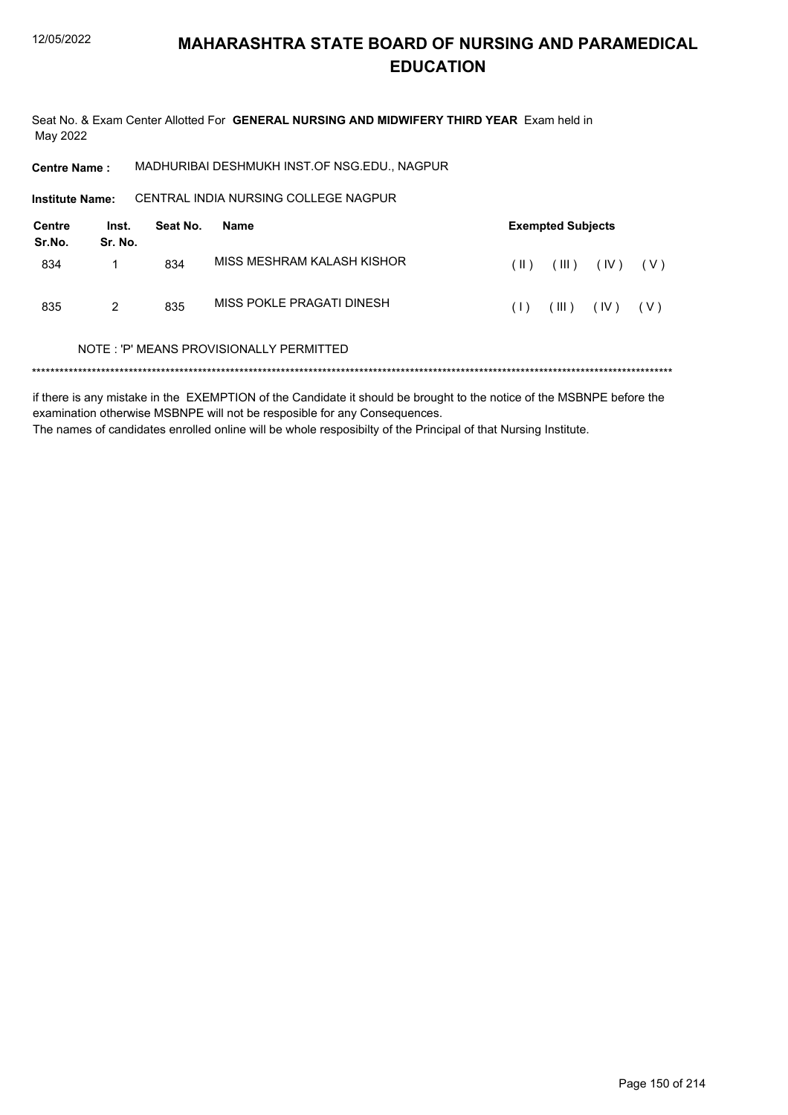Seat No. & Exam Center Allotted For GENERAL NURSING AND MIDWIFERY THIRD YEAR Exam held in May 2022

MADHURIBAI DESHMUKH INST.OF NSG.EDU., NAGPUR **Centre Name:** 

CENTRAL INDIA NURSING COLLEGE NAGPUR Institute Name:

| Centre<br>Sr.No. | Inst.<br>Sr. No. | Seat No. | Name                                    | <b>Exempted Subjects</b> |                |      |       |
|------------------|------------------|----------|-----------------------------------------|--------------------------|----------------|------|-------|
| 834              |                  | 834      | MISS MESHRAM KALASH KISHOR              | (  )                     | $($ III $)$    | (IV) | (V)   |
| 835              | 2                | 835      | MISS POKLE PRAGATI DINESH               | (1)                      | $(\mathbb{H})$ | (IV) | ( V ) |
|                  |                  |          | NOTE: 'P' MEANS PROVISIONALLY PERMITTED |                          |                |      |       |

if there is any mistake in the EXEMPTION of the Candidate it should be brought to the notice of the MSBNPE before the examination otherwise MSBNPE will not be resposible for any Consequences. The names of candidates enrolled online will be whole resposibilty of the Principal of that Nursing Institute.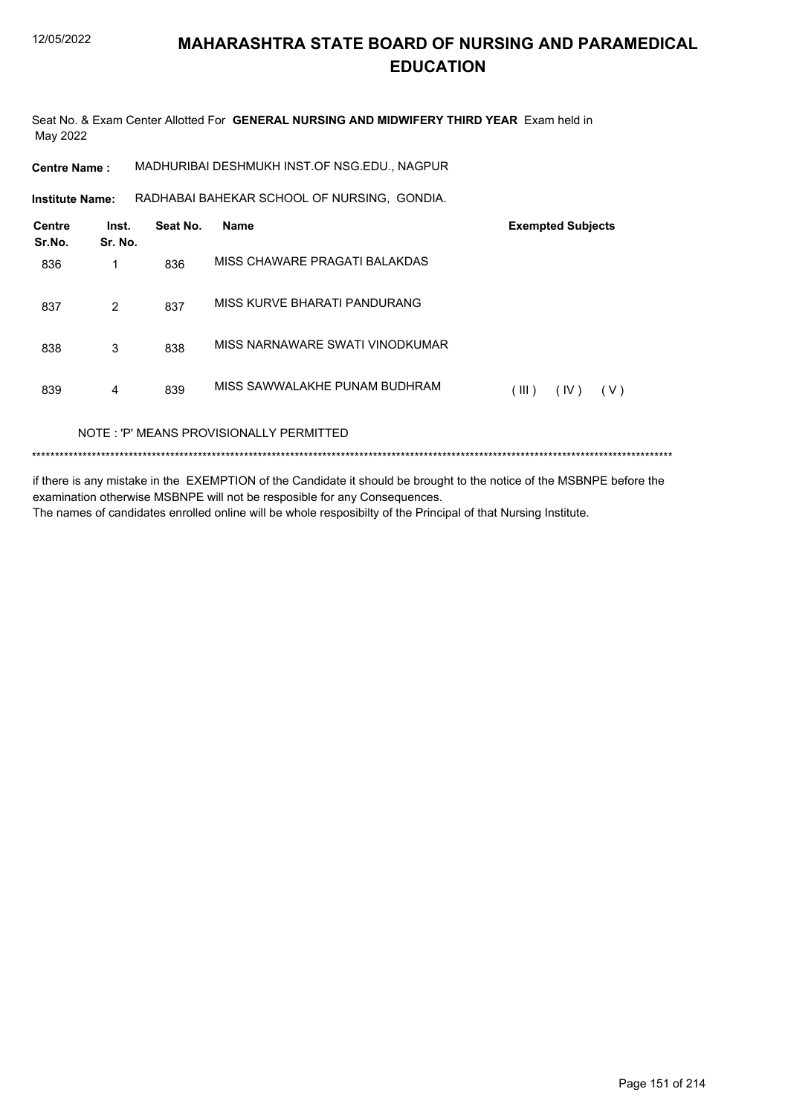Seat No. & Exam Center Allotted For GENERAL NURSING AND MIDWIFERY THIRD YEAR Exam held in May 2022

**Centre Name:** MADHURIBAI DESHMUKH INST.OF NSG.EDU., NAGPUR

Institute Name: RADHABAI BAHEKAR SCHOOL OF NURSING, GONDIA.

| <b>Centre</b><br>Sr.No. | Inst.<br>Sr. No. | Seat No. | <b>Name</b>                             | <b>Exempted Subjects</b> |
|-------------------------|------------------|----------|-----------------------------------------|--------------------------|
| 836                     | 1                | 836      | MISS CHAWARE PRAGATI BALAKDAS           |                          |
| 837                     | 2                | 837      | MISS KURVE BHARATI PANDURANG            |                          |
| 838                     | 3                | 838      | MISS NARNAWARE SWATI VINODKUMAR         |                          |
| 839                     | 4                | 839      | MISS SAWWALAKHE PUNAM BUDHRAM           | (III)<br>(IV)<br>(V)     |
|                         |                  |          | NOTE: 'P' MEANS PROVISIONALLY PERMITTED |                          |

if there is any mistake in the EXEMPTION of the Candidate it should be brought to the notice of the MSBNPE before the examination otherwise MSBNPE will not be resposible for any Consequences. The names of candidates enrolled online will be whole resposibilty of the Principal of that Nursing Institute.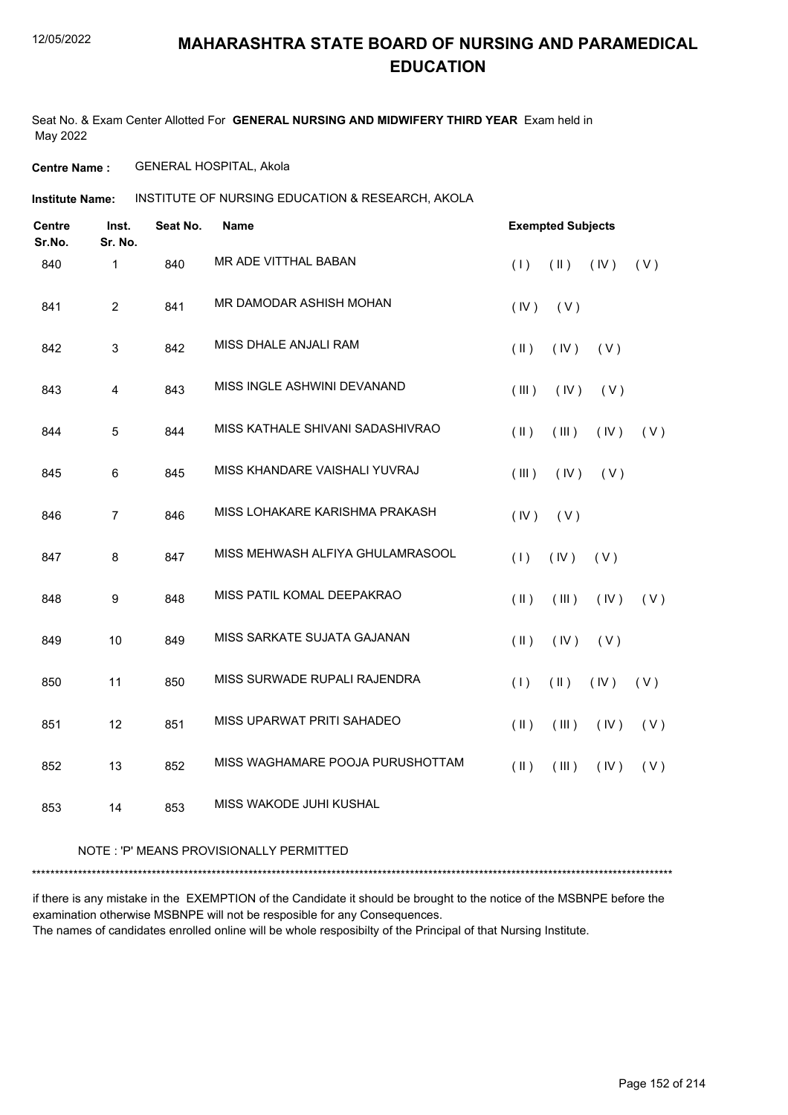Seat No. & Exam Center Allotted For **GENERAL NURSING AND MIDWIFERY THIRD YEAR** Exam held in May 2022

**Centre Name :** GENERAL HOSPITAL, Akola

INSTITUTE OF NURSING EDUCATION & RESEARCH, AKOLA **Institute Name:**

| <b>Centre</b><br>Sr.No. | Inst.<br>Sr. No. | Seat No. | <b>Name</b>                      | <b>Exempted Subjects</b> |               |      |     |
|-------------------------|------------------|----------|----------------------------------|--------------------------|---------------|------|-----|
| 840                     | 1                | 840      | MR ADE VITTHAL BABAN             | (1)                      | $(\parallel)$ | (IV) | (V) |
| 841                     | $\overline{2}$   | 841      | MR DAMODAR ASHISH MOHAN          | (IV)                     | (V)           |      |     |
| 842                     | 3                | 842      | MISS DHALE ANJALI RAM            | $(\parallel)$            | (IV)          | (V)  |     |
| 843                     | $\overline{4}$   | 843      | MISS INGLE ASHWINI DEVANAND      | (III)                    | (IV)          | (V)  |     |
| 844                     | 5                | 844      | MISS KATHALE SHIVANI SADASHIVRAO | $(\parallel)$            | (III)         | (IV) | (V) |
| 845                     | $6\phantom{a}$   | 845      | MISS KHANDARE VAISHALI YUVRAJ    | (III)                    | (IV)          | (V)  |     |
| 846                     | $\overline{7}$   | 846      | MISS LOHAKARE KARISHMA PRAKASH   | (IV)                     | (V)           |      |     |
| 847                     | 8                | 847      | MISS MEHWASH ALFIYA GHULAMRASOOL | (1)                      | (IV)          | (V)  |     |
| 848                     | 9                | 848      | MISS PATIL KOMAL DEEPAKRAO       | $($ II $)$               | (III)         | (IV) | (V) |
| 849                     | 10               | 849      | MISS SARKATE SUJATA GAJANAN      | $(\parallel)$            | (IV)          | (V)  |     |
| 850                     | 11               | 850      | MISS SURWADE RUPALI RAJENDRA     | (1)                      | $(\parallel)$ | (IV) | (V) |
| 851                     | 12               | 851      | MISS UPARWAT PRITI SAHADEO       | $($ II $)$               | (III)         | (IV) | (V) |
| 852                     | 13               | 852      | MISS WAGHAMARE POOJA PURUSHOTTAM | $($ II $)$               | (III)         | (IV) | (V) |
| 853                     | 14               | 853      | MISS WAKODE JUHI KUSHAL          |                          |               |      |     |

#### NOTE : 'P' MEANS PROVISIONALLY PERMITTED

\*\*\*\*\*\*\*\*\*\*\*\*\*\*\*\*\*\*\*\*\*\*\*\*\*\*\*\*\*\*\*\*\*\*\*\*\*\*\*\*\*\*\*\*\*\*\*\*\*\*\*\*\*\*\*\*\*\*\*\*\*\*\*\*\*\*\*\*\*\*\*\*\*\*\*\*\*\*\*\*\*\*\*\*\*\*\*\*\*\*\*\*\*\*\*\*\*\*\*\*\*\*\*\*\*\*\*\*\*\*\*\*\*\*\*\*\*\*\*\*\*\*\*\*\*\*\*\*\*\*\*\*\*\*\*\*\*\*\*

if there is any mistake in the EXEMPTION of the Candidate it should be brought to the notice of the MSBNPE before the examination otherwise MSBNPE will not be resposible for any Consequences. The names of candidates enrolled online will be whole resposibilty of the Principal of that Nursing Institute.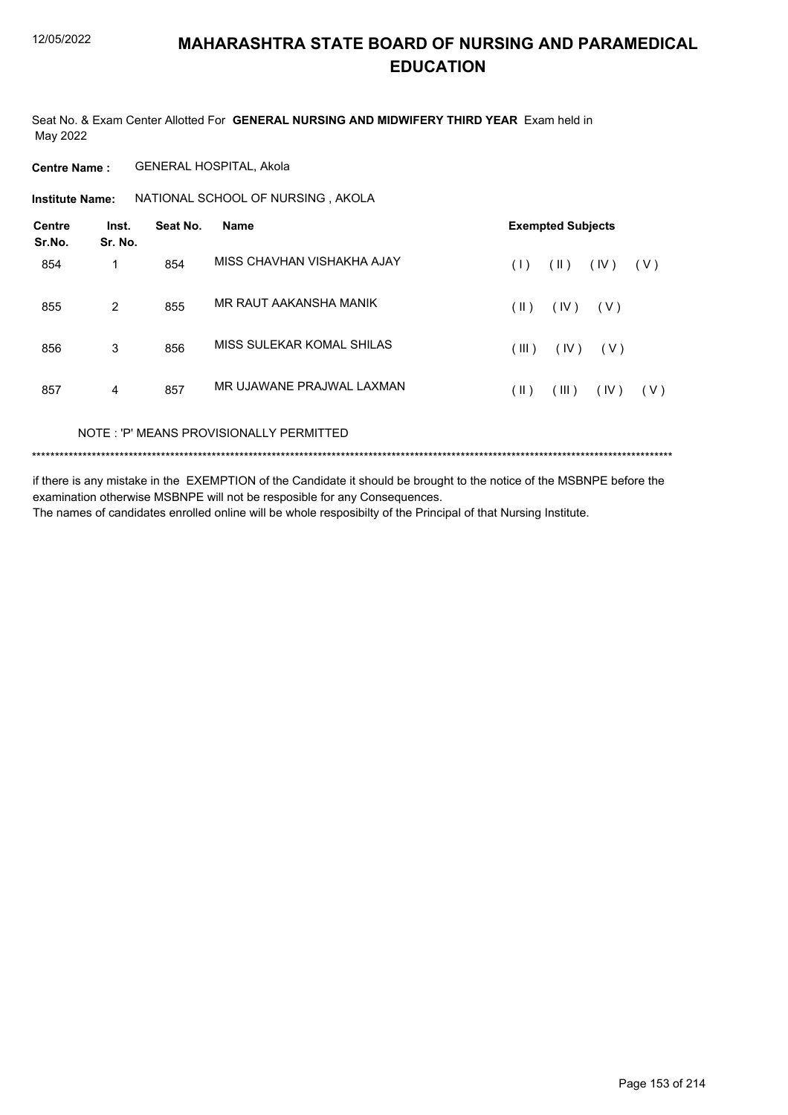Seat No. & Exam Center Allotted For **GENERAL NURSING AND MIDWIFERY THIRD YEAR** Exam held in May 2022

**Centre Name :** GENERAL HOSPITAL, Akola

**Institute Name: ANATIONAL SCHOOL OF NURSING, AKOLA** 

| <b>Centre</b><br>Sr.No. | Inst.<br>Sr. No. | Seat No. | <b>Name</b>                | <b>Exempted Subjects</b> |               |       |       |
|-------------------------|------------------|----------|----------------------------|--------------------------|---------------|-------|-------|
| 854                     | 1                | 854      | MISS CHAVHAN VISHAKHA AJAY | (1)                      | $(\parallel)$ | (IV)  | ( V ) |
| 855                     | $\overline{2}$   | 855      | MR RAUT AAKANSHA MANIK     | $(\parallel)$            | (IV)          | ( V ) |       |
| 856                     | 3                | 856      | MISS SULEKAR KOMAL SHILAS  | (III)                    | (IV)          | ( V ) |       |
| 857                     | 4                | 857      | MR UJAWANE PRAJWAL LAXMAN  | (  )                     | (III)         | (IV)  | (V)   |
|                         |                  |          |                            |                          |               |       |       |

NOTE : 'P' MEANS PROVISIONALLY PERMITTED

\*\*\*\*\*\*\*\*\*\*\*\*\*\*\*\*\*\*\*\*\*\*\*\*\*\*\*\*\*\*\*\*\*\*\*\*\*\*\*\*\*\*\*\*\*\*\*\*\*\*\*\*\*\*\*\*\*\*\*\*\*\*\*\*\*\*\*\*\*\*\*\*\*\*\*\*\*\*\*\*\*\*\*\*\*\*\*\*\*\*\*\*\*\*\*\*\*\*\*\*\*\*\*\*\*\*\*\*\*\*\*\*\*\*\*\*\*\*\*\*\*\*\*\*\*\*\*\*\*\*\*\*\*\*\*\*\*\*\*

if there is any mistake in the EXEMPTION of the Candidate it should be brought to the notice of the MSBNPE before the examination otherwise MSBNPE will not be resposible for any Consequences. The names of candidates enrolled online will be whole resposibilty of the Principal of that Nursing Institute.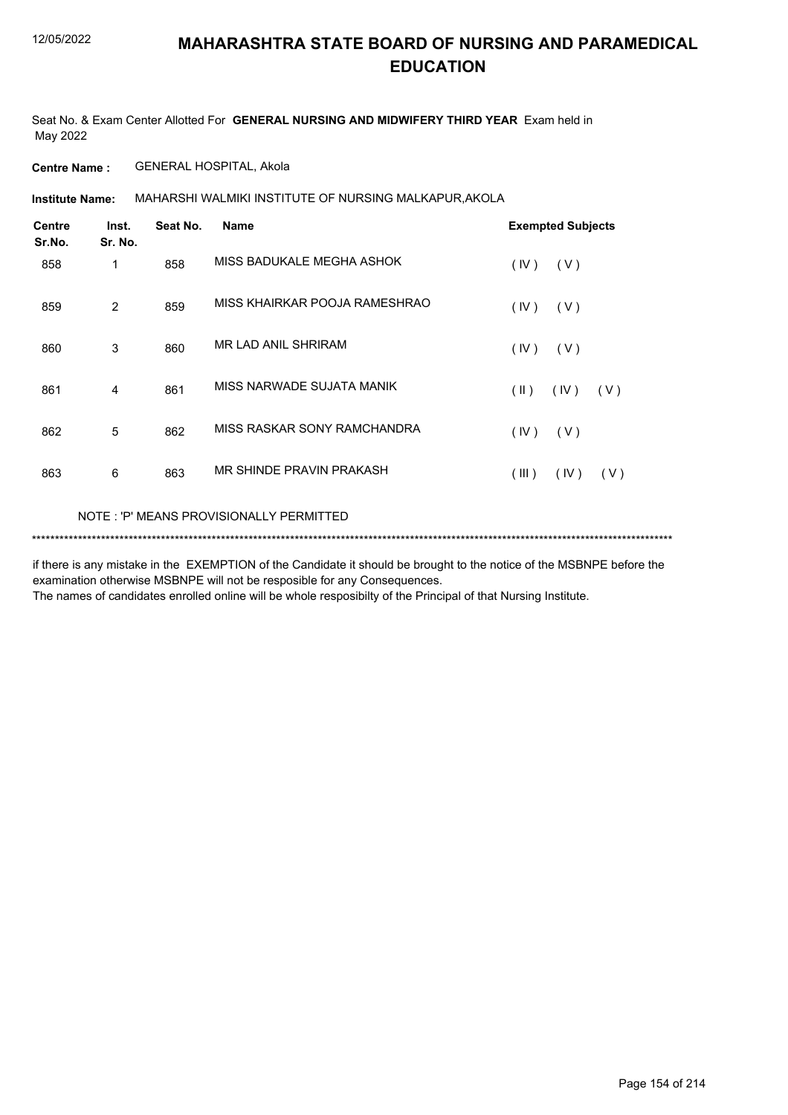Seat No. & Exam Center Allotted For **GENERAL NURSING AND MIDWIFERY THIRD YEAR** Exam held in May 2022

**Centre Name :** GENERAL HOSPITAL, Akola

MAHARSHI WALMIKI INSTITUTE OF NURSING MALKAPUR,AKOLA **Institute Name:**

| Centre<br>Sr.No. | Inst.<br>Sr. No. | Seat No. | <b>Name</b>                   | <b>Exempted Subjects</b>               |
|------------------|------------------|----------|-------------------------------|----------------------------------------|
| 858              | 1                | 858      | MISS BADUKALE MEGHA ASHOK     | (IV)<br>(V)                            |
| 859              | $\overline{2}$   | 859      | MISS KHAIRKAR POOJA RAMESHRAO | (IV)<br>(V)                            |
| 860              | 3                | 860      | <b>MR LAD ANIL SHRIRAM</b>    | (IV)<br>(V)                            |
| 861              | 4                | 861      | MISS NARWADE SUJATA MANIK     | $(\parallel \parallel)$<br>(IV)<br>(V) |
| 862              | 5                | 862      | MISS RASKAR SONY RAMCHANDRA   | (IV)<br>(V)                            |
| 863              | 6                | 863      | MR SHINDE PRAVIN PRAKASH      | (III)<br>(IV)<br>(V)                   |
|                  |                  |          |                               |                                        |

NOTE : 'P' MEANS PROVISIONALLY PERMITTED

\*\*\*\*\*\*\*\*\*\*\*\*\*\*\*\*\*\*\*\*\*\*\*\*\*\*\*\*\*\*\*\*\*\*\*\*\*\*\*\*\*\*\*\*\*\*\*\*\*\*\*\*\*\*\*\*\*\*\*\*\*\*\*\*\*\*\*\*\*\*\*\*\*\*\*\*\*\*\*\*\*\*\*\*\*\*\*\*\*\*\*\*\*\*\*\*\*\*\*\*\*\*\*\*\*\*\*\*\*\*\*\*\*\*\*\*\*\*\*\*\*\*\*\*\*\*\*\*\*\*\*\*\*\*\*\*\*\*\*

if there is any mistake in the EXEMPTION of the Candidate it should be brought to the notice of the MSBNPE before the examination otherwise MSBNPE will not be resposible for any Consequences.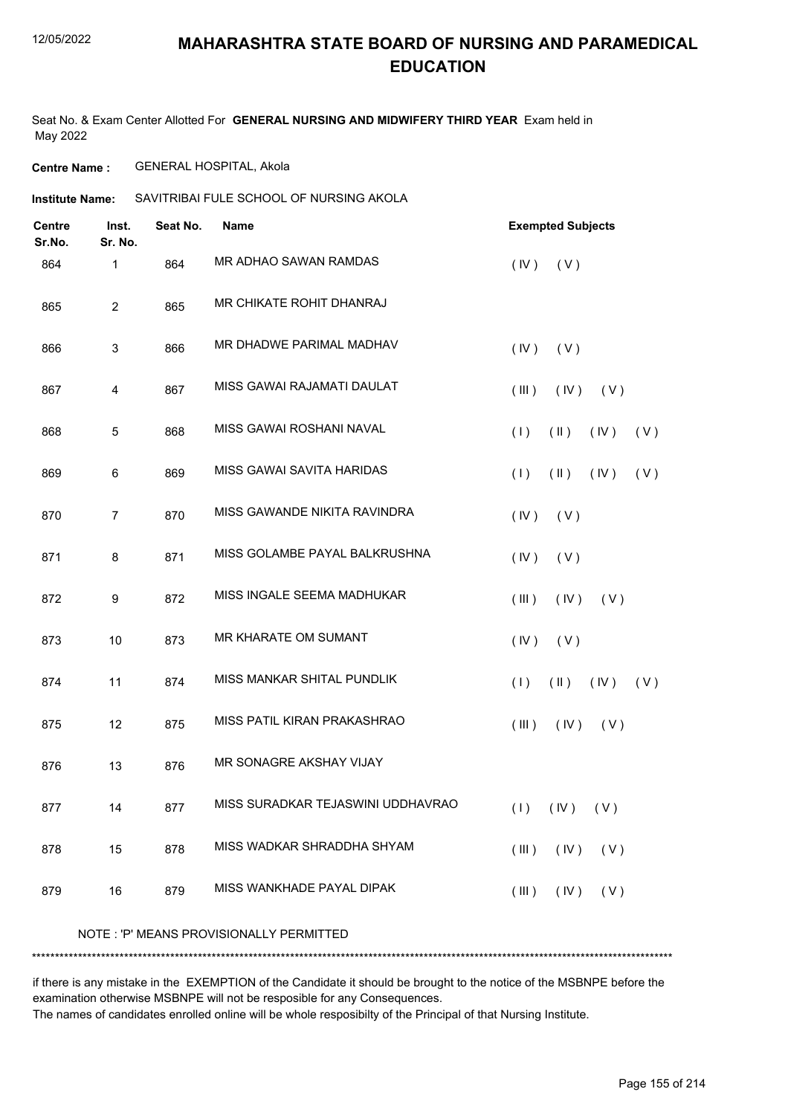### 12/05/2022

### **MAHARASHTRA STATE BOARD OF NURSING AND PARAMEDICAL EDUCATION**

Seat No. & Exam Center Allotted For **GENERAL NURSING AND MIDWIFERY THIRD YEAR** Exam held in May 2022

**Centre Name :** GENERAL HOSPITAL, Akola

### **Institute Name:** SAVITRIBAI FULE SCHOOL OF NURSING AKOLA

| <b>Centre</b><br>Sr.No. | Inst.<br>Sr. No. | Seat No. | Name                                    | <b>Exempted Subjects</b>            |
|-------------------------|------------------|----------|-----------------------------------------|-------------------------------------|
| 864                     | 1                | 864      | MR ADHAO SAWAN RAMDAS                   | (V)<br>(IV)                         |
| 865                     | $\overline{c}$   | 865      | MR CHIKATE ROHIT DHANRAJ                |                                     |
| 866                     | 3                | 866      | MR DHADWE PARIMAL MADHAV                | (IV)<br>(V)                         |
| 867                     | 4                | 867      | MISS GAWAI RAJAMATI DAULAT              | (III)<br>(IV)<br>(V)                |
| 868                     | 5                | 868      | MISS GAWAI ROSHANI NAVAL                | (1)<br>$(\parallel)$<br>(IV)<br>(V) |
| 869                     | 6                | 869      | MISS GAWAI SAVITA HARIDAS               | $(\parallel)$<br>(V)<br>(1)<br>(IV) |
| 870                     | $\overline{7}$   | 870      | MISS GAWANDE NIKITA RAVINDRA            | (IV)<br>(V)                         |
| 871                     | 8                | 871      | MISS GOLAMBE PAYAL BALKRUSHNA           | (IV)<br>(V)                         |
| 872                     | 9                | 872      | MISS INGALE SEEMA MADHUKAR              | (III)<br>(IV)<br>(V)                |
| 873                     | 10               | 873      | <b>MR KHARATE OM SUMANT</b>             | (IV)<br>(V)                         |
| 874                     | 11               | 874      | MISS MANKAR SHITAL PUNDLIK              | (1)<br>$(\parallel)$<br>(IV)<br>(V) |
| 875                     | 12               | 875      | MISS PATIL KIRAN PRAKASHRAO             | (III)<br>(IV)<br>(V)                |
| 876                     | 13               | 876      | MR SONAGRE AKSHAY VIJAY                 |                                     |
| 877                     | 14               | 877      | MISS SURADKAR TEJASWINI UDDHAVRAO       | $(1)$ $(1)$ $(1)$                   |
| 878                     | 15               | 878      | MISS WADKAR SHRADDHA SHYAM              | $(III)$ $(IV)$ $(V)$                |
| 879                     | 16               | 879      | MISS WANKHADE PAYAL DIPAK               | $(IV)$ $(V)$<br>$($ III $)$         |
|                         |                  |          | NOTE: 'P' MEANS PROVISIONALLY PERMITTED |                                     |
|                         |                  |          |                                         |                                     |

if there is any mistake in the EXEMPTION of the Candidate it should be brought to the notice of the MSBNPE before the examination otherwise MSBNPE will not be resposible for any Consequences.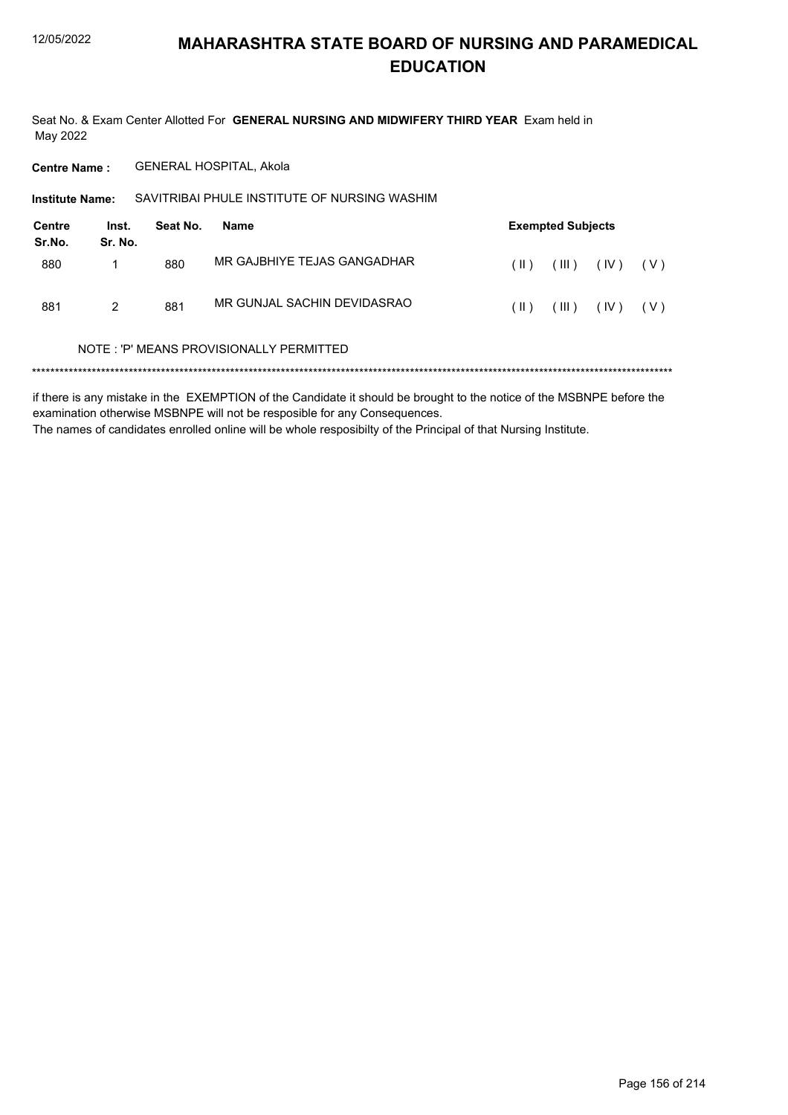Seat No. & Exam Center Allotted For GENERAL NURSING AND MIDWIFERY THIRD YEAR Exam held in May 2022

**Centre Name:** GENERAL HOSPITAL, Akola

SAVITRIBAI PHULE INSTITUTE OF NURSING WASHIM Institute Name:

| <b>Centre</b><br>Sr.No. | Inst.<br>Sr. No. | Seat No. | Name                        | <b>Exempted Subjects</b> |             |      |       |  |
|-------------------------|------------------|----------|-----------------------------|--------------------------|-------------|------|-------|--|
| 880                     |                  | 880      | MR GAJBHIYE TEJAS GANGADHAR | $(\ )$                   | $($ III $)$ | (IV) | ( V ) |  |
| 881                     | 2                | 881      | MR GUNJAL SACHIN DEVIDASRAO | (  )                     | $($ III $)$ | (IV) | (V)   |  |

#### NOTE: 'P' MEANS PROVISIONALLY PERMITTED

if there is any mistake in the EXEMPTION of the Candidate it should be brought to the notice of the MSBNPE before the examination otherwise MSBNPE will not be resposible for any Consequences. The names of candidates enrolled online will be whole resposibilty of the Principal of that Nursing Institute.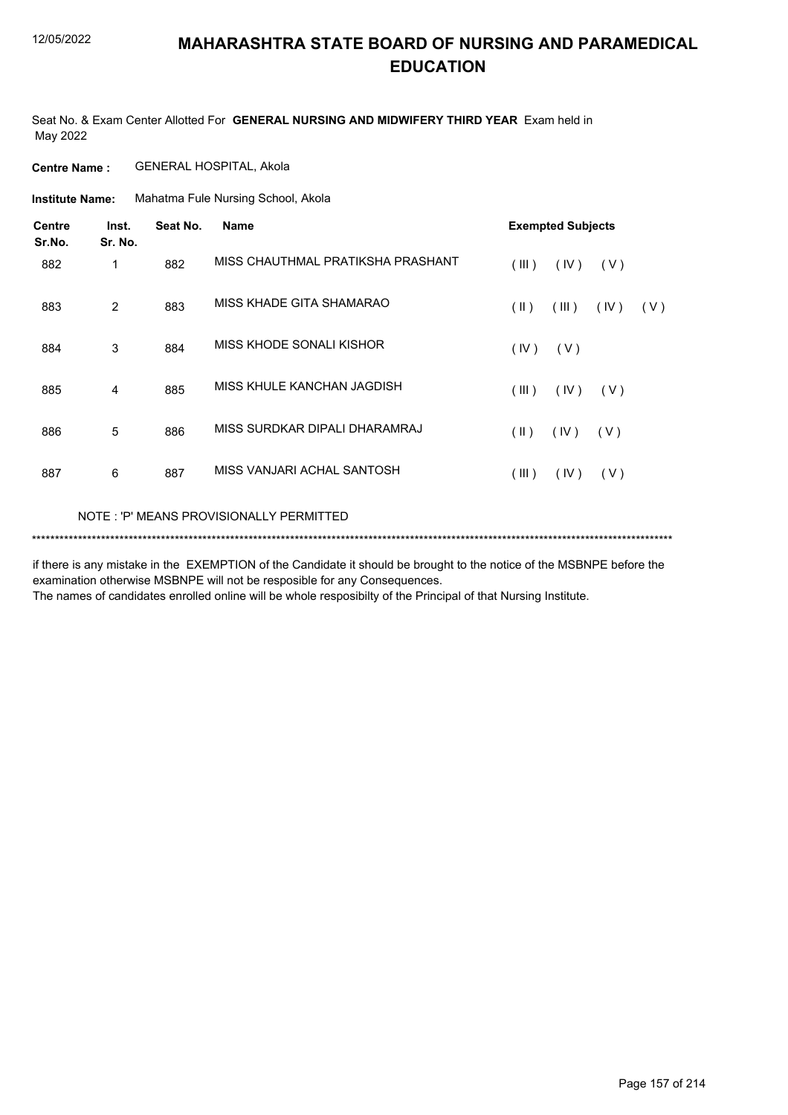Seat No. & Exam Center Allotted For **GENERAL NURSING AND MIDWIFERY THIRD YEAR** Exam held in May 2022

**Centre Name :** GENERAL HOSPITAL, Akola

Mahatma Fule Nursing School, Akola **Institute Name:**

| <b>Centre</b><br>Sr.No. | Inst.<br>Sr. No. | Seat No. | <b>Name</b>                       | <b>Exempted Subjects</b> |       |      |     |
|-------------------------|------------------|----------|-----------------------------------|--------------------------|-------|------|-----|
| 882                     | 1                | 882      | MISS CHAUTHMAL PRATIKSHA PRASHANT | (III)                    | (IV)  | (V)  |     |
| 883                     | 2                | 883      | MISS KHADE GITA SHAMARAO          | (  )                     | (III) | (IV) | (V) |
| 884                     | 3                | 884      | MISS KHODE SONALI KISHOR          | (IV)                     | (V)   |      |     |
| 885                     | 4                | 885      | MISS KHULE KANCHAN JAGDISH        | (III)                    | (IV)  | (V)  |     |
| 886                     | 5                | 886      | MISS SURDKAR DIPALI DHARAMRAJ     | $(\parallel)$            | (IV)  | (V)  |     |
| 887                     | 6                | 887      | MISS VANJARI ACHAL SANTOSH        | (III)                    | (IV)  | (V)  |     |
|                         |                  |          |                                   |                          |       |      |     |

NOTE : 'P' MEANS PROVISIONALLY PERMITTED

\*\*\*\*\*\*\*\*\*\*\*\*\*\*\*\*\*\*\*\*\*\*\*\*\*\*\*\*\*\*\*\*\*\*\*\*\*\*\*\*\*\*\*\*\*\*\*\*\*\*\*\*\*\*\*\*\*\*\*\*\*\*\*\*\*\*\*\*\*\*\*\*\*\*\*\*\*\*\*\*\*\*\*\*\*\*\*\*\*\*\*\*\*\*\*\*\*\*\*\*\*\*\*\*\*\*\*\*\*\*\*\*\*\*\*\*\*\*\*\*\*\*\*\*\*\*\*\*\*\*\*\*\*\*\*\*\*\*\*

if there is any mistake in the EXEMPTION of the Candidate it should be brought to the notice of the MSBNPE before the examination otherwise MSBNPE will not be resposible for any Consequences.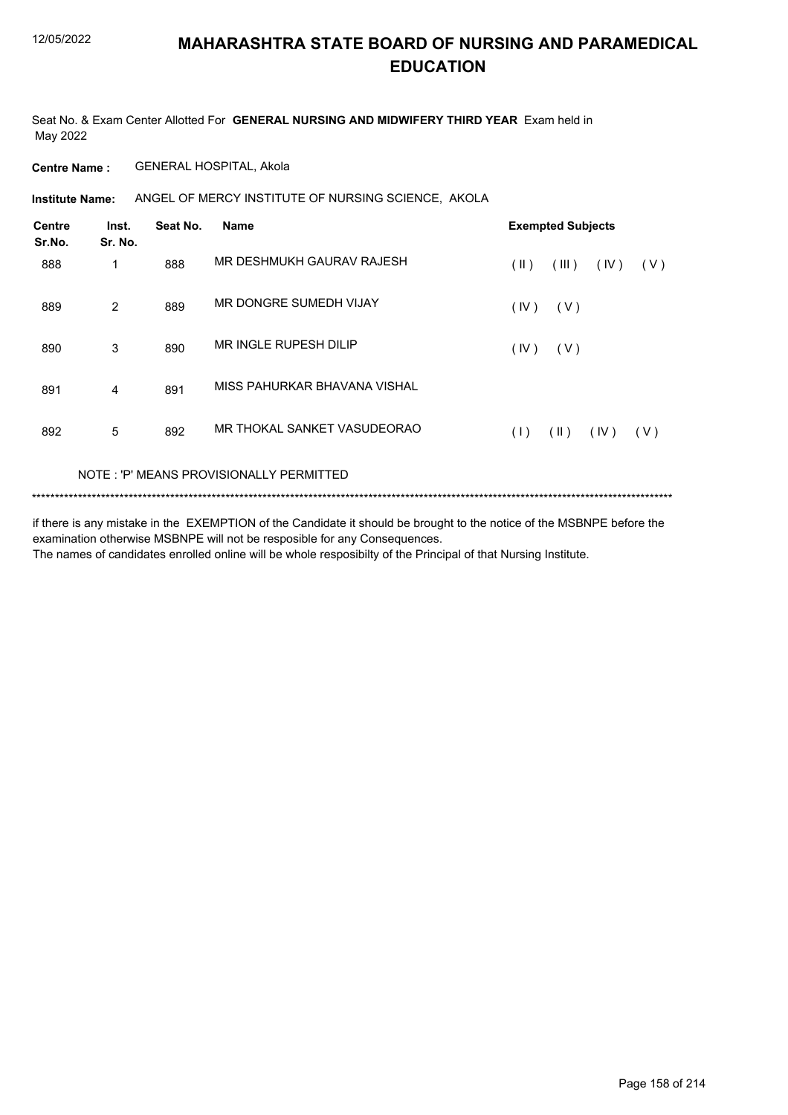Seat No. & Exam Center Allotted For **GENERAL NURSING AND MIDWIFERY THIRD YEAR** Exam held in May 2022

**Centre Name :** GENERAL HOSPITAL, Akola

**Institute Name:** ANGEL OF MERCY INSTITUTE OF NURSING SCIENCE, AKOLA

| (V) |
|-----|
|     |
|     |
|     |
|     |
| (V) |
|     |

### NOTE : 'P' MEANS PROVISIONALLY PERMITTED

\*\*\*\*\*\*\*\*\*\*\*\*\*\*\*\*\*\*\*\*\*\*\*\*\*\*\*\*\*\*\*\*\*\*\*\*\*\*\*\*\*\*\*\*\*\*\*\*\*\*\*\*\*\*\*\*\*\*\*\*\*\*\*\*\*\*\*\*\*\*\*\*\*\*\*\*\*\*\*\*\*\*\*\*\*\*\*\*\*\*\*\*\*\*\*\*\*\*\*\*\*\*\*\*\*\*\*\*\*\*\*\*\*\*\*\*\*\*\*\*\*\*\*\*\*\*\*\*\*\*\*\*\*\*\*\*\*\*\*

if there is any mistake in the EXEMPTION of the Candidate it should be brought to the notice of the MSBNPE before the examination otherwise MSBNPE will not be resposible for any Consequences. The names of candidates enrolled online will be whole resposibilty of the Principal of that Nursing Institute.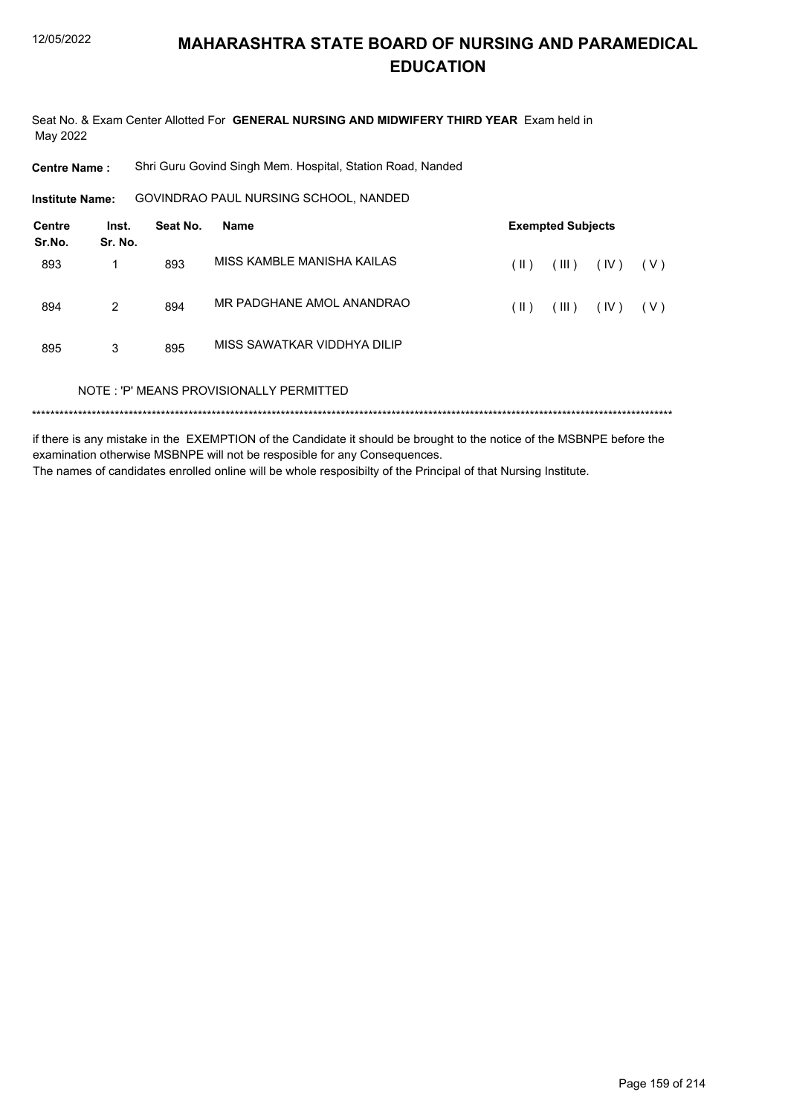Seat No. & Exam Center Allotted For GENERAL NURSING AND MIDWIFERY THIRD YEAR Exam held in May 2022

**Centre Name:** Shri Guru Govind Singh Mem. Hospital, Station Road, Nanded

GOVINDRAO PAUL NURSING SCHOOL, NANDED **Institute Name:** 

| Centre<br>Sr.No. | Inst.<br>Sr. No. | Seat No. | <b>Name</b>                             |      | <b>Exempted Subjects</b> |      |       |
|------------------|------------------|----------|-----------------------------------------|------|--------------------------|------|-------|
| 893              |                  | 893      | MISS KAMBI F MANISHA KAILAS             | (  ) | (III)                    | (IV) | (V)   |
| 894              | 2                | 894      | MR PADGHANE AMOL ANANDRAO               | (  ) | (III)                    | (IV) | ( V ) |
| 895              | 3                | 895      | MISS SAWATKAR VIDDHYA DILIP             |      |                          |      |       |
|                  |                  |          | NOTE: 'P' MEANS PROVISIONALLY PERMITTED |      |                          |      |       |
|                  |                  |          |                                         |      |                          |      |       |

if there is any mistake in the EXEMPTION of the Candidate it should be brought to the notice of the MSBNPE before the examination otherwise MSBNPE will not be resposible for any Consequences. The names of candidates enrolled online will be whole resposibilty of the Principal of that Nursing Institute.

Page 159 of 214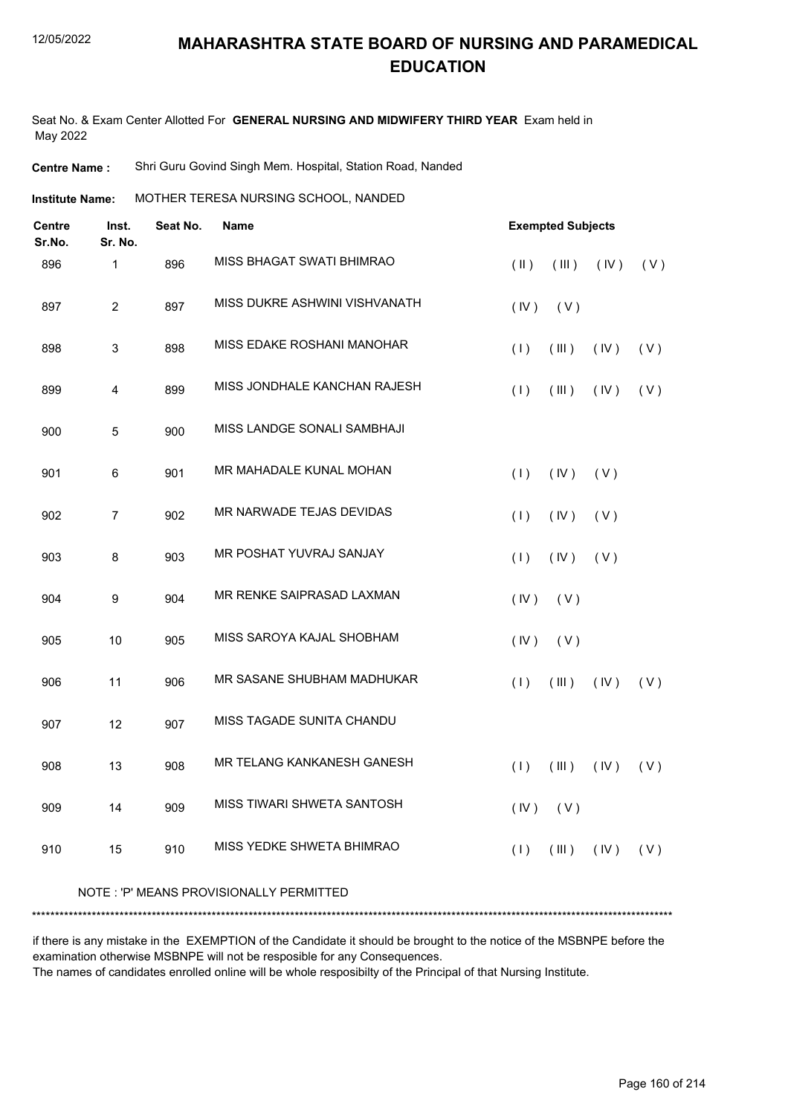Seat No. & Exam Center Allotted For **GENERAL NURSING AND MIDWIFERY THIRD YEAR** Exam held in May 2022

**Centre Name :** Shri Guru Govind Singh Mem. Hospital, Station Road, Nanded

MOTHER TERESA NURSING SCHOOL, NANDED **Institute Name:**

| Centre<br>Sr.No. | Inst.<br>Sr. No. | Seat No. | <b>Name</b>                             |               | <b>Exempted Subjects</b>                   |      |     |
|------------------|------------------|----------|-----------------------------------------|---------------|--------------------------------------------|------|-----|
| 896              | 1                | 896      | MISS BHAGAT SWATI BHIMRAO               | $(\parallel)$ | (III)                                      | (IV) | (V) |
| 897              | $\overline{c}$   | 897      | MISS DUKRE ASHWINI VISHVANATH           | (IV)          | (V)                                        |      |     |
| 898              | 3                | 898      | MISS EDAKE ROSHANI MANOHAR              | (1)           | (III)                                      | (IV) | (V) |
| 899              | 4                | 899      | MISS JONDHALE KANCHAN RAJESH            | (1)           | (III)                                      | (IV) | (V) |
| 900              | 5                | 900      | MISS LANDGE SONALI SAMBHAJI             |               |                                            |      |     |
| 901              | 6                | 901      | MR MAHADALE KUNAL MOHAN                 | (1)           | (IV)                                       | (V)  |     |
| 902              | $\overline{7}$   | 902      | MR NARWADE TEJAS DEVIDAS                | (1)           | (IV)                                       | (V)  |     |
| 903              | 8                | 903      | MR POSHAT YUVRAJ SANJAY                 | (1)           | (IV)                                       | (V)  |     |
| 904              | 9                | 904      | MR RENKE SAIPRASAD LAXMAN               | (IV)          | (V)                                        |      |     |
| 905              | 10               | 905      | MISS SAROYA KAJAL SHOBHAM               | (IV)          | (V)                                        |      |     |
| 906              | 11               | 906      | MR SASANE SHUBHAM MADHUKAR              | (1)           | (III)                                      | (IV) | (V) |
| 907              | 12               | 907      | MISS TAGADE SUNITA CHANDU               |               |                                            |      |     |
| 908              | 13               | 908      | MR TELANG KANKANESH GANESH              | (1)           | (III)                                      | (IV) | (V) |
| 909              | 14               | 909      | MISS TIWARI SHWETA SANTOSH              |               | $(IV)$ $(V)$                               |      |     |
| 910              | 15               | 910      | MISS YEDKE SHWETA BHIMRAO               | (1)           | $(\parallel \parallel)$ $(\parallel \lor)$ |      | (V) |
|                  |                  |          | NOTE: 'P' MEANS PROVISIONALLY PERMITTED |               |                                            |      |     |
|                  |                  |          |                                         |               |                                            |      |     |

if there is any mistake in the EXEMPTION of the Candidate it should be brought to the notice of the MSBNPE before the examination otherwise MSBNPE will not be resposible for any Consequences.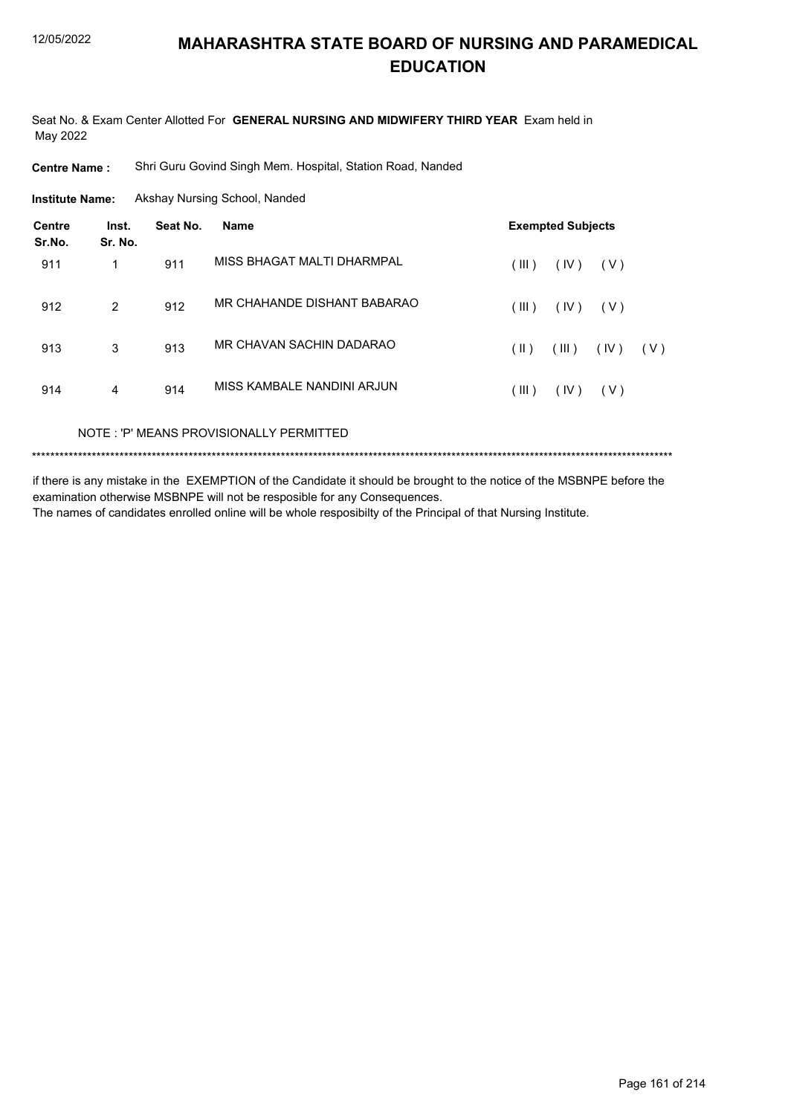Seat No. & Exam Center Allotted For GENERAL NURSING AND MIDWIFERY THIRD YEAR Exam held in May 2022

Shri Guru Govind Singh Mem. Hospital, Station Road, Nanded **Centre Name:** 

**Institute Name:** Akshay Nursing School, Nanded

| <b>Centre</b><br>Sr.No. | Inst.<br>Sr. No. | Seat No. | <b>Name</b>                 |       | <b>Exempted Subjects</b> |       |     |
|-------------------------|------------------|----------|-----------------------------|-------|--------------------------|-------|-----|
| 911                     |                  | 911      | MISS BHAGAT MALTI DHARMPAL  | (III) | (IV)                     | (V)   |     |
| 912                     | 2                | 912      | MR CHAHANDE DISHANT BABARAO | (III) | (IV)                     | ( V ) |     |
| 913                     | 3                | 913      | MR CHAVAN SACHIN DADARAO    | (  )  | (III)                    | (IV)  | (V) |
| 914                     | 4                | 914      | MISS KAMBALE NANDINI ARJUN  | (III) | (IV)                     | (V)   |     |
|                         |                  |          |                             |       |                          |       |     |

NOTE: 'P' MEANS PROVISIONALLY PERMITTED

if there is any mistake in the EXEMPTION of the Candidate it should be brought to the notice of the MSBNPE before the examination otherwise MSBNPE will not be resposible for any Consequences. The names of candidates enrolled online will be whole resposibilty of the Principal of that Nursing Institute.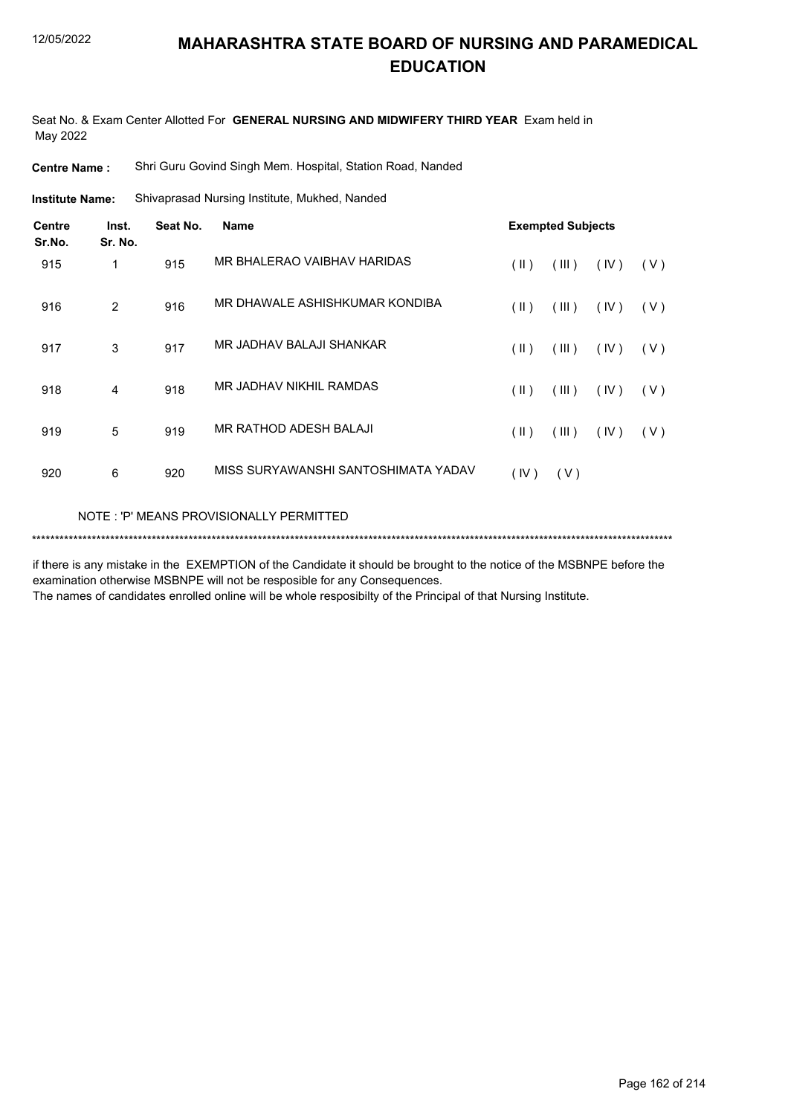Seat No. & Exam Center Allotted For **GENERAL NURSING AND MIDWIFERY THIRD YEAR** Exam held in May 2022

**Centre Name :** Shri Guru Govind Singh Mem. Hospital, Station Road, Nanded

Shivaprasad Nursing Institute, Mukhed, Nanded **Institute Name:**

| Centre<br>Sr.No. | Inst.<br>Sr. No. | Seat No. | <b>Name</b>                         |               | <b>Exempted Subjects</b> |      |       |
|------------------|------------------|----------|-------------------------------------|---------------|--------------------------|------|-------|
| 915              | 1                | 915      | MR BHALERAO VAIBHAV HARIDAS         | (  )          | (III)                    | (IV) | (V)   |
| 916              | 2                | 916      | MR DHAWALE ASHISHKUMAR KONDIBA      | $(\parallel)$ | (III)                    | (IV) | ( V ) |
| 917              | 3                | 917      | MR JADHAV BALAJI SHANKAR            | (  )          | (III)                    | (IV) | (V)   |
| 918              | 4                | 918      | MR JADHAV NIKHIL RAMDAS             | $(\parallel)$ | (III)                    | (IV) | (V)   |
| 919              | 5                | 919      | MR RATHOD ADESH BALAJI              | $(\parallel)$ | (III)                    | (IV) | ( V ) |
| 920              | 6                | 920      | MISS SURYAWANSHI SANTOSHIMATA YADAV | (IV)          | (V)                      |      |       |

NOTE : 'P' MEANS PROVISIONALLY PERMITTED

\*\*\*\*\*\*\*\*\*\*\*\*\*\*\*\*\*\*\*\*\*\*\*\*\*\*\*\*\*\*\*\*\*\*\*\*\*\*\*\*\*\*\*\*\*\*\*\*\*\*\*\*\*\*\*\*\*\*\*\*\*\*\*\*\*\*\*\*\*\*\*\*\*\*\*\*\*\*\*\*\*\*\*\*\*\*\*\*\*\*\*\*\*\*\*\*\*\*\*\*\*\*\*\*\*\*\*\*\*\*\*\*\*\*\*\*\*\*\*\*\*\*\*\*\*\*\*\*\*\*\*\*\*\*\*\*\*\*\*

if there is any mistake in the EXEMPTION of the Candidate it should be brought to the notice of the MSBNPE before the examination otherwise MSBNPE will not be resposible for any Consequences.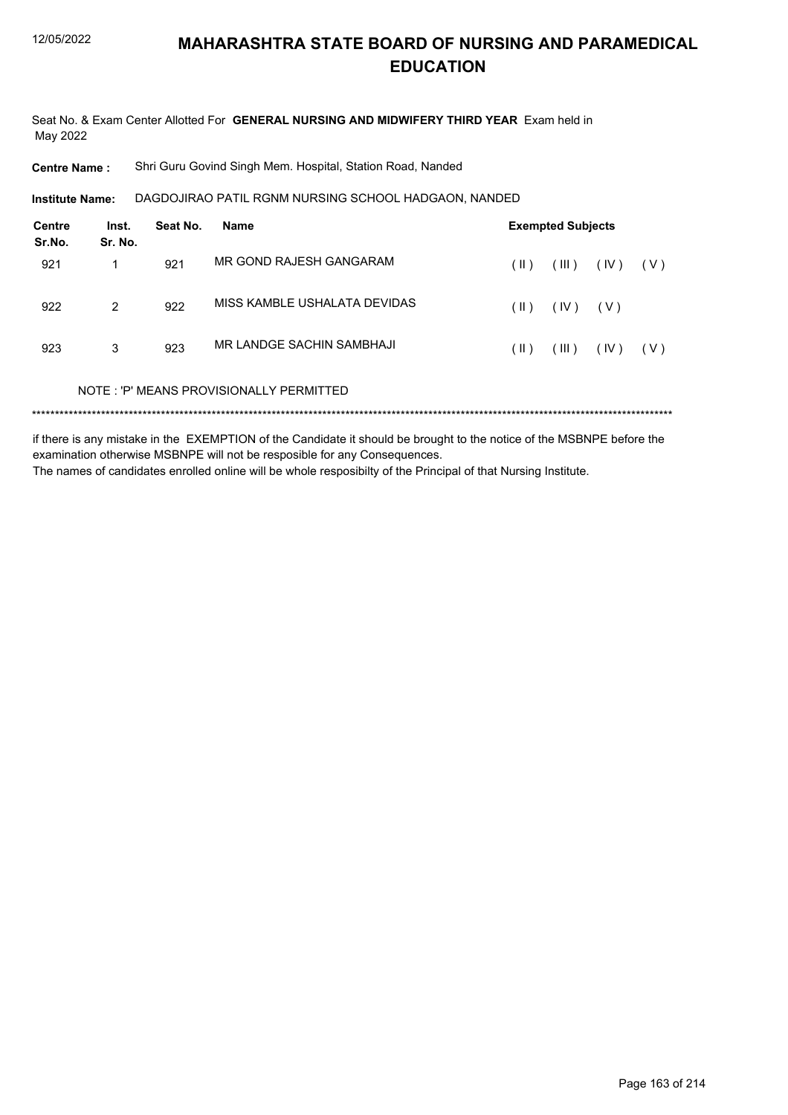Seat No. & Exam Center Allotted For GENERAL NURSING AND MIDWIFERY THIRD YEAR Exam held in May 2022

**Centre Name:** Shri Guru Govind Singh Mem. Hospital, Station Road, Nanded

DAGDOJIRAO PATIL RGNM NURSING SCHOOL HADGAON, NANDED **Institute Name:** 

| Centre<br>Sr.No. | Inst.<br>Sr. No. | Seat No. | <b>Name</b>                             | <b>Exempted Subjects</b> |                |       |       |  |
|------------------|------------------|----------|-----------------------------------------|--------------------------|----------------|-------|-------|--|
| 921              | 1                | 921      | MR GOND RAJESH GANGARAM                 | (  )                     | (III)          | (IV)  | ( V ) |  |
| 922              | 2                | 922      | MISS KAMBLE USHALATA DEVIDAS            | (  )                     | (IV)           | ( V ) |       |  |
| 923              | 3                | 923      | MR I ANDGE SACHIN SAMBHAJI              | (  )                     | $(\mathbb{H})$ | (IV)  | ( V ) |  |
|                  |                  |          | NOTE: 'P' MEANS PROVISIONALLY PERMITTED |                          |                |       |       |  |
|                  |                  |          |                                         |                          |                |       |       |  |

if there is any mistake in the EXEMPTION of the Candidate it should be brought to the notice of the MSBNPE before the examination otherwise MSBNPE will not be resposible for any Consequences. The names of candidates enrolled online will be whole resposibilty of the Principal of that Nursing Institute.

Page 163 of 214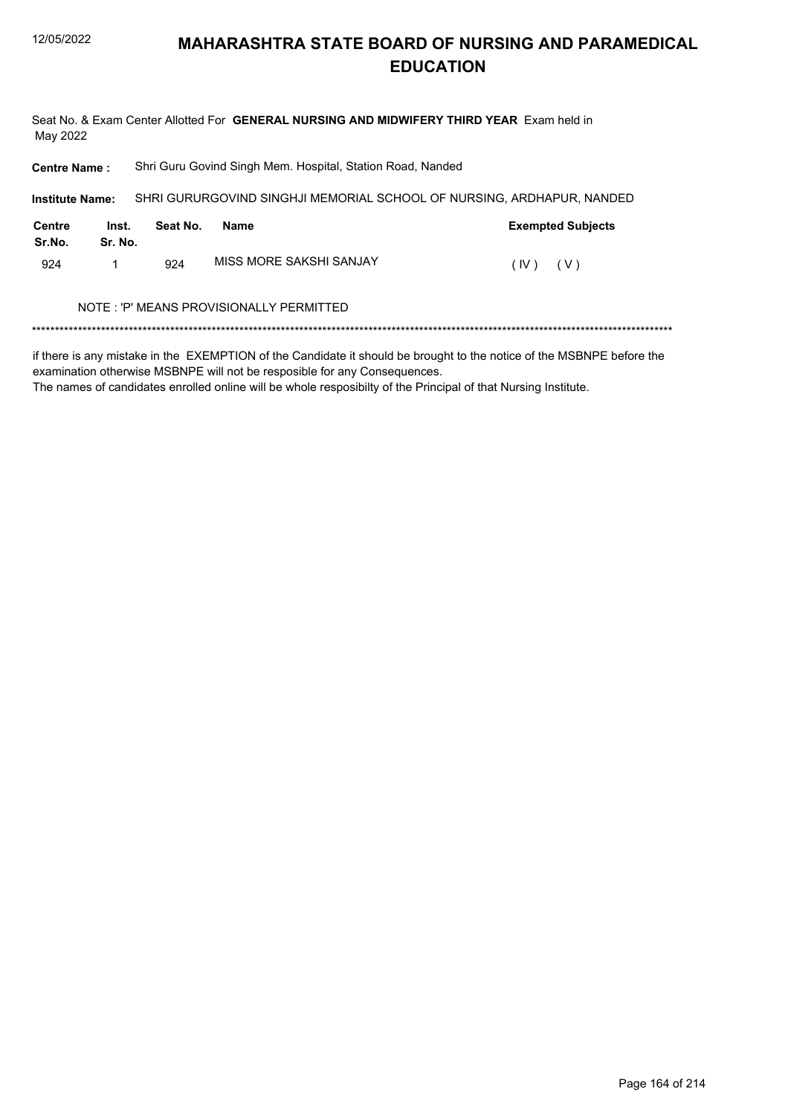Seat No. & Exam Center Allotted For GENERAL NURSING AND MIDWIFERY THIRD YEAR Exam held in May 2022

Shri Guru Govind Singh Mem. Hospital, Station Road, Nanded **Centre Name:** 

| <b>Institute Name:</b> |                  |          | SHRI GURURGOVIND SINGHJI MEMORIAL SCHOOL OF NURSING. ARDHAPUR. NANDED |      |                          |
|------------------------|------------------|----------|-----------------------------------------------------------------------|------|--------------------------|
| Centre<br>Sr.No.       | Inst.<br>Sr. No. | Seat No. | Name                                                                  |      | <b>Exempted Subjects</b> |
| 924                    |                  | 924      | MISS MORE SAKSHI SANJAY                                               | (IV) | ( V )                    |

### NOTE : 'P' MEANS PROVISIONALLY PERMITTED

if there is any mistake in the EXEMPTION of the Candidate it should be brought to the notice of the MSBNPE before the examination otherwise MSBNPE will not be resposible for any Consequences.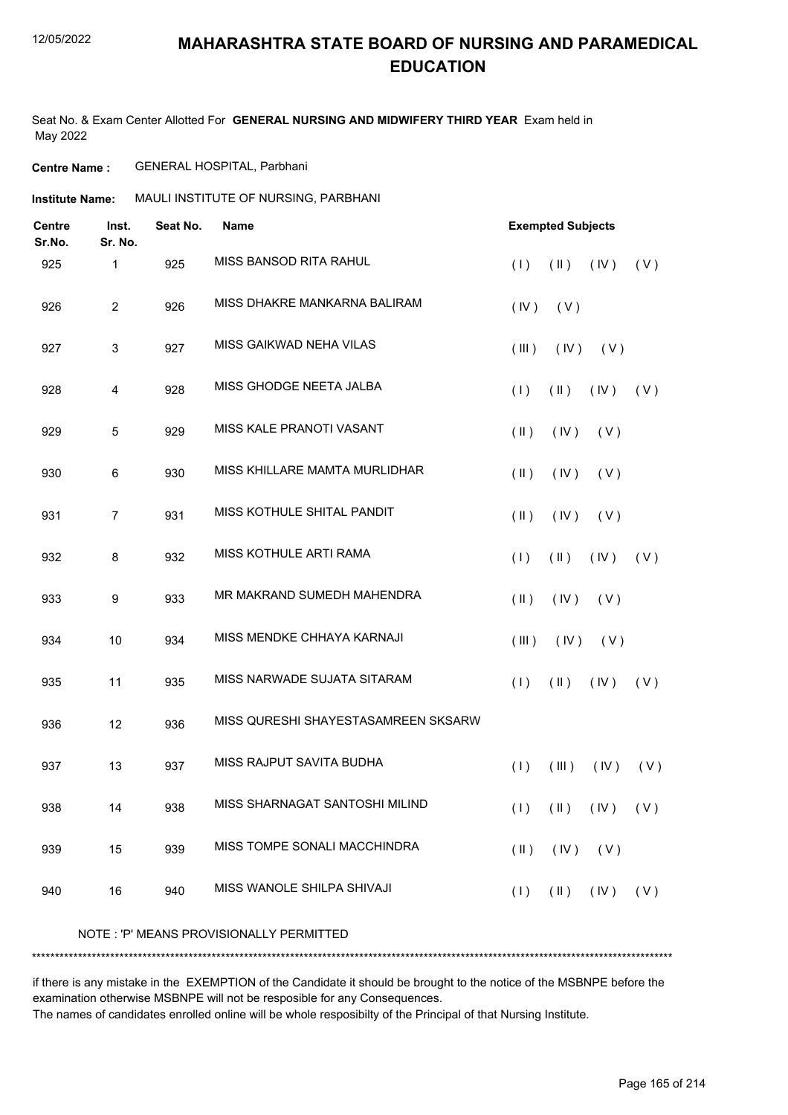Seat No. & Exam Center Allotted For **GENERAL NURSING AND MIDWIFERY THIRD YEAR** Exam held in May 2022

### **Centre Name :** GENERAL HOSPITAL, Parbhani

| MAULI INSTITUTE OF NURSING, PARBHANI |  |
|--------------------------------------|--|
|                                      |  |

| <b>Centre</b><br>Sr.No. | Inst.<br>Sr. No. | Seat No. | <b>Name</b>                             |               | <b>Exempted Subjects</b>      |                               |     |
|-------------------------|------------------|----------|-----------------------------------------|---------------|-------------------------------|-------------------------------|-----|
| 925                     | 1                | 925      | <b>MISS BANSOD RITA RAHUL</b>           | (1)           | $(\parallel)$                 | (IV)                          | (V) |
| 926                     | $\overline{2}$   | 926      | MISS DHAKRE MANKARNA BALIRAM            | (IV)          | (V)                           |                               |     |
| 927                     | $\mathbf{3}$     | 927      | MISS GAIKWAD NEHA VILAS                 | (III)         | (IV)                          | (V)                           |     |
| 928                     | 4                | 928      | MISS GHODGE NEETA JALBA                 | (1)           | $(\parallel)$                 | (IV)                          | (V) |
| 929                     | 5                | 929      | MISS KALE PRANOTI VASANT                | $(\parallel)$ | (IV)                          | (V)                           |     |
| 930                     | 6                | 930      | MISS KHILLARE MAMTA MURLIDHAR           | $(\parallel)$ | (IV)                          | (V)                           |     |
| 931                     | $\overline{7}$   | 931      | MISS KOTHULE SHITAL PANDIT              | $($ II $)$    | (IV)                          | (V)                           |     |
| 932                     | 8                | 932      | MISS KOTHULE ARTI RAMA                  | (1)           | $(\parallel)$                 | (IV)                          | (V) |
| 933                     | 9                | 933      | MR MAKRAND SUMEDH MAHENDRA              | $(\parallel)$ | (IV)                          | (V)                           |     |
| 934                     | 10               | 934      | MISS MENDKE CHHAYA KARNAJI              | (III)         | (IV)                          | (V)                           |     |
| 935                     | 11               | 935      | MISS NARWADE SUJATA SITARAM             | (1)           | $(\parallel)$                 | (IV)                          | (V) |
| 936                     | 12               | 936      | MISS QURESHI SHAYESTASAMREEN SKSARW     |               |                               |                               |     |
| 937                     | 13               | 937      | MISS RAJPUT SAVITA BUDHA                | (1)           | (III)                         | (IV)                          | (V) |
| 938                     | 14               | 938      | MISS SHARNAGAT SANTOSHI MILIND          |               |                               | $(1)$ $(1)$ $(1)$ $(1)$ $(1)$ |     |
| 939                     | 15               | 939      | MISS TOMPE SONALI MACCHINDRA            | $(\parallel)$ | $(IV)$ $(V)$                  |                               |     |
| 940                     | 16               | 940      | MISS WANOLE SHILPA SHIVAJI              | (1)           | $(\mathbb{I})$ $(\mathbb{N})$ |                               | (V) |
|                         |                  |          | NOTE: 'P' MEANS PROVISIONALLY PERMITTED |               |                               |                               |     |
|                         |                  |          |                                         |               |                               |                               |     |

if there is any mistake in the EXEMPTION of the Candidate it should be brought to the notice of the MSBNPE before the examination otherwise MSBNPE will not be resposible for any Consequences.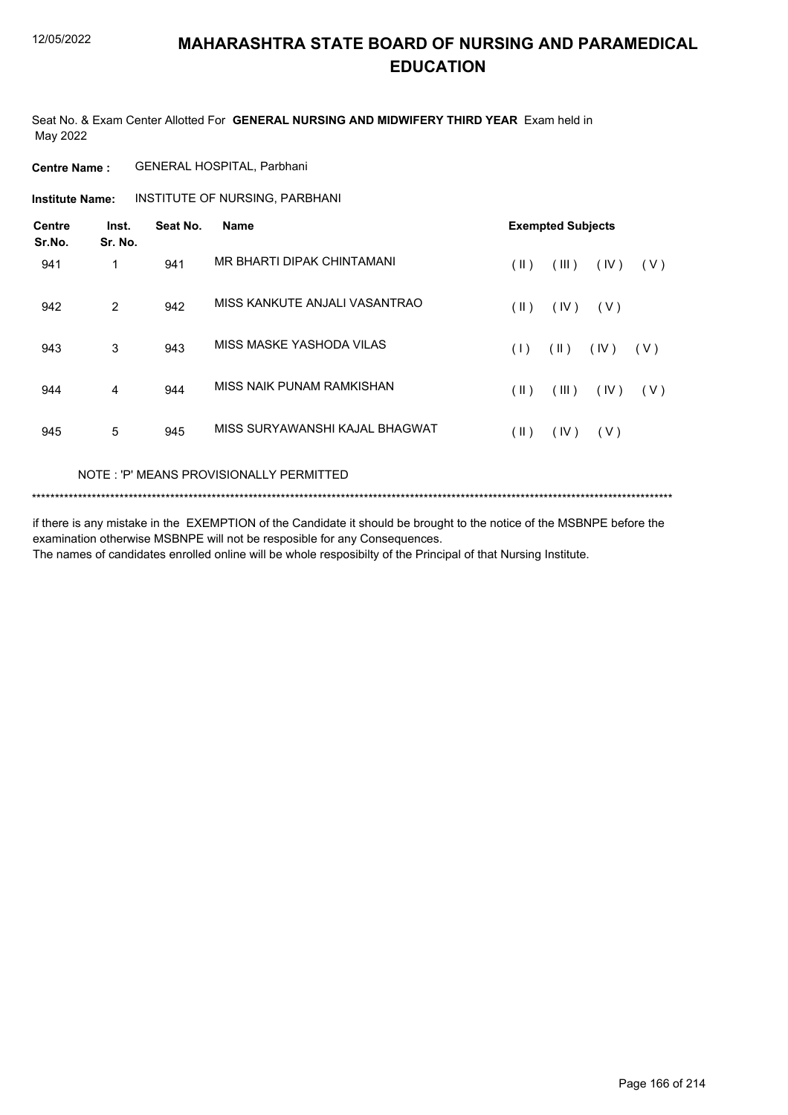Seat No. & Exam Center Allotted For **GENERAL NURSING AND MIDWIFERY THIRD YEAR** Exam held in May 2022

### **Centre Name :** GENERAL HOSPITAL, Parbhani

**Institute Name: INSTITUTE OF NURSING, PARBHANI** 

| <b>Centre</b><br>Sr.No. | Inst.<br>Sr. No. | Seat No. | <b>Name</b>                    | <b>Exempted Subjects</b> |            |       |     |  |
|-------------------------|------------------|----------|--------------------------------|--------------------------|------------|-------|-----|--|
| 941                     | 1                | 941      | MR BHARTI DIPAK CHINTAMANI     | (  )                     | (III)      | (IV)  | (V) |  |
| 942                     | 2                | 942      | MISS KANKUTE ANJALI VASANTRAO  | (  )                     | (IV)       | ( V ) |     |  |
| 943                     | 3                | 943      | MISS MASKE YASHODA VILAS       | (1)                      | $($ II $)$ | (IV)  | (V) |  |
| 944                     | 4                | 944      | MISS NAIK PUNAM RAMKISHAN      | (  )                     | (III)      | (IV)  | (V) |  |
| 945                     | 5                | 945      | MISS SURYAWANSHI KAJAL BHAGWAT | (  )                     | (IV)       | (V)   |     |  |

### NOTE : 'P' MEANS PROVISIONALLY PERMITTED

```
*******************************************************************************************************************************************
```
if there is any mistake in the EXEMPTION of the Candidate it should be brought to the notice of the MSBNPE before the examination otherwise MSBNPE will not be resposible for any Consequences. The names of candidates enrolled online will be whole resposibilty of the Principal of that Nursing Institute.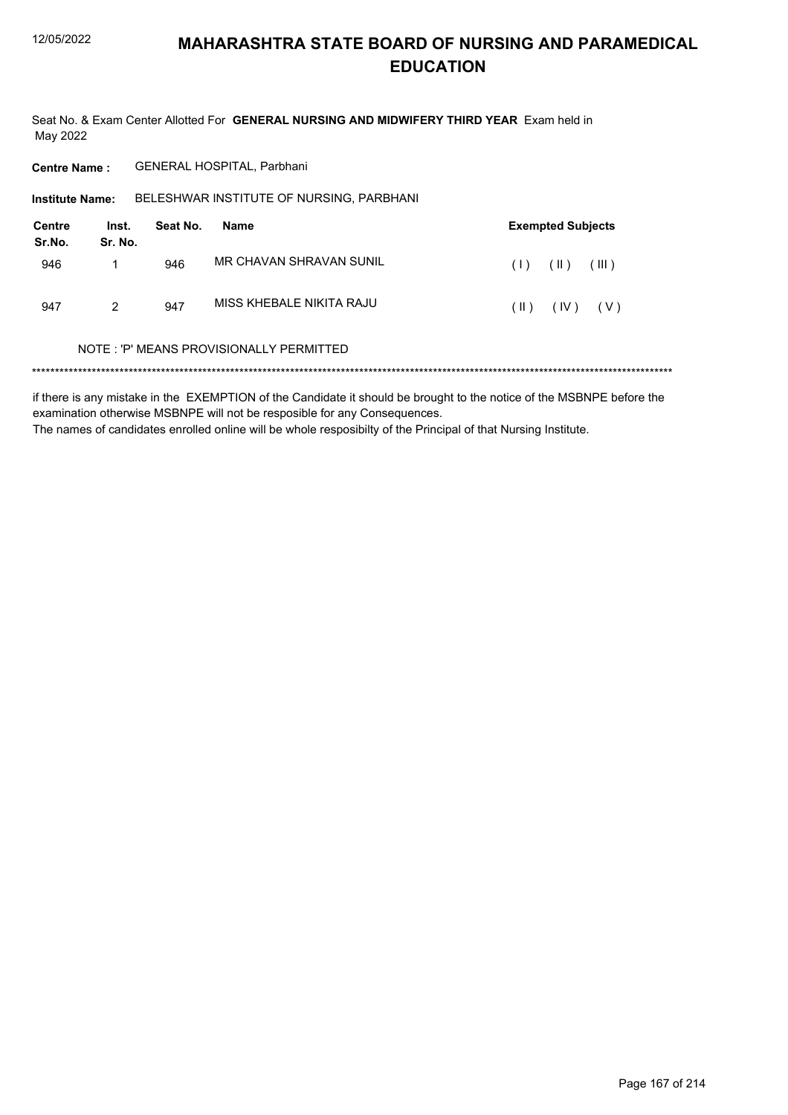Seat No. & Exam Center Allotted For GENERAL NURSING AND MIDWIFERY THIRD YEAR Exam held in May 2022

**Centre Name:** GENERAL HOSPITAL, Parbhani

BELESHWAR INSTITUTE OF NURSING, PARBHANI **Institute Name:** 

| Centre<br>Sr.No. | Inst.<br>Sr. No. | Seat No. | Name                     |      | <b>Exempted Subjects</b> |
|------------------|------------------|----------|--------------------------|------|--------------------------|
| 946              |                  | 946      | MR CHAVAN SHRAVAN SUNIL  |      | $(1)$ $(1)$ $(11)$       |
| 947              | 2                | 947      | MISS KHEBALE NIKITA RAJU | (  ) | $(IV)$ $(V)$             |

### NOTE: 'P' MEANS PROVISIONALLY PERMITTED

if there is any mistake in the EXEMPTION of the Candidate it should be brought to the notice of the MSBNPE before the examination otherwise MSBNPE will not be resposible for any Consequences. The names of candidates enrolled online will be whole resposibilty of the Principal of that Nursing Institute.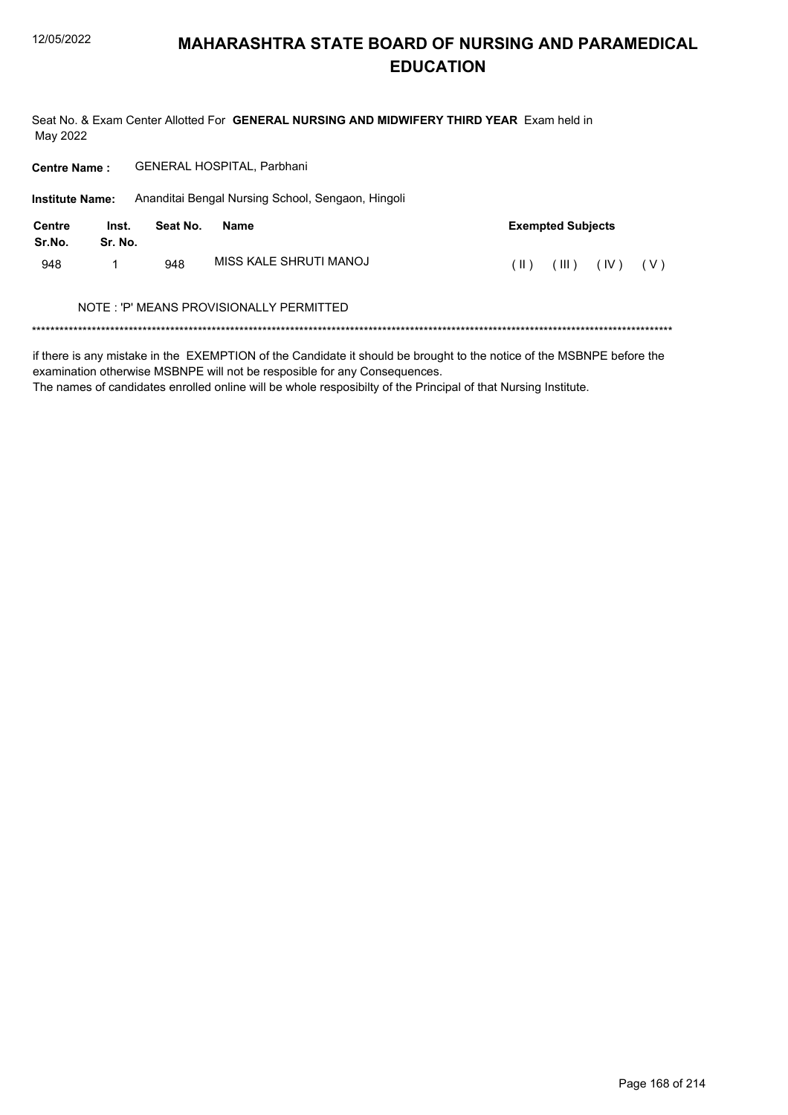Seat No. & Exam Center Allotted For GENERAL NURSING AND MIDWIFERY THIRD YEAR Exam held in May 2022

| <b>Centre Name:</b>     |                  |          | <b>GENERAL HOSPITAL, Parbhani</b>                 |      |                          |      |       |
|-------------------------|------------------|----------|---------------------------------------------------|------|--------------------------|------|-------|
| <b>Institute Name:</b>  |                  |          | Ananditai Bengal Nursing School, Sengaon, Hingoli |      |                          |      |       |
| <b>Centre</b><br>Sr.No. | Inst.<br>Sr. No. | Seat No. | <b>Name</b>                                       |      | <b>Exempted Subjects</b> |      |       |
| 948                     |                  | 948      | MISS KAI F SHRUTI MANOJ                           | (II) | (III)                    | (IV) | ( V ) |
|                         |                  |          | NOTE : 'P' MEANS PROVISIONALLY PERMITTED          |      |                          |      |       |
|                         |                  |          |                                                   |      |                          |      |       |

if there is any mistake in the EXEMPTION of the Candidate it should be brought to the notice of the MSBNPE before the examination otherwise MSBNPE will not be resposible for any Consequences.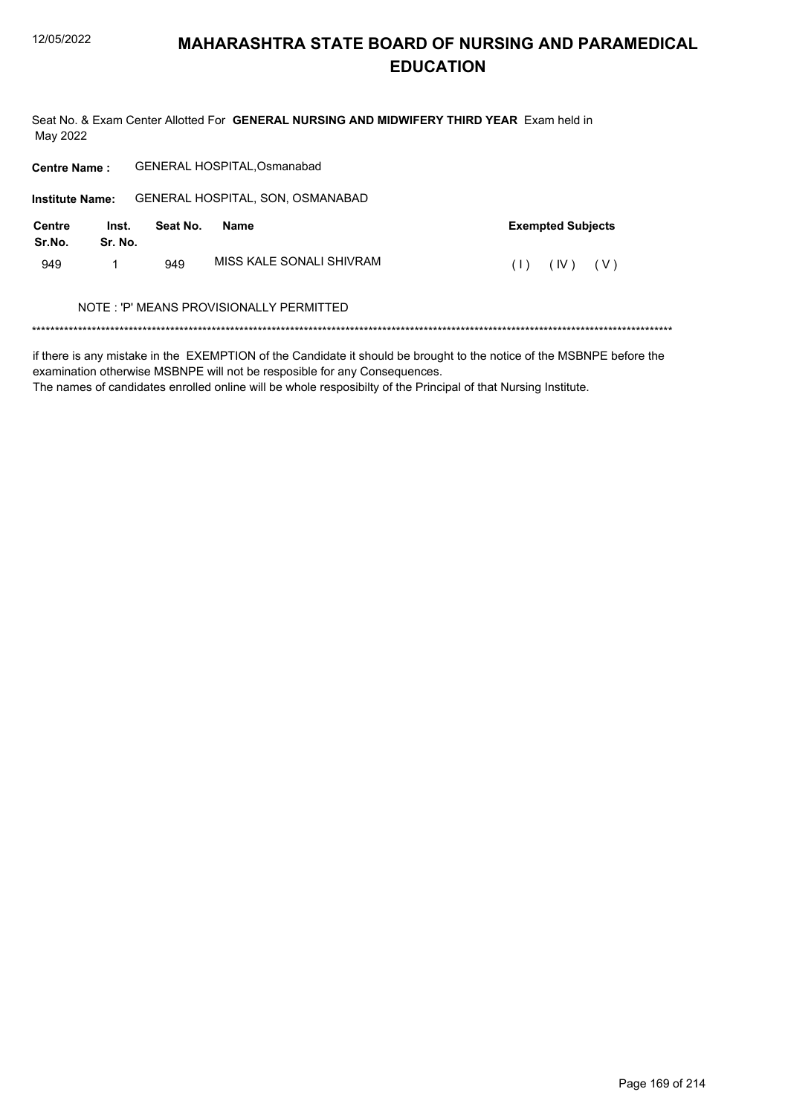Seat No. & Exam Center Allotted For GENERAL NURSING AND MIDWIFERY THIRD YEAR Exam held in May 2022

| <b>Centre Name:</b>     |                  |          | <b>GENERAL HOSPITAL, Osmanabad</b>      |     |                          |
|-------------------------|------------------|----------|-----------------------------------------|-----|--------------------------|
| <b>Institute Name:</b>  |                  |          | GENERAL HOSPITAL, SON, OSMANABAD        |     |                          |
| <b>Centre</b><br>Sr.No. | Inst.<br>Sr. No. | Seat No. | <b>Name</b>                             |     | <b>Exempted Subjects</b> |
| 949                     |                  | 949      | MISS KALE SONALI SHIVRAM                | (1) | (IV)<br>(V)              |
|                         |                  |          | NOTE: 'P' MEANS PROVISIONALLY PERMITTED |     |                          |
|                         |                  |          |                                         |     |                          |

if there is any mistake in the EXEMPTION of the Candidate it should be brought to the notice of the MSBNPE before the examination otherwise MSBNPE will not be resposible for any Consequences.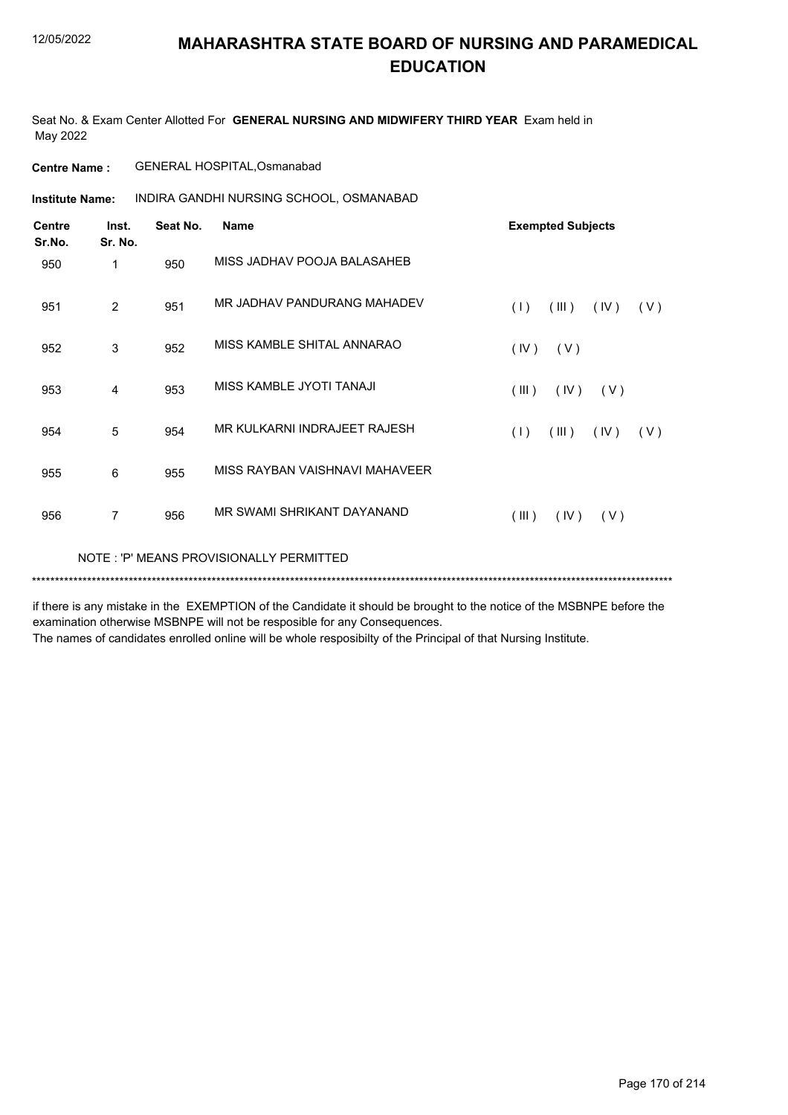Seat No. & Exam Center Allotted For **GENERAL NURSING AND MIDWIFERY THIRD YEAR** Exam held in May 2022

**Centre Name :** GENERAL HOSPITAL,Osmanabad

INDIRA GANDHI NURSING SCHOOL, OSMANABAD **Institute Name:**

| <b>Centre</b><br>Sr.No. | Inst.<br>Sr. No.                        | Seat No. | <b>Name</b>                    | <b>Exempted Subjects</b>    |  |  |
|-------------------------|-----------------------------------------|----------|--------------------------------|-----------------------------|--|--|
| 950                     | 1                                       | 950      | MISS JADHAV POOJA BALASAHEB    |                             |  |  |
| 951                     | 2                                       | 951      | MR JADHAV PANDURANG MAHADEV    | (1)<br>(III)<br>(IV)<br>(V) |  |  |
| 952                     | 3                                       | 952      | MISS KAMBLE SHITAL ANNARAO     | (IV)<br>(V)                 |  |  |
| 953                     | 4                                       | 953      | MISS KAMBLE JYOTI TANAJI       | (III)<br>(IV)<br>(V)        |  |  |
| 954                     | 5                                       | 954      | MR KULKARNI INDRAJEET RAJESH   | (1)<br>(III)<br>(IV)<br>(V) |  |  |
| 955                     | 6                                       | 955      | MISS RAYBAN VAISHNAVI MAHAVEER |                             |  |  |
| 956                     | $\overline{7}$                          | 956      | MR SWAMI SHRIKANT DAYANAND     | (III)<br>(IV)<br>(V)        |  |  |
|                         | NOTE: 'P' MEANS PROVISIONALLY PERMITTED |          |                                |                             |  |  |
|                         |                                         |          |                                |                             |  |  |

if there is any mistake in the EXEMPTION of the Candidate it should be brought to the notice of the MSBNPE before the examination otherwise MSBNPE will not be resposible for any Consequences.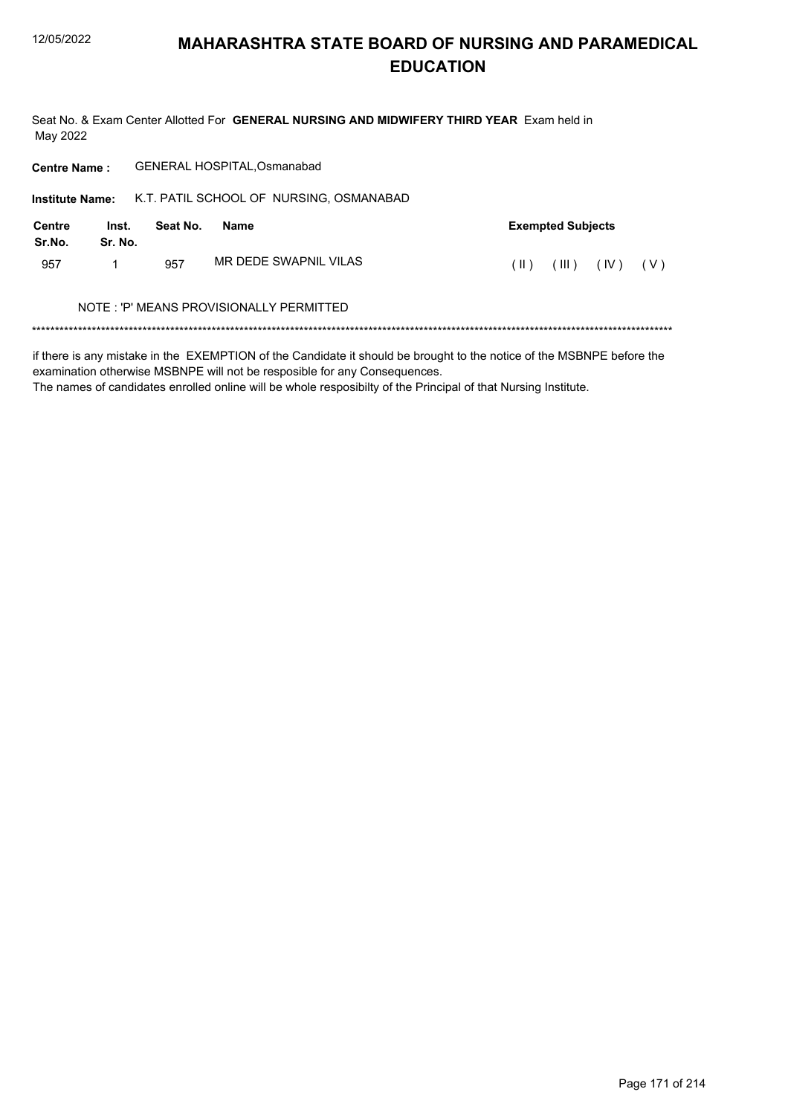Seat No. & Exam Center Allotted For GENERAL NURSING AND MIDWIFERY THIRD YEAR Exam held in May 2022

| <b>Centre Name:</b>     |                  |          | <b>GENERAL HOSPITAL, Osmanabad</b>      |      |                          |      |       |
|-------------------------|------------------|----------|-----------------------------------------|------|--------------------------|------|-------|
| <b>Institute Name:</b>  |                  |          | K.T. PATIL SCHOOL OF NURSING, OSMANABAD |      |                          |      |       |
| <b>Centre</b><br>Sr.No. | Inst.<br>Sr. No. | Seat No. | Name                                    |      | <b>Exempted Subjects</b> |      |       |
| 957                     | 1                | 957      | MR DEDE SWAPNIL VILAS                   | (  ) | (III)                    | (IV) | ( V ) |
|                         |                  |          | NOTE: 'P' MEANS PROVISIONALLY PERMITTED |      |                          |      |       |
|                         |                  |          |                                         |      |                          |      |       |

if there is any mistake in the EXEMPTION of the Candidate it should be brought to the notice of the MSBNPE before the examination otherwise MSBNPE will not be resposible for any Consequences.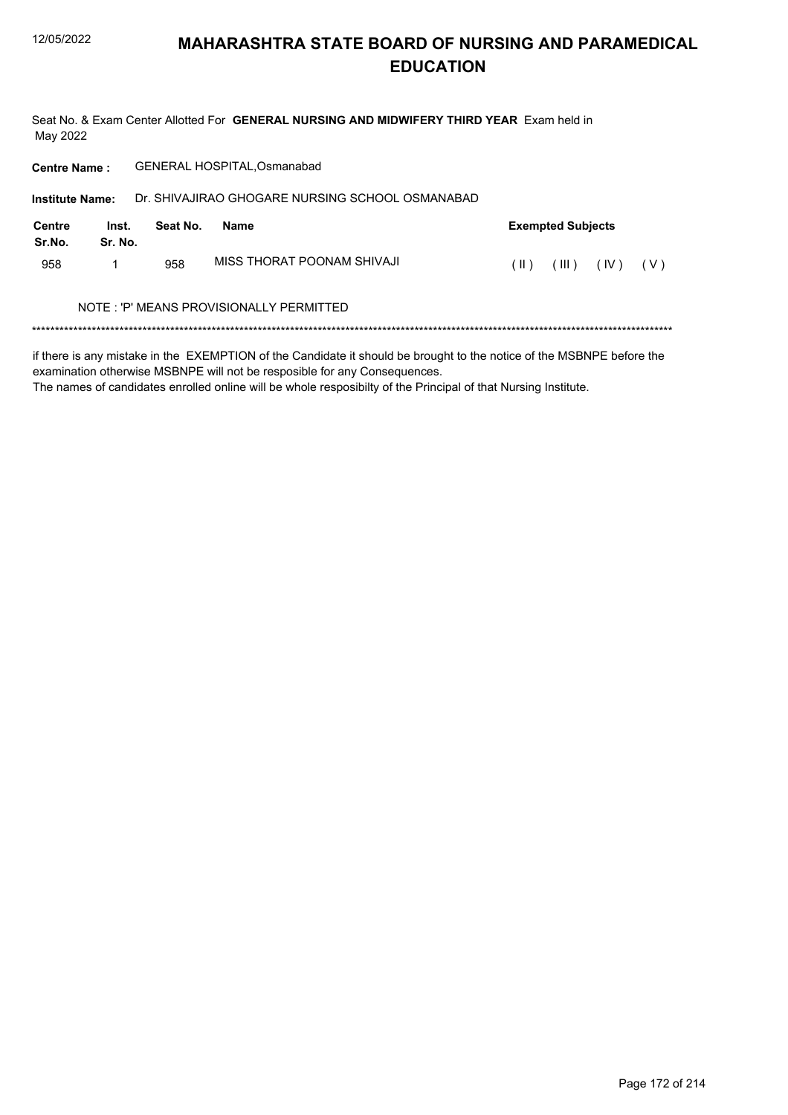Seat No. & Exam Center Allotted For GENERAL NURSING AND MIDWIFERY THIRD YEAR Exam held in May 2022

| <b>Centre Name:</b>    |                  |          | <b>GENERAL HOSPITAL, Osmanabad</b>              |      |                          |      |     |
|------------------------|------------------|----------|-------------------------------------------------|------|--------------------------|------|-----|
| <b>Institute Name:</b> |                  |          | Dr. SHIVAJIRAO GHOGARE NURSING SCHOOL OSMANABAD |      |                          |      |     |
| Centre<br>Sr.No.       | Inst.<br>Sr. No. | Seat No. | Name                                            |      | <b>Exempted Subjects</b> |      |     |
| 958                    | 1                | 958      | MISS THORAT POONAM SHIVAJI                      | (  ) | (III)                    | (IV) | (V) |
|                        |                  |          | NOTE: 'P' MEANS PROVISIONALLY PERMITTED         |      |                          |      |     |
|                        |                  |          |                                                 |      |                          |      |     |
| $\cdots$               | .                |          |                                                 |      |                          |      |     |

if there is any mistake in the EXEMPTION of the Candidate it should be brought to the notice of the MSBNPE before the examination otherwise MSBNPE will not be resposible for any Consequences.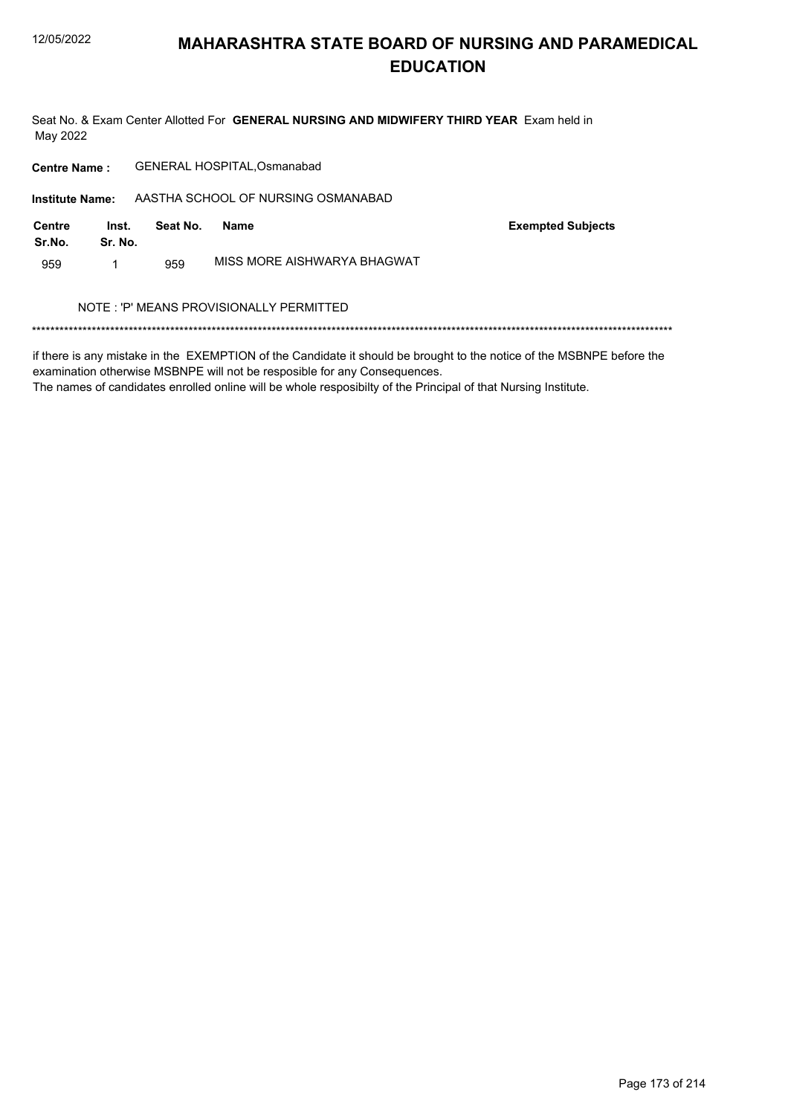Seat No. & Exam Center Allotted For GENERAL NURSING AND MIDWIFERY THIRD YEAR Exam held in May 2022

GENERAL HOSPITAL, Osmanabad **Centre Name:** AASTHA SCHOOL OF NURSING OSMANABAD **Institute Name: Centre** Inst. **Exempted Subjects** Seat No. **Name** Sr.No. Sr. No. MISS MORE AISHWARYA BHAGWAT 959  $\mathbf{1}$ 959 NOTE: 'P' MEANS PROVISIONALLY PERMITTED 

if there is any mistake in the EXEMPTION of the Candidate it should be brought to the notice of the MSBNPE before the examination otherwise MSBNPE will not be resposible for any Consequences.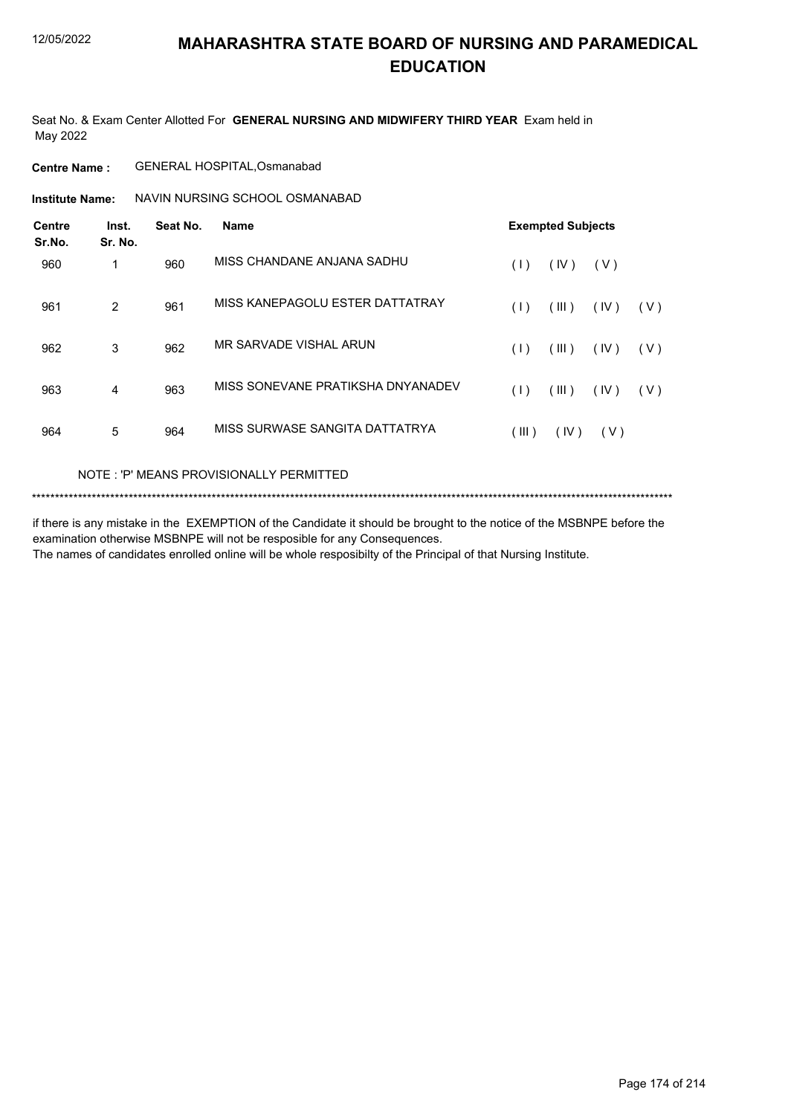Seat No. & Exam Center Allotted For **GENERAL NURSING AND MIDWIFERY THIRD YEAR** Exam held in May 2022

### **Centre Name :** GENERAL HOSPITAL,Osmanabad

NAVIN NURSING SCHOOL OSMANABAD **Institute Name:**

| <b>Centre</b><br>Sr.No. | Inst.<br>Sr. No. | Seat No. | <b>Name</b>                       | <b>Exempted Subjects</b> |       |      |       |  |
|-------------------------|------------------|----------|-----------------------------------|--------------------------|-------|------|-------|--|
| 960                     |                  | 960      | MISS CHANDANE ANJANA SADHU        | (1)                      | (IV)  | (V)  |       |  |
| 961                     | 2                | 961      | MISS KANEPAGOLU ESTER DATTATRAY   | (1)                      | (III) | (IV) | (V)   |  |
| 962                     | 3                | 962      | MR SARVADE VISHAL ARUN            | (1)                      | (III) | (IV) | (V)   |  |
| 963                     | 4                | 963      | MISS SONEVANE PRATIKSHA DNYANADEV | (1)                      | (III) | (IV) | ( V ) |  |
| 964                     | 5                | 964      | MISS SURWASE SANGITA DATTATRYA    | (III)                    | (IV)  | (V)  |       |  |

### NOTE : 'P' MEANS PROVISIONALLY PERMITTED

```
*******************************************************************************************************************************************
```
if there is any mistake in the EXEMPTION of the Candidate it should be brought to the notice of the MSBNPE before the examination otherwise MSBNPE will not be resposible for any Consequences. The names of candidates enrolled online will be whole resposibilty of the Principal of that Nursing Institute.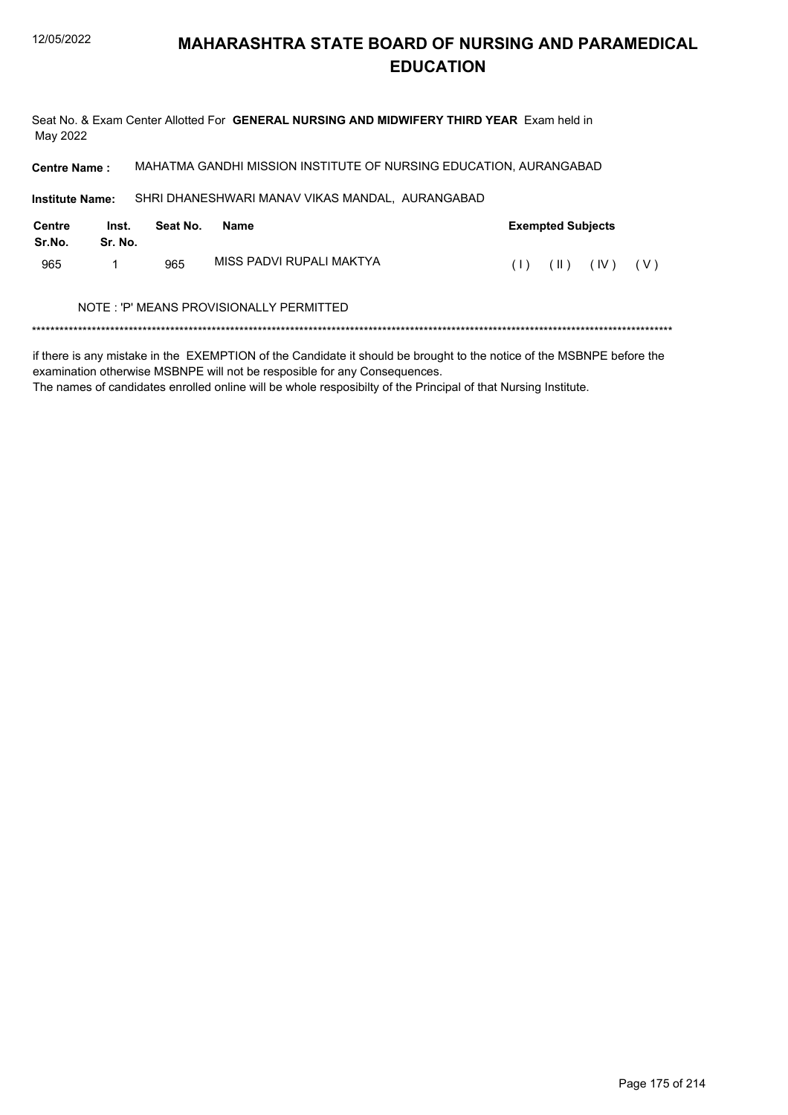Seat No. & Exam Center Allotted For GENERAL NURSING AND MIDWIFERY THIRD YEAR Exam held in May 2022

MAHATMA GANDHI MISSION INSTITUTE OF NURSING EDUCATION, AURANGABAD **Centre Name:** SHRI DHANESHWARI MANAV VIKAS MANDAL, AURANGABAD **Institute Name: Centre** Inst. Seat No. **Exempted Subjects Name** Sr.No. Sr. No. MISS PADVI RUPALI MAKTYA 965  $\mathbf{1}$ 965  $(1)$   $(1)$   $(1)$   $(1)$   $(1)$ NOTE: 'P' MEANS PROVISIONALLY PERMITTED

if there is any mistake in the EXEMPTION of the Candidate it should be brought to the notice of the MSBNPE before the examination otherwise MSBNPE will not be resposible for any Consequences.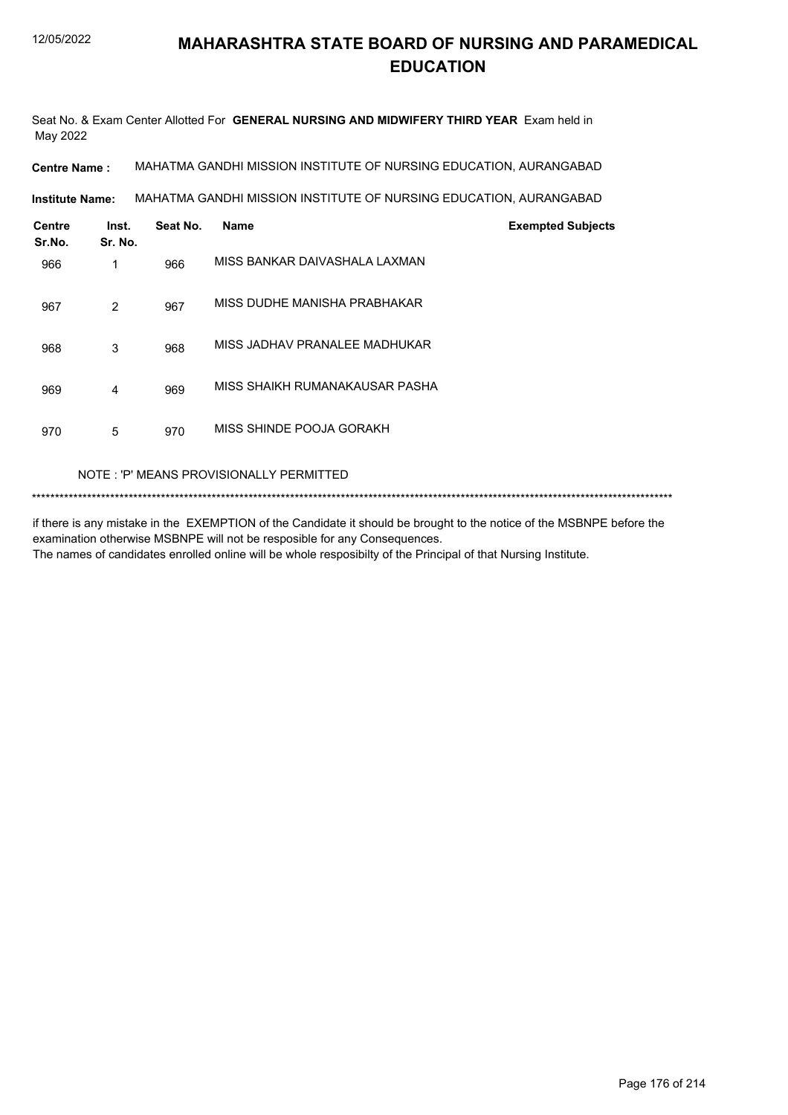Seat No. & Exam Center Allotted For **GENERAL NURSING AND MIDWIFERY THIRD YEAR** Exam held in May 2022

**Centre Name :** MAHATMA GANDHI MISSION INSTITUTE OF NURSING EDUCATION, AURANGABAD

MAHATMA GANDHI MISSION INSTITUTE OF NURSING EDUCATION, AURANGABAD **Institute Name:**

| <b>Centre</b><br>Sr.No. | Inst.<br>Sr. No. | Seat No. | <b>Name</b>                    | <b>Exempted Subjects</b> |
|-------------------------|------------------|----------|--------------------------------|--------------------------|
| 966                     | 1                | 966      | MISS BANKAR DAIVASHALA LAXMAN  |                          |
| 967                     | 2                | 967      | MISS DUDHE MANISHA PRABHAKAR   |                          |
| 968                     | 3                | 968      | MISS JADHAV PRANALEE MADHUKAR  |                          |
| 969                     | 4                | 969      | MISS SHAIKH RUMANAKAUSAR PASHA |                          |
| 970                     | 5                | 970      | MISS SHINDE POOJA GORAKH       |                          |

### NOTE : 'P' MEANS PROVISIONALLY PERMITTED

\*\*\*\*\*\*\*\*\*\*\*\*\*\*\*\*\*\*\*\*\*\*\*\*\*\*\*\*\*\*\*\*\*\*\*\*\*\*\*\*\*\*\*\*\*\*\*\*\*\*\*\*\*\*\*\*\*\*\*\*\*\*\*\*\*\*\*\*\*\*\*\*\*\*\*\*\*\*\*\*\*\*\*\*\*\*\*\*\*\*\*\*\*\*\*\*\*\*\*\*\*\*\*\*\*\*\*\*\*\*\*\*\*\*\*\*\*\*\*\*\*\*\*\*\*\*\*\*\*\*\*\*\*\*\*\*\*\*\*

if there is any mistake in the EXEMPTION of the Candidate it should be brought to the notice of the MSBNPE before the examination otherwise MSBNPE will not be resposible for any Consequences. The names of candidates enrolled online will be whole resposibilty of the Principal of that Nursing Institute.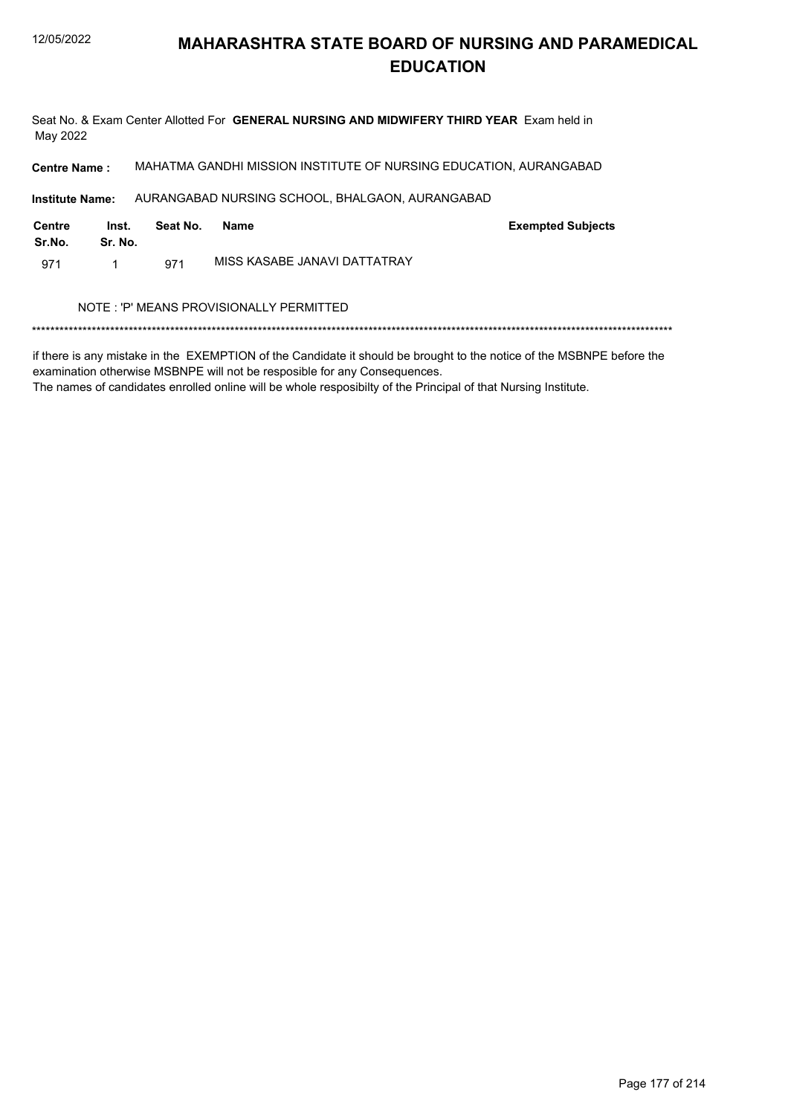Seat No. & Exam Center Allotted For GENERAL NURSING AND MIDWIFERY THIRD YEAR Exam held in May 2022

MAHATMA GANDHI MISSION INSTITUTE OF NURSING EDUCATION, AURANGABAD **Centre Name:** 

**Institute Name:** AURANGABAD NURSING SCHOOL, BHALGAON, AURANGABAD

| Centre<br>Sr.No. | Inst.<br>Sr. No. | Seat No. | Name                         | <b>Exempted Subjects</b> |
|------------------|------------------|----------|------------------------------|--------------------------|
| 971              |                  | 971      | MISS KASABE JANAVI DATTATRAY |                          |

### NOTE : 'P' MEANS PROVISIONALLY PERMITTED

if there is any mistake in the EXEMPTION of the Candidate it should be brought to the notice of the MSBNPE before the examination otherwise MSBNPE will not be resposible for any Consequences.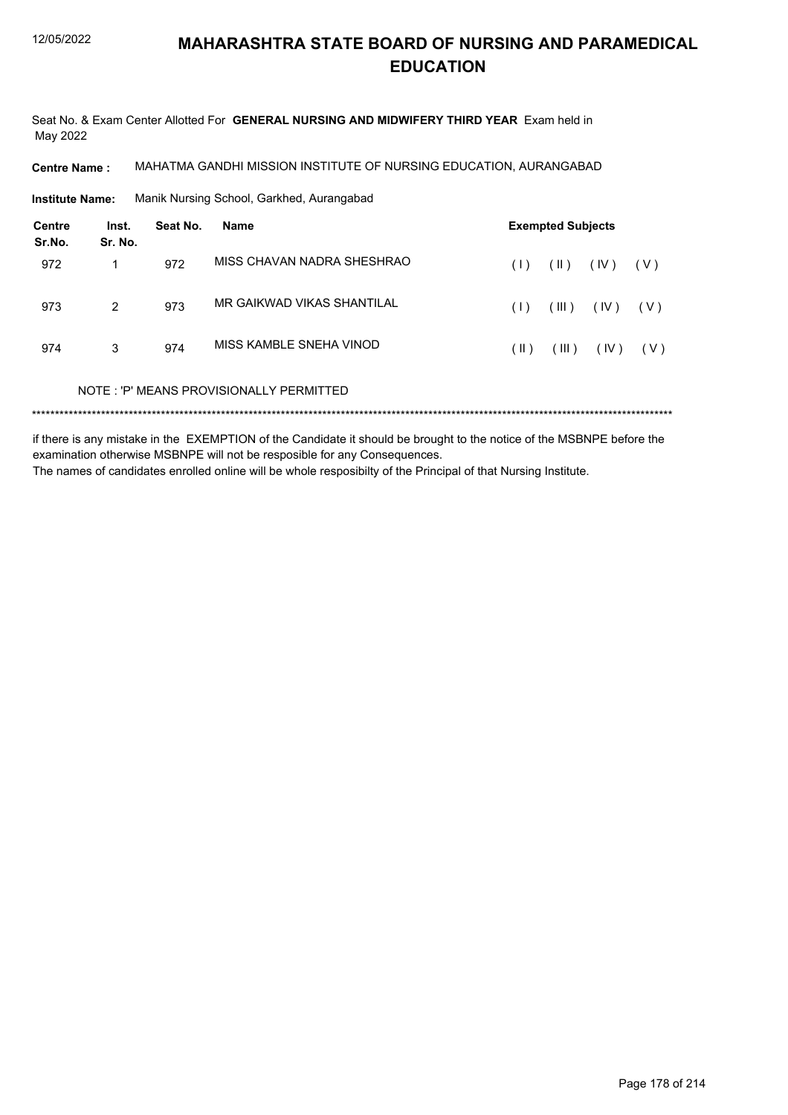Seat No. & Exam Center Allotted For GENERAL NURSING AND MIDWIFERY THIRD YEAR Exam held in May 2022

MAHATMA GANDHI MISSION INSTITUTE OF NURSING EDUCATION, AURANGABAD **Centre Name:** 

**Institute Name:** Manik Nursing School, Garkhed, Aurangabad

| Centre<br>Sr.No. | Inst.<br>Sr. No. | Seat No. | <b>Name</b>                             |      | <b>Exempted Subjects</b> |      |       |
|------------------|------------------|----------|-----------------------------------------|------|--------------------------|------|-------|
| 972              | 1                | 972      | MISS CHAVAN NADRA SHESHRAO              | (1)  | $(\parallel)$            | (IV) | ( V ) |
| 973              | $\overline{2}$   | 973      | MR GAIKWAD VIKAS SHANTII AL             | (1)  | (III)                    | (IV) | ( V ) |
| 974              | 3                | 974      | MISS KAMBI F SNEHA VINOD                | (  ) | (III)                    | (IV) | ( V ) |
|                  |                  |          | NOTE: 'P' MEANS PROVISIONALLY PERMITTED |      |                          |      |       |
|                  |                  |          |                                         |      |                          |      |       |

if there is any mistake in the EXEMPTION of the Candidate it should be brought to the notice of the MSBNPE before the examination otherwise MSBNPE will not be resposible for any Consequences. The names of candidates enrolled online will be whole resposibilty of the Principal of that Nursing Institute.

Page 178 of 214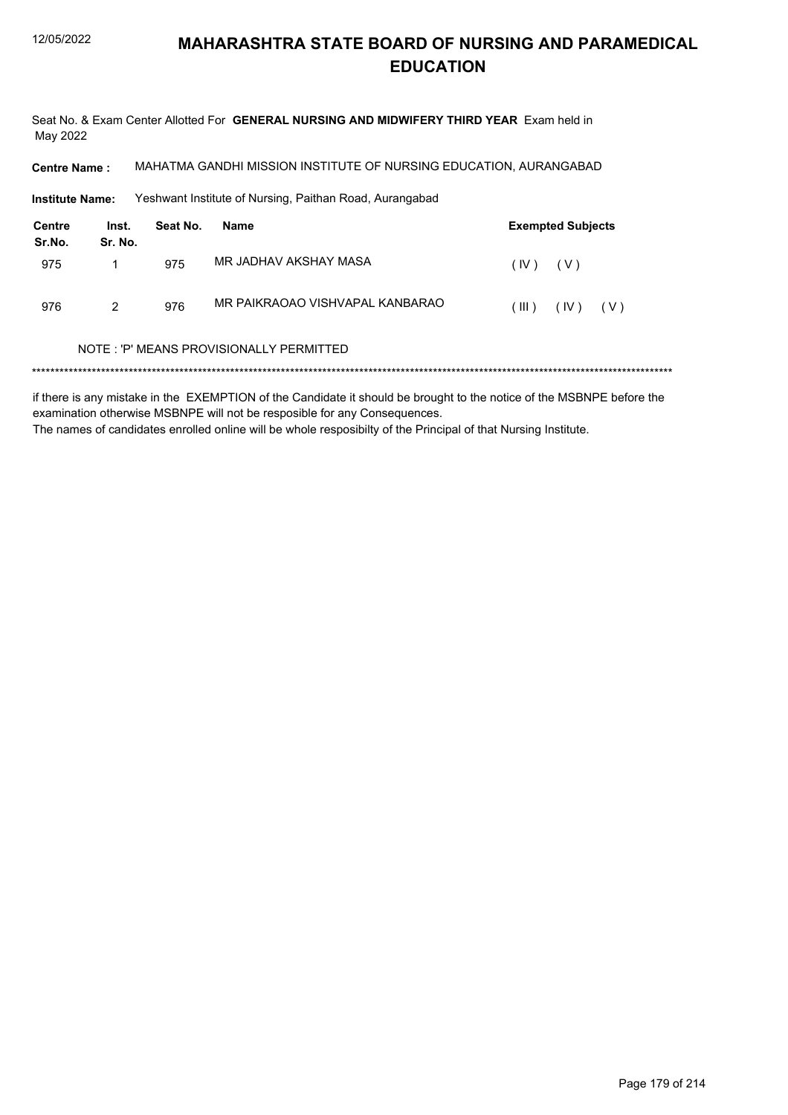Seat No. & Exam Center Allotted For GENERAL NURSING AND MIDWIFERY THIRD YEAR Exam held in May 2022

MAHATMA GANDHI MISSION INSTITUTE OF NURSING EDUCATION, AURANGABAD **Centre Name:** 

**Institute Name:** Yeshwant Institute of Nursing, Paithan Road, Aurangabad

| Centre<br>Sr.No. | Inst.<br>Sr. No. | Seat No. | Name                            |       | <b>Exempted Subjects</b> |
|------------------|------------------|----------|---------------------------------|-------|--------------------------|
| 975              |                  | 975      | MR JADHAV AKSHAY MASA           | (IV)  | ( V )                    |
| 976              | 2                | 976      | MR PAIKRAOAO VISHVAPAL KANBARAO | (III) | $(IV)$ $(V)$             |

### NOTE: 'P' MEANS PROVISIONALLY PERMITTED

if there is any mistake in the EXEMPTION of the Candidate it should be brought to the notice of the MSBNPE before the examination otherwise MSBNPE will not be resposible for any Consequences. The names of candidates enrolled online will be whole resposibilty of the Principal of that Nursing Institute.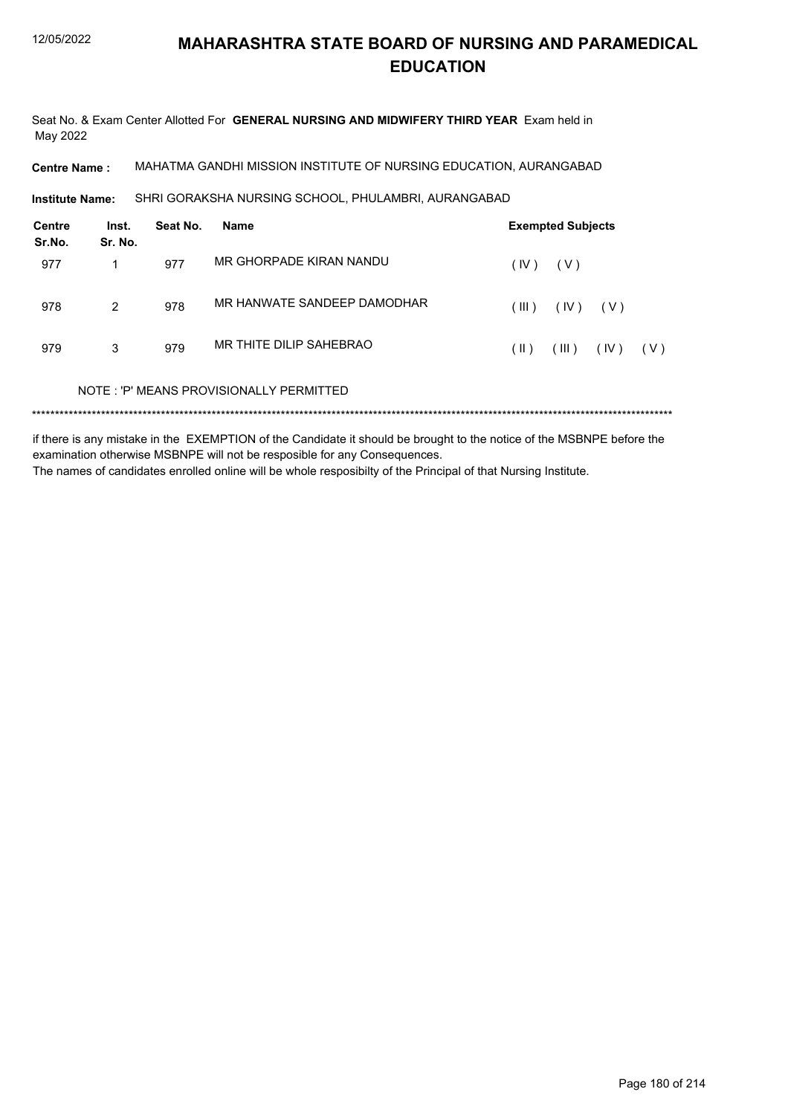Seat No. & Exam Center Allotted For **GENERAL NURSING AND MIDWIFERY THIRD YEAR** Exam held in May 2022

**Centre Name :** MAHATMA GANDHI MISSION INSTITUTE OF NURSING EDUCATION, AURANGABAD

SHRI GORAKSHA NURSING SCHOOL, PHULAMBRI, AURANGABAD **Institute Name:**

| Centre<br>Sr.No. | Inst.<br>Sr. No. | Seat No. | Name                                    |       | <b>Exempted Subjects</b> |       |       |
|------------------|------------------|----------|-----------------------------------------|-------|--------------------------|-------|-------|
| 977              |                  | 977      | MR GHORPADE KIRAN NANDU                 | (IV)  | ( V )                    |       |       |
| 978              | $\mathcal{P}$    | 978      | MR HANWATE SANDEEP DAMODHAR             | (III) | (IV)                     | ( V ) |       |
| 979              | 3                | 979      | MR THITE DILIP SAHEBRAO                 | (  )  | (III)                    | (IV)  | ( V ) |
|                  |                  |          | NOTE: 'P' MEANS PROVISIONALLY PERMITTED |       |                          |       |       |
|                  |                  |          |                                         |       |                          |       |       |

if there is any mistake in the EXEMPTION of the Candidate it should be brought to the notice of the MSBNPE before the examination otherwise MSBNPE will not be resposible for any Consequences. The names of candidates enrolled online will be whole resposibilty of the Principal of that Nursing Institute.

Page 180 of 214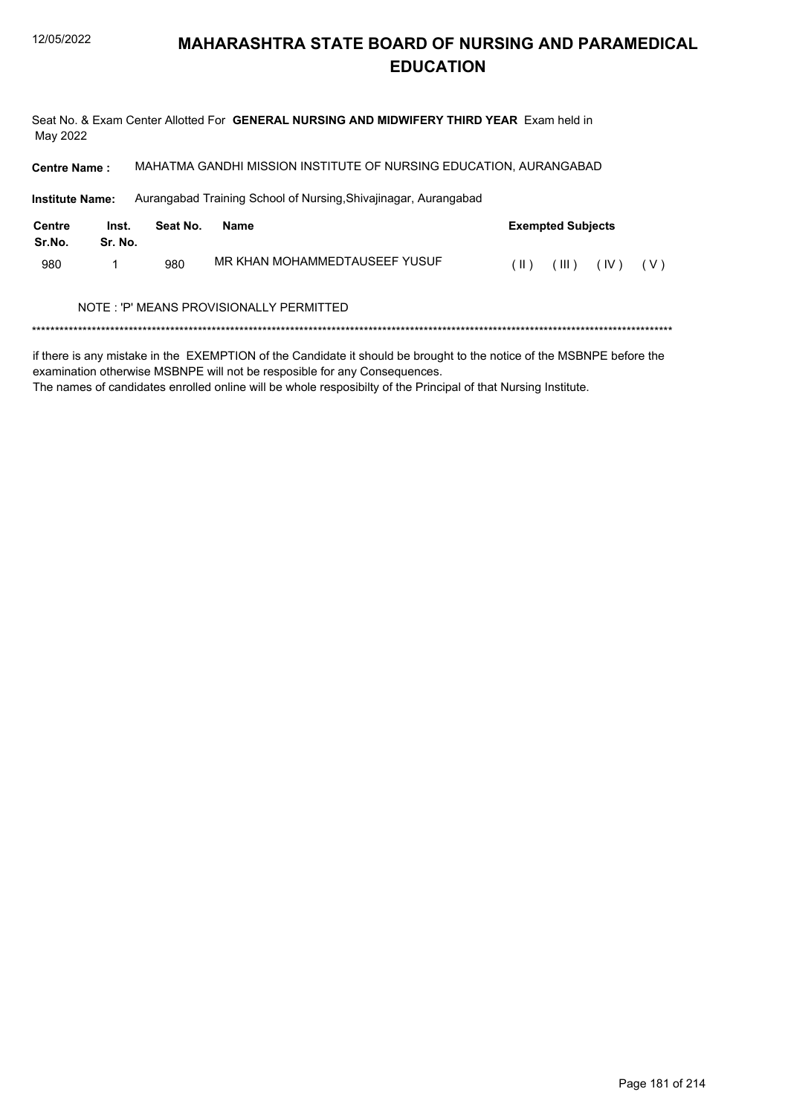Seat No. & Exam Center Allotted For GENERAL NURSING AND MIDWIFERY THIRD YEAR Exam held in May 2022

MAHATMA GANDHI MISSION INSTITUTE OF NURSING EDUCATION, AURANGABAD **Centre Name:** 

**Institute Name:** Aurangabad Training School of Nursing, Shivajinagar, Aurangabad

| Centre<br>Sr.No. | Inst.<br>Sr. No. | Seat No. | Name                                    |      | <b>Exempted Subjects</b> |              |  |  |  |  |
|------------------|------------------|----------|-----------------------------------------|------|--------------------------|--------------|--|--|--|--|
| 980              |                  | 980      | MR KHAN MOHAMMEDTAUSEEF YUSUF           | (  ) | (III)                    | $(IV)$ $(V)$ |  |  |  |  |
|                  |                  |          | NOTE: 'P' MEANS PROVISIONALLY PERMITTED |      |                          |              |  |  |  |  |
|                  |                  |          |                                         |      |                          |              |  |  |  |  |

if there is any mistake in the EXEMPTION of the Candidate it should be brought to the notice of the MSBNPE before the

examination otherwise MSBNPE will not be resposible for any Consequences.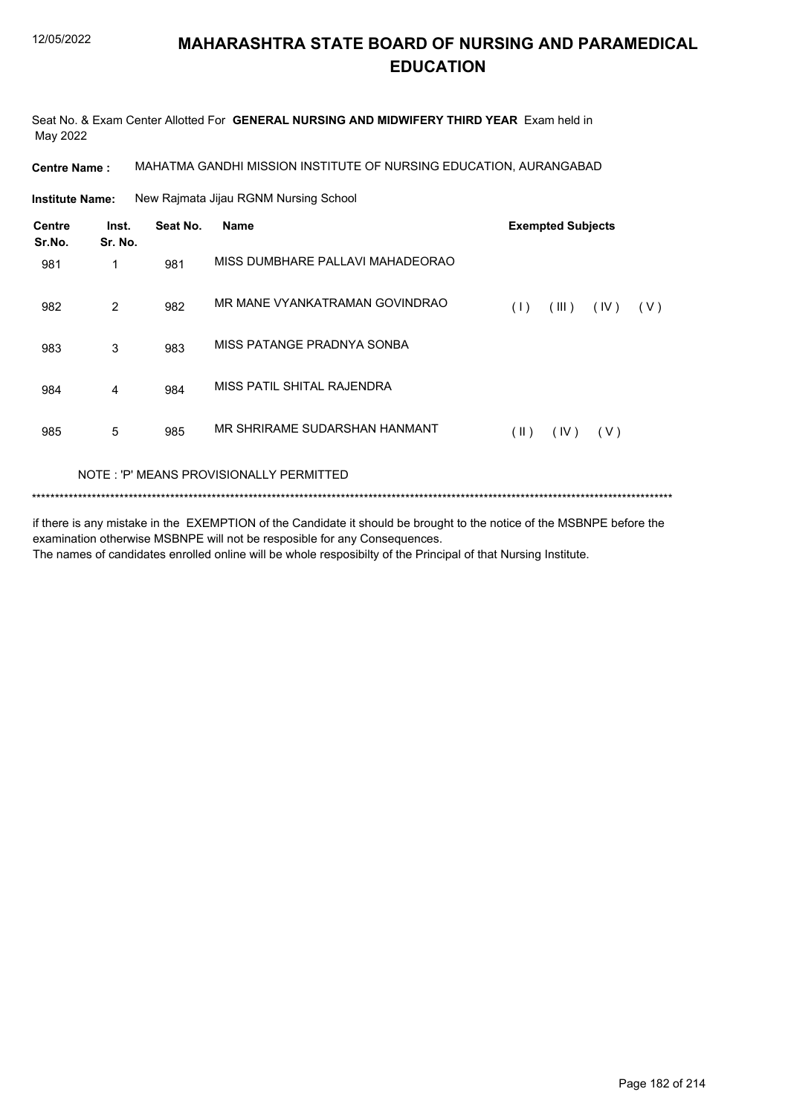Seat No. & Exam Center Allotted For **GENERAL NURSING AND MIDWIFERY THIRD YEAR** Exam held in May 2022

**Centre Name :** MAHATMA GANDHI MISSION INSTITUTE OF NURSING EDUCATION, AURANGABAD

New Rajmata Jijau RGNM Nursing School **Institute Name:**

| Centre<br>Sr.No. | Inst.<br>Sr. No. | Seat No. | <b>Name</b>                             | <b>Exempted Subjects</b> |       |      |       |
|------------------|------------------|----------|-----------------------------------------|--------------------------|-------|------|-------|
| 981              | 1                | 981      | MISS DUMBHARE PALLAVI MAHADEORAO        |                          |       |      |       |
| 982              | 2                | 982      | MR MANE VYANKATRAMAN GOVINDRAO          | (1)                      | (III) | (IV) | ( V ) |
| 983              | 3                | 983      | MISS PATANGE PRADNYA SONBA              |                          |       |      |       |
| 984              | 4                | 984      | MISS PATIL SHITAL RAJENDRA              |                          |       |      |       |
| 985              | 5                | 985      | MR SHRIRAME SUDARSHAN HANMANT           | $(\parallel)$            | (IV)  | (V)  |       |
|                  |                  |          | NOTE: 'P' MEANS PROVISIONALLY PERMITTED |                          |       |      |       |

#### \*\*\*\*\*\*\*\*\*\*\*\*\*\*\*\*\*\*\*\*\*\*\*\*\*\*\*\*\*\*\*\*\*\*\*\*\*\*\*\*\*\*\*\*\*\*\*\*\*\*\*\*\*\*\*\*\*\*\*\*\*\*\*\*\*\*\*\*\*\*\*\*\*\*\*\*\*\*\*\*\*\*\*\*\*\*\*\*\*\*\*\*\*\*\*\*\*\*\*\*\*\*\*\*\*\*\*\*\*\*\*\*\*\*\*\*\*\*\*\*\*\*\*\*\*\*\*\*\*\*\*\*\*\*\*\*\*\*\*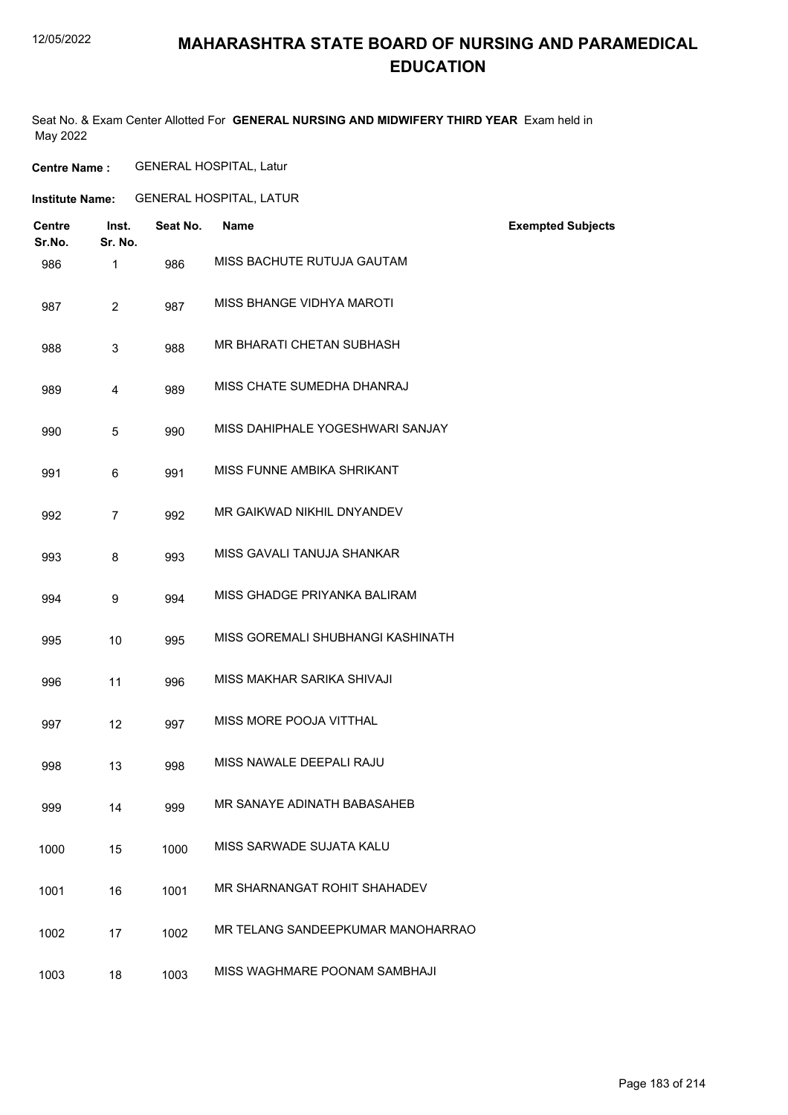#### 12/05/2022

### **MAHARASHTRA STATE BOARD OF NURSING AND PARAMEDICAL EDUCATION**

Seat No. & Exam Center Allotted For **GENERAL NURSING AND MIDWIFERY THIRD YEAR** Exam held in May 2022

**Centre Name :** GENERAL HOSPITAL, Latur

**Institute Name:** GENERAL HOSPITAL, LATUR

| <b>Centre</b><br>Sr.No. | Inst.<br>Sr. No. | Seat No. | <b>Name</b>                       | <b>Exempted Subjects</b> |
|-------------------------|------------------|----------|-----------------------------------|--------------------------|
| 986                     | 1                | 986      | MISS BACHUTE RUTUJA GAUTAM        |                          |
| 987                     | $\overline{2}$   | 987      | MISS BHANGE VIDHYA MAROTI         |                          |
| 988                     | 3                | 988      | MR BHARATI CHETAN SUBHASH         |                          |
| 989                     | 4                | 989      | MISS CHATE SUMEDHA DHANRAJ        |                          |
| 990                     | 5                | 990      | MISS DAHIPHALE YOGESHWARI SANJAY  |                          |
| 991                     | 6                | 991      | MISS FUNNE AMBIKA SHRIKANT        |                          |
| 992                     | $\overline{7}$   | 992      | MR GAIKWAD NIKHIL DNYANDEV        |                          |
| 993                     | 8                | 993      | MISS GAVALI TANUJA SHANKAR        |                          |
| 994                     | 9                | 994      | MISS GHADGE PRIYANKA BALIRAM      |                          |
| 995                     | 10               | 995      | MISS GOREMALI SHUBHANGI KASHINATH |                          |
| 996                     | 11               | 996      | MISS MAKHAR SARIKA SHIVAJI        |                          |
| 997                     | 12               | 997      | MISS MORE POOJA VITTHAL           |                          |
| 998                     | 13               | 998      | MISS NAWALE DEEPALI RAJU          |                          |
| 999                     | 14               | 999      | MR SANAYE ADINATH BABASAHEB       |                          |
| 1000                    | 15               | 1000     | MISS SARWADE SUJATA KALU          |                          |
| 1001                    | 16               | 1001     | MR SHARNANGAT ROHIT SHAHADEV      |                          |
| 1002                    | 17               | 1002     | MR TELANG SANDEEPKUMAR MANOHARRAO |                          |
| 1003                    | 18               | 1003     | MISS WAGHMARE POONAM SAMBHAJI     |                          |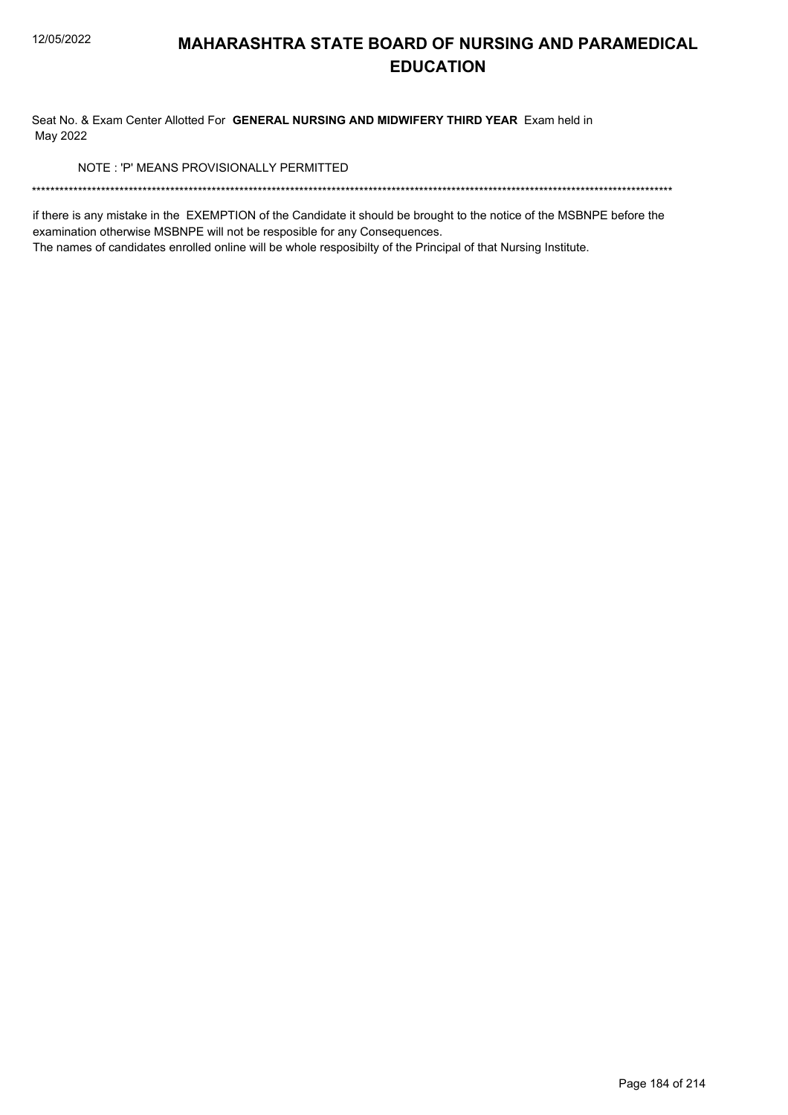Seat No. & Exam Center Allotted For GENERAL NURSING AND MIDWIFERY THIRD YEAR Exam held in May 2022

NOTE: 'P' MEANS PROVISIONALLY PERMITTED

if there is any mistake in the EXEMPTION of the Candidate it should be brought to the notice of the MSBNPE before the examination otherwise MSBNPE will not be resposible for any Consequences.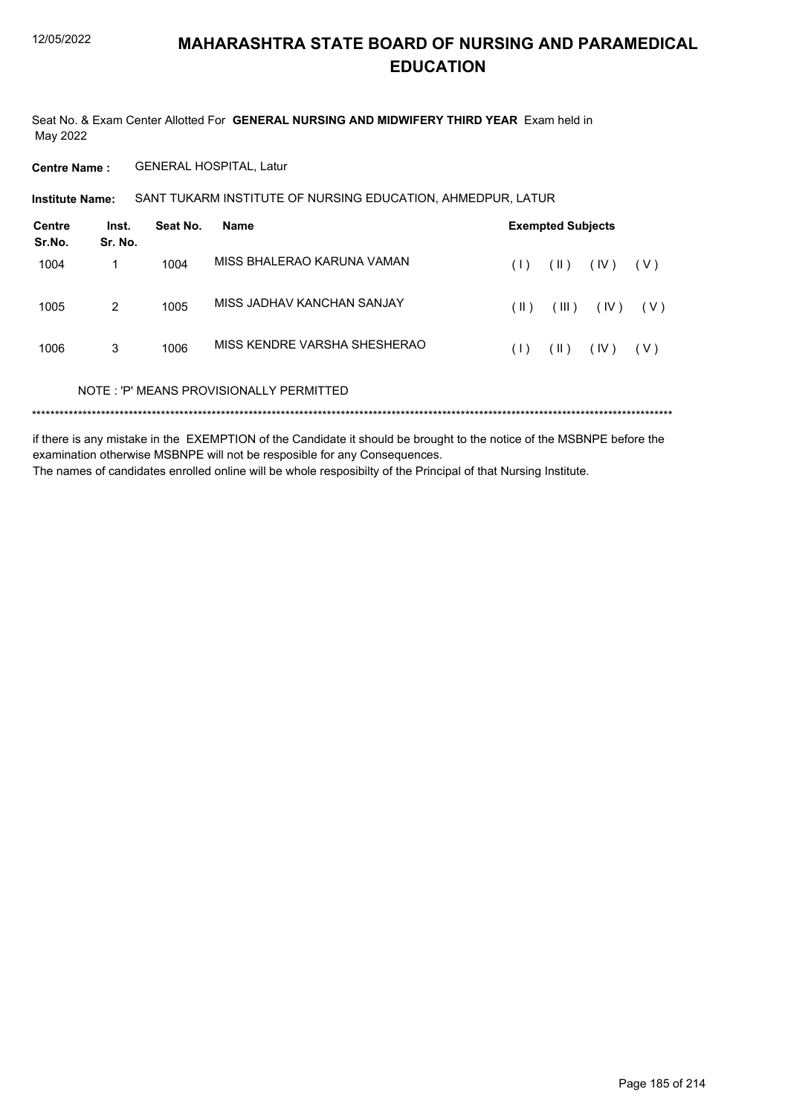Seat No. & Exam Center Allotted For **GENERAL NURSING AND MIDWIFERY THIRD YEAR** Exam held in May 2022

**Centre Name :** GENERAL HOSPITAL, Latur

SANT TUKARM INSTITUTE OF NURSING EDUCATION, AHMEDPUR, LATUR **Institute Name:**

| Centre<br>Sr.No. | Inst.<br>Sr. No. | Seat No. | <b>Name</b>                             |      | <b>Exempted Subjects</b> |      |       |  |  |
|------------------|------------------|----------|-----------------------------------------|------|--------------------------|------|-------|--|--|
| 1004             |                  | 1004     | MISS BHALERAO KARUNA VAMAN              | (1)  | $(\parallel)$            | (IV) | ( V ) |  |  |
| 1005             | 2                | 1005     | MISS JADHAV KANCHAN SANJAY              | (  ) | (III)                    | (IV) | ( V ) |  |  |
| 1006             | 3                | 1006     | MISS KENDRE VARSHA SHESHERAO            | (1)  | (  )                     | (IV) | ( V ) |  |  |
|                  |                  |          | NOTE: 'P' MEANS PROVISIONALLY PERMITTED |      |                          |      |       |  |  |
| *********        |                  |          |                                         |      |                          |      |       |  |  |

if there is any mistake in the EXEMPTION of the Candidate it should be brought to the notice of the MSBNPE before the examination otherwise MSBNPE will not be resposible for any Consequences. The names of candidates enrolled online will be whole resposibilty of the Principal of that Nursing Institute.

Page 185 of 214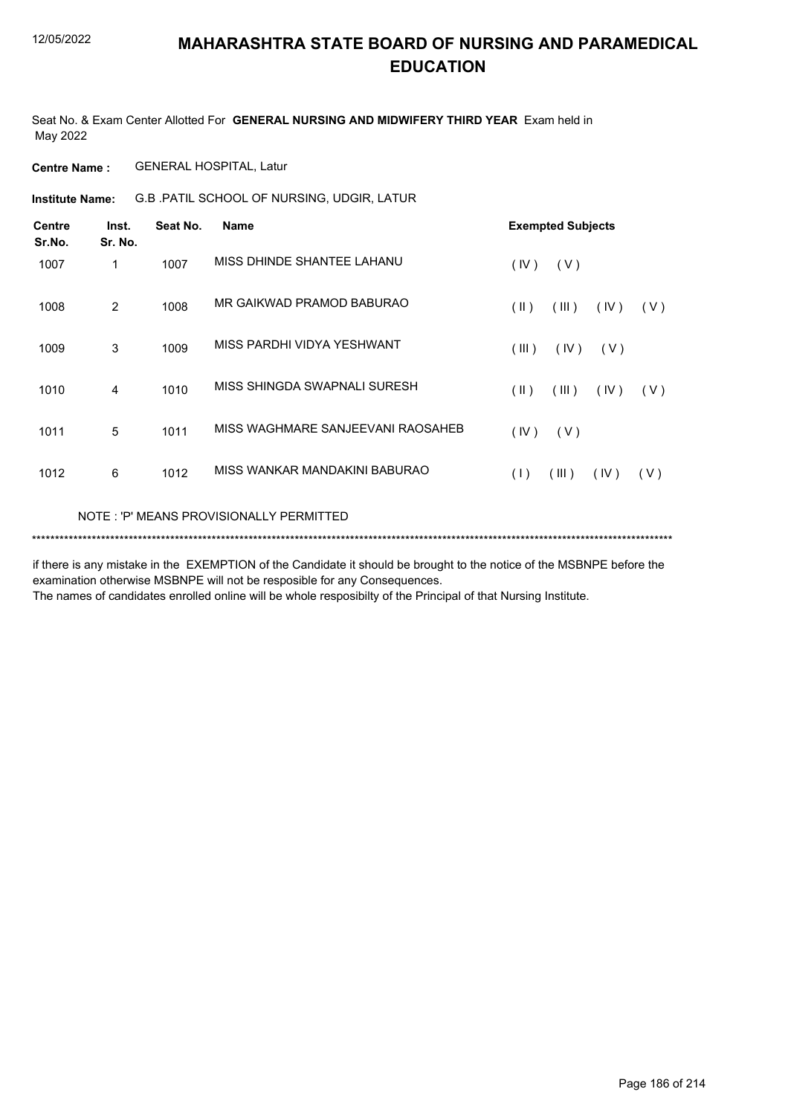Seat No. & Exam Center Allotted For **GENERAL NURSING AND MIDWIFERY THIRD YEAR** Exam held in May 2022

**Centre Name :** GENERAL HOSPITAL, Latur

G.B .PATIL SCHOOL OF NURSING, UDGIR, LATUR **Institute Name:**

| <b>Centre</b><br>Sr.No. | Inst.<br>Sr. No. | Seat No. | Name                                    | <b>Exempted Subjects</b> |       |      |     |
|-------------------------|------------------|----------|-----------------------------------------|--------------------------|-------|------|-----|
| 1007                    | 1                | 1007     | MISS DHINDE SHANTEE LAHANU              | (IV)                     | (V)   |      |     |
| 1008                    | 2                | 1008     | MR GAIKWAD PRAMOD BABURAO               | $(\parallel)$            | (III) | (IV) | (V) |
| 1009                    | 3                | 1009     | MISS PARDHI VIDYA YESHWANT              | (III)                    | (IV)  | (V)  |     |
| 1010                    | 4                | 1010     | MISS SHINGDA SWAPNALI SURESH            | $(\parallel)$            | (III) | (IV) | (V) |
| 1011                    | 5                | 1011     | MISS WAGHMARE SANJEEVANI RAOSAHEB       | (IV)                     | (V)   |      |     |
| 1012                    | 6                | 1012     | MISS WANKAR MANDAKINI BABURAO           | (1)                      | (III) | (IV) | (V) |
|                         |                  |          | NOTE: 'P' MEANS PROVISIONALLY PERMITTED |                          |       |      |     |

\*\*\*\*\*\*\*\*\*\*\*\*\*\*\*\*\*\*\*\*\*\*\*\*\*\*\*\*\*\*\*\*\*\*\*\*\*\*\*\*\*\*\*\*\*\*\*\*\*\*\*\*\*\*\*\*\*\*\*\*\*\*\*\*\*\*\*\*\*\*\*\*\*\*\*\*\*\*\*\*\*\*\*\*\*\*\*\*\*\*\*\*\*\*\*\*\*\*\*\*\*\*\*\*\*\*\*\*\*\*\*\*\*\*\*\*\*\*\*\*\*\*\*\*\*\*\*\*\*\*\*\*\*\*\*\*\*\*\*

if there is any mistake in the EXEMPTION of the Candidate it should be brought to the notice of the MSBNPE before the examination otherwise MSBNPE will not be resposible for any Consequences.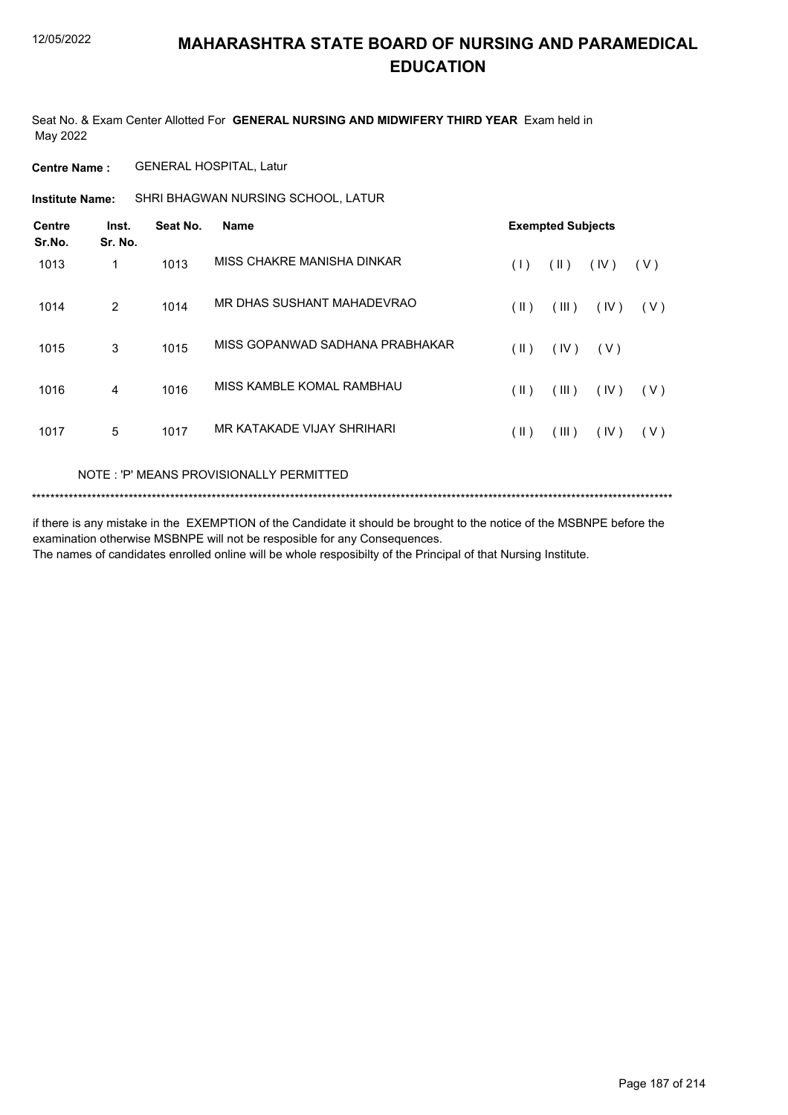Seat No. & Exam Center Allotted For **GENERAL NURSING AND MIDWIFERY THIRD YEAR** Exam held in May 2022

**Centre Name :** GENERAL HOSPITAL, Latur

SHRI BHAGWAN NURSING SCHOOL, LATUR **Institute Name:**

| <b>Centre</b><br>Sr.No. | Inst.<br>Sr. No. | Seat No. | <b>Name</b>                     | <b>Exempted Subjects</b> |               |      |     |  |
|-------------------------|------------------|----------|---------------------------------|--------------------------|---------------|------|-----|--|
| 1013                    | 1                | 1013     | MISS CHAKRE MANISHA DINKAR      | (1)                      | $(\parallel)$ | (IV) | (V) |  |
| 1014                    | 2                | 1014     | MR DHAS SUSHANT MAHADEVRAO      | (  )                     | (III)         | (IV) | (V) |  |
| 1015                    | 3                | 1015     | MISS GOPANWAD SADHANA PRABHAKAR | (  )                     | (IV)          | (V)  |     |  |
| 1016                    | 4                | 1016     | MISS KAMBLE KOMAL RAMBHAU       | (  )                     | (III)         | (IV) | (V) |  |
| 1017                    | 5                | 1017     | MR KATAKADE VIJAY SHRIHARI      | (  )                     | (III)         | (IV) | (V) |  |

#### NOTE : 'P' MEANS PROVISIONALLY PERMITTED

```
*******************************************************************************************************************************************
```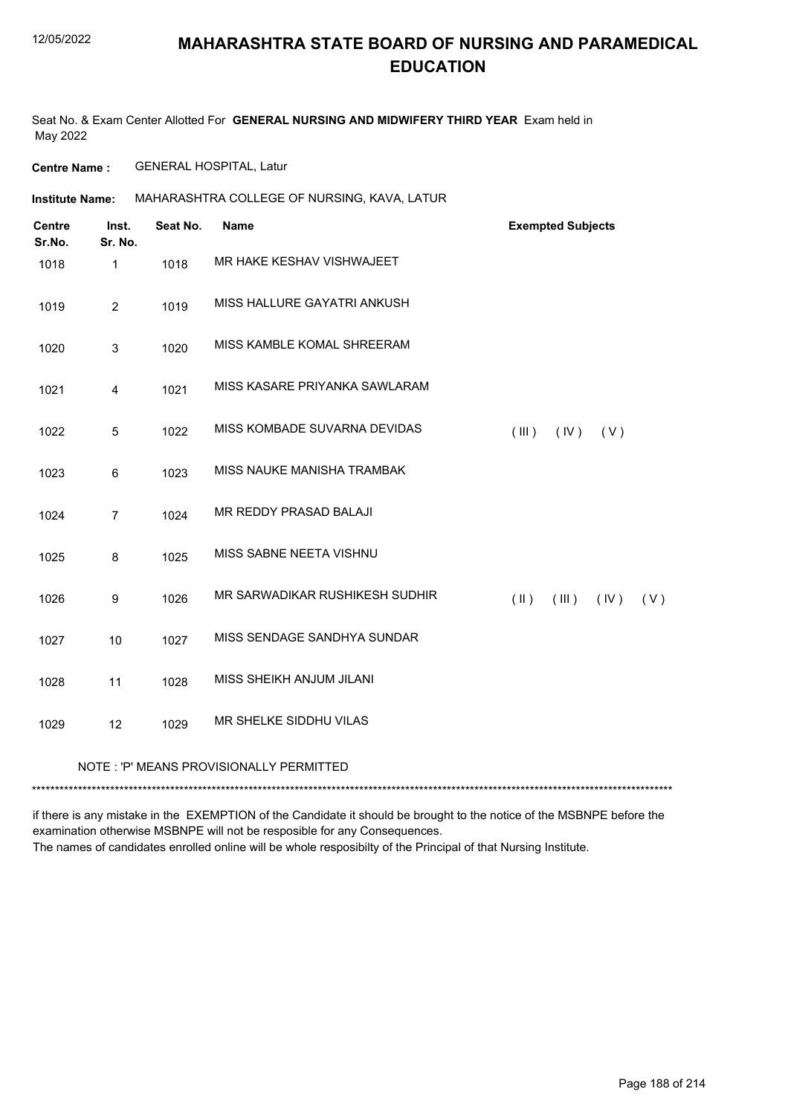Seat No. & Exam Center Allotted For **GENERAL NURSING AND MIDWIFERY THIRD YEAR** Exam held in May 2022

**Centre Name :** GENERAL HOSPITAL, Latur

**Institute Name: MAHARASHTRA COLLEGE OF NURSING, KAVA, LATUR** 

| <b>Centre</b><br>Sr.No. | Inst.<br>Sr. No. | Seat No. | <b>Name</b>                             | <b>Exempted Subjects</b>              |
|-------------------------|------------------|----------|-----------------------------------------|---------------------------------------|
| 1018                    | $\mathbf{1}$     | 1018     | MR HAKE KESHAV VISHWAJEET               |                                       |
| 1019                    | $\overline{2}$   | 1019     | MISS HALLURE GAYATRI ANKUSH             |                                       |
| 1020                    | 3                | 1020     | MISS KAMBLE KOMAL SHREERAM              |                                       |
| 1021                    | 4                | 1021     | MISS KASARE PRIYANKA SAWLARAM           |                                       |
| 1022                    | 5                | 1022     | MISS KOMBADE SUVARNA DEVIDAS            | (III)<br>(IV)<br>(V)                  |
| 1023                    | 6                | 1023     | MISS NAUKE MANISHA TRAMBAK              |                                       |
| 1024                    | $\overline{7}$   | 1024     | <b>MR REDDY PRASAD BALAJI</b>           |                                       |
| 1025                    | 8                | 1025     | MISS SABNE NEETA VISHNU                 |                                       |
| 1026                    | $\boldsymbol{9}$ | 1026     | MR SARWADIKAR RUSHIKESH SUDHIR          | $(\parallel)$<br>(III)<br>(IV)<br>(V) |
| 1027                    | 10               | 1027     | MISS SENDAGE SANDHYA SUNDAR             |                                       |
| 1028                    | 11               | 1028     | MISS SHEIKH ANJUM JILANI                |                                       |
| 1029                    | 12               | 1029     | MR SHELKE SIDDHU VILAS                  |                                       |
|                         |                  |          | NOTE: 'P' MEANS PROVISIONALLY PERMITTED |                                       |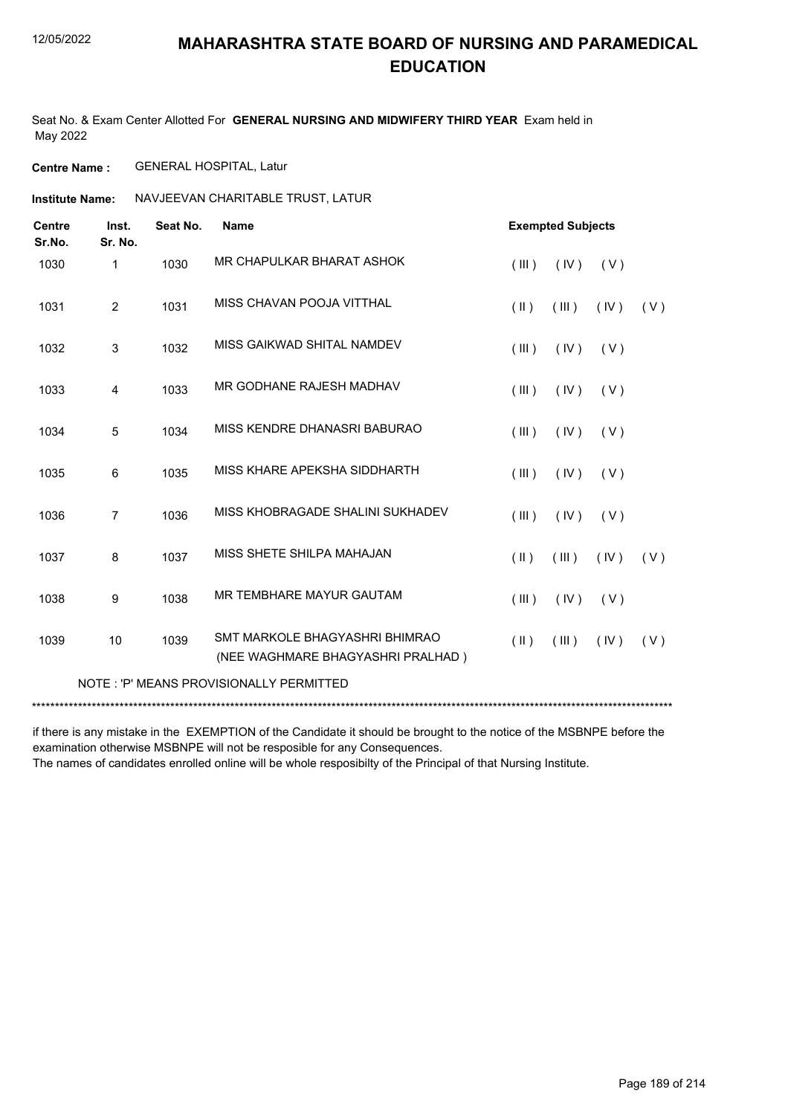Seat No. & Exam Center Allotted For **GENERAL NURSING AND MIDWIFERY THIRD YEAR** Exam held in May 2022

**Centre Name :** GENERAL HOSPITAL, Latur

**Institute Name: NAVJEEVAN CHARITABLE TRUST, LATUR** 

| <b>Centre</b><br>Sr.No. | Inst.<br>Sr. No. | Seat No. | <b>Name</b>                                                         |            | <b>Exempted Subjects</b> |      |     |
|-------------------------|------------------|----------|---------------------------------------------------------------------|------------|--------------------------|------|-----|
| 1030                    | 1                | 1030     | MR CHAPULKAR BHARAT ASHOK                                           | (III)      | (IV)                     | (V)  |     |
| 1031                    | 2                | 1031     | MISS CHAVAN POOJA VITTHAL                                           | (II)       | (III)                    | (IV) | (V) |
| 1032                    | 3                | 1032     | MISS GAIKWAD SHITAL NAMDEV                                          | (III)      | (IV)                     | (V)  |     |
| 1033                    | 4                | 1033     | MR GODHANE RAJESH MADHAV                                            | (III)      | (IV)                     | (V)  |     |
| 1034                    | 5                | 1034     | MISS KENDRE DHANASRI BABURAO                                        | (III)      | (IV)                     | (V)  |     |
| 1035                    | 6                | 1035     | MISS KHARE APEKSHA SIDDHARTH                                        | (III)      | (IV)                     | (V)  |     |
| 1036                    | $\overline{7}$   | 1036     | MISS KHOBRAGADE SHALINI SUKHADEV                                    | (III)      | (IV)                     | (V)  |     |
| 1037                    | 8                | 1037     | MISS SHETE SHILPA MAHAJAN                                           | (11)       | (III)                    | (IV) | (V) |
| 1038                    | 9                | 1038     | MR TEMBHARE MAYUR GAUTAM                                            | (III)      | (IV)                     | (V)  |     |
| 1039                    | 10               | 1039     | SMT MARKOLE BHAGYASHRI BHIMRAO<br>(NEE WAGHMARE BHAGYASHRI PRALHAD) | $($ II $)$ | (III)                    | (IV) | (V) |
|                         |                  |          | NOTE: 'P' MEANS PROVISIONALLY PERMITTED                             |            |                          |      |     |
|                         |                  |          |                                                                     |            |                          |      |     |

if there is any mistake in the EXEMPTION of the Candidate it should be brought to the notice of the MSBNPE before the examination otherwise MSBNPE will not be resposible for any Consequences.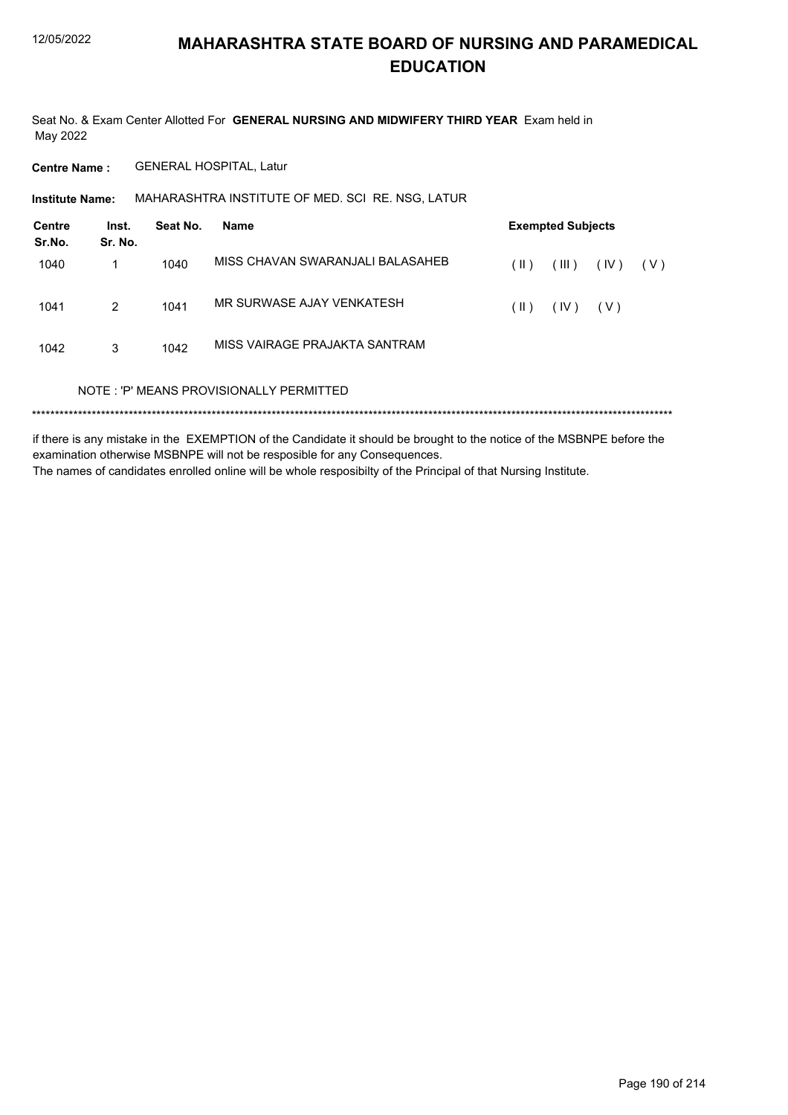Seat No. & Exam Center Allotted For GENERAL NURSING AND MIDWIFERY THIRD YEAR Exam held in May 2022

**Centre Name: GENERAL HOSPITAL, Latur** 

MAHARASHTRA INSTITUTE OF MED. SCI RE. NSG, LATUR **Institute Name:** 

| Centre<br>Sr.No. | Inst.<br>Sr. No. | Seat No. | <b>Name</b>                             | <b>Exempted Subjects</b> |       |       |       |
|------------------|------------------|----------|-----------------------------------------|--------------------------|-------|-------|-------|
| 1040             | 1                | 1040     | MISS CHAVAN SWARANJALI BALASAHEB        | (  )                     | (III) | (IV)  | ( V ) |
| 1041             | 2                | 1041     | MR SURWASE AJAY VENKATESH               | (  )                     | (IV)  | ( V ) |       |
| 1042             | 3                | 1042     | MISS VAIRAGE PRAJAKTA SANTRAM           |                          |       |       |       |
|                  |                  |          | NOTE: 'P' MEANS PROVISIONALLY PERMITTED |                          |       |       |       |
|                  |                  |          |                                         |                          |       |       |       |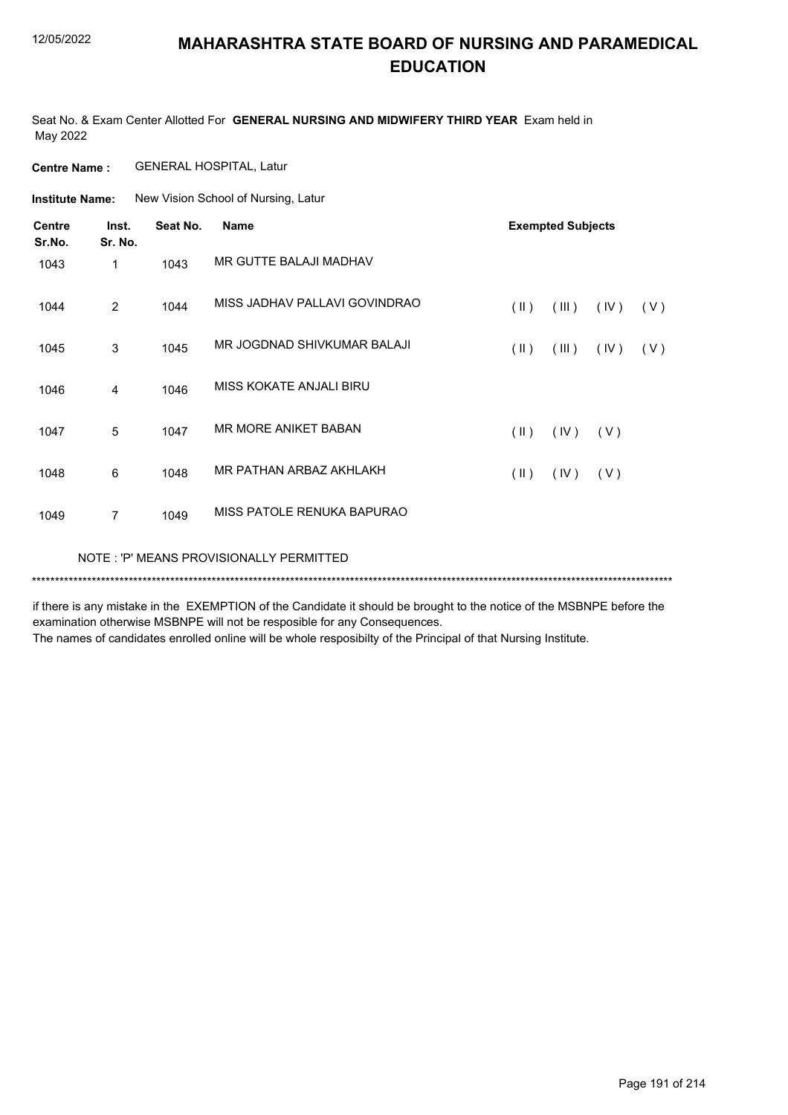Seat No. & Exam Center Allotted For **GENERAL NURSING AND MIDWIFERY THIRD YEAR** Exam held in May 2022

**Centre Name :** GENERAL HOSPITAL, Latur

**Institute Name:** New Vision School of Nursing, Latur

| <b>Centre</b><br>Sr.No. | Inst.<br>Sr. No. | Seat No. | <b>Name</b>                             | <b>Exempted Subjects</b> |       |      |     |
|-------------------------|------------------|----------|-----------------------------------------|--------------------------|-------|------|-----|
| 1043                    | $\mathbf{1}$     | 1043     | MR GUTTE BALAJI MADHAV                  |                          |       |      |     |
| 1044                    | 2                | 1044     | MISS JADHAV PALLAVI GOVINDRAO           | $(\parallel)$            | (III) | (IV) | (V) |
| 1045                    | 3                | 1045     | MR JOGDNAD SHIVKUMAR BALAJI             | $(\parallel)$            | (III) | (IV) | (V) |
| 1046                    | 4                | 1046     | MISS KOKATE ANJALI BIRU                 |                          |       |      |     |
| 1047                    | 5                | 1047     | <b>MR MORE ANIKET BABAN</b>             | $(\parallel)$            | (IV)  | (V)  |     |
| 1048                    | 6                | 1048     | MR PATHAN ARBAZ AKHLAKH                 | $(\parallel \parallel)$  | (IV)  | (V)  |     |
| 1049                    | $\overline{7}$   | 1049     | MISS PATOLE RENUKA BAPURAO              |                          |       |      |     |
|                         |                  |          | NOTE: 'P' MEANS PROVISIONALLY PERMITTED |                          |       |      |     |

if there is any mistake in the EXEMPTION of the Candidate it should be brought to the notice of the MSBNPE before the examination otherwise MSBNPE will not be resposible for any Consequences.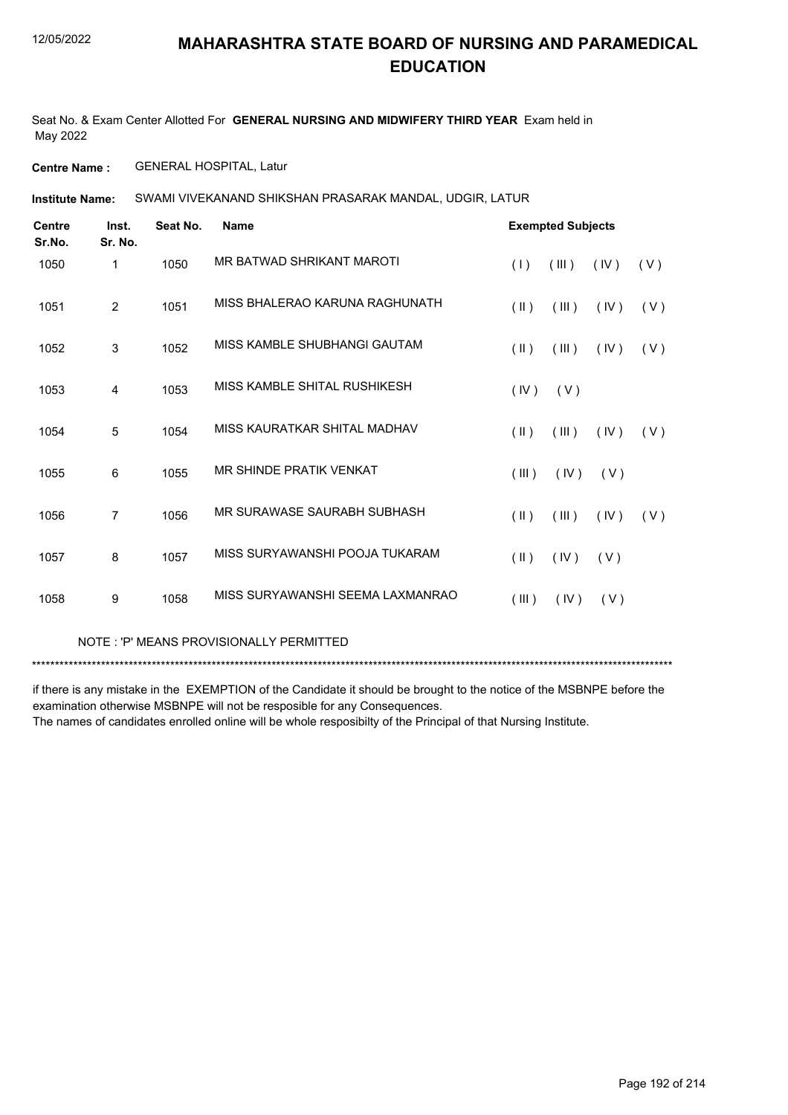Seat No. & Exam Center Allotted For **GENERAL NURSING AND MIDWIFERY THIRD YEAR** Exam held in May 2022

**Centre Name :** GENERAL HOSPITAL, Latur

SWAMI VIVEKANAND SHIKSHAN PRASARAK MANDAL, UDGIR, LATUR **Institute Name:**

| <b>Centre</b><br>Sr.No. | Inst.<br>Sr. No. | Seat No. | <b>Name</b>                      | <b>Exempted Subjects</b> |               |
|-------------------------|------------------|----------|----------------------------------|--------------------------|---------------|
| 1050                    | 1                | 1050     | MR BATWAD SHRIKANT MAROTI        | (III)<br>(1)             | (IV)<br>(V)   |
| 1051                    | 2                | 1051     | MISS BHALERAO KARUNA RAGHUNATH   | $($ II $)$<br>(III)      | (IV)<br>(V)   |
| 1052                    | 3                | 1052     | MISS KAMBLE SHUBHANGI GAUTAM     | $(\parallel)$<br>(III)   | (IV)<br>(V)   |
| 1053                    | 4                | 1053     | MISS KAMBLE SHITAL RUSHIKESH     | (IV)<br>(V)              |               |
| 1054                    | 5                | 1054     | MISS KAURATKAR SHITAL MADHAV     | $($ II $)$<br>(III)      | (IV)<br>(V)   |
| 1055                    | 6                | 1055     | MR SHINDE PRATIK VENKAT          | (III)<br>(IV)            | (V)           |
| 1056                    | $\overline{7}$   | 1056     | MR SURAWASE SAURABH SUBHASH      | $($ II $)$<br>(III)      | (IV)<br>( V ) |
| 1057                    | 8                | 1057     | MISS SURYAWANSHI POOJA TUKARAM   | $($ II $)$<br>(IV)       | (V)           |
| 1058                    | 9                | 1058     | MISS SURYAWANSHI SEEMA LAXMANRAO | (III)<br>(IV)            | (V)           |

NOTE : 'P' MEANS PROVISIONALLY PERMITTED

\*\*\*\*\*\*\*\*\*\*\*\*\*\*\*\*\*\*\*\*\*\*\*\*\*\*\*\*\*\*\*\*\*\*\*\*\*\*\*\*\*\*\*\*\*\*\*\*\*\*\*\*\*\*\*\*\*\*\*\*\*\*\*\*\*\*\*\*\*\*\*\*\*\*\*\*\*\*\*\*\*\*\*\*\*\*\*\*\*\*\*\*\*\*\*\*\*\*\*\*\*\*\*\*\*\*\*\*\*\*\*\*\*\*\*\*\*\*\*\*\*\*\*\*\*\*\*\*\*\*\*\*\*\*\*\*\*\*\*

if there is any mistake in the EXEMPTION of the Candidate it should be brought to the notice of the MSBNPE before the examination otherwise MSBNPE will not be resposible for any Consequences.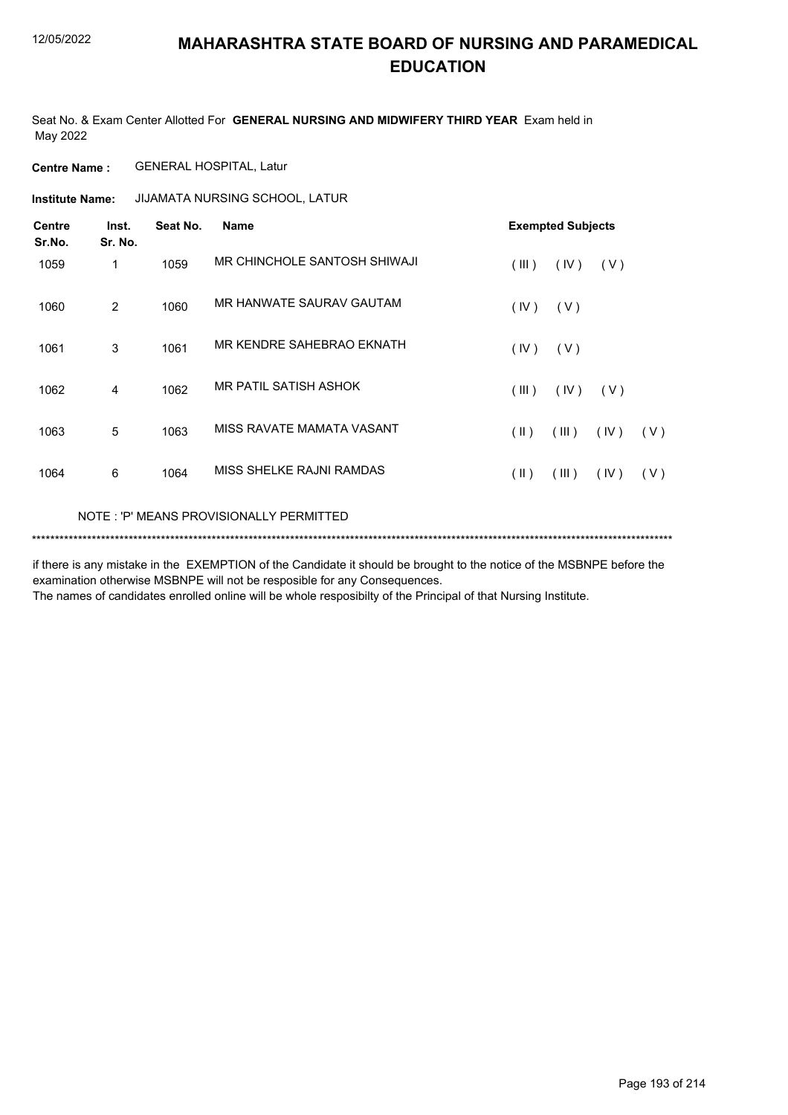Seat No. & Exam Center Allotted For **GENERAL NURSING AND MIDWIFERY THIRD YEAR** Exam held in May 2022

**Centre Name :** GENERAL HOSPITAL, Latur

**Institute Name: JIJAMATA NURSING SCHOOL, LATUR** 

| <b>Centre</b><br>Sr.No. | Inst.<br>Sr. No. | Seat No. | <b>Name</b>                             | <b>Exempted Subjects</b> |       |       |     |
|-------------------------|------------------|----------|-----------------------------------------|--------------------------|-------|-------|-----|
| 1059                    | 1                | 1059     | MR CHINCHOLE SANTOSH SHIWAJI            | (III)                    | (IV)  | (V)   |     |
| 1060                    | 2                | 1060     | MR HANWATE SAURAV GAUTAM                | (IV)                     | (V)   |       |     |
| 1061                    | 3                | 1061     | MR KENDRE SAHEBRAO EKNATH               | (IV)                     | (V)   |       |     |
| 1062                    | 4                | 1062     | MR PATIL SATISH ASHOK                   | (III)                    | (IV)  | ( V ) |     |
| 1063                    | 5                | 1063     | MISS RAVATE MAMATA VASANT               | $(\parallel)$            | (III) | (IV)  | (V) |
| 1064                    | 6                | 1064     | MISS SHELKE RAJNI RAMDAS                | $(\parallel \parallel)$  | (III) | (IV)  | (V) |
|                         |                  |          | NOTE: 'P' MEANS PROVISIONALLY PERMITTED |                          |       |       |     |

\*\*\*\*\*\*\*\*\*\*\*\*\*\*\*\*\*\*\*\*\*\*\*\*\*\*\*\*\*\*\*\*\*\*\*\*\*\*\*\*\*\*\*\*\*\*\*\*\*\*\*\*\*\*\*\*\*\*\*\*\*\*\*\*\*\*\*\*\*\*\*\*\*\*\*\*\*\*\*\*\*\*\*\*\*\*\*\*\*\*\*\*\*\*\*\*\*\*\*\*\*\*\*\*\*\*\*\*\*\*\*\*\*\*\*\*\*\*\*\*\*\*\*\*\*\*\*\*\*\*\*\*\*\*\*\*\*\*\*

if there is any mistake in the EXEMPTION of the Candidate it should be brought to the notice of the MSBNPE before the examination otherwise MSBNPE will not be resposible for any Consequences.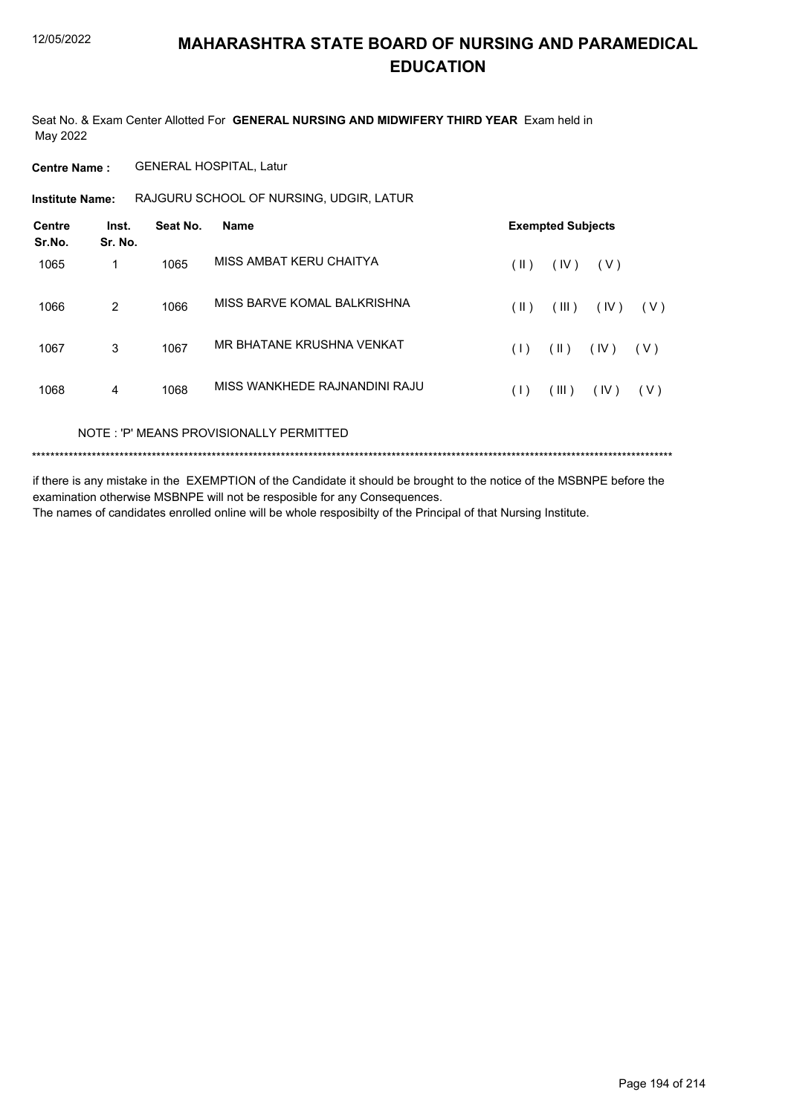Seat No. & Exam Center Allotted For **GENERAL NURSING AND MIDWIFERY THIRD YEAR** Exam held in May 2022

**Centre Name :** GENERAL HOSPITAL, Latur

**Institute Name:** RAJGURU SCHOOL OF NURSING, UDGIR, LATUR

| Inst.<br>Sr. No. | Seat No. | <b>Name</b>                   |      | <b>Exempted Subjects</b> |      |       |  |  |
|------------------|----------|-------------------------------|------|--------------------------|------|-------|--|--|
| 1                | 1065     | MISS AMBAT KERU CHAITYA       | (  ) | (IV)                     | (V)  |       |  |  |
| $\overline{2}$   | 1066     | MISS BARVE KOMAL BALKRISHNA   | (  ) | (III)                    | (IV) | (V)   |  |  |
| 3                | 1067     | MR BHATANE KRUSHNA VENKAT     | (1)  | (  )                     | (IV) | ( V ) |  |  |
| 4                | 1068     | MISS WANKHEDE RAJNANDINI RAJU | (1)  | (III)                    | (IV) | (V)   |  |  |
|                  |          |                               |      |                          |      |       |  |  |

NOTE : 'P' MEANS PROVISIONALLY PERMITTED

\*\*\*\*\*\*\*\*\*\*\*\*\*\*\*\*\*\*\*\*\*\*\*\*\*\*\*\*\*\*\*\*\*\*\*\*\*\*\*\*\*\*\*\*\*\*\*\*\*\*\*\*\*\*\*\*\*\*\*\*\*\*\*\*\*\*\*\*\*\*\*\*\*\*\*\*\*\*\*\*\*\*\*\*\*\*\*\*\*\*\*\*\*\*\*\*\*\*\*\*\*\*\*\*\*\*\*\*\*\*\*\*\*\*\*\*\*\*\*\*\*\*\*\*\*\*\*\*\*\*\*\*\*\*\*\*\*\*\*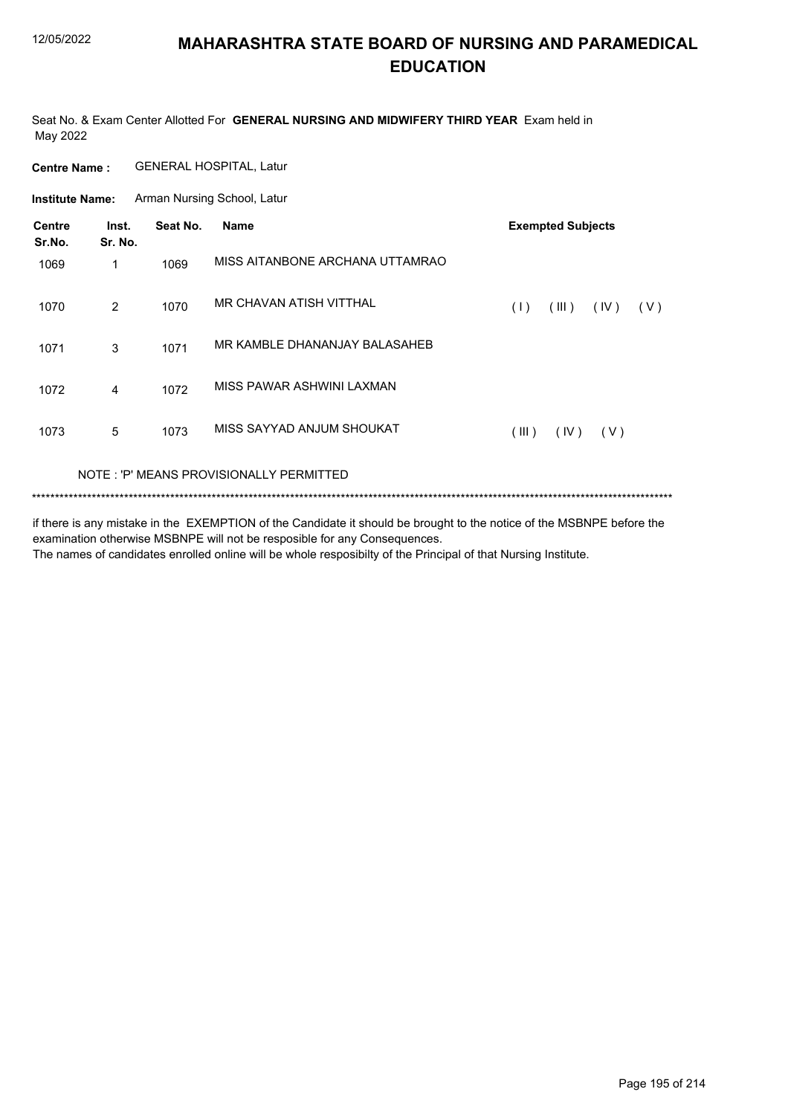Seat No. & Exam Center Allotted For **GENERAL NURSING AND MIDWIFERY THIRD YEAR** Exam held in May 2022

**Centre Name :** GENERAL HOSPITAL, Latur

**Institute Name:** Arman Nursing School, Latur

| Centre<br>Sr.No. | Inst.<br>Sr. No. | Seat No. | <b>Name</b>                             |       | <b>Exempted Subjects</b> |       |       |
|------------------|------------------|----------|-----------------------------------------|-------|--------------------------|-------|-------|
| 1069             | 1                | 1069     | MISS AITANBONE ARCHANA UTTAMRAO         |       |                          |       |       |
| 1070             | 2                | 1070     | MR CHAVAN ATISH VITTHAL                 | (1)   | (III)                    | (IV)  | ( V ) |
| 1071             | 3                | 1071     | MR KAMBLE DHANANJAY BALASAHEB           |       |                          |       |       |
| 1072             | 4                | 1072     | MISS PAWAR ASHWINI LAXMAN               |       |                          |       |       |
| 1073             | 5                | 1073     | MISS SAYYAD ANJUM SHOUKAT               | (III) | $($ IV $)$               | ( V ) |       |
|                  |                  |          | NOTE: 'P' MEANS PROVISIONALLY PERMITTED |       |                          |       |       |

\*\*\*\*\*\*\*\*\*\*\*\*\*\*\*\*\*\*\*\*\*\*\*\*\*\*\*\*\*\*\*\*\*\*\*\*\*\*\*\*\*\*\*\*\*\*\*\*\*\*\*\*\*\*\*\*\*\*\*\*\*\*\*\*\*\*\*\*\*\*\*\*\*\*\*\*\*\*\*\*\*\*\*\*\*\*\*\*\*\*\*\*\*\*\*\*\*\*\*\*\*\*\*\*\*\*\*\*\*\*\*\*\*\*\*\*\*\*\*\*\*\*\*\*\*\*\*\*\*\*\*\*\*\*\*\*\*\*\*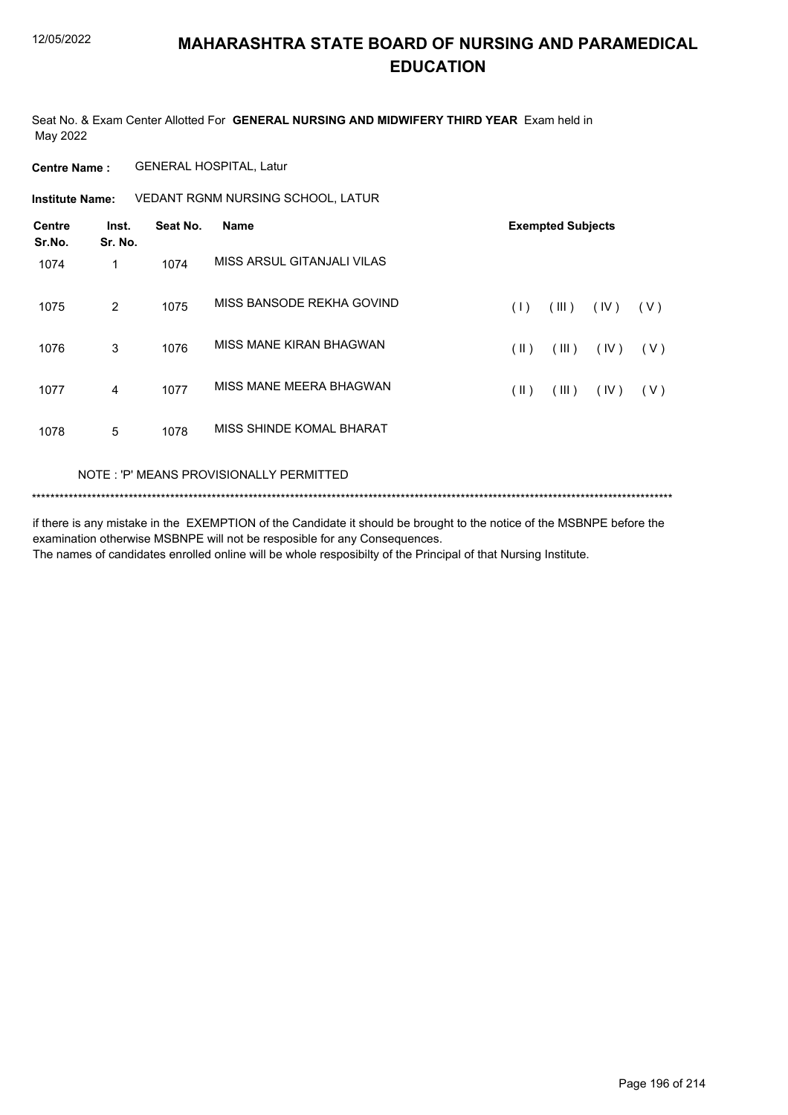Seat No. & Exam Center Allotted For **GENERAL NURSING AND MIDWIFERY THIRD YEAR** Exam held in May 2022

**Centre Name :** GENERAL HOSPITAL, Latur

**Institute Name: VEDANT RGNM NURSING SCHOOL, LATUR** 

| <b>Centre</b><br>Sr.No. | Inst.<br>Sr. No. | Seat No. | <b>Name</b>                |               | <b>Exempted Subjects</b> |      |     |
|-------------------------|------------------|----------|----------------------------|---------------|--------------------------|------|-----|
| 1074                    | 1                | 1074     | MISS ARSUL GITANJALI VILAS |               |                          |      |     |
| 1075                    | 2                | 1075     | MISS BANSODE REKHA GOVIND  | (1)           | (III)                    | (IV) | (V) |
| 1076                    | 3                | 1076     | MISS MANE KIRAN BHAGWAN    | $(\parallel)$ | (III)                    | (IV) | (V) |
| 1077                    | 4                | 1077     | MISS MANE MEERA BHAGWAN    | (  )          | (III)                    | (IV) | (V) |
| 1078                    | 5                | 1078     | MISS SHINDE KOMAL BHARAT   |               |                          |      |     |

#### NOTE : 'P' MEANS PROVISIONALLY PERMITTED

\*\*\*\*\*\*\*\*\*\*\*\*\*\*\*\*\*\*\*\*\*\*\*\*\*\*\*\*\*\*\*\*\*\*\*\*\*\*\*\*\*\*\*\*\*\*\*\*\*\*\*\*\*\*\*\*\*\*\*\*\*\*\*\*\*\*\*\*\*\*\*\*\*\*\*\*\*\*\*\*\*\*\*\*\*\*\*\*\*\*\*\*\*\*\*\*\*\*\*\*\*\*\*\*\*\*\*\*\*\*\*\*\*\*\*\*\*\*\*\*\*\*\*\*\*\*\*\*\*\*\*\*\*\*\*\*\*\*\*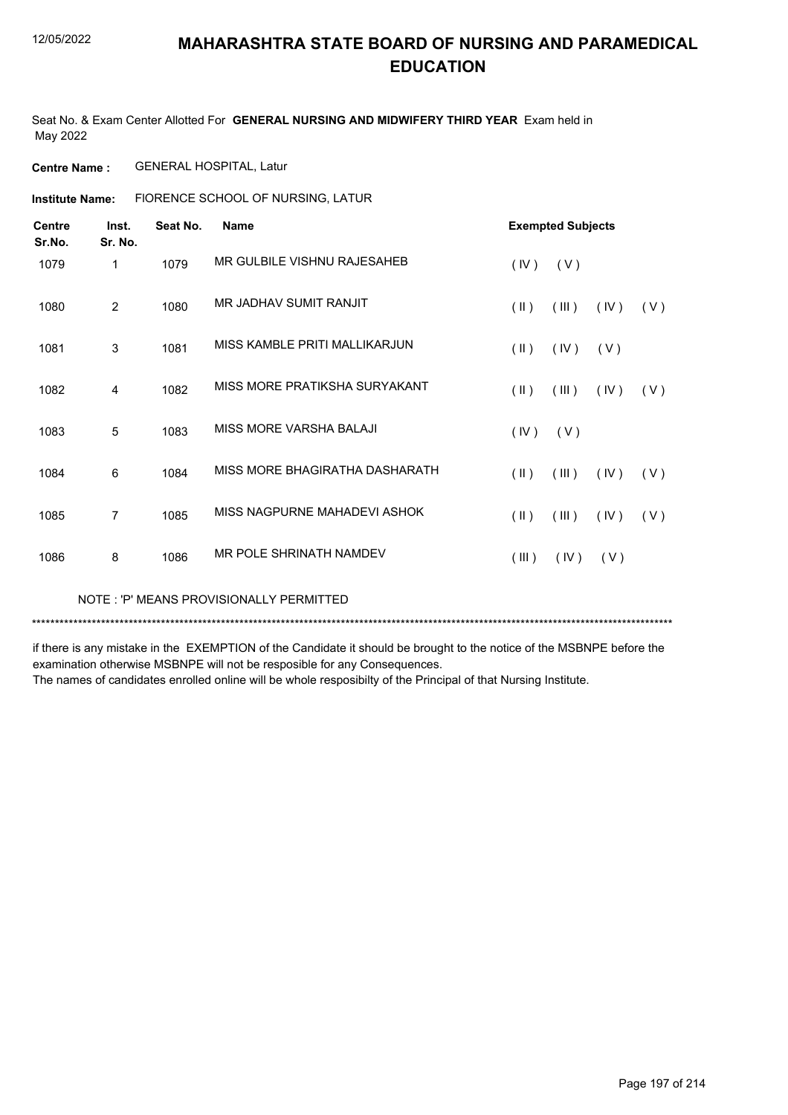Seat No. & Exam Center Allotted For **GENERAL NURSING AND MIDWIFERY THIRD YEAR** Exam held in May 2022

**Centre Name :** GENERAL HOSPITAL, Latur

FlORENCE SCHOOL OF NURSING, LATUR **Institute Name:**

| <b>Centre</b><br>Sr.No. | Inst.<br>Sr. No. | Seat No. | <b>Name</b>                    | <b>Exempted Subjects</b>                        |  |
|-------------------------|------------------|----------|--------------------------------|-------------------------------------------------|--|
| 1079                    | 1                | 1079     | MR GULBILE VISHNU RAJESAHEB    | (IV)<br>(V)                                     |  |
| 1080                    | 2                | 1080     | MR JADHAV SUMIT RANJIT         | $(\parallel)$<br>(III)<br>(V)<br>(IV)           |  |
| 1081                    | 3                | 1081     | MISS KAMBLE PRITI MALLIKARJUN  | $(\parallel)$<br>(IV)<br>(V)                    |  |
| 1082                    | 4                | 1082     | MISS MORE PRATIKSHA SURYAKANT  | $(\parallel)$<br>(III)<br>(IV)<br>(V)           |  |
| 1083                    | 5                | 1083     | MISS MORE VARSHA BALAJI        | (IV)<br>(V)                                     |  |
| 1084                    | 6                | 1084     | MISS MORE BHAGIRATHA DASHARATH | $(\parallel \parallel)$<br>(III)<br>(IV)<br>(V) |  |
| 1085                    | $\overline{7}$   | 1085     | MISS NAGPURNE MAHADEVI ASHOK   | $(\parallel)$<br>(III)<br>(IV)<br>(V)           |  |
| 1086                    | 8                | 1086     | MR POLE SHRINATH NAMDEV        | (III)<br>(IV)<br>(V)                            |  |

NOTE : 'P' MEANS PROVISIONALLY PERMITTED

\*\*\*\*\*\*\*\*\*\*\*\*\*\*\*\*\*\*\*\*\*\*\*\*\*\*\*\*\*\*\*\*\*\*\*\*\*\*\*\*\*\*\*\*\*\*\*\*\*\*\*\*\*\*\*\*\*\*\*\*\*\*\*\*\*\*\*\*\*\*\*\*\*\*\*\*\*\*\*\*\*\*\*\*\*\*\*\*\*\*\*\*\*\*\*\*\*\*\*\*\*\*\*\*\*\*\*\*\*\*\*\*\*\*\*\*\*\*\*\*\*\*\*\*\*\*\*\*\*\*\*\*\*\*\*\*\*\*\*

if there is any mistake in the EXEMPTION of the Candidate it should be brought to the notice of the MSBNPE before the examination otherwise MSBNPE will not be resposible for any Consequences.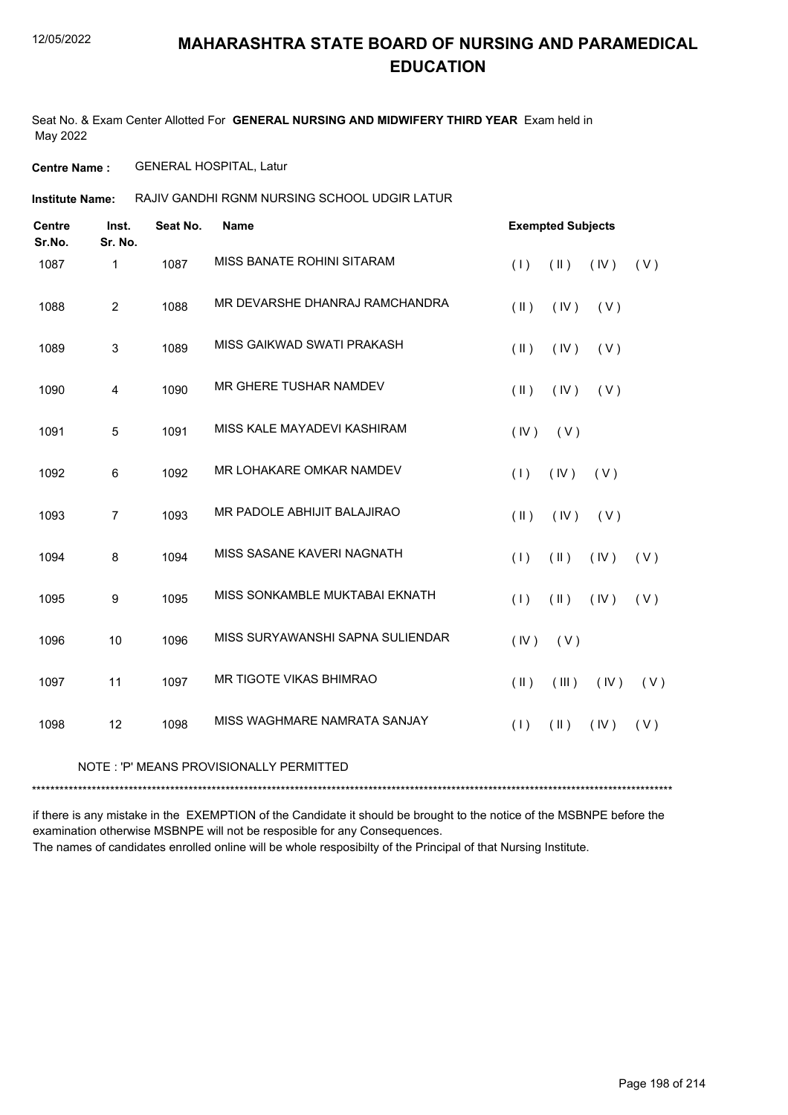Seat No. & Exam Center Allotted For **GENERAL NURSING AND MIDWIFERY THIRD YEAR** Exam held in May 2022

**Centre Name :** GENERAL HOSPITAL, Latur

RAJIV GANDHI RGNM NURSING SCHOOL UDGIR LATUR **Institute Name:**

| <b>Centre</b><br>Sr.No. | Inst.<br>Sr. No. | Seat No. | Name                             |            | <b>Exempted Subjects</b> |      |     |
|-------------------------|------------------|----------|----------------------------------|------------|--------------------------|------|-----|
| 1087                    | $\mathbf 1$      | 1087     | MISS BANATE ROHINI SITARAM       | (1)        | $(\parallel)$            | (IV) | (V) |
| 1088                    | $\overline{2}$   | 1088     | MR DEVARSHE DHANRAJ RAMCHANDRA   | $($ II $)$ | (IV)                     | (V)  |     |
| 1089                    | 3                | 1089     | MISS GAIKWAD SWATI PRAKASH       | $($ II $)$ | (IV)                     | (V)  |     |
| 1090                    | 4                | 1090     | MR GHERE TUSHAR NAMDEV           | $($ II $)$ | (IV)                     | (V)  |     |
| 1091                    | 5                | 1091     | MISS KALE MAYADEVI KASHIRAM      | (IV)       | (V)                      |      |     |
| 1092                    | 6                | 1092     | MR LOHAKARE OMKAR NAMDEV         | (1)        | (IV)                     | (V)  |     |
| 1093                    | $\overline{7}$   | 1093     | MR PADOLE ABHIJIT BALAJIRAO      | $($ II $)$ | (IV)                     | (V)  |     |
| 1094                    | 8                | 1094     | MISS SASANE KAVERI NAGNATH       | (1)        | $(\parallel)$            | (IV) | (V) |
| 1095                    | 9                | 1095     | MISS SONKAMBLE MUKTABAI EKNATH   | (1)        | $(\parallel)$            | (IV) | (V) |
| 1096                    | 10               | 1096     | MISS SURYAWANSHI SAPNA SULIENDAR | (IV)       | (V)                      |      |     |
| 1097                    | 11               | 1097     | MR TIGOTE VIKAS BHIMRAO          | $($ II $)$ | (III)                    | (IV) | (V) |
| 1098                    | 12               | 1098     | MISS WAGHMARE NAMRATA SANJAY     | (1)        | (11)                     | (IV) | (V) |
|                         |                  |          |                                  |            |                          |      |     |

#### NOTE : 'P' MEANS PROVISIONALLY PERMITTED

\*\*\*\*\*\*\*\*\*\*\*\*\*\*\*\*\*\*\*\*\*\*\*\*\*\*\*\*\*\*\*\*\*\*\*\*\*\*\*\*\*\*\*\*\*\*\*\*\*\*\*\*\*\*\*\*\*\*\*\*\*\*\*\*\*\*\*\*\*\*\*\*\*\*\*\*\*\*\*\*\*\*\*\*\*\*\*\*\*\*\*\*\*\*\*\*\*\*\*\*\*\*\*\*\*\*\*\*\*\*\*\*\*\*\*\*\*\*\*\*\*\*\*\*\*\*\*\*\*\*\*\*\*\*\*\*\*\*\*

if there is any mistake in the EXEMPTION of the Candidate it should be brought to the notice of the MSBNPE before the examination otherwise MSBNPE will not be resposible for any Consequences.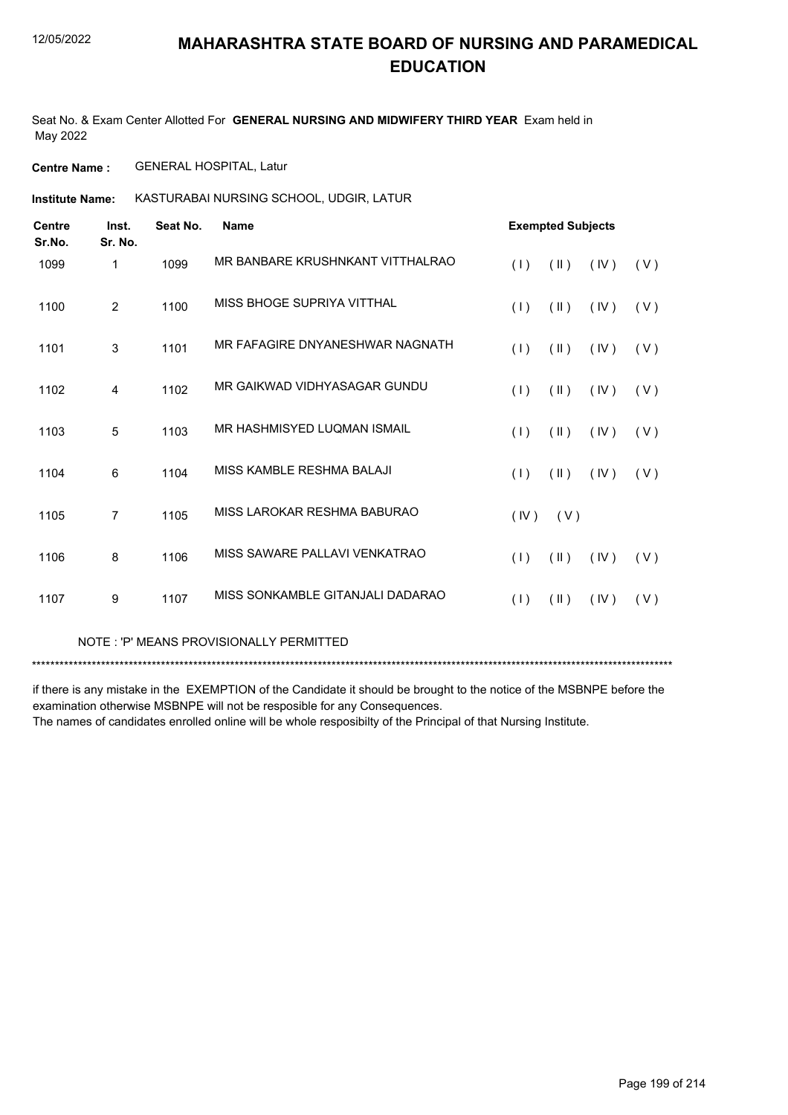Seat No. & Exam Center Allotted For **GENERAL NURSING AND MIDWIFERY THIRD YEAR** Exam held in May 2022

**Centre Name :** GENERAL HOSPITAL, Latur

**Institute Name: KASTURABAI NURSING SCHOOL, UDGIR, LATUR** 

| <b>Centre</b><br>Sr.No. | Inst.<br>Sr. No. | Seat No. | <b>Name</b>                      |      | <b>Exempted Subjects</b> |      |       |
|-------------------------|------------------|----------|----------------------------------|------|--------------------------|------|-------|
| 1099                    | 1                | 1099     | MR BANBARE KRUSHNKANT VITTHALRAO | (1)  | (11)                     | (IV) | ( V ) |
| 1100                    | $\overline{2}$   | 1100     | MISS BHOGE SUPRIYA VITTHAL       | (1)  | $(\parallel)$            | (IV) | (V)   |
| 1101                    | 3                | 1101     | MR FAFAGIRE DNYANESHWAR NAGNATH  | (1)  | $(\parallel)$            | (IV) | (V)   |
| 1102                    | 4                | 1102     | MR GAIKWAD VIDHYASAGAR GUNDU     | (1)  | $(\parallel)$            | (IV) | (V)   |
| 1103                    | 5                | 1103     | MR HASHMISYED LUQMAN ISMAIL      | (1)  | (11)                     | (IV) | (V)   |
| 1104                    | 6                | 1104     | MISS KAMBLE RESHMA BALAJI        | (1)  | $(\parallel)$            | (IV) | (V)   |
| 1105                    | $\overline{7}$   | 1105     | MISS LAROKAR RESHMA BABURAO      | (IV) | (V)                      |      |       |
| 1106                    | 8                | 1106     | MISS SAWARE PALLAVI VENKATRAO    | (1)  | (11)                     | (IV) | (V)   |
| 1107                    | 9                | 1107     | MISS SONKAMBLE GITANJALI DADARAO | (1)  | $(\parallel)$            | (IV) | (V)   |

NOTE : 'P' MEANS PROVISIONALLY PERMITTED

\*\*\*\*\*\*\*\*\*\*\*\*\*\*\*\*\*\*\*\*\*\*\*\*\*\*\*\*\*\*\*\*\*\*\*\*\*\*\*\*\*\*\*\*\*\*\*\*\*\*\*\*\*\*\*\*\*\*\*\*\*\*\*\*\*\*\*\*\*\*\*\*\*\*\*\*\*\*\*\*\*\*\*\*\*\*\*\*\*\*\*\*\*\*\*\*\*\*\*\*\*\*\*\*\*\*\*\*\*\*\*\*\*\*\*\*\*\*\*\*\*\*\*\*\*\*\*\*\*\*\*\*\*\*\*\*\*\*\*

if there is any mistake in the EXEMPTION of the Candidate it should be brought to the notice of the MSBNPE before the examination otherwise MSBNPE will not be resposible for any Consequences.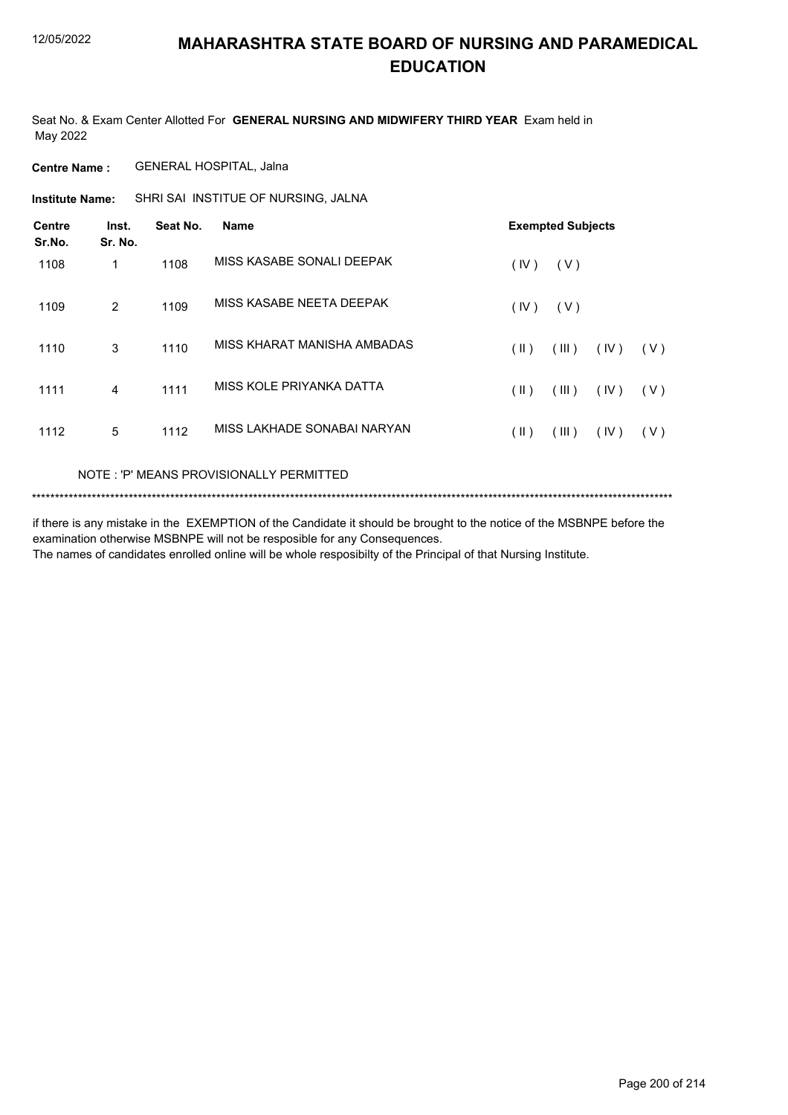Seat No. & Exam Center Allotted For **GENERAL NURSING AND MIDWIFERY THIRD YEAR** Exam held in May 2022

**Centre Name :** GENERAL HOSPITAL, Jalna

**Institute Name:** SHRI SAI INSTITUE OF NURSING, JALNA

| <b>Centre</b><br>Sr.No. | Inst.<br>Sr. No. | Seat No. | <b>Name</b>                 |               | <b>Exempted Subjects</b> |      |     |
|-------------------------|------------------|----------|-----------------------------|---------------|--------------------------|------|-----|
| 1108                    | 1                | 1108     | MISS KASABE SONALI DEEPAK   | (IV)          | (V)                      |      |     |
| 1109                    | 2                | 1109     | MISS KASABE NEETA DEEPAK    | (IV)          | (V)                      |      |     |
| 1110                    | 3                | 1110     | MISS KHARAT MANISHA AMBADAS | (  )          | (III)                    | (IV) | (V) |
| 1111                    | 4                | 1111     | MISS KOLE PRIYANKA DATTA    | $(\parallel)$ | (III)                    | (IV) | (V) |
| 1112                    | 5                | 1112     | MISS LAKHADE SONABAI NARYAN | (  )          | (III)                    | (IV) | (V) |

#### NOTE : 'P' MEANS PROVISIONALLY PERMITTED

```
*******************************************************************************************************************************************
```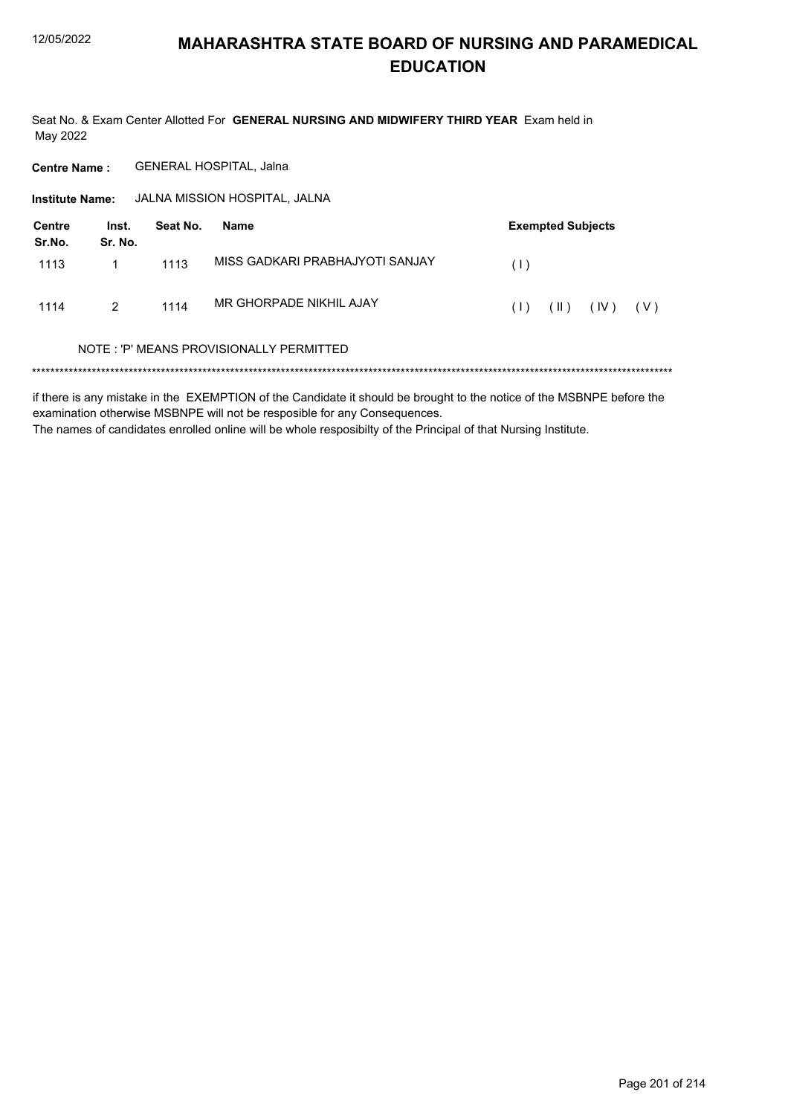Seat No. & Exam Center Allotted For GENERAL NURSING AND MIDWIFERY THIRD YEAR Exam held in May 2022

**Centre Name:** GENERAL HOSPITAL, Jalna

Institute Name: JALNA MISSION HOSPITAL, JALNA

| Centre<br>Sr.No. | Inst.<br>Sr. No. | Seat No. | Name                                    | <b>Exempted Subjects</b> |          |      |       |
|------------------|------------------|----------|-----------------------------------------|--------------------------|----------|------|-------|
| 1113             |                  | 1113     | MISS GADKARI PRABHAJYOTI SANJAY         | (1)                      |          |      |       |
| 1114             | $\mathcal{P}$    | 1114     | MR GHORPADE NIKHIL AJAY                 | (1)                      | $(\  \)$ | (IV) | ( V ) |
|                  |                  |          | NOTE: 'P' MEANS PROVISIONALLY PERMITTED |                          |          |      |       |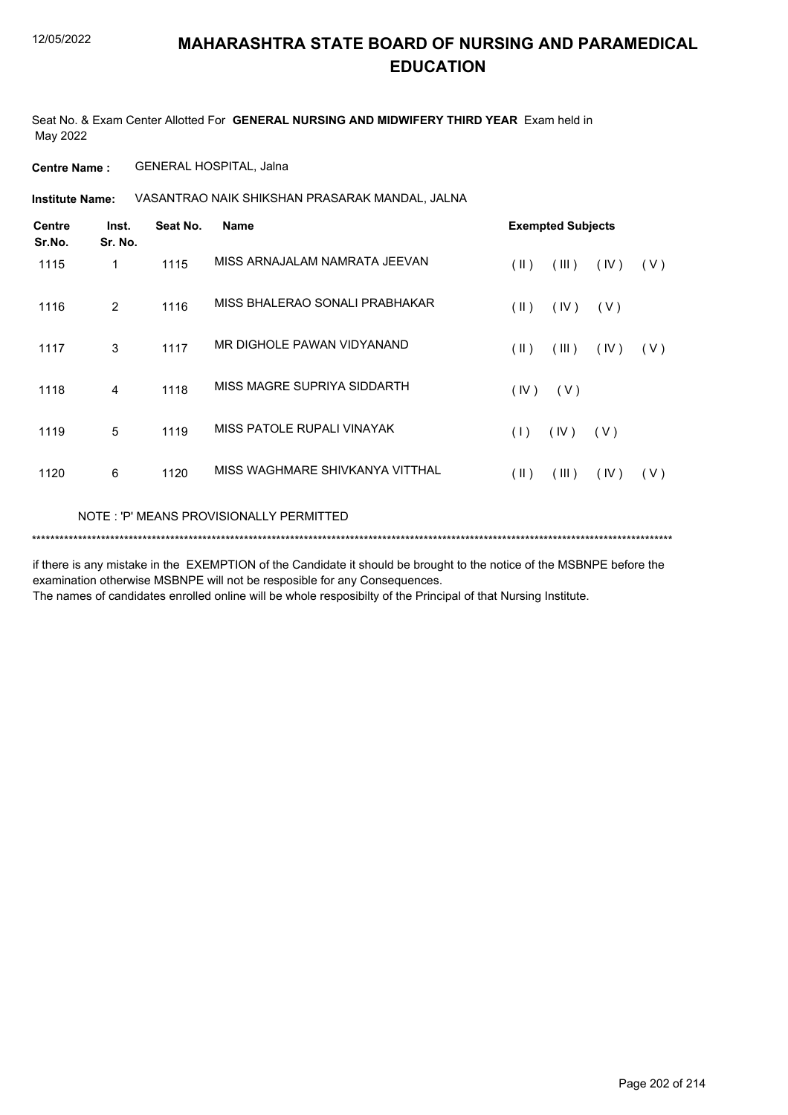Seat No. & Exam Center Allotted For **GENERAL NURSING AND MIDWIFERY THIRD YEAR** Exam held in May 2022

**Centre Name :** GENERAL HOSPITAL, Jalna

VASANTRAO NAIK SHIKSHAN PRASARAK MANDAL, JALNA **Institute Name:**

| <b>Centre</b><br>Sr.No. | Inst.<br>Sr. No. | Seat No. | Name                                     | <b>Exempted Subjects</b>              |  |
|-------------------------|------------------|----------|------------------------------------------|---------------------------------------|--|
| 1115                    | 1                | 1115     | MISS ARNAJALAM NAMRATA JEEVAN            | $(\parallel)$<br>(III)<br>(IV)<br>(V) |  |
| 1116                    | 2                | 1116     | MISS BHALERAO SONALI PRABHAKAR           | $(\parallel)$<br>(IV)<br>(V)          |  |
| 1117                    | 3                | 1117     | MR DIGHOLE PAWAN VIDYANAND               | (  )<br>(III)<br>(IV)<br>(V)          |  |
| 1118                    | 4                | 1118     | MISS MAGRE SUPRIYA SIDDARTH              | (IV)<br>( V )                         |  |
| 1119                    | 5                | 1119     | MISS PATOLE RUPALI VINAYAK               | (1)<br>(IV)<br>(V)                    |  |
| 1120                    | 6                | 1120     | MISS WAGHMARE SHIVKANYA VITTHAL          | $(\parallel)$<br>(III)<br>(IV)<br>(V) |  |
|                         |                  |          | NOTE : 'P' MEANS PROVISIONALLY PERMITTED |                                       |  |

\*\*\*\*\*\*\*\*\*\*\*\*\*\*\*\*\*\*\*\*\*\*\*\*\*\*\*\*\*\*\*\*\*\*\*\*\*\*\*\*\*\*\*\*\*\*\*\*\*\*\*\*\*\*\*\*\*\*\*\*\*\*\*\*\*\*\*\*\*\*\*\*\*\*\*\*\*\*\*\*\*\*\*\*\*\*\*\*\*\*\*\*\*\*\*\*\*\*\*\*\*\*\*\*\*\*\*\*\*\*\*\*\*\*\*\*\*\*\*\*\*\*\*\*\*\*\*\*\*\*\*\*\*\*\*\*\*\*\*

if there is any mistake in the EXEMPTION of the Candidate it should be brought to the notice of the MSBNPE before the examination otherwise MSBNPE will not be resposible for any Consequences.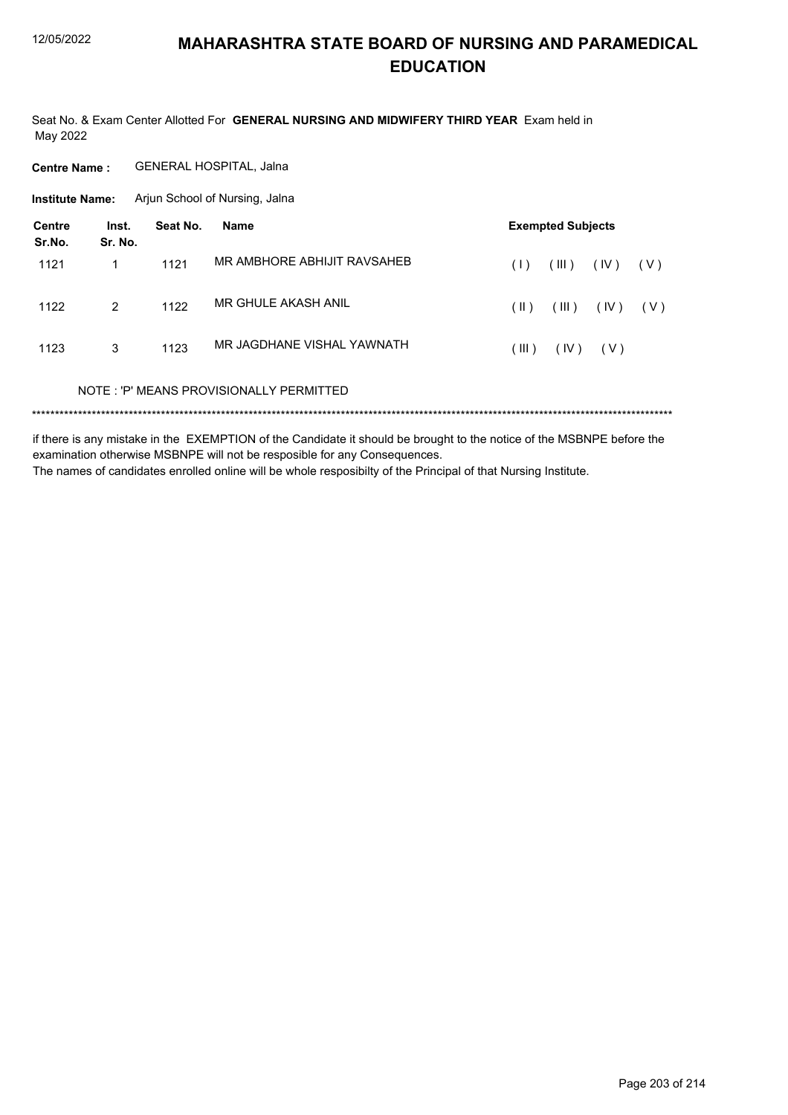Seat No. & Exam Center Allotted For GENERAL NURSING AND MIDWIFERY THIRD YEAR Exam held in May 2022

**Centre Name:** GENERAL HOSPITAL, Jalna

**Institute Name:** Arjun School of Nursing, Jalna

| Centre<br>Sr.No. | Inst.<br>Sr. No. | Seat No. | Name                                    | <b>Exempted Subjects</b> |        |       |       |
|------------------|------------------|----------|-----------------------------------------|--------------------------|--------|-------|-------|
| 1121             | 1                | 1121     | MR AMBHORE ABHIJIT RAVSAHEB             | (1)                      | $\Box$ | (IV)  | ( V ) |
| 1122             | $\mathcal{P}$    | 1122     | MR GHULE AKASH ANIL                     | (  )                     | (III)  | (IV)  | ( V ) |
| 1123             | 3                | 1123     | MR JAGDHANE VISHAL YAWNATH              | (III)                    | (IV)   | ( V ) |       |
|                  |                  |          | NOTE: 'P' MEANS PROVISIONALLY PERMITTED |                          |        |       |       |
|                  |                  |          |                                         |                          |        |       |       |

if there is any mistake in the EXEMPTION of the Candidate it should be brought to the notice of the MSBNPE before the examination otherwise MSBNPE will not be resposible for any Consequences. The names of candidates enrolled online will be whole resposibilty of the Principal of that Nursing Institute.

Page 203 of 214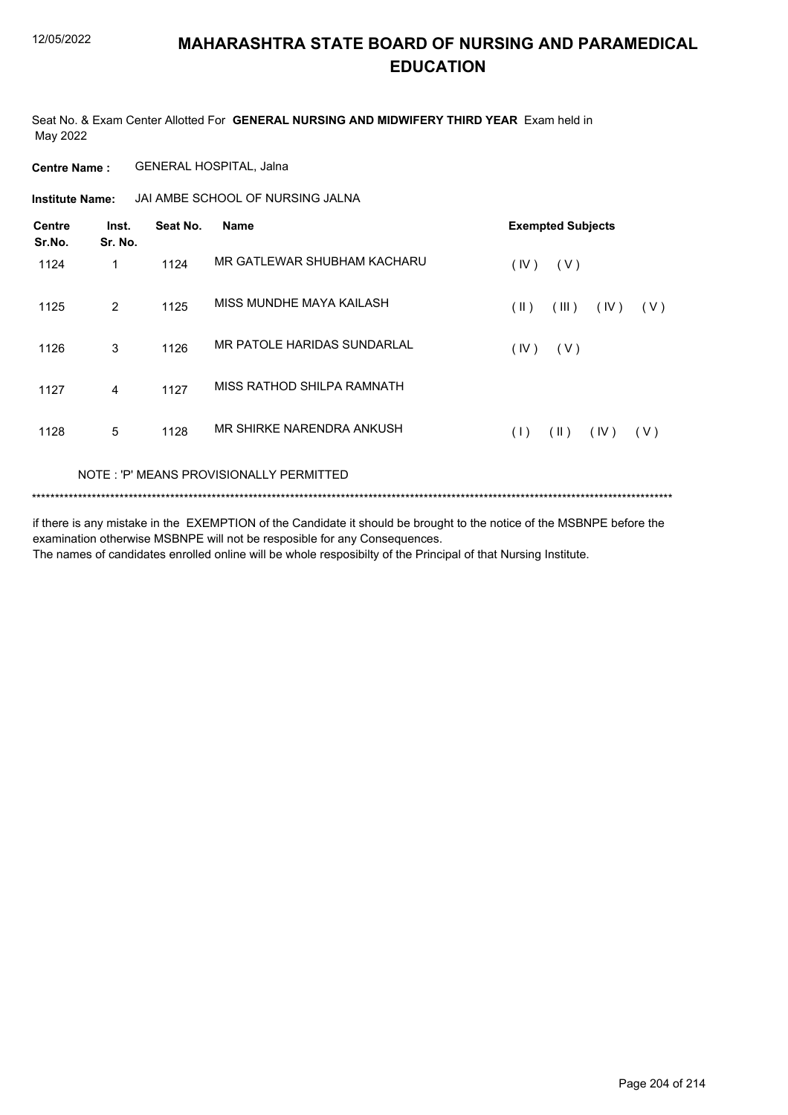Seat No. & Exam Center Allotted For **GENERAL NURSING AND MIDWIFERY THIRD YEAR** Exam held in May 2022

**Centre Name :** GENERAL HOSPITAL, Jalna

JAI AMBE SCHOOL OF NURSING JALNA **Institute Name:**

| <b>Centre</b><br>Sr.No. | Inst.<br>Sr. No. | Seat No. | <b>Name</b>                 |      | <b>Exempted Subjects</b> |      |       |
|-------------------------|------------------|----------|-----------------------------|------|--------------------------|------|-------|
| 1124                    | 1                | 1124     | MR GATLEWAR SHUBHAM KACHARU | (IV) | (V)                      |      |       |
| 1125                    | $\overline{2}$   | 1125     | MISS MUNDHE MAYA KAILASH    | (  ) | (III)                    | (IV) | (V)   |
| 1126                    | 3                | 1126     | MR PATOLE HARIDAS SUNDARLAL | (IV) | (V)                      |      |       |
| 1127                    | 4                | 1127     | MISS RATHOD SHILPA RAMNATH  |      |                          |      |       |
| 1128                    | 5                | 1128     | MR SHIRKE NARENDRA ANKUSH   | (1)  | (11)                     | (IV) | ( V ) |
|                         |                  |          |                             |      |                          |      |       |

#### NOTE : 'P' MEANS PROVISIONALLY PERMITTED

\*\*\*\*\*\*\*\*\*\*\*\*\*\*\*\*\*\*\*\*\*\*\*\*\*\*\*\*\*\*\*\*\*\*\*\*\*\*\*\*\*\*\*\*\*\*\*\*\*\*\*\*\*\*\*\*\*\*\*\*\*\*\*\*\*\*\*\*\*\*\*\*\*\*\*\*\*\*\*\*\*\*\*\*\*\*\*\*\*\*\*\*\*\*\*\*\*\*\*\*\*\*\*\*\*\*\*\*\*\*\*\*\*\*\*\*\*\*\*\*\*\*\*\*\*\*\*\*\*\*\*\*\*\*\*\*\*\*\*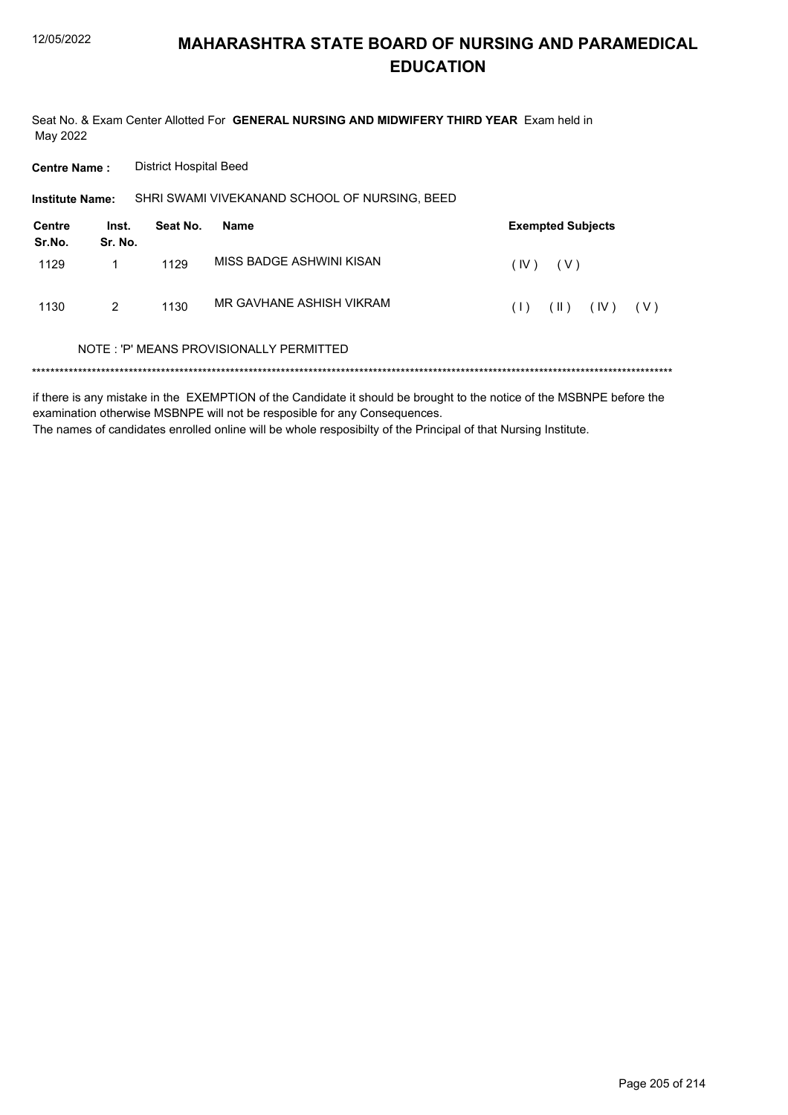Seat No. & Exam Center Allotted For GENERAL NURSING AND MIDWIFERY THIRD YEAR Exam held in May 2022

**Centre Name: District Hospital Beed** 

SHRI SWAMI VIVEKANAND SCHOOL OF NURSING, BEED Institute Name:

| <b>Centre</b><br>Sr.No. | Inst.<br>Sr. No. | Seat No. | Name                     | <b>Exempted Subjects</b> |       |      |       |
|-------------------------|------------------|----------|--------------------------|--------------------------|-------|------|-------|
| 1129                    |                  | 1129     | MISS BADGE ASHWINI KISAN | (IV)                     | ( V ) |      |       |
| 1130                    | 2                | 1130     | MR GAVHANE ASHISH VIKRAM | (1)                      | (  )  | (IV) | ( V ) |

#### NOTE: 'P' MEANS PROVISIONALLY PERMITTED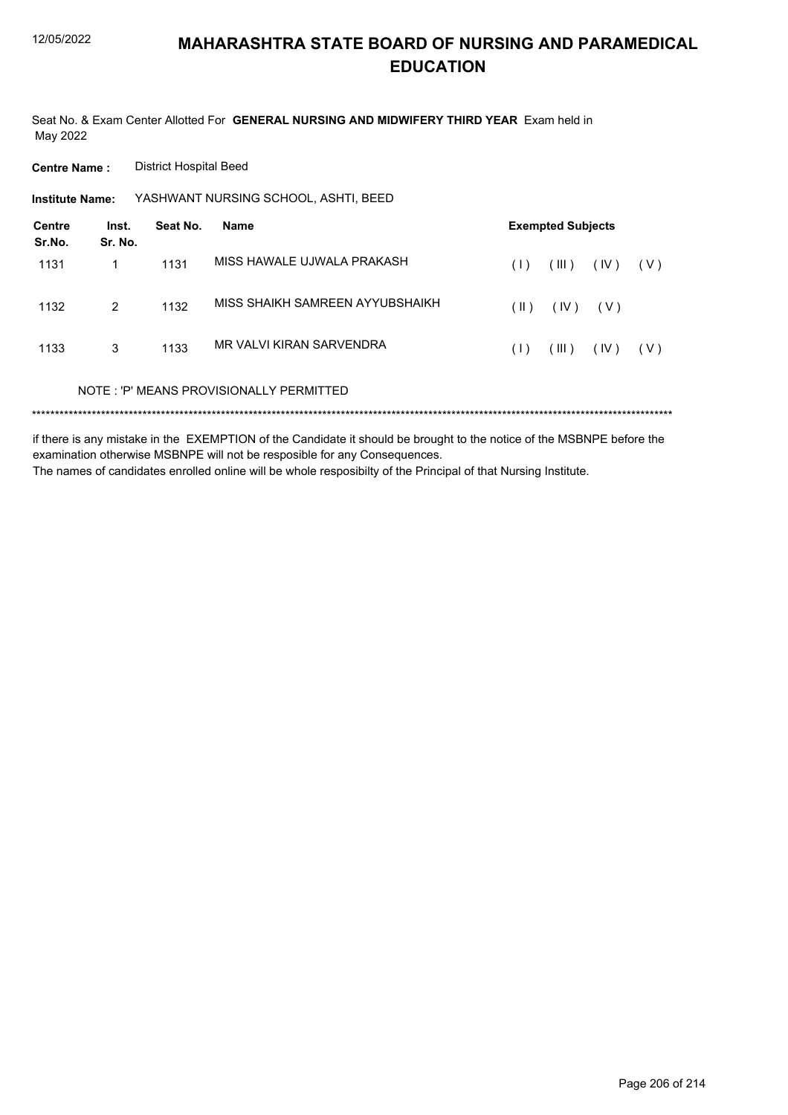Seat No. & Exam Center Allotted For **GENERAL NURSING AND MIDWIFERY THIRD YEAR** Exam held in May 2022

**Centre Name :** District Hospital Beed

YASHWANT NURSING SCHOOL, ASHTI, BEED **Institute Name:**

| <b>Centre</b><br>Sr.No. | Inst.<br>Sr. No. | Seat No. | <b>Name</b>                             | <b>Exempted Subjects</b> |       |       |       |
|-------------------------|------------------|----------|-----------------------------------------|--------------------------|-------|-------|-------|
| 1131                    | 1                | 1131     | MISS HAWALE UJWALA PRAKASH              | (1)                      | (III) | (IV)  | ( V ) |
| 1132                    | 2                | 1132     | MISS SHAIKH SAMREEN AYYUBSHAIKH         | (  )                     | (IV)  | ( V ) |       |
| 1133                    | 3                | 1133     | MR VAI VI KIRAN SARVENDRA               | (1)                      | (III) | (IV)  | ( V ) |
|                         |                  |          | NOTE: 'P' MEANS PROVISIONALLY PERMITTED |                          |       |       |       |
|                         |                  |          |                                         |                          |       |       |       |

if there is any mistake in the EXEMPTION of the Candidate it should be brought to the notice of the MSBNPE before the examination otherwise MSBNPE will not be resposible for any Consequences. The names of candidates enrolled online will be whole resposibilty of the Principal of that Nursing Institute.

Page 206 of 214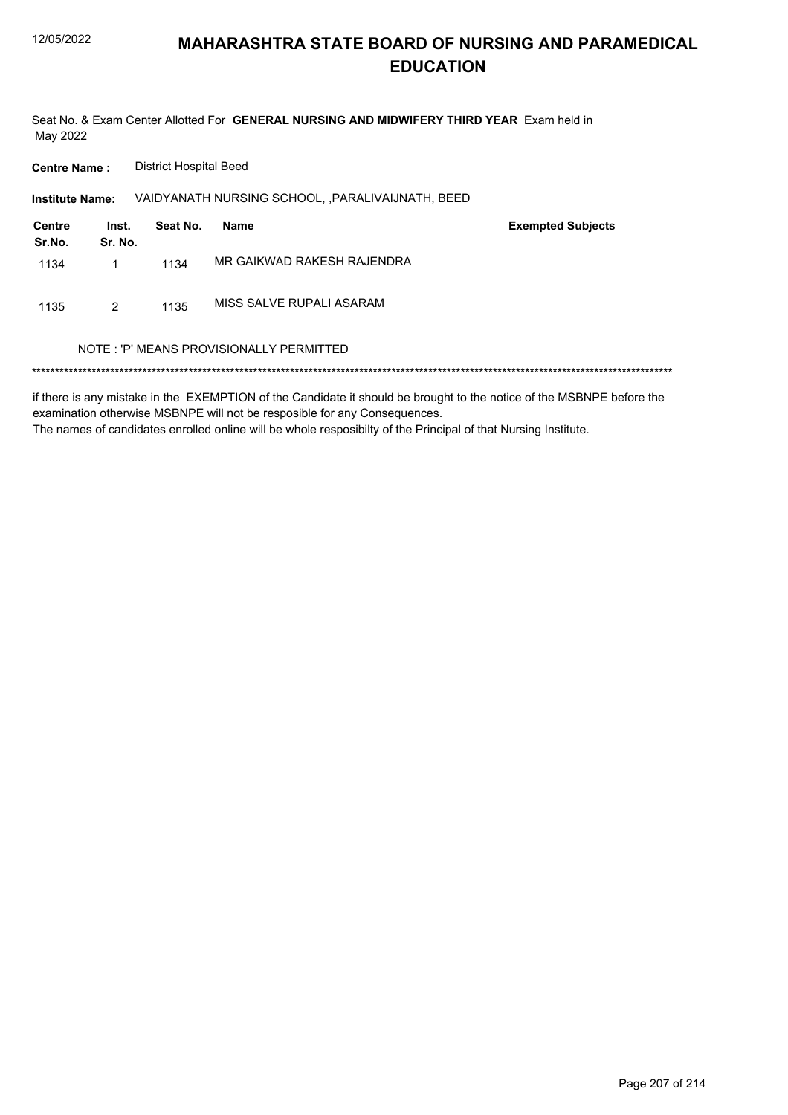Seat No. & Exam Center Allotted For GENERAL NURSING AND MIDWIFERY THIRD YEAR Exam held in May 2022

**Centre Name: District Hospital Beed** 

VAIDYANATH NURSING SCHOOL, , PARALIVAIJNATH, BEED Institute Name:

| Centre<br>Sr.No. | Inst.<br>Sr. No. | Seat No. | Name                       | <b>Exempted Subjects</b> |
|------------------|------------------|----------|----------------------------|--------------------------|
| 1134             | 1                | 1134     | MR GAIKWAD RAKESH RAJENDRA |                          |
| 1135             | 2                | 1135     | MISS SALVE RUPALI ASARAM   |                          |

#### NOTE: 'P' MEANS PROVISIONALLY PERMITTED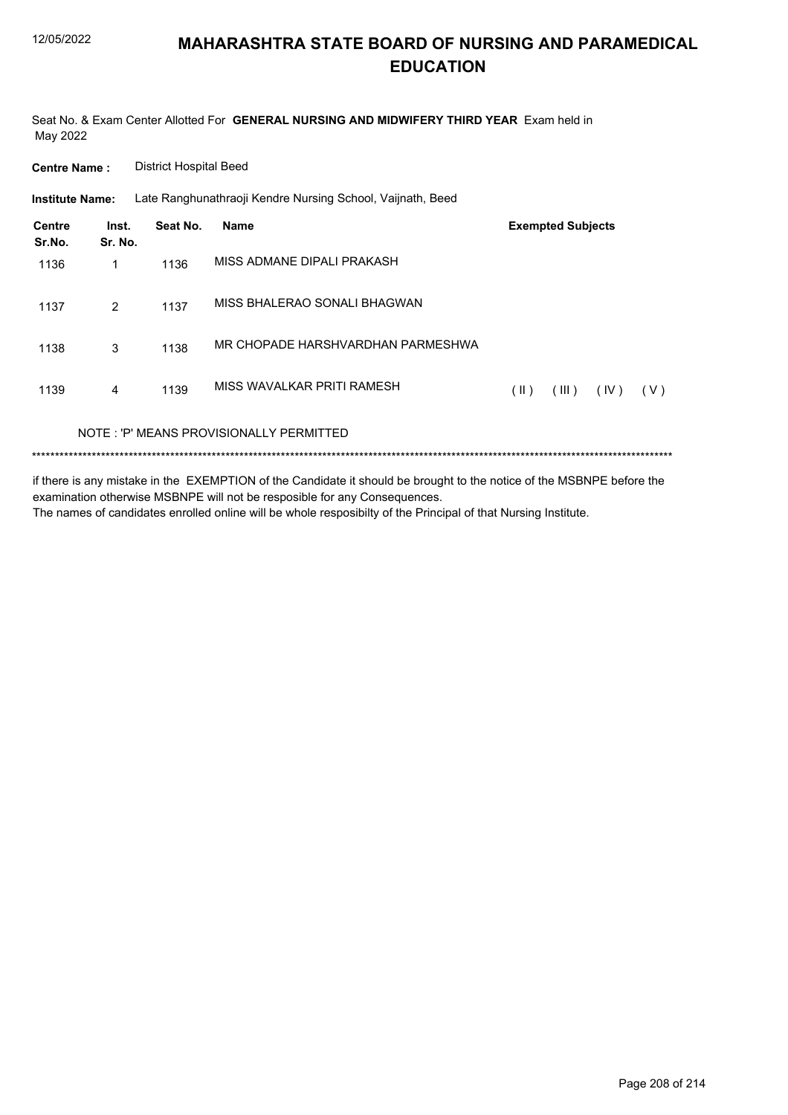Seat No. & Exam Center Allotted For GENERAL NURSING AND MIDWIFERY THIRD YEAR Exam held in May 2022

**Centre Name: District Hospital Beed** 

**Institute Name:** Late Ranghunathraoji Kendre Nursing School, Vaijnath, Beed

| Centre<br>Sr.No. | Inst.<br>Sr. No. | Seat No. | Name                                    |      | <b>Exempted Subjects</b> |      |       |
|------------------|------------------|----------|-----------------------------------------|------|--------------------------|------|-------|
| 1136             | 1                | 1136     | MISS ADMANE DIPALI PRAKASH              |      |                          |      |       |
| 1137             | $\overline{2}$   | 1137     | MISS BHALERAO SONALI BHAGWAN            |      |                          |      |       |
| 1138             | 3                | 1138     | MR CHOPADE HARSHVARDHAN PARMESHWA       |      |                          |      |       |
| 1139             | 4                | 1139     | MISS WAVALKAR PRITI RAMESH              | (  ) | (III)                    | (IV) | ( V ) |
|                  |                  |          | NOTE: 'P' MEANS PROVISIONALLY PERMITTED |      |                          |      |       |
|                  |                  |          |                                         |      |                          |      |       |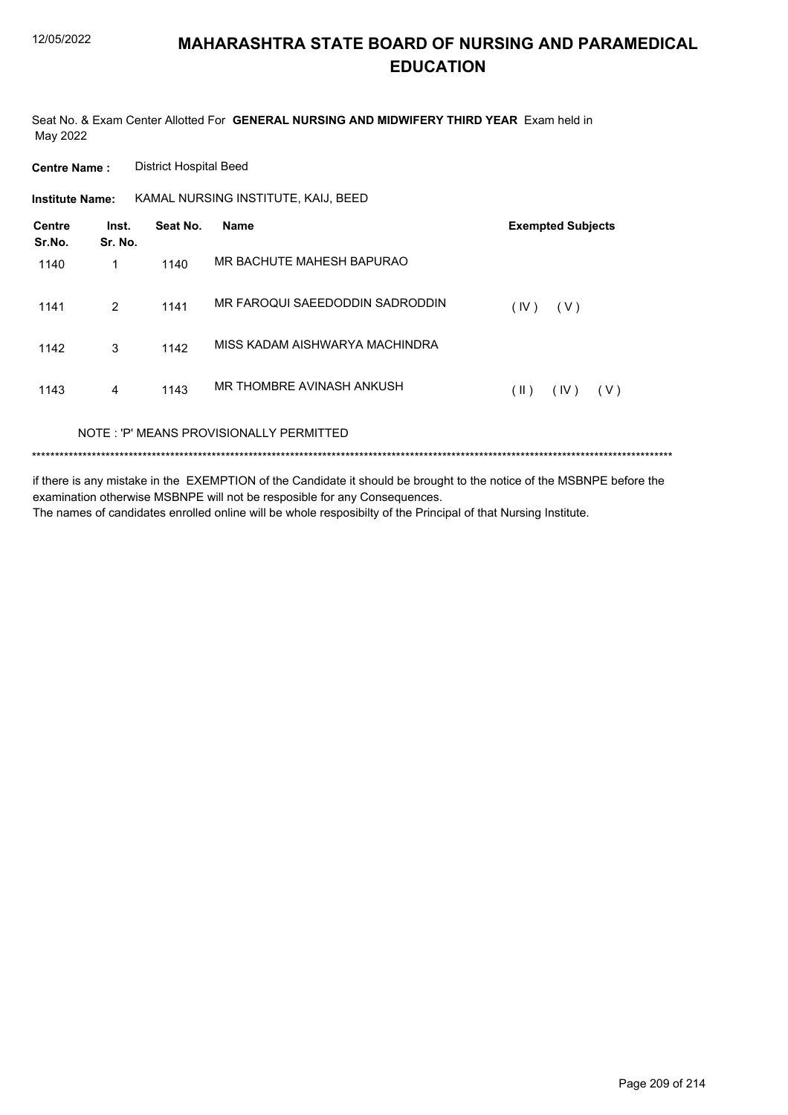Seat No. & Exam Center Allotted For **GENERAL NURSING AND MIDWIFERY THIRD YEAR** Exam held in May 2022

**Centre Name :** District Hospital Beed

**Institute Name: KAMAL NURSING INSTITUTE, KAIJ, BEED** 

| Centre<br>Sr.No. | Inst.<br>Sr. No. | Seat No. | <b>Name</b>                             | <b>Exempted Subjects</b> |
|------------------|------------------|----------|-----------------------------------------|--------------------------|
| 1140             | 1                | 1140     | MR BACHUTE MAHESH BAPURAO               |                          |
| 1141             | 2                | 1141     | MR FAROQUI SAEEDODDIN SADRODDIN         | (IV)<br>(V)              |
| 1142             | 3                | 1142     | MISS KADAM AISHWARYA MACHINDRA          |                          |
| 1143             | 4                | 1143     | MR THOMBRE AVINASH ANKUSH               | (  )<br>(IV)<br>( V )    |
|                  |                  |          | NOTE: 'P' MEANS PROVISIONALLY PERMITTED |                          |

\*\*\*\*\*\*\*\*\*\*\*\*\*\*\*\*\*\*\*\*\*\*\*\*\*\*\*\*\*\*\*\*\*\*\*\*\*\*\*\*\*\*\*\*\*\*\*\*\*\*\*\*\*\*\*\*\*\*\*\*\*\*\*\*\*\*\*\*\*\*\*\*\*\*\*\*\*\*\*\*\*\*\*\*\*\*\*\*\*\*\*\*\*\*\*\*\*\*\*\*\*\*\*\*\*\*\*\*\*\*\*\*\*\*\*\*\*\*\*\*\*\*\*\*\*\*\*\*\*\*\*\*\*\*\*\*\*\*\*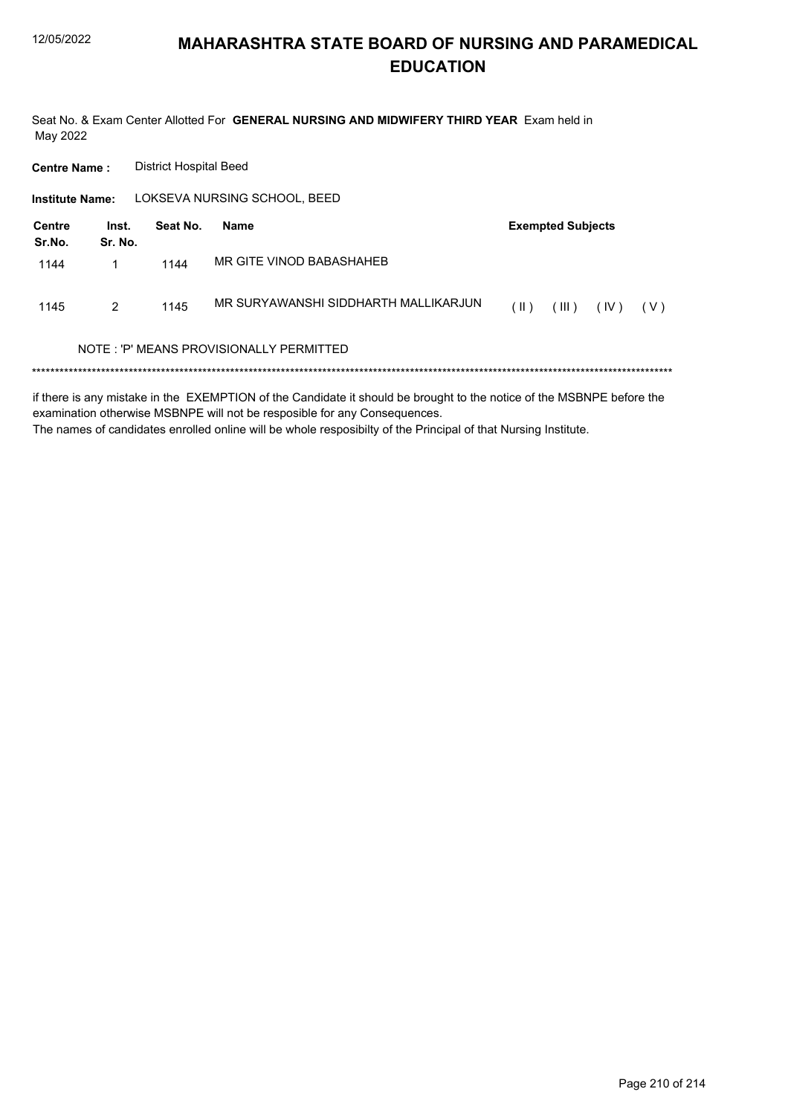Seat No. & Exam Center Allotted For GENERAL NURSING AND MIDWIFERY THIRD YEAR Exam held in May 2022

**District Hospital Beed Centre Name:** LOKSEVA NURSING SCHOOL, BEED **Institute Name: Centre** Inst. Seat No. **Exempted Subjects Name** Sr.No. Sr. No. MR GITE VINOD BABASHAHEB 1144  $\mathbf{1}$ 1144 MR SURYAWANSHI SIDDHARTH MALLIKARJUN 1145  $\overline{2}$ 1145  $(II)$   $(III)$   $(IV)$   $(V)$ NOTE: 'P' MEANS PROVISIONALLY PERMITTED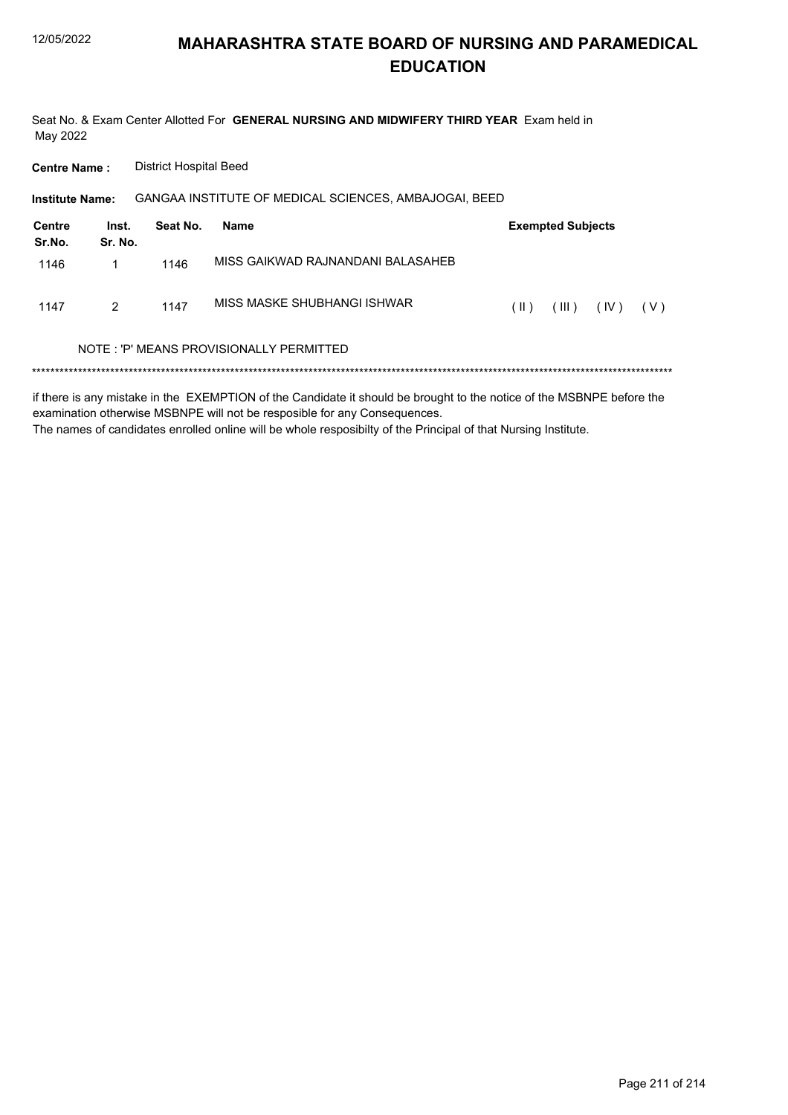Seat No. & Exam Center Allotted For GENERAL NURSING AND MIDWIFERY THIRD YEAR Exam held in May 2022

**Centre Name: District Hospital Beed** 

| <b>Institute Name:</b> |                  |          | GANGAA INSTITUTE OF MEDICAL SCIENCES, AMBAJOGAI, BEED |        |                          |      |       |
|------------------------|------------------|----------|-------------------------------------------------------|--------|--------------------------|------|-------|
| Centre<br>Sr.No.       | Inst.<br>Sr. No. | Seat No. | Name                                                  |        | <b>Exempted Subjects</b> |      |       |
| 1146                   |                  | 1146     | MISS GAIKWAD RAJNANDANI BALASAHEB                     |        |                          |      |       |
| 1147                   | 2                | 1147     | MISS MASKE SHUBHANGI ISHWAR                           | $(\ )$ | (III)                    | (IV) | ( V ) |
|                        |                  |          | NOTE: 'P' MEANS PROVISIONALLY PERMITTED               |        |                          |      |       |
|                        |                  |          |                                                       |        |                          |      |       |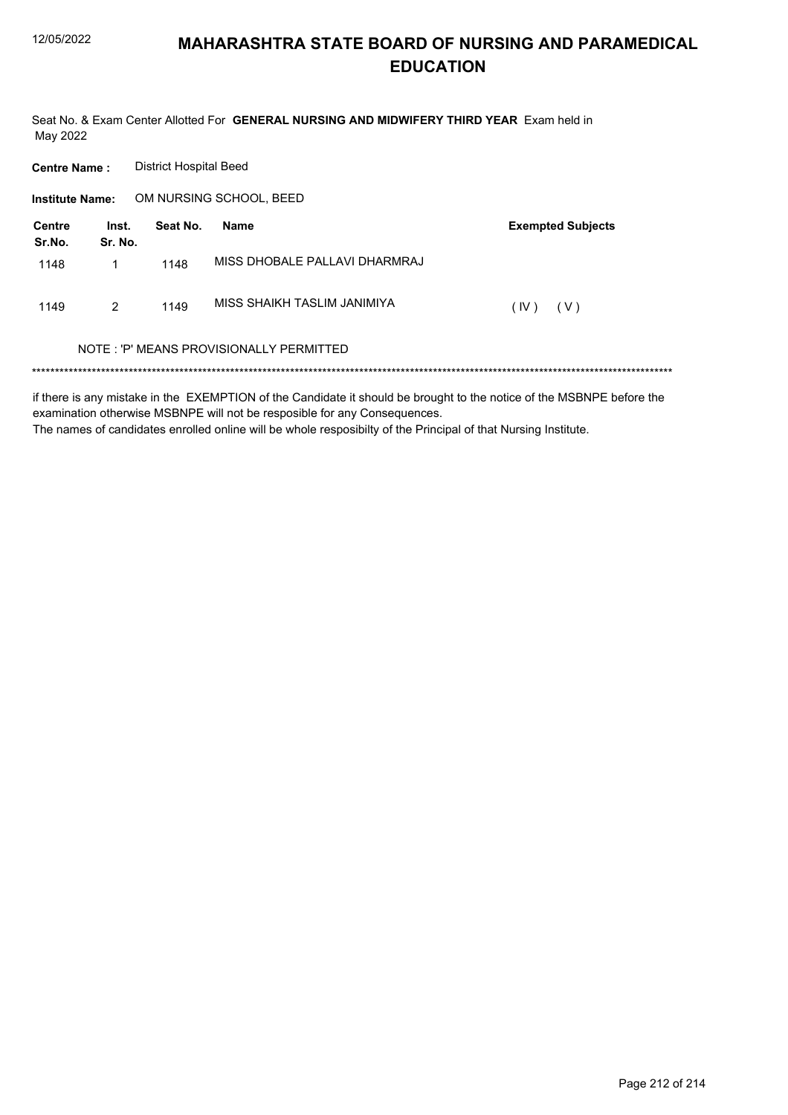Seat No. & Exam Center Allotted For GENERAL NURSING AND MIDWIFERY THIRD YEAR Exam held in May 2022

| <b>Centre Name:</b>     |                  | <b>District Hospital Beed</b> |                                         |                          |
|-------------------------|------------------|-------------------------------|-----------------------------------------|--------------------------|
| <b>Institute Name:</b>  |                  |                               | OM NURSING SCHOOL, BEED                 |                          |
| <b>Centre</b><br>Sr.No. | Inst.<br>Sr. No. | Seat No.                      | <b>Name</b>                             | <b>Exempted Subjects</b> |
| 1148                    | 1                | 1148                          | MISS DHOBALE PALLAVI DHARMRAJ           |                          |
| 1149                    | 2                | 1149                          | MISS SHAIKH TASLIM JANIMIYA             | (IV)<br>( V )            |
|                         |                  |                               | NOTE: 'P' MEANS PROVISIONALLY PERMITTED |                          |
|                         |                  |                               |                                         |                          |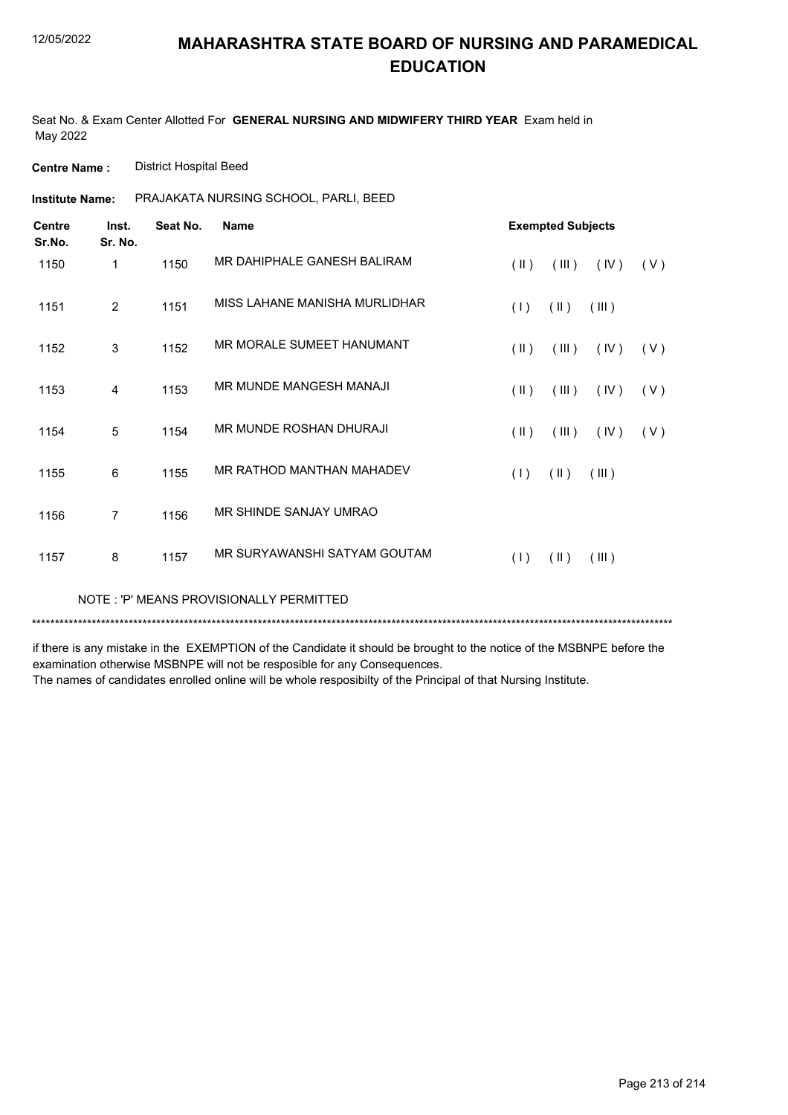Seat No. & Exam Center Allotted For **GENERAL NURSING AND MIDWIFERY THIRD YEAR** Exam held in May 2022

**Centre Name :** District Hospital Beed

PRAJAKATA NURSING SCHOOL, PARLI, BEED **Institute Name:**

| <b>Centre</b><br>Sr.No. | Inst.<br>Sr. No. | Seat No. | <b>Name</b>                             | <b>Exempted Subjects</b> |               |       |     |
|-------------------------|------------------|----------|-----------------------------------------|--------------------------|---------------|-------|-----|
| 1150                    | $\mathbf{1}$     | 1150     | MR DAHIPHALE GANESH BALIRAM             | $(\parallel \parallel)$  | (III)         | (IV)  | (V) |
| 1151                    | $\overline{2}$   | 1151     | MISS I AHANE MANISHA MURI IDHAR         | (1)                      | $(\parallel)$ | (III) |     |
| 1152                    | 3                | 1152     | MR MORALE SUMEET HANUMANT               | $(\parallel \parallel)$  | (III)         | (IV)  | (V) |
| 1153                    | 4                | 1153     | MR MUNDE MANGESH MANAJI                 | $(\parallel \parallel)$  | (III)         | (IV)  | (V) |
| 1154                    | 5                | 1154     | MR MUNDE ROSHAN DHURAJI                 | $(\parallel \parallel)$  | (III)         | (IV)  | (V) |
| 1155                    | 6                | 1155     | MR RATHOD MANTHAN MAHADEV               | (1)                      | $(\parallel)$ | (III) |     |
| 1156                    | $\overline{7}$   | 1156     | MR SHINDE SANJAY UMRAO                  |                          |               |       |     |
| 1157                    | 8                | 1157     | MR SURYAWANSHI SATYAM GOUTAM            | (1)                      | $(\parallel)$ | (III) |     |
|                         |                  |          | NOTE: 'P' MEANS PROVISIONALLY PERMITTED |                          |               |       |     |

\*\*\*\*\*\*\*\*\*\*\*\*\*\*\*\*\*\*\*\*\*\*\*\*\*\*\*\*\*\*\*\*\*\*\*\*\*\*\*\*\*\*\*\*\*\*\*\*\*\*\*\*\*\*\*\*\*\*\*\*\*\*\*\*\*\*\*\*\*\*\*\*\*\*\*\*\*\*\*\*\*\*\*\*\*\*\*\*\*\*\*\*\*\*\*\*\*\*\*\*\*\*\*\*\*\*\*\*\*\*\*\*\*\*\*\*\*\*\*\*\*\*\*\*\*\*\*\*\*\*\*\*\*\*\*\*\*\*\*

if there is any mistake in the EXEMPTION of the Candidate it should be brought to the notice of the MSBNPE before the examination otherwise MSBNPE will not be resposible for any Consequences.